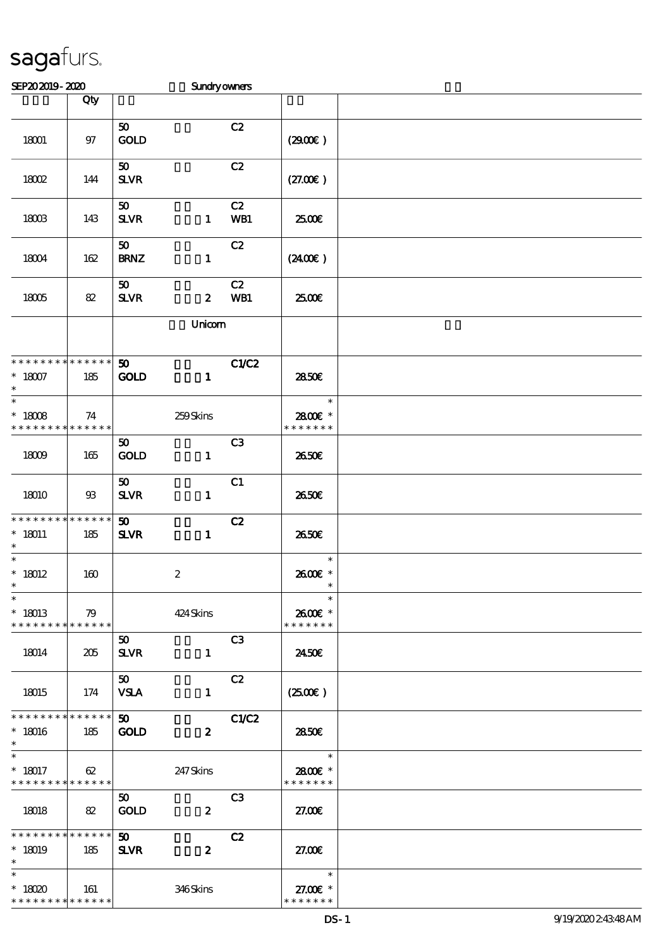| SEP202019-2020                                         |                   |                                | <b>Sundryowners</b> |                |                                     |  |
|--------------------------------------------------------|-------------------|--------------------------------|---------------------|----------------|-------------------------------------|--|
|                                                        | Qty               |                                |                     |                |                                     |  |
| 18001                                                  | 97                | 50<br><b>GOLD</b>              |                     | C2             | (2900)                              |  |
| 18002                                                  | 144               | 50<br><b>SLVR</b>              |                     | C2             | (27.00)                             |  |
| 18003                                                  | 143               | 50<br><b>SLVR</b>              | $\mathbf{1}$        | C2<br>WB1      | 2500€                               |  |
| 18004                                                  | 162               | 50<br><b>BRNZ</b>              | $\mathbf{1}$        | C2             | (240E)                              |  |
| 18005                                                  | 82                | 50<br><b>SLVR</b>              | $\boldsymbol{z}$    | C2<br>WB1      | 2500€                               |  |
|                                                        |                   |                                | Unicom              |                |                                     |  |
| * * * * * * * * * * * * * *<br>$^\ast$ 18007<br>$\ast$ | 185               | 50<br>GOLD                     | $\mathbf{1}$        | C1/C2          | 2850E                               |  |
| $\ast$<br>$* 18008$<br>* * * * * * * *                 | 74<br>* * * * * * |                                | 259Skins            |                | $\ast$<br>2800€ *<br>* * * * * * *  |  |
| 18009                                                  | 165               | 50<br>GOLD                     | $\mathbf{1}$        | C <sub>3</sub> | 2650E                               |  |
| 18010                                                  | $93\,$            | 50<br><b>SLVR</b>              | $\mathbf{1}$        | C1             | 2650E                               |  |
| * * * * * * * * * * * * * *<br>$* 18011$<br>$\ast$     | 185               | 50<br><b>SLVR</b>              | $\mathbf{1}$        | C2             | 2650E                               |  |
| $\overline{\ast}$<br>$^*$ 18012<br>$*$                 | 160               |                                | $\boldsymbol{2}$    |                | $\ast$<br>2600€ *<br>$\ast$         |  |
| $\ast$<br>$*18013$<br>* * * * * * * * * * * * * *      | 79                |                                | 424 Skins           |                | $\ast$<br>2600€ *<br>* * * * * * *  |  |
| 18014                                                  | 205               | 50 <sub>o</sub><br><b>SLVR</b> | $\mathbf{1}$        | C <sub>3</sub> | 2450E                               |  |
| 18015                                                  | 174               | 50<br><b>VSLA</b>              | $\mathbf{1}$        | C2             | $(2500\varepsilon)$                 |  |
| * * * * * * * * * * * * * *<br>$*18016$<br>$\ast$      | 185               | 50<br><b>GOLD</b>              | $\boldsymbol{z}$    | C1/C2          | 2850E                               |  |
| $\ast$<br>$* 18017$<br>* * * * * * * * * * * * * *     | 62                |                                | 247Skins            |                | $\ast$<br>2800€ *<br>* * * * * * *  |  |
| 18018                                                  | 82                | 50 <sub>o</sub><br><b>GOLD</b> | $\boldsymbol{z}$    | C <sub>3</sub> | 27.00                               |  |
| * * * * * * * * * * * * * * *<br>$*18019$<br>$\ast$    | 185               | 50 <sub>1</sub><br><b>SLVR</b> | $\boldsymbol{z}$    | C2             | 27.00                               |  |
| $\ast$<br>$*18020$<br>* * * * * * * * * * * * * *      | 161               |                                | 346Skins            |                | $\ast$<br>27.00€ *<br>* * * * * * * |  |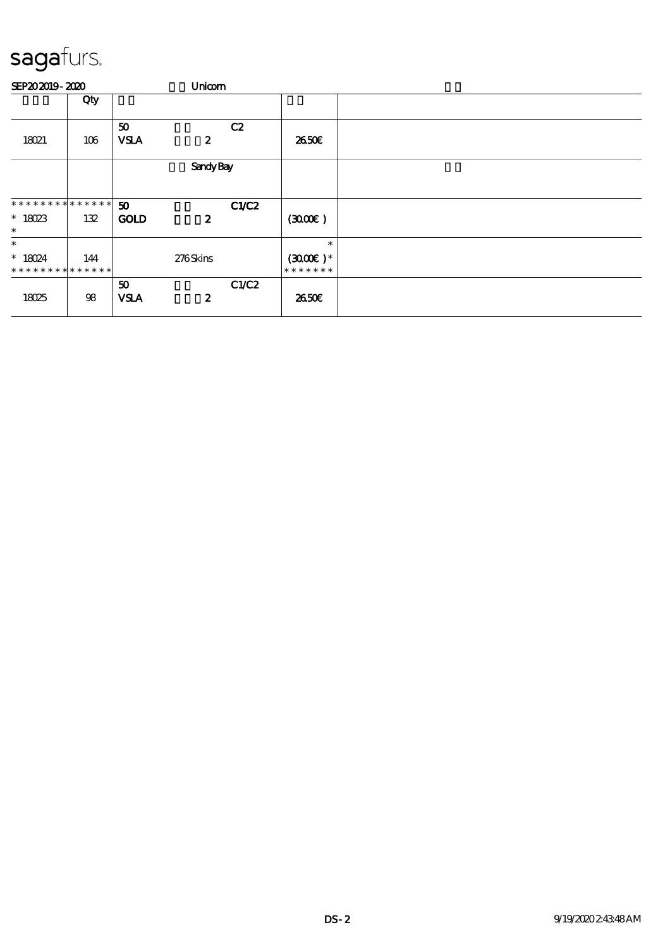#### SEP20 2019 - 2020 **Unicorn** Unicorn  $\Box$  Qty  $\Box$ 18021 106 50 白貂 C2  $VSA$  2  $2$  26.50€ Sandy Bay 50 白貂 C1/C2 GOLD 2 \* \* \* \* \* \* \* \* \* \* \* \* \* \* \* 18023 132 \*  $(300E)$ \* \* 18024 \* \* \* \* \* \* \* \* \* \* \* \* \* 144 276 Skins \*  $(3000)$  \* \* \* \* \* \* \* \* 18025 98 50 C1/C2  $VSA$  2  $2$  26.50€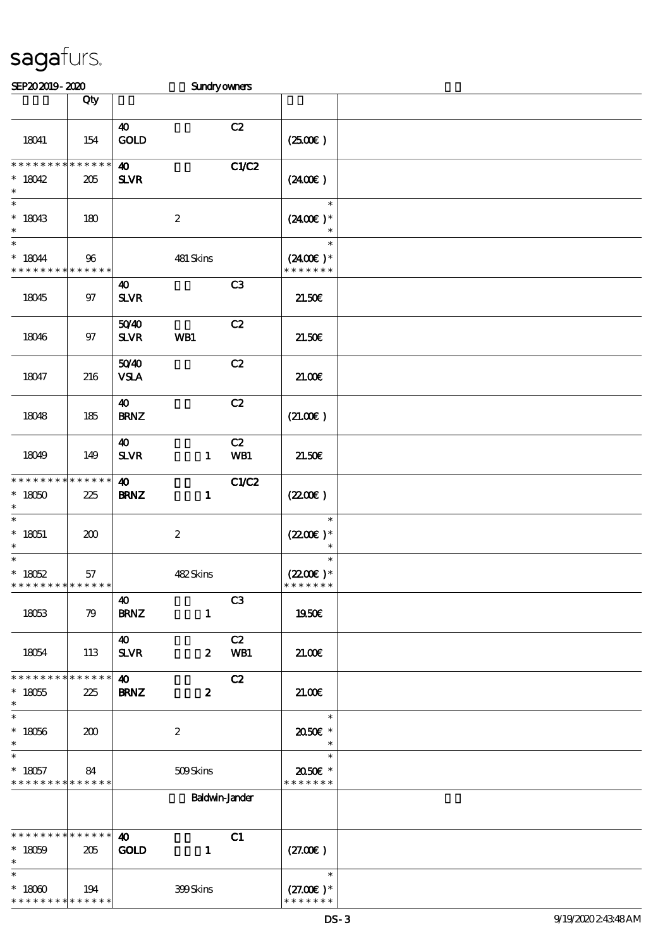| SEP202019-2020                                        |                        |                                      | <b>Sundryowners</b>   |                |                                                          |  |
|-------------------------------------------------------|------------------------|--------------------------------------|-----------------------|----------------|----------------------------------------------------------|--|
|                                                       | Qty                    |                                      |                       |                |                                                          |  |
| 18041                                                 | 154                    | $\boldsymbol{\omega}$<br>GOLD        |                       | C2             | $(2500\varepsilon)$                                      |  |
| * * * * * * * *<br>$*18042$<br>$\ast$                 | * * * * * *<br>205     | $\boldsymbol{\omega}$<br><b>SLVR</b> |                       | C1/C2          | (240E)                                                   |  |
| $\overline{\ast}$<br>$*18043$<br>$\ast$               | 180                    |                                      | $\boldsymbol{2}$      |                | $\ast$<br>$(2400)$ *                                     |  |
| $\ast$<br>$* 18044$<br>* * * * * * * *                | 96<br>* * * * * *      |                                      | 481 Skins             |                | $\ast$<br>$(2400\varepsilon)*$<br>* * * * * * *          |  |
| 18045                                                 | $97$                   | 40<br>$S\!L\!V\!R$                   |                       | C3             | 21.50E                                                   |  |
| 18046                                                 | $97$                   | 5040<br><b>SLVR</b>                  | WB1                   | C2             | 21.50E                                                   |  |
| 18047                                                 | 216                    | 5040<br><b>VSLA</b>                  |                       | C2             | 21.006                                                   |  |
| 18048                                                 | 185                    | 40<br><b>BRNZ</b>                    |                       | C2             | (21.00)                                                  |  |
| 18049                                                 | 149                    | $\boldsymbol{\omega}$<br><b>SLVR</b> | $\mathbf{1}$          | C2<br>WB1      | 21.50E                                                   |  |
| * * * * * * * *<br>$*18050$<br>$\ast$                 | * * * * * *<br>225     | $\boldsymbol{\omega}$<br><b>BRNZ</b> | $\mathbf{1}$          | C1/C2          | (220E)                                                   |  |
| $\overline{\ast}$<br>$* 18051$<br>$\ast$              | 200                    |                                      | $\boldsymbol{z}$      |                | $\ast$<br>$(2200)$ *<br>$\ast$                           |  |
| $\ast$<br>$* 18052$<br>* * * * * * * * * * * * * *    | 57                     |                                      | 482Skins              |                | $\ast$<br>$(2200\varepsilon)*$<br>* * * * * * *          |  |
| 18053                                                 | 79                     | 40<br><b>BRNZ</b>                    | $\mathbf{1}$          | C <sub>3</sub> | 1950€                                                    |  |
| 18054                                                 | 113                    | 40<br><b>SLVR</b>                    | $\boldsymbol{z}$      | C2<br>WB1      | 21.00                                                    |  |
| * * * * * * * *<br>$* 18055$<br>$\ast$                | $* * * * * * *$<br>225 | 40<br><b>BRNZ</b>                    | $\boldsymbol{z}$      | C2             | 2100                                                     |  |
| $\ast$<br>$*18056$<br>$\ast$                          | 200                    |                                      | $\boldsymbol{z}$      |                | $\ast$<br>2050E *                                        |  |
| $* 18057$<br>* * * * * * * * <mark>* * * * * *</mark> | 84                     |                                      | 509Skins              |                | $\ast$<br>2050€ *<br>* * * * * * *                       |  |
|                                                       |                        |                                      | <b>Baldwin-Jander</b> |                |                                                          |  |
| * * * * * * * * * * * * * * *<br>$* 18059$<br>$\ast$  | 205                    | $\boldsymbol{\omega}$<br><b>GOLD</b> | $\mathbf{1}$          | C1             | (27.00)                                                  |  |
| $\ast$<br>$*18000$<br>* * * * * * * * * * * * * *     | 194                    |                                      | 399Skins              |                | $\overline{\phantom{a}}$<br>$(27.00)$ *<br>* * * * * * * |  |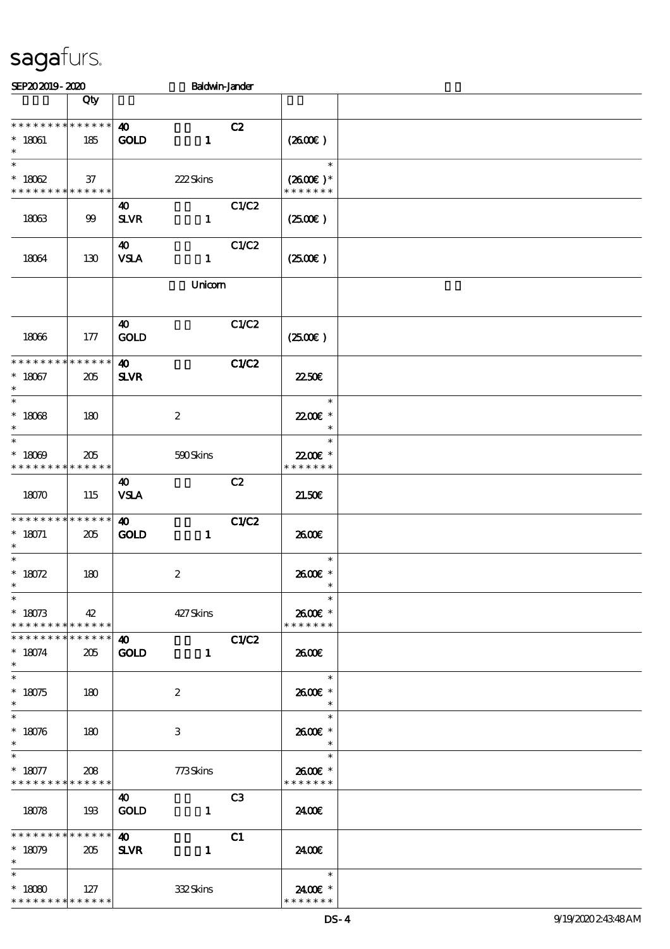| SEP202019-2020                                                    |                    |                                      | <b>Baldwin-Jander</b> |                                                      |  |
|-------------------------------------------------------------------|--------------------|--------------------------------------|-----------------------|------------------------------------------------------|--|
|                                                                   | Qty                |                                      |                       |                                                      |  |
| **************<br>$* 18061$<br>$\ast$                             | 185                | $\boldsymbol{\omega}$<br><b>GOLD</b> | C2<br>$\mathbf{1}$    | $(2600\varepsilon)$                                  |  |
| $\ast$<br>$* 18062$<br>* * * * * * * * * * * * * * *              | 37                 | 222Skins                             |                       | $\ast$<br>$(2600)$ *<br>* * * * * * *                |  |
| 18063                                                             | 99                 | 40<br><b>SLVR</b>                    | C1/C2<br>$\mathbf{1}$ | (250)                                                |  |
| 18064                                                             | 130                | 40<br><b>VSLA</b>                    | C1/C2<br>$\mathbf{1}$ | $(2500\varepsilon)$                                  |  |
|                                                                   |                    |                                      | Unicom                |                                                      |  |
| 18066                                                             | 177                | $\boldsymbol{\omega}$<br><b>GOLD</b> | C1/C2                 | (2500)                                               |  |
| * * * * * * * * * * * * * *<br>$* 18067$<br>$\ast$                | 205                | $\boldsymbol{\omega}$<br><b>SLVR</b> | C1/C2                 | 2250E                                                |  |
| $\ast$<br>$^\ast$ 18068<br>$\ast$                                 | 180                | $\boldsymbol{2}$                     |                       | $\ast$<br>22.00€ *<br>$\ast$                         |  |
| $\ast$<br>$* 18009$<br>* * * * * * * *                            | 205<br>* * * * * * | 590Skins                             |                       | $\ast$<br>22.00 £*<br>* * * * * * *                  |  |
| 18070                                                             | 115                | 40<br><b>VSLA</b>                    | C2                    | 21.50E                                               |  |
| * * * * * * * * * * * * * *<br>$* 18071$<br>$\ast$                | 205                | 40<br><b>GOLD</b>                    | C1/C2<br>$\mathbf{1}$ | 2600E                                                |  |
| $\ast$<br>* $18072$                                               | 180                | $\boldsymbol{2}$                     |                       | $\ast$<br>2600€ *                                    |  |
| $\overline{\ast}$<br>$* 18073$<br>******** <mark>******</mark>    | 42                 | 427 Skins                            |                       | 2600€ *<br>* * * * * * *                             |  |
| * * * * * * * * * * * * * * *<br>$* 18074$<br>$\ast$              | 205                | $\boldsymbol{\omega}$<br><b>GOLD</b> | C1/C2<br>$\mathbf{1}$ | 2600E                                                |  |
| $\ast$<br>$* 18075$<br>$\ast$                                     | 180                | 2                                    |                       | $\overline{\phantom{a}}$<br>2600€ *<br>$\ast$        |  |
| $\overline{\ast}$<br>$* 18076$<br>$\ast$                          | 180                | 3                                    |                       | $\ast$<br>2600€ *                                    |  |
| $\ast$<br>$* 18077$<br>* * * * * * * * <mark>* * * * * * *</mark> | 208                | 773Skins                             |                       | $\overline{\phantom{a}}$<br>2600€ *<br>* * * * * * * |  |
| 18078                                                             | 193                | $\boldsymbol{\omega}$<br><b>GOLD</b> | C3<br>$\mathbf{1}$    | 24.00E                                               |  |
| * * * * * * * * * * * * * * *<br>$* 18079$<br>$\ast$              | 205                | $\boldsymbol{\omega}$<br><b>SLVR</b> | C1<br>$\mathbf{1}$    | 24.00€                                               |  |
| $\ast$<br>$* 18080$<br>* * * * * * * * * * * * * *                | 127                | 332Skins                             |                       | 2400€ *<br>* * * * * * *                             |  |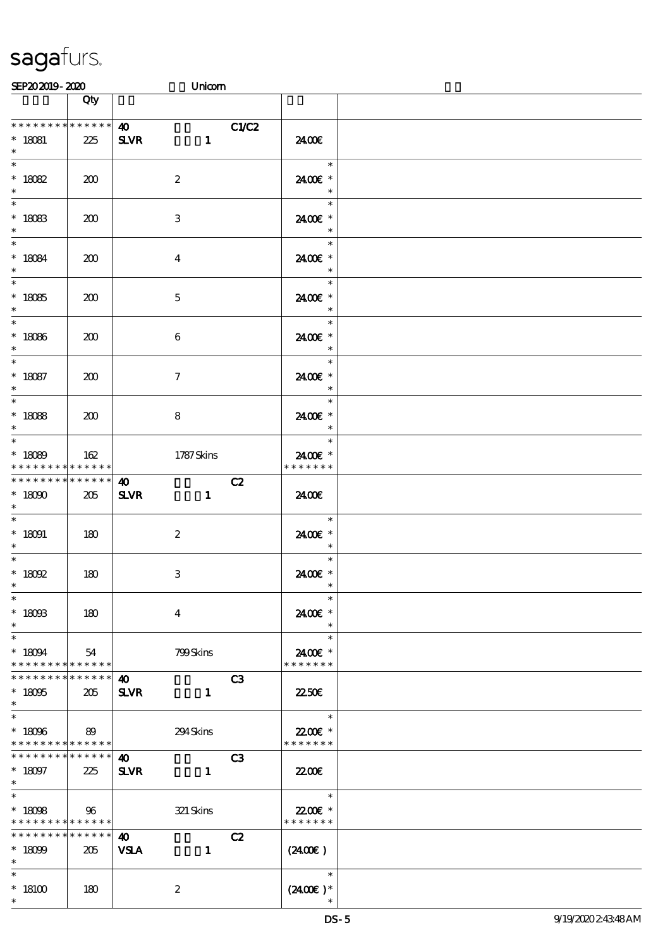\*

| SEP202019-2020                                                                         |                    |                                                        | Unicom                |                                                       |  |
|----------------------------------------------------------------------------------------|--------------------|--------------------------------------------------------|-----------------------|-------------------------------------------------------|--|
|                                                                                        | Qty                |                                                        |                       |                                                       |  |
| * * * * * * * *<br>$* 18081$<br>$\ast$                                                 | $******$<br>225    | $\boldsymbol{\omega}$<br><b>SLVR</b>                   | C1/C2<br>$\mathbf{1}$ | 2400€                                                 |  |
| * $18082$                                                                              | 200                | $\boldsymbol{2}$                                       |                       | $\ast$<br>2400€ *<br>$\ast$                           |  |
| $\overline{\phantom{0}}$<br>$* 18083$<br>$\ast$                                        | 200                | 3                                                      |                       | $\ast$<br>2400€ *<br>$\ast$                           |  |
| $\ast$<br>$* 18084$<br>$\ast$                                                          | 200                | $\overline{\mathbf{4}}$                                |                       | $\ast$<br>2400€ *<br>$\ast$                           |  |
| $* 18085$<br>$\ast$                                                                    | 200                | $\mathbf{5}$                                           |                       | $\ast$<br>2400E *<br>$\ast$                           |  |
| $\overline{\phantom{0}}$<br>$* 18086$<br>$\ast$                                        | 200                | $\boldsymbol{6}$                                       |                       | $\ast$<br>2400€ *<br>$\ast$                           |  |
| $\overline{\mathbf{r}}$<br>$* 18087$<br>$\ast$                                         | 200                | $\tau$                                                 |                       | $\ast$<br>2400 £*<br>$\ast$                           |  |
| $* 18088$<br>$\ast$                                                                    | 200                | 8                                                      |                       | $\ast$<br>2400€ *<br>$\ast$                           |  |
| $* 18089$<br>* * * * * * * *                                                           | 162<br>* * * * * * | 1787Skins                                              |                       | $\ast$<br>2400E *<br>* * * * * * *                    |  |
| * * * * * * * * <mark>*</mark><br>$* 18000$<br>$\ast$                                  | $******$<br>205    | 40<br><b>SLVR</b>                                      | C2<br>$\mathbf{1}$    | 2400€                                                 |  |
| $\ast$<br>$* 18091$<br>$\ast$<br>$*$                                                   | 180                | 2                                                      |                       | $\ast$<br>2400€ *<br>$\overline{\phantom{a}}$         |  |
| $*$ 18092<br>$\ast$                                                                    | 180                | 3                                                      |                       | $\ast$<br>2400€ *<br>$\overline{\phantom{a}}$         |  |
| $\ast$<br>$*$ 18003<br>$\ast$                                                          | 180                | $\overline{4}$                                         |                       | $\ast$<br>2400€ *<br>$\ast$                           |  |
| $\ast$<br>$* 18094$<br>* * * * * * * * * * * * * * <mark>*</mark>                      | 54                 | 799Skins                                               |                       | $\ast$<br>2400 £*<br>* * * * * * *                    |  |
| * * * * * * * *<br>$* 18095$<br>$\ast$                                                 | $******$<br>205    | 40<br><b>SLVR</b>                                      | C3<br>$\mathbf{1}$    | 22.50E                                                |  |
| $\overline{\phantom{0}}$<br>$* 18096$ 89<br>* * * * * * * * <mark>* * * * * * *</mark> |                    | 294Skins                                               |                       | $\overline{\phantom{a}}$<br>22.00€ *<br>* * * * * * * |  |
| * * * * * * * * <mark>* * * * * * *</mark><br>$* 18097$<br>$*$ and $*$                 | 225                | $\boldsymbol{\omega}$<br><b>SLVR</b><br>$\blacksquare$ | C3                    | 22.00E                                                |  |
| $*$<br>$* 1808$<br>* * * * * * * * <mark>* * * * * * *</mark>                          | $\sim$ 96          | 321 Skins                                              |                       | $\overline{\phantom{a}}$<br>22.00€*<br>* * * * * * *  |  |
| * * * * * * * * <mark>* * * * * * *</mark><br>$* 18099$<br>$\ast$                      | 205                | <b>40</b><br><b>VSLA</b>                               | C2<br>$\mathbf{1}$    | $(2400\varepsilon)$                                   |  |
| $\ast$<br>$*18100$                                                                     | 180                | $\boldsymbol{z}$                                       |                       | $\overline{\phantom{a}}$<br>$(2400\varepsilon)^*$     |  |

\*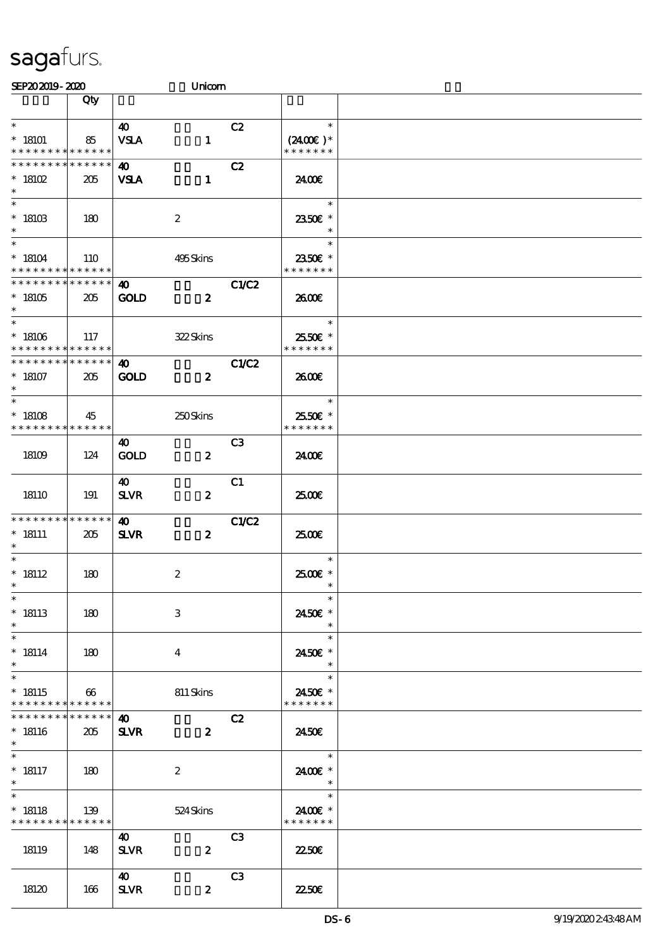| SEP202019-2020                                               |                       |                                      | Unicom           |                |                                       |  |
|--------------------------------------------------------------|-----------------------|--------------------------------------|------------------|----------------|---------------------------------------|--|
|                                                              | Qty                   |                                      |                  |                |                                       |  |
| $\ast$<br>$*18101$<br>* * * * * * * * * * * * * *            | 85                    | $\boldsymbol{\omega}$<br><b>VSLA</b> | $\mathbf{1}$     | C2             | $\ast$<br>$(2400)$ *<br>* * * * * * * |  |
| * * * * * * * * * * * * * *<br>$*18102$<br>$\ast$            | 205                   | 40<br><b>VSLA</b>                    | $\mathbf{1}$     | C2             | 24.00E                                |  |
| $*18103$<br>$\ast$                                           | 180                   |                                      | $\boldsymbol{2}$ |                | $\ast$<br>2350E *<br>$\ast$           |  |
| $\overline{\ast}$<br>$*18104$<br>* * * * * * * * * * * * * * | <b>110</b>            |                                      | 495Skins         |                | $\ast$<br>2350€ *<br>* * * * * * *    |  |
| * * * * * * * * * * * * * *<br>$*18105$<br>$\ast$            | 205                   | $\boldsymbol{\Phi}$<br><b>GOLD</b>   | $\boldsymbol{z}$ | <b>C1/C2</b>   | 2600E                                 |  |
| $\ast$<br>$^\ast$ 18106<br>* * * * * * * * * * * * * *       | 117                   |                                      | 322Skins         |                | $\ast$<br>2550€ *<br>* * * * * * *    |  |
| * * * * * * * * * * * * * *<br>$^\ast$ 18107<br>$\ast$       | 205                   | $\boldsymbol{\omega}$<br><b>GOLD</b> | $\boldsymbol{z}$ | <b>C1/C2</b>   | 2600E                                 |  |
| $\ast$<br>$* 18108$<br>* * * * * * * * * * * * * *           | 45                    |                                      | 250Skins         |                | $\ast$<br>2550€ *<br>* * * * * * *    |  |
| 18109                                                        | 124                   | 40<br><b>GOLD</b>                    | $\boldsymbol{z}$ | C <sub>3</sub> | 2400€                                 |  |
| 18110                                                        | 191                   | 40<br><b>SLVR</b>                    | $\boldsymbol{z}$ | C1             | 2500E                                 |  |
| * * * * * * * * * * * * * *<br>$* 18111$<br>$\ast$           | 205                   | 40<br><b>SLVR</b>                    | $\boldsymbol{z}$ | C1/C2          | 2500€                                 |  |
| $\ast$<br>$^*$ 18112<br>$*$                                  | 180                   |                                      | $\boldsymbol{2}$ |                | $\ast$<br>2500€ *<br>$\ast$           |  |
| $\ast$<br>$*18113$<br>$\ast$                                 | 180                   |                                      | $\,3$            |                | $\ast$<br>2450€ *<br>$\ast$           |  |
| $\ast$<br>$* 18114$<br>$\ast$                                | 180                   |                                      | 4                |                | $\ast$<br>2450E *<br>$\ast$           |  |
| $\ast$<br>$* 18115$<br>* * * * * * * * * * * * * *           | $\boldsymbol{\omega}$ |                                      | 811 Skins        |                | $\ast$<br>2450€ *<br>* * * * * * *    |  |
| * * * * * * * *<br>$* 18116$<br>$\ast$                       | * * * * * *<br>205    | $\boldsymbol{\omega}$<br><b>SLVR</b> | $\boldsymbol{z}$ | C2             | 2450E                                 |  |
| $* 18117$<br>$\ast$                                          | 180                   |                                      | $\boldsymbol{z}$ |                | $\ast$<br>2400€ *<br>$\ast$           |  |
| $\ast$<br>$* 18118$<br>* * * * * * * * * * * * * *           | 139                   |                                      | 524 Skins        |                | $\ast$<br>24.00 £*<br>* * * * * * *   |  |
| 18119                                                        | 148                   | 40<br><b>SLVR</b>                    | $\boldsymbol{z}$ | C <sub>3</sub> | 2250E                                 |  |
| 18120                                                        | 166                   | 40<br><b>SLVR</b>                    | $\boldsymbol{z}$ | C <sub>3</sub> | <b>22506</b>                          |  |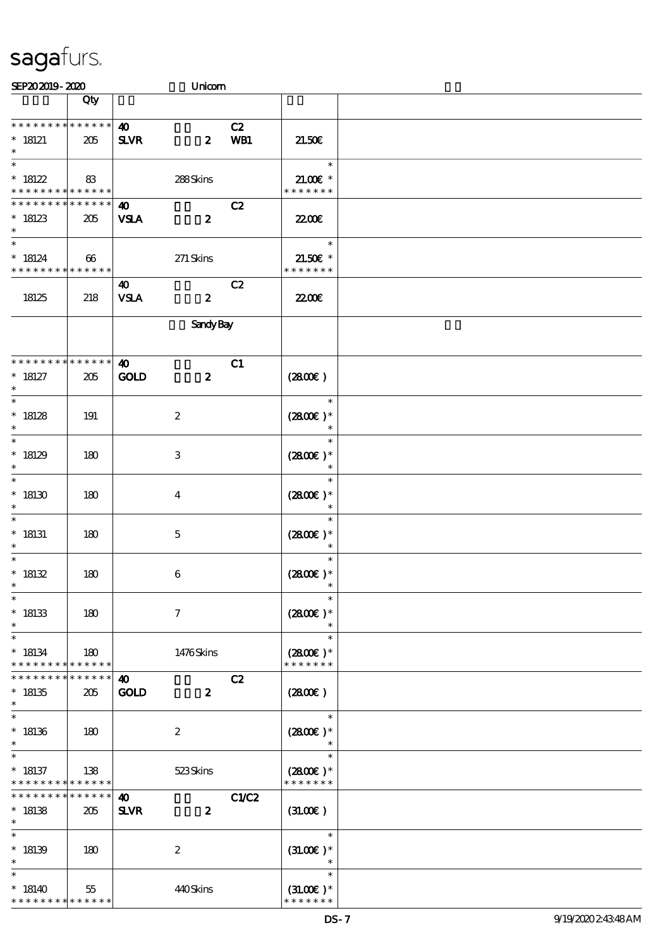| SEP202019-2020                                                              |                                   | Unicom                                                   |           |                                        |  |
|-----------------------------------------------------------------------------|-----------------------------------|----------------------------------------------------------|-----------|----------------------------------------|--|
|                                                                             | Qty                               |                                                          |           |                                        |  |
| * * * * * * * * * * * * * *<br>$* 18121$<br>$\ast$                          | 205                               | $\boldsymbol{\omega}$<br><b>SLVR</b><br>$\boldsymbol{z}$ | C2<br>WB1 | 21.50E                                 |  |
| $\overline{\ast}$<br>$*18122$<br>* * * * * * * * <mark>* * * * * * *</mark> | 83                                | 288Skins                                                 |           | $\ast$<br>$21.00E$ *<br>* * * * * * *  |  |
| * * * * * * * *<br>$*18123$<br>$\ast$                                       | * * * * * *<br>205                | $\boldsymbol{\omega}$<br><b>VSLA</b><br>$\boldsymbol{z}$ | C2        | <b>2200</b> €                          |  |
| $\ast$<br>$* 18124$<br>* * * * * * * * * * * * * *                          | 66                                | $271$ Skins                                              |           | $\ast$<br>$21.50E$ *<br>* * * * * * *  |  |
| 18125                                                                       | 218                               | 40<br><b>VSLA</b><br>$\boldsymbol{z}$                    | C2        | <b>2200</b> €                          |  |
|                                                                             |                                   | <b>Sandy Bay</b>                                         |           |                                        |  |
| * * * * * * * * * * * * * *<br>$* 18127$<br>$\ast$                          | 205                               | $\boldsymbol{\omega}$<br>GOLD<br>$\boldsymbol{z}$        | C1        | (2800)                                 |  |
| $\ast$<br>$*18128$<br>$\ast$                                                | 191                               | $\boldsymbol{2}$                                         |           | $\ast$<br>$(2800)$ *<br>$\ast$         |  |
| $\ast$<br>$*18129$<br>$\ast$                                                | 180                               | 3                                                        |           | $\ast$<br>$(2800)$ *<br>$\ast$         |  |
| $\ast$<br>$*18130$<br>$\ast$                                                | 180                               | $\overline{\mathbf{4}}$                                  |           | $\ast$<br>$(2800)$ *<br>$\ast$         |  |
| $\ast$<br>$*$ 18131<br>$\ast$                                               | 180                               | $\mathbf 5$                                              |           | $\ast$<br>$(2800)$ *<br>$\ast$         |  |
| $\ast$<br>$* 18132$<br>$*$                                                  | 180                               | $\boldsymbol{6}$                                         |           | $\ast$<br>$(2800)$ *<br>$\ast$         |  |
| $\ast$<br>$* 18133$<br>$\ast$                                               | 180                               | $\boldsymbol{\tau}$                                      |           | $\ast$<br>$(2800)$ *<br>$\ast$         |  |
| $\ast$<br>$* 18134$<br>* * * * * * * *                                      | 180<br>$\ast\ast\ast\ast\ast\ast$ | 1476Skins                                                |           | $\ast$<br>$(2800)$ *<br>* * * * * * *  |  |
| * * * * * * *<br>$*18135$<br>$\ast$                                         | * * * * * *<br>205                | $\boldsymbol{\omega}$<br><b>GOLD</b><br>$\boldsymbol{z}$ | C2        | (2800)                                 |  |
| $\ast$<br>$*18136$<br>$\ast$                                                | 180                               | $\boldsymbol{z}$                                         |           | $\ast$<br>$(2800)$ *                   |  |
| $*18137$<br>* * * * * * * *                                                 | 138<br>* * * * * *                | 523Skins                                                 |           | $\ast$<br>$(2800)$ *<br>* * * * * * *  |  |
| * * * * * * *<br>$*18138$<br>$\ast$                                         | * * * * * *<br>205                | $\boldsymbol{\omega}$<br><b>SLVR</b><br>$\boldsymbol{z}$ | C1/C2     | (31.00)                                |  |
| $\ast$<br>$*18139$<br>$\ast$                                                | 180                               | $\boldsymbol{2}$                                         |           | $\ast$<br>$(31.00)$ *<br>$\ast$        |  |
| $\ast$<br>$*18140$<br>* * * * * * * *                                       | 55<br>* * * * * *                 | 440Skins                                                 |           | $\ast$<br>$(31.00)$ *<br>* * * * * * * |  |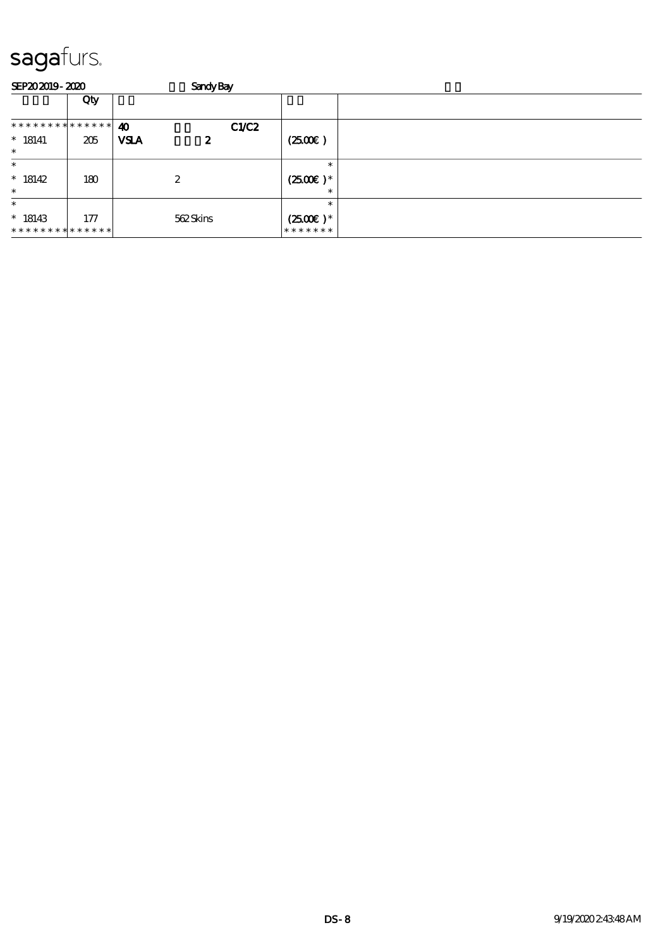| <b>SEP202019-2020</b>                   |     |                       | <b>Sandy Bay</b> |                                  |  |
|-----------------------------------------|-----|-----------------------|------------------|----------------------------------|--|
|                                         | Qty |                       |                  |                                  |  |
| * * * * * * * * * * * * * * *           |     | $\boldsymbol{\omega}$ | C1/C2            |                                  |  |
| $* 18141$                               | 205 | <b>VSLA</b><br>2      |                  | (2500)                           |  |
| $\ast$                                  |     |                       |                  |                                  |  |
| $\ast$                                  |     |                       |                  | $\ast$                           |  |
| $*18142$                                | 180 | $\boldsymbol{2}$      |                  | $(2500\varepsilon)*$             |  |
| $\ast$                                  |     |                       |                  | ∗                                |  |
| $\ast$                                  |     |                       |                  | $\ast$                           |  |
| $*18143$<br>* * * * * * * * * * * * * * | 177 | 562Skins              |                  | $(2500\varepsilon)^*$<br>******* |  |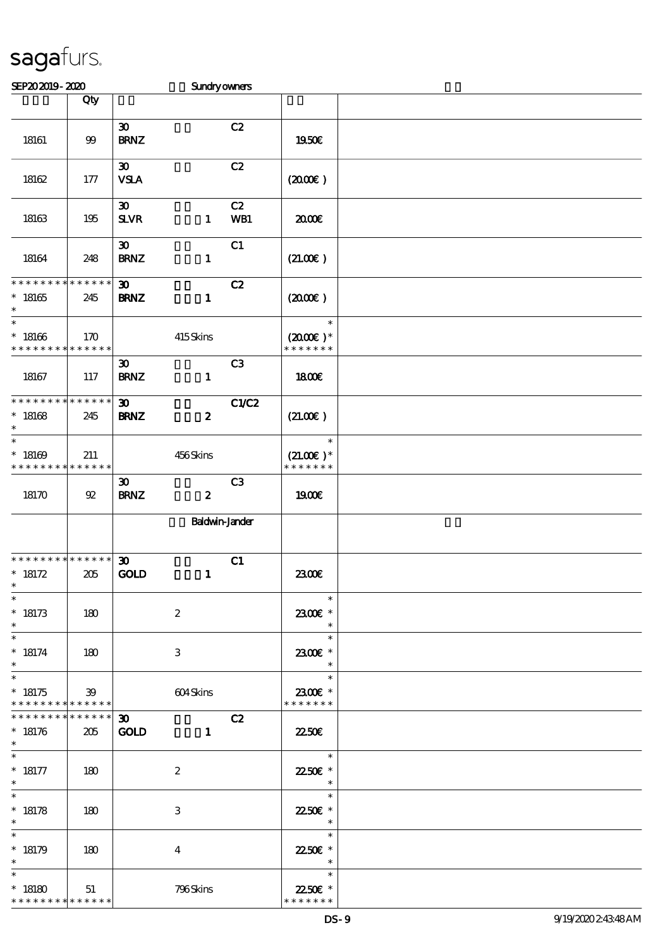| SEP202019-2020                                       |                    |                                            | Sundryowners          |                |                                                                 |  |
|------------------------------------------------------|--------------------|--------------------------------------------|-----------------------|----------------|-----------------------------------------------------------------|--|
|                                                      | Qty                |                                            |                       |                |                                                                 |  |
| 18161                                                | $99$               | $\boldsymbol{\mathfrak{D}}$<br><b>BRNZ</b> |                       | C2             | 1950€                                                           |  |
| 18162                                                | 177                | $\boldsymbol{\mathfrak{D}}$<br><b>VSLA</b> |                       | C2             | (200E)                                                          |  |
| 18163                                                | 195                | $\boldsymbol{\mathfrak{D}}$<br><b>SLVR</b> | $\mathbf{1}$          | C2<br>WB1      | 2000€                                                           |  |
| 18164                                                | 248                | $\boldsymbol{\mathfrak{D}}$<br><b>BRNZ</b> | $\mathbf{1}$          | C1             | (21.00)                                                         |  |
| * * * * * * * * * * * * * *<br>$^*$ 18165<br>$\ast$  | 245                | $\boldsymbol{\mathfrak{D}}$<br><b>BRNZ</b> | $\mathbf{1}$          | C2             | $(2000\varepsilon)$                                             |  |
| $\ast$<br>$^*$ 18166<br>* * * * * * * *              | 170<br>* * * * * * |                                            | 415Skins              |                | $\ast$<br>$(2000\varepsilon)*$<br>* * * * * * *                 |  |
| 18167                                                | 117                | $\boldsymbol{\mathfrak{D}}$<br><b>BRNZ</b> | $\mathbf{1}$          | C <sub>3</sub> | 1800E                                                           |  |
| * * * * * * * * * * * * * *<br>$* 18168$<br>$\ast$   | 245                | $\boldsymbol{\mathfrak{D}}$<br><b>BRNZ</b> | $\boldsymbol{z}$      | <b>C1/C2</b>   | (21.00)                                                         |  |
| $\ast$<br>$*18169$<br>* * * * * * * *                | 211<br>******      |                                            | 456Skins              |                | $\ast$<br>$(21.00)$ *<br>* * * * * * *                          |  |
| 18170                                                | 92                 | $\boldsymbol{\mathfrak{D}}$<br><b>BRNZ</b> | $\boldsymbol{z}$      | C <sub>3</sub> | <b>1900€</b>                                                    |  |
|                                                      |                    |                                            | <b>Baldwin-Jander</b> |                |                                                                 |  |
| * * * * * * * * * * * * * *<br>$* 18172$<br>$*$      | 205                | $\boldsymbol{\mathfrak{D}}$<br><b>GOLD</b> | $\mathbf{1}$          | C1             | 2300E                                                           |  |
| $\ast$<br>$* 18173$<br>$\ast$                        | 180                | $\boldsymbol{2}$                           |                       |                | $\ast$<br>2300€ *<br>$\ast$                                     |  |
| $\ast$<br>$* 18174$<br>$\ast$                        | 180                | 3                                          |                       |                | $\ast$<br>2300€ *<br>$\ast$                                     |  |
| $\ast$<br>$* 18175$<br>* * * * * * * * * * * * * *   | 39                 |                                            | 604Skins              |                | $\ast$<br>2300€ *<br>* * * * * * *                              |  |
| * * * * * * * * * * * * * * *<br>$* 18176$<br>$\ast$ | 205                | 30 <sub>o</sub><br><b>GOLD</b>             | $\mathbf{1}$          | C2             | 2250E                                                           |  |
| $* 18177$<br>$\ast$                                  | 180                | $\boldsymbol{2}$                           |                       |                | $\overline{\mathbf{r}}$<br>22.50€ *<br>$\overline{\phantom{a}}$ |  |
| $\ast$<br>$* 18178$<br>$\ast$                        | 180                | 3                                          |                       |                | $\ast$<br>22.50€ *<br>$\ast$                                    |  |
| $\ast$<br>$* 18179$<br>$\ast$                        | 180                | $\overline{4}$                             |                       |                | $\ast$<br>22.50€ *<br>$\overline{\phantom{a}}$                  |  |
| $\ast$<br>$*18180$<br>* * * * * * * * * * * * * *    | 51                 |                                            | 796Skins              |                | <u>a sa sa</u><br>$\ast$<br>22.50€ *<br>* * * * * * *           |  |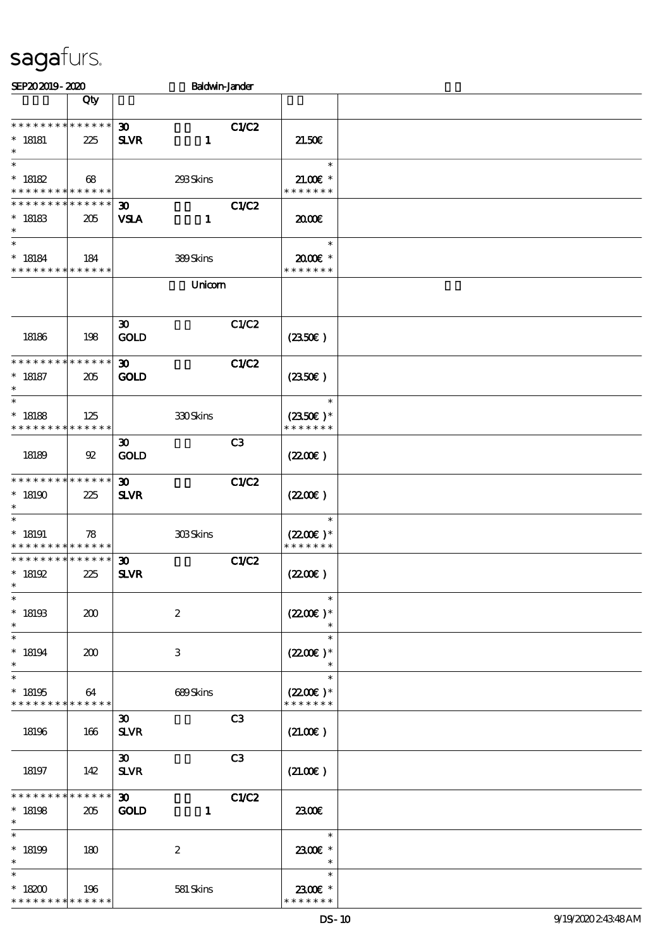| SEP202019-2020                                           |                    |                                                            | <b>Baldwin-Jander</b> |                                                |  |
|----------------------------------------------------------|--------------------|------------------------------------------------------------|-----------------------|------------------------------------------------|--|
|                                                          | Qty                |                                                            |                       |                                                |  |
| * * * * * * * * * * * * * * *<br>$*$ 18181<br>$\ast$     | 225                | $\boldsymbol{\mathfrak{D}}$<br><b>SLVR</b><br>$\mathbf{1}$ | <b>C1/C2</b>          | 21.50E                                         |  |
| $\ast$<br>$^*$ 18182<br>* * * * * * * * * * * * * *      | 68                 | 293Skins                                                   |                       | $\ast$<br>$21.00E$ *<br>* * * * * * *          |  |
| * * * * * * * * * * * * * *<br>$* 18183$<br>$\ast$       | 205                | $\boldsymbol{\mathfrak{D}}$<br><b>VSLA</b><br>$\mathbf{1}$ | C1/C2                 | 2000E                                          |  |
| $\ast$<br>$* 18184$<br>* * * * * * * * * * * * * *       | 184                | 389Skins                                                   |                       | $\ast$<br>$2000$ $\epsilon$ *<br>* * * * * * * |  |
|                                                          |                    | Unicom                                                     |                       |                                                |  |
| 18186                                                    | 198                | $\boldsymbol{\mathfrak{D}}$<br><b>GOLD</b>                 | C1/C2                 | (2350)                                         |  |
| * * * * * * * * * * * * * *<br>$* 18187$<br>$\ast$       | 205                | $\boldsymbol{\mathfrak{D}}$<br><b>GOLD</b>                 | <b>C1/C2</b>          | (2350)                                         |  |
| $\ast$<br>$* 18188$<br>* * * * * * * * * * * * * *       | 125                | $300$ Skins                                                |                       | $\ast$<br>$(2350)$ *<br>* * * * * * *          |  |
| 18189                                                    | 92                 | $\boldsymbol{\mathfrak{D}}$<br><b>GOLD</b>                 | C <sub>3</sub>        | (220E)                                         |  |
| * * * * * * * * * * * * * *<br>$*18190$<br>$\ast$        | 225                | 30 <sup>°</sup><br><b>SLVR</b>                             | C1/C2                 | (220)                                          |  |
| $\ast$<br>$*18191$<br>* * * * * * * * * * * * * *        | 78                 | 308Skins                                                   |                       | $\ast$<br>$(2200)$ *<br>* * * * * * *          |  |
| * * * * * * * * * * * * * *<br>$*18192$<br>$\star$ .     | 225                | $\boldsymbol{\mathfrak{D}}$<br><b>SLVR</b>                 | <b>C1/C2</b>          | (220E)                                         |  |
| $\ast$<br>$^*$ 18193<br>$\ast$                           | 200                | $\boldsymbol{2}$                                           |                       | $\ast$<br>$(220E)^*$                           |  |
| $\ast$<br>$^*$ 18194<br>$\ast$                           | 200                | $\,3$                                                      |                       | $\ast$<br>$(2200\varepsilon)*$<br>$\ast$       |  |
| $\ast$<br>$^*$ 18195<br>* * * * * * * *                  | 64<br>* * * * * *  | 689Skins                                                   |                       | $\ast$<br>$(2200)$ *<br>* * * * * * *          |  |
| 18196                                                    | 166                | $\boldsymbol{\mathfrak{D}}$<br><b>SLVR</b>                 | C <sub>3</sub>        | (21.00)                                        |  |
| 18197                                                    | 142                | $\boldsymbol{\mathfrak{D}}$<br><b>SLVR</b>                 | C3                    | (21.00)                                        |  |
| * * * * * * * *<br>$*18198$<br>$\ast$                    | * * * * * *<br>205 | $\boldsymbol{\mathfrak{D}}$<br><b>GOLD</b><br>$\mathbf{1}$ | <b>C1/C2</b>          | 2300E                                          |  |
| $\ast$<br>$*18199$                                       | 180                | $\boldsymbol{2}$                                           |                       | $\ast$<br>2300€ *<br>$\ast$                    |  |
| $\ast$<br>$^*$ 18200 $\,$<br>* * * * * * * * * * * * * * | 196                | 581 Skins                                                  |                       | $\ast$<br>2300€ *<br>* * * * * * *             |  |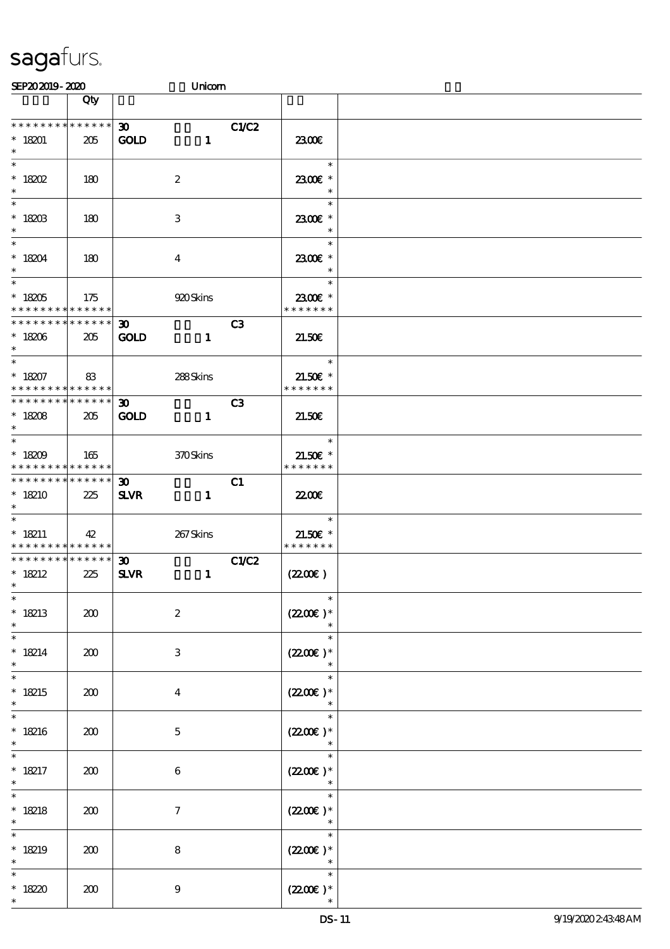| SEP202019-2020                                                                      |                        |                                            | Unicom       |                |                                                         |  |
|-------------------------------------------------------------------------------------|------------------------|--------------------------------------------|--------------|----------------|---------------------------------------------------------|--|
|                                                                                     | Qty                    |                                            |              |                |                                                         |  |
| * * * * * * * *                                                                     | * * * * * * *          | $\infty$                                   |              | C1/C2          |                                                         |  |
| $* 18201$<br>$\ast$                                                                 | 205                    | <b>GOLD</b>                                | $\mathbf{1}$ |                | 2300E                                                   |  |
| $*$ 18202<br>$\ast$                                                                 | 180                    | $\boldsymbol{2}$                           |              |                | $\ast$<br>2300€ *<br>$\ast$                             |  |
| $\overline{\phantom{0}}$<br>$* 18203$<br>$\ast$                                     | 180                    | 3                                          |              |                | $\ast$<br>2300€ *<br>$\ast$                             |  |
| $\ast$<br>$* 18204$<br>$\ast$                                                       | 180                    | $\overline{\mathbf{4}}$                    |              |                | $\ast$<br>2300€ *<br>$\ast$                             |  |
| $* 18205$<br>* * * * * * * * <mark>* * * * * *</mark>                               | 175                    |                                            | 920Skins     |                | $\ast$<br>2300€ *<br>* * * * * * *                      |  |
| * * * * * * * * <mark>*</mark><br>$* 18206$<br>$\ast$                               | $* * * * * * *$<br>205 | $\boldsymbol{\mathfrak{D}}$<br><b>GOLD</b> | $\mathbf{1}$ | C <sub>3</sub> | 21.50E                                                  |  |
| $\overline{\phantom{0}}$<br>$* 18207$<br>* * * * * * * * * * * * * * <mark>*</mark> | 83                     |                                            | 288Skins     |                | $\overline{a}$<br>$\ast$<br>$21.50E$ *<br>* * * * * * * |  |
| * * * * * * * * * * * * * * *<br>$* 18208$<br>$\ast$                                | 205                    | $30-1$<br><b>GOLD</b>                      | $\mathbf{1}$ | C3             | 21.50E                                                  |  |
| $* 18209$<br>* * * * * * * * <mark>* * * * * * *</mark>                             | 165                    |                                            | 370Skins     |                | $\overline{\phantom{a}}$<br>$21.50E$ *<br>* * * * * * * |  |
| * * * * * * * * <mark>* * * * * *</mark><br>$*18210$<br>$\ast$                      | 225                    | 30 <sub>1</sub><br><b>SLVR</b>             | $\mathbf{1}$ | C1             | 2200                                                    |  |
| $\ast$<br>$* 18211$<br>* * * * * * * * <mark>* * * * * * *</mark>                   | 42                     |                                            | 267Skins     |                | $\overline{\phantom{a}}$<br>$21.50E$ *<br>* * * * * * * |  |
| * * * * * * * * * * * * * * *<br>* $18212$<br>$\ast$                                | 225                    | $\boldsymbol{\mathfrak{D}}$<br><b>SLVR</b> | $\mathbf{1}$ | C1/C2          | (220E)                                                  |  |
| $\ast$<br>$* 18213$<br>$\ast$                                                       | 200                    | $\boldsymbol{2}$                           |              |                | $\ast$<br>$(220E)^*$                                    |  |
| $\ast$<br>$* 18214$                                                                 | 200                    | 3                                          |              |                | $\ast$<br>$(2200)$ *<br>$\ast$                          |  |
| $\ast$<br>$* 18215$<br>$\ast$                                                       | 200                    | 4                                          |              |                | $\ast$<br>$(2200)$ *                                    |  |
| $\ast$<br>$* 18216$                                                                 | 200                    | $\mathbf{5}$                               |              |                | $\ast$<br>$(2200)$ *                                    |  |
| $* 18217$                                                                           | 200                    | 6                                          |              |                | $\ast$<br>$(2200)$ *<br>$\ast$                          |  |
| $\ast$<br>$* 18218$<br>$\ast$                                                       | 200                    | $\tau$                                     |              |                | $\ast$<br>$(2200)$ *<br>$\overline{\phantom{a}}$        |  |
| $\ast$<br>$* 18219$                                                                 | 200                    | 8                                          |              |                | $\ast$<br>$(2200)$ *<br>$\ast$                          |  |
| $\ast$<br>* 18220                                                                   | 200                    | 9                                          |              |                | $\ast$<br>$(2200\varepsilon)*$                          |  |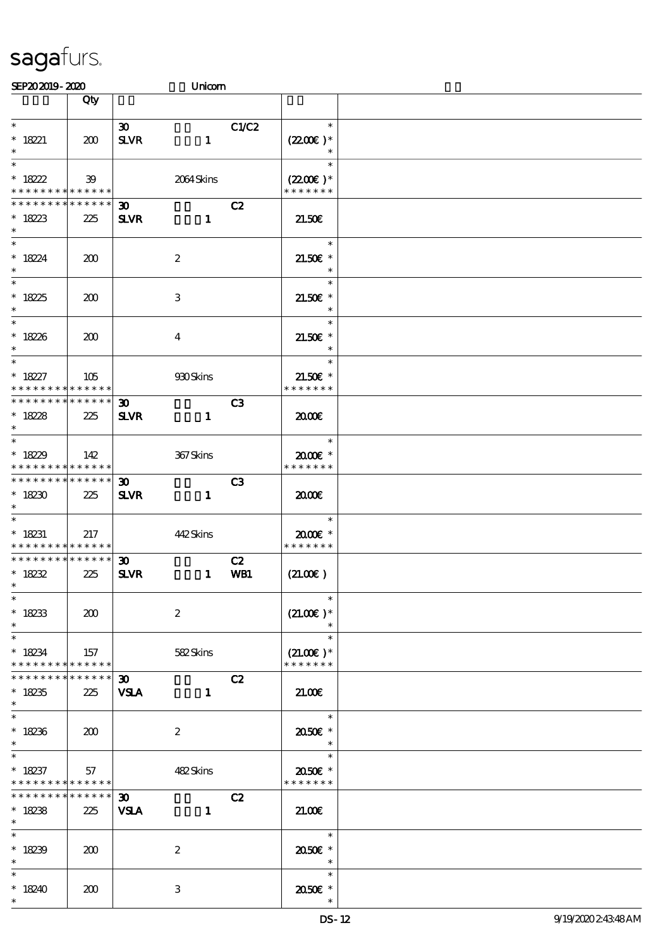| SEP202019-2020                                                               |                        |                                            | Unicom           |                |                                                  |  |
|------------------------------------------------------------------------------|------------------------|--------------------------------------------|------------------|----------------|--------------------------------------------------|--|
|                                                                              | Qty                    |                                            |                  |                |                                                  |  |
| $\ast$<br>$* 18221$<br>$\ast$                                                | 200                    | 30 <sub>o</sub><br><b>SLVR</b>             | $\mathbf{1}$     | C1/C2          | $\ast$<br>$(2200)$ *<br>$\ast$                   |  |
| $\overline{\ast}$<br>$* 18222$<br>* * * * * * * * <mark>* * * * * * *</mark> | 39                     |                                            | 2064Skins        |                | $\ast$<br>$(2200\varepsilon)^*$<br>* * * * * * * |  |
| * * * * * * * *<br>$* 18223$<br>$\ast$                                       | * * * * * *<br>225     | $\boldsymbol{\mathfrak{D}}$<br><b>SLVR</b> | $\mathbf{1}$     | C2             | 21.50E                                           |  |
| $\overline{\ast}$<br>$* 18224$<br>$\ast$                                     | 200                    |                                            | $\boldsymbol{2}$ |                | $\ast$<br>$21.50E$ *<br>$\ast$                   |  |
| $* 1825$<br>$\ast$                                                           | 200                    |                                            | 3                |                | $\ast$<br>$21.50E$ *<br>$\ast$                   |  |
| $\overline{\ast}$<br>$* 18226$<br>$\ast$                                     | 200                    |                                            | $\boldsymbol{4}$ |                | $\ast$<br>$21.50E$ *<br>$\ast$                   |  |
| $\ast$<br>$* 18227$<br>* * * * * * * * <mark>* * * * * *</mark>              | 105                    |                                            | 930Skins         |                | $\ast$<br>$21.50E$ *<br>* * * * * * *            |  |
| * * * * * * * * * * * * * * *<br>$* 18228$<br>$\ast$                         | 225                    | $\boldsymbol{\mathfrak{D}}$<br><b>SLVR</b> | $\mathbf{1}$     | C <sub>3</sub> | 2000                                             |  |
| $*1829$<br>* * * * * * * * * * * * * *                                       | 142                    |                                            | 367Skins         |                | $\ast$<br>2000E*<br>* * * * * * *                |  |
| * * * * * * * * * * * * * *<br>$*18230$<br>$\ast$                            | 225                    | $\boldsymbol{\mathfrak{D}}$<br><b>SLVR</b> | $\mathbf{1}$     | C3             | 2000                                             |  |
| $\overline{\phantom{0}}$<br>$* 18231$<br>* * * * * * * * * * * * * *         | 217                    |                                            | 442Skins         |                | $\ast$<br>$2000$ $*$<br>* * * * * * *            |  |
| **************<br>$* 18232$<br>$*$                                           | 225                    | $\boldsymbol{\mathfrak{D}}$<br><b>SLVR</b> | $\mathbf{1}$     | C2<br>WB1      | (21.00)                                          |  |
| $\ast$<br>$* 18233$<br>$\ast$                                                | 200                    |                                            | $\boldsymbol{2}$ |                | $\ast$<br>$(21.00)$ *                            |  |
| $\ast$<br>$* 18234$<br>* * * * * * * *                                       | 157<br>$* * * * * * *$ |                                            | 582Skins         |                | $\ast$<br>$(21.00)$ *<br>* * * * * * *           |  |
| * * * * * * *<br>$* 18235$<br>$\ast$                                         | $***$ * * * * *<br>225 | $30-1$<br><b>VSLA</b>                      | $\mathbf{1}$     | C2             | 21.00                                            |  |
| $\overline{\ast}$<br>$* 18236$<br>$\ast$                                     | 200                    |                                            | $\boldsymbol{2}$ |                | $\overline{\phantom{a}}$<br>2050E *<br>$\ast$    |  |
| $\overline{\ast}$<br>$*18237$<br>* * * * * * * * <mark>* * * * * *</mark>    | 57                     |                                            | 482Skins         |                | $\ast$<br>2050€ *<br>* * * * * * *               |  |
| * * * * * * * *<br>$* 18238$<br>$\ast$                                       | $* * * * * * *$<br>225 | 30 <sub>o</sub><br><b>VSLA</b>             | $\mathbf{1}$     | C2             | 21.00                                            |  |
| $\ast$<br>$* 18239$<br>$\ast$                                                | 200                    |                                            | $\boldsymbol{2}$ |                | $\ast$<br>2050E *<br>$\ast$                      |  |
| $\ast$<br>$*18240$<br>$\ast$                                                 | 200                    |                                            | 3                |                | $\ast$<br>2050E *                                |  |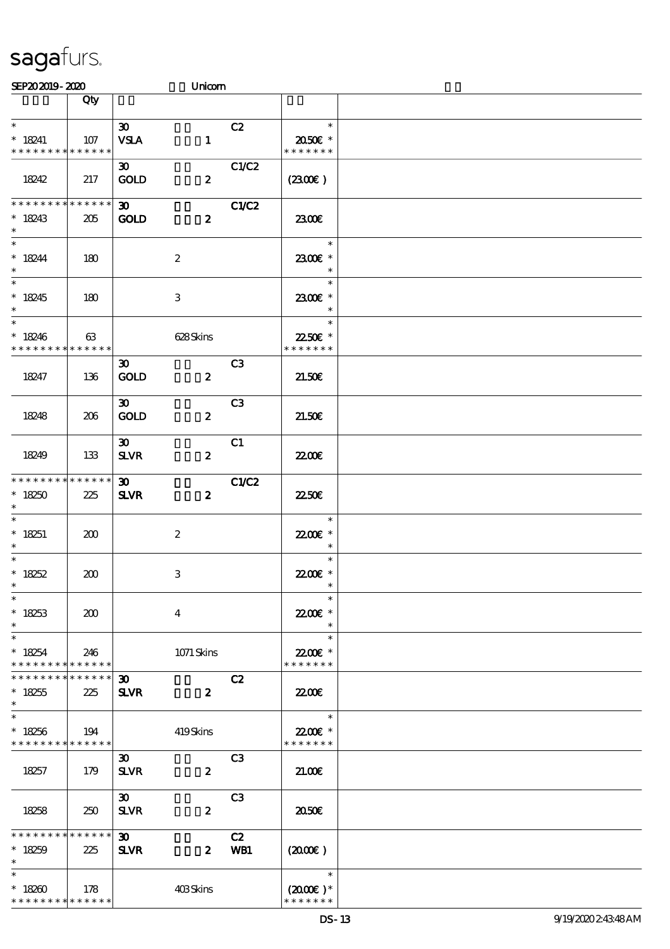| SEP202019-2020                                                   |                        |                                            | Unicom           |                |                                                                   |  |
|------------------------------------------------------------------|------------------------|--------------------------------------------|------------------|----------------|-------------------------------------------------------------------|--|
|                                                                  | Qty                    |                                            |                  |                |                                                                   |  |
| $\ast$<br>$* 18241$<br>* * * * * * * * * * * * * *               | 107                    | $\boldsymbol{\mathfrak{D}}$<br><b>VSLA</b> | $\mathbf{1}$     | C2             | $\ast$<br>2050E *<br>* * * * * * *                                |  |
| 18242                                                            | 217                    | $\boldsymbol{\mathfrak{D}}$<br><b>GOLD</b> | $\boldsymbol{z}$ | C1/C2          | (2300)                                                            |  |
| * * * * * * * * * * * * * *<br>$* 18243$<br>$\ast$               | 205                    | $\boldsymbol{\mathfrak{D}}$<br><b>GOLD</b> | $\boldsymbol{z}$ | C1/C2          | 2300E                                                             |  |
| $\ast$<br>$* 18244$<br>$\ast$                                    | 180                    |                                            | $\boldsymbol{2}$ |                | $\ast$<br>2300€ *<br>$\ast$                                       |  |
| $\overline{\phantom{0}}$<br>$* 18245$<br>$\ast$                  | 180                    |                                            | $\,3$            |                | $\ast$<br>2300€ *<br>$\ast$                                       |  |
| $\ast$<br>$* 18246$<br>* * * * * * * * * * * * * *               | 63                     |                                            | 628Skins         |                | $\ast$<br>22.50€ *<br>* * * * * * *                               |  |
| 18247                                                            | 136                    | $\boldsymbol{\mathfrak{D}}$<br>GOLD        | $\boldsymbol{z}$ | C <sub>3</sub> | 21.50E                                                            |  |
| 18248                                                            | 206                    | $\boldsymbol{\mathfrak{D}}$<br><b>GOLD</b> | $\boldsymbol{z}$ | C <sub>3</sub> | 21.50E                                                            |  |
| 18249                                                            | 133                    | $\boldsymbol{\mathfrak{D}}$<br><b>SLVR</b> | $\boldsymbol{z}$ | C1             | <b>22006</b>                                                      |  |
| * * * * * * * * * * * * * *<br>$*18250$<br>$\ast$                | 225                    | $\boldsymbol{\mathfrak{D}}$<br><b>SLVR</b> | $\boldsymbol{z}$ | C1/C2          | 2250E                                                             |  |
| $\ast$<br>$* 18251$<br>$\ast$                                    | 200                    |                                            | $\boldsymbol{2}$ |                | $\ast$<br>22.00€ *<br>$\ast$                                      |  |
| $*$<br>$* 18252$<br>$*$                                          | 200                    |                                            | $\,3$            |                | $\ast$<br>22.00 £*<br>$\ast$                                      |  |
| $\ast$<br>$* 18253$<br>$\ast$                                    | 200                    |                                            | $\boldsymbol{4}$ |                | $\ast$<br>22.00€ *<br>$\ast$                                      |  |
| $\ast$<br>$*18254$<br>* * * * * * * * <mark>* * * * * * *</mark> | 246                    |                                            | 1071 Skins       |                | $\ast$<br>22.00€ *<br>* * * * * * *                               |  |
| * * * * * * * *<br>$* 18255$<br>$\ast$                           | $* * * * * * *$<br>225 | $\boldsymbol{\mathfrak{D}}$<br><b>SLVR</b> | $\boldsymbol{z}$ | C2             | 2200                                                              |  |
| $\ast$<br>$*18256$<br>* * * * * * * * * * * * * *                | 194                    |                                            | 419Skins         |                | $\overline{\phantom{a}}$<br>22.00€ *<br>* * * * * * *             |  |
| 18257                                                            | 179                    | $\boldsymbol{\mathfrak{D}}$<br><b>SLVR</b> | $\boldsymbol{z}$ | C3             | 2100                                                              |  |
| 18258                                                            | 250                    | $\boldsymbol{\mathfrak{D}}$<br><b>SLVR</b> | $\boldsymbol{z}$ | C <sub>3</sub> | 2050                                                              |  |
| * * * * * * * * * * * * * *<br>$* 18259$<br>$\ast$               | 225                    | $\boldsymbol{\mathfrak{D}}$<br><b>SLVR</b> | $\mathbf{z}$     | C2<br>WB1      | (200)                                                             |  |
| $\ast$<br>$*18260$<br>* * * * * * * * <mark>* * * * * *</mark>   | 178                    |                                            | 403Skins         |                | $\overline{\phantom{a}}$<br>$(2000\varepsilon)*$<br>* * * * * * * |  |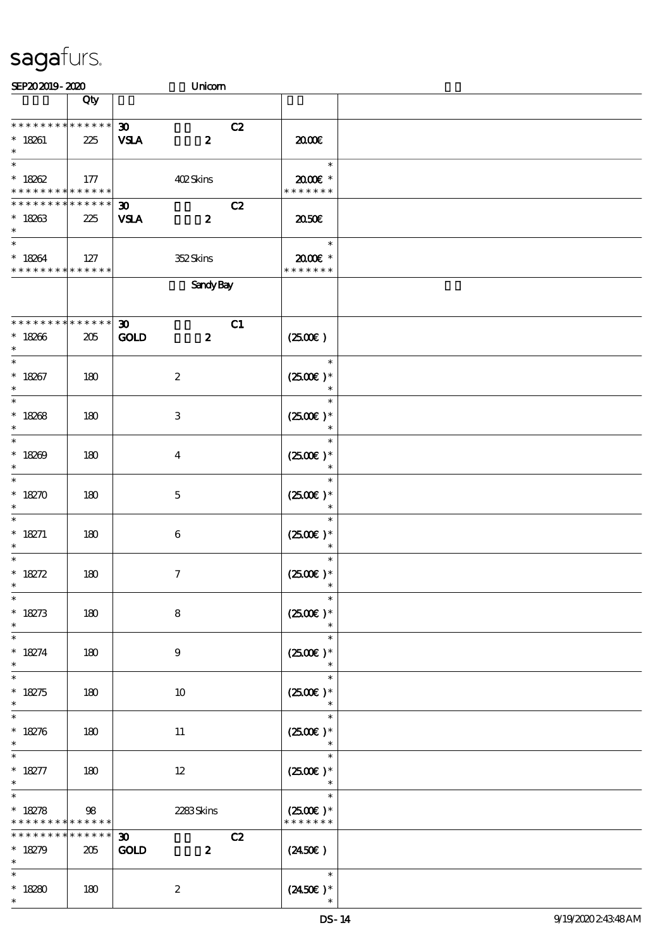| SEP202019-2020                                     |                    | Unicom                                                               |                                           |  |
|----------------------------------------------------|--------------------|----------------------------------------------------------------------|-------------------------------------------|--|
|                                                    | Qty                |                                                                      |                                           |  |
| * * * * * * * * * * * * * *<br>$* 18261$<br>$\ast$ | 225                | $\boldsymbol{\mathfrak{D}}$<br>C2<br>$\boldsymbol{z}$<br><b>VSLA</b> | 2000€                                     |  |
| $\ast$<br>$* 18262$<br>* * * * * * * * * * * * * * | 177                | 402Skins                                                             | $\ast$<br>2000E *<br>* * * * * * *        |  |
| * * * * * * * *<br>$* 18263$<br>$\ast$             | * * * * * *<br>225 | C2<br>$\boldsymbol{\mathfrak{D}}$<br><b>VSLA</b><br>$\boldsymbol{z}$ | 2050E                                     |  |
| $\ast$<br>$* 18264$<br>* * * * * * * * * * * * * * | 127                | 352Skins                                                             | $\ast$<br>$2000$ $*$<br>* * * * * * *     |  |
|                                                    |                    | <b>Sandy Bay</b>                                                     |                                           |  |
| * * * * * * * * * * * * * *<br>$* 18266$<br>$\ast$ | 205                | 30 <sub>o</sub><br>C1<br>$\boldsymbol{z}$<br><b>GOLD</b>             | (2500)                                    |  |
| $\ast$<br>$* 18267$<br>$\ast$                      | 180                | $\boldsymbol{2}$                                                     | $\ast$<br>$(2500)$ *<br>$\ast$            |  |
| $\overline{\ast}$<br>$* 18268$<br>$\ast$           | 180                | 3                                                                    | $\ast$<br>$(2500E)*$<br>$\ast$            |  |
| $\ast$<br>$* 18209$<br>$\ast$                      | 180                | $\overline{\mathbf{4}}$                                              | $\ast$<br>$(2500)$ *<br>$\ast$            |  |
| $\ast$<br>$* 18270$<br>$\ast$                      | 180                | $\mathbf 5$                                                          | $\ast$<br>$(2500)$ *<br>$\ast$            |  |
| $\ast$<br>$* 18271$<br>$\ast$                      | 180                | 6                                                                    | $\ast$<br>$(2500E)*$<br>$\ast$            |  |
| $\ast$<br>* $18272$<br>$*$                         | 180                | $\boldsymbol{\tau}$                                                  | $\ast$<br>$(2500\varepsilon)*$<br>$\ast$  |  |
| $\ast$<br>$* 18273$<br>$\ast$                      | 180                | $\bf8$                                                               | $\ast$<br>$(2500E)*$<br>$\ast$            |  |
| $\ast$<br>$* 18274$<br>$\ast$                      | 180                | $\boldsymbol{9}$                                                     | $\ast$<br>$(2500)$ *<br>$\ast$            |  |
| $\ast$<br>$* 18275$<br>$\ast$                      | 180                | 10                                                                   | $\ast$<br>$(2500)$ *<br>$\ast$            |  |
| $\ast$<br>$* 18276$<br>$\ast$                      | 180                | 11                                                                   | $\ast$<br>$(2500\varepsilon)*$<br>$\ast$  |  |
| $* 18277$<br>$\ast$                                | 180                | $12 \,$                                                              | $\ast$<br>$(2500E)*$<br>$\ast$            |  |
| $\ast$<br>$* 18278$<br>* * * * * * * *             | 98<br>* * * * * *  | 2283Skins                                                            | $\ast$<br>$(2500)$ *<br>* * * * * * *     |  |
| * * * * * * * *<br>$* 18279$<br>$\ast$             | * * * * * *<br>205 | C2<br>30 <sub>1</sub><br><b>GOLD</b><br>$\boldsymbol{z}$             | $(2450\epsilon)$                          |  |
| $\ast$<br>$*18280$<br>$\ast$                       | 180                | $\boldsymbol{2}$                                                     | $\ast$<br>$(2450\varepsilon)^*$<br>$\ast$ |  |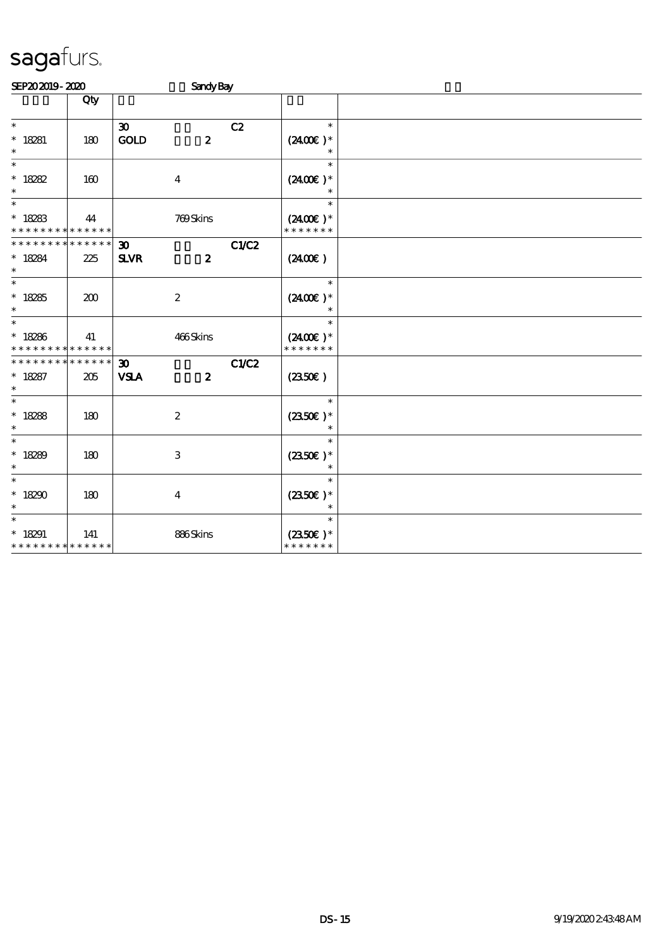| SEP202019-2020                                                    |                    |                                            | <b>Sandy Bay</b> |              |                                       |  |
|-------------------------------------------------------------------|--------------------|--------------------------------------------|------------------|--------------|---------------------------------------|--|
|                                                                   | Qty                |                                            |                  |              |                                       |  |
| $\ast$<br>$* 18281$<br>$\ast$                                     | 180                | $\boldsymbol{\mathfrak{D}}$<br>GOLD        | $\boldsymbol{z}$ | C2           | $\ast$<br>$(2400)$ *<br>$\ast$        |  |
| $\ast$<br>* $18282$<br>$\ast$                                     | 160                |                                            | $\boldsymbol{4}$ |              | $\ast$<br>$(2400E)^*$<br>$\ast$       |  |
| $\ast$<br>$* 18283$<br>* * * * * * * * * * * * * *                | 44                 |                                            | 769Skins         |              | $\ast$<br>$(2400)$ *<br>* * * * * * * |  |
| * * * * * * * *<br>$* 18284$<br>$\ast$                            | * * * * * *<br>225 | $\boldsymbol{\mathfrak{D}}$<br><b>SLVR</b> | $\boldsymbol{z}$ | <b>C1/C2</b> | (2400)                                |  |
| $\overline{\ast}$<br>$* 18285$<br>$\ast$                          | 200                |                                            | $\boldsymbol{2}$ |              | $\ast$<br>$(2400)$ *<br>$\ast$        |  |
| $\ast$<br>$* 18286$<br>* * * * * * * * <mark>* * * * * *</mark> * | 41                 |                                            | 466Skins         |              | $\ast$<br>$(2400)$ *<br>* * * * * * * |  |
| * * * * * * * * * * * * * *<br>$* 18287$<br>$\ast$                | 205                | $\boldsymbol{\mathfrak{D}}$<br><b>VSLA</b> | $\boldsymbol{z}$ | C1/C2        | $(2350\varepsilon)$                   |  |
| $\ast$<br>$* 18288$<br>$\ast$                                     | 180                |                                            | $\boldsymbol{2}$ |              | $\ast$<br>$(2350\epsilon)*$           |  |
| $\ast$<br>$*18289$<br>$\ast$                                      | 180                |                                            | $\,3$            |              | $\ast$<br>$(2350\epsilon)*$           |  |
| $\ast$<br>$*18290$<br>$\ast$                                      | 180                |                                            | $\boldsymbol{4}$ |              | $\ast$<br>$(2350)$ *<br>$\ast$        |  |
| $\ast$<br>$* 18291$<br>* * * * * * * * * * * * * *                | 141                |                                            | 886Skins         |              | $\ast$<br>$(2350E)*$<br>* * * * * * * |  |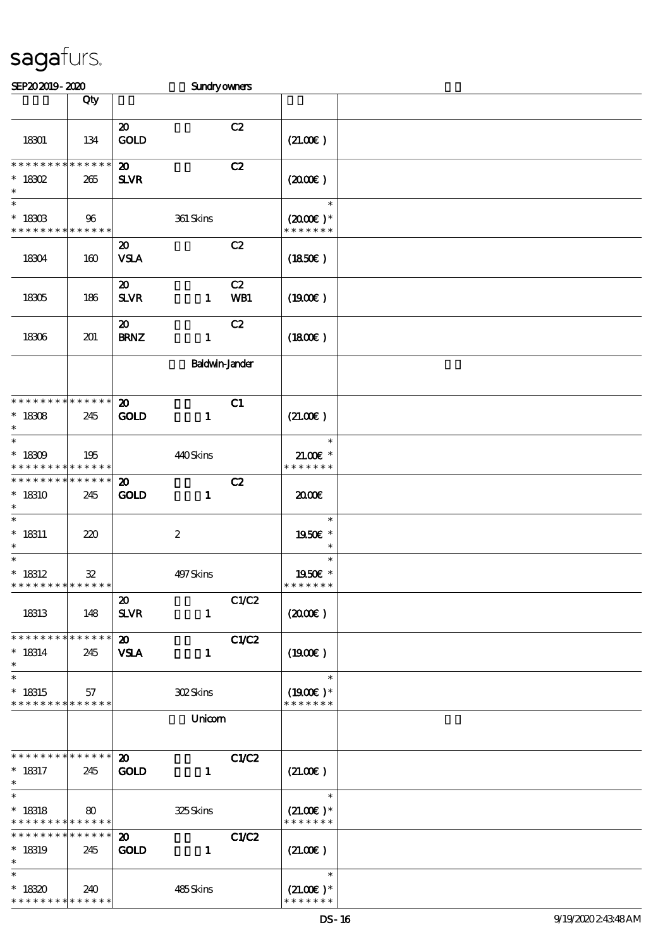| SEP202019-2020                                                |            |                                                            | Sundryowners   |                                                 |  |
|---------------------------------------------------------------|------------|------------------------------------------------------------|----------------|-------------------------------------------------|--|
|                                                               | Qty        |                                                            |                |                                                 |  |
| 18301                                                         | 134        | $\boldsymbol{\mathsf{20}}$<br><b>GOLD</b>                  | C2             | (21.00)                                         |  |
| * * * * * * * * * * * * * *<br>$*$ 18302<br>$\ast$            | 265        | $\boldsymbol{\mathfrak{D}}$<br><b>SLVR</b>                 | C2             | (200E)                                          |  |
| $\overline{\ast}$<br>$*$ 18303<br>* * * * * * * * * * * * * * | 96         | 361 Skins                                                  |                | $\ast$<br>$(2000\varepsilon)*$<br>* * * * * * * |  |
| 18304                                                         | 160        | $\boldsymbol{\mathsf{20}}$<br><b>VSLA</b>                  | C2             | (1850)                                          |  |
| 18305                                                         | 186        | $\boldsymbol{\mathsf{20}}$<br><b>SLVR</b><br>$\mathbf{1}$  | C2<br>WB1      | (1900E)                                         |  |
| 18306                                                         | 201        | $\boldsymbol{\mathsf{20}}$<br><b>BRNZ</b><br>$\mathbf{1}$  | C2             | (1800)                                          |  |
|                                                               |            |                                                            | Baldwin-Jander |                                                 |  |
| * * * * * * * * * * * * * *<br>$^*$ 18308<br>$\ast$           | 245        | $\boldsymbol{\mathfrak{D}}$<br><b>GOLD</b><br>$\mathbf{1}$ | C1             | (21.00)                                         |  |
| $\ast$<br>$* 18309$<br>* * * * * * * * * * * * * *            | 195        | 440Skins                                                   |                | $\ast$<br>$21.00E$ *<br>* * * * * * *           |  |
| * * * * * * * * * * * * * *<br>$*18310$<br>$\ast$             | 245        | $\boldsymbol{\mathfrak{D}}$<br><b>GOLD</b><br>$\mathbf{1}$ | C2             | æœ                                              |  |
| $\ast$<br>$* 18311$<br>$\ast$                                 | 220        | $\boldsymbol{z}$                                           |                | $\ast$<br>1950E *<br>$\ast$                     |  |
| $\ast$<br>$* 18312$<br>* * * * * * * * * * * * * *            | ${\bf 32}$ | 497Skins                                                   |                | $\ast$<br>1950E *<br>* * * * * * *              |  |
| 18313                                                         | 148        | $\boldsymbol{\mathfrak{D}}$<br><b>SLVR</b><br>$\mathbf{1}$ | C1/C2          | $(2000\varepsilon)$                             |  |
| * * * * * * * * * * * * * *<br>$* 18314$<br>$\ast$            | 245        | $\boldsymbol{\mathfrak{D}}$<br><b>VSLA</b><br>$\mathbf{1}$ | C1/C2          | $(1900\varepsilon)$                             |  |
| $\ast$<br>$* 18315$<br>* * * * * * * * * * * * * *            | 57         | <b>302Skins</b>                                            |                | $\ast$<br>$(1900E)*$<br>* * * * * * *           |  |
|                                                               |            | Unicom                                                     |                |                                                 |  |
| * * * * * * * * * * * * * *<br>$* 18317$<br>$\ast$            | 245        | $\boldsymbol{\mathsf{20}}$<br><b>GOLD</b><br>$\mathbf{1}$  | C1/C2          | (21.00)                                         |  |
| $\ast$<br>$* 18318$<br>* * * * * * * * * * * * * *            | 80         | 325Skins                                                   |                | $\ast$<br>$(21.00)$ *<br>* * * * * * *          |  |
| * * * * * * * * * * * * * *<br>$* 18319$<br>$\ast$            | 245        | $\boldsymbol{\mathfrak{D}}$<br><b>GOLD</b><br>$\mathbf{1}$ | C1/C2          | (21.00)                                         |  |
| $\ast$<br>$*18320$<br>* * * * * * * * * * * * * *             | 240        | 485Skins                                                   |                | $\ast$<br>$(21.00)$ *<br>* * * * * * *          |  |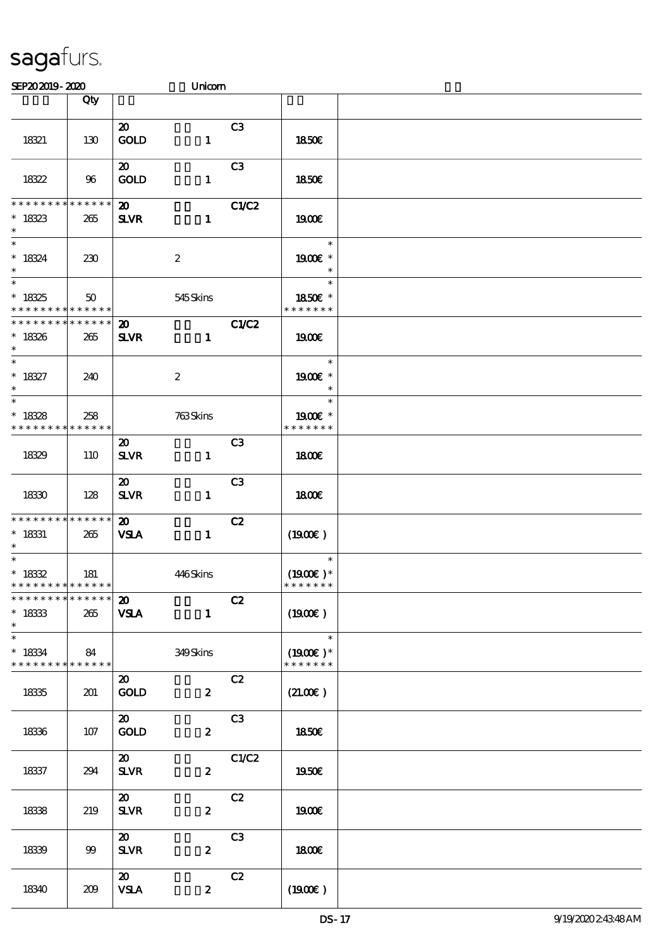| SEP202019-2020                                                  |                        |                                            | Unicom           |                |                                                         |  |
|-----------------------------------------------------------------|------------------------|--------------------------------------------|------------------|----------------|---------------------------------------------------------|--|
|                                                                 | Qty                    |                                            |                  |                |                                                         |  |
| 18321                                                           | 130                    | $\boldsymbol{\mathfrak{D}}$<br><b>GOLD</b> | $\mathbf{1}$     | C3             | 1850E                                                   |  |
| 18322                                                           | 96                     | $\boldsymbol{\mathfrak{D}}$<br><b>GOLD</b> | $\mathbf{1}$     | C <sub>3</sub> | <b>1850€</b>                                            |  |
| * * * * * * * *<br>$* 18323$<br>$\ast$                          | * * * * * *<br>265     | $\boldsymbol{\mathsf{20}}$<br><b>SLVR</b>  | $\mathbf{1}$     | C1/C2          | 1900E                                                   |  |
| $\overline{\ast}$<br>$* 18324$<br>$\ast$                        | 230                    |                                            | $\boldsymbol{2}$ |                | $\ast$<br>1900E *<br>$\ast$                             |  |
| $\overline{\ast}$<br>$* 18325$<br>* * * * * * * *               | 50<br>* * * * * *      |                                            | 545 Skins        |                | $\ast$<br>1850€ *<br>* * * * * * *                      |  |
| * * * * * * * *<br>$* 18326$<br>$\ast$                          | * * * * * *<br>265     | $\boldsymbol{\mathfrak{D}}$<br><b>SLVR</b> | $\mathbf{1}$     | C1/C2          | 1900E                                                   |  |
| $\overline{\ast}$<br>$* 18327$<br>$\ast$                        | 240                    |                                            | $\boldsymbol{2}$ |                | $\ast$<br>1900E *<br>$\ast$                             |  |
| $\overline{\ast}$<br>$* 18328$<br>* * * * * * * *               | 258<br>$* * * * * * *$ |                                            | 763Skins         |                | $\ast$<br>1900E *<br>* * * * * * *                      |  |
| 1839                                                            | 110                    | $\boldsymbol{\mathfrak{D}}$<br><b>SLVR</b> | $\mathbf{1}$     | C <sub>3</sub> | 1800E                                                   |  |
| 1830                                                            | 128                    | $\boldsymbol{\mathfrak{D}}$<br><b>SLVR</b> | $\mathbf{1}$     | C3             | 1800E                                                   |  |
| * * * * * * * *<br>$^*$ 18331<br>$\ast$                         | ******<br>265          | $\boldsymbol{\mathsf{20}}$<br><b>VSLA</b>  | $\mathbf{1}$     | C2             | $(1900\epsilon)$                                        |  |
| $^*$ 1832<br>* * * * * * * * * * * * * * *                      | 181                    |                                            | 446Skins         |                | $\ast$<br>$(1900E)*$<br>* * * * * * *                   |  |
| * * * * * * * * * * * * * * *<br>$^\ast$ 1833<br>$\ast$         | 265                    | $20-1$<br><b>VSLA</b>                      | $\mathbf{1}$     | C2             | (1900E)                                                 |  |
| $\ast$<br>$* 18334$<br>* * * * * * * * <mark>* * * * * *</mark> | 84                     |                                            | 349Skins         |                | $\overline{\phantom{a}}$<br>$(1900E)*$<br>* * * * * * * |  |
| 1835                                                            | 201                    | $\boldsymbol{\mathfrak{D}}$<br><b>GOLD</b> | $\boldsymbol{z}$ | C2             | (21.00)                                                 |  |
| 1836                                                            | 107                    | $\boldsymbol{\mathfrak{D}}$<br><b>GOLD</b> | $\boldsymbol{z}$ | C3             | 1850E                                                   |  |
| 18337                                                           | 294                    | $\boldsymbol{\omega}$<br><b>SLVR</b>       | $\boldsymbol{z}$ | C1/C2          | 1950€                                                   |  |
| 1838                                                            | 219                    | $\boldsymbol{\mathfrak{D}}$<br><b>SLVR</b> | $\boldsymbol{z}$ | C2             | 1900E                                                   |  |
| 1839                                                            | 99                     | $\boldsymbol{\mathfrak{D}}$<br><b>SLVR</b> | $\boldsymbol{z}$ | C <sub>3</sub> | 1800E                                                   |  |
| 18340                                                           | 209                    | $\boldsymbol{\mathfrak{D}}$<br><b>VSLA</b> | $\boldsymbol{z}$ | C2             | (1900E)                                                 |  |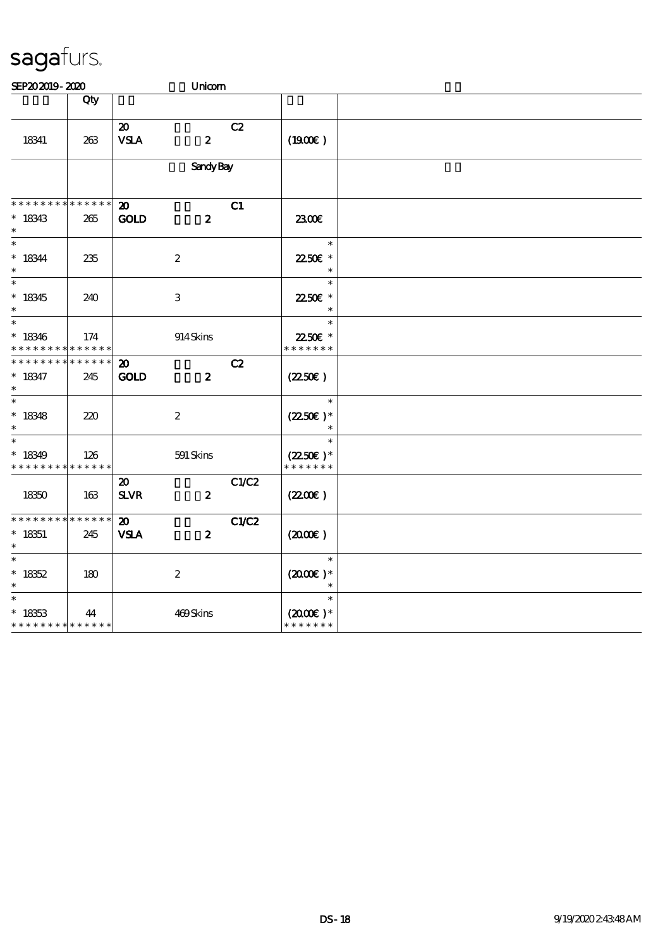| SEP202019-2020                                      |                    |                                             | Unicom           |       |                                                  |  |
|-----------------------------------------------------|--------------------|---------------------------------------------|------------------|-------|--------------------------------------------------|--|
|                                                     | Qty                |                                             |                  |       |                                                  |  |
| 18341                                               | 263                | $\boldsymbol{\mathfrak{D}}$<br><b>VSLA</b>  | $\boldsymbol{z}$ | C2    | (1900)                                           |  |
|                                                     |                    |                                             | <b>Sandy Bay</b> |       |                                                  |  |
| * * * * * * * *                                     | * * * * * *        | $\boldsymbol{\mathbf{z}}$                   |                  | C1    |                                                  |  |
| $* 18343$<br>$\ast$                                 | $265\,$            | <b>GOLD</b>                                 | $\boldsymbol{z}$ |       | 2300E                                            |  |
| $\overline{\ast}$<br>$* 18344$<br>$\ast$            | 235                |                                             | $\boldsymbol{2}$ |       | $\ast$<br>2250€ *<br>$\ast$                      |  |
| $\overline{\ast}$<br>$*18345$<br>$\ast$             | 240                |                                             | $\,3$            |       | $\ast$<br>2250€ *<br>$\ast$                      |  |
| $\ast$<br>$* 18346$<br>* * * * * * * *              | 174<br>* * * * * * |                                             | 914Skins         |       | $\ast$<br>22.50€ *<br>* * * * * * *              |  |
| * * * * * * *<br>$* 18347$<br>$\ast$                | * * * * * *<br>245 | $\boldsymbol{\mathfrak{D}}$<br><b>GOLD</b>  | $\boldsymbol{z}$ | C2    | $(2250\varepsilon)$                              |  |
| $\overline{\phantom{0}}$<br>$* 18348$<br>$\ast$     | 220                |                                             | $\boldsymbol{2}$ |       | $\ast$<br>$(2250\epsilon)*$<br>$\ast$            |  |
| $\ast$<br>$*18349$<br>* * * * * * * *               | 126<br>* * * * * * |                                             | 591 Skins        |       | $\ast$<br>$(2250\varepsilon)^*$<br>* * * * * * * |  |
| 18350                                               | 163                | $\boldsymbol{\mathfrak{D}}$<br>$S\!L\!V\!R$ | $\boldsymbol{z}$ | C1/C2 | (220E)                                           |  |
| * * * * * * * * * * * * * *<br>$^*$ 18351<br>$\ast$ | 245                | $\boldsymbol{\mathbf{z}}$<br><b>VSLA</b>    | $\boldsymbol{z}$ | C1/C2 | $(2000\varepsilon)$                              |  |
| $\ast$<br>$* 18352$<br>$\ast$                       | 180                |                                             | $\boldsymbol{2}$ |       | $\ast$<br>$(2000\varepsilon)*$<br>$\ast$         |  |
| $\ast$<br>$* 18353$<br>* * * * * * * * * * * * * *  | 44                 |                                             | 469Skins         |       | $\ast$<br>$(2000\varepsilon)*$<br>* * * * * * *  |  |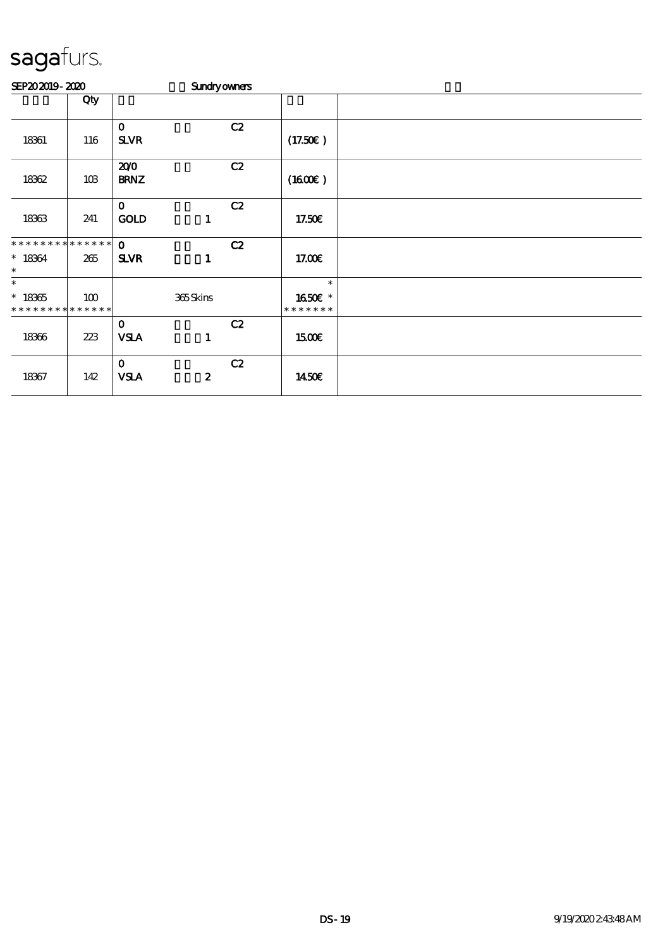| SEP202019-2020                                     |     |                             | <b>Sundryowners</b> |    |                                    |  |
|----------------------------------------------------|-----|-----------------------------|---------------------|----|------------------------------------|--|
|                                                    | Qty |                             |                     |    |                                    |  |
| 18361                                              | 116 | $\mathbf 0$<br><b>SLVR</b>  |                     | C2 | (17.50E)                           |  |
| 18362                                              | 10B | 200<br><b>BRNZ</b>          |                     | C2 | (1600E)                            |  |
| 18363                                              | 241 | $\mathbf 0$<br><b>GOLD</b>  | $\mathbf{1}$        | C2 | 17.50€                             |  |
| * * * * * * * * * * * * * *<br>$* 18364$<br>$\ast$ | 265 | $\mathbf{o}$<br><b>SLVR</b> | 1                   | C2 | 17.00E                             |  |
| $\ast$<br>$* 18365$<br>* * * * * * * * * * * * * * | 100 |                             | 365Skins            |    | $\ast$<br>1650€ *<br>* * * * * * * |  |
| 18366                                              | 223 | $\mathbf 0$<br><b>VSLA</b>  | 1                   | C2 | <b>1500€</b>                       |  |
| 18367                                              | 142 | $\mathbf 0$<br><b>VSLA</b>  | $\boldsymbol{z}$    | C2 | 1450E                              |  |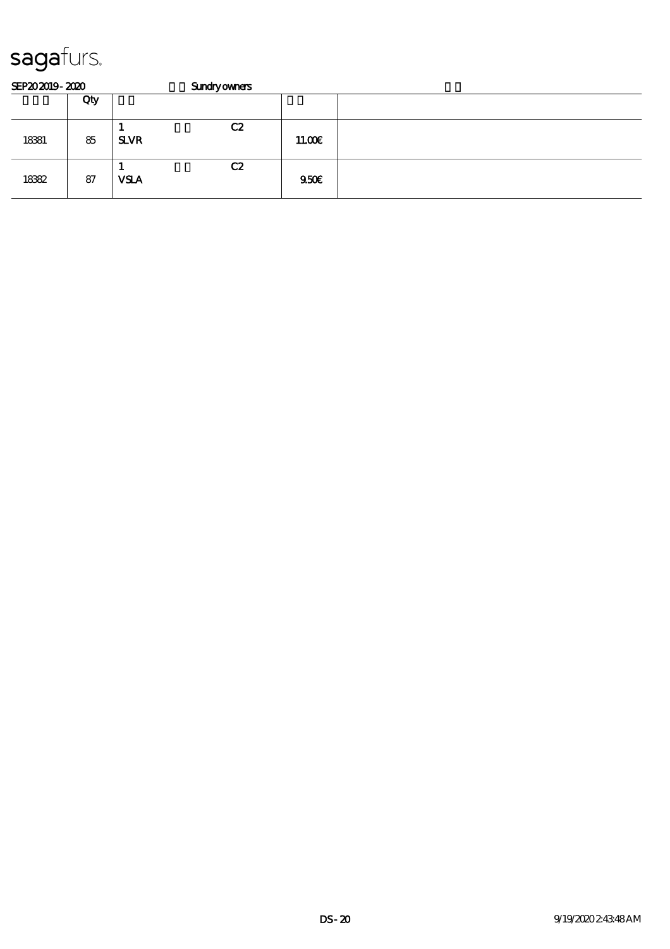| SEP202019-2020 |     | <b>Sundryowners</b> |    |       |  |  |  |  |
|----------------|-----|---------------------|----|-------|--|--|--|--|
|                | Qty |                     |    |       |  |  |  |  |
| 18381          | 85  | <b>SLVR</b>         | C2 | 1100E |  |  |  |  |
| 18382          | 87  | <b>VSLA</b>         | C2 | 9500  |  |  |  |  |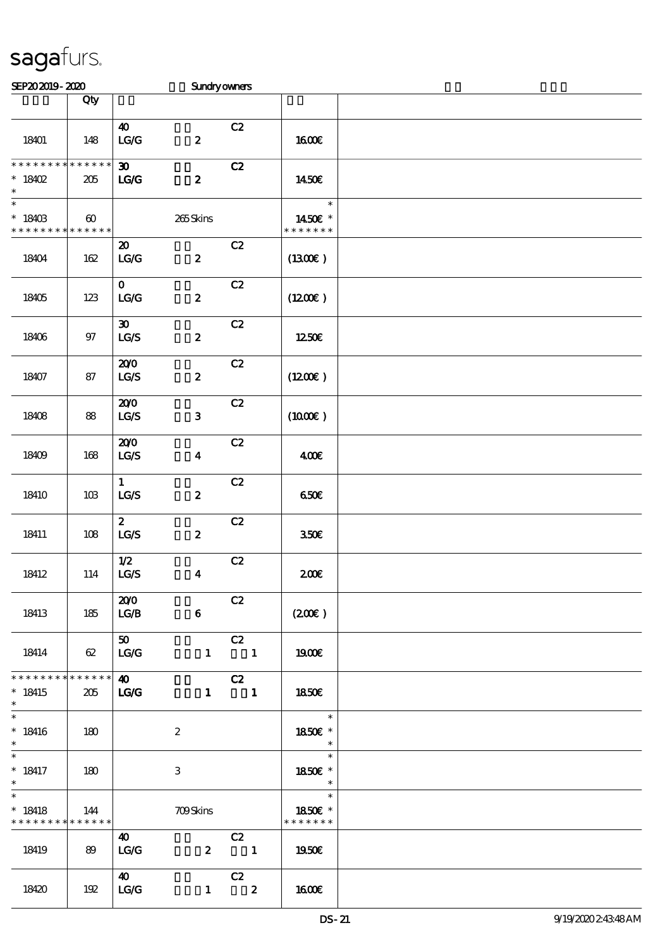| SEP202019-2020                                                |                                      |                                                                  | <b>Sundryowners</b> |                                |                                              |  |
|---------------------------------------------------------------|--------------------------------------|------------------------------------------------------------------|---------------------|--------------------------------|----------------------------------------------|--|
|                                                               | Qty                                  |                                                                  |                     |                                |                                              |  |
| 18401                                                         | 148                                  | $\boldsymbol{\omega}$<br>LG/G                                    | $\boldsymbol{2}$    | C2                             | 1600€                                        |  |
| * * * * * * * *<br>$*18402$<br>$\ast$                         | * * * * * *<br>$205\,$               | $\boldsymbol{\mathfrak{D}}$<br>LG                                | $\boldsymbol{z}$    | C2                             | 1450€                                        |  |
| $\overline{\phantom{0}}$<br>$* 18403$<br>* * * * * * * *      | $\boldsymbol{\omega}$<br>* * * * * * |                                                                  | 265Skins            |                                | $\ast$<br>1450€ *<br>* * * * * * *           |  |
| 18404                                                         | 162                                  | $\boldsymbol{\mathfrak{D}}$<br>$\mathbf{LG}\mathbf{G}$           | $\boldsymbol{z}$    | C2                             | (1300)                                       |  |
| 18405                                                         | $123$                                | $\mathbf{O}$<br>LG/G                                             | $\pmb{2}$           | C2                             | (1200E)                                      |  |
| 18406                                                         | $97$                                 | $\boldsymbol{\mathfrak{D}}$<br>$\mathbf{LG}\mathbf{\mathcal{S}}$ | $\boldsymbol{2}$    | C2                             | 1250E                                        |  |
| 18407                                                         | 87                                   | 200<br>$\mathbf{L}\mathbf{C} \mathbf{S}$                         | $\boldsymbol{z}$    | C2                             | (1200E)                                      |  |
| 18408                                                         | 88                                   | 200<br>$\mathtt{LG}\mathcal{S}$                                  | ${\bf 3}$           | C2                             | $(1000\varepsilon)$                          |  |
| 18409                                                         | 168                                  | 200<br>LG/S                                                      | $\boldsymbol{4}$    | C2                             | 400€                                         |  |
| 18410                                                         | 10B                                  | $\mathbf{1}$<br>$_{\rm LGS}$                                     | $\boldsymbol{z}$    | C2                             | 650E                                         |  |
| 18411                                                         | 108                                  | $\boldsymbol{z}$<br>$\mathtt{LG}\mathcal{S}$                     | $\boldsymbol{2}$    | C2                             | 350E                                         |  |
| 18412                                                         | 114                                  | $1/2$<br>$\mathtt{LCS}$                                          | $\boldsymbol{4}$    | C2                             | 200E                                         |  |
| 18413                                                         | 185                                  | 200<br>L G/B                                                     | $\bf{6}$            | C2                             | (200)                                        |  |
| 18414                                                         | 62                                   | 50<br>LG/G                                                       | $\mathbf{1}$        | C2<br>$\overline{\mathbf{1}}$  | 1900E                                        |  |
| * * * * * * * *<br>$*18415$<br>$\ast$                         | $******$<br>205                      | $\boldsymbol{\omega}$<br>$TC$                                    |                     | C2<br>$1 \quad 1$              | 1850E                                        |  |
| $\ast$<br>$*18416$<br>$\ast$                                  | 180                                  |                                                                  | $\boldsymbol{2}$    |                                | $\overline{\mathbf{r}}$<br>1850€ *<br>$\ast$ |  |
| $\overline{\phantom{0}}$<br>$* 18417$<br>$\ast$               | 180                                  |                                                                  | 3                   |                                | $\ast$<br>1850E *<br>$\ast$                  |  |
| $\overline{\ast}$<br>$* 18418$<br>* * * * * * * * * * * * * * | 144                                  |                                                                  | <b>709Skins</b>     |                                | $\ast$<br>1850€ *<br>* * * * * * *           |  |
| 18419                                                         | 89                                   | $\boldsymbol{\omega}$<br>LG/G                                    | $\boldsymbol{z}$    | C2<br>$\overline{\phantom{a}}$ | 1950€                                        |  |
| 18420                                                         | 192                                  | <b>40</b><br>LG/G                                                | $\mathbf{1}$        | C2<br>$\overline{\mathbf{2}}$  | 1600E                                        |  |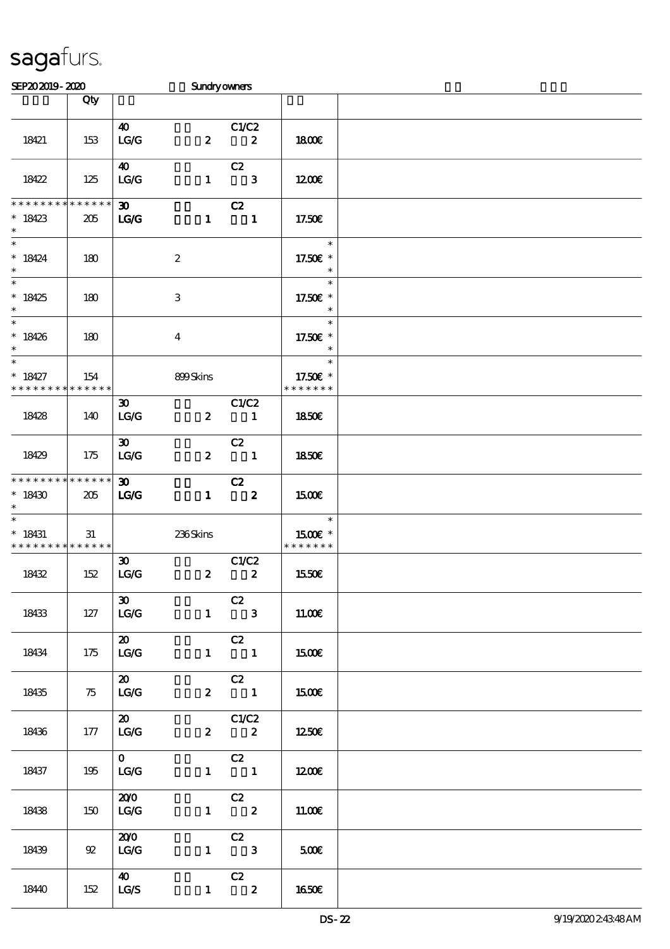| SEP202019-2020              |             |                             | <b>Sundryowners</b>       |                                                        |               |  |
|-----------------------------|-------------|-----------------------------|---------------------------|--------------------------------------------------------|---------------|--|
|                             | Qty         |                             |                           |                                                        |               |  |
|                             |             |                             |                           |                                                        |               |  |
|                             |             | $\boldsymbol{\omega}$       |                           | C1/C2                                                  |               |  |
| 18421                       | 153         | LG/G                        | $\boldsymbol{z}$          | $\boldsymbol{z}$                                       | 1800E         |  |
|                             |             |                             |                           |                                                        |               |  |
|                             |             |                             |                           |                                                        |               |  |
|                             |             | 40                          |                           | C2                                                     |               |  |
| 18422                       | 125         | LG/G                        | $\mathbf{1}$              | $\overline{\phantom{a}}$ 3                             | 1200E         |  |
|                             |             |                             |                           |                                                        |               |  |
| * * * * * * * *             | * * * * * * | $\boldsymbol{\mathfrak{D}}$ |                           | C2                                                     |               |  |
| $*18423$                    | 205         | LG                          | $\mathbf{1}$              | $\blacksquare$                                         | 17.50E        |  |
| $\ast$                      |             |                             |                           |                                                        |               |  |
| $\ast$                      |             |                             |                           |                                                        | $\ast$        |  |
| $* 18424$                   | 180         |                             | $\boldsymbol{2}$          |                                                        | 17.50€ *      |  |
| $\ast$                      |             |                             |                           |                                                        | $\ast$        |  |
| $\overline{\phantom{0}}$    |             |                             |                           |                                                        | $\ast$        |  |
| $*18425$                    | 180         |                             | $\ensuremath{\mathbf{3}}$ |                                                        | 17.50€ *      |  |
| $\ast$                      |             |                             |                           |                                                        | $\ast$        |  |
| $\overline{\ast}$           |             |                             |                           |                                                        | $\ast$        |  |
|                             |             |                             |                           |                                                        |               |  |
| $* 18426$                   | 180         |                             | $\bf{4}$                  |                                                        | 17.50€ *      |  |
| $\ast$                      |             |                             |                           |                                                        | $\ast$        |  |
| $\ast$                      |             |                             |                           |                                                        | $\ast$        |  |
| $* 18427$                   | 154         |                             | 899Skins                  |                                                        | 17.50€ *      |  |
| * * * * * * * *             | * * * * * * |                             |                           |                                                        | * * * * * * * |  |
|                             |             | $\boldsymbol{\mathfrak{D}}$ |                           | C1/C2                                                  |               |  |
| 18428                       | 140         | LG/G                        | $\boldsymbol{z}$          | $\blacksquare$                                         | 1850E         |  |
|                             |             |                             |                           |                                                        |               |  |
|                             |             | $\boldsymbol{\mathfrak{D}}$ |                           | C2                                                     |               |  |
|                             |             |                             |                           |                                                        |               |  |
| 18429                       | 175         | LG/G                        | $\boldsymbol{z}$          | $\overline{\phantom{a}}$                               | 1850E         |  |
|                             |             |                             |                           |                                                        |               |  |
| * * * * * * * *             | $******$    | $\boldsymbol{\mathfrak{D}}$ |                           | C2                                                     |               |  |
| $*18430$                    | 205         | LG                          | $\mathbf{1}$              | $\overline{\mathbf{z}}$                                | 1500E         |  |
| $\ast$                      |             |                             |                           |                                                        |               |  |
| $\overline{\phantom{0}}$    |             |                             |                           |                                                        | $\ast$        |  |
| $* 18431$                   | 31          |                             | 236Skins                  |                                                        | 1500€ *       |  |
| * * * * * * * * * * * * * * |             |                             |                           |                                                        | * * * * * * * |  |
|                             |             | $\boldsymbol{\mathfrak{D}}$ |                           | C1/C2                                                  |               |  |
| 18432                       | 152         | LG/G                        | $\pmb{2}$                 | $\pmb{2}$                                              | 1550€         |  |
|                             |             |                             |                           |                                                        |               |  |
|                             |             | $\infty$                    |                           | C2                                                     |               |  |
|                             | 127         |                             |                           | $1 \qquad 3$                                           |               |  |
| 18433                       |             | LG/G                        |                           |                                                        | 11.00E        |  |
|                             |             |                             |                           |                                                        |               |  |
|                             |             | $\boldsymbol{\mathsf{20}}$  |                           | C2                                                     |               |  |
| 18434                       | 175         | LG/G                        |                           | $1 \qquad \qquad 1$                                    | 1500E         |  |
|                             |             |                             |                           |                                                        |               |  |
|                             |             | $\boldsymbol{\mathfrak{D}}$ |                           | $\overline{c}$                                         |               |  |
| 18435                       | 75          | $\mid$ LG/G                 |                           | $2 \qquad \qquad 1$                                    | 1500E         |  |
|                             |             |                             |                           |                                                        |               |  |
|                             |             | $\boldsymbol{\mathfrak{D}}$ |                           | C1/C2                                                  |               |  |
| 18436                       | 177         | LG/G                        |                           | $2\qquad 2$                                            | 1250E         |  |
|                             |             |                             |                           |                                                        |               |  |
|                             |             | $\mathbf{O}$                |                           |                                                        |               |  |
|                             |             |                             |                           | $\overline{C}$                                         |               |  |
| 18437                       | 195         | LG/G                        |                           | $1 \qquad \qquad 1$                                    | 1200          |  |
|                             |             |                             |                           |                                                        |               |  |
|                             |             | 200                         |                           | $\begin{array}{c c}\n\hline\nC2 \\ 1 & 2\n\end{array}$ |               |  |
| 18438                       | 150         | LG/G                        |                           |                                                        | 1100E         |  |
|                             |             |                             |                           |                                                        |               |  |
|                             |             | 200                         |                           | $\overline{c}z$                                        |               |  |
| 18439                       | 92          | LG/G                        |                           | $1 \qquad 3$                                           | 500€          |  |
|                             |             |                             |                           |                                                        |               |  |
|                             |             | <b>40</b>                   |                           | C2                                                     |               |  |
| 18440                       | 152         | LG/S                        |                           | $1 \t 2$                                               | 1650E         |  |
|                             |             |                             |                           |                                                        |               |  |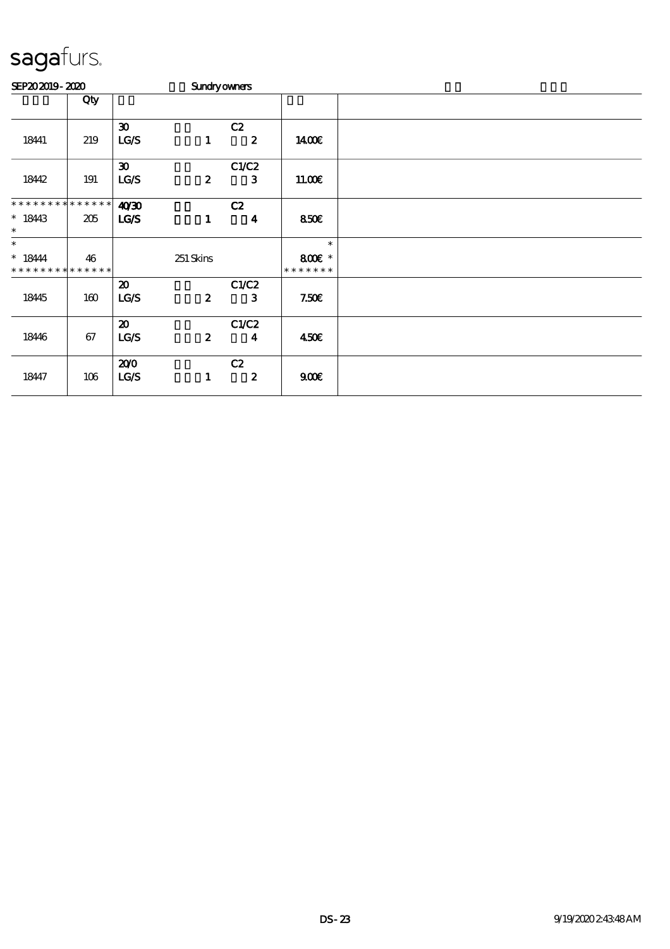| SEP202019-2020                           |     |                             | <b>Sundryowners</b> |                  |                         |  |
|------------------------------------------|-----|-----------------------------|---------------------|------------------|-------------------------|--|
|                                          | Qty |                             |                     |                  |                         |  |
|                                          |     | $\boldsymbol{\mathfrak{D}}$ |                     | C2               |                         |  |
| 18441                                    | 219 | LG/S                        | $\mathbf{1}$        | $\boldsymbol{z}$ | 1400E                   |  |
|                                          |     | $\boldsymbol{\mathfrak{D}}$ |                     | C1/C2            |                         |  |
| 18442                                    | 191 | LG/S                        | $\boldsymbol{z}$    | $\mathbf{3}$     | 11.00E                  |  |
| * * * * * * * * * * * * * *              |     | 4030                        |                     | C2               |                         |  |
| $* 1843$<br>$\ast$                       | 205 | LGS                         | $\mathbf{1}$        | $\boldsymbol{4}$ | 850E                    |  |
| $\ast$                                   |     |                             |                     |                  | $\ast$                  |  |
| $* 18444$<br>* * * * * * * * * * * * * * | 46  |                             | 251 Skins           |                  | 800€ *<br>* * * * * * * |  |
|                                          |     | $\boldsymbol{\mathfrak{D}}$ |                     | C1/C2            |                         |  |
| 18445                                    | 160 | LG/S                        | $\boldsymbol{z}$    | 3                | 7.50E                   |  |
|                                          |     | $\boldsymbol{\mathfrak{D}}$ |                     | C1/C2            |                         |  |
| 18446                                    | 67  | LG/S                        | $\boldsymbol{z}$    | $\boldsymbol{4}$ | 450E                    |  |
|                                          |     | 200                         |                     | C2               |                         |  |
| 18447                                    | 106 | LCS                         | $\mathbf{1}$        | $\boldsymbol{z}$ | 900E                    |  |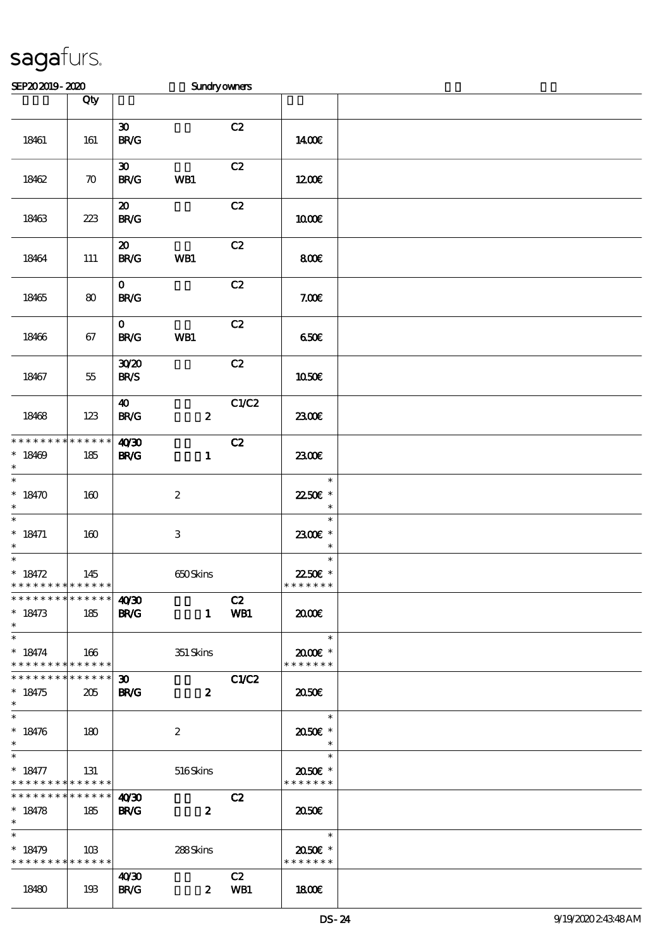| SEP202019-2020                                                       |                    |                                            | Sundryowners     |           |                                                                     |  |
|----------------------------------------------------------------------|--------------------|--------------------------------------------|------------------|-----------|---------------------------------------------------------------------|--|
|                                                                      | Qty                |                                            |                  |           |                                                                     |  |
| 18461                                                                | 161                | $\boldsymbol{\mathfrak{D}}$<br>BRC         |                  | C2        | 1400E                                                               |  |
| 18462                                                                | $\boldsymbol{\pi}$ | $\boldsymbol{\mathfrak{D}}$<br><b>BR/G</b> | WB1              | C2        | 1200                                                                |  |
| 18463                                                                | 223                | $\boldsymbol{\mathfrak{D}}$<br><b>BR/G</b> |                  | C2        | 1000€                                                               |  |
| 18464                                                                | 111                | $\boldsymbol{\mathbf{z}}$<br><b>BR/G</b>   | WB1              | C2        | 800E                                                                |  |
| 18465                                                                | 80                 | $\mathbf{O}$<br><b>BR/G</b>                |                  | C2        | 7.00E                                                               |  |
| 18466                                                                | 67                 | $\mathbf{O}$<br><b>BR/G</b>                | WB1              | C2        | 650E                                                                |  |
| 18467                                                                | $5\!5$             | 3020<br><b>BR/S</b>                        |                  | C2        | <b>1050€</b>                                                        |  |
| 18468                                                                | 123                | $\boldsymbol{\omega}$<br><b>BR/G</b>       | $\boldsymbol{z}$ | C1/C2     | 2300E                                                               |  |
| * * * * * * * * * * * * * *<br>$*18469$<br>$\ast$                    | 185                | 40/30<br><b>BR/G</b>                       | $\mathbf{1}$     | C2        | 2300E                                                               |  |
| $\overline{\ast}$<br>$* 18470$<br>$\ast$                             | 160                |                                            | $\boldsymbol{2}$ |           | $\ast$<br>22.50€ *<br>$\ast$                                        |  |
| $\ast$<br>$* 18471$<br>$\ast$                                        | 160                |                                            | $\,3$            |           | $\ast$<br>2300€ *<br>$\ast$                                         |  |
| $\overline{\phantom{0}}$<br>$* 18472$<br>* * * * * * * * * * * * * * | 145                |                                            | 650Skins         |           | $\ast$<br>22.50€ *<br>* * * * * * *                                 |  |
| * * * * * * * * * * * * * * *<br>$* 18473$<br>$\ast$                 | 185                | 40'30<br><b>BR/G</b>                       | $\mathbf{1}$     | C2<br>WB1 | 2000                                                                |  |
| $\ast$<br>$* 18474$<br>* * * * * * * * * * * * * *                   | $\vert$ 166        |                                            | 351 Skins        |           | $\overline{\phantom{a}}$<br>$2000$ $\varepsilon$ *<br>* * * * * * * |  |
| * * * * * * * * <mark>* * * * * * *</mark><br>$* 18475$<br>$\ast$    | 205                | $30-1$<br><b>BR/G</b>                      | $\boldsymbol{z}$ | C1/C2     | 2050                                                                |  |
| $\overline{\ast}$<br>$* 18476$<br>$\ast$                             | $\vert$ 180        |                                            | $\boldsymbol{2}$ |           | $\overline{\phantom{a}}$<br>2050E *<br>$\rightarrow$                |  |
| $\ast$<br>$* 18477$<br>* * * * * * * * * * * * * *                   | 131                |                                            | 516Skins         |           | $\overline{\phantom{a}}$<br>2050E *<br>* * * * * * *                |  |
| $\frac{1}{1}$ <b>4030</b><br>$* 18478$<br>$*$ $*$                    | 185                | <b>BR/G</b>                                | $\boldsymbol{z}$ | C2        | 2050                                                                |  |
| $\ast$<br>$* 18479$<br>* * * * * * * * <mark>* * * * * * *</mark>    | 103                |                                            | 288Skins         |           | $\overline{\mathbf{r}}$<br>2050E *<br>* * * * * * *                 |  |
| 18480                                                                | 193                | 40 <sup>2</sup><br><b>BR/G</b>             | $\mathbf{z}$     | C2<br>WB1 | 1800                                                                |  |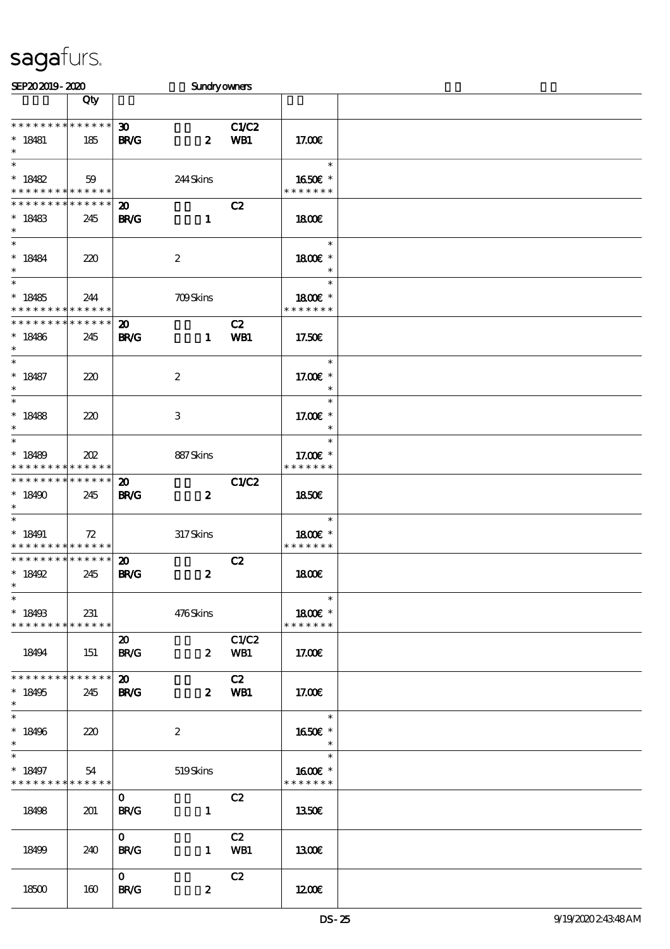| SEP202019-2020                                                       |     |                                            | <b>Sundryowners</b> |                     |                                     |  |
|----------------------------------------------------------------------|-----|--------------------------------------------|---------------------|---------------------|-------------------------------------|--|
|                                                                      | Qty |                                            |                     |                     |                                     |  |
| * * * * * * * * * * * * * *<br>$* 18481$<br>$\ast$                   | 185 | 30 <sub>o</sub><br><b>BR/G</b>             | $\boldsymbol{z}$    | <b>C1/C2</b><br>WB1 | 17.00E                              |  |
| $\ast$<br>$* 18482$<br>* * * * * * * * <mark>* * * * * * *</mark>    | 59  |                                            | 244Skins            |                     | $\ast$<br>1650E *<br>* * * * * * *  |  |
| * * * * * * * * * * * * * *<br>$* 18483$<br>$\ast$                   | 245 | $\boldsymbol{\mathfrak{D}}$<br><b>BR/G</b> | $\mathbf{1}$        | C2                  | 1800E                               |  |
| $\ast$<br>$* 18484$<br>$\ast$                                        | 220 |                                            | $\boldsymbol{2}$    |                     | $\ast$<br>1800€ *<br>$\ast$         |  |
| $\overline{\phantom{1}}$<br>$* 18485$<br>* * * * * * * * * * * * * * | 244 |                                            | 709Skins            |                     | $\ast$<br>1800€ *<br>* * * * * * *  |  |
| * * * * * * * * * * * * * *<br>$*18486$<br>$\ast$                    | 245 | $\boldsymbol{\mathfrak{D}}$<br><b>BR/G</b> | $\mathbf{1}$        | C2<br>WB1           | 17.50E                              |  |
| $\ast$<br>$* 18487$<br>$\ast$                                        | 220 |                                            | $\boldsymbol{2}$    |                     | $\ast$<br>17.00€ *<br>$\ast$        |  |
| $\ast$<br>$* 18488$<br>$\ast$                                        | 220 |                                            | 3                   |                     | $\ast$<br>17.00 £*<br>$\ast$        |  |
| $\ast$<br>$*18489$<br>* * * * * * * * * * * * * *                    | 202 |                                            | 887Skins            |                     | $\ast$<br>17.00€ *<br>* * * * * * * |  |
| * * * * * * * * * * * * * *<br>$*18490$<br>$\ast$                    | 245 | $\boldsymbol{\mathfrak{D}}$<br><b>BR/G</b> | $\boldsymbol{z}$    | <b>C1/C2</b>        | <b>1850€</b>                        |  |
| $\ast$<br>$* 18491$<br>* * * * * * * * * * * * * *                   | 72  |                                            | 317Skins            |                     | $\ast$<br>1800E *<br>* * * * * * *  |  |
| * * * * * * * * * * * * * * *<br>$* 18492$<br>$*$                    | 245 | $\boldsymbol{\mathfrak{D}}$<br><b>BR/G</b> | $\boldsymbol{z}$    | C2                  | 1800E                               |  |
| $\ast$<br>$*18493$<br>* * * * * * * * <mark>* * * * * *</mark>       | 231 |                                            | 476Skins            |                     | $\ast$<br>1800€ *<br>* * * * * * *  |  |
| 18494                                                                | 151 | $\boldsymbol{\mathfrak{D}}$<br><b>BR/G</b> | $\mathbf{2}$        | C1/C2<br>WB1        | 17.OOE                              |  |
| * * * * * * * * * * * * * * *<br>$*18495$<br>$\ast$                  | 245 | $\boldsymbol{\mathfrak{D}}$<br><b>BR/G</b> | $\mathbf{z}$        | C2<br>WB1           | 17.00E                              |  |
| $\ast$<br>$*18496$<br>$\ast$                                         | 220 |                                            | $\boldsymbol{2}$    |                     | $\ast$<br>1650€ *<br>$\ast$         |  |
| $*18497$<br>* * * * * * * * * * * * * *                              | 54  |                                            | 519Skins            |                     | $\ast$<br>1600€ *<br>* * * * * * *  |  |
| 18498                                                                | 201 | $\mathbf{O}$<br><b>BR/G</b>                | $\mathbf{1}$        | C2                  | 1350€                               |  |
| 18499                                                                | 240 | $\mathbf{O}$<br><b>BR/G</b>                | $\mathbf{1}$        | C2<br>WB1           | 1300                                |  |
| 18500                                                                | 160 | $\mathbf{O}$<br><b>BR/G</b>                | $\boldsymbol{z}$    | C2                  | 1200                                |  |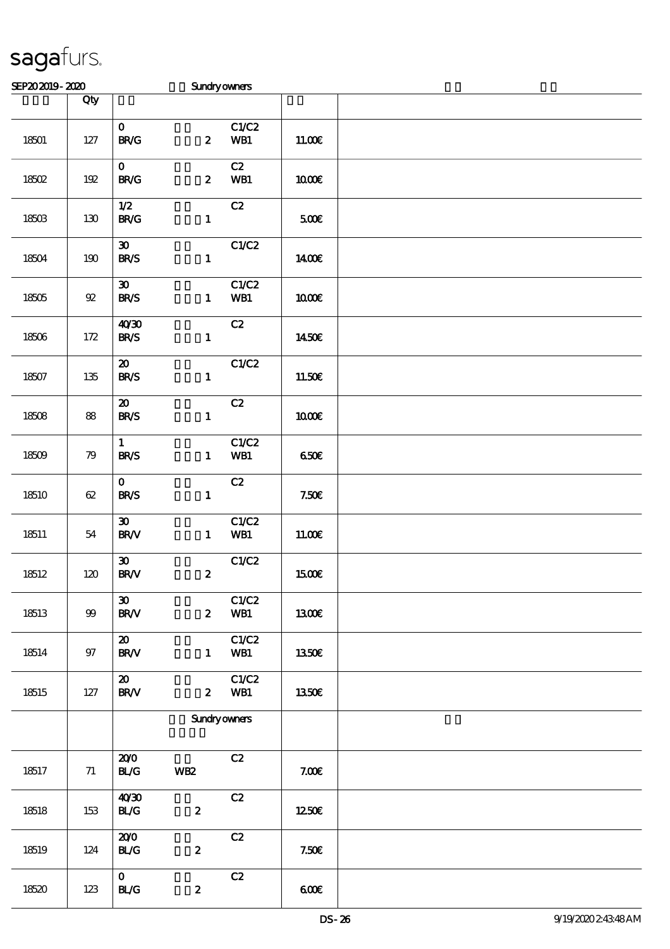| SEP202019-2020 |                  |                                                    | Sundryowners        |              |              |  |
|----------------|------------------|----------------------------------------------------|---------------------|--------------|--------------|--|
|                | Qty              |                                                    |                     |              |              |  |
| $18501$        | $127$            | $\mathbf{O}$<br>BRC                                | $\boldsymbol{z}$    | C1/C2<br>WB1 | 11.00E       |  |
| 18502          | 192              | $\mathbf{O}$<br>$\mathbf{B}\mathbf{R}/\mathbf{G}$  | $\boldsymbol{z}$    | C2<br>WB1    | <b>100€</b>  |  |
| 18503          | $130$            | 1/2<br><b>BR/G</b>                                 | $\mathbf{1}$        | C2           | 500€         |  |
| 18504          | $190\,$          | $\boldsymbol{\mathfrak{D}}$<br><b>BR/S</b>         | $\mathbf{1}$        | C1/C2        | 1400E        |  |
| 18505          | ${\mathfrak{A}}$ | $\boldsymbol{\mathfrak{D}}$<br><b>BR/S</b>         | $\mathbf{1}$        | C1/C2<br>WB1 | 1000E        |  |
| 18506          | $172$            | 40'30<br><b>BR/S</b>                               | $\mathbf{1}$        | C2           | 1450E        |  |
| 18507          | 135              | $\boldsymbol{\mathfrak{D}}$<br><b>BR/S</b>         | $\mathbf{1}$        | C1/C2        | 11.50E       |  |
| 18508          | 88               | $\boldsymbol{\mathfrak{D}}$<br><b>BR/S</b>         | $\mathbf{1}$        | C2           | 1000E        |  |
| 18509          | 79               | $\mathbf{1}$<br><b>BR/S</b>                        | $\mathbf{1}$        | C1/C2<br>WB1 | 650E         |  |
| 18510          | $62\,$           | $\mathbf{o}$<br><b>BR/S</b>                        | $\mathbf{1}$        | C2           | 7.50E        |  |
| 18511          | 54               | $\boldsymbol{\mathfrak{D}}$<br><b>BR/V</b>         | $\mathbf{1}$        | C1/C2<br>WB1 | 11.00E       |  |
| 18512          | 120              | $\boldsymbol{\mathfrak{D}}$<br>$\text{BR}\text{V}$ | $\boldsymbol{z}$    | C1/C2        | 1500€        |  |
| 18513          | $99\,$           | $\boldsymbol{\mathfrak{D}}$<br><b>BR/V</b>         | $\boldsymbol{z}$    | C1/C2<br>WB1 | <b>1300€</b> |  |
| 18514          | 97               | $\boldsymbol{\mathfrak{D}}$<br><b>BR/V</b>         | $\mathbf{1}$        | C1/C2<br>WB1 | 1350E        |  |
| 18515          | 127              | $\boldsymbol{\omega}$<br><b>BR/V</b>               | $\boldsymbol{z}$    | C1/C2<br>WB1 | 1350€        |  |
|                |                  |                                                    | <b>Sundryowners</b> |              |              |  |
| 18517          | 71               | 200<br>BLG                                         | <b>WB2</b>          | C2           | 7.006        |  |
| 18518          | 153              | 40'30<br>BLG                                       | $\boldsymbol{2}$    | C2           | 1250E        |  |
| 18519          | 124              | 200<br>BLG                                         | $\pmb{2}$           | C2           | 7.50E        |  |
| 18520          | 123              | $\mathbf{O}$<br><b>BL/G</b>                        | $\boldsymbol{z}$    | C2           | 600          |  |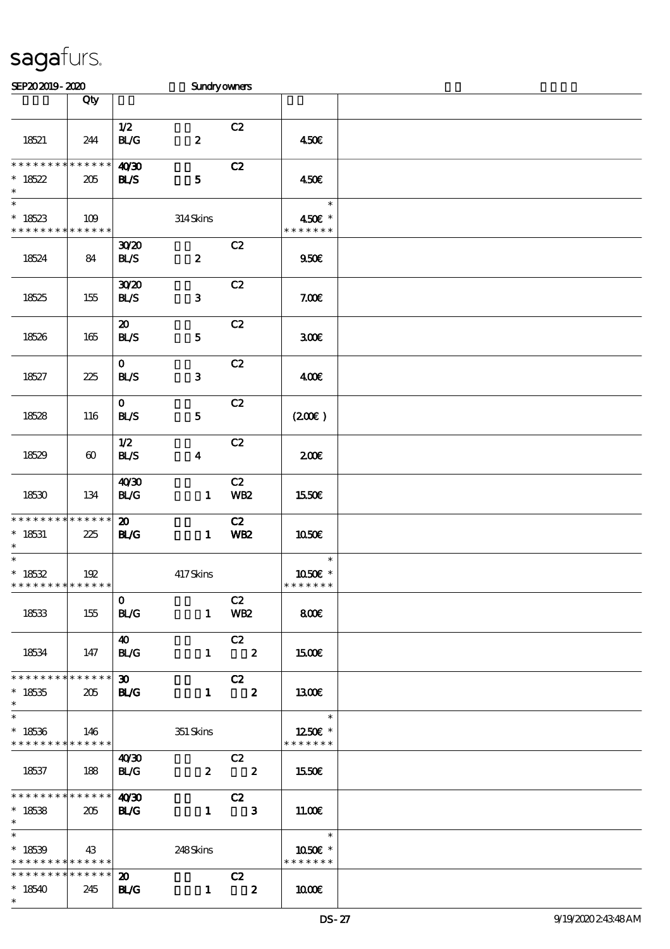| SEP202019-2020                                      |                        |                                           | <b>Sundryowners</b>           |                               |                                                      |  |
|-----------------------------------------------------|------------------------|-------------------------------------------|-------------------------------|-------------------------------|------------------------------------------------------|--|
|                                                     | Qty                    |                                           |                               |                               |                                                      |  |
| 18521                                               | 244                    | 1/2<br>BLG                                | $\boldsymbol{2}$              | C2                            | 450€                                                 |  |
| * * * * * * * *<br>$*18522$<br>$\ast$               | * * * * * *<br>205     | 40'30<br>BLS                              | ${\bf 5}$                     | C2                            | 450€                                                 |  |
| $\overline{\ast}$<br>$*18523$<br>* * * * * * * *    | 109<br>* * * * * *     |                                           | 314Skins                      |                               | $\ast$<br>450€ *<br>* * * * * * *                    |  |
| 18524                                               | 84                     | 3020<br><b>BL/S</b>                       | $\pmb{2}$                     | C2                            | 950E                                                 |  |
| 18525                                               | 155                    | 3020<br><b>BL/S</b>                       | ${\bf 3}$                     | C2                            | 7.00E                                                |  |
| 18526                                               | 165                    | $\boldsymbol{\mathfrak{D}}$<br><b>BLS</b> | ${\bf 5}$                     | C2                            | 300E                                                 |  |
| 18527                                               | 225                    | $\mathbf{O}$<br><b>BL/S</b>               | ${\bf 3}$                     | C2                            | 400E                                                 |  |
| 18528                                               | 116                    | $\mathbf 0$<br><b>BL/S</b>                | ${\bf 5}$                     | C2                            | (200E)                                               |  |
| 18529                                               | $\boldsymbol{\omega}$  | 1/2<br><b>BL/S</b>                        | $\boldsymbol{4}$              | C2                            | 200E                                                 |  |
| 18530                                               | 134                    | 40'30<br>BLG                              | $\mathbf{1}$                  | C2<br><b>WB2</b>              | 1550€                                                |  |
| * * * * * * * *<br>$* 18531$<br>$\ast$              | * * * * * *<br>225     | $\boldsymbol{\mathbf{z}}$<br>BLG          | $\mathbf{1}$                  | C2<br><b>WB2</b>              | 1050E                                                |  |
| $\ast$<br>$* 18532$<br>* * * * * * * * * * * * * *  | 192                    |                                           | 417Skins                      |                               | $\ast$<br>1050E *<br>* * * * * * *                   |  |
| 18533                                               | 155                    | $\mathbf{O}$<br><b>BL/G</b>               |                               | C2<br>1 WB2                   | 800                                                  |  |
| 18534                                               | 147                    | <b>40</b><br>BLG                          |                               | C2<br>$1 \t2$                 | <b>1500€</b>                                         |  |
| * * * * * * * * * * * * * * *<br>$*18535$<br>$\ast$ | 205                    | $\infty$<br><b>EL/G</b>                   |                               | C2<br>$1 \t2$                 | 1300E                                                |  |
| $\ast$<br>$*18536$<br>* * * * * * * * * * * * * * * | $\vert$ 146            |                                           | 351 Skins                     |                               | $\overline{\phantom{a}}$<br>1250E *<br>* * * * * * * |  |
| 18537                                               | $\vert$ 188            | 40'30<br>BLG                              | $\overline{2}$ $\overline{2}$ | C2                            | 1550€                                                |  |
| ************** 4030<br>$*18538$<br>$\ast$           | 205                    | <b>BL/G</b>                               |                               | C2<br>$1 \qquad 3$            | 11.00E                                               |  |
| $\ast$<br>$*18539$<br>* * * * * * * * * * * * * * * | 43                     |                                           | 248Skins                      |                               | 1050€ *<br>* * * * * * *                             |  |
| * * * * * * * *<br>$*18540$<br>$\ast$               | $* * * * * * *$<br>245 | $\boldsymbol{\mathsf{20}}$<br><b>BL/G</b> | $\mathbf{1}$                  | C2<br>$\overline{\mathbf{z}}$ | 1000                                                 |  |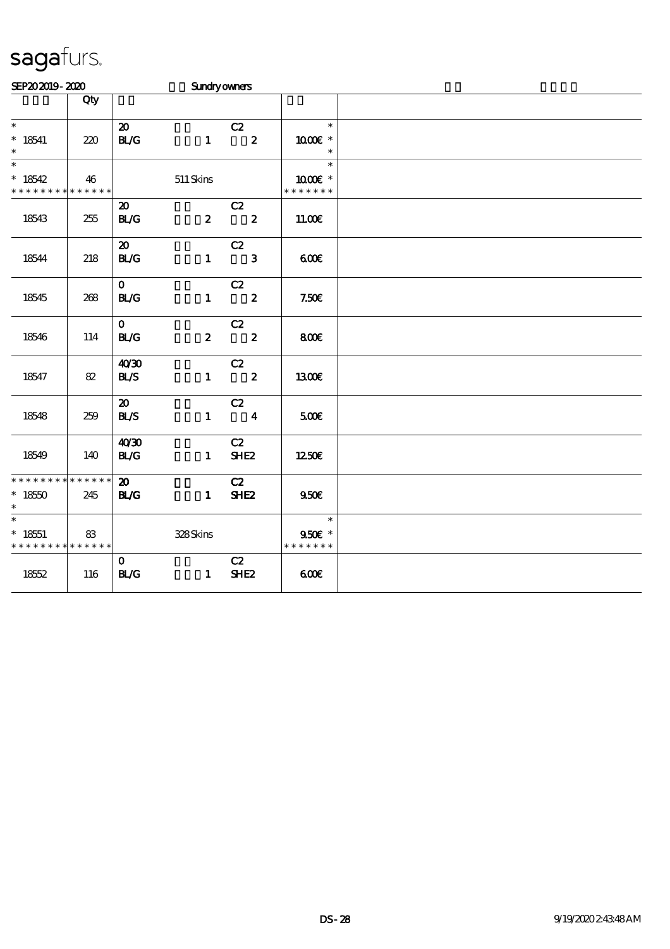| SEP202019-2020              |     |                                    | Sundryowners     |                               |                   |  |
|-----------------------------|-----|------------------------------------|------------------|-------------------------------|-------------------|--|
|                             | Qty |                                    |                  |                               |                   |  |
| $\ast$<br>$^*$ 18541        | 220 | $\boldsymbol{\mathfrak{D}}$<br>BLG | $\mathbf{1}$     | C2<br>$\overline{\mathbf{2}}$ | $\ast$<br>1000 *  |  |
| $\ast$                      |     |                                    |                  |                               | $\ast$            |  |
| $\ast$<br>$*18542$          | 46  |                                    | 511 Skins        |                               | $\ast$<br>1000€ * |  |
| * * * * * * * * * * * * * * |     |                                    |                  |                               | * * * * * * *     |  |
|                             |     | $\boldsymbol{\mathfrak{D}}$        |                  | C2                            |                   |  |
| 18543                       | 255 | <b>BL/G</b>                        | $\boldsymbol{z}$ | $\overline{\mathbf{2}}$       | 11.00E            |  |
|                             |     | $\boldsymbol{\mathfrak{D}}$        |                  | C2                            |                   |  |
| 18544                       | 218 | BLG                                | $\mathbf{1}$     | $\overline{\phantom{a}}$ 3    | 600               |  |
|                             |     | $\mathbf{o}$                       |                  | C2                            |                   |  |
| 18545                       | 268 | BLG                                | $\mathbf{1}$     | $\overline{\mathbf{2}}$       | 7.50E             |  |
|                             |     | $\mathbf{O}$                       |                  | C2                            |                   |  |
| 18546                       | 114 | <b>BL/G</b>                        | $\boldsymbol{z}$ | $\overline{\phantom{a}}$ 2    | 800               |  |
|                             |     | 40'30                              |                  | C2                            |                   |  |
| 18547                       | 82  | BLS                                | $\mathbf{1}$     | $\overline{\phantom{a}}$ 2    | 1300€             |  |
|                             |     | $\boldsymbol{\mathfrak{D}}$        |                  | C2                            |                   |  |
| 18548                       | 259 | BLS                                | $\mathbf{1}$     | $\overline{\mathbf{4}}$       | 500€              |  |
|                             |     | 40'30                              |                  | C2                            |                   |  |
| 18549                       | 140 | BLG                                | $\mathbf{1}$     | SHE <sub>2</sub>              | 1250€             |  |
| * * * * * * * * * * * * * * |     | $\boldsymbol{\mathfrak{D}}$        |                  | C2                            |                   |  |
| $*1850$<br>$\ast$           | 245 | BLG                                | $\mathbf{1}$     | SHE <sub>2</sub>              | 950E              |  |
| $\ast$                      |     |                                    |                  |                               | $\ast$            |  |
| $* 18551$                   | 83  |                                    | 328Skins         |                               | 950€ *            |  |
| * * * * * * * * * * * * * * |     |                                    |                  |                               | * * * * * * *     |  |
| 1852                        | 116 | $\mathbf{O}$<br>BLG                | $\mathbf{1}$     | C2<br>SHE <sub>2</sub>        | 600               |  |
|                             |     |                                    |                  |                               |                   |  |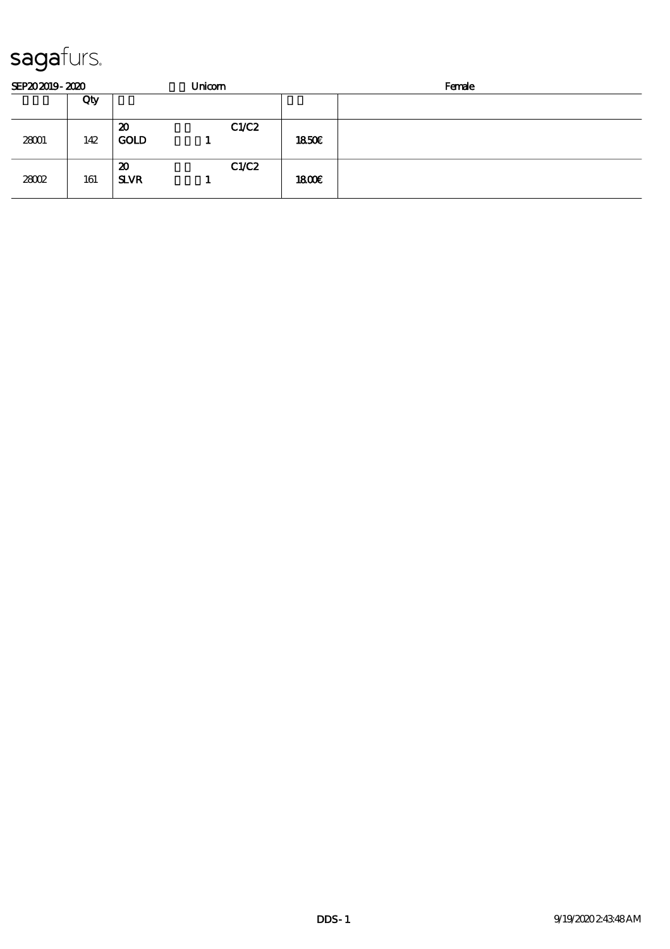| SEP202019-2020 |     |                   | Unicom |       |       | Female |
|----------------|-----|-------------------|--------|-------|-------|--------|
|                | Qty |                   |        |       |       |        |
| 28001          | 142 | 20<br><b>GOLD</b> |        | C1/C2 | 1850E |        |
| 28002          | 161 | 20<br><b>SLVR</b> |        | C1/C2 | 1800E |        |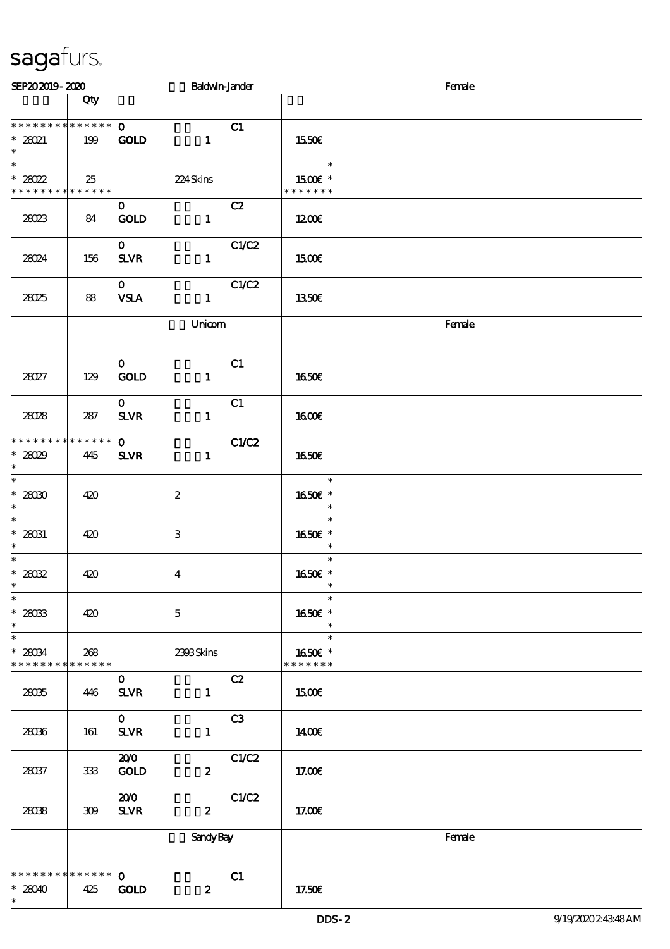| SEP202019-2020                                                        |                    |                                 | <b>Baldwin-Jander</b>   |                |                                    | Female |
|-----------------------------------------------------------------------|--------------------|---------------------------------|-------------------------|----------------|------------------------------------|--------|
|                                                                       | Qty                |                                 |                         |                |                                    |        |
| * * * * * * * * * * * * * * *<br>$* 28021$<br>$\ast$                  | 199                | $\mathbf{o}$<br><b>GOLD</b>     | $\mathbf{1}$            | C1             | 1550€                              |        |
| $\overline{\ast}$<br>* $28022$<br>* * * * * * * * * * * * * *         | 25                 |                                 | 224Skins                |                | $\ast$<br>1500€ *<br>* * * * * * * |        |
| 28023                                                                 | 84                 | $\mathbf{0}$<br>GOLD            | $\mathbf{1}$            | C2             | 1200                               |        |
| 28024                                                                 | 156                | $\mathbf{O}$<br><b>SLVR</b>     | $\mathbf{1}$            | C1/C2          | 1500€                              |        |
| 28025                                                                 | 88                 | $\mathbf{0}$<br><b>VSLA</b>     | $\mathbf{1}$            | C1/C2          | 1350E                              |        |
|                                                                       |                    |                                 | Unicom                  |                |                                    | Female |
| 28027                                                                 | 129                | $\mathbf{O}$<br>GOLD            | $\mathbf{1}$            | C1             | 1650E                              |        |
| 28028                                                                 | 287                | $\mathbf{o}$<br>$S\!L\!V\!R$    | $\mathbf{1}$            | C1             | 1600E                              |        |
| * * * * * * * *<br>$*28029$<br>$\ast$                                 | * * * * * *<br>445 | $\mathbf{0}$<br><b>SLVR</b>     | $\mathbf{1}$            | C1/C2          | 1650E                              |        |
| $\overline{\phantom{0}}$<br>$^\ast$ 28030<br>$\ast$                   | 420                |                                 | $\boldsymbol{2}$        |                | $\ast$<br>1650€ *<br>$\ast$        |        |
| $\overline{\ast}$<br>$^*$ 28031<br>$\ast$<br>$\overline{\phantom{0}}$ | 420                |                                 | $\,3$                   |                | $\ast$<br>1650E *<br>$\ast$        |        |
| $^\ast$ 28032<br>$\ast$<br>$\overline{\ast}$                          | 420                |                                 | $\overline{\mathbf{4}}$ |                | $\ast$<br>1650E *<br>$\ast$        |        |
| $^*$ 28033<br>$\ast$                                                  | 420                |                                 | $\mathbf 5$             |                | $\ast$<br>1650€ *<br>$\ast$        |        |
| $\ast$<br>$* 28034$<br>* * * * * * * *                                | 268<br>* * * * * * |                                 | 2393Skins               |                | $\ast$<br>1650E *<br>* * * * * * * |        |
| 28035                                                                 | 446                | $\mathbf{o}$<br><b>SLVR</b>     | $\mathbf{1}$            | C2             | <b>1500€</b>                       |        |
| 28036                                                                 | 161                | $\mathbf{O}$<br>$S\!L\!V\!R$    | $\mathbf{1}$            | C <sub>3</sub> | 1400€                              |        |
| 28037                                                                 | $333$              | 200<br>GOLD                     | $\boldsymbol{z}$        | C1/C2          | 17.00E                             |        |
| 2808                                                                  | 309                | 200<br>${\bf S\!L}\!{\bf V\!R}$ | $\boldsymbol{z}$        | C1/C2          | 17.00E                             |        |
|                                                                       |                    |                                 | <b>Sandy Bay</b>        |                |                                    | Female |
| * * * * * * * * <mark>* * * * * * *</mark><br>$*28040$<br>$\ast$      | 425                | $\mathbf{o}$<br><b>GOLD</b>     | $\boldsymbol{z}$        | C1             | 17.50€                             |        |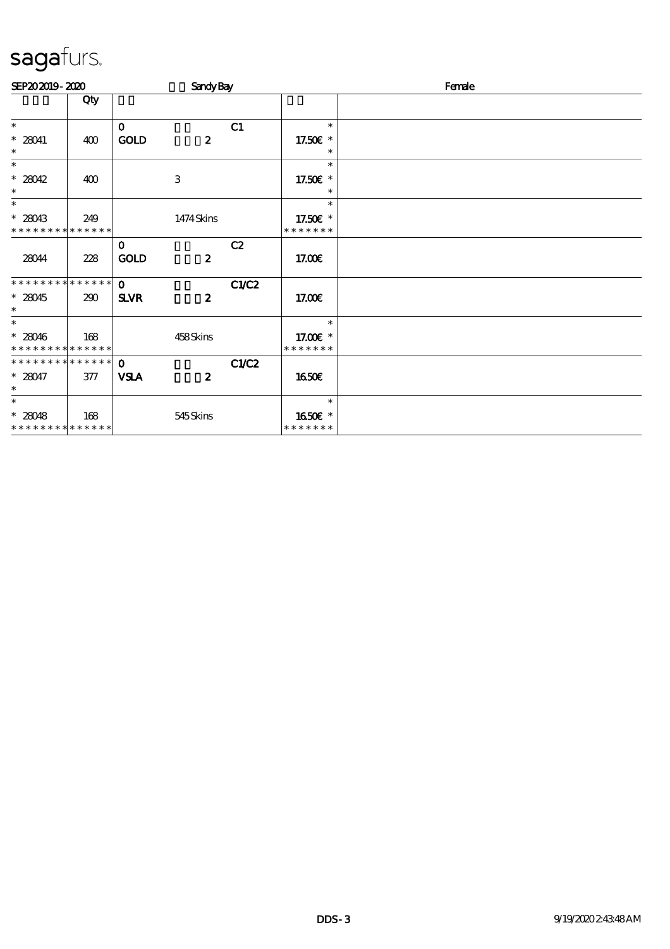| SEP202019-2020                           |     |              | <b>Sandy Bay</b> |       |                           | Female |
|------------------------------------------|-----|--------------|------------------|-------|---------------------------|--------|
|                                          | Qty |              |                  |       |                           |        |
| $\ast$                                   |     | $\mathbf 0$  |                  | C1    | $\ast$                    |        |
| $* 28041$<br>$\ast$                      | 400 | <b>GOLD</b>  | $\boldsymbol{z}$ |       | 17.50€ *<br>$\ast$        |        |
| $\ast$                                   |     |              |                  |       | $\ast$                    |        |
| $*28042$<br>$\ast$                       | 400 |              | 3                |       | 17.50€ *<br>$\ast$        |        |
| $\ast$                                   |     |              |                  |       | $\ast$                    |        |
| $*28043$<br>* * * * * * * * * * * * * *  | 249 |              | 1474Skins        |       | 17.50€ *<br>* * * * * * * |        |
|                                          |     | $\mathbf{o}$ |                  | C2    |                           |        |
| 28044                                    | 228 | <b>GOLD</b>  | $\boldsymbol{z}$ |       | 17.00E                    |        |
| * * * * * * * * * * * * * *              |     | $\Omega$     |                  | C1/C2 |                           |        |
| $*28045$<br>$\ast$                       | 290 | <b>SLVR</b>  | $\boldsymbol{z}$ |       | 17.00E                    |        |
| $\ast$                                   |     |              |                  |       | $\ast$                    |        |
| $* 28046$<br>* * * * * * * * * * * * * * | 168 |              | 458Skins         |       | 17.00 £*<br>* * * * * * * |        |
| **************                           |     | $\mathbf 0$  |                  | C1/C2 |                           |        |
| $* 28047$<br>$\ast$                      | 377 | <b>VSLA</b>  | $\boldsymbol{z}$ |       | <b>1650€</b>              |        |
| $\ast$                                   |     |              |                  |       | $\ast$                    |        |
| $* 28048$<br>* * * * * * * * * * * * * * | 168 |              | 545Skins         |       | 1650E *<br>* * * * * * *  |        |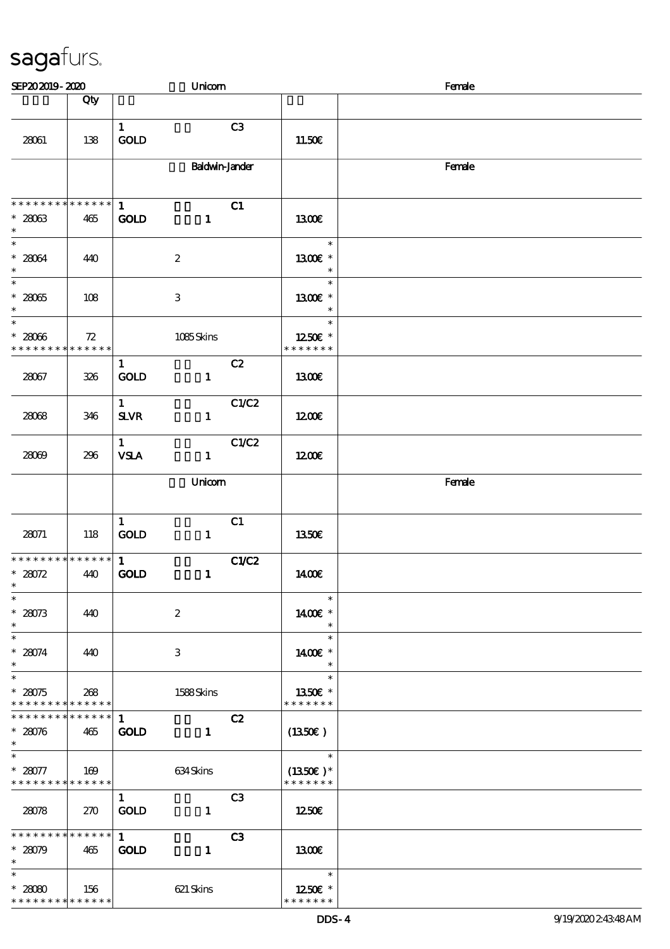| SEP202019-2020                                                       |                    |                              | Unicom                |       |                                                      | Female |
|----------------------------------------------------------------------|--------------------|------------------------------|-----------------------|-------|------------------------------------------------------|--------|
|                                                                      | Qty                |                              |                       |       |                                                      |        |
| 28061                                                                | 138                | $\mathbf{1}$<br><b>GOLD</b>  |                       | C3    | 11.50E                                               |        |
|                                                                      |                    |                              | <b>Baldwin-Jander</b> |       |                                                      | Female |
| * * * * * * * * * * * * * * *<br>$* 28063$<br>$\ast$                 | 465                | $\mathbf{1}$<br><b>GOLD</b>  | $\mathbf{1}$          | C1    | 1300E                                                |        |
| $\ast$<br>$* 28064$<br>$\ast$                                        | 440                |                              | $\boldsymbol{2}$      |       | $\ast$<br>1300E *<br>$\ast$                          |        |
| $\overline{\phantom{0}}$<br>$^\ast$ 28065<br>$\ast$                  | 108                |                              | $\,3$                 |       | $\ast$<br>1300€ *<br>$\ast$                          |        |
| $\overline{\phantom{0}}$<br>$* 28066$<br>* * * * * * * * * * * * * * | 72                 |                              | 1085Skins             |       | $\ast$<br>1250E *<br>* * * * * * *                   |        |
| 28067                                                                | 326                | $\mathbf{1}$<br><b>GOLD</b>  | $\mathbf{1}$          | C2    | <b>1300€</b>                                         |        |
| 28068                                                                | 346                | $\mathbf{1}$<br>$S\!L\!V\!R$ | $\mathbf{1}$          | C1/C2 | 1200E                                                |        |
| 28009                                                                | 296                | $\mathbf{1}$<br><b>VSLA</b>  | $\mathbf{1}$          | C1/C2 | 1200E                                                |        |
|                                                                      |                    |                              | Unicom                |       |                                                      | Female |
| 28071                                                                | 118                | $\mathbf{1}$<br><b>GOLD</b>  | $\mathbf{1}$          | C1    | 1350€                                                |        |
| * * * * * * * * * * * * * *<br>$* 28072$<br>$\ast$                   | 440                | $\mathbf{1}$<br><b>GOLD</b>  | $\mathbf{1}$          | C1/C2 | 1400E                                                |        |
| $\overline{\phantom{a}}$<br>$* 28073$<br>$\ast$                      | 440                |                              | $\boldsymbol{2}$      |       | $\ast$<br>1400€ *<br>$\ast$                          |        |
| $\overline{\phantom{0}}$<br>$* 28074$<br>$\ast$                      | 440                |                              | 3                     |       | $\ast$<br>1400€ *<br>$\ast$                          |        |
| $\overline{\ast}$<br>$* 28075$<br>******** <mark>******</mark>       | 268                |                              | 1588Skins             |       | $\ast$<br>1350E *<br>* * * * * * *                   |        |
| * * * * * * * *<br>$* 28076$<br>$\ast$                               | * * * * * *<br>465 | $\mathbf{1}$<br><b>GOLD</b>  | $\mathbf{1}$          | C2    | (1350E)                                              |        |
| $\ast$<br>$*28077$<br>* * * * * * * * * * * * * * *                  | 169                |                              | 634 Skins             |       | $\ast$<br>$(1350E)*$<br>* * * * * * *                |        |
| 28078                                                                | 270                | $\mathbf{1}$<br><b>GOLD</b>  | $\mathbf{1}$          | C3    | 1250E                                                |        |
| * * * * * * * *<br>$* 28079$<br>$\ast$                               | * * * * * *<br>465 | $\mathbf{1}$<br><b>GOLD</b>  | $\mathbf{1}$          | C3    | 1300                                                 |        |
| $\ast$<br>$*28080$<br>* * * * * * * * * * * * * *                    | 156                |                              | 621 Skins             |       | $\overline{a}$<br>$\ast$<br>1250E *<br>* * * * * * * |        |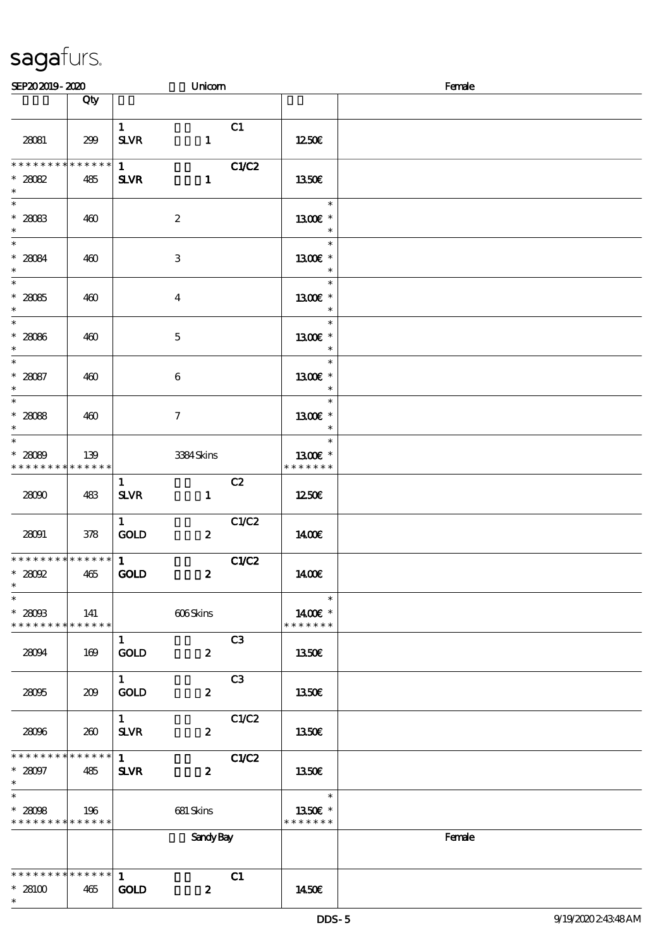| SEP202019-2020                                               |                    |                              | Unicom           |                |                                    | Female |
|--------------------------------------------------------------|--------------------|------------------------------|------------------|----------------|------------------------------------|--------|
|                                                              | Qty                |                              |                  |                |                                    |        |
| 28081                                                        | 299                | $\mathbf{1}$<br><b>SLVR</b>  | $\mathbf{1}$     | C1             | 1250E                              |        |
| * * * * * * * *<br>$* 28082$<br>$\ast$                       | * * * * * *<br>485 | $1 \quad$<br><b>SLVR</b>     | $\mathbf{1}$     | C1/C2          | <b>1350€</b>                       |        |
| $\overline{\phantom{0}}$<br>$* 28083$<br>$\ast$              | 460                |                              | $\boldsymbol{2}$ |                | $\ast$<br>1300E *<br>$\ast$        |        |
| $\ast$<br>$* 28084$<br>$\ast$                                | 460                |                              | $\,3$            |                | $\ast$<br>1300E *<br>$\ast$        |        |
| $\overline{\phantom{0}}$<br>$* 28085$<br>$\ast$              | 460                |                              | $\boldsymbol{4}$ |                | $\ast$<br>1300€ *<br>$\ast$        |        |
| $\overline{\ast}$<br>$*28086$<br>$\ast$<br>$\overline{\ast}$ | 460                |                              | $\mathbf 5$      |                | $\ast$<br>1300E *<br>$\ast$        |        |
| $* 28087$<br>$\ast$<br>$\overline{\phantom{a}^*}$            | 460                |                              | 6                |                | $\ast$<br>1300€ *<br>$\ast$        |        |
| $* 28088$<br>$\ast$<br>$\overline{\phantom{0}}$              | 460                |                              | $\tau$           |                | $\ast$<br>1300€ *<br>$\ast$        |        |
| $* 28089$<br>* * * * * * * *                                 | 139<br>* * * * * * |                              | 3384Skins        |                | $\ast$<br>1300E *<br>* * * * * * * |        |
| 28000                                                        | 483                | $\mathbf{1}$<br>$S\!L\!V\!R$ | $\mathbf{1}$     | C2             | 1250E                              |        |
| 28091<br>* * * * * * * * * * * * * * *                       | 378                | $\mathbf{1}$<br><b>GOLD</b>  | $\boldsymbol{z}$ | C1/C2          | 1400€                              |        |
| $*28092$<br>$\ast$<br>$\overline{\phantom{a}^*}$             | 465                | $\mathbf{1}$<br><b>GOLD</b>  | $\boldsymbol{z}$ | C1/C2          | 1400E                              |        |
| $* 28003$<br>* * * * * * * * * * * * * *                     | 141                |                              | 606Skins         |                | $\ast$<br>1400€ *<br>* * * * * * * |        |
| 28094                                                        | 169                | $\mathbf{1}$<br><b>GOLD</b>  | $\boldsymbol{z}$ | C <sub>3</sub> | 1350E                              |        |
| 28095                                                        | 209                | $\mathbf{1}$<br>GOLD         | $\boldsymbol{z}$ | C <sub>3</sub> | 1350E                              |        |
| 28096                                                        | 260                | $\mathbf{1}$<br><b>SLVR</b>  | $\boldsymbol{z}$ | C1/C2          | 1350€                              |        |
| * * * * * * * * * * * * * *<br>$* 28097$<br>$\ast$           | 485                | $\mathbf{1}$<br><b>SLVR</b>  | $\boldsymbol{z}$ | C1/C2          | 1350E                              |        |
| $\ast$<br>$* 28098$<br>* * * * * * * * * * * * * *           | 196                |                              | 681 Skins        |                | $\ast$<br>1350€ *<br>* * * * * * * |        |
|                                                              |                    |                              | <b>Sandy Bay</b> |                |                                    | Female |
| * * * * * * * * * * * * * *<br>$*28100$<br>$\ast$            | 465                | $\mathbf{1}$<br>GOD          | $\boldsymbol{z}$ | C1             | 1450E                              |        |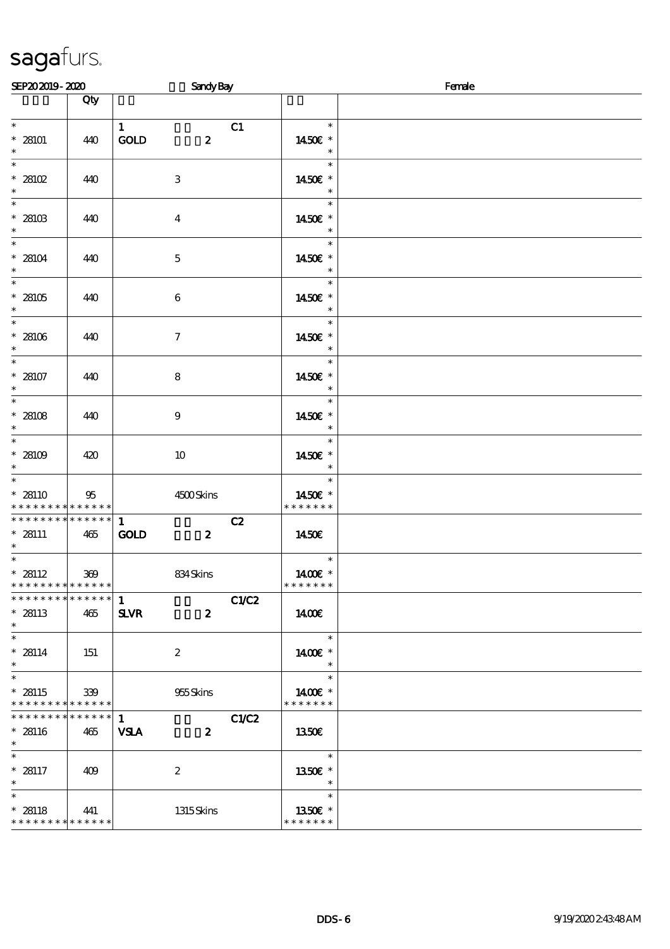| SEP202019-2020                                                             |                    | <b>Sandy Bay</b>                                |              |                                    | Female |  |  |
|----------------------------------------------------------------------------|--------------------|-------------------------------------------------|--------------|------------------------------------|--------|--|--|
|                                                                            | Qty                |                                                 |              |                                    |        |  |  |
| $\overline{\ast}$<br>$* 28101$<br>$\ast$                                   | 440                | $\mathbf{1}$<br>GOLD<br>$\boldsymbol{z}$        | C1           | $\ast$<br>1450€ *<br>$\ast$        |        |  |  |
| $\ast$<br>$*28102$<br>$\ast$                                               | 440                | $\,3$                                           |              | $\ast$<br>1450€ *<br>$\ast$        |        |  |  |
| $\overline{\phantom{a}}$<br>$*28103$<br>$\ast$                             | 440                | $\boldsymbol{4}$                                |              | $\ast$<br>1450E *<br>$\ast$        |        |  |  |
| $\ast$<br>* 28104<br>$\ast$                                                | 440                | $\mathbf 5$                                     |              | $\ast$<br>1450€ *<br>$\ast$        |        |  |  |
| $\overline{\ast}$<br>$* 28105$<br>$\ast$                                   | 440                | $\bf 6$                                         |              | $\ast$<br>1450€ *<br>$\ast$        |        |  |  |
| $\ast$<br>$^\ast$ 28106<br>$\ast$                                          | 440                | $\boldsymbol{7}$                                |              | $\ast$<br>1450€ *<br>$\ast$        |        |  |  |
| $\overline{\ast}$<br>$* 28107$<br>$\ast$                                   | 440                | $\bf8$                                          |              | $\ast$<br>1450€ *                  |        |  |  |
| $_{\ast}^{-}$<br>* 28108<br>$\ast$                                         | 440                | $\boldsymbol{9}$                                |              | $\ast$<br>1450€ *<br>$\ast$        |        |  |  |
| $\overline{\phantom{0}}$<br>* 28109<br>$\ast$                              | 420                | $10\,$                                          |              | $\ast$<br>1450€ *<br>$\ast$        |        |  |  |
| $\overline{\phantom{0}}$<br>$* 28110$<br>* * * * * * * *                   | 95<br>$******$     | 4500Skins                                       |              | $\ast$<br>1450€ *<br>* * * * * * * |        |  |  |
| * * * * * * * * * * * * * *<br>$* 28111$<br>$\ast$                         | 465                | $\mathbf{1}$<br><b>GOLD</b><br>$\boldsymbol{z}$ | C2           | 1450€                              |        |  |  |
| $\overline{\ast}$<br>$* 28112$<br>* * * * * * * * <mark>* * * * * *</mark> | 369                | 834Skins                                        |              | $\ast$<br>1400€ *<br>* * * * * * * |        |  |  |
| * * * * * * * * * * * * * *<br>$* 28113$<br>$\ast$                         | 465                | 1<br><b>SLVR</b><br>$\boldsymbol{z}$            | <b>C1/C2</b> | <b>140€</b>                        |        |  |  |
| $\overline{\phantom{0}}$<br>$* 28114$<br>$\ast$                            | 151                | $\boldsymbol{2}$                                |              | $\ast$<br>1400€ *<br>$\ast$        |        |  |  |
| $\overline{\phantom{a}^*}$<br>$* 28115$<br>* * * * * * * *                 | 339<br>* * * * * * | 955Skins                                        |              | $\ast$<br>1400€ *<br>* * * * * * * |        |  |  |
| * * * * * * * *<br>$* 28116$<br>$\ast$                                     | ******<br>465      | $\mathbf{1}$<br><b>VSLA</b><br>$\boldsymbol{z}$ | C1/C2        | <b>1350€</b>                       |        |  |  |
| $\ast$<br>$* 28117$<br>$\ast$                                              | 409                | $\boldsymbol{2}$                                |              | $\ast$<br>1350E *<br>$\ast$        |        |  |  |
| $\ast$<br>$* 28118$<br>* * * * * * * * * * * * * *                         | 441                | 1315Skins                                       |              | $\ast$<br>1350E *<br>* * * * * * * |        |  |  |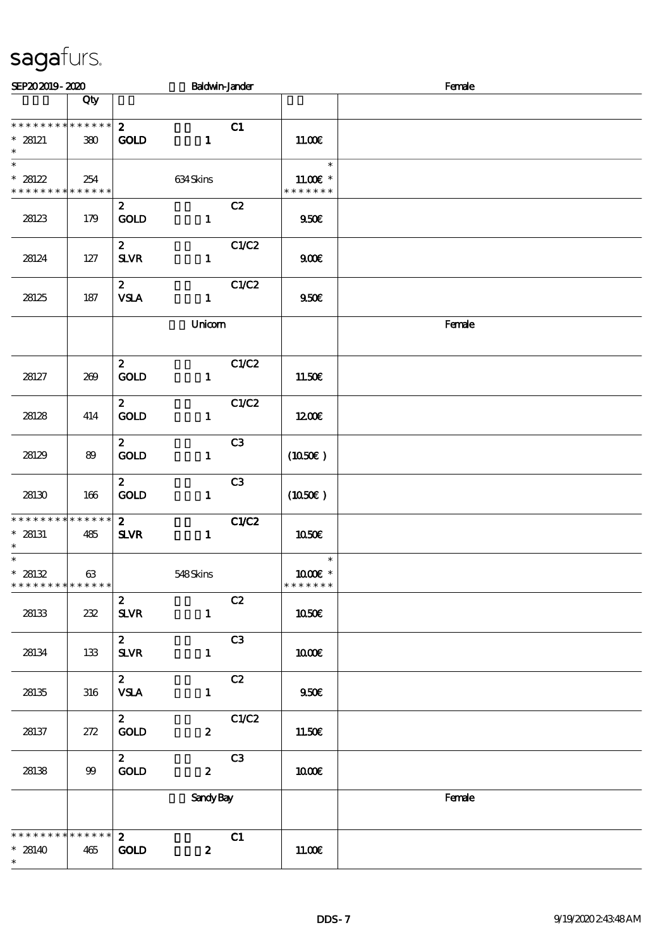| SEP202019-2020                                                    |         |                                    | <b>Baldwin-Jander</b> |       |                                       | Female |  |  |
|-------------------------------------------------------------------|---------|------------------------------------|-----------------------|-------|---------------------------------------|--------|--|--|
|                                                                   | Qty     |                                    |                       |       |                                       |        |  |  |
| * * * * * * * * * * * * * *<br>$* 28121$<br>$\ast$                | 380     | $\mathbf{2}$<br><b>GOLD</b>        | $\mathbf{1}$          | C1    | 11.00E                                |        |  |  |
| $\ast$<br>$* 28122$<br>* * * * * * * * * * * * * *                | 254     |                                    | 634Skins              |       | $\ast$<br>$11.00E$ *<br>* * * * * * * |        |  |  |
| 28123                                                             | 179     | $\mathbf{2}$<br>GOLD               | $\mathbf{1}$          | C2    | 950E                                  |        |  |  |
| 28124                                                             | 127     | $\mathbf{2}$<br><b>SLVR</b>        | $\mathbf{1}$          | C1/C2 | 900E                                  |        |  |  |
| 28125                                                             | 187     | $\mathbf{2}$<br><b>VSLA</b>        | $\mathbf{1}$          | C1/C2 | 950E                                  |        |  |  |
|                                                                   |         |                                    | Unicom                |       |                                       | Female |  |  |
| 28127                                                             | 269     | $\boldsymbol{z}$<br>GOLD           | $\mathbf{1}$          | C1/C2 | 11.50E                                |        |  |  |
| 28128                                                             | 414     | $\boldsymbol{z}$<br><b>GOLD</b>    | $\mathbf{1}$          | C1/C2 | 1200E                                 |        |  |  |
| 28129                                                             | 89      | $\mathbf{2}$<br><b>GOLD</b>        | $\mathbf{1}$          | C3    | (1050)                                |        |  |  |
| 28130                                                             | 166     | $\mathbf{z}$<br>GOLD               | $\mathbf{1}$          | C3    | (1050)                                |        |  |  |
| * * * * * * * * * * * * * *<br>$*$ 28131<br>$\ast$                | 485     | 2 <sup>1</sup><br><b>SLVR</b>      | $\mathbf{1}$          | C1/C2 | 1050E                                 |        |  |  |
| $\ast$<br>$* 28132$<br>* * * * * * * * <mark>* * * * * * *</mark> | 63      |                                    | 548Skins              |       | $\ast$<br>1000 *<br>* * * * * * *     |        |  |  |
| 28133                                                             | 232     | $\boldsymbol{z}$<br>$S\!L\!V\!R$   | $\mathbf{1}$          | C2    | <b>1050€</b>                          |        |  |  |
| 28134                                                             | 133     | $\boldsymbol{z}$<br>$S\!L\!V\!R$   | $\mathbf{1}$          | C3    | 1000E                                 |        |  |  |
| 28135                                                             | 316     | $\boldsymbol{z}$<br><b>VSLA</b>    | $\mathbf{1}$          | C2    | 950E                                  |        |  |  |
| 28137                                                             | $272\,$ | $\boldsymbol{z}$<br>GOLD           | $\boldsymbol{z}$      | C1/C2 | 11.50€                                |        |  |  |
| 28138                                                             | $99$    | $\mathbf{z}$<br>$\mathop{\rm GOD}$ | $\boldsymbol{2}$      | C3    | 1000E                                 |        |  |  |
|                                                                   |         |                                    | <b>Sandy Bay</b>      |       |                                       | Female |  |  |
| * * * * * * * * * * * * * *<br>$* 28140$<br>$\ast$                | 465     | $\mathbf{z}$<br><b>GOLD</b>        | $\boldsymbol{z}$      | C1    | 11.00€                                |        |  |  |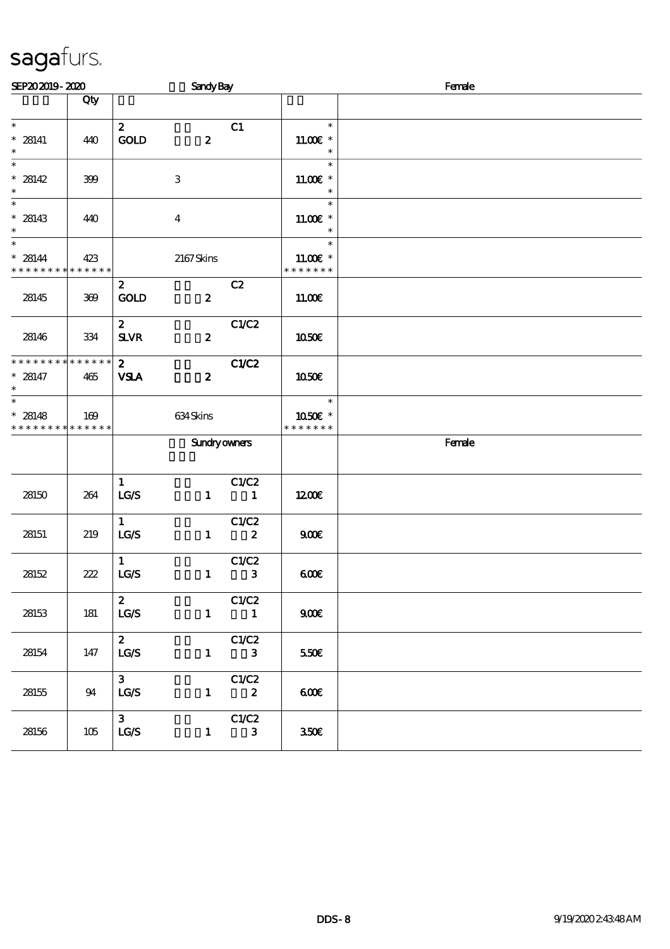| SEP202019-2020                                                       |                    |                                            | <b>Sandy Bay</b>    |                                     |                                                  | Female |  |  |
|----------------------------------------------------------------------|--------------------|--------------------------------------------|---------------------|-------------------------------------|--------------------------------------------------|--------|--|--|
|                                                                      | Qty                |                                            |                     |                                     |                                                  |        |  |  |
| $\ast$<br>$* 28141$<br>$\ast$                                        | 440                | $\mathbf{2}$<br>GOLD                       | $\boldsymbol{z}$    | C1                                  | $\ast$<br>$11.00E$ *<br>$\ast$                   |        |  |  |
| $\overline{\phantom{0}}$<br>$* 28142$<br>$\ast$                      | 399                |                                            | $\,3$               |                                     | $\ast$<br>$11.00E$ *<br>$\ast$                   |        |  |  |
| $\overline{\ast}$<br>$* 28143$<br>$\ast$                             | 440                |                                            | $\bf{4}$            |                                     | $\ast$<br>$11.00E$ *<br>$\ast$                   |        |  |  |
| $\overline{\phantom{0}}$<br>$* 28144$<br>* * * * * * * * * * * * * * | 423                |                                            | 2167Skins           |                                     | $\ast$<br>11.00 $\varepsilon$ *<br>* * * * * * * |        |  |  |
| 28145                                                                | 369                | $\mathbf{z}$<br><b>GOLD</b>                | $\boldsymbol{z}$    | C2                                  | 11.00E                                           |        |  |  |
| 28146                                                                | 334                | $\mathbf{2}$<br>${\bf S\!L}\!{\bf V\!R}$   | $\boldsymbol{z}$    | C1/C2                               | 1050€                                            |        |  |  |
| * * * * * * * *<br>$* 28147$<br>$\ast$                               | * * * * * *<br>465 | $\mathbf{2}$<br><b>VSLA</b>                | $\boldsymbol{z}$    | C1/C2                               | <b>1050€</b>                                     |        |  |  |
| $\overline{\phantom{0}}$<br>$* 28148$<br>* * * * * * * * * * * * * * | 169                |                                            | 634Skins            |                                     | $\ast$<br>1050E *<br>* * * * * * *               |        |  |  |
|                                                                      |                    |                                            | <b>Sundryowners</b> |                                     |                                                  | Female |  |  |
| 28150                                                                | 264                | $\mathbf{1}$<br>LCS                        | $\mathbf{1}$        | C1/C2<br>$\sim$ 1                   | 1200E                                            |        |  |  |
| 28151                                                                | 219                | $\mathbf{1}$<br>LG/S                       | $\mathbf{1}$        | C1/C2<br>$\overline{\mathbf{2}}$    | 900E                                             |        |  |  |
| 28152                                                                | 222                | $\mathbf{1}$<br>LG/S                       | $\mathbf{1}$        | C1/C2<br>$\overline{\phantom{a}}$ 3 | 600                                              |        |  |  |
| 28153                                                                | 181                | $\mathbf{z}$<br>LG/S                       | $\mathbf{I}$        | C1/C2<br>$\blacksquare$             | 900E                                             |        |  |  |
| 28154                                                                | 147                | $\mathbf{z}$<br>LG/S                       | $\mathbf{1}$        | C1/C2<br>$\mathbf{3}$               | 550€                                             |        |  |  |
| 28155                                                                | 94                 | 3 <sup>1</sup><br>LG/S                     | $\mathbf{1}$        | C1/C2<br>$\boldsymbol{z}$           | 600                                              |        |  |  |
| 28156                                                                | 105                | 3 <sup>1</sup><br>$\mathtt{LG}\mathcal{S}$ | $\mathbf{1}$        | C1/C2<br>$\mathbf{3}$               | 350€                                             |        |  |  |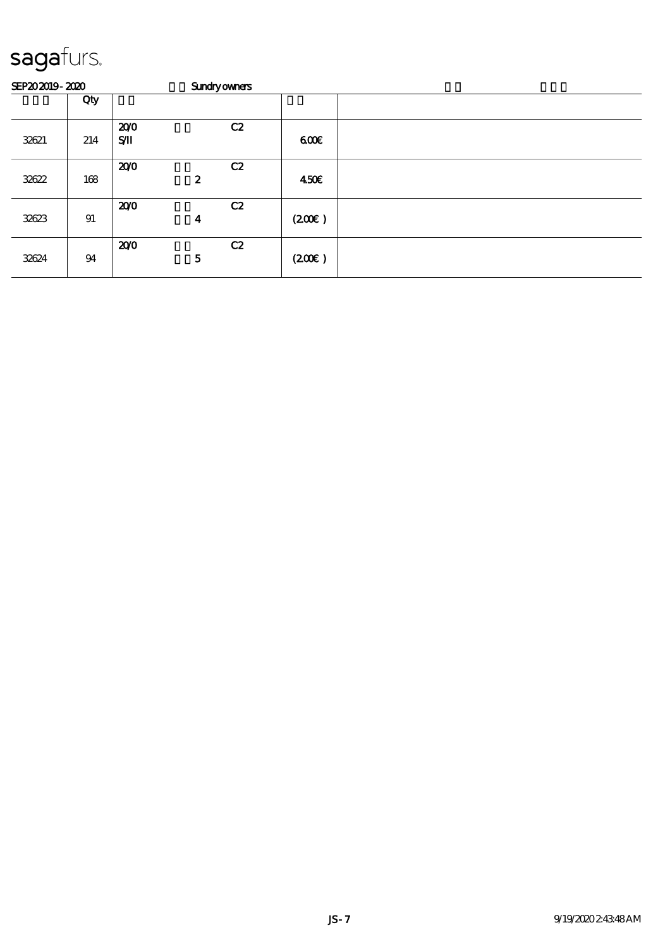| SEP202019-2020 |     | <b>Sundryowners</b>   |                        |       |  |
|----------------|-----|-----------------------|------------------------|-------|--|
|                | Qty |                       |                        |       |  |
| 32621          | 214 | 200<br>$S/\mathbf{I}$ | C2                     | 600   |  |
| 32622          | 168 | 200                   | C2<br>$\boldsymbol{z}$ | 450€  |  |
| 32623          | 91  | 200                   | C2<br>$\boldsymbol{4}$ | (200) |  |
| 32624          | 94  | 200                   | C2<br>5                | (200) |  |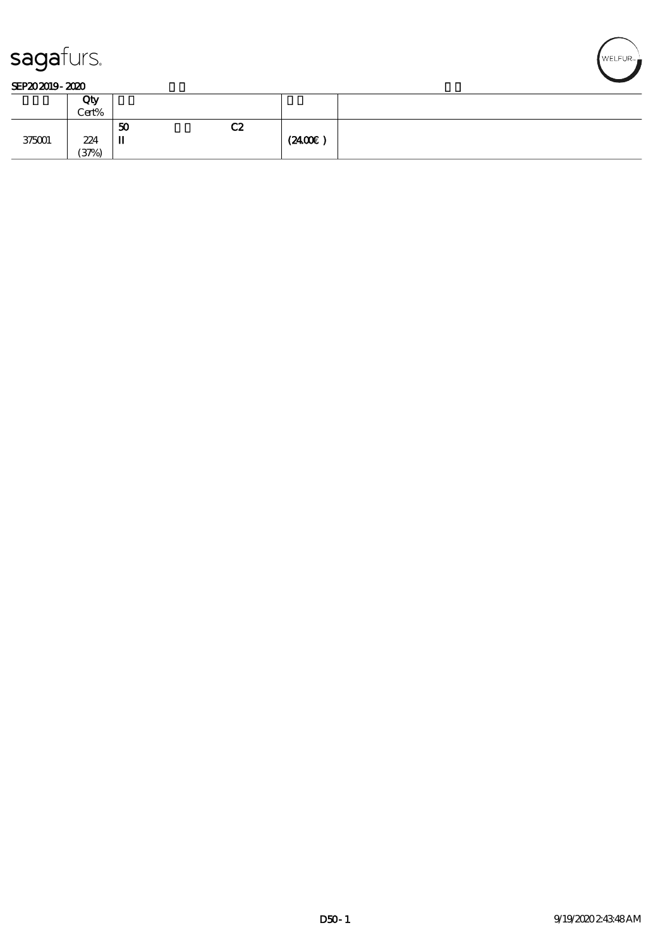

|        | Qty<br>Cert% |         |    |        |  |
|--------|--------------|---------|----|--------|--|
| 375001 | 224<br>(37%) | 50<br>п | C2 | (2400) |  |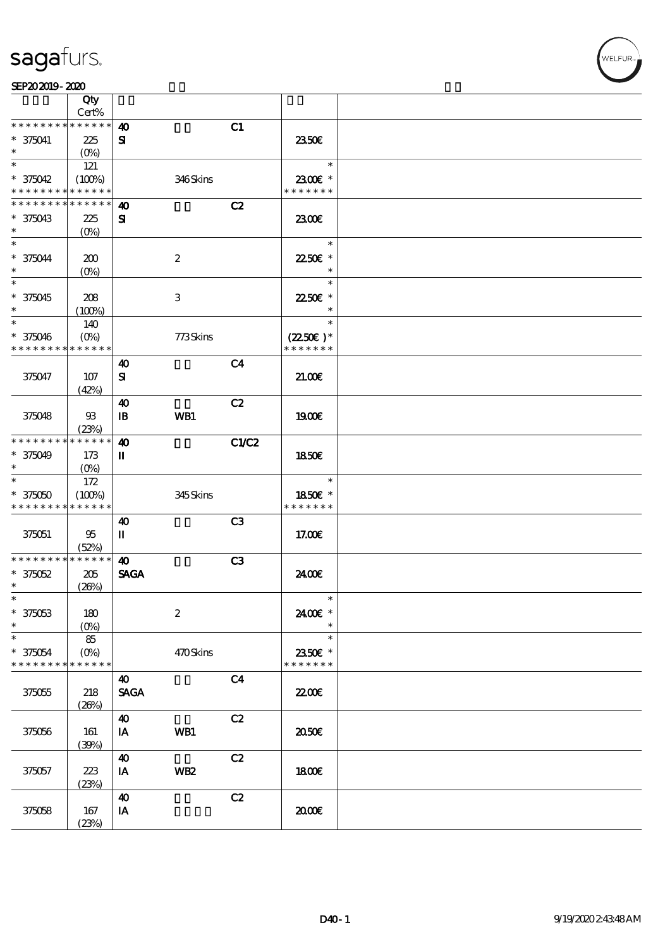|                 | Qty<br>Cert%      |                       |                  |                |                      |  |
|-----------------|-------------------|-----------------------|------------------|----------------|----------------------|--|
| * * * * * * * * | * * * * * *       |                       |                  |                |                      |  |
|                 |                   | $\boldsymbol{\omega}$ |                  | C1             |                      |  |
| * 375041        | 225               | ${\bf s}$             |                  |                | 2350E                |  |
| $\ast$          | $(O\%)$           |                       |                  |                |                      |  |
| $\ast$          | 121               |                       |                  |                | $\ast$               |  |
| * 375042        | (100%)            |                       | 346Skins         |                | 2300€ *              |  |
| * * * * * * * * | * * * * * *       |                       |                  |                | * * * * * * *        |  |
| * * * * * * * * | * * * * * *       | $\boldsymbol{\omega}$ |                  | C2             |                      |  |
| * 375043        | 225               | ${\bf s}$             |                  |                | 2300€                |  |
| $\ast$          | $(0\%)$           |                       |                  |                |                      |  |
| $\ast$          |                   |                       |                  |                | $\ast$               |  |
| * 375044        | 200               |                       | $\boldsymbol{2}$ |                | 22.50€ *             |  |
| $\ast$          | (O <sub>0</sub> ) |                       |                  |                | $\ast$               |  |
| $\ast$          |                   |                       |                  |                | $\ast$               |  |
| * 375045        |                   |                       |                  |                |                      |  |
| $\ast$          | 208               |                       | 3                |                | 22.50€ *<br>$\ast$   |  |
| $\ast$          | (100%)            |                       |                  |                | $\ast$               |  |
|                 | 140               |                       |                  |                |                      |  |
| $* 375046$      | $(0\%)$           |                       | 773Skins         |                | $(2250\varepsilon)*$ |  |
| * * * * * * * * | * * * * * *       |                       |                  |                | * * * * * * *        |  |
|                 |                   | $\boldsymbol{\omega}$ |                  | C <sub>4</sub> |                      |  |
| 375047          | 107               | ${\bf s}$             |                  |                | 21.006               |  |
|                 | (42%)             |                       |                  |                |                      |  |
|                 |                   | $\boldsymbol{\omega}$ |                  | C2             |                      |  |
| 375048          | $93\,$            | $\mathbf{B}$          | WB1              |                | 1900€                |  |
|                 | (23%)             |                       |                  |                |                      |  |
| * * * * * * * * | * * * * * *       | $\boldsymbol{\omega}$ |                  | C1/C2          |                      |  |
| * 375049        | 173               | П                     |                  |                | 1850E                |  |
| $\ast$          | $(0\%)$           |                       |                  |                |                      |  |
| $\ast$          | 172               |                       |                  |                | $\ast$               |  |
| $* 375050$      | (100%)            |                       | 345Skins         |                | 1850€ *              |  |
| * * * * * * * * | * * * * * *       |                       |                  |                | * * * * * * *        |  |
|                 |                   |                       |                  |                |                      |  |
|                 |                   | 40                    |                  | C <sub>3</sub> |                      |  |
| 375051          | 95                | П                     |                  |                | 17.00E               |  |
|                 | (52%)             |                       |                  |                |                      |  |
| * * * * * * * * | * * * * * *       | $\boldsymbol{\omega}$ |                  | C3             |                      |  |
| $*375052$       | 205               | <b>SAGA</b>           |                  |                | 2400E                |  |
| $\ast$          | (20%)             |                       |                  |                |                      |  |
| $\ast$          |                   |                       |                  |                | $\ast$               |  |
| $* 375053$      | 180               |                       | $\boldsymbol{2}$ |                | 2400€ *              |  |
| $\ast$          | $(0\%)$           |                       |                  |                | $\ast$               |  |
| $\ast$          | 85                |                       |                  |                | $\ast$               |  |
| * 375054        | $(O\%)$           |                       | 470Skins         |                | 2350E *              |  |
| * * * * * * * * | * * * * * *       |                       |                  |                | * * * * * * *        |  |
|                 |                   | $\boldsymbol{\omega}$ |                  | C <sub>4</sub> |                      |  |
| 375055          | 218               | <b>SAGA</b>           |                  |                | <b>22006</b>         |  |
|                 | (20%)             |                       |                  |                |                      |  |
|                 |                   | $\boldsymbol{\omega}$ |                  | C2             |                      |  |
|                 |                   |                       |                  |                |                      |  |
| 375056          | 161               | IA                    | WB1              |                | 2050E                |  |
|                 | (30%)             |                       |                  |                |                      |  |
|                 |                   | $\boldsymbol{\omega}$ |                  | C2             |                      |  |
| 375057          | 223               | IA                    | WB <sub>2</sub>  |                | 1800E                |  |
|                 | (23%)             |                       |                  |                |                      |  |
|                 |                   | $\boldsymbol{\omega}$ |                  | C2             |                      |  |
| 375058          | 167               | IA                    |                  |                | æœ                   |  |
|                 | (23%)             |                       |                  |                |                      |  |

WELFUR-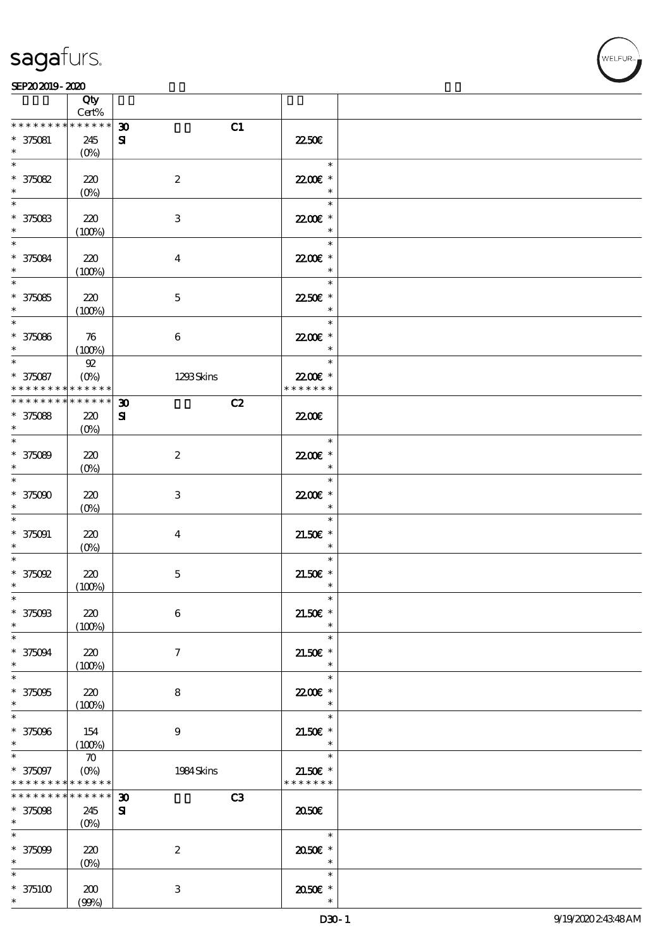

|                                                                    | Qty<br>Cert%                                       |                                               |                                       |  |
|--------------------------------------------------------------------|----------------------------------------------------|-----------------------------------------------|---------------------------------------|--|
| * * * * * * * *                                                    | * * * * * *                                        | C1<br>$\boldsymbol{\mathfrak{D}}$             |                                       |  |
| $* 375081$<br>$\ast$                                               | 245<br>$(0\%)$                                     | ${\bf s}$                                     | 2250E                                 |  |
| $\ast$<br>$* 375082$<br>$\ast$                                     | 220<br>$(0\%)$                                     | $\boldsymbol{2}$                              | $\ast$<br>22.00E *<br>$\ast$          |  |
| $\ast$<br>$* 375083$<br>$\ast$                                     | 220<br>(100%)                                      | $\,3\,$                                       | $\ast$<br>22.00E *<br>$\ast$          |  |
| $\ast$<br>$* 375084$<br>$\ast$                                     | 220<br>(100%)                                      | $\boldsymbol{4}$                              | $\ast$<br>22.00E *<br>$\ast$          |  |
| $\overline{\phantom{0}}$<br>$* 375085$<br>$\ast$                   | 220<br>(100%)                                      | $\mathbf 5$                                   | $\ast$<br>2250E *<br>$\ast$           |  |
| $\overline{\phantom{0}}$<br>$* 375086$<br>$\ast$                   | 76<br>(100%)                                       | $\boldsymbol{6}$                              | $\ast$<br>22.00E *<br>$\ast$          |  |
| $\ast$<br>$* 375087$<br>* * * * * * * *                            | $92\,$<br>$(O\!\!\!\!\!\!\!/\,\!o)$<br>* * * * * * | 1293Skins                                     | $\ast$<br>22.00€ *<br>* * * * * * *   |  |
| * * * * * * * * * * * * * *                                        |                                                    | $\boldsymbol{\mathfrak{D}}$<br>C2             |                                       |  |
| $* 375088$<br>$\ast$                                               | 220<br>(O <sub>0</sub> )                           | ${\bf s}$                                     | <b>2200</b> €                         |  |
| $\ast$<br>$* 375089$<br>$\ast$                                     | 220<br>$(0\%)$                                     | $\boldsymbol{2}$                              | $\ast$<br>22.00€ *<br>$\ast$          |  |
| $\ast$<br>$* 375000$<br>$\ast$                                     | 220<br>$(O\%)$                                     | $\,3$                                         | $\ast$<br>22.00€ *<br>$\ast$          |  |
| $\ast$<br>$* 375091$<br>$\ast$                                     | 220<br>$(0\%)$                                     | $\bf{4}$                                      | $\ast$<br>$21.50E$ *<br>$\ast$        |  |
| $\ast$<br>$*$ 375092<br>$\ast$                                     | 220<br>(100%)                                      | $\mathbf 5$                                   | $\ast$<br>$21.50E$ *<br>$\ast$        |  |
| $\ast$<br>$* 375003$<br>$\ast$                                     | 220<br>(100%)                                      | 6                                             | $\ast$<br>$21.50E$ *<br>$\ast$        |  |
| $\ast$<br>$* 375094$<br>$\ast$                                     | 220<br>(100%)                                      | $\boldsymbol{\tau}$                           | $\ast$<br>$21.50E$ *<br>$\ast$        |  |
| $\ast$<br>$* 375095$<br>$\ast$                                     | 220<br>(100%)                                      | 8                                             | $\ast$<br>22.00 £*<br>$\ast$          |  |
| $\ast$<br>$* 375096$<br>$\ast$                                     | 154<br>(100%)                                      | 9                                             | $\ast$<br>$21.50E$ *<br>$\ast$        |  |
| $\ast$<br>$* 375097$<br>* * * * * * * * <mark>* * * * * *</mark> * | $\boldsymbol{\pi}$<br>$(0\%)$                      | 1984 Skins                                    | $\ast$<br>$21.50E$ *<br>* * * * * * * |  |
| * * * * * * * *                                                    | * * * * * *                                        | C <sub>3</sub><br>$\boldsymbol{\mathfrak{D}}$ |                                       |  |
| $* 375098$<br>$*$ and $*$                                          | 245<br>$(O\%)$                                     | $\mathbf{S}$                                  | ææ                                    |  |
| $\ast$                                                             |                                                    |                                               | $\ast$                                |  |
| $* 375009$<br>$\ast$                                               | 220<br>$(0\%)$                                     | $\boldsymbol{2}$                              | 2050E *<br>$\ast$                     |  |
| $\ast$                                                             |                                                    |                                               | $\ast$                                |  |
| $*375100$<br>$\ast$                                                | 200<br>(90%)                                       | 3                                             | 2050E *<br>$\ast$                     |  |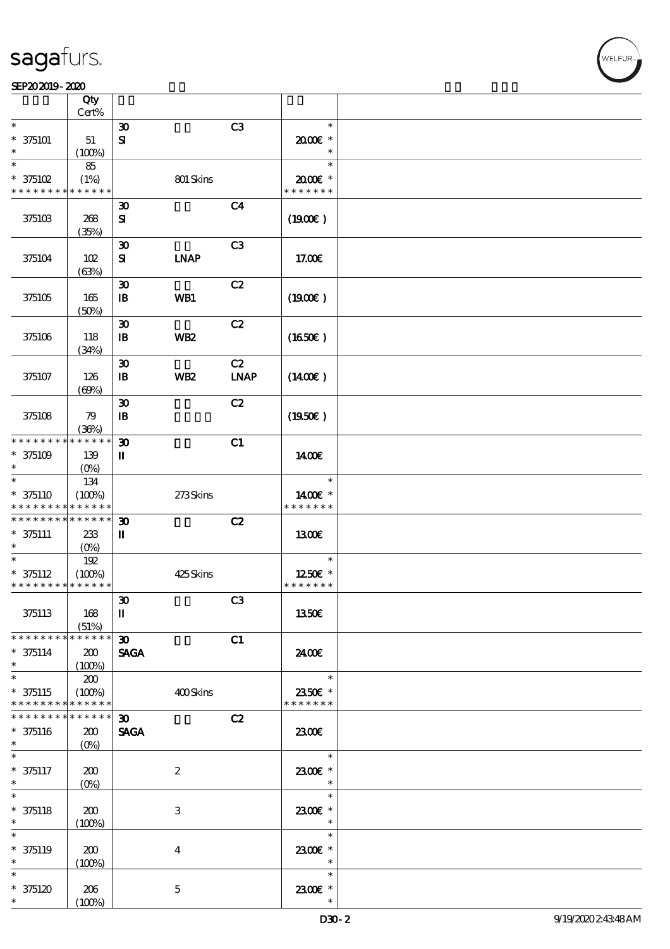|                                                        | Qty                      |                                             |                         |                |                          |  |
|--------------------------------------------------------|--------------------------|---------------------------------------------|-------------------------|----------------|--------------------------|--|
| $\ast$                                                 | Cert%                    |                                             |                         | C3             | $\ast$                   |  |
| $* 375101$                                             | $51\,$                   | $\boldsymbol{\mathfrak{D}}$<br>${\bf s}$    |                         |                | $2000$ $*$               |  |
| $\ast$                                                 | (100%)                   |                                             |                         |                | $\ast$                   |  |
| $\ast$                                                 | 85                       |                                             |                         |                | $\ast$                   |  |
| $*$ 375102                                             | (1%)                     |                                             | 801 Skins               |                | 2000E*                   |  |
| * * * * * * * *                                        | * * * * * *              |                                             |                         |                | * * * * * * *            |  |
|                                                        |                          | $\boldsymbol{\mathfrak{D}}$                 |                         | C <sub>4</sub> |                          |  |
| 375103                                                 | 268                      | ${\bf s}$                                   |                         |                | (1900E)                  |  |
|                                                        | (35%)                    |                                             |                         |                |                          |  |
| 375104                                                 | 102                      | $\boldsymbol{\mathfrak{D}}$<br>${\bf s}$    | <b>INAP</b>             | C3             | 17.00E                   |  |
|                                                        | (63%)                    |                                             |                         |                |                          |  |
|                                                        |                          | $\boldsymbol{\mathfrak{D}}$                 |                         | C2             |                          |  |
| 375105                                                 | 165                      | $\mathbf{B}$                                | WB1                     |                | (1900E)                  |  |
|                                                        | (50%)                    |                                             |                         |                |                          |  |
|                                                        |                          | $\boldsymbol{\mathfrak{D}}$                 |                         | C2             |                          |  |
| 375106                                                 | 118                      | $\mathbf{B}$                                | WB <sub>2</sub>         |                | $(1650\epsilon)$         |  |
|                                                        | (34%)                    |                                             |                         | C2             |                          |  |
| 375107                                                 | 126                      | $\boldsymbol{\mathfrak{D}}$<br>$\mathbf{B}$ | <b>WB2</b>              | <b>LNAP</b>    | $(1400\varepsilon)$      |  |
|                                                        | (69%)                    |                                             |                         |                |                          |  |
|                                                        |                          | $\boldsymbol{\mathfrak{D}}$                 |                         | C2             |                          |  |
| 375108                                                 | 79                       | $\mathbf{B}$                                |                         |                | (1950E)                  |  |
|                                                        | (36%)                    |                                             |                         |                |                          |  |
| * * * * * * * *                                        | * * * * * *              | $\boldsymbol{\mathfrak{D}}$                 |                         | C1             |                          |  |
| $* 375109$                                             | 139                      | П                                           |                         |                | 1400E                    |  |
| $\ast$<br>$\ast$                                       | (O <sub>0</sub> )<br>134 |                                             |                         |                | $\ast$                   |  |
| $* 375110$                                             | (100%)                   |                                             | 273Skins                |                | 1400€ *                  |  |
| * * * * * * * *                                        | * * * * * *              |                                             |                         |                | * * * * * * *            |  |
| * * * * * * * * <mark>* * * * * *</mark>               |                          | $\boldsymbol{\mathfrak{D}}$                 |                         | C2             |                          |  |
| $* 375111$                                             | 233                      | П                                           |                         |                | 1300E                    |  |
| *                                                      | $(O\!/\!o)$              |                                             |                         |                |                          |  |
| $\ast$                                                 | 192                      |                                             |                         |                | $\ast$                   |  |
| $* 375112$<br>* * * * * * * * <mark>* * * * * *</mark> | (100%)                   |                                             | 425Skins                |                | 1250E *<br>* * * * * * * |  |
|                                                        |                          | $\boldsymbol{\mathfrak{D}}$                 |                         | C3             |                          |  |
| 375113                                                 | 168                      | $\mathbf I$                                 |                         |                | 1350€                    |  |
|                                                        | (51%)                    |                                             |                         |                |                          |  |
| * * * * * * * *                                        | ******                   | $\boldsymbol{\mathfrak{D}}$                 |                         | C1             |                          |  |
| $* 375114$                                             | 200                      | <b>SAGA</b>                                 |                         |                | 2400E                    |  |
| $\ast$<br>$\ast$                                       | (100%)                   |                                             |                         |                | $\ast$                   |  |
| $* 375115$                                             | 200                      |                                             |                         |                |                          |  |
| * * * * * * * *                                        | (100%)<br>* * * * * *    |                                             | 400Skins                |                | 2350E *<br>* * * * * * * |  |
| * * * * * * * *                                        | * * * * * *              | 30 <sub>1</sub>                             |                         | C2             |                          |  |
| $* 375116$                                             | 200                      | <b>SAGA</b>                                 |                         |                | 2300E                    |  |
| $\ast$                                                 | $(O\%)$                  |                                             |                         |                |                          |  |
| $\ast$                                                 |                          |                                             |                         |                | $\ast$                   |  |
| $* 375117$                                             | 200                      |                                             | $\boldsymbol{2}$        |                | 2300€ *                  |  |
| $\ast$<br>$\ast$                                       | $(0\%)$                  |                                             |                         |                | $\ast$<br>$\ast$         |  |
| $* 375118$                                             | 200                      |                                             | 3                       |                | 2300E *                  |  |
| $\ast$                                                 | (100%)                   |                                             |                         |                | $\ast$                   |  |
| $\ast$                                                 |                          |                                             |                         |                | $\ast$                   |  |
| $* 375119$                                             | 200                      |                                             | $\overline{\mathbf{4}}$ |                | 2300E *                  |  |
| $\ast$                                                 | (100%)                   |                                             |                         |                | $\ast$                   |  |
| $\ast$                                                 |                          |                                             |                         |                | $\ast$                   |  |
| $*375120$                                              | 206                      |                                             | $\mathbf 5$             |                | 2300E *                  |  |
| $\ast$                                                 | (100%)                   |                                             |                         |                | $\ast$                   |  |

WELFUR-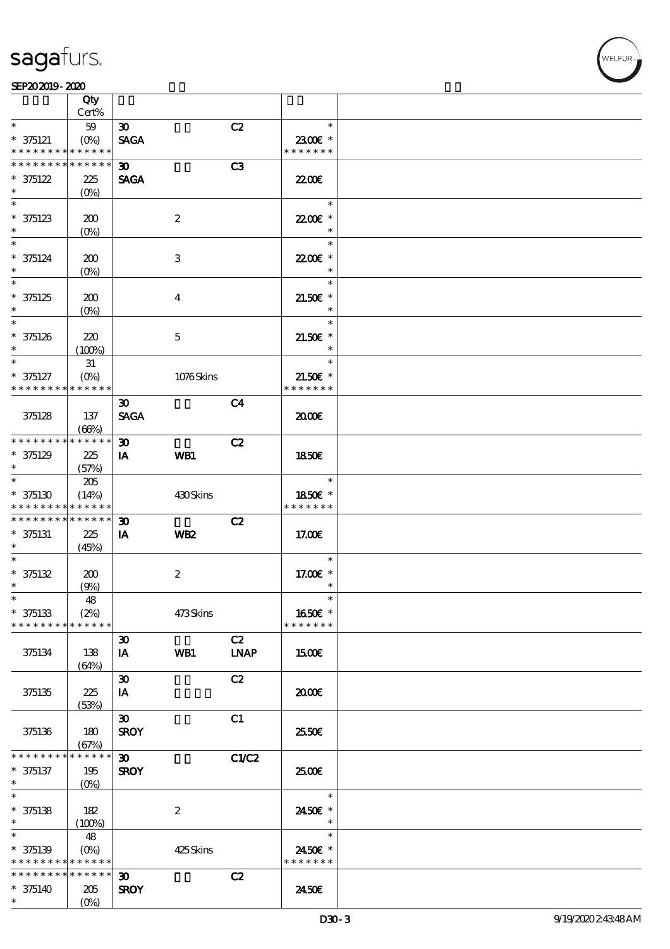## VELFUR

|                                                        | Qty                                               |                             |                  |                |                          |  |
|--------------------------------------------------------|---------------------------------------------------|-----------------------------|------------------|----------------|--------------------------|--|
| $\ast$                                                 | Cert%                                             |                             |                  |                | $\ast$                   |  |
|                                                        | $59\,$                                            | $\boldsymbol{\mathfrak{D}}$ |                  | C2             | 2300€ *                  |  |
| $* 375121$<br>* * * * * * * * * * * * * *              | $(O\!\!\!\!\!\!\!\backslash \!\!\!\!\!\backslash$ | <b>SAGA</b>                 |                  |                | * * * * * * *            |  |
| * * * * * * * * <mark>* * * * * *</mark>               |                                                   | 30 <sub>1</sub>             |                  | C <sub>3</sub> |                          |  |
| $* 375122$                                             | 225                                               | <b>SAGA</b>                 |                  |                | 22.00 <del>€</del>       |  |
| $\ast$                                                 | (O <sub>0</sub> )                                 |                             |                  |                |                          |  |
| $\ast$                                                 |                                                   |                             |                  |                | $\ast$                   |  |
| $* 375123$                                             | 200                                               |                             | $\boldsymbol{2}$ |                | 22.00E *                 |  |
| $\ast$                                                 | $(0\%)$                                           |                             |                  |                | $\ast$                   |  |
| $\ast$                                                 |                                                   |                             |                  |                | $\ast$                   |  |
| $* 375124$                                             | 200                                               |                             | 3                |                | 2200E *                  |  |
| $\ast$                                                 | $(0\%)$                                           |                             |                  |                | $\ast$                   |  |
| $\overline{\ast}$                                      |                                                   |                             |                  |                | $\ast$                   |  |
| $* 375125$                                             | 200                                               |                             | $\bf{4}$         |                | $21.50E$ *               |  |
| $\ast$                                                 | $(O\%)$                                           |                             |                  |                | $\ast$                   |  |
| $\ast$                                                 |                                                   |                             |                  |                | $\ast$                   |  |
| $* 375126$                                             | 220                                               |                             | $\mathbf 5$      |                | $21.50E$ *               |  |
| $\ast$                                                 | (100%)                                            |                             |                  |                | $\ast$                   |  |
| $\ast$                                                 | 31                                                |                             |                  |                | $\ast$                   |  |
| $* 375127$                                             | $(O\%)$                                           |                             | 1076Skins        |                | $21.50E$ *               |  |
| * * * * * * * *                                        | * * * * * *                                       |                             |                  |                | * * * * * * *            |  |
|                                                        |                                                   | $\boldsymbol{\mathfrak{D}}$ |                  | C <sub>4</sub> |                          |  |
| 375128                                                 | 137                                               | <b>SAGA</b>                 |                  |                | 2000                     |  |
| * * * * * * * * * * * * * *                            | (66%)                                             | $\boldsymbol{\mathfrak{D}}$ |                  | C2             |                          |  |
| $* 375129$                                             | 225                                               | IA                          | WB1              |                | 1850E                    |  |
| $\ast$                                                 | (57%)                                             |                             |                  |                |                          |  |
| $\ast$                                                 | 205                                               |                             |                  |                | $\ast$                   |  |
| $* 375130$                                             | (14%)                                             |                             | 430Skins         |                | 1850€ *                  |  |
| * * * * * * * * * * * * * *                            |                                                   |                             |                  |                | * * * * * * *            |  |
| * * * * * * * * * * * * * *                            |                                                   | $\boldsymbol{\mathfrak{D}}$ |                  | C2             |                          |  |
| $* 375131$                                             | 225                                               | IA                          | WB <sub>2</sub>  |                | 17.00E                   |  |
| $*$                                                    | (45%)                                             |                             |                  |                |                          |  |
| $\ast$                                                 |                                                   |                             |                  |                | $\ast$                   |  |
| $* 375132$                                             | 200                                               |                             | $\boldsymbol{2}$ |                | 17.00 £*                 |  |
| $\ast$                                                 | (9%)                                              |                             |                  |                | $\ast$                   |  |
| $*$                                                    | 48                                                |                             |                  |                | $\ast$                   |  |
| $* 375133$                                             | (2%)<br>* * * * * *                               |                             | 473Skins         |                | 1650€ *<br>* * * * * * * |  |
| * * * * * * * *                                        |                                                   |                             |                  | C2             |                          |  |
|                                                        |                                                   | $\boldsymbol{\mathfrak{D}}$ |                  |                |                          |  |
| 375134                                                 | 138                                               | IA                          | WB1              | <b>LNAP</b>    | 1500E                    |  |
|                                                        | (64%)                                             | $\boldsymbol{\mathfrak{D}}$ |                  | C2             |                          |  |
| 375135                                                 | 225                                               | IA                          |                  |                | æœ                       |  |
|                                                        | (53%)                                             |                             |                  |                |                          |  |
|                                                        |                                                   | $\boldsymbol{\mathfrak{D}}$ |                  | C1             |                          |  |
| 375136                                                 | 180                                               | <b>SROY</b>                 |                  |                | 25.50E                   |  |
|                                                        | (67%)                                             |                             |                  |                |                          |  |
| * * * * * * * *                                        | * * * * * *                                       | $\boldsymbol{\mathfrak{D}}$ |                  | C1/C2          |                          |  |
| $* 375137$                                             | 195                                               | <b>SROY</b>                 |                  |                | 2500€                    |  |
| $*$                                                    | $(O_0)$                                           |                             |                  |                |                          |  |
| $\overline{\ast}$                                      |                                                   |                             |                  |                | $\ast$                   |  |
| $* 375138$                                             | 182                                               |                             | $\boldsymbol{2}$ |                | 2450€ *                  |  |
| $\ast$<br>$\ast$                                       | (100%)                                            |                             |                  |                | $\ast$<br>$\ast$         |  |
|                                                        | 48                                                |                             |                  |                |                          |  |
| $* 375139$<br>* * * * * * * * <mark>* * * * * *</mark> |                                                   |                             | 425Skins         |                | 2450E *<br>* * * * * * * |  |
| * * * * * * * *                                        | * * * * * *                                       | $\boldsymbol{\mathfrak{D}}$ |                  | C2             |                          |  |
| $* 375140$                                             | 205                                               | <b>SROY</b>                 |                  |                | 2450E                    |  |
| $\ast$                                                 | (O <sub>0</sub> )                                 |                             |                  |                |                          |  |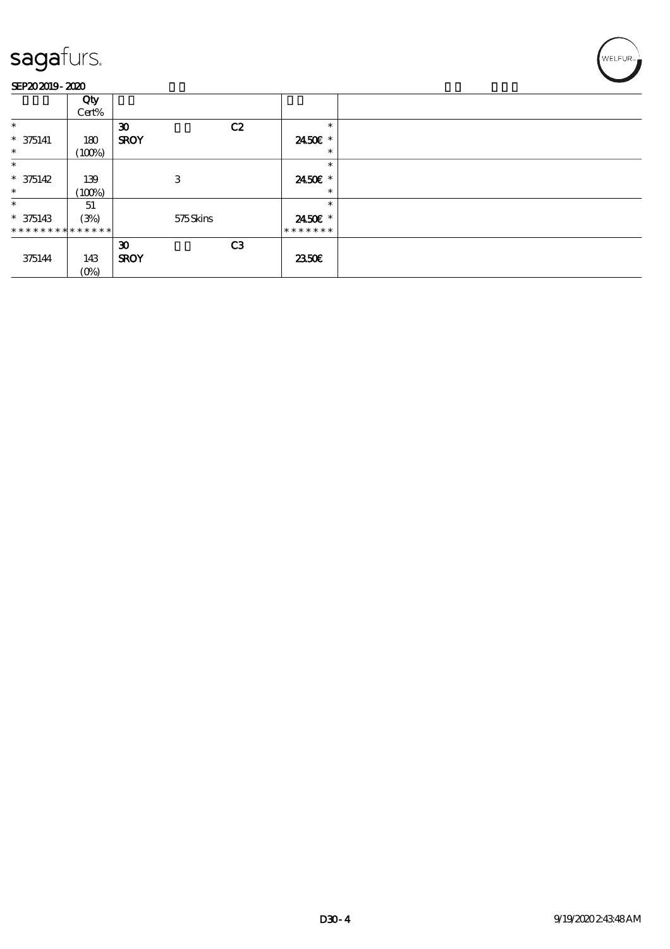

|                | Qty     |                             |                |               |  |
|----------------|---------|-----------------------------|----------------|---------------|--|
|                | Cert%   |                             |                |               |  |
| $\ast$         |         | $\boldsymbol{\mathfrak{D}}$ | C2             | $\ast$        |  |
| $* 375141$     | 180     | <b>SROY</b>                 |                | 2450€ *       |  |
| $\ast$         | (100%)  |                             |                | $\ast$        |  |
| $\ast$         |         |                             |                | $\ast$        |  |
| $* 375142$     | 139     | 3                           |                | 2450€ *       |  |
| $\ast$         | (100%)  |                             |                | $\ast$        |  |
| $\ast$         | 51      |                             |                | $\ast$        |  |
| $* 375143$     | (3%)    | 575Skins                    |                | 2450€ *       |  |
| ************** |         |                             |                | * * * * * * * |  |
|                |         | $\boldsymbol{\mathfrak{D}}$ | C <sub>3</sub> |               |  |
| 375144         | 143     | <b>SROY</b>                 |                | 2350E         |  |
|                | $(0\%)$ |                             |                |               |  |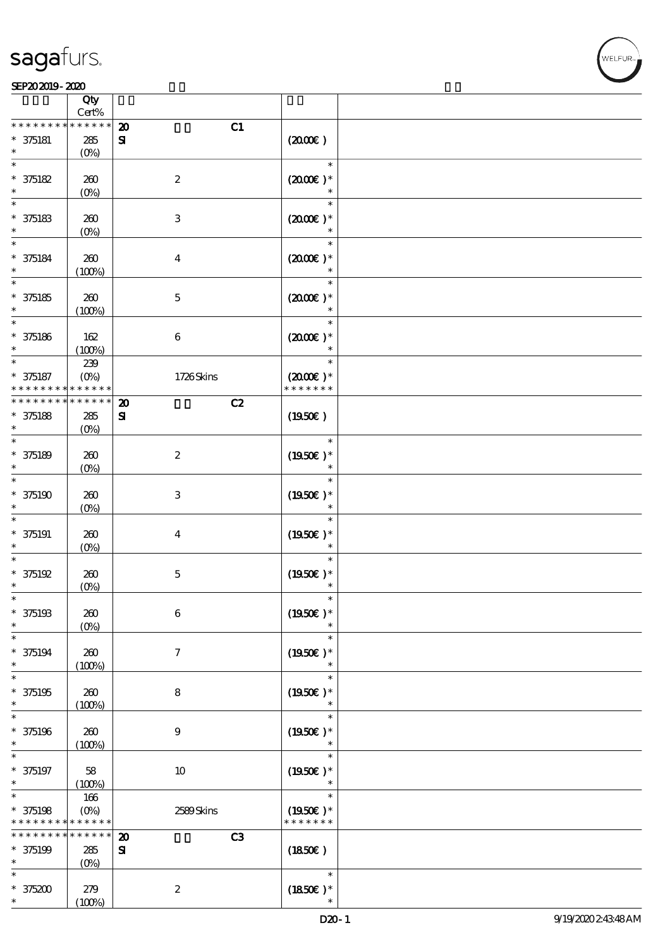### SEP202019-2020

|                               | Qty<br>Cert%               |                                   |                                |  |
|-------------------------------|----------------------------|-----------------------------------|--------------------------------|--|
| * * * * * * *                 | * * * * * *                | C1<br>$\boldsymbol{\mathfrak{D}}$ |                                |  |
| $* 375181$                    | 285<br>(O <sub>0</sub> )   | $\mathbf{S}$                      | (200E)                         |  |
| $\ast$                        |                            |                                   | $\ast$                         |  |
| $* 375182$<br>$\ast$          | 260<br>$(0\%)$             | $\boldsymbol{2}$                  | $(2000\varepsilon)*$<br>$\ast$ |  |
| $\overline{\ast}$             |                            |                                   | $\ast$                         |  |
| $* 375183$<br>$\ast$          | 260<br>$(0\%)$             | $\ensuremath{\mathbf{3}}$         | $(2000\varepsilon)*$           |  |
| $\ast$<br>$* 375184$          | $200$                      | $\boldsymbol{4}$                  | $\ast$<br>$(2000)$ *           |  |
| $\ast$                        | (100%)                     |                                   |                                |  |
| $\ast$                        |                            |                                   | $\ast$                         |  |
| $* 375185$<br>$\ast$          | 260<br>(100%)              | $\mathbf 5$                       | $(2000\varepsilon)*$<br>$\ast$ |  |
| $\ast$                        |                            |                                   | $\ast$                         |  |
| $* 375186$<br>$\ast$          | 162<br>(100%)              | $\boldsymbol{6}$                  | $(2000\varepsilon)*$<br>$\ast$ |  |
| $\ast$                        | 239                        |                                   | $\ast$                         |  |
| $* 375187$<br>* * * * * * * * | $(O\!/\!o)$<br>* * * * * * | 1726Skins                         | $(2000)$ *<br>* * * * * * *    |  |
| * * * * * * * *               | $* * * * * * *$            | C2<br>$\boldsymbol{\mathbf{z}}$   |                                |  |
| $* 375188$                    | 285                        | ${\bf s}$                         | $(1950\epsilon)$               |  |
| $\ast$                        |                            |                                   |                                |  |
| $\ast$                        | $(O\%)$                    |                                   |                                |  |
|                               |                            |                                   | $\ast$                         |  |
| $* 375189$                    | 260                        | $\boldsymbol{2}$                  | $(1950\text{E})*$              |  |
| $\ast$                        | (O <sub>0</sub> )          |                                   | $\ast$                         |  |
| $\ast$                        |                            |                                   |                                |  |
| $*375190$                     | $200$                      | $\ensuremath{\mathsf{3}}$         | $(1950E)*$                     |  |
| $\ast$                        | $(0\%)$                    |                                   |                                |  |
| $\ast$                        |                            |                                   | $\ast$                         |  |
| $* 375191$                    | 260                        | $\boldsymbol{4}$                  | $(1950E)*$                     |  |
| $\ast$                        | $(O\%)$                    |                                   | $\ast$                         |  |
| $\ast$                        |                            |                                   | $\ast$                         |  |
| $* 375192$                    | 260                        | $\mathbf 5$                       | $(1950E)*$                     |  |
| $\ast$                        | $(0\%)$                    |                                   | $\ast$                         |  |
| $\ast$                        |                            |                                   | $\ast$                         |  |
| $* 375193$                    | $200$                      | $\bf 6$                           | $(1950)$ *                     |  |
| $\ast$                        | $(0\%)$                    |                                   |                                |  |
| $\ast$                        |                            |                                   | $\ast$                         |  |
| $* 375194$                    | 260                        | $\tau$                            | $(1950E)*$                     |  |
| $\ast$                        | (100%)                     |                                   | $\ast$                         |  |
| $\ast$                        |                            |                                   | $\ast$                         |  |
| * 375195                      | 260                        | 8                                 | $(1950E)*$                     |  |
| $\ast$                        |                            |                                   | $\ast$                         |  |
| $\ast$                        | (100%)                     |                                   | $\ast$                         |  |
|                               |                            |                                   |                                |  |
| * 375196                      | 260                        | 9                                 | $(1950E)*$                     |  |
| $\ast$                        | (100%)                     |                                   |                                |  |
| $\ast$                        |                            |                                   | $\ast$                         |  |
| $* 375197$                    | 58                         | 10                                | $(1950E)*$                     |  |
| $\ast$                        | (100%)                     |                                   | $\ast$                         |  |
| $\ast$                        | 166                        |                                   | $\ast$                         |  |
| * 375198                      | $(O\!/\!o)$                | 2589Skins                         | $(1950)$ *                     |  |
| * * * * * * * *               | * * * * * *                |                                   | * * * * * * *                  |  |
| * * * * * * *                 | * * * * * *                | C3<br>$\boldsymbol{\mathbf{z}}$   |                                |  |
| * 375199                      | ${\bf 285}$                | ${\bf s}$                         | (1850)                         |  |
| $\ast$                        | (O <sub>0</sub> )          |                                   |                                |  |
| $\ast$                        |                            |                                   | $\ast$                         |  |
| $* 375200$                    | 279                        | $\boldsymbol{2}$                  | $(1850)$ *                     |  |
| $\ast$                        | (100%)                     |                                   |                                |  |

VELFUR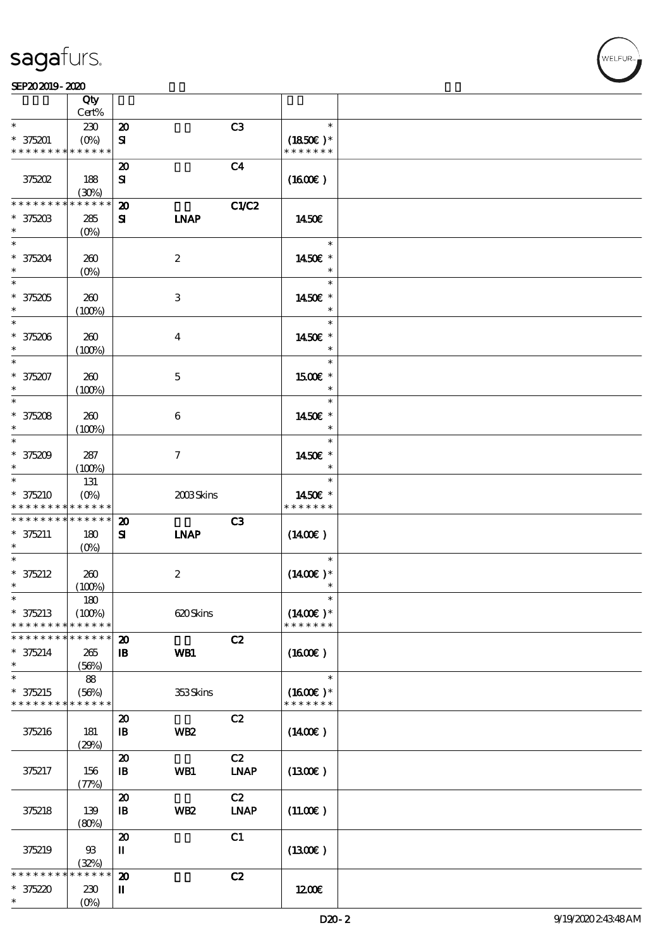### $SEP202019 - 2020$

|                               | Qty<br>Cert%           |                                            |                  |                   |                          |  |
|-------------------------------|------------------------|--------------------------------------------|------------------|-------------------|--------------------------|--|
| $\ast$                        | 230                    | $\boldsymbol{\mathbf{z}}$                  |                  | C3                | $\ast$                   |  |
| $* 375201$                    | $(O\%)$                | ${\bf s}$                                  |                  |                   | $(1850)$ *               |  |
| * * * * * * * *               | * * * * * *            |                                            |                  |                   | * * * * * * *            |  |
|                               |                        | $\boldsymbol{\boldsymbol{\lambda}}$        |                  | C <sub>4</sub>    |                          |  |
| 375202                        | 188                    | ${\bf s}$                                  |                  |                   | (1600)                   |  |
|                               | (30%)                  |                                            |                  |                   |                          |  |
| * * * * * * * *               | * * * * * *            | $\boldsymbol{\mathbf{z}}$                  |                  | C1/C2             |                          |  |
| $* 37520B$                    | 285                    | ${\bf s}$                                  | <b>INAP</b>      |                   | 1450E                    |  |
| $\ast$                        | $(O\%)$                |                                            |                  |                   |                          |  |
| $\overline{\ast}$             |                        |                                            |                  |                   | $\ast$                   |  |
| $* 375204$                    | 260                    |                                            | $\boldsymbol{2}$ |                   | 1450€ *                  |  |
| $\ast$                        | $(O\%)$                |                                            |                  |                   | $\ast$                   |  |
| $\overline{\phantom{0}}$      |                        |                                            |                  |                   | $\ast$                   |  |
| $* 375205$                    | 260                    |                                            | 3                |                   | 1450€ *                  |  |
| $\ast$                        | (100%)                 |                                            |                  |                   | $\ast$                   |  |
| $*$                           |                        |                                            |                  |                   | $\ast$                   |  |
| $* 375206$                    | 260                    |                                            | $\bf{4}$         |                   | 1450€ *                  |  |
| $\ast$                        | (100%)                 |                                            |                  |                   | $\ast$                   |  |
| $\ast$                        |                        |                                            |                  |                   | $\ast$                   |  |
| $* 375207$                    | 260                    |                                            | $\mathbf{5}$     |                   | 1500E *                  |  |
| $\ast$                        | (100%)                 |                                            |                  |                   | $\ast$                   |  |
| $\ast$                        |                        |                                            |                  |                   | $\ast$                   |  |
| $* 375208$                    | 260                    |                                            | 6                |                   | 1450€ *                  |  |
| $\ast$                        | (100%)                 |                                            |                  |                   | $\ast$                   |  |
| $\overline{\ast}$             |                        |                                            |                  |                   | $\ast$                   |  |
| $* 375209$                    | 287                    |                                            | $\tau$           |                   | 1450€ *                  |  |
| $\ast$                        | (100%)                 |                                            |                  |                   | $\ast$                   |  |
| $\ast$                        | 131                    |                                            |                  |                   | $\ast$                   |  |
| $* 375210$<br>* * * * * * * * | $(O\%)$<br>* * * * * * |                                            | 2008Skins        |                   | 1450€ *<br>* * * * * * * |  |
|                               |                        |                                            |                  |                   |                          |  |
|                               |                        |                                            |                  |                   |                          |  |
| * * * * * * * *               | * * * * * *            | $\boldsymbol{\mathbf{z}}$                  |                  | C3                |                          |  |
| $* 375211$                    | 180                    | ${\bf s}$                                  | <b>INAP</b>      |                   | $(1400\varepsilon)$      |  |
| $\ast$<br>$\ast$              | $(O\!/\!o)$            |                                            |                  |                   | $\ast$                   |  |
|                               |                        |                                            |                  |                   |                          |  |
| $* 375212$<br>$\ast$          | 260                    |                                            | $\boldsymbol{2}$ |                   | $(1400E)*$<br>$\ast$     |  |
| $\ast$                        | (100%)<br>180          |                                            |                  |                   | $\ast$                   |  |
| $* 375213$                    | (100%)                 |                                            | 620Skins         |                   | $(1400E)^*$              |  |
| * * * * * * * *               | * * * * * *            |                                            |                  |                   | * * * * * * *            |  |
| * * * * * * * *               | * * * * * *            | $\boldsymbol{\mathbf{z}}$                  |                  | C2                |                          |  |
| $* 375214$                    | 265                    | $\mathbf{B}$                               | WB1              |                   | (1600)                   |  |
| $\ast$                        | (56%)                  |                                            |                  |                   |                          |  |
| $\ast$                        | 88                     |                                            |                  |                   | $\ast$                   |  |
| $* 375215$                    | (56%)                  |                                            | 353Skins         |                   | $(1600E)*$               |  |
| * * * * * * * *               | * * * * * *            |                                            |                  |                   | * * * * * * *            |  |
|                               |                        | $\boldsymbol{\mathfrak{D}}$                |                  | C2                |                          |  |
| 375216                        | 181                    | $\mathbf{B}$                               | WB <sub>2</sub>  |                   | (1400E)                  |  |
|                               | (29%)                  |                                            |                  |                   |                          |  |
|                               |                        | $\boldsymbol{\mathbf{z}}$                  |                  | C2                |                          |  |
| 375217                        | 156                    | $\, {\bf I} \! {\bf B} \,$                 | WB1              | <b>LNAP</b>       | $(1300\varepsilon)$      |  |
|                               | (77%)                  |                                            |                  |                   |                          |  |
| 375218                        | 139                    | $\boldsymbol{\mathsf{20}}$<br>$\mathbf{B}$ | WB <sub>2</sub>  | C2<br><b>LNAP</b> | (11.00)                  |  |
|                               | (80%)                  |                                            |                  |                   |                          |  |
|                               |                        | $\boldsymbol{\mathfrak{D}}$                |                  | C1                |                          |  |
| 375219                        | $93$                   | П                                          |                  |                   | (1300E)                  |  |
|                               | (32%)                  |                                            |                  |                   |                          |  |
| * * * * * *                   | * * * * *              | $\boldsymbol{\mathsf{20}}$                 |                  | C2                |                          |  |
| $* 375220$<br>$\ast$          | 230<br>$(O\%)$         | П                                          |                  |                   | 1200E                    |  |

WELFUR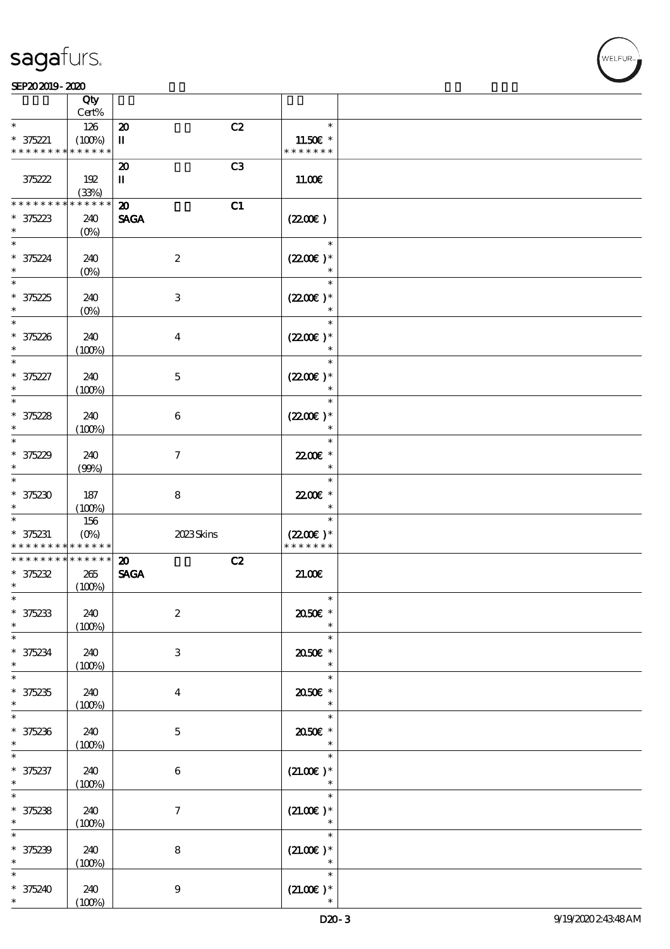$\top$ 



|                                                                    | Qty                              |                                                  |                                                 |  |
|--------------------------------------------------------------------|----------------------------------|--------------------------------------------------|-------------------------------------------------|--|
| $\ast$                                                             | Cert%<br>126                     | C2                                               | $\ast$                                          |  |
| $* 375221$<br>* * * * * * * *                                      | (100%)<br>* * * * * *            | $\boldsymbol{\mathsf{20}}$<br>$\mathbf{I}$       | 11.50 $\varepsilon$ *<br>* * * * * * *          |  |
|                                                                    |                                  | C <sub>3</sub><br>$\boldsymbol{\mathbf{z}}$      |                                                 |  |
| 375222                                                             | 192<br>(33%)                     | П                                                | 11.00E                                          |  |
| * * * * * * * *                                                    | * * * * * *                      | C1<br>$\boldsymbol{\mathbf{z}}$                  |                                                 |  |
| $* 375223$<br>$\ast$                                               | 240<br>$(O\%)$                   | <b>SAGA</b>                                      | (220E)                                          |  |
| $\ast$<br>$* 375224$<br>$\ast$                                     | 240<br>$(O\!/\!\!\delta)$        | $\boldsymbol{2}$                                 | $\ast$<br>$(2200)$ *                            |  |
| $\overline{\ast}$<br>$* 375225$<br>$\ast$                          | 240<br>$(0\%)$                   | $\,3\,$                                          | $\ast$<br>$(220E)^*$<br>$\ast$                  |  |
| $\ast$<br>$* 375226$<br>$\ast$                                     | 240<br>(100%)                    | $\bf{4}$                                         | $\ast$<br>$(2200\varepsilon)*$<br>$\ast$        |  |
| $\ast$<br>$* 375227$<br>$\ast$                                     | 240<br>(100%)                    | $\mathbf 5$                                      | $\ast$<br>$(2200\varepsilon)*$<br>$\ast$        |  |
| $\ast$<br>$* 375228$<br>$\ast$                                     | 240<br>(100%)                    | $\boldsymbol{6}$                                 | $\ast$<br>$(220E)^*$<br>$\ast$                  |  |
| $\ast$<br>$* 375229$<br>$\ast$                                     | 240<br>(90%)                     | $\tau$                                           | $\ast$<br>22.00 £*<br>$\ast$                    |  |
| $\ast$<br>$* 375230$                                               | 187<br>(100%)                    | 8                                                | $\ast$<br>22.00E *<br>$\ast$                    |  |
| $\ast$<br>$* 375231$<br>* * * * * * * * <mark>* * * * * *</mark> * | 156<br>$(O\!/\!o)$               | 2023Skins                                        | $\ast$<br>$(2200\varepsilon)*$<br>* * * * * * * |  |
| * * * * * * * *<br>$* 375232$<br>$\ast$                            | $* * * * * * *$<br>265<br>(100%) | C2<br>$\boldsymbol{\mathfrak{D}}$<br><b>SAGA</b> | 21.00E                                          |  |
| $\ast$<br>$* 375233$                                               | 240<br>(100%)                    | $\boldsymbol{2}$                                 | $\ast$<br>2050€ *                               |  |
| $\ast$<br>$* 375234$<br>$\ast$                                     | 240<br>(100%)                    | 3                                                | $\ast$<br>$2050$ $\epsilon$ *<br>$\ast$         |  |
| $\ast$<br>$* 375235$<br>$\ast$                                     | 240<br>(100%)                    | $\boldsymbol{4}$                                 | $\ast$<br>2050E *<br>$\ast$                     |  |
| $\ast$<br>$* 375236$<br>$\ast$                                     | 240<br>(100%)                    | $\mathbf{5}$                                     | $\ast$<br>2050E *<br>$\ast$                     |  |
| $* 375237$<br>$\ast$                                               | 240<br>(100%)                    | $\bf 6$                                          | $\ast$<br>$(21.00)$ *<br>$\ast$                 |  |
| $\ast$<br>$* 375238$<br>$\ast$                                     | 240<br>(100%)                    | $\boldsymbol{7}$                                 | $\ast$<br>$(21.00)$ *<br>$\ast$                 |  |
| $\ast$<br>$* 375239$<br>$\ast$                                     | 240<br>(100%)                    | $\bf 8$                                          | $\ast$<br>$(21.00)$ *<br>$\ast$                 |  |
| $* 375240$<br>$\ast$                                               | 240<br>(100%)                    | $\bf{9}$                                         | $\ast$<br>$(21.00\epsilon)*$                    |  |

 $\overline{\mathbf{r}}$ 

WELFUR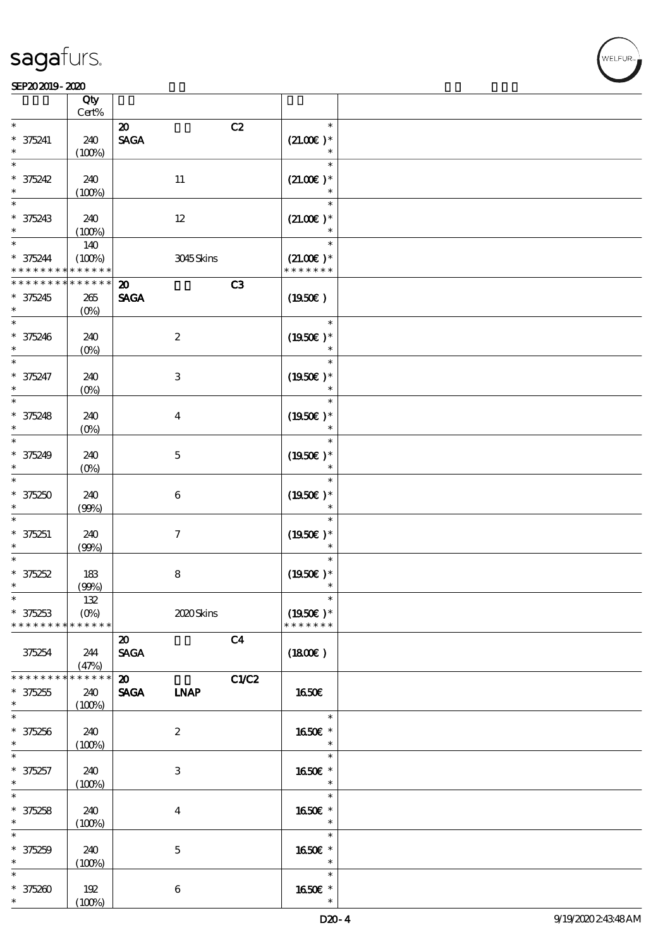|                                    | Qty<br>$Cert\%$       |                                           |                  |                |                              |  |
|------------------------------------|-----------------------|-------------------------------------------|------------------|----------------|------------------------------|--|
| $\ast$                             |                       |                                           |                  |                |                              |  |
| $* 375241$                         | 240                   | $\boldsymbol{\mathsf{20}}$<br><b>SAGA</b> |                  | C2             | $\ast$<br>$(21.00)$ *        |  |
| $\ast$                             | (100%)                |                                           |                  |                | $\ast$                       |  |
| $\ast$<br>$* 375242$               | 240                   |                                           | $11\,$           |                | $\ast$<br>$(21.00)$ *        |  |
| $\ast$                             | (100%)                |                                           |                  |                | $\ast$                       |  |
| $\ast$                             |                       |                                           |                  |                | $\ast$                       |  |
| $* 375243$                         | 240                   |                                           | $12\,$           |                | $(21.00)$ *                  |  |
| $\ast$                             | (100%)                |                                           |                  |                | $\ast$                       |  |
| $\ast$                             | 140                   |                                           |                  |                | $\ast$                       |  |
| $* 375244$                         | (100%)<br>* * * * * * |                                           | 3045Skins        |                | $(21.00)$ *<br>* * * * * * * |  |
| * * * *<br>* * * * * * *           | * * * * * *           |                                           |                  |                |                              |  |
|                                    |                       | $\boldsymbol{\mathfrak{D}}$               |                  | C3             |                              |  |
| $* 375245$<br>$\ast$               | 265                   | <b>SAGA</b>                               |                  |                | (1950)                       |  |
| $\ast$                             | $(0\%)$               |                                           |                  |                | $\ast$                       |  |
|                                    | 240                   |                                           | $\boldsymbol{2}$ |                | $(1950E)*$                   |  |
| $* 375246$<br>$\ast$               | $(0\%)$               |                                           |                  |                |                              |  |
| $\overline{\ast}$                  |                       |                                           |                  |                | $\ast$                       |  |
| $* 375247$                         | 240                   |                                           | $\,3\,$          |                | $(1950)$ *                   |  |
| $\ast$                             | $(0\%)$               |                                           |                  |                | $\ast$                       |  |
| $\ast$                             |                       |                                           |                  |                | $\ast$                       |  |
| $* 375248$                         | 240                   |                                           | $\bf{4}$         |                | $(1950E)*$                   |  |
| $\ast$                             | $(0\%)$               |                                           |                  |                | $\ast$                       |  |
| $\ast$                             |                       |                                           |                  |                | $\ast$                       |  |
| $* 375249$                         | 240                   |                                           | $\mathbf 5$      |                | $(1950)$ *                   |  |
| $\ast$                             | $(0\%)$               |                                           |                  |                | $\ast$                       |  |
| $\ast$                             |                       |                                           |                  |                | $\ast$                       |  |
| $* 375250$                         | 240                   |                                           | 6                |                | $(1950)$ *                   |  |
| $\ast$                             | (90%)                 |                                           |                  |                | $\ast$                       |  |
| $\ast$                             |                       |                                           |                  |                | $\ast$                       |  |
| $* 375251$                         | 240                   |                                           | $\tau$           |                | $(1950\epsilon)^*$           |  |
| $\ast$<br>$\ast$                   | (90%)                 |                                           |                  |                |                              |  |
|                                    |                       |                                           |                  |                |                              |  |
| $* 375252$<br>$\ast$               | 183                   |                                           | $\bf 8$          |                | $(1950)$ *                   |  |
| $\ast$                             | (90%)<br>132          |                                           |                  |                |                              |  |
| $* 375253$                         | $(O\%)$               |                                           | 2020 Skins       |                | $(1950E)*$                   |  |
| * * * * * * * *                    | * * * * * *           |                                           |                  |                | * * * * * * *                |  |
|                                    |                       | $\boldsymbol{\mathfrak{D}}$               |                  | C <sub>4</sub> |                              |  |
| 375254                             | 244                   | <b>SAGA</b>                               |                  |                | (1800)                       |  |
|                                    | (47%)                 |                                           |                  |                |                              |  |
| * * * * * * * *                    | * * * * * *           | $\boldsymbol{\mathfrak{D}}$               |                  | C1/C2          |                              |  |
| $* 375255$                         | 240                   | <b>SAGA</b>                               | <b>LNAP</b>      |                | <b>1650€</b>                 |  |
| $*$                                | (100%)                |                                           |                  |                |                              |  |
| $\overline{\phantom{0}}$           |                       |                                           |                  |                | $\ast$                       |  |
| $* 375256$                         | 240                   |                                           | $\boldsymbol{z}$ |                | 1650€ *                      |  |
| $\ast$<br>$\overline{\phantom{0}}$ | (100%)                |                                           |                  |                | $\ast$<br>$\ast$             |  |
|                                    |                       |                                           |                  |                |                              |  |
| $* 375257$<br>$\ast$               | 240                   |                                           | 3                |                | 1650E *<br>$\ast$            |  |
| $\ast$                             | (100%)                |                                           |                  |                | $\ast$                       |  |
| $* 375258$                         | 240                   |                                           | $\bf{4}$         |                | 1650E *                      |  |
| $\ast$                             | (100%)                |                                           |                  |                | $\ast$                       |  |
| $\overline{\phantom{0}}$           |                       |                                           |                  |                | $\ast$                       |  |
| $* 375259$                         | 240                   |                                           | $\mathbf{5}$     |                | 1650E *                      |  |
| $\ast$                             | (100%)                |                                           |                  |                | $\ast$                       |  |
| $\ast$                             |                       |                                           |                  |                | $\ast$                       |  |
| $* 375200$                         | 192                   |                                           | $\,6\,$          |                | 1650E *                      |  |
| $\ast$                             | (100%)                |                                           |                  |                | $\ast$                       |  |

**NELFUR**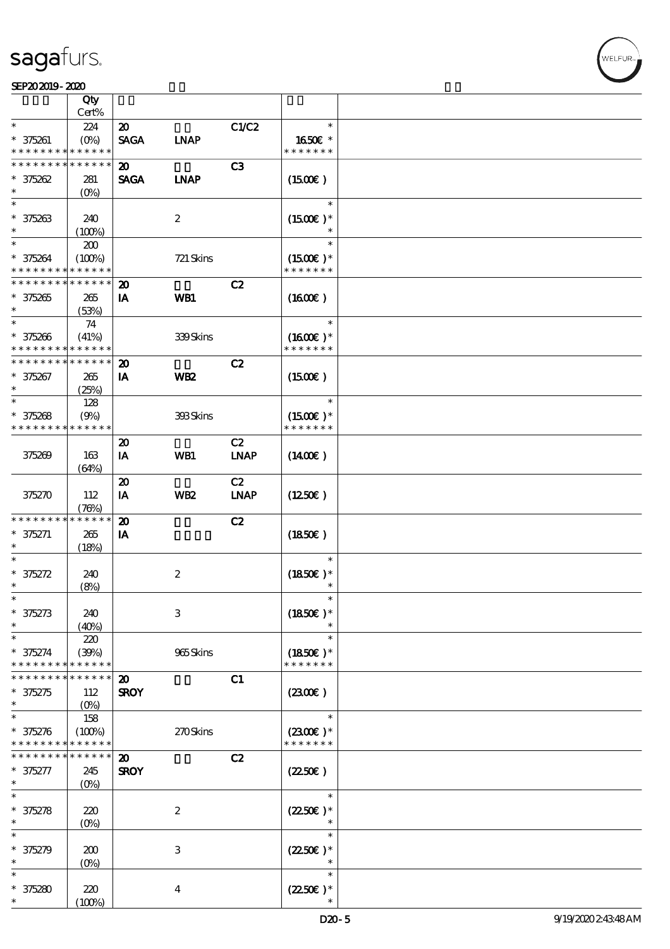### SEP202019-2020

|                                                        | Qty               |                             |                  |                |                          |  |
|--------------------------------------------------------|-------------------|-----------------------------|------------------|----------------|--------------------------|--|
|                                                        | Cert%             |                             |                  |                |                          |  |
| $\ast$                                                 | 224               | $\boldsymbol{\mathfrak{D}}$ |                  | C1/C2          | $\ast$                   |  |
| $* 375261$<br>* * * * * * * * <mark>* * * * * *</mark> | $(O\%)$           | <b>SAGA</b>                 | <b>INAP</b>      |                | 1650€ *<br>* * * * * * * |  |
| * * * * * * * *                                        | $******$          | 20                          |                  | C <sub>3</sub> |                          |  |
| $* 375262$                                             | 281               | <b>SAGA</b>                 | <b>INAP</b>      |                | (1500)                   |  |
| $\ast$                                                 | (O <sub>0</sub> ) |                             |                  |                |                          |  |
| $\ast$                                                 |                   |                             |                  |                | $\ast$                   |  |
| $* 375263$                                             | 240               |                             | $\boldsymbol{2}$ |                | $(1500E)*$               |  |
| $\ast$                                                 | (100%)            |                             |                  |                |                          |  |
| $\ast$                                                 | 200               |                             |                  |                | $\ast$                   |  |
| $* 375264$                                             | (100%)            |                             | 721 Skins        |                | $(1500E)*$               |  |
| * * * * * * * * * * * * * *                            |                   |                             |                  |                | * * * * * * *            |  |
| * * * * * * * * * * * * * *                            |                   | $\boldsymbol{\mathbf{z}}$   |                  | C2             |                          |  |
| $* 375265$                                             | 265               | IA                          | WB1              |                | (1600)                   |  |
| $\ast$                                                 | (53%)             |                             |                  |                |                          |  |
| $\ast$                                                 | 74                |                             |                  |                | $\ast$                   |  |
| $* 375266$                                             | (41%)             |                             | 339Skins         |                | $(1600E)*$               |  |
| * * * * * * * * * * * * * *<br>* * * * * * * *         | * * * * * *       |                             |                  |                | * * * * * * *            |  |
|                                                        |                   | $\boldsymbol{\mathfrak{D}}$ |                  | C2             |                          |  |
| $* 375267$<br>$\ast$                                   | 265<br>(25%)      | IA                          | <b>WB2</b>       |                | (1500)                   |  |
| $\ast$                                                 | 128               |                             |                  |                | $\ast$                   |  |
| $* 375268$                                             | (9%)              |                             | 393Skins         |                | $(1500E)*$               |  |
| * * * * * * * * * * * * * *                            |                   |                             |                  |                | * * * * * * *            |  |
|                                                        |                   | $\boldsymbol{\mathbf{z}}$   |                  | C2             |                          |  |
| 375269                                                 | 163               | IA                          | WB1              | <b>LNAP</b>    | $(1400\varepsilon)$      |  |
|                                                        | (64%)             |                             |                  |                |                          |  |
|                                                        |                   | $\boldsymbol{\mathfrak{D}}$ |                  | C2             |                          |  |
| 375270                                                 | 112               | IA                          | WB <sub>2</sub>  | <b>LNAP</b>    | (1250E)                  |  |
|                                                        | (78%)             |                             |                  |                |                          |  |
| * * * * * * * *                                        | * * * * * *       | $\boldsymbol{\mathbf{z}}$   |                  | C2             |                          |  |
| $* 375271$                                             | 265               | IA                          |                  |                | (1850)                   |  |
| $\ast$                                                 | (18%)             |                             |                  |                |                          |  |
| $\ast$                                                 |                   |                             |                  |                | $\ast$                   |  |
| $* 375272$<br>$\ast$                                   | 240               |                             | $\boldsymbol{2}$ |                | $(1850)$ *<br>$\ast$     |  |
| $\ast$                                                 | (8%)              |                             |                  |                | $\ast$                   |  |
| $* 375273$                                             | 240               |                             | $\,3$            |                | $(1850)$ *               |  |
| $\ast$                                                 | (40%)             |                             |                  |                |                          |  |
| $\ast$                                                 | 220               |                             |                  |                | $\ast$                   |  |
| * 375274                                               | (30%)             |                             | 965Skins         |                | $(1850)$ *               |  |
| * * * * * * * *                                        | * * * * * *       |                             |                  |                | * * * * * * *            |  |
|                                                        | * * * * * *       | $\boldsymbol{\mathbf{z}}$   |                  | C1             |                          |  |
| $* 375275$                                             | 112               | <b>SROY</b>                 |                  |                | (2300)                   |  |
| $\ast$                                                 | $(0\%)$           |                             |                  |                |                          |  |
| $\ast$                                                 | 158               |                             |                  |                | $\ast$                   |  |
| $* 375276$                                             | (100%)            |                             | 270Skins         |                | $(2300)$ *               |  |
| * * * * * * * * <mark>* * * * * *</mark>               |                   |                             |                  |                | * * * * * * *            |  |
| * * * * * * *                                          | * * * * * *       | $\boldsymbol{\mathbf{z}}$   |                  | C2             |                          |  |
| $* 375277$<br>$\ast$                                   | 245               | <b>SROY</b>                 |                  |                | (2250)                   |  |
| $\ast$                                                 | $(O\%)$           |                             |                  |                | $\ast$                   |  |
|                                                        |                   |                             |                  |                |                          |  |
| $* 375278$<br>$\ast$                                   | 220<br>$(0\%)$    |                             | $\boldsymbol{2}$ |                | $(2250)$ *<br>$\ast$     |  |
| $\ast$                                                 |                   |                             |                  |                | $\ast$                   |  |
| $\ast$<br>375279                                       | 200               |                             | $\,3$            |                | $(2250\varepsilon)*$     |  |
| $\ast$                                                 | $(0\%)$           |                             |                  |                |                          |  |
| $\ast$                                                 |                   |                             |                  |                | $\ast$                   |  |
| $* 375280$                                             | 220               |                             | $\boldsymbol{4}$ |                | $(2250\varepsilon)*$     |  |
| $\ast$                                                 | (100%)            |                             |                  |                |                          |  |

ELFUR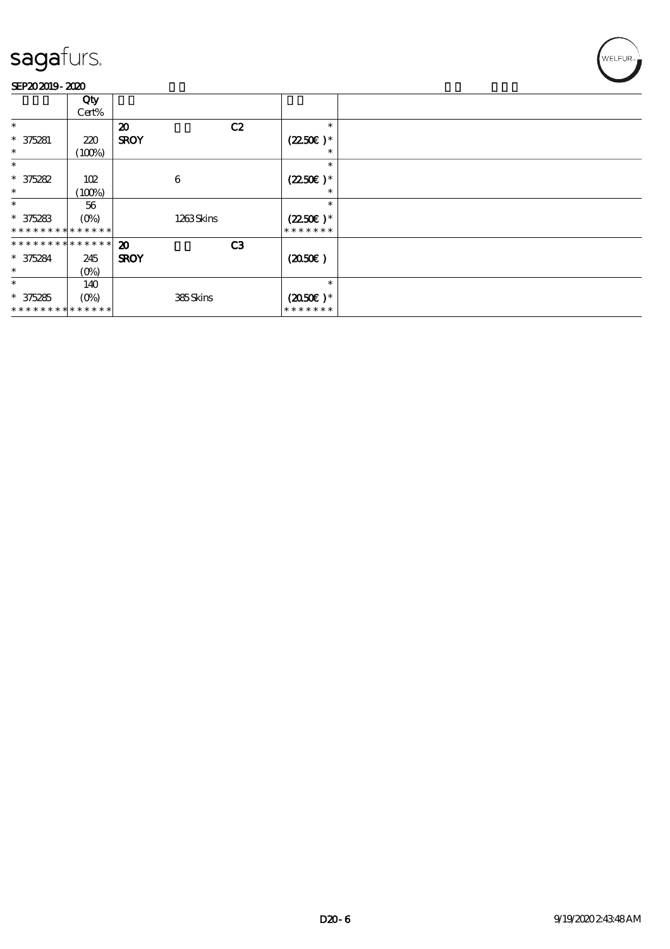

|                             | Qty         |                             |                       |  |
|-----------------------------|-------------|-----------------------------|-----------------------|--|
|                             | Cert%       |                             |                       |  |
| $\ast$                      |             | $\boldsymbol{\mathfrak{D}}$ | C2<br>$\ast$          |  |
| $* 375281$                  | 220         | <b>SROY</b>                 | $(2250\varepsilon)^*$ |  |
| $\ast$                      | (100%)      |                             | ∗                     |  |
| $\ast$                      |             |                             | $\ast$                |  |
| $* 375282$                  | 102         | 6                           | $(2250\varepsilon)^*$ |  |
| $\ast$                      | (100%)      |                             | $\ast$                |  |
| $\ast$                      | 56          |                             | $\ast$                |  |
| $* 375283$                  | $(O\%)$     | 1263Skins                   | $(2250\varepsilon)*$  |  |
|                             | * * * * * * |                             | * * * * * * *         |  |
| * * * * * * * * * * * * * * |             | $\boldsymbol{\mathfrak{D}}$ | C <sub>3</sub>        |  |
| $* 375284$                  | 245         | <b>SROY</b>                 | (2050)                |  |
| $\ast$                      | $(0\%)$     |                             |                       |  |
| $\ast$                      | 140         |                             | $\ast$                |  |
| $* 375285$                  | (0%)        | 385Skins                    | $(2050)$ *            |  |
| * * * * * * * * * * * * * * |             |                             | * * * * * * *         |  |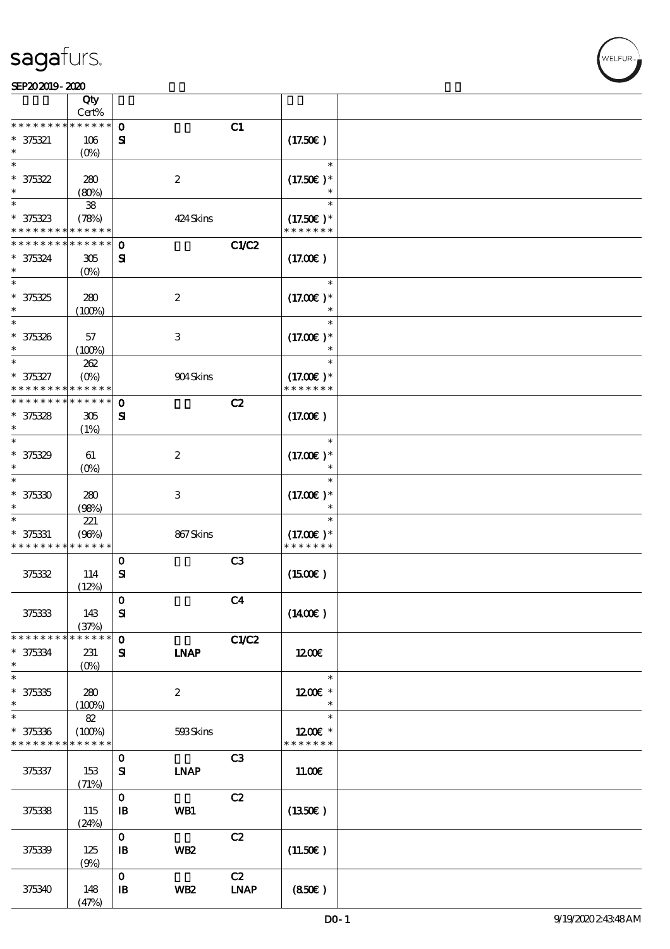|                               | Qty<br>Cert%          |                            |                  |                |               |  |
|-------------------------------|-----------------------|----------------------------|------------------|----------------|---------------|--|
| * * * * * * *                 | * * * * * *           | $\mathbf{o}$               |                  | C1             |               |  |
| $* 375321$                    | 106                   | ${\bf s}$                  |                  |                | (17.50)       |  |
|                               |                       |                            |                  |                |               |  |
|                               | $(O\%)$               |                            |                  |                |               |  |
| $\ast$                        |                       |                            |                  |                | $\ast$        |  |
| $* 375322$                    | 280                   |                            | $\boldsymbol{2}$ |                | $(17.50)$ *   |  |
| $\ast$                        | (80%)                 |                            |                  |                | $\ast$        |  |
| $\ast$                        | ${\bf 38}$            |                            |                  |                | $\ast$        |  |
| $* 375323$                    | (78%)                 |                            | 424 Skins        |                | $(17.50)$ *   |  |
| * * * * * * * *               | * * * * * *           |                            |                  |                | * * * * * * * |  |
| * * * * * * *                 | * * * * * *           | $\mathbf{o}$               |                  | C1/C2          |               |  |
| $* 375324$                    | 305                   | ${\bf s}$                  |                  |                | (17.00)       |  |
| $\ast$                        | $(O\%)$               |                            |                  |                |               |  |
| $\ast$                        |                       |                            |                  |                | $\ast$        |  |
|                               |                       |                            |                  |                |               |  |
| $*35325$                      | 280                   |                            | $\boldsymbol{2}$ |                | $(17.00)$ *   |  |
| $\ast$<br>$\ast$              | (100%)                |                            |                  |                | $\ast$        |  |
|                               |                       |                            |                  |                | $\ast$        |  |
| * 375326                      | 57                    |                            | 3                |                | $(17.00)$ *   |  |
| $\ast$                        | (100%)                |                            |                  |                | $\ast$        |  |
| $\ast$                        | 262                   |                            |                  |                | $\ast$        |  |
| * 375327                      | $(O\!/\!o)$           |                            | 904Skins         |                | $(17.00)$ *   |  |
| * * * * * * * *               | * * * * * *           |                            |                  |                | * * * * * * * |  |
| * * * * * * * *               | * * * * * *           | $\mathbf 0$                |                  | C2             |               |  |
| $* 375328$                    | 305                   | ${\bf s}$                  |                  |                | (17.00)       |  |
| $\ast$                        | (1%)                  |                            |                  |                |               |  |
| $\ast$                        |                       |                            |                  |                | $\ast$        |  |
| $* 375329$                    | 61                    |                            | $\boldsymbol{z}$ |                | $(17.00)$ *   |  |
| *                             |                       |                            |                  |                | $\ast$        |  |
| $\ast$                        | $(0\%)$               |                            |                  |                | $\ast$        |  |
|                               |                       |                            |                  |                |               |  |
| $* 375330$                    | 280                   |                            | 3                |                | $(17.00)$ *   |  |
| $\ast$                        | (98%)                 |                            |                  |                |               |  |
| $\ast$                        | 221                   |                            |                  |                | $\ast$        |  |
| $* 375331$                    | (96%)                 |                            | 867Skins         |                | $(17.00)$ *   |  |
| * * * * * * * *               | * * * * * *           |                            |                  |                | * * * * * * * |  |
|                               |                       | $\mathbf{o}$               |                  | C <sub>3</sub> |               |  |
| 375332                        | 114                   | $\mathbf{S}$               |                  |                | (1500E)       |  |
|                               | (12%)                 |                            |                  |                |               |  |
|                               |                       | $\mathbf 0$                |                  | C <sub>4</sub> |               |  |
| 375333                        | 143                   | ${\bf s}$                  |                  |                | (1400E)       |  |
|                               | (37%)                 |                            |                  |                |               |  |
| * * * * * * * *               | * * * * * *           | $\mathbf 0$                |                  | C1/C2          |               |  |
| $* 375334$                    | 231                   | ${\bf s}$                  | <b>INAP</b>      |                | $1200$ $E$    |  |
| $\ast$                        | $(0\%)$               |                            |                  |                |               |  |
| $\overline{\ast}$             |                       |                            |                  |                | $\ast$        |  |
| $* 375335$                    | 280                   |                            | $\boldsymbol{2}$ |                | $1200E$ *     |  |
| $\ast$                        | (100%)                |                            |                  |                | $\ast$        |  |
| $\ast$                        | 82                    |                            |                  |                | $\ast$        |  |
|                               |                       |                            |                  |                | $1200E$ *     |  |
| $* 375336$<br>* * * * * * * * | (100%)<br>* * * * * * |                            | 593Skins         |                | * * * * * * * |  |
|                               |                       |                            |                  |                |               |  |
|                               |                       | $\mathbf 0$                |                  | C <sub>3</sub> |               |  |
| 375337                        | 153                   | ${\bf s}$                  | <b>LNAP</b>      |                | 11.00E        |  |
|                               | (71%)                 |                            |                  |                |               |  |
|                               |                       | $\mathbf 0$                |                  | C2             |               |  |
| 375338                        | 115                   | $\mathbf{B}$               | WB1              |                | (1350)        |  |
|                               | (24%)                 |                            |                  |                |               |  |
|                               |                       | $\mathbf{O}$               |                  | C2             |               |  |
| 375339                        | 125                   | $\, {\bf I} \! {\bf B} \,$ | WB <sub>2</sub>  |                | (11.50E)      |  |
|                               | (9%)                  |                            |                  |                |               |  |
|                               |                       | $\mathbf{o}$               |                  | C2             |               |  |
| 375340                        | 148                   | $\mathbf{I}$               | WB <sub>2</sub>  | <b>LNAP</b>    | (850)         |  |
|                               | (47%)                 |                            |                  |                |               |  |

**NELFUR**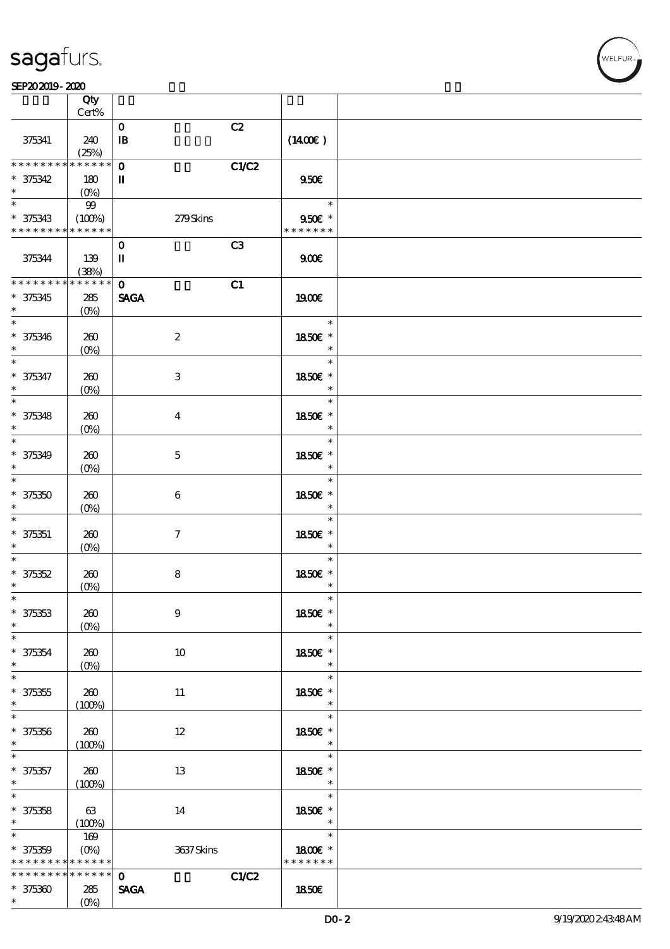|                                           | Qty<br>Cert%                  |                                   |                             |  |
|-------------------------------------------|-------------------------------|-----------------------------------|-----------------------------|--|
|                                           |                               |                                   |                             |  |
| 375341                                    | 240<br>(25%)                  | C2<br>$\mathbf 0$<br>$\mathbf{B}$ | $(1400\varepsilon)$         |  |
| * * * * * * * *                           | $******$                      | $\mathbf 0$                       |                             |  |
|                                           |                               | <b>C1/C2</b>                      |                             |  |
| $* 375342$<br>$\ast$                      | 180<br>$(0\%)$                | $\mathbf{I}$                      | 950E                        |  |
| $\ast$                                    | 99                            |                                   | $\overline{\phantom{a}}$    |  |
| $* 375343$<br>* * * * * * * * * * * * * * | (100%)                        | 279Skins                          | $950$ £ *<br>* * * * * * *  |  |
|                                           |                               |                                   |                             |  |
| 375344                                    | 139<br>(38%)                  | C3<br>$\mathbf 0$<br>$\mathbf I$  | 900                         |  |
| ___<br>* * * * * * * *                    | $******$                      | $\mathbf 0$<br>C1                 |                             |  |
| $* 375345$                                | 285                           | <b>SAGA</b>                       | 1900E                       |  |
| $*$                                       | $(0\%)$                       |                                   |                             |  |
| $\ast$<br>$* 375346$                      | 260                           | $\boldsymbol{2}$                  | $\ast$<br>1850E *           |  |
| $\ast$                                    | $(O\!/\!o)$                   |                                   | $\ast$                      |  |
| $* 375347$<br>$\ast$                      | 260                           | 3                                 | $\ast$<br>1850€ *<br>$\ast$ |  |
|                                           | $(O\%)$                       |                                   |                             |  |
| $\overline{\ast}$<br>$* 375348$<br>$\ast$ | 260                           | $\bf{4}$                          | $\ast$<br>1850E *<br>$\ast$ |  |
| $\ast$                                    | $(0\%)$                       |                                   | $\ast$                      |  |
| * 375349<br>$\ast$                        | 260<br>$(O\!/\!o)$            | $\mathbf 5$                       | 1850E *<br>$\ast$           |  |
| $\ast$                                    |                               |                                   | $\ast$                      |  |
| $* 375350$<br>$\ast$                      | 260<br>$(0\%)$                | $\boldsymbol{6}$                  | 1850€ *<br>$\ast$           |  |
| $\ast$<br>$* 375351$                      | 260                           | $\tau$                            | $\ast$<br>1850E *           |  |
| $\ast$                                    | $(0\%)$                       |                                   | $\ast$                      |  |
| $\ast$<br>$* 375352$                      | 260                           | 8                                 | $\ast$<br>1850E *           |  |
| $\ast$                                    | $(0\%)$                       |                                   | $\ast$                      |  |
| $\ast$<br>$* 375353$<br>$\ast$            | 260<br>$(0\%)$                | $\boldsymbol{9}$                  | 1850€ *<br>$\ast$           |  |
|                                           |                               |                                   | $\ast$                      |  |
| $* 375354$<br>$*$                         | 260<br>$(O\!/\!o)$            | $10\,$                            | 1850E *<br>$\ast$           |  |
| $\overline{\ast}$                         |                               |                                   | $\ast$                      |  |
| $* 375355$<br>$\ast$                      | 260<br>(100%)                 | 11                                | 1850E *<br>$\ast$           |  |
| $\overline{\ast}$                         |                               |                                   | $\ast$                      |  |
| $* 375356$<br>$*$ and $*$                 | 260<br>(100%)                 | 12                                | 1850€ *<br>$\ast$           |  |
| $\overline{\phantom{0}}$                  |                               |                                   | $\ast$                      |  |
| $* 375357$<br>$*$                         | 260<br>(100%)                 | 13                                | 1850E *<br>$\ast$           |  |
| $\overline{\ast}$                         |                               |                                   | $\ast$                      |  |
| $* 375358$<br>$*$                         | 63<br>(100%)                  | 14                                | 1850E *<br>$\ast$           |  |
| $\ast$                                    |                               |                                   | $\ast$                      |  |
| $* 375359$<br>* * * * * * * *             | 169<br>$(O\%)$<br>* * * * * * | 3637Skins                         | 1800€ *<br>* * * * * * *    |  |
|                                           |                               |                                   |                             |  |
| * * * * * * * *                           | $* * * * * * *$               | C1/C2<br>$\mathbf{o}$             |                             |  |
| $* 375360$                                | 285                           | <b>SAGA</b>                       | 1850E                       |  |
| $\ast$                                    | $(O\% )$                      |                                   |                             |  |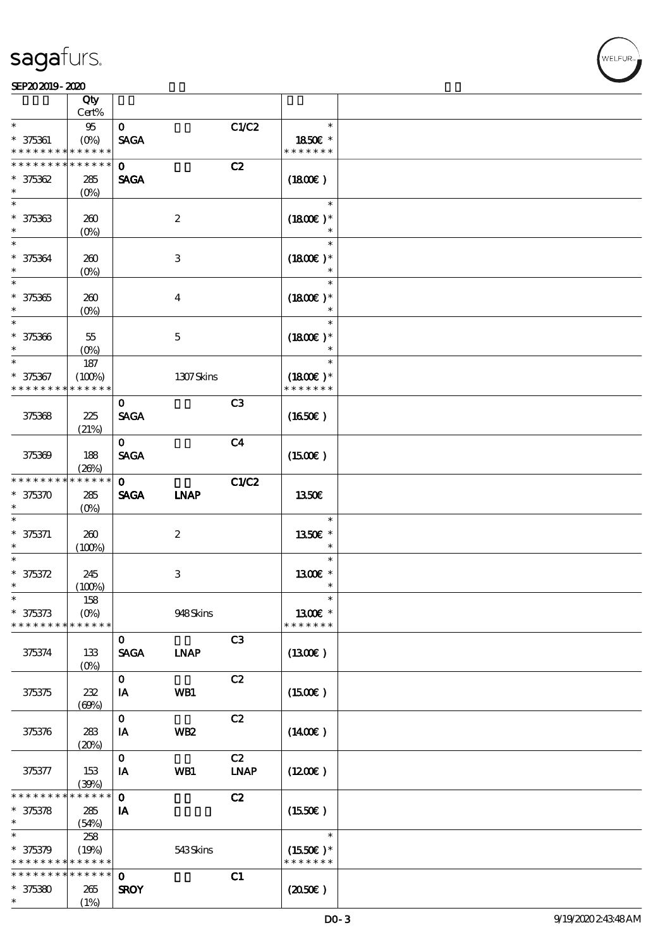## **NELFUR**

|                                               | Qty                           |                             |                         |                   |                                       |  |
|-----------------------------------------------|-------------------------------|-----------------------------|-------------------------|-------------------|---------------------------------------|--|
| $\ast$                                        | Cert%<br>95                   | $\mathbf{O}$                |                         | C1/C2             | $\ast$                                |  |
| $* 375361$<br>* * * * * * * *                 | $(O\% )$<br>* * * * * *       | <b>SAGA</b>                 |                         |                   | 1850E *<br>* * * * * * *              |  |
| * * * * * * * *                               | * * * * * *                   | $\mathbf{O}$                |                         | C2                |                                       |  |
| $* 375362$                                    | 285                           | <b>SAGA</b>                 |                         |                   | (1800)                                |  |
| $\ast$                                        | $(0\%)$                       |                             |                         |                   |                                       |  |
| $\ast$<br>$* 375363$<br>$\ast$                | 260<br>$(0\%)$                |                             | $\boldsymbol{2}$        |                   | $\ast$<br>$(1800E)*$                  |  |
| $\ast$<br>$* 375364$                          | 260<br>$(0\%)$                |                             | 3                       |                   | $\ast$<br>$(1800)$ *                  |  |
| $\overline{\ast}$<br>$^\ast$ 375365<br>$\ast$ | 260<br>$(O\%)$                |                             | $\overline{\mathbf{4}}$ |                   | $\ast$<br>$(1800E)*$<br>$\ast$        |  |
| $\ast$<br>$* 375366$<br>$\ast$                | 55<br>$(O\%)$                 |                             | $\mathbf 5$             |                   | $\ast$<br>$(1800E)*$<br>$\ast$        |  |
| $\ast$<br>$* 375367$<br>* * * * * * * *       | 187<br>(100%)<br>* * * * * *  |                             | 1307Skins               |                   | $\ast$<br>$(1800)$ *<br>* * * * * * * |  |
|                                               |                               | $\mathbf 0$                 |                         | C3                |                                       |  |
| 375368                                        | 225<br>(21%)                  | <b>SAGA</b>                 |                         |                   | $(1650\epsilon)$                      |  |
| 375369                                        | 188<br>(20%)                  | $\mathbf{O}$<br><b>SAGA</b> |                         | C <sub>4</sub>    | (1500E)                               |  |
| * * * * * * * *<br>$* 375370$                 | * * * * * *<br>285<br>$(O\%)$ | $\mathbf 0$<br><b>SAGA</b>  | <b>INAP</b>             | <b>C1/C2</b>      | <b>1350€</b>                          |  |
| $* 375371$<br>$\ast$                          | 260<br>(100%)                 |                             | $\boldsymbol{2}$        |                   | $\ast$<br>1350E *<br>$\ast$           |  |
| $\ast$<br>$* 375372$<br>$\ast$                | 245<br>(100%)                 |                             | $\,3$                   |                   | $\ast$<br>1300€ *<br>$\ast$           |  |
| $\ast$<br>$* 375373$<br>* * * * * * * *       | 158<br>$(O\%)$<br>* * * * * * |                             | 948Skins                |                   | $\ast$<br>1300€ *<br>* * * * * * *    |  |
| 375374                                        | 133<br>$(0\%)$                | $\mathbf{o}$<br><b>SAGA</b> | <b>INAP</b>             | C3                | (1300)                                |  |
| 375375                                        | 232<br>(60%)                  | $\mathbf{o}$<br>IA          | WB1                     | C2                | $(1500\varepsilon)$                   |  |
| 375376                                        | 283<br>(20%)                  | $\mathbf{o}$<br>IA          | WB <sub>2</sub>         | C2                | (1400E)                               |  |
| 375377                                        | 153<br>(30%)                  | $\mathbf 0$<br>IA           | WB1                     | C2<br><b>LNAP</b> | (1200E)                               |  |
| * * * * * * *                                 | * * * * * *                   | $\mathbf{o}$                |                         | C2                |                                       |  |
| $* 375378$<br>$\ast$                          | 285<br>(54%)                  | IA                          |                         |                   | (1550E)                               |  |
| $\ast$                                        | 258                           |                             |                         |                   | $\ast$                                |  |
| $* 375379$                                    | (19%)                         |                             | 543Skins                |                   | $(1550E)*$                            |  |
| * * * * * * * *                               | * * * * * *                   |                             |                         |                   | * * * * * * *                         |  |
| * * * * * * * *                               | * * * * * *                   | $\mathbf 0$                 |                         | C1                |                                       |  |
| $* 375380$<br>$\ast$                          | 265<br>(1%)                   | <b>SROY</b>                 |                         |                   | (2050)                                |  |
|                                               |                               |                             |                         |                   |                                       |  |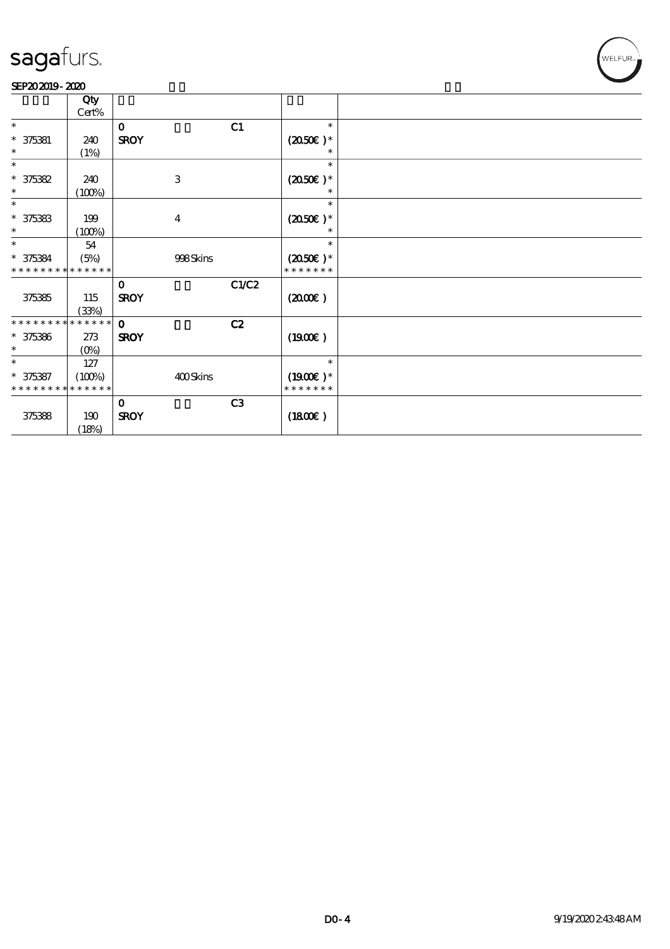# WELFUR<sub>T</sub>

|                             | Qty     |             |                           |                |                   |  |
|-----------------------------|---------|-------------|---------------------------|----------------|-------------------|--|
|                             | Cert%   |             |                           |                |                   |  |
| $\ast$                      |         | $\mathbf 0$ |                           | C1             | $\ast$            |  |
| $* 375381$                  | 240     | <b>SROY</b> |                           |                | $(2050)$ *        |  |
| $\ast$                      | (1%)    |             |                           |                |                   |  |
| $\ast$                      |         |             |                           |                | $\ast$            |  |
| $* 375382$                  | 240     |             | $\ensuremath{\mathbf{3}}$ |                | $(2050\epsilon)*$ |  |
| $\ast$                      | (100%)  |             |                           |                | $\ast$            |  |
| $\ast$                      |         |             |                           |                | $\ast$            |  |
| $* 375383$                  | 199     |             | $\boldsymbol{4}$          |                | $(2050\epsilon)*$ |  |
| $\ast$                      | (100%)  |             |                           |                |                   |  |
| $\ast$                      | 54      |             |                           |                | $\ast$            |  |
| $* 375384$                  | (5%)    |             | 998Skins                  |                | $(2050)$ *        |  |
| * * * * * * * * * * * * * * |         |             |                           |                | * * * * * * *     |  |
|                             |         | $\bf{0}$    |                           | C1/C2          |                   |  |
| 375385                      | 115     | <b>SROY</b> |                           |                | (200E)            |  |
|                             | (33%)   |             |                           |                |                   |  |
| * * * * * * * * * * * * * * |         | $\Omega$    |                           | C2             |                   |  |
| $* 375386$                  | 273     | <b>SROY</b> |                           |                | (1900E)           |  |
| $\ast$                      | $(O\%)$ |             |                           |                |                   |  |
| $\ast$                      | 127     |             |                           |                | $\ast$            |  |
| $* 375387$                  | (100%)  |             | 400Skins                  |                | $(1900E)*$        |  |
| * * * * * * * * * * * * * * |         |             |                           |                | * * * * * * *     |  |
|                             |         | $\bf{0}$    |                           | C <sub>3</sub> |                   |  |
| 375388                      | 190     | <b>SROY</b> |                           |                | (1800)            |  |
|                             | (18%)   |             |                           |                |                   |  |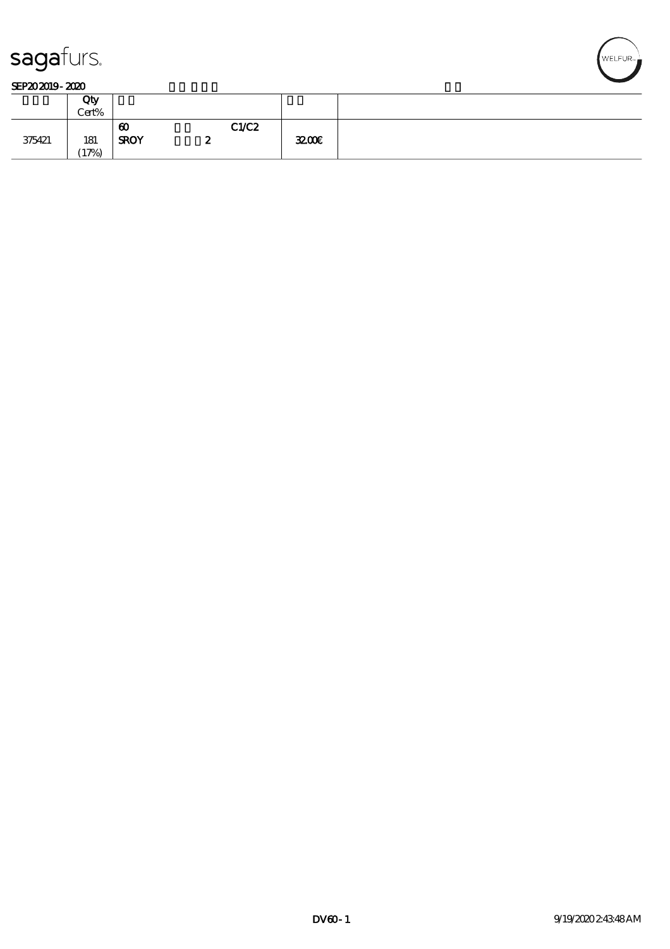

|        | Qty<br>Cert% |                                      |   |       |      |  |
|--------|--------------|--------------------------------------|---|-------|------|--|
| 375421 | 181<br>(17%) | $\boldsymbol{\omega}$<br><b>SROY</b> | ∼ | C1/C2 | 3200 |  |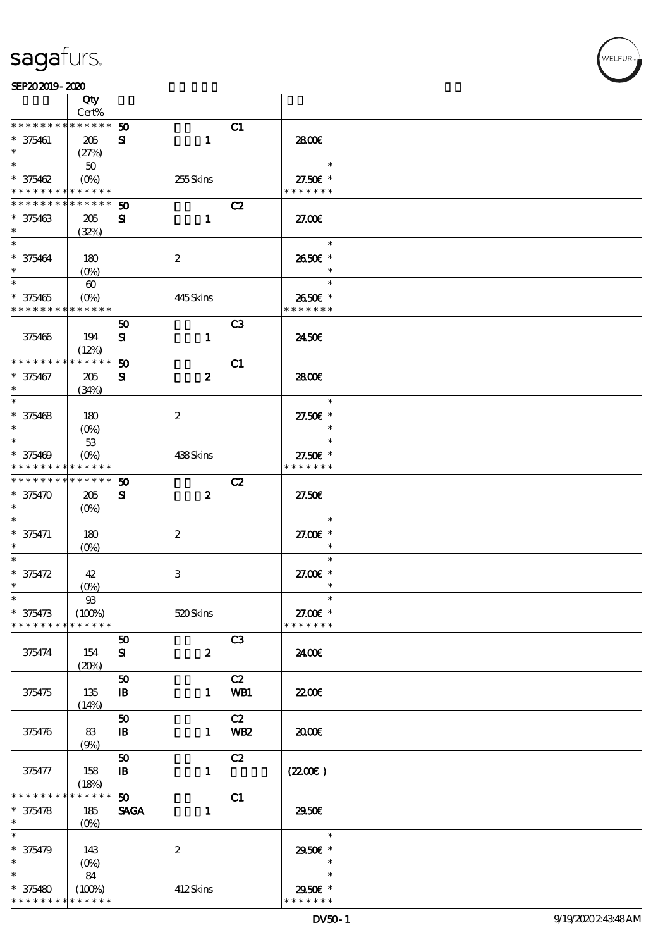

|                                          | Qty                   |                             |                  |                 |                    |  |
|------------------------------------------|-----------------------|-----------------------------|------------------|-----------------|--------------------|--|
| * * * * * * * *                          | Cert%<br>$******$     | 50                          |                  | C1              |                    |  |
| $* 375461$                               | 205                   | ${\bf s}$                   | $\mathbf{1}$     |                 | 2800€              |  |
| $\ast$                                   | (27%)                 |                             |                  |                 |                    |  |
| $\ast$                                   | 50                    |                             |                  |                 | $\ast$             |  |
| $* 375462$                               | $(O\%)$               |                             | 255Skins         |                 | 27.50€ *           |  |
| * * * * * * * * <mark>* * * * * *</mark> |                       |                             |                  |                 | * * * * * * *      |  |
| * * * * * * * *                          | * * * * * *           | $\boldsymbol{\mathfrak{D}}$ |                  | C2              |                    |  |
| $* 375463$                               | 205                   | ${\bf s}$                   | $\mathbf{1}$     |                 | 27.00E             |  |
| $\ast$                                   | (32%)                 |                             |                  |                 |                    |  |
| $\ast$                                   |                       |                             |                  |                 | $\ast$             |  |
| $* 375464$                               | 180                   |                             | $\boldsymbol{2}$ |                 | 2650€ *            |  |
| $\ast$                                   | $(O\%)$               |                             |                  |                 | $\ast$             |  |
| $\overline{\ast}$                        | $\boldsymbol{\omega}$ |                             |                  |                 | $\ast$             |  |
| $* 375465$                               |                       |                             | 445Skins         |                 | 2650€ *            |  |
| * * * * * * * * * * * * * *              |                       |                             |                  |                 | * * * * * * *      |  |
|                                          |                       | 50                          |                  | C <sub>3</sub>  |                    |  |
| 375466                                   | 194                   | ${\bf s}$                   | $\mathbf{1}$     |                 | 2450E              |  |
|                                          | (12%)                 |                             |                  |                 |                    |  |
| * * * * * * * *                          | * * * * * *           | 50                          |                  | C1              |                    |  |
| $* 375467$                               | 205                   | ${\bf s}$                   | $\boldsymbol{z}$ |                 | 2800€              |  |
| $\ast$                                   | (34%)                 |                             |                  |                 |                    |  |
| $\ast$                                   |                       |                             |                  |                 | $\ast$             |  |
| $* 375468$                               | 180                   |                             | $\boldsymbol{z}$ |                 | 27.50€ *           |  |
| $\ast$                                   |                       |                             |                  |                 | $\ast$             |  |
| $\ast$                                   | 53                    |                             |                  |                 | $\ast$             |  |
| $* 375469$                               | $(O\% )$              |                             | 438Skins         |                 | 27.50€ *           |  |
| * * * * * * * * <mark>* * * * * *</mark> |                       |                             |                  |                 | * * * * * * *      |  |
| * * * * * * * *                          | $* * * * * * *$       | 50                          |                  | C2              |                    |  |
| * 375470                                 | 205                   | ${\bf s}$                   | $\boldsymbol{z}$ |                 | 27.50E             |  |
| $\ast$                                   | $(O\%)$               |                             |                  |                 |                    |  |
| $\ast$                                   |                       |                             |                  |                 | $\ast$             |  |
| $* 375471$                               | 180                   |                             | $\boldsymbol{z}$ |                 | 27.00 £*           |  |
| $\ast$<br>$\ast$                         | $(O\%)$               |                             |                  |                 | $\ast$<br>$\ast$   |  |
|                                          |                       |                             |                  |                 |                    |  |
| $* 375472$<br>$\ast$                     | 42                    |                             | $\,3$            |                 | 27.00 £*<br>$\ast$ |  |
| $\ast$                                   | $(O\%)$<br>$93\,$     |                             |                  |                 | $\ast$             |  |
| $* 375473$                               | (100%)                |                             | $520$ Skins      |                 | 27.00€ *           |  |
| * * * * * * * *                          | * * * * * *           |                             |                  |                 | * * * * * * *      |  |
|                                          |                       | 50                          |                  | C <sub>3</sub>  |                    |  |
| 375474                                   | 154                   | ${\bf s}$                   | $\boldsymbol{z}$ |                 | 2400€              |  |
|                                          | (20%)                 |                             |                  |                 |                    |  |
|                                          |                       | 50                          |                  | C2              |                    |  |
| 375475                                   | 135                   | $\mathbf{B}$                | $\mathbf{1}$     | WB1             | 2200               |  |
|                                          | (14%)                 |                             |                  |                 |                    |  |
|                                          |                       | 50                          |                  | C2              |                    |  |
| 375476                                   | 83                    | $\mathbf{B}$                | $\mathbf{1}$     | WB <sub>2</sub> | 2000€              |  |
|                                          | (9%)                  |                             |                  |                 |                    |  |
|                                          |                       | 50                          |                  | C2              |                    |  |
| 375477                                   | 158                   | $\mathbf{B}$                | $\mathbf{1}$     |                 | (220E)             |  |
|                                          | (18%)                 |                             |                  |                 |                    |  |
| * * * * * *                              | * * * * * *           | 50                          |                  | C1              |                    |  |
| $* 375478$                               | 185                   | <b>SAGA</b>                 | $\mathbf{1}$     |                 | 2950€              |  |
| $\ast$                                   | $(O\%)$               |                             |                  |                 |                    |  |
| $\ast$                                   |                       |                             |                  |                 | $\ast$             |  |
| $* 375479$                               | 143                   |                             | $\boldsymbol{2}$ |                 | 2950€ *            |  |
| $\ast$                                   | $(O\!/\!o)$           |                             |                  |                 | $\ast$             |  |
| $\ast$                                   | 84                    |                             |                  |                 | $\ast$             |  |
| $* 375480$                               | (100%)                |                             | 412Skins         |                 | 2950€ *            |  |
| * * * * * * * *                          | * * * * * *           |                             |                  |                 | * * * * * * *      |  |

WELFUR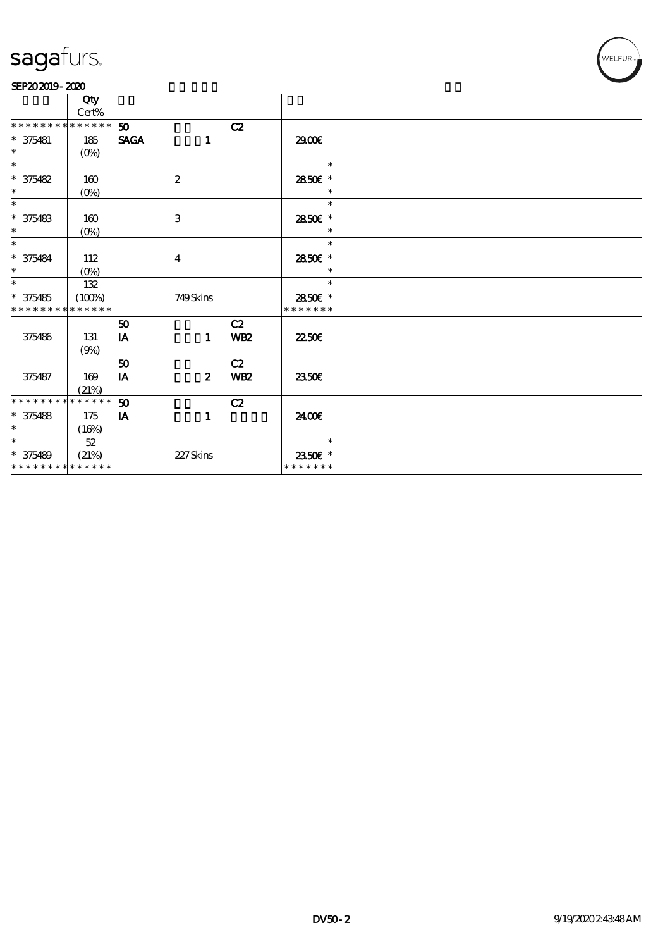

|                             | Qty              |             |                           |                 |               |  |
|-----------------------------|------------------|-------------|---------------------------|-----------------|---------------|--|
|                             | $\mbox{Cert}\%$  |             |                           |                 |               |  |
| * * * * * * * *             | * * * * * *      | 50          |                           | C2              |               |  |
| $* 375481$                  | 185              | <b>SAGA</b> | $\mathbf{1}$              |                 | 2900€         |  |
| $\ast$                      | $(0\%)$          |             |                           |                 |               |  |
| $\ast$                      |                  |             |                           |                 | $\ast$        |  |
| $* 375482$                  | 160              |             | $\boldsymbol{2}$          |                 | 2850E *       |  |
| $\ast$                      | $(0\%)$          |             |                           |                 |               |  |
| $\ast$                      |                  |             |                           |                 | $\ast$        |  |
| $* 375483$                  | 160              |             | $\ensuremath{\mathbf{3}}$ |                 | 2850E *       |  |
| $\ast$                      | $(0\%)$          |             |                           |                 | $\ast$        |  |
| $\ast$                      |                  |             |                           |                 | $\ast$        |  |
| $* 375484$                  | 112              |             | $\bf{4}$                  |                 | 2850E *       |  |
| $\ast$                      | $(O\!/\!\delta)$ |             |                           |                 | $\ast$        |  |
| $\ast$                      | 132              |             |                           |                 | $\ast$        |  |
| $* 375485$                  | (100%)           |             | 749Skins                  |                 | 2850E *       |  |
| * * * * * * * * * * * * * * |                  |             |                           |                 | * * * * * * * |  |
|                             |                  | 50          |                           | C2              |               |  |
| 375486                      | 131              | IA          | $\mathbf{1}$              | <b>WB2</b>      | 2250E         |  |
|                             | (9%)             |             |                           |                 |               |  |
|                             |                  | 50          |                           | C2              |               |  |
| 375487                      | 169              | IA          | $\boldsymbol{z}$          | WB <sub>2</sub> | <b>2350€</b>  |  |
|                             | (21%)            |             |                           |                 |               |  |
| * * * * * * * * * * * * * * |                  | 50          |                           | C2              |               |  |
| $* 375488$                  | 175              | IA          | $\mathbf{1}$              |                 | 2400€         |  |
| $\ast$                      | (16%)            |             |                           |                 |               |  |
| $\ast$                      | $52\,$           |             |                           |                 | $\ast$        |  |
| $* 375489$                  | (21%)            |             | 227Skins                  |                 | 2350€ *       |  |
| * * * * * * * * * * * * * * |                  |             |                           |                 | * * * * * * * |  |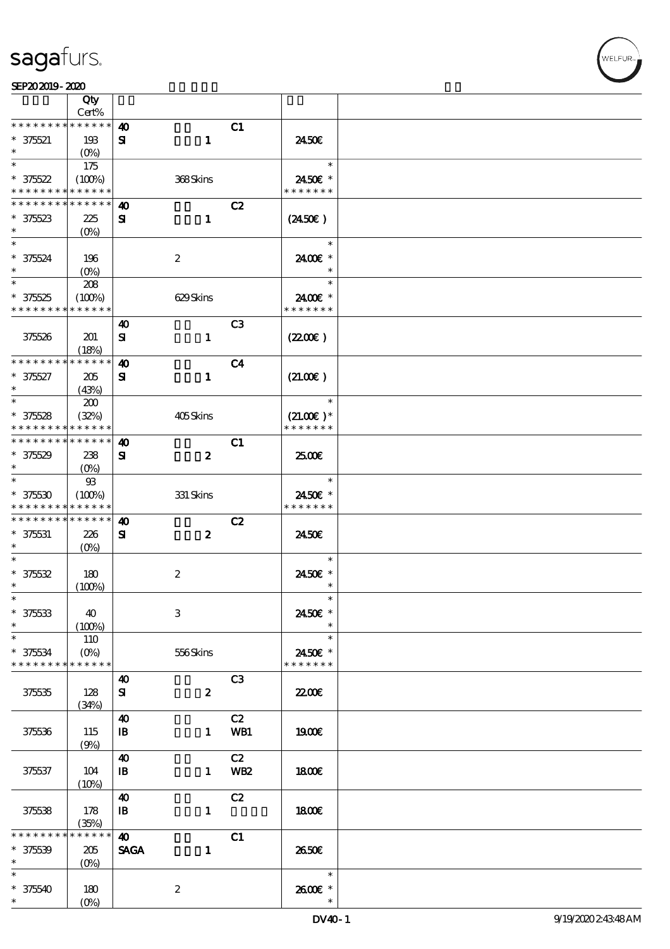|                                          | Qty<br>Cert%     |                       |                  |                 |                  |  |
|------------------------------------------|------------------|-----------------------|------------------|-----------------|------------------|--|
| * * * * * * * *                          | * * * * * *      |                       |                  |                 |                  |  |
|                                          |                  | $\boldsymbol{\omega}$ |                  | C1              |                  |  |
| $* 375521$                               | 193              | ${\bf s}$             | $\mathbf{1}$     |                 | 2450E            |  |
| $\ast$                                   | $(O\%)$          |                       |                  |                 |                  |  |
| $\ast$                                   | 175              |                       |                  |                 | $\ast$           |  |
| $* 375522$                               | (100%)           |                       | 368Skins         |                 | 2450€ *          |  |
| * * * * * * * * <mark>* * * * * *</mark> |                  |                       |                  |                 | * * * * * * *    |  |
| * * * * * * * *                          | * * * * * *      | $\boldsymbol{\omega}$ |                  | C2              |                  |  |
|                                          |                  | ${\bf s}$             | $\mathbf{1}$     |                 |                  |  |
| $* 375623$<br>$\ast$                     | 225              |                       |                  |                 | $(2450\epsilon)$ |  |
|                                          | $(0\%)$          |                       |                  |                 |                  |  |
| $\overline{\ast}$                        |                  |                       |                  |                 | $\ast$           |  |
| $* 375624$                               | 196              |                       | $\boldsymbol{2}$ |                 | 2400€ *          |  |
| $\ast$                                   | $(O\%)$          |                       |                  |                 | $\ast$           |  |
| $\overline{\phantom{0}}$                 | 208              |                       |                  |                 | $\ast$           |  |
| $* 375525$                               | (100%)           |                       | 629Skins         |                 | 2400€ *          |  |
| * * * * * * * *                          | * * * * * *      |                       |                  |                 | * * * * * * *    |  |
|                                          |                  | 40                    |                  | C <sub>3</sub>  |                  |  |
| 375526                                   |                  |                       |                  |                 |                  |  |
|                                          | 201              | ${\bf s}$             | $\mathbf{1}$     |                 | (220E)           |  |
|                                          | (18%)            |                       |                  |                 |                  |  |
| * * * * * * * *                          | * * * * * *      | $\boldsymbol{\omega}$ |                  | C <sub>4</sub>  |                  |  |
| $* 375627$                               | 205              | ${\bf s}$             | $\mathbf{1}$     |                 | (21.00)          |  |
| $\ast$                                   | (43%)            |                       |                  |                 |                  |  |
| $\ast$                                   | 200              |                       |                  |                 | $\ast$           |  |
| $* 375528$                               | (32%)            |                       | 405Skins         |                 | $(21.00)$ *      |  |
| * * * * * * * *                          | * * * * * *      |                       |                  |                 | * * * * * * *    |  |
| * * * * * * * *                          | * * * * * *      | $\boldsymbol{\omega}$ |                  | C1              |                  |  |
| $* 375529$                               | 238              | ${\bf s}$             | $\boldsymbol{z}$ |                 | 2500€            |  |
| $\ast$                                   |                  |                       |                  |                 |                  |  |
| $\ast$                                   | $(O\% )$         |                       |                  |                 | $\ast$           |  |
|                                          | $93$             |                       |                  |                 |                  |  |
| $* 375530$                               | (100%)           |                       | 331 Skins        |                 | 2450€ *          |  |
| * * * * * * * *                          | * * * * * *      |                       |                  |                 | * * * * * * *    |  |
| * * * * * * * *                          | * * * * * *      | 40                    |                  | C2              |                  |  |
| $* 375531$                               | 226              | ${\bf s}$             | $\boldsymbol{z}$ |                 | 2450E            |  |
| $\ast$                                   | $(O\%)$          |                       |                  |                 |                  |  |
| $\ast$                                   |                  |                       |                  |                 | $\ast$           |  |
| $* 375532$                               | 180              |                       | $\boldsymbol{2}$ |                 | 2450€ *          |  |
| $\ast$                                   | (100%)           |                       |                  |                 | $\ast$           |  |
| $\ast$                                   |                  |                       |                  |                 | $\ast$           |  |
| $* 375533$                               | 40               |                       | $\,3$            |                 | 2450€ *          |  |
|                                          |                  |                       |                  |                 |                  |  |
| $\ast$                                   | (100%)           |                       |                  |                 |                  |  |
| $\ast$                                   | 110              |                       |                  |                 | $\ast$           |  |
| $* 375634$                               | $(O\!/\!\delta)$ |                       | 556Skins         |                 | 2450€ *          |  |
| * * * * * * * *                          | * * * * * *      |                       |                  |                 | * * * * * * *    |  |
|                                          |                  | $\boldsymbol{\omega}$ |                  | C3              |                  |  |
| 375535                                   | 128              | ${\bf s}$             | $\boldsymbol{2}$ |                 | <b>22006</b>     |  |
|                                          | (34%)            |                       |                  |                 |                  |  |
|                                          |                  | $\boldsymbol{\omega}$ |                  | C2              |                  |  |
| 375536                                   | 115              | $\mathbf{B}$          | $\mathbf{1}$     | WB1             | 1900E            |  |
|                                          |                  |                       |                  |                 |                  |  |
|                                          | (9%)             |                       |                  |                 |                  |  |
|                                          |                  | $\boldsymbol{\omega}$ |                  | C2              |                  |  |
| 375537                                   | 104              | $\mathbf{B}$          | $\mathbf{1}$     | WB <sub>2</sub> | 1800E            |  |
|                                          | (10%)            |                       |                  |                 |                  |  |
|                                          |                  | $\boldsymbol{\omega}$ |                  | C2              |                  |  |
| 375538                                   | 178              | $\mathbf{B}$          | $\mathbf{1}$     |                 | 1800             |  |
|                                          | (35%)            |                       |                  |                 |                  |  |
| $***$ * * *                              | * * * * * *      | $\boldsymbol{\omega}$ |                  | C1              |                  |  |
| $* 375539$                               | $205\,$          | <b>SAGA</b>           | $\mathbf{1}$     |                 | 2650E            |  |
| $\ast$                                   | $(0\%)$          |                       |                  |                 |                  |  |
| $\ast$                                   |                  |                       |                  |                 | $\ast$           |  |
| $* 375540$                               | 180              |                       | $\boldsymbol{z}$ |                 | 2600E *          |  |
| $\ast$                                   | $(O\%)$          |                       |                  |                 |                  |  |
|                                          |                  |                       |                  |                 |                  |  |

**VELFUR**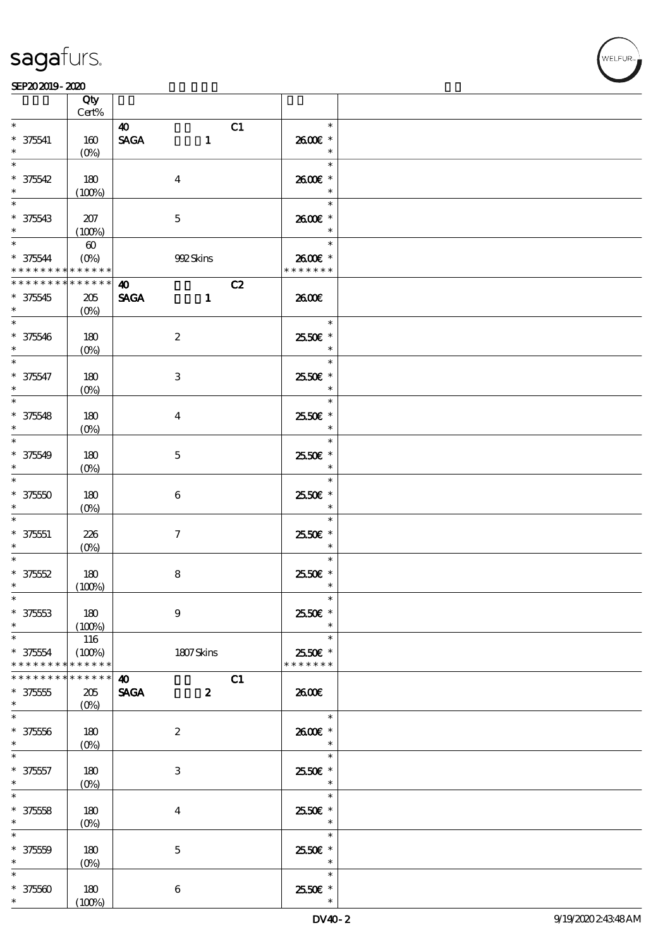### SEP202019-2020

|                                                  | Qty<br>$Cert\%$                      |                                                          |                                    |  |
|--------------------------------------------------|--------------------------------------|----------------------------------------------------------|------------------------------------|--|
| $\ast$<br>$* 375541$<br>$\ast$                   | 160<br>$(0\%)$                       | $\boldsymbol{\omega}$<br><b>SAGA</b><br>$\mathbf{1}$     | C1<br>$\ast$<br>2600E *<br>$\ast$  |  |
| $\ast$<br>$* 375542$                             | 180<br>(100%)                        | $\boldsymbol{4}$                                         | $\ast$<br>2600€ *<br>$\ast$        |  |
| $\overline{\ }$<br>$* 375543$                    | 207<br>(100%)                        | $\mathbf 5$                                              | $\ast$<br>2600€ *<br>$\ast$        |  |
| $*$<br>$* 375544$<br>* * * * * * * * * * * * * * | $\boldsymbol{\omega}$<br>$(O\!/\!o)$ | 992Skins                                                 | $\ast$<br>2600E *<br>* * * * * * * |  |
| * * * * * * * *<br>$* 375545$<br>$\ast$          | ******<br>$205\,$<br>$(O\%)$         | $\boldsymbol{\omega}$<br><b>SAGA</b><br>$\mathbf{1}$     | C2<br>2600€                        |  |
| $* 375546$<br>$\ast$                             | 180<br>$(0\%)$                       | $\boldsymbol{2}$                                         | $\ast$<br>2550€ *<br>$\ast$        |  |
| $\overline{\ast}$<br>$* 375547$<br>$\ast$        | 180<br>$(0\%)$                       | $\ensuremath{\mathbf{3}}$                                | $\ast$<br>25.50€ *<br>$\ast$       |  |
| $\overline{\ast}$<br>$* 375548$<br>$\ast$        | 180<br>$(0\%)$                       | $\boldsymbol{4}$                                         | $\ast$<br>2550€ *<br>$\ast$        |  |
| $\overline{\phantom{0}}$<br>$* 375549$<br>$\ast$ | 180<br>$(0\%)$                       | $\mathbf{5}$                                             | $\ast$<br>2550€ *<br>$\ast$        |  |
| $\ast$<br>$* 37550$<br>$\ast$                    | 180<br>$(0\%)$                       | $\bf 6$                                                  | $\ast$<br>2550€ *<br>$\ast$        |  |
| $\ast$<br>$* 375551$<br>$\ast$                   | 226<br>$(O\%)$                       | $\boldsymbol{7}$                                         | $\ast$<br>2550€ *<br>$\ast$        |  |
| $\ast$<br>$* 37552$<br>$\ast$                    | 180<br>(100%)                        | $\bf 8$                                                  | $\ast$<br>2550€ *<br>$\ast$        |  |
| $\ast$<br>$* 37553$<br>$\ast$                    | 180<br>(100%)                        | $9$                                                      | $\ast$<br>2550€ *                  |  |
| $\ast$<br>$* 375554$<br>* * * * * * * *          | 116<br>(100%)<br>* * * * * *         | 1807Skins                                                | $\ast$<br>2550€ *<br>* * * * * * * |  |
| * * * * * * *<br>$* 375555$<br>$\ast$            | * * * * * *<br>205<br>$(O\%)$        | $\boldsymbol{\omega}$<br><b>SAGA</b><br>$\boldsymbol{z}$ | C1<br>2600E                        |  |
| $\ast$<br>$* 37556$<br>$\ast$                    | $180\,$<br>$(0\%)$                   | $\boldsymbol{2}$                                         | $\ast$<br>2600€ *<br>$\ast$        |  |
| $\ast$<br>$* 375557$<br>$\ast$                   | 180<br>$(O\!/\!o)$                   | $\ensuremath{\mathbf{3}}$                                | $\ast$<br>2550€ *<br>$\ast$        |  |
| $\ast$<br>$* 37558$<br>$\ast$                    | 180<br>$(O\!/\!o)$                   | $\boldsymbol{4}$                                         | $\ast$<br>2550€ *<br>$\ast$        |  |
| $\ast$<br>$* 37550$<br>$\ast$                    | 180<br>$(0\%)$                       | $\bf 5$                                                  | $\ast$<br>2550€ *<br>$\ast$        |  |
| $\ast$<br>$* 37560$<br>$\ast$                    | 180<br>(100%)                        | $\boldsymbol{6}$                                         | $\ast$<br>25.50€ *                 |  |

ELFUR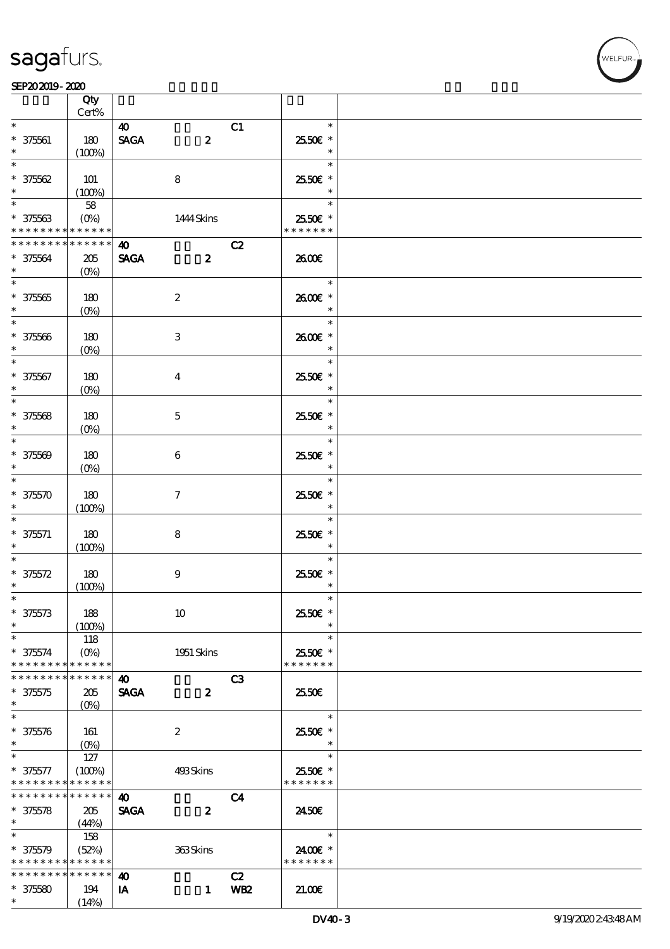# VELFUR

|                                |                 | Qty<br>Cert%                                          |                       |                         |                |                          |  |
|--------------------------------|-----------------|-------------------------------------------------------|-----------------------|-------------------------|----------------|--------------------------|--|
| $\ast$                         |                 |                                                       | $\boldsymbol{\omega}$ |                         | C1             | $\ast$                   |  |
| $* 375601$<br>$\ast$           |                 | 180<br>(100%)                                         | <b>SAGA</b>           | $\boldsymbol{z}$        |                | 2550€ *<br>$\ast$        |  |
| $\ast$                         |                 |                                                       |                       |                         |                | $\ast$                   |  |
| $* 37562$<br>$\ast$            |                 | $101$<br>(100%)                                       |                       | 8                       |                | 2550€ *<br>$\ast$        |  |
| $\ast$                         |                 | 58                                                    |                       |                         |                | $\ast$                   |  |
| $* 37563$                      |                 | $(O\%)$<br>* * * * * * * * <mark>* * * * * * *</mark> |                       | 1444 Skins              |                | 2550€ *<br>* * * * * * * |  |
|                                | * * * * * * * * | * * * * * *                                           | $\boldsymbol{\omega}$ |                         | C2             |                          |  |
| $* 37564$<br>$\ast$            |                 | 205<br>$(O\%)$                                        | <b>SAGA</b>           | $\boldsymbol{z}$        |                | 2600€                    |  |
| $\overline{\phantom{0}}$       |                 |                                                       |                       |                         |                | $\ast$                   |  |
| $* 375665$<br>$\ast$           |                 | 180<br>$(O\%)$                                        |                       | $\boldsymbol{2}$        |                | 2600E *<br>$\ast$        |  |
| $\overline{\ast}$              |                 |                                                       |                       |                         |                | $\ast$                   |  |
| $* 37566$<br>$\ast$            |                 | 180<br>$(O\%)$                                        |                       | $\,3$                   |                | 2600E *<br>$\ast$        |  |
| $\ast$                         |                 |                                                       |                       |                         |                | $\ast$                   |  |
| $* 375667$<br>$\ast$           |                 | 180<br>$(O\!/\!o)$                                    |                       | $\overline{\mathbf{4}}$ |                | 2550€ *<br>$\ast$        |  |
| $\overline{\ast}$              |                 |                                                       |                       |                         |                | $\ast$                   |  |
| $* 37568$<br>$\ast$            |                 | 180<br>$(0\%)$                                        |                       | $\mathbf 5$             |                | 2550€ *<br>$\ast$        |  |
| $\ast$                         |                 |                                                       |                       |                         |                | $\ast$                   |  |
| $* 37560$<br>$\ast$            |                 | 180<br>$(O\%)$                                        |                       | $\boldsymbol{6}$        |                | 2550€ *<br>$\ast$        |  |
| $\ast$                         |                 |                                                       |                       |                         |                | $\ast$                   |  |
| $* 375570$                     |                 | 180<br>(100%)                                         |                       | $\boldsymbol{\tau}$     |                | 2550€ *<br>$\ast$        |  |
|                                |                 |                                                       |                       |                         |                | $\ast$                   |  |
| $* 375571$<br>$\ast$           |                 | 180<br>(100%)                                         |                       | $\bf 8$                 |                | 2550€ *<br>$\ast$        |  |
| $\ast$                         |                 |                                                       |                       |                         |                | $\ast$                   |  |
| $* 375572$                     |                 | 180                                                   |                       | $\boldsymbol{9}$        |                | 2550€ *                  |  |
| $\ast$                         |                 | (100%)                                                |                       |                         |                | $\ast$                   |  |
| $\ast$<br>$* 375573$<br>$\ast$ |                 | 188                                                   |                       | 10                      |                | $\ast$<br>25.50€ *       |  |
| $\ast$                         |                 | (100%)                                                |                       |                         |                | $\ast$<br>$\ast$         |  |
| $* 375574$                     | * * * * * * * * | 118<br>$(O\%)$<br>* * * * * *                         |                       | 1951 Skins              |                | 2550€ *<br>* * * * * * * |  |
| * * * * * * *                  |                 | * * * * * *                                           | $\boldsymbol{\omega}$ |                         | C3             |                          |  |
| $* 375575$<br>$\ast$           |                 | 205<br>$(O\!/\!\!\delta)$                             | <b>SAGA</b>           | $\boldsymbol{z}$        |                | 25.50E                   |  |
| $\ast$                         |                 |                                                       |                       |                         |                | $\ast$                   |  |
| $* 375576$<br>$\ast$           |                 | 161<br>$(0\%)$                                        |                       | $\boldsymbol{2}$        |                | 2550€ *<br>$\ast$        |  |
| $\ast$                         |                 | 127                                                   |                       |                         |                | $\ast$                   |  |
| $* 375577$                     | * * * * * * * * | (100%)<br>* * * * * *                                 |                       | 493Skins                |                | 2550€ *<br>* * * * * * * |  |
|                                |                 | * * * * * * * * * * * * * *                           | $\boldsymbol{\omega}$ |                         | C <sub>4</sub> |                          |  |
| $* 375578$<br>$\ast$           |                 | 205<br>(44%)                                          | <b>SAGA</b>           | $\boldsymbol{z}$        |                | 2450E                    |  |
| $\ast$                         |                 | 158                                                   |                       |                         |                | $\ast$                   |  |
| $* 375579$                     |                 | (52%)<br>* * * * * * * * * * * * * *                  |                       | 363Skins                |                | 2400€ *<br>* * * * * * * |  |
|                                | * * * * * * * * | * * * * * *                                           | $\boldsymbol{\omega}$ |                         | C2             |                          |  |
| $* 375580$<br>$\ast$           |                 | 194<br>(14%)                                          | IA                    | $\mathbf{1}$            | <b>WB2</b>     | 21.00                    |  |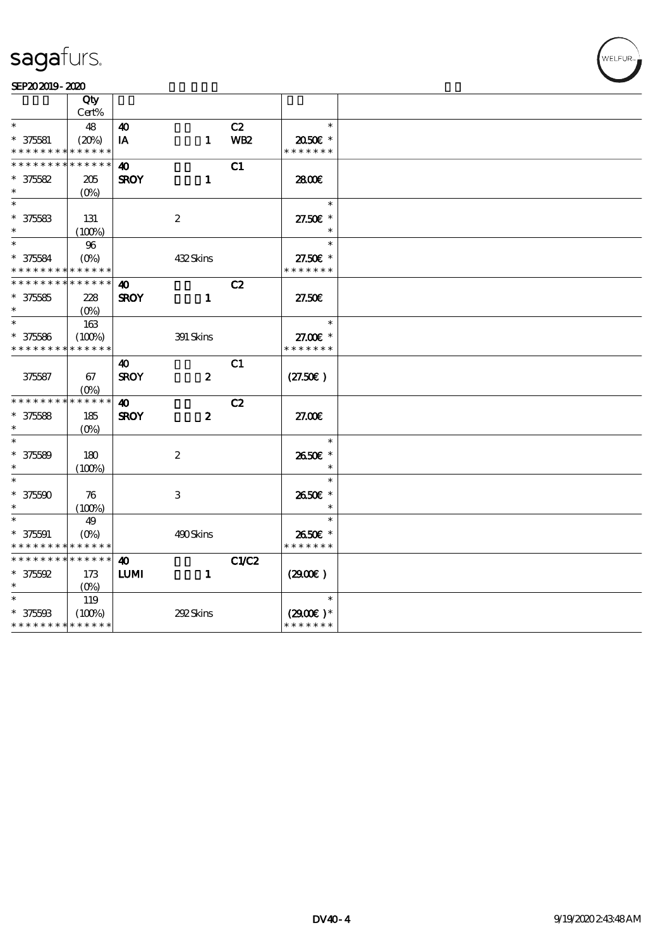# WELFUR

|                          | Qty                         |                       |                  |            |               |  |
|--------------------------|-----------------------------|-----------------------|------------------|------------|---------------|--|
|                          | Cert%                       |                       |                  |            |               |  |
| $\ast$                   | 48                          | 40                    |                  | C2         | $\ast$        |  |
| $* 375581$               | (20%)                       | IA                    | $\mathbf{1}$     | <b>WB2</b> | 2050E *       |  |
| * * * * * * * *          | * * * * * *                 |                       |                  |            | * * * * * * * |  |
| * * * * * * * *          | * * * * * *                 | $\boldsymbol{\omega}$ |                  | C1         |               |  |
| $* 375582$               | 205                         | <b>SROY</b>           | $\mathbf{1}$     |            | 2800€         |  |
| $\ast$                   | $(O\%)$                     |                       |                  |            |               |  |
| $\ast$                   |                             |                       |                  |            | $\ast$        |  |
| $* 375583$               | 131                         |                       | $\boldsymbol{2}$ |            | 27.50€ *      |  |
| $\ast$                   | (100%)                      |                       |                  |            | $\ast$        |  |
| $\ast$                   | 96                          |                       |                  |            | $\ast$        |  |
| $* 375584$               | $(O\% )$                    |                       | 432Skins         |            | 27.50£ *      |  |
| * * * * * * * *          | * * * * * *                 |                       |                  |            | * * * * * * * |  |
| * * * * * * * *          | * * * * * *                 | 40                    |                  | C2         |               |  |
| $* 375585$               | 228                         | <b>SROY</b>           | $\mathbf{1}$     |            | 27.50E        |  |
| $\ast$                   | $(O\%)$                     |                       |                  |            |               |  |
| $\overline{\phantom{1}}$ | 163                         |                       |                  |            | $\ast$        |  |
| $* 375586$               | (100%)                      |                       | 391 Skins        |            | 27.00 £*      |  |
| * * * * * * * *          | * * * * * *                 |                       |                  |            | * * * * * * * |  |
|                          |                             | 40                    |                  | C1         |               |  |
| 375587                   | 67                          | <b>SROY</b>           | $\boldsymbol{z}$ |            | (27.50)       |  |
|                          | $(O\%)$                     |                       |                  |            |               |  |
| * * * * * * * *          | * * * * * *                 | $\boldsymbol{\omega}$ |                  | C2         |               |  |
| $* 375588$               | 185                         | <b>SROY</b>           | $\boldsymbol{z}$ |            | 27.00E        |  |
| $\ast$                   | $(O\%)$                     |                       |                  |            |               |  |
| $\ast$                   |                             |                       |                  |            | $\ast$        |  |
| $* 375589$               | 180                         |                       | $\boldsymbol{2}$ |            | 2650€ *       |  |
| $\ast$                   | (100%)                      |                       |                  |            |               |  |
| $\overline{\phantom{0}}$ |                             |                       |                  |            | $\ast$        |  |
| $* 375500$               | 76                          |                       | 3                |            | 2650€ *       |  |
| $\ast$                   | (100%)                      |                       |                  |            | $\ast$        |  |
| $\ast$                   | 49                          |                       |                  |            | $\ast$        |  |
| $* 375591$               | $(O\%)$                     |                       | 490Skins         |            | 2650E *       |  |
| * * * * * * * *          | * * * * * *                 |                       |                  |            | * * * * * * * |  |
| * * * * * * * *          | * * * * * *                 | $\boldsymbol{\omega}$ |                  | C1/C2      |               |  |
| $* 375592$               | 173                         | <b>LUMI</b>           | $\mathbf{1}$     |            | (2900)        |  |
| $\ast$                   | $(O\%)$                     |                       |                  |            |               |  |
| $\ast$                   | 119                         |                       |                  |            | $\ast$        |  |
| $* 375598$               | (100%)                      |                       | 292Skins         |            | $(2900)$ *    |  |
|                          | * * * * * * * * * * * * * * |                       |                  |            | * * * * * * * |  |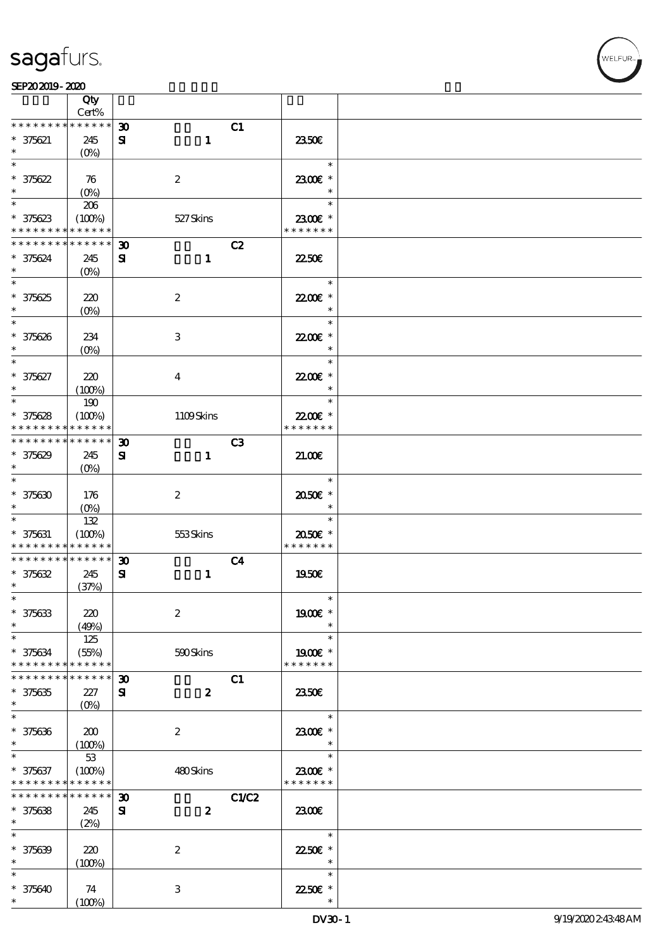VELFUR

|                               | Qty                  |                             |                  |                |                          |  |
|-------------------------------|----------------------|-----------------------------|------------------|----------------|--------------------------|--|
| * * * * * * * *               | Cert%<br>* * * * * * |                             |                  |                |                          |  |
|                               |                      | 30 <sub>o</sub>             |                  | C1             | 2350E                    |  |
| $* 375621$<br>$\ast$          | 245<br>$(O\!/\!o)$   | ${\bf s}$                   | $\mathbf{1}$     |                |                          |  |
| $\ast$                        |                      |                             |                  |                | $\ast$                   |  |
| $* 375622$                    | 76                   |                             | $\boldsymbol{2}$ |                | 2300€ *                  |  |
| $\ast$                        | $(O\%)$              |                             |                  |                | $\ast$                   |  |
| $\ast$                        | 206                  |                             |                  |                | $\ast$                   |  |
| $* 375623$                    | (100%)               |                             | 527Skins         |                | 2300€ *                  |  |
| * * * * * * * *               | * * * * * *          |                             |                  |                | * * * * * * *            |  |
| * * * * * * * *               | * * * * * *          | $\boldsymbol{\mathfrak{D}}$ |                  | C2             |                          |  |
| * 375624                      | 245                  | ${\bf s}$                   | $\mathbf{1}$     |                | <b>2250€</b>             |  |
| $\ast$<br>$\overline{\ast}$   | $(O_0)$              |                             |                  |                | $\ast$                   |  |
|                               |                      |                             |                  |                |                          |  |
| $* 375625$<br>$\ast$          | 220<br>$(O\%)$       |                             | $\boldsymbol{2}$ |                | 22.00€ *<br>$\ast$       |  |
| $\ast$                        |                      |                             |                  |                | $\ast$                   |  |
| $* 375626$                    | 234                  |                             | $\,3$            |                | 22.00€ *                 |  |
| $\ast$                        | $(O\%)$              |                             |                  |                | $\ast$                   |  |
| $\ast$                        |                      |                             |                  |                | $\ast$                   |  |
| $* 375627$                    | 220                  |                             | $\boldsymbol{4}$ |                | 2200E *                  |  |
| $\ast$                        | (100%)               |                             |                  |                | $\ast$                   |  |
| $\ast$                        | 190                  |                             |                  |                | $\ast$                   |  |
| $* 375628$                    | (100%)               |                             | 1109Skins        |                | 22.00€ *                 |  |
| * * * * * * * *               | * * * * * *          |                             |                  |                | * * * * * * *            |  |
| * * * * * * * *               | * * * * * *          | 30                          |                  | C <sub>3</sub> |                          |  |
| $* 375629$                    | 245                  | $\mathbf{S}$                | $\mathbf{1}$     |                | 21.00                    |  |
| $\ast$<br>$\ast$              | $(O\%)$              |                             |                  |                |                          |  |
|                               |                      |                             |                  |                | $\ast$                   |  |
| $* 375630$<br>$\ast$          | 176                  |                             | $\boldsymbol{2}$ |                | 2050E *<br>$\ast$        |  |
| $\ast$                        | $(O\%)$<br>132       |                             |                  |                | $\ast$                   |  |
| $* 375631$                    | (100%)               |                             | 553Skins         |                | 2050€ *                  |  |
| * * * * * * * *               | * * * * * *          |                             |                  |                | * * * * * * *            |  |
| * * * * * * * *               | * * * * * *          | $\boldsymbol{\mathfrak{D}}$ |                  | C <sub>4</sub> |                          |  |
| $* 375632$                    | 245                  | ${\bf s}$                   | $\mathbf{1}$     |                | 1950E                    |  |
| $\ast$                        | (37%)                |                             |                  |                |                          |  |
| $\ast$                        |                      |                             |                  |                | $\ast$                   |  |
| $* 375633$                    | 220                  |                             | $\boldsymbol{2}$ |                | 1900€ *                  |  |
| $\ast$                        | (49%)                |                             |                  |                | $\ast$                   |  |
| $\ast$                        | 125                  |                             |                  |                | $\ast$                   |  |
| $* 375634$<br>* * * * * * * * | (55%)<br>* * * * * * |                             | 590Skins         |                | 1900€ *<br>* * * * * * * |  |
| * * * * * * *                 | * * * * * *          | $\boldsymbol{\mathfrak{D}}$ |                  | C1             |                          |  |
| $* 375635$                    | 227                  | $\mathbf{S}$                | $\boldsymbol{z}$ |                | 2350E                    |  |
| $\ast$                        | $(O\%)$              |                             |                  |                |                          |  |
| $\ast$                        |                      |                             |                  |                | $\ast$                   |  |
| $* 375636$                    | 200                  |                             | $\boldsymbol{2}$ |                | 2300€ *                  |  |
| $\ast$                        | (100%)               |                             |                  |                | $\ast$                   |  |
| $\ast$                        | 53                   |                             |                  |                | $\ast$                   |  |
| $* 375637$                    | (100%)               |                             | 480Skins         |                | 2300€ *                  |  |
| * * * * * * * *               | * * * * * *          |                             |                  |                | * * * * * * *            |  |
| * * * * * * * *               | * * * * * *          | $\boldsymbol{\mathfrak{D}}$ |                  | <b>C1/C2</b>   |                          |  |
| $* 375638$<br>$\ast$          | 245                  | ${\bf s}$                   | $\boldsymbol{z}$ |                | 2300E                    |  |
| $\ast$                        | (2%)                 |                             |                  |                | $\ast$                   |  |
| $* 375639$                    | 220                  |                             | $\boldsymbol{2}$ |                | 2250E *                  |  |
| $\ast$                        | (100%)               |                             |                  |                | $\ast$                   |  |
| $\ast$                        |                      |                             |                  |                | $\ast$                   |  |
| $* 375640$                    | 74                   |                             | $\,3$            |                | 22.50€ *                 |  |
| $\ast$                        | (100%)               |                             |                  |                | $\ast$                   |  |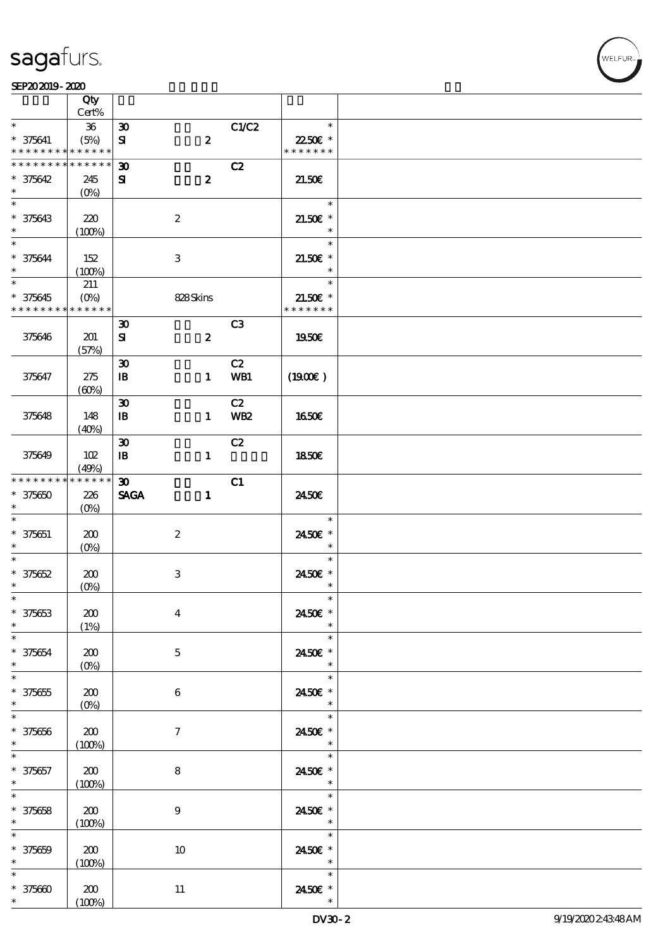### $SEP202019 - 2020$

|                                                        | Qty<br>Cert%               |                             |                  |                |                                                   |  |
|--------------------------------------------------------|----------------------------|-----------------------------|------------------|----------------|---------------------------------------------------|--|
| $\ast$                                                 |                            |                             |                  |                | $\ast$                                            |  |
|                                                        | ${\bf 36}$                 | $\boldsymbol{\mathfrak{D}}$ |                  | C1/C2          |                                                   |  |
| $* 375641$<br>* * * * * * * * <mark>* * * * * *</mark> | (5%)                       | ${\bf s}$                   | $\pmb{2}$        |                | 22.50E *<br>* * * * * * *                         |  |
| * * * * * * * *                                        | $\ast\ast\ast\ast\ast\ast$ |                             |                  |                |                                                   |  |
|                                                        |                            | $\boldsymbol{\mathfrak{D}}$ |                  | C2             |                                                   |  |
| $* 375642$<br>$\ast$                                   | 245                        | ${\bf s}$                   | $\boldsymbol{z}$ |                | 21.50E                                            |  |
|                                                        | $(0\%)$                    |                             |                  |                |                                                   |  |
|                                                        |                            |                             |                  |                | $\ast$                                            |  |
| * 375643                                               | 220                        |                             | $\boldsymbol{2}$ |                | $21.50E$ *                                        |  |
| $\ast$<br>$*$                                          | (100%)                     |                             |                  |                | $\ast$                                            |  |
|                                                        |                            |                             |                  |                | $\ast$                                            |  |
| $* 375644$                                             | 152                        |                             | 3                |                | $21.50E$ *                                        |  |
| $\ast$                                                 | (100%)                     |                             |                  |                | $\ast$                                            |  |
| $\overline{\ast}$                                      | 211                        |                             |                  |                | $\ast$                                            |  |
| $* 375645$                                             | $(0\%)$                    |                             | 828Skins         |                | $21.50E$ *                                        |  |
| * * * * * * * *                                        | * * * * * *                |                             |                  |                | * * * * * * *                                     |  |
|                                                        |                            | $\boldsymbol{\mathfrak{D}}$ |                  | C <sub>3</sub> |                                                   |  |
| 375646                                                 | 201                        | ${\bf s}$                   | $\boldsymbol{z}$ |                | 1950E                                             |  |
|                                                        | (57%)                      |                             |                  |                |                                                   |  |
|                                                        |                            | $\boldsymbol{\mathfrak{D}}$ |                  | C2             |                                                   |  |
| 375647                                                 | 275                        | $\mathbf{B}$                | $\mathbf{1}$     | WB1            | (1900)                                            |  |
|                                                        | (60%)                      |                             |                  |                |                                                   |  |
|                                                        |                            | $\boldsymbol{\mathfrak{D}}$ |                  | C2             |                                                   |  |
| 375648                                                 | 148                        | $\mathbf{B}$                | $\mathbf{1}$     | <b>WB2</b>     | 1650E                                             |  |
|                                                        | (40%)                      |                             |                  |                |                                                   |  |
|                                                        |                            | $\boldsymbol{\mathfrak{D}}$ |                  | C2             |                                                   |  |
| 375649                                                 | 102                        | $\mathbf{B}$                | $\mathbf{1}$     |                | 1850E                                             |  |
|                                                        | (49%)                      |                             |                  |                |                                                   |  |
| * * * * * * * *                                        | * * * * * *                | $\boldsymbol{\mathfrak{D}}$ |                  | C1             |                                                   |  |
| $* 375650$                                             | 226                        | <b>SAGA</b>                 | $\mathbf{1}$     |                | 2450E                                             |  |
| $\ast$                                                 | $(O\%)$                    |                             |                  |                |                                                   |  |
| $\ast$                                                 |                            |                             |                  |                | $\ast$                                            |  |
| $* 375651$                                             | 200                        |                             | $\boldsymbol{2}$ |                | 2450€ *                                           |  |
| $\ast$                                                 | $(O\%)$                    |                             |                  |                | $\ast$                                            |  |
| $\ast$                                                 |                            |                             |                  |                | $\ast$                                            |  |
| $* 375652$                                             | 200                        |                             | $\,3\,$          |                | 2450E *                                           |  |
| $\ast$                                                 | $(O\%)$                    |                             |                  |                | $\ast$                                            |  |
| $*$                                                    |                            |                             |                  |                | $\ast$                                            |  |
| $* 375653$                                             | 200                        |                             | $\boldsymbol{4}$ |                | 2450€ *                                           |  |
| $\ast$                                                 | (1%)                       |                             |                  |                | $\ast$                                            |  |
| $\ast$                                                 |                            |                             |                  |                | $\ast$                                            |  |
| $* 375654$                                             | 200                        |                             | $\mathbf{5}$     |                | 2450E *                                           |  |
| $\ast$                                                 | $(0\%)$                    |                             |                  |                | $\ast$                                            |  |
| $\overline{\ast}$                                      |                            |                             |                  |                | $\ast$                                            |  |
| $* 375655$                                             | 200                        |                             | 6                |                | 2450E *                                           |  |
| $\ast$                                                 | $(0\%)$                    |                             |                  |                | $*$                                               |  |
| $\ast$                                                 |                            |                             |                  |                | $\ast$                                            |  |
| $* 375656$                                             |                            |                             |                  |                | 2450€ *                                           |  |
| $\ast$                                                 | 200                        |                             | $\tau$           |                | $\ast$                                            |  |
| $\ast$                                                 | (100%)                     |                             |                  |                | $\ast$                                            |  |
|                                                        |                            |                             |                  |                |                                                   |  |
| $* 375657$<br>$\ast$                                   | 200                        |                             | $\bf8$           |                | 2450€ *<br>$\overline{\phantom{a}}$               |  |
| $\overline{\ast}$                                      | (100%)                     |                             |                  |                | $\ast$                                            |  |
|                                                        |                            |                             |                  |                |                                                   |  |
| $* 375658$<br>$\ast$                                   | 200                        |                             | $\boldsymbol{9}$ |                | 2450E *                                           |  |
|                                                        | (100%)                     |                             |                  |                | $\overline{\phantom{a}}$ $\overline{\phantom{a}}$ |  |
| $\ast$                                                 |                            |                             |                  |                | $\ast$                                            |  |
| $* 375659$                                             | 200                        |                             | 10               |                | 2450€ *                                           |  |
| $\ast$                                                 | (100%)                     |                             |                  |                | $\ast$                                            |  |
| $\ast$                                                 |                            |                             |                  |                | $\ast$                                            |  |
| $* 375600$                                             | 200                        |                             | 11               |                | 2450 €*                                           |  |
| $*$                                                    | (100%)                     |                             |                  |                | $\ast$                                            |  |

WELFUR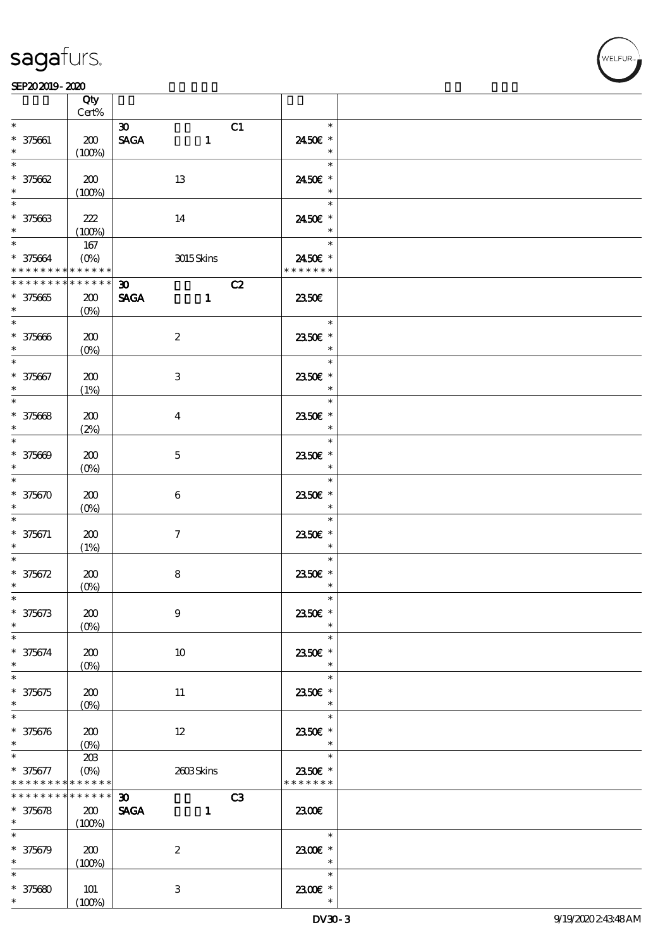## **VELFUR**

|                                                                  | Qty<br>Cert%                          |                                                                  |                                       |  |
|------------------------------------------------------------------|---------------------------------------|------------------------------------------------------------------|---------------------------------------|--|
| $\ast$<br>$* 375661$<br>$\ast$                                   | 200                                   | $\boldsymbol{\mathfrak{D}}$<br><b>SAGA</b><br>$\mathbf{1}$       | C1<br>$\ast$<br>2450€ *<br>$\ast$     |  |
| $\ast$<br>$* 375662$                                             | (100%)<br>200                         | 13                                                               | $\ast$<br>2450€ *                     |  |
| $\ast$<br>$\ast$<br>$* 375663$<br>$\ast$                         | (100%)<br>222                         | 14                                                               | $\ast$<br>$\ast$<br>2450€ *<br>$\ast$ |  |
| $\ast$<br>$* 375664$<br>* * * * * * * * <mark>* * * * * *</mark> | (100%)<br>167<br>$(O\%)$              | 3015Skins                                                        | $\ast$<br>2450€ *<br>* * * * * * *    |  |
| * * * * * * * *<br>$* 375665$                                    | * * * * * *<br>200                    | C2<br>$\boldsymbol{\mathfrak{D}}$<br><b>SAGA</b><br>$\mathbf{1}$ | 2350E                                 |  |
| $\ast$<br>$\overline{\ast}$<br>$* 375666$                        | $(0\%)$<br>200                        | $\boldsymbol{2}$                                                 | $\ast$<br>2350E *                     |  |
| $\ast$<br>$\ast$<br>$* 375667$                                   | $(O\!/\!o)$<br>200                    | $\ensuremath{\mathsf{3}}$                                        | $\ast$<br>$\ast$<br>2350E *           |  |
| $\ast$<br>$\overline{\ast}$<br>$* 375668$                        | (1%)<br>200                           | $\bf{4}$                                                         | $\ast$<br>$\ast$<br>2350E *           |  |
| $\ast$<br>$\ast$<br>$* 375609$                                   | (2%)<br>200                           | $\mathbf 5$                                                      | $\ast$<br>$\ast$<br>2350E *           |  |
| $\ast$<br>$\ast$<br>$* 375670$                                   | $(0\%)$<br>200                        | $\boldsymbol{6}$                                                 | $\ast$<br>$\ast$<br>2350€ *           |  |
| $\ast$<br>$* 375671$                                             | $(O\%)$<br>200                        | $\tau$                                                           | $\ast$<br>$\ast$<br>2350E *           |  |
| $\ast$<br>$\ast$<br>$* 375672$                                   | (1%)<br>200                           | $\bf 8$                                                          | $\ast$<br>$\ast$<br>2350€ *           |  |
| $\ast$<br>$\ast$<br>$* 375673$                                   | $(0\%)$<br>200                        | $\boldsymbol{9}$                                                 | $\ast$<br>$\ast$<br>2350€ *           |  |
| $\ast$<br>$\ast$<br>$* 375674$                                   | $(0\%)$<br>200                        | 10                                                               | $\ast$<br>$\ast$<br>2350E *           |  |
| $\ast$<br>$\ast$<br>$* 375675$                                   | $(O\%)$<br>200                        |                                                                  | $\ast$<br>$\ast$<br>2350€ *           |  |
| $\ast$<br>$\ast$                                                 | $(O\%)$                               | 11                                                               | $\ast$<br>$\ast$                      |  |
| $* 375676$<br>$\ast$<br>$\ast$                                   | 200<br>$(0\%)$<br>20B                 | $12\,$                                                           | 2350E *<br>$\ast$<br>$\ast$           |  |
| $* 375677$<br>* * * * * * * *<br>* * * * * * *                   | $(O\%)$<br>* * * * * *<br>* * * * * * | 2603Skins<br>$\boldsymbol{\mathfrak{D}}$                         | 2350E *<br>* * * * * * *<br>C3        |  |
| $* 375678$<br>$\ast$<br>$\ast$                                   | 200<br>(100%)                         | <b>SAGA</b><br>$\mathbf{1}$                                      | 2300E<br>$\ast$                       |  |
| $* 375679$<br>$\ast$<br>$\ast$                                   | 200<br>(100%)                         | $\boldsymbol{2}$                                                 | 2300€ *<br>$\ast$<br>$\ast$           |  |
| $* 375680$<br>$\ast$                                             | 101<br>(100%)                         | 3                                                                | 2300E *                               |  |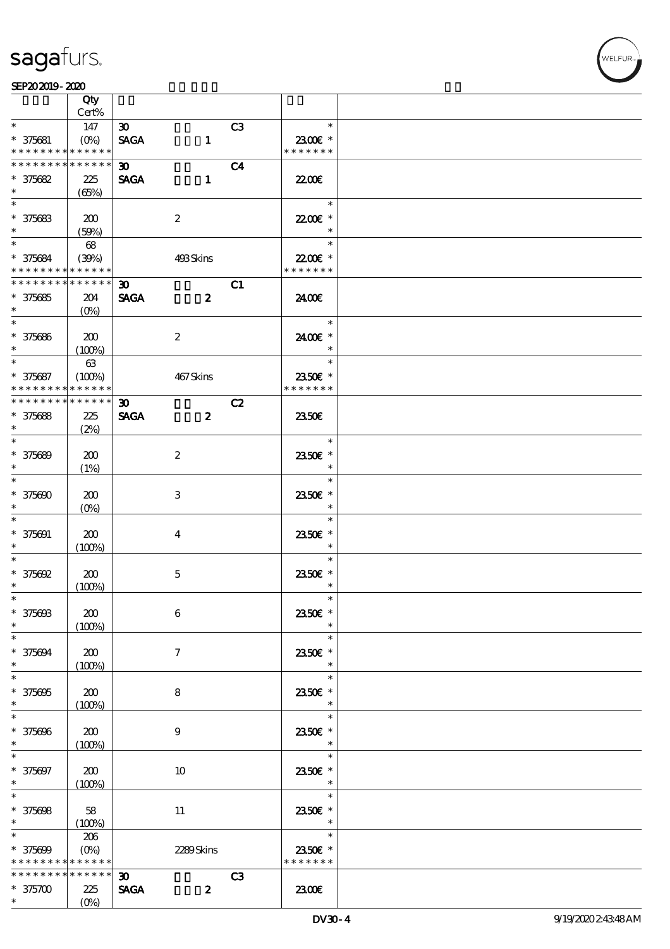$\top$ 

### $SEP202019 - 2020$

|                                                      | Qty<br>Cert%    |                             |                  |                          |  |
|------------------------------------------------------|-----------------|-----------------------------|------------------|--------------------------|--|
| $\ast$                                               |                 |                             |                  | $\ast$                   |  |
|                                                      | 147             | $\infty$                    | C <sub>3</sub>   |                          |  |
| $* 375681$                                           | $(O\%)$         | <b>SAGA</b>                 | $\mathbf{1}$     | 2300€ *                  |  |
| * * * * * * * *                                      | * * * * * *     |                             |                  | * * * * * * *            |  |
| * * * * * * * *                                      | $* * * * * * *$ | $\boldsymbol{\mathfrak{D}}$ | C <sub>4</sub>   |                          |  |
| $* 375682$                                           | 225             | <b>SAGA</b>                 | $\mathbf{1}$     | 2200                     |  |
| $\ast$                                               | (65%)           |                             |                  |                          |  |
|                                                      |                 |                             |                  | $\ast$                   |  |
| $* 375683$                                           | 200             | $\boldsymbol{2}$            |                  | 22.00€ *                 |  |
| $\ast$                                               | (50%)           |                             |                  | $\ast$                   |  |
| $*$                                                  | 68              |                             |                  | $\ast$                   |  |
|                                                      |                 |                             |                  | 22.00E *                 |  |
| * 375684<br>* * * * * * * * <mark>* * * * * *</mark> | (39%)           | 493Skins                    |                  | * * * * * * *            |  |
| * * * * * * * * * * * * * * *                        |                 |                             |                  |                          |  |
|                                                      |                 | $\boldsymbol{\mathfrak{D}}$ | C1               |                          |  |
| $* 375685$                                           | 204             | <b>SAGA</b>                 | $\boldsymbol{z}$ | 2400€                    |  |
| $\ast$                                               | $(O\%)$         |                             |                  |                          |  |
| $\overline{\phantom{0}}$                             |                 |                             |                  | $\ast$                   |  |
| $* 375686$                                           | 200             | $\boldsymbol{2}$            |                  | 2400€ *                  |  |
| $\ast$                                               | (100%)          |                             |                  | $\ast$                   |  |
| $\ast$                                               | $63\,$          |                             |                  | $\ast$                   |  |
| * 375687                                             | (100%)          | 467Skins                    |                  | 2350€ *                  |  |
| * * * * * * * *                                      | * * * * * *     |                             |                  | * * * * * * *            |  |
| * * * * * * * * <mark>* * * * * *</mark>             |                 | $\boldsymbol{\mathfrak{D}}$ | C2               |                          |  |
| $* 375688$                                           | 225             | <b>SAGA</b>                 | $\boldsymbol{z}$ | 2350E                    |  |
| $\ast$                                               | (2%)            |                             |                  |                          |  |
| $\overline{\ast}$                                    |                 |                             |                  | $\ast$                   |  |
|                                                      |                 |                             |                  |                          |  |
| * 375689                                             | 200             | $\boldsymbol{2}$            |                  | 2350E *                  |  |
| $\ast$                                               | (1%)            |                             |                  | $\ast$                   |  |
| $\overline{\ast}$                                    |                 |                             |                  | $\ast$                   |  |
| $* 375600$                                           | 200             | 3                           |                  | 2350E *                  |  |
| $\ast$                                               | $(O\%)$         |                             |                  | $\ast$                   |  |
| $\ast$                                               |                 |                             |                  | $\ast$                   |  |
| $* 375091$                                           | 200             | $\overline{4}$              |                  | 2350E *                  |  |
| $\ast$                                               | (100%)          |                             |                  | $\ast$                   |  |
| $\ast$                                               |                 |                             |                  | $\ast$                   |  |
| $* 375692$                                           | 200             | $\mathbf 5$                 |                  | 2350€ *                  |  |
| $\ast$                                               | (100%)          |                             |                  | $\ast$                   |  |
| $\ast$                                               |                 |                             |                  | $\ast$                   |  |
| $* 37560B$                                           | 200             | 6                           |                  | 2350€ *                  |  |
| $\ast$                                               |                 |                             |                  |                          |  |
| $\ast$                                               | (100%)          |                             |                  | $\ast$                   |  |
|                                                      |                 |                             |                  |                          |  |
| $* 375694$                                           | 200             | 7                           |                  | 2350E *                  |  |
| $\ast$                                               | (100%)          |                             |                  | $\ast$                   |  |
| $\overline{\ast}$                                    |                 |                             |                  | $\ast$                   |  |
| $* 375695$                                           | 200             | 8                           |                  | 2350€ *                  |  |
| $\ast$                                               | (100%)          |                             |                  | $\ast$                   |  |
| $\ast$                                               |                 |                             |                  | $\ast$                   |  |
| * 375696                                             | 200             | 9                           |                  | 2350E *                  |  |
| $\ast$                                               | (100%)          |                             |                  | $\ast$                   |  |
| $\ast$                                               |                 |                             |                  | $\ast$                   |  |
| * 375697                                             | 200             | 10                          |                  | 2350E *                  |  |
| $\ast$                                               | (100%)          |                             |                  | $\ast$                   |  |
| $\ast$                                               |                 |                             |                  | $\ast$                   |  |
| $* 375698$                                           | 58              | 11                          |                  | 2350E *                  |  |
| $\ast$                                               | (100%)          |                             |                  | $\ast$                   |  |
| $\ast$                                               | 206             |                             |                  | $\ast$                   |  |
|                                                      |                 |                             |                  |                          |  |
| $* 375609$                                           | $(0\%)$         | 2289Skins                   |                  | 2350€ *<br>* * * * * * * |  |
| * * * * * * * *                                      | * * * * * *     |                             |                  |                          |  |
| * * * * * * * *                                      | * * * * * *     | 30 <sub>o</sub>             | C3               |                          |  |
| $*375700$                                            | 225             | <b>SAGA</b>                 | $\boldsymbol{z}$ | 2300E                    |  |
| $\ast$                                               | $(O\%)$         |                             |                  |                          |  |

 $\overline{\mathbf{r}}$ 

WELFUR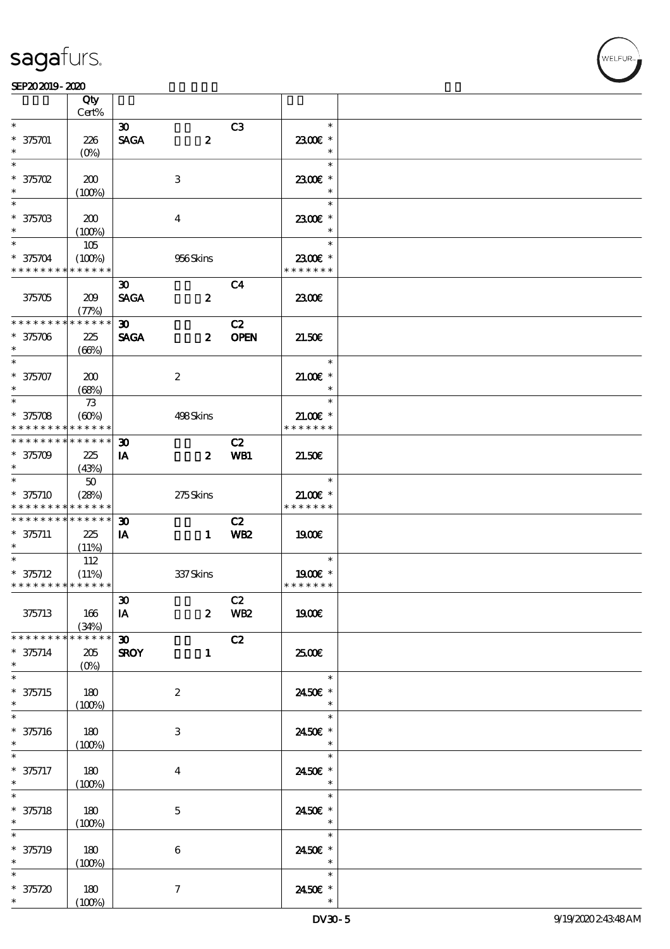### SEP202019-2020

|                             | Qty             |                             |                  |                 |               |  |
|-----------------------------|-----------------|-----------------------------|------------------|-----------------|---------------|--|
|                             | Cert%           |                             |                  |                 |               |  |
| $\ast$                      |                 | $\boldsymbol{\mathfrak{D}}$ |                  | C3              | $\ast$        |  |
| $* 375701$                  | 226             | <b>SAGA</b>                 | $\boldsymbol{z}$ |                 | 2300E *       |  |
| $\ast$                      | $(O\%)$         |                             |                  |                 | $\ast$        |  |
| $\ast$                      |                 |                             |                  |                 | $\ast$        |  |
| $*375702$                   | 200             |                             | $\,3\,$          |                 | 2300€ *       |  |
| $\ast$                      | (100%)          |                             |                  |                 | $\ast$        |  |
| $\ast$                      |                 |                             |                  |                 | $\ast$        |  |
| $* 37570B$                  | 200             |                             | $\boldsymbol{4}$ |                 | 2300€ *       |  |
| $\ast$                      |                 |                             |                  |                 | $\ast$        |  |
| $\ast$                      | (100%)          |                             |                  |                 | $\ast$        |  |
|                             | 105             |                             |                  |                 |               |  |
| $* 375704$                  | (100%)          |                             | 956Skins         |                 | 2300€ *       |  |
| * * * * * * * * * * * * * * |                 |                             |                  |                 | * * * * * * * |  |
|                             |                 | $\boldsymbol{\mathfrak{D}}$ |                  | C <sub>4</sub>  |               |  |
| 375705                      | 209             | <b>SAGA</b>                 | $\boldsymbol{z}$ |                 | 2300          |  |
|                             | (77%)           |                             |                  |                 |               |  |
| * * * * * * * *             | * * * * * *     | $\boldsymbol{\mathfrak{D}}$ |                  | C2              |               |  |
| $* 375706$                  | 225             | <b>SAGA</b>                 | $\boldsymbol{z}$ | <b>OPEN</b>     | 21.50E        |  |
| $\ast$                      | (66%)           |                             |                  |                 |               |  |
| $\overline{\ast}$           |                 |                             |                  |                 | $\ast$        |  |
|                             |                 |                             |                  |                 |               |  |
| $* 375707$                  | 200             |                             | $\boldsymbol{2}$ |                 | $21.00E$ *    |  |
| $\ast$                      | (68%)           |                             |                  |                 | $\ast$        |  |
|                             | 73              |                             |                  |                 | $\ast$        |  |
| $* 375708$                  | (60%)           |                             | 498Skins         |                 | $21.00E$ *    |  |
| * * * * * * * * * * * * * * |                 |                             |                  |                 | * * * * * * * |  |
| * * * * * * * * *           | $* * * * * * *$ | $\boldsymbol{\mathfrak{D}}$ |                  | C2              |               |  |
| $* 375709$                  | 225             | IA                          | $\boldsymbol{z}$ | WB1             | 21.50E        |  |
| $\ast$                      | (43%)           |                             |                  |                 |               |  |
| $\ast$                      |                 |                             |                  |                 | $\ast$        |  |
|                             | $50\,$          |                             |                  |                 |               |  |
| $* 375710$                  | (28%)           |                             | 275Skins         |                 | $21.00E$ *    |  |
| * * * * * * * * * * * * * * |                 |                             |                  |                 | * * * * * * * |  |
| * * * * * * * * * * * * * * |                 | $\boldsymbol{\mathfrak{D}}$ |                  | C2              |               |  |
| $* 375711$                  | 225             | IA                          | $\blacksquare$   | <b>WB2</b>      | 1900E         |  |
| $\ast$                      | (11%)           |                             |                  |                 |               |  |
|                             | 112             |                             |                  |                 | $\ast$        |  |
| $* 375712$                  | (11%)           |                             | 337Skins         |                 | 1900E *       |  |
| * * * * * * * * * * * * * * |                 |                             |                  |                 | * * * * * * * |  |
|                             |                 |                             |                  | C2              |               |  |
|                             |                 | $\boldsymbol{\mathfrak{D}}$ |                  | WB <sub>2</sub> | <b>1900€</b>  |  |
| 375713                      | 166             | IA                          | $\boldsymbol{z}$ |                 |               |  |
|                             | (34%)           |                             |                  |                 |               |  |
| * * * * * * * *             | * * * * * *     | $\boldsymbol{\mathfrak{D}}$ |                  | C2              |               |  |
| $* 375714$                  | 205             | <b>SROY</b>                 | $\mathbf{1}$     |                 | 2500€         |  |
| $\ast$                      | $(O\%)$         |                             |                  |                 |               |  |
| $\overline{\phantom{0}}$    |                 |                             |                  |                 | $\ast$        |  |
| $* 375715$                  | 180             |                             | $\boldsymbol{2}$ |                 | 2450E *       |  |
| $\ast$                      | (100%)          |                             |                  |                 | $\ast$        |  |
| $\overline{\ast}$           |                 |                             |                  |                 | $\ast$        |  |
| $* 375716$                  | 180             |                             | $\,3$            |                 | 2450€ *       |  |
| $\ast$                      | (100%)          |                             |                  |                 | $\ast$        |  |
| $\ast$                      |                 |                             |                  |                 | $\ast$        |  |
|                             |                 |                             |                  |                 |               |  |
| $* 375717$                  | 180             |                             | $\boldsymbol{4}$ |                 | 2450€ *       |  |
| $\ast$                      | (100%)          |                             |                  |                 | $\ast$        |  |
| $\ast$                      |                 |                             |                  |                 | $\ast$        |  |
| $* 375718$                  | 180             |                             | $\mathbf 5$      |                 | 2450E *       |  |
| $\ast$                      | (100%)          |                             |                  |                 | $\ast$        |  |
| $\ast$                      |                 |                             |                  |                 | $\ast$        |  |
| $* 375719$                  | 180             |                             | $\bf 6$          |                 | 2450€ *       |  |
| $\ast$                      | (100%)          |                             |                  |                 | $\ast$        |  |
| $\ast$                      |                 |                             |                  |                 | $\ast$        |  |
|                             |                 |                             |                  |                 |               |  |
| $* 375720$                  | 180             |                             | $\boldsymbol{7}$ |                 | 2450€ *       |  |
| $\ast$                      | (100%)          |                             |                  |                 |               |  |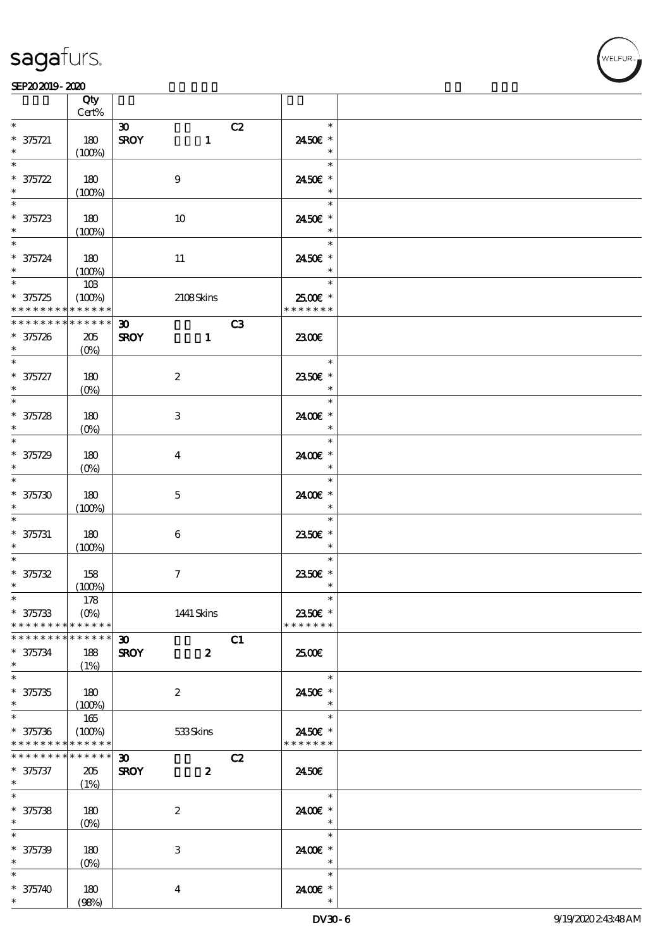**VELFUR** 

|                                            | Qty<br>$Cert\%$                 |                                   |               |  |
|--------------------------------------------|---------------------------------|-----------------------------------|---------------|--|
| $\ast$                                     |                                 | C2<br>$\boldsymbol{\mathfrak{D}}$ | $\ast$        |  |
|                                            |                                 |                                   |               |  |
| $* 375721$                                 | 180                             | <b>SROY</b><br>$\mathbf{1}$       | 2450€ *       |  |
| $\ast$                                     | (100%)                          |                                   | $\ast$        |  |
| $\ast$                                     |                                 |                                   | $\ast$        |  |
| $* 375722$                                 | 180                             | $\boldsymbol{9}$                  | 2450€ *       |  |
| $\ast$                                     | (100%)                          |                                   | $\ast$        |  |
| $\ast$                                     |                                 |                                   | $\ast$        |  |
|                                            |                                 |                                   |               |  |
| $* 375723$                                 | 180                             | 10                                | 2450€ *       |  |
|                                            | (100%)                          |                                   | $\ast$        |  |
| $\overline{\ast}$                          |                                 |                                   | $\ast$        |  |
| $* 375724$                                 | 180                             | $11\,$                            | 2450€ *       |  |
| $\ast$                                     | (100%)                          |                                   | $\ast$        |  |
| $\overline{\ast}$                          | $10B$                           |                                   | $\ast$        |  |
|                                            |                                 |                                   |               |  |
| $* 375725$                                 | (100%)                          | 2108Skins                         | 2500€ *       |  |
| * * * * * * * *                            | * * * * * *                     |                                   | * * * * * * * |  |
| * * * * * * * *                            | $******$                        | C3<br>$\boldsymbol{\mathfrak{D}}$ |               |  |
| $* 375726$                                 | 205                             | <b>SROY</b><br>$\mathbf{1}$       | 2300E         |  |
| $\ast$                                     | $(0\%)$                         |                                   |               |  |
| $\ast$                                     |                                 |                                   | $\ast$        |  |
| $* 375727$                                 | 180                             | $\boldsymbol{2}$                  | 2350€ *       |  |
|                                            |                                 |                                   |               |  |
| $\ast$<br>$\overline{\ast}$                | $(0\%)$                         |                                   | $\ast$        |  |
|                                            |                                 |                                   | $\ast$        |  |
| $* 375728$                                 | 180                             | $\ensuremath{\mathbf{3}}$         | 2400€ *       |  |
| $\ast$                                     | $(0\%)$                         |                                   | $\ast$        |  |
| $\ast$                                     |                                 |                                   | $\ast$        |  |
| $* 375729$                                 | 180                             | $\boldsymbol{4}$                  | 2400€ *       |  |
| $\ast$                                     |                                 |                                   | $\ast$        |  |
|                                            | $(0\%)$                         |                                   |               |  |
| $\ast$                                     |                                 |                                   | $\ast$        |  |
| $* 375730$                                 | 180                             | $\mathbf 5$                       | 2400€ *       |  |
| $\ast$                                     | (100%)                          |                                   | $\ast$        |  |
| $\ast$                                     |                                 |                                   | $\ast$        |  |
| $* 375731$                                 | 180                             | $\bf 6$                           | 2350E *       |  |
| $\ast$                                     |                                 |                                   | $\ast$        |  |
| $\ast$                                     | (100%)                          |                                   | $\ast$        |  |
|                                            |                                 |                                   |               |  |
| $* 375732$                                 | 158                             | $\boldsymbol{7}$                  | 2350E *       |  |
| $\ast$                                     | (100%)                          |                                   | $\ast$        |  |
| $\ast$                                     | 178                             |                                   | $\ast$        |  |
| $* 375733$                                 | $(O\% )$                        | 1441 Skins                        | 2350E *       |  |
| * * * * * * * *                            | * * * * * *                     |                                   | * * * * * * * |  |
| * * * * * * * *                            | * * * * * *                     | C1<br>30 <sub>o</sub>             |               |  |
|                                            |                                 |                                   |               |  |
| $* 375734$                                 | 188                             | <b>SROY</b><br>$\boldsymbol{z}$   | 2500€         |  |
| $\ast$                                     | (1%)                            |                                   |               |  |
| $\overline{\ast}$                          |                                 |                                   | $\ast$        |  |
| $* 375735$                                 | 180                             | $\boldsymbol{2}$                  | 2450€ *       |  |
| $\ast$                                     | (100%)                          |                                   | $\ast$        |  |
| $\overline{\ast}$                          | 165                             |                                   | $\ast$        |  |
|                                            |                                 |                                   |               |  |
| $* 375736$                                 | (100%)                          | 533Skins                          | 2450€ *       |  |
| * * * * * * * * <mark>* * * * * * *</mark> |                                 |                                   | * * * * * * * |  |
| * * * * * * * *                            | $* * * * * * *$                 | C2<br>30 <sub>o</sub>             |               |  |
| $* 375737$                                 | 205                             | <b>SROY</b><br>$\boldsymbol{z}$   | 2450E         |  |
| $*$                                        | (1%)                            |                                   |               |  |
| $\overline{\ast}$                          |                                 |                                   | $\ast$        |  |
| $* 375738$                                 | 180                             | $\boldsymbol{2}$                  | 2400 £*       |  |
| $\ast$                                     |                                 |                                   | $\ast$        |  |
|                                            | $(0\%)$                         |                                   |               |  |
| $\ast$                                     |                                 |                                   | $\ast$        |  |
| $* 375739$                                 | 180                             | $\ensuremath{\mathbf{3}}$         | 2400€ *       |  |
| $\ast$                                     | $(O\!\!\!\!\!\!\backslash\rho)$ |                                   | $\ast$        |  |
| $\ast$                                     |                                 |                                   | $\ast$        |  |
| $* 375740$                                 | 180                             | $\boldsymbol{4}$                  | 2400 £*       |  |
| $\ast$                                     | (98%)                           |                                   | $\ast$        |  |
|                                            |                                 |                                   |               |  |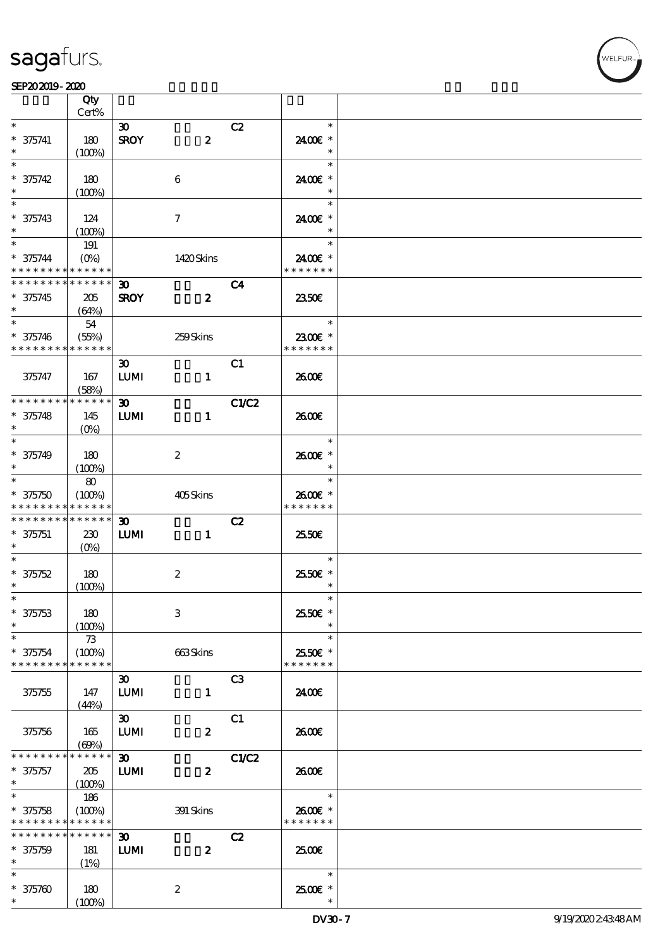

|                             | Qty                             |                                  |                  |                |                                    |  |
|-----------------------------|---------------------------------|----------------------------------|------------------|----------------|------------------------------------|--|
|                             | Cert%                           |                                  |                  |                |                                    |  |
| $\ast$                      |                                 | $\boldsymbol{\mathfrak{D}}$      |                  | C2             | $\ast$                             |  |
| $* 375741$<br>$\ast$        | 180<br>(100%)                   | <b>SROY</b>                      | $\boldsymbol{z}$ |                | 2400€ *<br>$\ast$                  |  |
| $\ast$                      |                                 |                                  |                  |                | $\ast$                             |  |
| $* 375742$                  | 180                             |                                  | $\boldsymbol{6}$ |                | 2400€ *                            |  |
| $\ast$                      | (100%)                          |                                  |                  |                | $\ast$                             |  |
| $\ast$                      |                                 |                                  |                  |                | $\ast$                             |  |
| $* 375743$                  | 124                             |                                  | $\tau$           |                | 2400€ *                            |  |
| $\ast$                      | (100%)                          |                                  |                  |                | $\ast$                             |  |
| $\ast$                      | 191                             |                                  |                  |                | $\ast$                             |  |
| $* 375744$                  | $(O\!\!\!\!\!\!\backslash\rho)$ |                                  | 1420Skins        |                | 2400€ *                            |  |
| * * * * * * * * * * * * * * |                                 |                                  |                  |                | * * * * * * *                      |  |
| * * * * * * * * * * * * * * |                                 | $\boldsymbol{\mathfrak{D}}$      |                  | C <sub>4</sub> |                                    |  |
| $* 375745$                  | 205                             | <b>SROY</b>                      | $\boldsymbol{z}$ |                | 2350E                              |  |
| $\ast$                      | (64%)                           |                                  |                  |                |                                    |  |
| $*$                         | 54                              |                                  |                  |                | $\overline{\phantom{a}}$<br>$\ast$ |  |
| $* 375746$                  | (55%)                           |                                  | 259Skins         |                | 2300€ *                            |  |
| * * * * * * * * * * * * * * |                                 |                                  |                  |                | * * * * * * *                      |  |
|                             |                                 | $\boldsymbol{\mathfrak{D}}$      |                  | C1             |                                    |  |
| 375747                      | 167                             | ${\bf LUM}$                      | $\mathbf{1}$     |                | 2600E                              |  |
|                             | (58%)                           |                                  |                  |                |                                    |  |
| * * * * * * * * * * * * * * |                                 | $\boldsymbol{\mathfrak{D}}$      |                  | C1/C2          |                                    |  |
| $* 375748$<br>$\ast$        | 145                             | <b>LUMI</b>                      | $\mathbf{1}$     |                | 2600E                              |  |
| $\ast$                      | $(O\!/\!\!\delta)$              |                                  |                  |                | $\ast$                             |  |
|                             |                                 |                                  |                  |                |                                    |  |
| $* 375749$<br>$\ast$        | 180                             |                                  | $\boldsymbol{2}$ |                | 2600€ *<br>$\ast$                  |  |
| $\ast$                      | $(100\%)$<br>80                 |                                  |                  |                | $\ast$                             |  |
| $* 375750$                  | (100%)                          |                                  | 405Skins         |                | 2600€ *                            |  |
| * * * * * * * * * * * * * * |                                 |                                  |                  |                | * * * * * * *                      |  |
| * * * * * * * * * * * * * * |                                 | $\boldsymbol{\mathfrak{D}}$      |                  | C2             |                                    |  |
| $* 375751$                  | 230                             | LUM                              | $\mathbf{1}$     |                | 25.50€                             |  |
| $*$                         | $(O\%)$                         |                                  |                  |                |                                    |  |
| $\ast$                      |                                 |                                  |                  |                | $\ast$                             |  |
| $* 375752$                  | 180                             |                                  | $\boldsymbol{2}$ |                | 2550€ *                            |  |
| $\ast$                      | (100%)                          |                                  |                  |                | $\ast$                             |  |
| $*$                         |                                 |                                  |                  |                | $\ast$                             |  |
| $* 375753$                  | 180                             |                                  | $\,3$            |                | 25.50€ *                           |  |
| $\ast$                      | (100%)                          |                                  |                  |                |                                    |  |
| $\ast$                      | 73                              |                                  |                  |                | $\ast$                             |  |
| $* 375754$                  | (100%)                          |                                  | 663Skins         |                | 2550€ *                            |  |
| * * * * * * * *             | * * * * * *                     |                                  |                  |                | * * * * * * *                      |  |
|                             |                                 | $\boldsymbol{\mathfrak{D}}$      |                  | C <sub>3</sub> |                                    |  |
| 375755                      | 147                             | <b>LUMI</b>                      | $\mathbf{1}$     |                | 2400E                              |  |
|                             | (44%)                           | $\boldsymbol{\mathfrak{D}}$      |                  | C1             |                                    |  |
|                             | 165                             | <b>LUMI</b>                      | $\boldsymbol{z}$ |                | 2600E                              |  |
| 375756                      | (60%)                           |                                  |                  |                |                                    |  |
| * * * * * * *               | * * * * * *                     | $\boldsymbol{\mathfrak{D}}$      |                  | C1/C2          |                                    |  |
| $* 375757$                  | 205                             | <b>LUMI</b>                      | $\boldsymbol{z}$ |                | 2600E                              |  |
| $\ast$                      | (100%)                          |                                  |                  |                |                                    |  |
| $\overline{\ast}$           | 186                             |                                  |                  |                | $\ast$                             |  |
| $* 375758$                  | (100%)                          |                                  | 391 Skins        |                | 2600€ *                            |  |
| * * * * * * * *             | * * * * * *                     |                                  |                  |                | * * * * * * *                      |  |
| * * * * * * * *             | * * * * * *                     | $\boldsymbol{\mathfrak{D}}$      |                  | C2             |                                    |  |
| $* 375759$                  | 181                             | $\mathbf{L}\mathbf{U}\mathbf{M}$ | $\boldsymbol{z}$ |                | 2500€                              |  |
| $\ast$                      | (1%)                            |                                  |                  |                |                                    |  |
| $\ast$                      |                                 |                                  |                  |                | $\ast$                             |  |
| $* 375700$                  | 180                             |                                  | $\boldsymbol{2}$ |                | $2500$ $*$                         |  |
| $\ast$                      | (100%)                          |                                  |                  |                |                                    |  |

WELFUR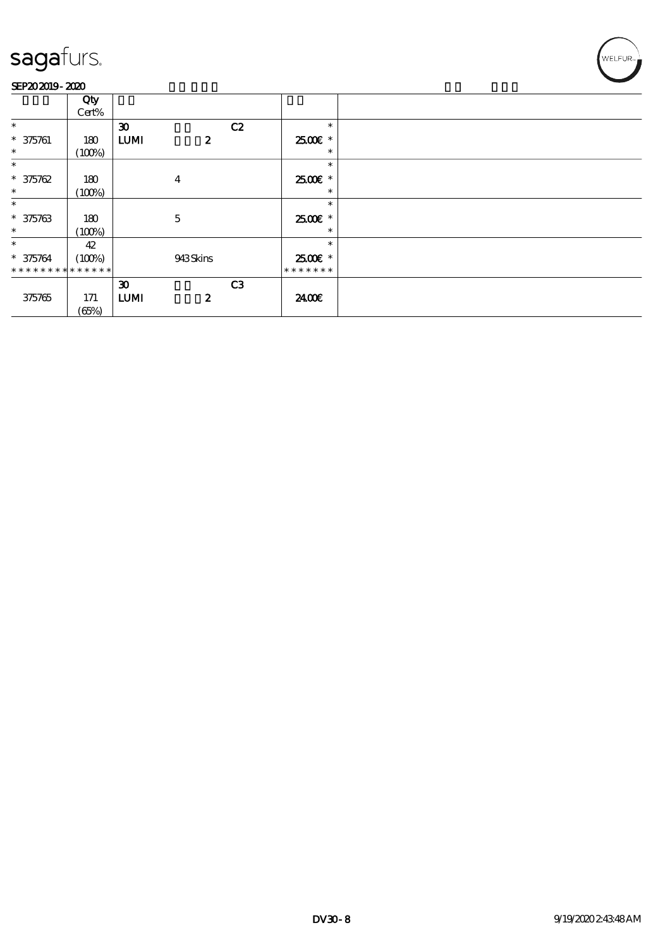

|                 | Qty         |                             |                  |                |                     |  |
|-----------------|-------------|-----------------------------|------------------|----------------|---------------------|--|
|                 | Cert%       |                             |                  |                |                     |  |
| $\ast$          |             | $\boldsymbol{\mathfrak{D}}$ |                  | C2             | $\ast$              |  |
| $* 375761$      | 180         | <b>LUMI</b>                 | $\boldsymbol{z}$ |                | 2500€ *             |  |
| $\ast$          | (100%)      |                             |                  |                | ∗                   |  |
| $\ast$          |             |                             |                  |                | $\ast$              |  |
| $* 375762$      | 180         |                             | $\overline{4}$   |                | 2500€ *             |  |
| $\ast$          | (100%)      |                             |                  |                | $\ast$              |  |
| $\ast$          |             |                             |                  |                | $\ast$              |  |
| $* 375763$      | 180         |                             | $\mathbf 5$      |                | $2500$ $\epsilon$ * |  |
| $\ast$          | (100%)      |                             |                  |                | $\ast$              |  |
| $\ast$          | 42          |                             |                  |                | $\ast$              |  |
| $* 375764$      | (100%)      |                             | 943Skins         |                | 2500€ *             |  |
| * * * * * * * * | * * * * * * |                             |                  |                | * * * * * * *       |  |
|                 |             | $\boldsymbol{\mathfrak{D}}$ |                  | C <sub>3</sub> |                     |  |
| 375765          | 171         | <b>LUMI</b>                 | $\boldsymbol{z}$ |                | 2400€               |  |
|                 | (65%)       |                             |                  |                |                     |  |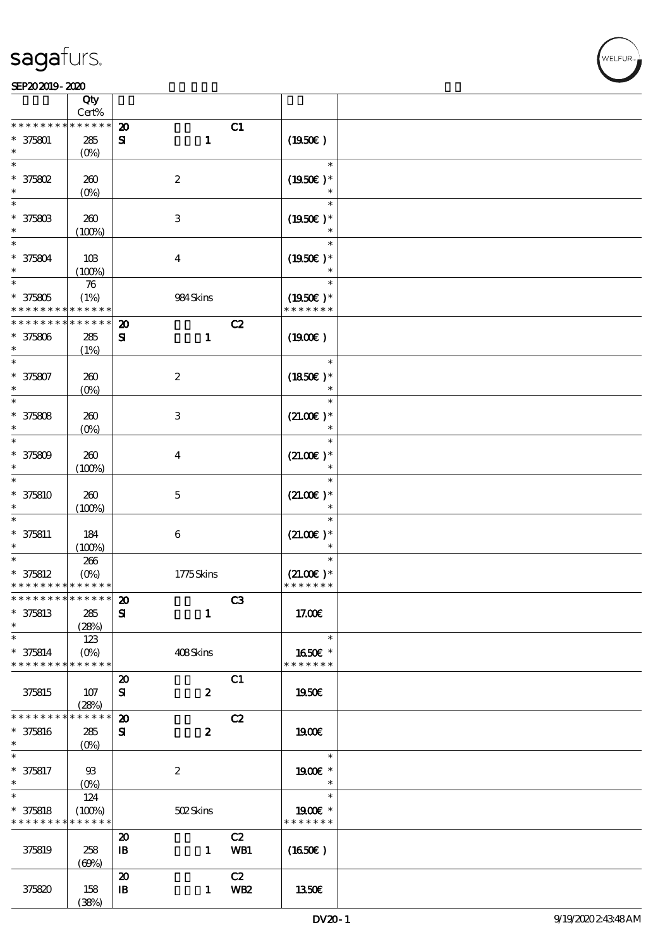### SEP202019-2020

|                                            | Qty<br>Cert%       |                             |                           |                |                       |  |
|--------------------------------------------|--------------------|-----------------------------|---------------------------|----------------|-----------------------|--|
| * * * * * * *                              | * * * * *          | $\boldsymbol{\mathfrak{D}}$ |                           | C1             |                       |  |
| $* 375801$                                 | $285\,$            | ${\bf s}$                   | $\mathbf{1}$              |                | (1950)                |  |
|                                            | (O <sub>0</sub> )  |                             |                           |                |                       |  |
| $\ast$<br>* 375802                         | 260                |                             | $\boldsymbol{2}$          |                | $\ast$<br>$(1950E)^*$ |  |
| $\ast$                                     |                    |                             |                           |                | $\ast$                |  |
| $\overline{\ast}$                          | $(0\%)$            |                             |                           |                |                       |  |
|                                            |                    |                             |                           |                | $\ast$                |  |
| $* 37580B$                                 | 260                |                             | $\ensuremath{\mathbf{3}}$ |                | $(1950)$ *            |  |
| $\ast$                                     | (100%)             |                             |                           |                |                       |  |
| $\ast$                                     |                    |                             |                           |                | $\ast$                |  |
|                                            |                    |                             |                           |                |                       |  |
| $* 375804$                                 | 10B                |                             | $\boldsymbol{4}$          |                | $(1950E)^*$           |  |
| $\ast$                                     | (100%)             |                             |                           |                |                       |  |
| $\ast$                                     | ${\bf 76}$         |                             |                           |                | $\ast$                |  |
| $* 375805$                                 | (1%)               |                             | 984Skins                  |                | $(1950E)*$            |  |
| * * * * * * * *                            | * * * * * *        |                             |                           |                | * * * * * * *         |  |
| * * * * * * * *                            | * * * * * *        | $\boldsymbol{\mathbf{z}}$   |                           | C2             |                       |  |
|                                            |                    |                             |                           |                |                       |  |
| $* 375806$                                 | 285                | ${\bf s}$                   | $\mathbf{1}$              |                | (1900E)               |  |
| $\ast$                                     | (1%)               |                             |                           |                |                       |  |
| $\ast$                                     |                    |                             |                           |                | $\ast$                |  |
| $* 375807$                                 | 260                |                             | $\boldsymbol{2}$          |                | $(1850)$ *            |  |
| $\ast$                                     | $(O\!/\!\!\delta)$ |                             |                           |                | $\ast$                |  |
| $\ast$                                     |                    |                             |                           |                | $\ast$                |  |
|                                            |                    |                             |                           |                |                       |  |
| $* 375808$                                 | 260                |                             | $\ensuremath{\mathsf{3}}$ |                | $(21.00)$ *           |  |
| $\ast$                                     | (O <sub>0</sub> )  |                             |                           |                | $\ast$                |  |
| $\ast$                                     |                    |                             |                           |                | $\ast$                |  |
| $* 375809$                                 | 260                |                             | $\overline{\mathbf{4}}$   |                | $(21.00)$ *           |  |
| $\ast$                                     |                    |                             |                           |                | $\ast$                |  |
| $\ast$                                     | (100%)             |                             |                           |                |                       |  |
|                                            |                    |                             |                           |                | $\ast$                |  |
| * 375810                                   | $200$              |                             | $\mathbf 5$               |                | $(21.00)$ *           |  |
| *                                          | (100%)             |                             |                           |                |                       |  |
| $\ast$                                     |                    |                             |                           |                | $\ast$                |  |
| $* 375811$                                 | 184                |                             | $\,6\,$                   |                | $(21.00)$ *           |  |
| $\ast$                                     |                    |                             |                           |                | $\ast$                |  |
| $\overline{\ast}$                          | (100%)             |                             |                           |                | $\ast$                |  |
|                                            | 266                |                             |                           |                |                       |  |
| $* 375812$                                 | $(O\%)$            |                             | 1775Skins                 |                | $(21.00)$ *           |  |
| * * * * * * * * <mark>* * * * * * *</mark> |                    |                             |                           |                | * * * * * * *         |  |
| * * * * * * * * <mark>* * * * * * *</mark> |                    | $\boldsymbol{\mathbf{z}}$   |                           | C <sub>3</sub> |                       |  |
| $* 375813$                                 | 285                | ${\bf s}$                   | $\mathbf{1}$              |                | 17.00E                |  |
| $\ast$                                     | (28%)              |                             |                           |                |                       |  |
| $\ast$                                     | 123                |                             |                           |                | $\ast$                |  |
|                                            |                    |                             |                           |                |                       |  |
| $* 375814$                                 | $(0\%)$            |                             | 408Skins                  |                | 1650€ *               |  |
| * * * * * * * *                            | ******             |                             |                           |                | * * * * * * *         |  |
|                                            |                    | $\boldsymbol{\mathsf{20}}$  |                           | C1             |                       |  |
| 375815                                     | 107                | ${\bf s}$                   | $\boldsymbol{z}$          |                | 1950E                 |  |
|                                            | (28%)              |                             |                           |                |                       |  |
| * * * * * * * *                            | * * * * * *        | $\boldsymbol{\mathbf{z}}$   |                           | C2             |                       |  |
|                                            |                    |                             |                           |                |                       |  |
| * 375816                                   | ${\bf 285}$        | ${\bf s}$                   | $\boldsymbol{2}$          |                | 1900E                 |  |
| $\ast$                                     | $(O\%)$            |                             |                           |                |                       |  |
| $\ast$                                     |                    |                             |                           |                | $\ast$                |  |
| $* 375817$                                 | $93$               |                             | $\boldsymbol{z}$          |                | 1900E *               |  |
| $\ast$                                     |                    |                             |                           |                | $\ast$                |  |
| $\overline{\ast}$                          | 124                |                             |                           |                | $\ast$                |  |
|                                            |                    |                             |                           |                |                       |  |
| $* 375818$                                 | (100%)             |                             | 502Skins                  |                | 1900E *               |  |
| * * * * * * * *                            | * * * * * *        |                             |                           |                | * * * * * * *         |  |
|                                            |                    | $\boldsymbol{\mathbf{z}}$   |                           | C2             |                       |  |
| 375819                                     | 258                | $\, {\bf I} \! {\bf B} \,$  | $\mathbf{1}$              | WB1            | (1650E)               |  |
|                                            | (60%)              |                             |                           |                |                       |  |
|                                            |                    | $\boldsymbol{\mathbf{z}}$   |                           | C2             |                       |  |
|                                            |                    |                             |                           |                |                       |  |
| 375820                                     | 158                | $\mathbf{B}$                | $\mathbf{1}$              | <b>WB2</b>     | 1350E                 |  |
|                                            | (38%)              |                             |                           |                |                       |  |

ELFUR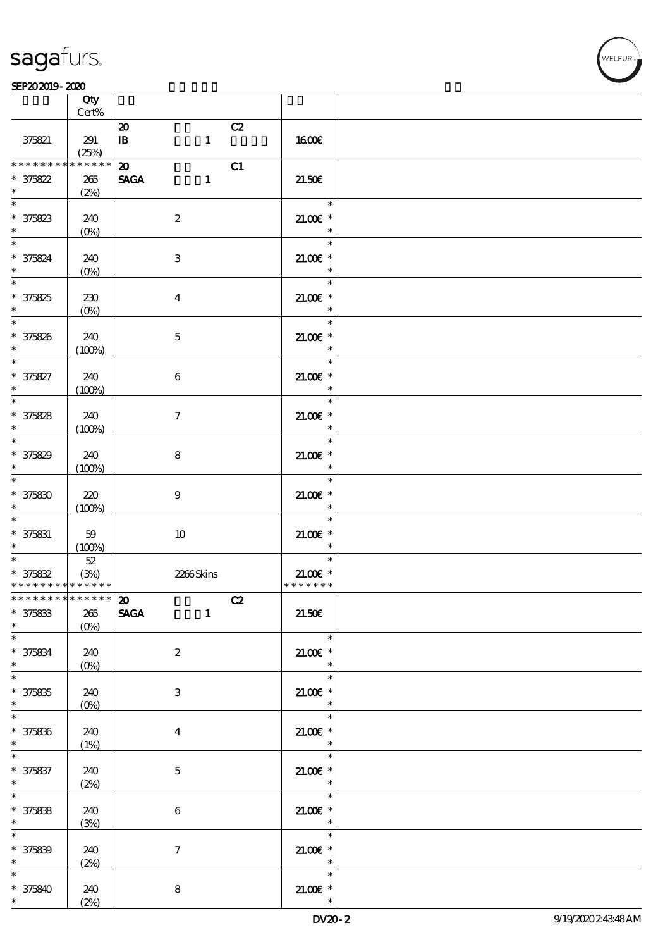|                                            | Qty<br>Cert%                    |                                 |                          |  |
|--------------------------------------------|---------------------------------|---------------------------------|--------------------------|--|
|                                            |                                 |                                 |                          |  |
|                                            |                                 | C2<br>$\boldsymbol{\mathbf{z}}$ |                          |  |
| 375821                                     | 291                             | $\mathbf{1}$<br>$\mathbf{B}$    | 1600E                    |  |
|                                            | (25%)                           |                                 |                          |  |
|                                            |                                 |                                 |                          |  |
| * * * * * * * *                            | * * * * * *                     | $\boldsymbol{\mathbf{z}}$<br>C1 |                          |  |
| $* 375822$                                 | 265                             | <b>SAGA</b><br>$\mathbf{1}$     | 21.50E                   |  |
| $\ast$                                     |                                 |                                 |                          |  |
|                                            | (2%)                            |                                 |                          |  |
| $\ast$                                     |                                 |                                 | $\overline{\phantom{a}}$ |  |
| $* 375823$                                 | 240                             | $\boldsymbol{2}$                | $21.00E$ *               |  |
|                                            |                                 |                                 |                          |  |
| $\ast$                                     | $(0\%)$                         |                                 | $\overline{\phantom{a}}$ |  |
| $*$                                        |                                 |                                 | $\ast$                   |  |
|                                            |                                 |                                 |                          |  |
| * 375824                                   | 240                             | $\,3\,$                         | $21.00E$ *               |  |
|                                            | $(O\!\!\!\!\!\!\backslash\rho)$ |                                 | $\ast$                   |  |
|                                            |                                 |                                 | $\ast$                   |  |
|                                            |                                 |                                 |                          |  |
|                                            | 230                             | $\boldsymbol{4}$                | $21.00E$ *               |  |
| $* 375825$                                 | $(0\%)$                         |                                 | $\ast$                   |  |
|                                            |                                 |                                 | Tarihin San<br>$\ast$    |  |
|                                            |                                 |                                 |                          |  |
| $* 375826$                                 | 240                             | $\mathbf 5$                     | $21.00E$ *               |  |
| $\star$                                    | (100%)                          |                                 | $\ast$                   |  |
| $*$                                        |                                 |                                 | $\ast$                   |  |
|                                            |                                 |                                 |                          |  |
| * 375827                                   | 240                             | $\boldsymbol{6}$                | $21.00E$ *               |  |
|                                            | (100%)                          |                                 | $\overline{\phantom{a}}$ |  |
|                                            |                                 |                                 | $\ast$                   |  |
|                                            |                                 |                                 |                          |  |
| $* 375828$                                 | 240                             | $\boldsymbol{7}$                | 21.00€ *                 |  |
| $\ast$                                     | (100%)                          |                                 | $\overline{\phantom{a}}$ |  |
|                                            |                                 |                                 | $\ast$                   |  |
|                                            |                                 |                                 |                          |  |
| $* 375829$                                 | 240                             | 8                               | $21.005*$                |  |
| $*$ and $*$                                | (100%)                          |                                 | $\ast$                   |  |
| $\overline{\phantom{0}}$                   |                                 |                                 | $\ast$                   |  |
|                                            |                                 |                                 |                          |  |
| $* 37580$                                  | 220                             | $\boldsymbol{9}$                | $21.00E$ *               |  |
| $*$                                        | (100%)                          |                                 | $\ast$                   |  |
| $\overline{\phantom{0}}$                   |                                 |                                 | $\ast$                   |  |
|                                            |                                 |                                 |                          |  |
| $* 375831$                                 | 59                              | 10                              | $21.00E$ *               |  |
| $\ast$                                     |                                 |                                 | $\ast$                   |  |
|                                            | (100%)                          |                                 |                          |  |
| $*$                                        |                                 |                                 | $\ast$                   |  |
|                                            | $5\!2$                          |                                 |                          |  |
| $* 375832$                                 | (3%)                            | 2266Skins                       | $21.005*$                |  |
| * * * * * * * * <mark>* * * * * * *</mark> |                                 |                                 | * * * * * * *            |  |
| * * * * * * * * * * * * * * <mark>*</mark> |                                 |                                 |                          |  |
|                                            |                                 | C2<br>ZU.                       |                          |  |
| $* 375833$                                 | 265                             | <b>SAGA</b><br>$\mathbf{1}$     | 21.50E                   |  |
| $\ast$                                     | $(0\%)$                         |                                 |                          |  |
| $\overline{\phantom{0}}$                   |                                 |                                 | $\ast$                   |  |
|                                            |                                 |                                 |                          |  |
| $* 375834$                                 | 240                             | $\boldsymbol{2}$                | $21.005*$                |  |
| $\ast$                                     | $(0\%)$                         |                                 | $\overline{\phantom{a}}$ |  |
| $\overline{\ast}$                          |                                 |                                 | $\ast$                   |  |
|                                            |                                 |                                 |                          |  |
| $* 375835$                                 | 240                             | 3                               | $21.005*$                |  |
| $\ast$                                     | $(O\!/\!\delta)$                |                                 | $\ast$                   |  |
| $\overline{\ast}$                          |                                 |                                 | $\ast$                   |  |
|                                            |                                 |                                 |                          |  |
| $* 375836$                                 | 240                             | $\bf{4}$                        | 21.00€ *                 |  |
| $\ast$                                     | (1%)                            |                                 | $\overline{\mathbf{r}}$  |  |
| $\overline{\phantom{0}}$                   |                                 |                                 | $\ast$                   |  |
|                                            |                                 |                                 |                          |  |
| $* 375837$                                 | 240                             | $\mathbf{5}$                    | $21.005*$                |  |
| $\ast$                                     | (2%)                            |                                 | $\overline{\phantom{a}}$ |  |
|                                            |                                 |                                 | $\ast$                   |  |
|                                            |                                 |                                 |                          |  |
| $* 375838$<br>$*$                          | 240                             | $\boldsymbol{6}$                | $21.005*$<br>$\ast$      |  |
|                                            | (3%)                            |                                 |                          |  |
| $\ast$                                     |                                 |                                 | $\ast$                   |  |
| $* 375839$                                 | 240                             | $\tau$                          | $21.00E$ *               |  |
| $*$                                        |                                 |                                 | $\ast$                   |  |
|                                            | (2%)                            |                                 |                          |  |
| $\ast$                                     |                                 |                                 | $\ast$                   |  |
| $* 375840$                                 | 240                             | $\bf 8$                         | $21.00E$ *               |  |
|                                            | (2%)                            |                                 |                          |  |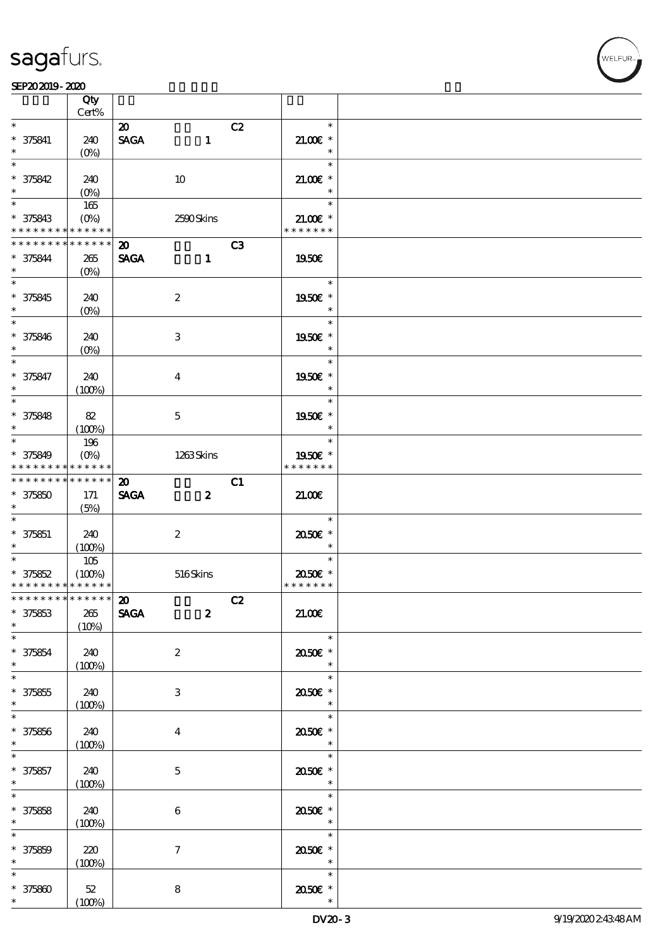VELEUR

|                             | Qty<br>Cert%               |                             |                         |    |                     |  |
|-----------------------------|----------------------------|-----------------------------|-------------------------|----|---------------------|--|
| $\ast$                      |                            |                             |                         |    | $\ast$              |  |
|                             |                            | $\boldsymbol{\mathfrak{D}}$ |                         | C2 |                     |  |
| $* 375841$                  | 240                        | <b>SAGA</b>                 | $\mathbf{1}$            |    | $21.00$ $*$         |  |
| $\ast$                      | (O <sub>0</sub> )          |                             |                         |    | $\ast$              |  |
| $\ast$                      |                            |                             |                         |    | $\ast$              |  |
| $* 375842$                  | 240                        |                             | 10                      |    | $21.00E$ *          |  |
| $\ast$                      | $(O\%)$                    |                             |                         |    | $\ast$              |  |
| $\ast$                      | 165                        |                             |                         |    | $\ast$              |  |
| $* 375843$                  |                            |                             |                         |    | $21.005*$           |  |
| * * * * * * * * * * * * * * | $(O\%)$                    |                             | 2590Skins               |    | * * * * * * *       |  |
|                             |                            |                             |                         |    |                     |  |
| * * * * * * * *             | * * * * * *                | $\boldsymbol{\mathfrak{D}}$ |                         | C3 |                     |  |
| $* 375844$                  | 265                        | <b>SAGA</b>                 | $\mathbf{1}$            |    | 1950€               |  |
| $\ast$                      | $(O\%)$                    |                             |                         |    |                     |  |
| $\overline{\phantom{0}}$    |                            |                             |                         |    | $\ast$              |  |
| $* 375845$                  | 240                        |                             | $\boldsymbol{2}$        |    | 1950E *             |  |
| $\ast$                      | $(O\%)$                    |                             |                         |    | $\ast$              |  |
| $\overline{\ast}$           |                            |                             |                         |    | $\ast$              |  |
|                             |                            |                             |                         |    |                     |  |
| $* 375846$                  | 240                        |                             | 3                       |    | 1950E *             |  |
| $\ast$                      | $(O\%)$                    |                             |                         |    | $\ast$              |  |
| $\ast$                      |                            |                             |                         |    | $\ast$              |  |
| $* 375847$                  | 240                        |                             | $\overline{\mathbf{4}}$ |    | 1950E *             |  |
| $\ast$                      | (100%)                     |                             |                         |    | $\ast$              |  |
| $\overline{\ast}$           |                            |                             |                         |    | $\ast$              |  |
| $* 375848$                  | 82                         |                             | $\mathbf 5$             |    | 1950€ *             |  |
| $\ast$                      | (100%)                     |                             |                         |    | $\ast$              |  |
| $\ast$                      |                            |                             |                         |    | $\ast$              |  |
|                             | 196                        |                             |                         |    |                     |  |
| * 375849                    | $(O\%)$                    |                             | 1263Skins               |    | 1950E *             |  |
| * * * * * * * * * * * * * * |                            |                             |                         |    | * * * * * * *       |  |
| * * * * * * * *             | $\ast\ast\ast\ast\ast\ast$ | $\boldsymbol{\mathfrak{D}}$ |                         | C1 |                     |  |
| $* 375850$                  | 171                        | <b>SAGA</b>                 | $\boldsymbol{z}$        |    | 21.00               |  |
| $\ast$                      | (5%)                       |                             |                         |    |                     |  |
| $\ast$                      |                            |                             |                         |    | $\ast$              |  |
| $* 375851$                  | 240                        |                             | $\boldsymbol{2}$        |    | 2050E *             |  |
| $\ast$                      |                            |                             |                         |    | $\ast$              |  |
| $\ast$                      | (100%)                     |                             |                         |    | $\ast$              |  |
|                             | 105                        |                             |                         |    |                     |  |
| $* 375852$                  | (100%)                     |                             | 516Skins                |    | 2050E *             |  |
| * * * * * * * * * * * * * * |                            |                             |                         |    | * * * * * * *       |  |
| ************** 20           |                            |                             |                         | C2 |                     |  |
| $* 375853$                  | $265\,$                    | <b>SAGA</b>                 | $\boldsymbol{z}$        |    | 21.006              |  |
| $\ast$                      | (10%)                      |                             |                         |    |                     |  |
| $\ast$                      |                            |                             |                         |    | $\ast$              |  |
| $* 375854$                  | 240                        |                             | $\boldsymbol{2}$        |    | 2050E *             |  |
| $\ast$                      | (100%)                     |                             |                         |    | $\ast$              |  |
| $\ast$                      |                            |                             |                         |    | $\ast$              |  |
|                             |                            |                             |                         |    |                     |  |
| $* 375855$<br>$\ast$        | 240                        |                             | 3                       |    | 2050E *             |  |
|                             | (100%)                     |                             |                         |    | $\ast$              |  |
| $\ast$                      |                            |                             |                         |    | $\ast$              |  |
| $* 375856$                  | 240                        |                             | $\boldsymbol{4}$        |    | 2050E *             |  |
| $\ast$                      | (100%)                     |                             |                         |    | $\ast$              |  |
|                             |                            |                             |                         |    | $\ast$              |  |
| $* 375857$                  | 240                        |                             | $\mathbf 5$             |    | $2050$ $\epsilon$ * |  |
| $\ast$                      | (100%)                     |                             |                         |    | $\ast$              |  |
| $\ast$                      |                            |                             |                         |    | $\ast$              |  |
|                             |                            |                             |                         |    |                     |  |
| $* 375858$<br>$\ast$        | 240                        |                             | $\bf 6$                 |    | 2050E *<br>$\ast$   |  |
|                             | (100%)                     |                             |                         |    |                     |  |
| $\ast$                      |                            |                             |                         |    | $\ast$              |  |
| $* 375859$                  | 220                        |                             | $\boldsymbol{7}$        |    | 2050E *             |  |
| $\ast$                      | (100%)                     |                             |                         |    | $\ast$              |  |
|                             |                            |                             |                         |    | $\ast$              |  |
| $* 375800$                  | $52\,$                     |                             | 8                       |    | $\,$ 2050 $\!$ $^*$ |  |
| $\ast$                      | (100%)                     |                             |                         |    |                     |  |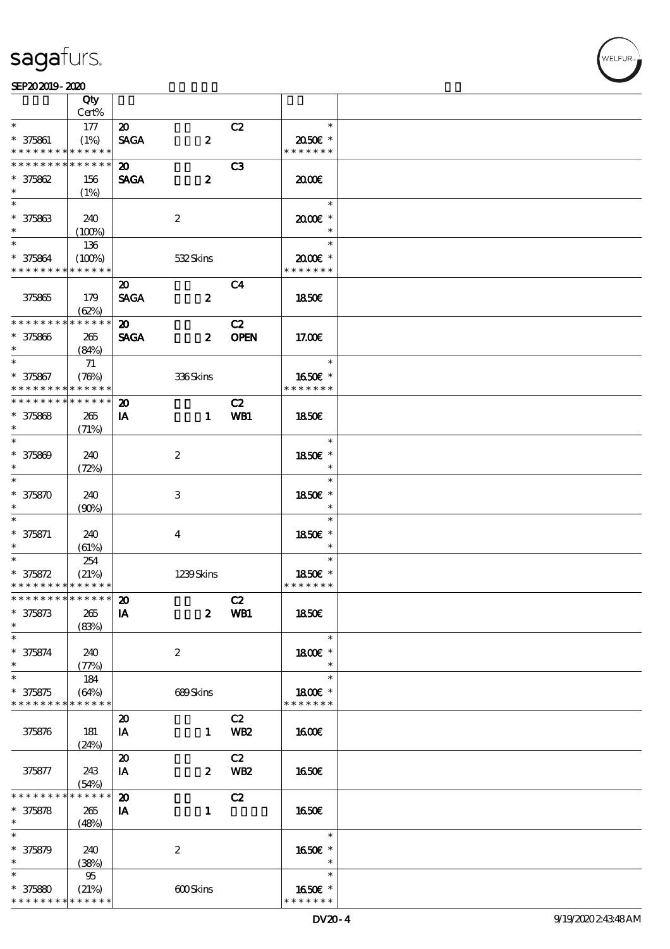### SEP202019-2020

|                             | Qty                        |                                     |                  |                 |               |  |
|-----------------------------|----------------------------|-------------------------------------|------------------|-----------------|---------------|--|
|                             | $Cert\%$                   |                                     |                  |                 |               |  |
| $\ast$                      | 177                        | $\boldsymbol{\mathfrak{D}}$         |                  | C2              | $\ast$        |  |
| $* 375861$                  | (1%)                       | <b>SAGA</b>                         | $\boldsymbol{z}$ |                 | 2050E *       |  |
| * * * * * * * *             | * * * * * *                |                                     |                  |                 | * * * * * * * |  |
| * * * * * * * *             | $\ast\ast\ast\ast\ast\ast$ | $\boldsymbol{\mathfrak{D}}$         |                  | C <sub>3</sub>  |               |  |
|                             |                            |                                     |                  |                 |               |  |
| $* 375862$                  | 156                        | <b>SAGA</b>                         | $\boldsymbol{2}$ |                 | 2000          |  |
| $\ast$                      | (1%)                       |                                     |                  |                 |               |  |
| $\ast$                      |                            |                                     |                  |                 | $\ast$        |  |
| $* 375863$                  | 240                        |                                     | $\boldsymbol{2}$ |                 | 2000E*        |  |
| $\ast$                      | (100%)                     |                                     |                  |                 | $\ast$        |  |
|                             | 136                        |                                     |                  |                 | $\ast$        |  |
| * 375864                    | (100%)                     |                                     | 532Skins         |                 | 2000E*        |  |
| * * * * * * * *             | * * * * * *                |                                     |                  |                 | * * * * * * * |  |
|                             |                            |                                     |                  |                 |               |  |
|                             |                            | $\boldsymbol{\mathfrak{D}}$         |                  | C <sub>4</sub>  |               |  |
| 375865                      | 179                        | <b>SAGA</b>                         | $\boldsymbol{z}$ |                 | <b>1850€</b>  |  |
|                             | (62%)                      |                                     |                  |                 |               |  |
| * * * * * * * *             | * * * * * *                | $\boldsymbol{\mathfrak{D}}$         |                  | C2              |               |  |
| $* 375866$                  | 265                        | <b>SAGA</b>                         | $\boldsymbol{z}$ | <b>OPEN</b>     | 17.00E        |  |
| $\ast$                      | (84%)                      |                                     |                  |                 |               |  |
| $*$                         | 71                         |                                     |                  |                 | $\ast$        |  |
| $* 375867$                  | (78%)                      |                                     | 336Skins         |                 | 1650E *       |  |
| * * * * * * * *             | * * * * * *                |                                     |                  |                 | * * * * * * * |  |
|                             |                            |                                     |                  |                 |               |  |
| * * * * * * * *             | * * * * * *                | $\boldsymbol{\mathbf{z}}$           |                  | C2              |               |  |
| $* 375868$                  | 265                        | IA                                  | $\mathbf{1}$     | WB1             | <b>1850€</b>  |  |
| $\ast$                      | (71%)                      |                                     |                  |                 |               |  |
| $\ast$                      |                            |                                     |                  |                 | $\ast$        |  |
| $* 375809$                  | 240                        |                                     | $\boldsymbol{2}$ |                 | 1850€ *       |  |
| $\ast$                      | (72%)                      |                                     |                  |                 | $\ast$        |  |
| $\overline{\ast}$           |                            |                                     |                  |                 | $\ast$        |  |
|                             |                            |                                     |                  |                 |               |  |
| $* 375870$                  | 240                        |                                     | $\,3$            |                 | 1850E *       |  |
| $\ast$                      | (90%)                      |                                     |                  |                 | $\ast$        |  |
|                             |                            |                                     |                  |                 | $\ast$        |  |
| $* 375871$                  | 240                        |                                     | $\bf{4}$         |                 | 1850€ *       |  |
| $\ast$                      | (61%)                      |                                     |                  |                 | $\ast$        |  |
| $\ast$                      | 254                        |                                     |                  |                 | $\ast$        |  |
| $* 375872$                  | (21%)                      |                                     | 1239Skins        |                 | 1850E *       |  |
| * * * * * * * * * * * * * * |                            |                                     |                  |                 | * * * * * * * |  |
| ************** 20           |                            |                                     |                  |                 |               |  |
|                             |                            |                                     |                  | C2              |               |  |
| $* 375873$                  | 265                        | IA                                  | $\boldsymbol{z}$ | WB1             | <b>1850€</b>  |  |
| $\ast$                      | (83%)                      |                                     |                  |                 |               |  |
| $\ast$                      |                            |                                     |                  |                 | $\ast$        |  |
| $* 375874$                  | 240                        |                                     | $\boldsymbol{z}$ |                 | 1800€ *       |  |
| $\ast$                      | (77%)                      |                                     |                  |                 | $\ast$        |  |
| $\ast$                      | 184                        |                                     |                  |                 | $\ast$        |  |
| $* 375875$                  | (64%)                      |                                     | 689Skins         |                 | 1800E *       |  |
| * * * * * * * *             | * * * * * *                |                                     |                  |                 | * * * * * * * |  |
|                             |                            |                                     |                  | C2              |               |  |
|                             |                            | $\boldsymbol{\boldsymbol{\lambda}}$ |                  |                 |               |  |
| 375876                      | 181                        | IA                                  | $\mathbf{1}$     | <b>WB2</b>      | <b>160€</b>   |  |
|                             | (24%)                      |                                     |                  |                 |               |  |
|                             |                            | $\boldsymbol{\mathsf{20}}$          |                  | C2              |               |  |
| 375877                      | 243                        | IA                                  | $\boldsymbol{z}$ | WB <sub>2</sub> | 1650E         |  |
|                             | (54%)                      |                                     |                  |                 |               |  |
| * * * * * * *               | * * * * * *                | $\boldsymbol{\mathfrak{D}}$         |                  | C2              |               |  |
| $* 375878$                  | 265                        | IA                                  | $\mathbf{1}$     |                 | 1650€         |  |
| $*$                         | (48%)                      |                                     |                  |                 |               |  |
|                             |                            |                                     |                  |                 | $\ast$        |  |
|                             |                            |                                     |                  |                 |               |  |
| $* 375879$                  | 240                        |                                     | $\boldsymbol{z}$ |                 | 1650€ *       |  |
| $\ast$                      | (38%)                      |                                     |                  |                 | $\ast$        |  |
| $\overline{\ast}$           | $95\,$                     |                                     |                  |                 | $\ast$        |  |
| $* 37580$                   | (21%)                      |                                     | 600Skins         |                 | 1650E *       |  |
| * * * * * * * *             | * * * * * *                |                                     |                  |                 | * * * * * * * |  |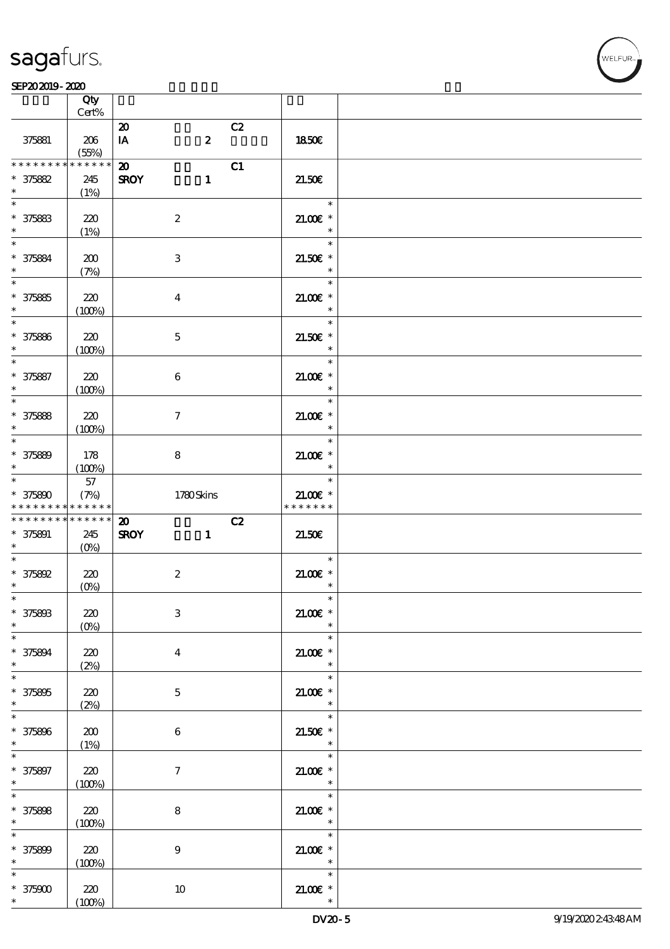#### SEP202019-2020

|                                                                                     | Qty                 |                                                            |    |                                                           |  |
|-------------------------------------------------------------------------------------|---------------------|------------------------------------------------------------|----|-----------------------------------------------------------|--|
|                                                                                     | Cert%               |                                                            |    |                                                           |  |
| 375881                                                                              | 206<br>(55%)        | $\boldsymbol{\mathfrak{D}}$<br>$\boldsymbol{z}$<br>IA      | C2 | 1850E                                                     |  |
| * * * * * * * *<br>$* 375882$<br>$\ast$                                             | * * * * * *<br>245  | $\boldsymbol{\mathfrak{D}}$<br>$\mathbf{1}$<br><b>SROY</b> | C1 | 21.50E                                                    |  |
| $\ast$<br>$* 375883$                                                                | (1%)<br>220         | $\boldsymbol{2}$                                           |    | $\overline{\phantom{a}}$<br>$21.00E$ *                    |  |
| $\ast$<br>$\ast$<br>$* 375884$                                                      | (1%)<br>200         | $\ensuremath{\mathbf{3}}$                                  |    | $\overline{\phantom{a}}$<br>e e E<br>$\ast$<br>$21.50E$ * |  |
| $\ast$<br>$\overline{\ast}$<br>$* 375865$                                           | (7%)<br>220         | $\boldsymbol{4}$                                           |    | $\ast$<br>$\ast$<br>$21.00E$ *                            |  |
| $\ast$<br>$* 375886$                                                                | (100%)<br>220       | $\mathbf 5$                                                |    | $\ast$<br>$\ast$<br>$21.50E$ *                            |  |
| $\ast$                                                                              | (100%)<br>220       | $\boldsymbol{6}$                                           |    | $\ast$<br>$\ast$<br>$21.00E$ *                            |  |
| * 375887<br>$* 375888$                                                              | (100%)<br>220       | $\boldsymbol{7}$                                           |    | $\ast$<br>$\ast$<br>$21.00E$ *                            |  |
| $\ast$<br>$\ast$                                                                    | (100%)              |                                                            |    | $\overline{\phantom{a}}$<br>$\ast$                        |  |
| $* 375889$<br>$*$ and $*$<br>$*$                                                    | 178<br>(100%)<br>57 | 8                                                          |    | $21.00E$ *<br>$\ast$<br>$\ast$                            |  |
| $* 375800$                                                                          | (7%)                | 1780Skins                                                  |    | $21.00E$ *<br>* * * * * * *                               |  |
|                                                                                     | $******$            |                                                            |    |                                                           |  |
| * * * * * * * *<br>* * * * * * * * <mark>* * * * * *</mark><br>$* 375891$<br>$\ast$ | 245                 | $\boldsymbol{\mathfrak{D}}$<br><b>SROY</b><br>$\mathbf{1}$ | C2 | 21.50                                                     |  |
|                                                                                     | 220<br>$(0\%)$      | $\boldsymbol{2}$                                           |    | $\ast$<br>$21.005*$<br>$\ast$                             |  |
| $* 375892$<br>$\ast$<br>$\ast$<br>$* 37580B$<br>$*$                                 | 220<br>$(0\%)$      | $\ensuremath{\mathbf{3}}$                                  |    | $21.00E$ *<br>$\ast$                                      |  |
| $* 375894$<br>$\ast$                                                                | 220<br>(2%)         | $\boldsymbol{4}$                                           |    | $\ast$<br>$21.005*$<br>$\ast$                             |  |
| $\overline{\ast}$<br>$* 375895$<br>$\ast$                                           | 220<br>(2%)         | $\bf 5$                                                    |    | $\ast$<br>$21.00$ $*$<br>$\ast$                           |  |
| $\overline{\ast}$<br>$* 375806$<br>$\ast$                                           | 200<br>(1%)         | 6                                                          |    | $\ast$<br>$21.50E$ *<br>$\overline{\phantom{a}}$          |  |
| $* 375897$<br>$\ast$                                                                | 220<br>(100%)       | $\tau$                                                     |    | $\ast$<br>$21.005*$<br>$\overline{\phantom{a}}$           |  |
| $*$<br>$* 375808$<br>$\ast$                                                         | 220<br>(100%)       | 8                                                          |    | $\ast$<br>$21.005*$<br>$\ast$                             |  |
| $\ast$<br>$* 375800$<br>$*$                                                         | 220<br>(100%)       | $\boldsymbol{9}$                                           |    | $\ast$<br>$21.00E$ *<br>$\overline{\phantom{a}}$          |  |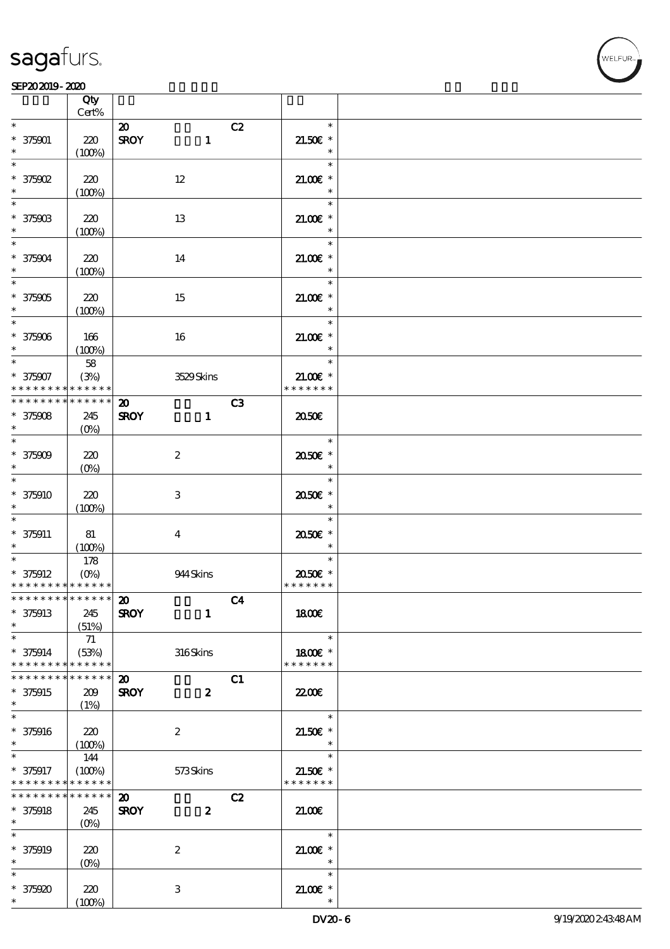

#### SEP202019-2020

|                                            | Qty<br>Cert%      |                             |                  |    |                      |  |
|--------------------------------------------|-------------------|-----------------------------|------------------|----|----------------------|--|
| $\ast$                                     |                   |                             |                  |    | $\ast$               |  |
|                                            |                   | $\boldsymbol{\mathfrak{D}}$ |                  | C2 |                      |  |
| $* 375001$                                 | 220               | <b>SROY</b>                 | $\mathbf{1}$     |    | $21.50E$ *           |  |
| $\ast$                                     | (100%)            |                             |                  |    | $\ast$               |  |
| $\ast$                                     |                   |                             |                  |    | $\ast$               |  |
| $*$ 375902                                 | 220               | $12 \,$                     |                  |    | $21.00E$ *           |  |
| $\ast$                                     | (100%)            |                             |                  |    | $\ast$               |  |
| $\overline{\phantom{0}}$                   |                   |                             |                  |    | $\ast$               |  |
|                                            |                   |                             |                  |    |                      |  |
| $* 37590B$                                 | 220               | 13                          |                  |    | $21.005*$            |  |
| $\ast$                                     | (100%)            |                             |                  |    | $\ast$               |  |
| $\ast$                                     |                   |                             |                  |    | $\ast$               |  |
| $* 375004$                                 | 220               | 14                          |                  |    | $21.005*$            |  |
| $\ast$                                     | (100%)            |                             |                  |    | $\ast$               |  |
| $\overline{\phantom{0}}$                   |                   |                             |                  |    | $\ast$               |  |
| $* 375905$                                 | 220               |                             |                  |    | $21.00E$ *           |  |
|                                            |                   | 15                          |                  |    |                      |  |
| $\ast$                                     | (100%)            |                             |                  |    | $\ast$               |  |
| $\overline{\phantom{0}}$                   |                   |                             |                  |    | $\ast$               |  |
| $* 375906$                                 | 166               | 16                          |                  |    | $21.005*$            |  |
| $\ast$                                     | (100%)            |                             |                  |    | $\ast$               |  |
| $\ast$                                     | 58                |                             |                  |    | $\ast$               |  |
| $* 375907$                                 | (3%)              |                             | 3529Skins        |    | $21.00$ $\epsilon$ * |  |
| * * * * * * * *                            | * * * * * *       |                             |                  |    | * * * * * * *        |  |
| * * * * * * * *                            | * * * * * *       |                             |                  |    |                      |  |
|                                            |                   | $\boldsymbol{\mathfrak{D}}$ |                  | C3 |                      |  |
| $* 375908$                                 | 245               | <b>SROY</b>                 | $\mathbf{1}$     |    | 2050E                |  |
| $\ast$                                     | (O <sub>0</sub> ) |                             |                  |    |                      |  |
| $\overline{\phantom{0}}$                   |                   |                             |                  |    | $\ast$               |  |
| $* 375909$                                 | 220               | $\boldsymbol{2}$            |                  |    | 2050E *              |  |
| $\ast$                                     | $(0\%)$           |                             |                  |    | $\ast$               |  |
| $\ast$                                     |                   |                             |                  |    | $\ast$               |  |
| $* 375910$                                 | 220               | $\,3$                       |                  |    |                      |  |
| $\ast$                                     |                   |                             |                  |    | 2050E *              |  |
|                                            | (100%)            |                             |                  |    | $\ast$               |  |
| $\overline{\phantom{a}^*}$                 |                   |                             |                  |    | $\ast$               |  |
| $* 375911$                                 | 81                | $\bf{4}$                    |                  |    | 2050E *              |  |
| $\ast$                                     | (100%)            |                             |                  |    | $\ast$               |  |
|                                            | 178               |                             |                  |    | $\ast$               |  |
| $* 375912$                                 | $(O\% )$          |                             | 944 Skins        |    | 2050E *              |  |
| * * * * * * * * <mark>* * * * * * *</mark> |                   |                             |                  |    | * * * * * * *        |  |
| ************** 20                          |                   |                             |                  |    |                      |  |
|                                            |                   |                             | C4               |    |                      |  |
| $* 375913$                                 | 245               | <b>SROY</b>                 | $\mathbf{1}$     |    | 1800E                |  |
| $\ast$                                     | (51%)             |                             |                  |    |                      |  |
| $\ast$                                     | 71                |                             |                  |    | $\ast$               |  |
| $* 375914$                                 | (53%)             |                             | 316Skins         |    | 1800E *              |  |
| * * * * * * * *                            | * * * * * *       |                             |                  |    | * * * * * * *        |  |
| * * * * * * *                              | * * * * * *       | $\boldsymbol{\mathfrak{D}}$ |                  | C1 |                      |  |
| $* 375915$                                 | 209               | <b>SROY</b>                 | $\boldsymbol{z}$ |    | <b>22006</b>         |  |
| $\ast$                                     |                   |                             |                  |    |                      |  |
|                                            | (1%)              |                             |                  |    |                      |  |
| $\ast$                                     |                   |                             |                  |    | $\ast$               |  |
| $* 375916$                                 | 220               | $\boldsymbol{2}$            |                  |    | $21.50E$ *           |  |
| $\ast$                                     | (100%)            |                             |                  |    | $\ast$               |  |
| $\ast$                                     | 144               |                             |                  |    | $\ast$               |  |
| $* 375917$                                 | (100%)            |                             | 573Skins         |    | $21.50E$ *           |  |
| * * * * * * * * <mark>* * * * * *</mark> * |                   |                             |                  |    | * * * * * * *        |  |
| * * * * * * * * * * * * * *                |                   | $\boldsymbol{\mathfrak{D}}$ |                  | C2 |                      |  |
|                                            |                   |                             |                  |    |                      |  |
| $* 375918$<br>$*$ $*$                      | 245               | <b>SROY</b>                 | $\boldsymbol{z}$ |    | 21.00                |  |
|                                            | $(O\%)$           |                             |                  |    |                      |  |
| $\ast$                                     |                   |                             |                  |    | $\ast$               |  |
| * 375919                                   | 220               | $\boldsymbol{2}$            |                  |    | $21.00E$ *           |  |
| $\ast$                                     | $(0\%)$           |                             |                  |    | $\ast$               |  |
| $\ast$                                     |                   |                             |                  |    | $\ast$               |  |
| $* 375920$                                 | 220               | $\,3$                       |                  |    | $21.005*$            |  |
| $\ast$                                     | (100%)            |                             |                  |    | $\ast$               |  |
|                                            |                   |                             |                  |    |                      |  |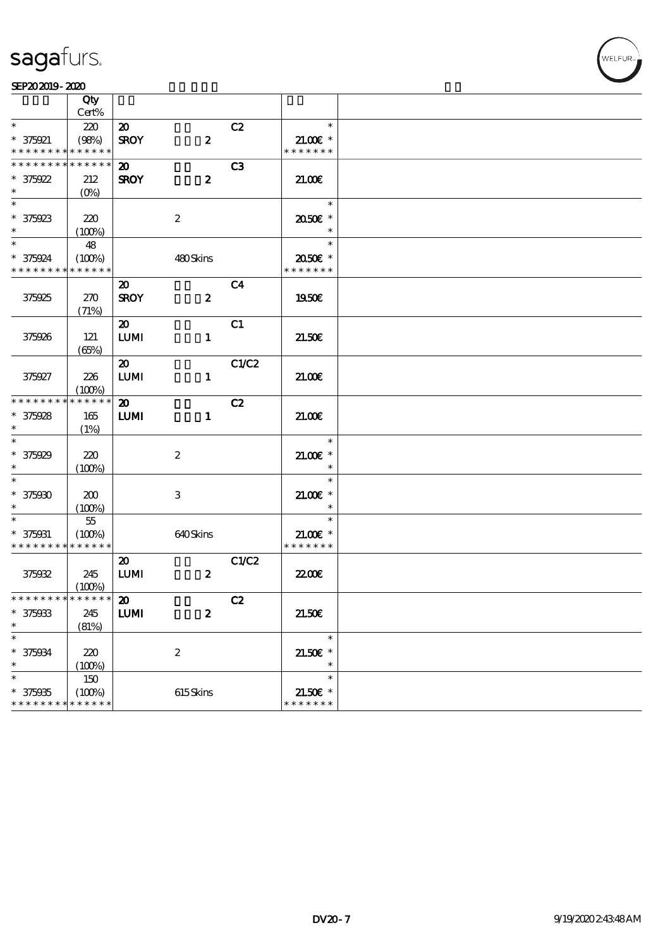#### SEP202019-2020

|                               | Qty                   |                             |                  |                |                             |  |
|-------------------------------|-----------------------|-----------------------------|------------------|----------------|-----------------------------|--|
|                               | Cert%                 |                             |                  |                |                             |  |
| $\ast$                        | 220                   | $\boldsymbol{\mathsf{20}}$  |                  | C2             | $\ast$                      |  |
| $* 375921$                    | (98%)                 | <b>SROY</b>                 | $\pmb{2}$        |                | $21.00$ $\epsilon$ *        |  |
| * * * * * * * *               | * * * * * *           |                             |                  |                | * * * * * * *               |  |
| * * * * * * * *               | * * * * * *           | $\boldsymbol{\mathfrak{D}}$ |                  | C <sub>3</sub> |                             |  |
| $* 375922$                    | 212                   | <b>SROY</b>                 | $\boldsymbol{z}$ |                | 21.00                       |  |
| $\ast$                        | $(0\%)$               |                             |                  |                |                             |  |
| $\overline{\ast}$             |                       |                             |                  |                | $\ast$                      |  |
| $* 375923$                    | 220                   |                             | $\boldsymbol{2}$ |                | 2050E *                     |  |
| $\ast$                        | (100%)                |                             |                  |                | $\ast$                      |  |
| $\ast$                        | 48                    |                             |                  |                | $\ast$                      |  |
| * 375924                      | (100%)                |                             | 480Skins         |                | 2050E *                     |  |
| * * * * * * * *               | * * * * * *           |                             |                  |                | * * * * * * *               |  |
|                               |                       | $\boldsymbol{\mathfrak{D}}$ |                  | C <sub>4</sub> |                             |  |
| 375925                        | 270                   | <b>SROY</b>                 | $\boldsymbol{z}$ |                | 1950E                       |  |
|                               | (71%)                 |                             |                  |                |                             |  |
|                               |                       | $\boldsymbol{\mathfrak{D}}$ |                  | C1             |                             |  |
| 375926                        | 121                   | LUM                         | $\mathbf{1}$     |                | 21.50E                      |  |
|                               | (65%)                 |                             |                  |                |                             |  |
|                               |                       | $\boldsymbol{\mathfrak{D}}$ |                  | C1/C2          |                             |  |
| 375927                        | 226                   | $\textbf{LUM}$              | $\mathbf{1}$     |                | 21.006                      |  |
|                               | (100%)                |                             |                  |                |                             |  |
| * * * * * * * *               | * * * * * *           | $\boldsymbol{\mathfrak{D}}$ |                  | C2             |                             |  |
| $* 375928$                    | 165                   | <b>LUMI</b>                 | $\mathbf{1}$     |                | 21.00E                      |  |
| $\ast$                        | (1%)                  |                             |                  |                |                             |  |
| $\overline{\ast}$             |                       |                             |                  |                | $\ast$                      |  |
| $* 375929$                    | 220                   |                             | $\boldsymbol{z}$ |                | $21.005*$                   |  |
| $\ast$                        | (100%)                |                             |                  |                | $\ast$                      |  |
| $\ast$                        |                       |                             |                  |                | $\ast$                      |  |
| $* 375000$                    | 200                   |                             | 3                |                | $21.00$ $\epsilon$ *        |  |
| $\ast$                        | (100%)                |                             |                  |                | $\ast$                      |  |
| $\ast$                        | $55\,$                |                             |                  |                | $\ast$                      |  |
| $* 375031$                    | (100%)                |                             | 640Skins         |                | $21.005*$                   |  |
| * * * * * * * *               | * * * * * *           |                             |                  |                | * * * * * * *               |  |
|                               |                       | $\boldsymbol{\mathfrak{D}}$ |                  | C1/C2          |                             |  |
| 375032                        | 245                   | LUM                         | $\boldsymbol{z}$ |                | <b>22006</b>                |  |
|                               |                       |                             |                  |                |                             |  |
| * * * * * * * * * * * * * * * | (100%)                | $\boldsymbol{\omega}$       |                  | C2             |                             |  |
| $* 375933$                    | 245                   |                             |                  |                | 21.506                      |  |
| $\ast$                        |                       | LUM                         | $\boldsymbol{2}$ |                |                             |  |
| $\ast$                        | (81%)                 |                             |                  |                | $\ast$                      |  |
|                               |                       |                             |                  |                |                             |  |
| $* 375034$<br>$\ast$          | 220                   |                             | $\boldsymbol{2}$ |                | $21.50E$ *<br>$\ast$        |  |
| $\ast$                        | (100%)                |                             |                  |                | $\ast$                      |  |
|                               | $150\,$               |                             |                  |                |                             |  |
| $* 375935$<br>* * * * * * * * | (100%)<br>* * * * * * |                             | $615$ Skins      |                | $21.50E$ *<br>* * * * * * * |  |
|                               |                       |                             |                  |                |                             |  |

**VELFUR**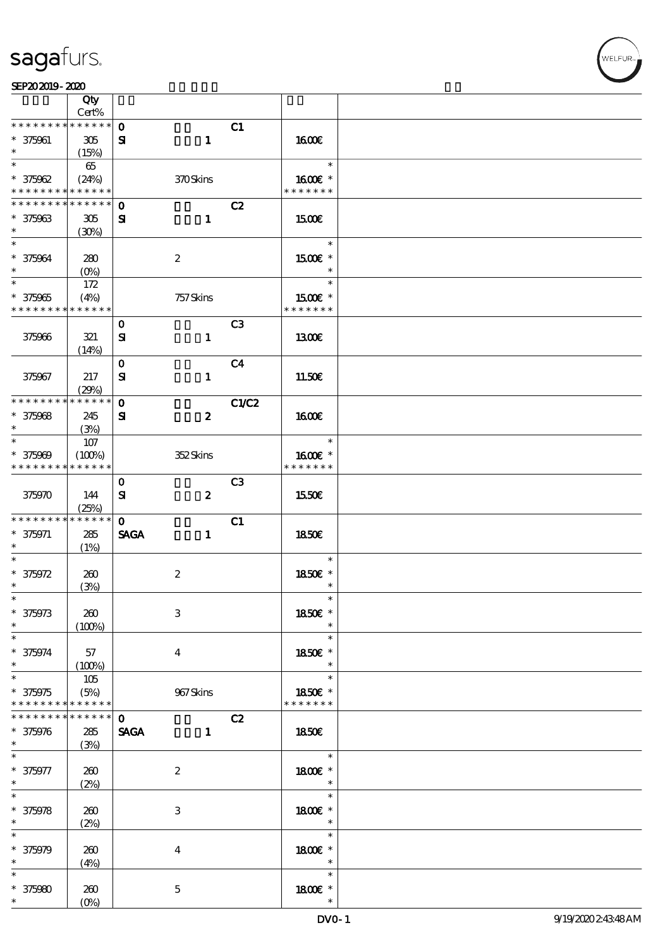

|                                                    | Qty                        |                          |                         |                |                                                  |  |
|----------------------------------------------------|----------------------------|--------------------------|-------------------------|----------------|--------------------------------------------------|--|
| * * * * * * * *                                    | Cert%<br>* * * * * *       | $\mathbf 0$              |                         | C1             |                                                  |  |
| $* 375061$<br>$\ast$                               | 305<br>(15%)               | ${\bf s}$                | $\mathbf{1}$            |                | <b>1600€</b>                                     |  |
| $\ast$                                             | 65                         |                          |                         |                | $\ast$                                           |  |
| $* 375962$<br>* * * * * * * *                      | (24%)<br>* * * * * *       |                          | 370Skins                |                | 1600€ *<br>* * * * * * *                         |  |
| * * * * * * *                                      | * * * * * *                | $\mathbf{o}$             |                         | C2             |                                                  |  |
| $* 375963$<br>$\ast$                               | 305<br>(30%)               | ${\bf s}$                | $\mathbf{1}$            |                | <b>1500€</b>                                     |  |
| $\ast$<br>$* 375964$<br>$\ast$                     | 280<br>$(O_0)$             |                          | $\boldsymbol{2}$        |                | $\ast$<br>1500€ *<br>$\ast$                      |  |
| $\overline{\ast}$<br>$* 375965$<br>* * * * * * * * | 172<br>(4%)<br>* * * * * * |                          | 757 Skins               |                | $\ast$<br>1500 £*<br>* * * * * * *               |  |
|                                                    |                            |                          |                         |                |                                                  |  |
| 375966                                             | 321<br>(14%)               | $\mathbf 0$<br>${\bf s}$ | $\mathbf{1}$            | C <sub>3</sub> | 1300E                                            |  |
|                                                    |                            | $\mathbf 0$              |                         | C <sub>4</sub> |                                                  |  |
| 375967                                             | 217<br>(29%)               | ${\bf s}$                | $\mathbf{1}$            |                | 11.50E                                           |  |
| * * * * * * * *                                    | * * * * * *                | $\mathbf{o}$             |                         | C1/C2          |                                                  |  |
| $* 375068$<br>$\ast$                               | 245<br>(3%)                | Я                        | $\boldsymbol{z}$        |                | 1600E                                            |  |
| $\ast$                                             | $107$                      |                          |                         |                | $\ast$                                           |  |
| $* 375909$<br>* * * * * * * *                      | (100%)<br>* * * * * *      |                          | 352Skins                |                | 1600E *<br>* * * * * * *                         |  |
| 375970                                             | 144<br>(25%)               | $\mathbf 0$<br>${\bf s}$ | $\boldsymbol{z}$        | C <sub>3</sub> | 1550€                                            |  |
| * * * * * * * *                                    | * * * * * *                | $\mathbf{O}$             |                         | C1             |                                                  |  |
| $* 375971$<br>$\ast$                               | 285<br>(1%)                | <b>SAGA</b>              | $\mathbf{1}$            |                | 1850E                                            |  |
| $\ast$<br>$* 375972$<br>$\ast$                     | 260<br>(3%)                |                          | $\boldsymbol{2}$        |                | $\ast$<br>1850E *<br>$\ast$                      |  |
| $*$<br>$* 375973$<br>$\ast$                        | 260<br>(100%)              |                          | $\,3$                   |                | $\ast$<br>1850€ *<br>$\ast$                      |  |
| $\ast$<br>$* 375974$<br>$\ast$                     | 57<br>(100%)               |                          | $\overline{\mathbf{4}}$ |                | $\ast$<br>1850E *<br>$\ast$                      |  |
| $\ast$<br>$* 375975$<br>* * * * * * * *            | 105<br>(5%)<br>* * * * * * |                          | 967Skins                |                | $\ast$<br>1850€ *<br>* * * * * * *               |  |
| * * * * * * *                                      | * * * * * *                | $\mathbf 0$              |                         | C2             |                                                  |  |
| $* 375976$<br>$\ast$                               | 285<br>(3%)                | <b>SAGA</b>              | $\mathbf{1}$            |                | <b>1850€</b>                                     |  |
| $* 375977$<br>$\ast$                               | 260<br>(2%)                |                          | $\boldsymbol{2}$        |                | $\ast$<br>1800 £*<br>$\rightarrow$ $\rightarrow$ |  |
| $\ast$<br>$* 375978$<br>$\ast$                     | 260<br>(2%)                |                          | 3                       |                | $\ast$<br>1800 £*<br>$\ast$                      |  |
| $\ast$<br>$* 375979$<br>$\ast$                     | 260<br>(4%)                |                          | $\boldsymbol{4}$        |                | $\ast$<br>1800 £*<br>$\ast$                      |  |
| $\ast$<br>$* 375980$<br>$\ast$                     | 260<br>$(O\%)$             |                          | $\mathbf 5$             |                | $\ast$<br>1800 £*<br>$\ast$                      |  |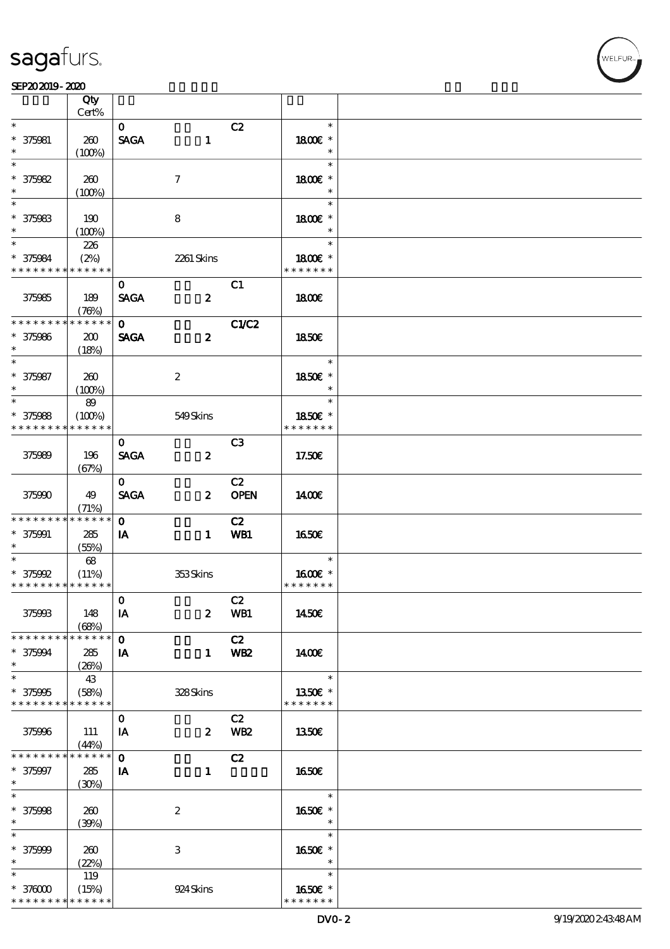#### $SEP202019 - 2020$

|                             | Qty           |              |                  |                 |                   |  |
|-----------------------------|---------------|--------------|------------------|-----------------|-------------------|--|
| $\ast$                      | Cert%         |              |                  |                 | $\ast$            |  |
|                             |               | $\mathbf{O}$ |                  | C2              |                   |  |
| $* 375081$<br>$\ast$        | 260           | <b>SAGA</b>  | $\mathbf{1}$     |                 | 1800E *<br>$\ast$ |  |
| $\ast$                      | (100%)        |              |                  |                 | $\ast$            |  |
| $* 375082$                  | 260           |              | $\tau$           |                 | 1800€ *           |  |
| $\ast$                      | (100%)        |              |                  |                 | $\ast$            |  |
|                             |               |              |                  |                 | $\ast$            |  |
| $* 375983$                  | 190           |              | 8                |                 | 1800E *           |  |
| $\ast$                      | (100%)        |              |                  |                 | $\ast$            |  |
| $*$                         | 226           |              |                  |                 | $\ast$            |  |
| * 375984                    | (2%)          |              | 2261 Skins       |                 | 1800E *           |  |
| * * * * * * * * * * * * * * |               |              |                  |                 | * * * * * * *     |  |
|                             |               | $\mathbf{O}$ |                  | C1              |                   |  |
| 375985                      | 189           | <b>SAGA</b>  | $\boldsymbol{z}$ |                 | 1800              |  |
|                             | (76%)         |              |                  |                 |                   |  |
| * * * * * * * *             | * * * * * *   | $\mathbf{O}$ |                  | <b>C1/C2</b>    |                   |  |
| $* 375086$                  | 200           | <b>SAGA</b>  | $\boldsymbol{z}$ |                 | 1850E             |  |
| $\ast$                      | (18%)         |              |                  |                 |                   |  |
| $\ast$                      |               |              |                  |                 | $\ast$            |  |
| $* 375987$                  | 260           |              | $\boldsymbol{2}$ |                 | 1850€ *           |  |
| $\ast$                      | (100%)        |              |                  |                 | $\ast$            |  |
| $\ast$                      | 89            |              |                  |                 | $\ast$            |  |
| $* 375988$                  | (100%)        |              | 549Skins         |                 | 1850E *           |  |
| * * * * * * * *             | * * * * * *   |              |                  |                 | * * * * * * *     |  |
|                             |               | $\mathbf{O}$ |                  | C <sub>3</sub>  |                   |  |
| 375989                      | 196           | <b>SAGA</b>  | $\boldsymbol{z}$ |                 | 17.50E            |  |
|                             | (67%)         |              |                  |                 |                   |  |
|                             |               | $\mathbf{O}$ |                  | C2              |                   |  |
| 375990                      | 49            | <b>SAGA</b>  | $\boldsymbol{z}$ | <b>OPEN</b>     | 1400              |  |
|                             | (71%)         |              |                  |                 |                   |  |
| * * * * * * * *             | * * * * * *   | $\mathbf{O}$ |                  | C2              |                   |  |
| $* 375001$                  | 285           | IA           | $\mathbf{1}$     | WB1             | 1650E             |  |
| $\ast$                      | (55%)         |              |                  |                 |                   |  |
| $*$                         | 68            |              |                  |                 | $\ast$            |  |
| $*$ 375992                  | (11%)         |              | 353Skins         |                 | 1600E *           |  |
| * * * * * * * * * * * * * * |               |              |                  |                 | * * * * * * *     |  |
|                             |               | $\mathbf 0$  |                  | C2              |                   |  |
| 375993                      | 148           | IA           | $\boldsymbol{z}$ | WB1             | 1450E             |  |
|                             | (68%)         |              |                  |                 |                   |  |
| * * * * * * * *             | * * * * * *   | $\mathbf{o}$ |                  | C2              |                   |  |
| * 375004                    | 285           | IA           | $\mathbf{1}$     | WB <sub>2</sub> | 1400E             |  |
| $\ast$                      | (20%)         |              |                  |                 |                   |  |
| $\overline{\ast}$           | 43            |              |                  |                 | $\ast$            |  |
| $* 375005$                  | (58%)         |              | 328Skins         |                 | 1350E *           |  |
| * * * * * * * *             | * * * * * *   |              |                  |                 | * * * * * * *     |  |
|                             |               | $\bf{0}$     |                  | C2              |                   |  |
| 375996                      | 111           | IA           | $\boldsymbol{z}$ | WB <sub>2</sub> | 1350€             |  |
|                             | (44%)         |              |                  |                 |                   |  |
| * * * * * * * *             | $* * * * * *$ | $\mathbf 0$  |                  | C2              |                   |  |
| * 375997                    | 285           | IA           | $\mathbf{1}$     |                 | 1650E             |  |
| $*$                         | (30%)         |              |                  |                 |                   |  |
| $\overline{\ast}$           |               |              |                  |                 | $\ast$            |  |
| $* 375998$                  | 260           |              | $\boldsymbol{2}$ |                 | 1650€ *           |  |
| $\ast$                      | (39%)         |              |                  |                 | $\ast$            |  |
| $\ast$                      |               |              |                  |                 | $\ast$            |  |
| $* 375999$                  | 260           |              | 3                |                 | 1650E *           |  |
| $\ast$                      | (22%)         |              |                  |                 | $\ast$            |  |
| $\ast$                      | 119           |              |                  |                 | $\ast$            |  |
| $*37000$                    | (15%)         |              | 924 Skins        |                 | 1650E *           |  |
| * * * * * * * *             | * * * * * *   |              |                  |                 | * * * * * * *     |  |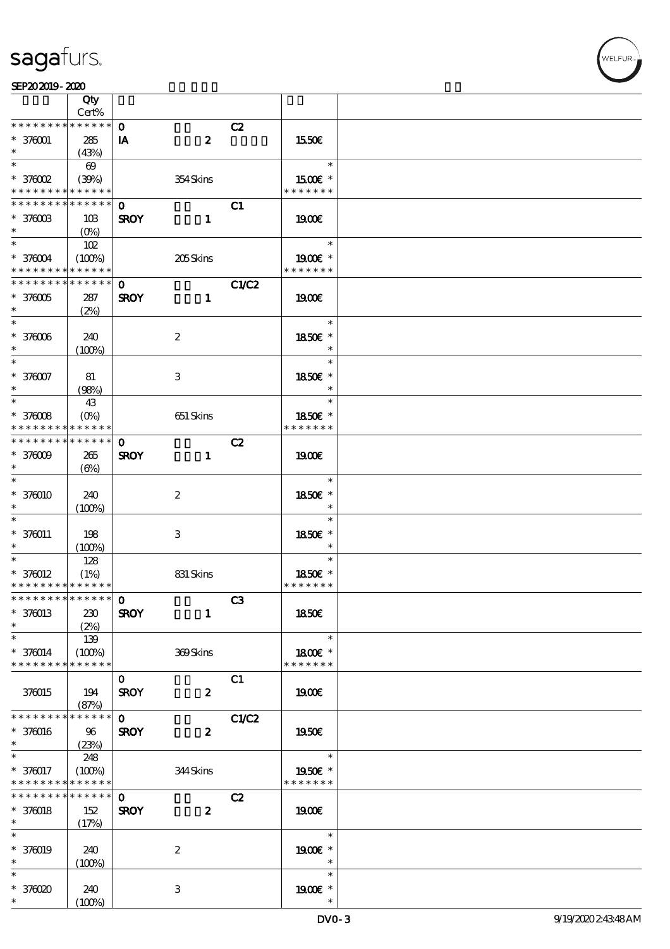#### SEP202019-2020

|                                           | Qty<br>Cert%          |              |                           |              |                          |  |
|-------------------------------------------|-----------------------|--------------|---------------------------|--------------|--------------------------|--|
| * * * * * * * *                           | * * * * * *           | $\mathbf{o}$ |                           |              |                          |  |
| $* 370001$                                |                       |              | $\boldsymbol{z}$          | C2           |                          |  |
| $\ast$                                    | 285<br>(43%)          | IA           |                           |              | 1550€                    |  |
| $\ast$                                    | $\boldsymbol{\omega}$ |              |                           |              | $\ast$                   |  |
| $*$ 376002                                |                       |              |                           |              | 1500E *                  |  |
| * * * * * * * *                           | (30%)<br>* * * * * *  |              | 354Skins                  |              | * * * * * * *            |  |
| * * * * * * *                             | * * * * * *           |              |                           |              |                          |  |
|                                           |                       | $\mathbf 0$  |                           | C1           |                          |  |
| $* 3700B$<br>$\ast$                       | 10B                   | <b>SROY</b>  | $\mathbf{1}$              |              | 1900E                    |  |
| $\ast$                                    | $(O\%)$               |              |                           |              | $\ast$                   |  |
|                                           | 102                   |              |                           |              |                          |  |
| $* 376004$<br>* * * * * * * * * * * * * * | (100%)                |              | 205Skins                  |              | 1900E *<br>* * * * * * * |  |
|                                           |                       |              |                           |              |                          |  |
| * * * * * * * *                           | * * * * * *           | $\mathbf{O}$ |                           | C1/C2        |                          |  |
| $*370005$                                 | 287                   | <b>SROY</b>  | $\mathbf{1}$              |              | 1900E                    |  |
| $\ast$                                    | (2%)                  |              |                           |              |                          |  |
| $\ast$                                    |                       |              |                           |              | $\ast$                   |  |
| $* 370006$                                | 240                   |              | $\boldsymbol{z}$          |              | 1850E *                  |  |
| $\ast$                                    | (100%)                |              |                           |              | $\ast$                   |  |
| $\ast$                                    |                       |              |                           |              | $\ast$                   |  |
| $* 376007$                                | 81                    |              | $\ensuremath{\mathbf{3}}$ |              | 1850€ *                  |  |
| $\ast$                                    | (98%)                 |              |                           |              | $\ast$                   |  |
| $\ast$                                    | 43                    |              |                           |              | $\ast$                   |  |
| $*37008$                                  | $(O\%)$               |              | 651 Skins                 |              | 1850E *                  |  |
| * * * * * * * *                           | * * * * * *           |              |                           |              | * * * * * * *            |  |
| * * * * * * * *                           | * * * * * *           | $\mathbf 0$  |                           | C2           |                          |  |
| $*370009$                                 | 265                   | <b>SROY</b>  | $\mathbf{1}$              |              | 1900E                    |  |
| $\ast$                                    | $(\Theta)$            |              |                           |              |                          |  |
| $\ast$                                    |                       |              |                           |              | $\ast$                   |  |
| $* 370010$                                | 240                   |              | $\boldsymbol{2}$          |              | 1850€ *                  |  |
| $\ast$                                    | (100%)                |              |                           |              |                          |  |
| $\ast$                                    |                       |              |                           |              | $\ast$                   |  |
| $* 370011$                                | 198                   |              | 3                         |              | 1850E *                  |  |
| $\ast$                                    | (100%)                |              |                           |              | $\ast$                   |  |
| $\ast$                                    | 128                   |              |                           |              | $\ast$                   |  |
| $* 370012$                                | (1%)                  |              | 831 Skins                 |              | 1850E *                  |  |
| * * * * * * * * * * * * * *               |                       |              |                           |              | * * * * * * *            |  |
| *************** 0                         |                       |              |                           | C3           |                          |  |
| $* 370013$                                | 230                   | <b>SROY</b>  | $\mathbf{1}$              |              | <b>1850€</b>             |  |
| $\ast$                                    | (2%)                  |              |                           |              |                          |  |
| $\ast$                                    | 139                   |              |                           |              | $\ast$                   |  |
| $* 376014$                                | (100%)                |              | 369Skins                  |              | 1800€ *                  |  |
| * * * * * * * *                           | * * * * * *           |              |                           |              | * * * * * * *            |  |
|                                           |                       | $\mathbf{O}$ |                           | C1           |                          |  |
| 376015                                    | 194                   | <b>SROY</b>  | $\boldsymbol{z}$          |              | 1900E                    |  |
|                                           | (87%)                 |              |                           |              |                          |  |
| * * * * * * * *                           | * * * * * *           | $\mathbf 0$  |                           | <b>C1/C2</b> |                          |  |
| * 376016                                  | 96                    | <b>SROY</b>  | $\boldsymbol{z}$          |              | <b>1950€</b>             |  |
| $*$                                       | (23%)                 |              |                           |              |                          |  |
| $\overline{\phantom{0}}$                  | 248                   |              |                           |              | $\ast$                   |  |
| $* 370017$                                | (100%)                |              | 344Skins                  |              | 1950€ *                  |  |
| * * * * * * * *                           | * * * * * *           |              |                           |              | * * * * * * *            |  |
| * * * * * * * *                           | $* * * * * * *$       | $\mathbf 0$  |                           | C2           |                          |  |
| $* 370018$                                | 152                   | <b>SROY</b>  | $\boldsymbol{z}$          |              | 1900                     |  |
| $\ast$                                    | (17%)                 |              |                           |              |                          |  |
| $\ast$                                    |                       |              |                           |              | $\ast$                   |  |
| $* 370019$                                | 240                   |              | $\boldsymbol{2}$          |              | 1900E *                  |  |
| $\ast$                                    | (100%)                |              |                           |              | $\ast$                   |  |
| $\ast$                                    |                       |              |                           |              | $\ast$                   |  |
| $*37000$                                  | 240                   |              | 3                         |              | 1900 £*                  |  |
| $\ast$                                    | (100%)                |              |                           |              | $\ast$                   |  |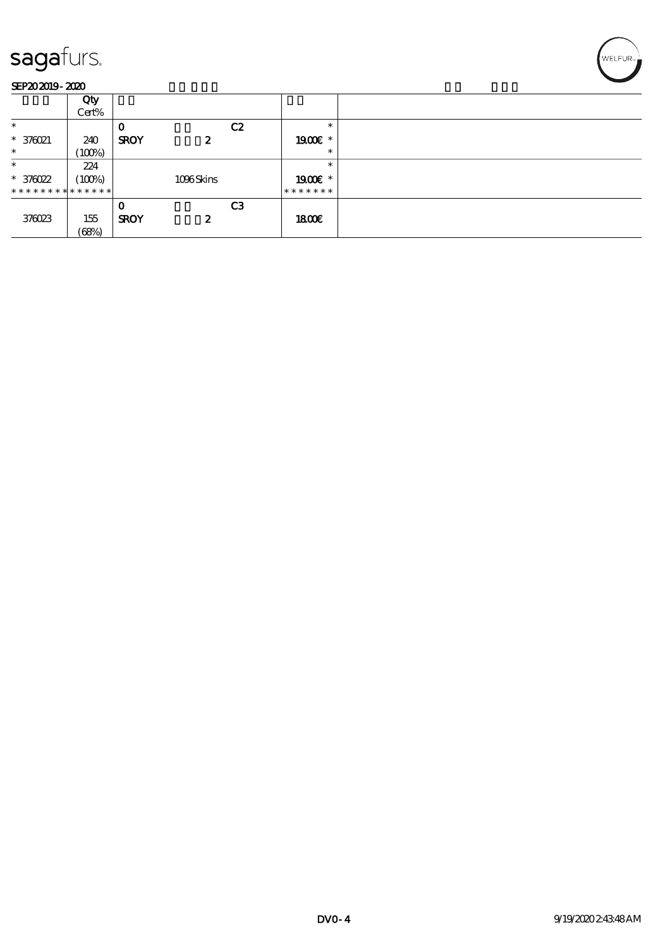

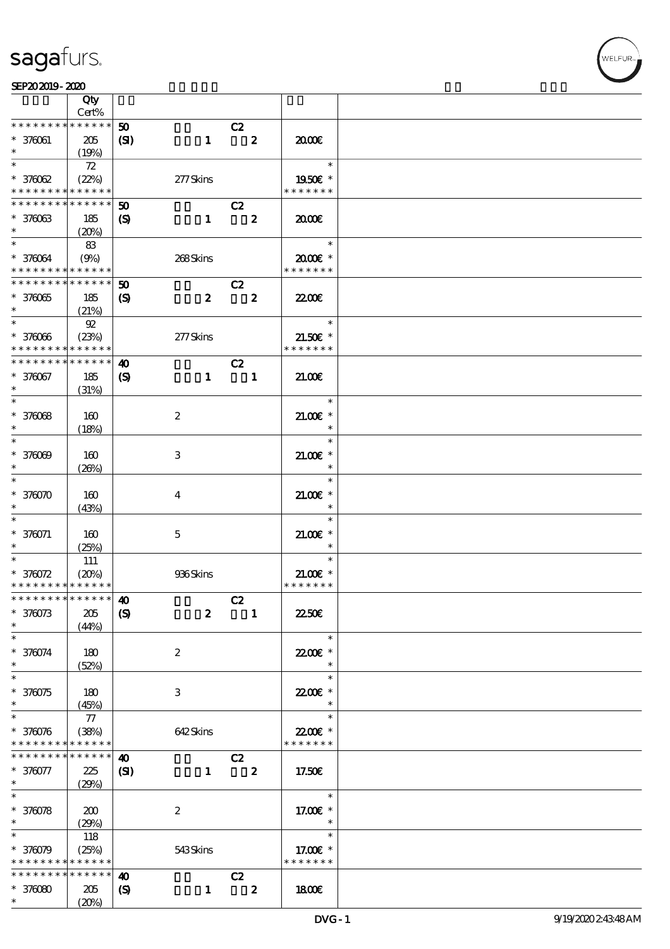|                                                                           | Qty                  |                             |                  |                               |                |                                 |  |
|---------------------------------------------------------------------------|----------------------|-----------------------------|------------------|-------------------------------|----------------|---------------------------------|--|
| * * * * * * * *                                                           | Cert%<br>* * * * * * |                             |                  |                               |                |                                 |  |
| $* 370061$                                                                |                      | 50                          |                  | C2<br>$\overline{\mathbf{z}}$ |                |                                 |  |
| $\ast$                                                                    | 205<br>(19%)         | (S)                         | $\mathbf{1}$     |                               |                | 2000                            |  |
| $\ast$                                                                    | 72                   |                             |                  |                               |                | $\ast$                          |  |
| $*37002$                                                                  | (22%)                |                             | $277$ Skins      |                               |                | 1950E *                         |  |
| * * * * * * * * * * * * * *                                               |                      |                             |                  |                               |                | * * * * * * *                   |  |
| ______<br>* * * * * * *                                                   | * * * * * *          | $\boldsymbol{\mathfrak{D}}$ |                  | C2                            |                |                                 |  |
| $* 37003$                                                                 | 185                  | $\boldsymbol{\mathcal{S}}$  | $\mathbf{1}$     |                               | $\mathbf{2}$   | 2000                            |  |
| $\ast$                                                                    | (20%)                |                             |                  |                               |                |                                 |  |
| $\ast$                                                                    | 83                   |                             |                  |                               |                | $\overline{\phantom{a}}$        |  |
| $* 376064$                                                                | (9%)                 |                             | 268Skins         |                               |                | $2000$ $\varepsilon$ *          |  |
| * * * * * * * * <mark>* * * * * * *</mark><br>* * * * * * * * * * * * * * |                      |                             |                  |                               |                | * * * * * * *                   |  |
|                                                                           |                      | 50                          |                  | C2                            |                |                                 |  |
| $*37005$                                                                  | 185<br>(21%)         | $\boldsymbol{S}$            | $\boldsymbol{z}$ | $\overline{\mathbf{2}}$       |                | <b>2200E</b>                    |  |
| $*$                                                                       | 92                   |                             |                  |                               |                | $\overline{\phantom{a}}$        |  |
| $* 37006$                                                                 | (23%)                |                             | 277Skins         |                               |                | $21.50E$ *                      |  |
| * * * * * * * *                                                           | * * * * * *          |                             |                  |                               |                | * * * * * * *                   |  |
| * * * * * * * *                                                           | * * * * * *          | $\boldsymbol{\omega}$       |                  | C2                            |                |                                 |  |
| * 376067                                                                  | 185                  | $\boldsymbol{\mathsf{(S)}}$ | $\mathbf{1}$     | $\overline{\phantom{a}}$      |                | 21.00                           |  |
| $\ast$                                                                    | (31%)                |                             |                  |                               |                |                                 |  |
|                                                                           |                      |                             |                  |                               |                | $\ast$                          |  |
| $* 37008$                                                                 | 160                  |                             | $\boldsymbol{2}$ |                               |                | $21.00E$ *                      |  |
| $\ast$                                                                    | (18%)                |                             |                  |                               |                | $\ast$                          |  |
| $\ast$                                                                    |                      |                             |                  |                               |                | $\ast$                          |  |
| $* 37000$                                                                 | 160                  |                             | 3                |                               |                | $21.00$ $*$                     |  |
| $\ast$<br>$\ast$                                                          | (20%)                |                             |                  |                               |                | $\ast$<br>$\ast$                |  |
| $*370070$                                                                 | 160                  |                             |                  |                               |                | $21.00$ $*$                     |  |
| $\ast$                                                                    | (43%)                |                             | 4                |                               |                | $\ast$                          |  |
| $\ast$                                                                    |                      |                             |                  |                               |                | $\ast$                          |  |
| $* 370071$                                                                | 160                  |                             | $\overline{5}$   |                               |                | $21.005*$                       |  |
|                                                                           | (25%)                |                             |                  |                               |                | $\ast$                          |  |
| $\ast$                                                                    | 111                  |                             |                  |                               |                | $\ast$                          |  |
| $* 376072$                                                                | (20%)                |                             | 936Skins         |                               |                | $21.00E$ *                      |  |
| * * * * * * * * <mark>* * * * * * *</mark>                                |                      |                             |                  |                               |                | * * * * * * *                   |  |
| * * * * * * * * <mark>* * * * * * *</mark>                                |                      | 40                          |                  | C2                            |                |                                 |  |
| $*370073$                                                                 | 205                  | $\boldsymbol{\mathcal{S}}$  | $\boldsymbol{z}$ |                               | $\blacksquare$ | 2250E                           |  |
| $\ast$<br>$\ast$                                                          | (44%)                |                             |                  |                               |                | $\ast$                          |  |
| * 376074                                                                  |                      |                             |                  |                               |                | 22.00€ *                        |  |
| $\ast$                                                                    | 180<br>(52%)         |                             | $\boldsymbol{2}$ |                               |                | $\ast$                          |  |
| $\ast$                                                                    |                      |                             |                  |                               |                | $\ast$                          |  |
| $*370075$                                                                 | 180                  |                             | 3                |                               |                | 22.00 £*                        |  |
| $\ast$                                                                    | (45%)                |                             |                  |                               |                | $\ast$                          |  |
| $\ast$                                                                    | 77                   |                             |                  |                               |                | $\ast$                          |  |
| * 376076                                                                  | (38%)                |                             | 642Skins         |                               |                | 22.00 £*                        |  |
| * * * * * * * *                                                           | * * * * * *          |                             |                  |                               |                | * * * * * * *                   |  |
| * * * * * * * *                                                           | * * * * * *          | $\boldsymbol{\omega}$       |                  | C2                            |                |                                 |  |
| * 376077                                                                  | 225                  | (S)                         | $\mathbf{1}$     | $\overline{\phantom{a}}$ 2    |                | 17.50E                          |  |
| $\ast$                                                                    | (29%)                |                             |                  |                               |                |                                 |  |
| $\ast$                                                                    |                      |                             |                  |                               |                | $\ast$                          |  |
| * 370078<br>$\ast$                                                        | 200                  |                             | $\boldsymbol{2}$ |                               |                | 17.00 $\varepsilon$ *<br>$\ast$ |  |
| $\ast$                                                                    | (29%)<br>118         |                             |                  |                               |                | $\ast$                          |  |
| * 376079                                                                  | (25%)                |                             | 543Skins         |                               |                | 17.00€ *                        |  |
| * * * * * * * *                                                           | * * * * * *          |                             |                  |                               |                | * * * * * * *                   |  |
| * * * * * * * *                                                           | * * * * * *          | $\boldsymbol{\omega}$       |                  | C2                            |                |                                 |  |
| $*37000$                                                                  | 205                  | $\boldsymbol{\mathcal{S}}$  | $\mathbf{1}$     | $\overline{\mathbf{z}}$       |                | 1800E                           |  |
| $\ast$                                                                    | (20%)                |                             |                  |                               |                |                                 |  |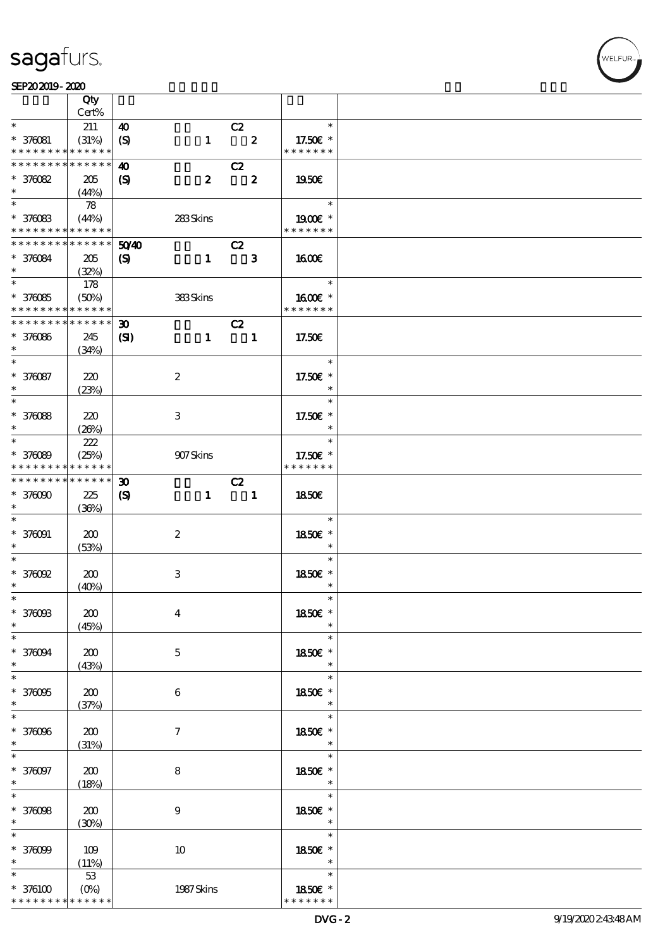#### $SEP202019 - 2020$  $\frac{\text{SEP202019-2020}}{\text{Cov}}$

|                                            | Qty<br>Cert%    |                             |                               |                            |                         |                |  |
|--------------------------------------------|-----------------|-----------------------------|-------------------------------|----------------------------|-------------------------|----------------|--|
| $\ast$                                     |                 |                             |                               |                            |                         | $\ast$         |  |
|                                            | 211             | 40                          |                               | C2                         |                         |                |  |
| $* 376081$                                 | (31%)           | $\boldsymbol{\mathrm{(S)}}$ | $\mathbf{1}$                  | $\overline{\mathbf{2}}$    |                         | 17.50€ *       |  |
| * * * * * * * *                            | * * * * * *     |                             |                               |                            |                         | * * * * * * *  |  |
| * * * * * * * *                            | * * * * * *     | 40                          |                               | C2                         |                         |                |  |
| $*376082$                                  | 205             | $\boldsymbol{S}$            | $\boldsymbol{z}$              |                            | $\overline{\mathbf{2}}$ | 1950E          |  |
| $\ast$                                     | (44%)           |                             |                               |                            |                         |                |  |
| $\overline{\phantom{0}}$                   | 78              |                             |                               |                            |                         | $\ast$         |  |
| $* 376083$                                 | (44%)           |                             | 283Skins                      |                            |                         | $1900E$ *      |  |
| * * * * * * * * <mark>* * * * * *</mark>   |                 |                             |                               |                            |                         | * * * * * * *  |  |
| * * * * * * * *                            | $* * * * * * *$ | 5040                        |                               | C2                         |                         |                |  |
| * 376084                                   | 205             |                             | $\mathbf{1}$                  | $\overline{\phantom{a}}$ 3 |                         | <b>1600€</b>   |  |
| $\ast$                                     |                 | $\boldsymbol{\mathrm{(S)}}$ |                               |                            |                         |                |  |
| $*$                                        | (32%)           |                             |                               |                            |                         | an T<br>$\ast$ |  |
|                                            | 178             |                             |                               |                            |                         |                |  |
| $* 37005$                                  | (50%)           |                             | <b>383Skins</b>               |                            |                         | 1600E *        |  |
| * * * * * * * * <mark>* * * * * * *</mark> |                 |                             |                               |                            |                         | * * * * * * *  |  |
| * * * * * * * *                            | $* * * * * * *$ | 30 <sub>o</sub>             |                               | C2                         |                         |                |  |
| $* 370066$                                 | 245             | $\mathbf{C}$                | $\mathbf{1}$                  | $\overline{\phantom{a}}$   |                         | 17.50€         |  |
| $\ast$                                     | (34%)           |                             |                               |                            |                         |                |  |
| $\ast$                                     |                 |                             |                               |                            |                         | $\ast$         |  |
| * 376087                                   | 220             |                             | $\boldsymbol{2}$              |                            |                         | 17.50€ *       |  |
| $\ast$                                     |                 |                             |                               |                            |                         | $\ast$         |  |
|                                            | (23%)           |                             |                               |                            |                         | $\ast$         |  |
|                                            |                 |                             |                               |                            |                         |                |  |
| * 370088                                   | 220             |                             | 3                             |                            |                         | 17.50€ *       |  |
| $\ast$                                     | (20%)           |                             |                               |                            |                         | $\ast$         |  |
| $\overline{\phantom{0}}$                   | 222             |                             |                               |                            |                         | $\ast$         |  |
| * 376089                                   | (25%)           |                             | $907\mathrm{S} \mathrm{kins}$ |                            |                         | 17.50€ *       |  |
| * * * * * * * * <mark>* * * * * * *</mark> |                 |                             |                               |                            |                         | * * * * * * *  |  |
| * * * * * * * * <mark>*</mark>             | $* * * * * * *$ | $\boldsymbol{\mathfrak{D}}$ |                               | C2                         |                         |                |  |
| $*37000$                                   | 225             | $\boldsymbol{\mathrm{(S)}}$ | $\mathbf{1}$                  | $\overline{\phantom{a}}$   |                         | <b>1850€</b>   |  |
| $\ast$                                     | (36%)           |                             |                               |                            |                         |                |  |
| $\ast$                                     |                 |                             |                               |                            |                         | $\ast$         |  |
|                                            |                 |                             |                               |                            |                         |                |  |
| $* 370001$                                 | 200             |                             | $\boldsymbol{2}$              |                            |                         | 1850E *        |  |
| $\ast$                                     | (53%)           |                             |                               |                            |                         | $\ast$         |  |
| $\ast$                                     |                 |                             |                               |                            |                         | $\ast$         |  |
| $*$ 376092                                 | 200             |                             | 3                             |                            |                         | 1850E *        |  |
| $\ast$                                     | (40%)           |                             |                               |                            |                         | $\ast$         |  |
| $\ast$                                     |                 |                             |                               |                            |                         | $\ast$         |  |
| $*376003$                                  | 200             |                             | $\boldsymbol{4}$              |                            |                         | 1850€ *        |  |
| $\ast$                                     | (45%)           |                             |                               |                            |                         |                |  |
| $\ast$                                     |                 |                             |                               |                            |                         | $\ast$         |  |
|                                            |                 |                             |                               |                            |                         |                |  |
| * 376094                                   | 200             |                             | $\mathbf 5$                   |                            |                         | 1850E *        |  |
| $\ast$<br>$\overline{\ast}$                | (43%)           |                             |                               |                            |                         | $\ast$         |  |
|                                            |                 |                             |                               |                            |                         | $\ast$         |  |
| $*37005$                                   | 200             |                             | 6                             |                            |                         | 1850E *        |  |
| $\ast$                                     | (37%)           |                             |                               |                            |                         | $\ast$         |  |
| $\ast$                                     |                 |                             |                               |                            |                         | $\ast$         |  |
| * 376096                                   | 200             |                             | $\tau$                        |                            |                         | 1850€ *        |  |
| $\ast$                                     | (31%)           |                             |                               |                            |                         | $\ast$         |  |
| $\ast$                                     |                 |                             |                               |                            |                         | $\ast$         |  |
|                                            |                 |                             |                               |                            |                         |                |  |
| * 376097                                   | 200             |                             | 8                             |                            |                         | 1850E *        |  |
| $\ast$<br>$\ast$                           | (18%)           |                             |                               |                            |                         | $\ast$         |  |
|                                            |                 |                             |                               |                            |                         | $\ast$         |  |
| * 376098                                   | 200             |                             | $\boldsymbol{9}$              |                            |                         | 1850E *        |  |
| $\ast$                                     | (30%)           |                             |                               |                            |                         | $\ast$         |  |
| $\ast$                                     |                 |                             |                               |                            |                         | $\ast$         |  |
| $*37009$                                   | 109             |                             | 10                            |                            |                         | 1850E *        |  |
|                                            | (11%)           |                             |                               |                            |                         | $\ast$         |  |
| $\ast$                                     | 53              |                             |                               |                            |                         | $\ast$         |  |
| $*376100$                                  | $(0\%)$         |                             | 1987 Skins                    |                            |                         | 1850E *        |  |
| * * * * * * * *                            | * * * * * *     |                             |                               |                            |                         | * * * * * * *  |  |
|                                            |                 |                             |                               |                            |                         |                |  |

,<br>WELFUR: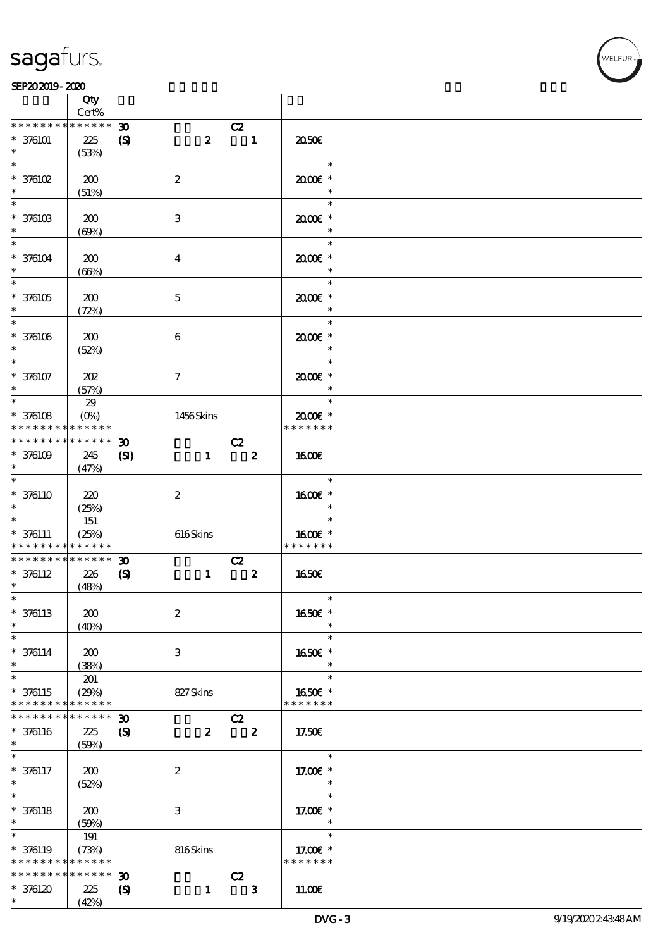#### SEP202019-2020

|                                                    | Qty<br>Cert%                       |                                                            |                  |                               |                         |                                           |  |
|----------------------------------------------------|------------------------------------|------------------------------------------------------------|------------------|-------------------------------|-------------------------|-------------------------------------------|--|
| * * * * * * * *                                    | * * * * * *                        | $\boldsymbol{\mathfrak{D}}$                                |                  | C2                            |                         |                                           |  |
| $* 376101$                                         | 225<br>(53%)                       | $\boldsymbol{\mathrm{(S)}}$                                | $\boldsymbol{z}$ | $\blacksquare$                |                         | 2050€                                     |  |
| $\ast$<br>$*$ 376102                               | 200<br>(51%)                       |                                                            | $\boldsymbol{2}$ |                               |                         | $\ast$<br>2000E*<br>$\ast$                |  |
| $*$ 376103<br>$\ast$                               | 200                                |                                                            | 3                |                               |                         | $\ast$<br>2000E*                          |  |
| $\overline{\mathbf{r}}$<br>$* 376104$              | (60%)<br>200                       |                                                            | $\overline{4}$   |                               |                         | $\ast$<br>$\ast$<br>2000E*                |  |
| $\ast$<br>$\overline{\ast}$<br>$*376105$           | (66%)<br>200                       |                                                            | $\mathbf{5}$     |                               |                         | $\ast$<br>$\ast$<br>$2000$ $*$            |  |
| $\ast$<br>$*$<br>$* 376106$                        | (72%)<br>200                       |                                                            | $\boldsymbol{6}$ |                               |                         | $\ast$<br>$\ast$<br>2000E*                |  |
| $\ast$<br>$\overline{\ast}$                        | (52%)                              |                                                            |                  |                               |                         | $\ast$<br>$\ast$                          |  |
| $* 376107$<br>$\ast$<br>$\overline{\ast}$          | 202<br>(57%)<br>29                 |                                                            | $\tau$           |                               |                         | $2000$ $*$<br>$\ast$<br>$\ast$            |  |
| $*$ 376108<br>* * * * * * * *<br>* * * * * * * *   | $(O\%)$<br>* * * * * *<br>$******$ | $\boldsymbol{\mathfrak{D}}$                                | 1456Skins        | C2                            |                         | $2000$ $*$<br>* * * * * * *               |  |
| $*376109$<br>$\ast$<br>$\overline{\ast}$           | 245<br>(47%)                       | $\mathbf{C}$                                               | $\mathbf{1}$     | $\overline{\mathbf{z}}$       |                         | 1600E                                     |  |
| $* 376110$<br>$\ast$                               | 220<br>(25%)                       |                                                            | $\boldsymbol{z}$ |                               |                         | $\ast$<br>1600€ *<br>$\ast$               |  |
| $\ast$<br>$* 376111$<br>* * * * * * * *            | 151<br>(25%)<br>* * * * * *        |                                                            | 616Skins         |                               |                         | $\ast$<br>1600€ *<br>* * * * * * *        |  |
| * * * * * * * *<br>$* 376112$<br>$\ast$            | $******$<br>226<br>(48%)           | $\boldsymbol{\mathfrak{D}}$<br>$\boldsymbol{\mathrm{(S)}}$ | $\mathbf{1}$     | C2<br>$\overline{\mathbf{2}}$ |                         | 1650E                                     |  |
| $\ast$<br>$* 376113$<br>$\ast$                     | 200<br>(40%)                       |                                                            | $\boldsymbol{2}$ |                               |                         | $\ast$<br>1650€ *<br>$\ast$               |  |
| $\ast$<br>$* 376114$<br>$\ast$                     | 200<br>(38%)                       |                                                            | 3                |                               |                         | $\ast$<br>1650E *<br>$\ast$               |  |
| $\overline{\ast}$<br>$* 376115$<br>* * * * * * * * | 201<br>(29%)<br>* * * * * *        |                                                            | 827Skins         |                               |                         | $\ast$<br>1650E *<br>* * * * * * *        |  |
| * * * * * * * *<br>$* 376116$<br>$\ast$            | * * * * * *<br>$225\,$<br>(50%)    | $\boldsymbol{\mathfrak{D}}$<br>$\boldsymbol{\mathcal{S}}$  | $\boldsymbol{z}$ | C2                            | $\overline{\mathbf{2}}$ | 17.50€                                    |  |
| $\ast$<br>$* 376117$<br>$\ast$                     | 200<br>(52%)                       |                                                            | $\boldsymbol{z}$ |                               |                         | $\ast$<br>17.00 £*<br>$\ast$              |  |
| $\ast$<br>$* 376118$<br>$\ast$                     | 200<br>(50%)                       |                                                            | 3                |                               |                         | $\ast$<br>17.00 $\varepsilon$ *<br>$\ast$ |  |
| $\ast$<br>* 376119<br>* * * * * * * *              | 191<br>(73%)<br>* * * * * *        |                                                            | 816Skins         |                               |                         | $\ast$<br>17.00€ *<br>* * * * * * *       |  |
| * * * * * * * *<br>* 376120<br>$\ast$              | * * * * * *<br>225<br>(42%)        | $\boldsymbol{\mathfrak{D}}$<br>$\boldsymbol{\mathcal{S}}$  | $\mathbf{1}$     | C2                            | $\mathbf{3}$            | 11.00E                                    |  |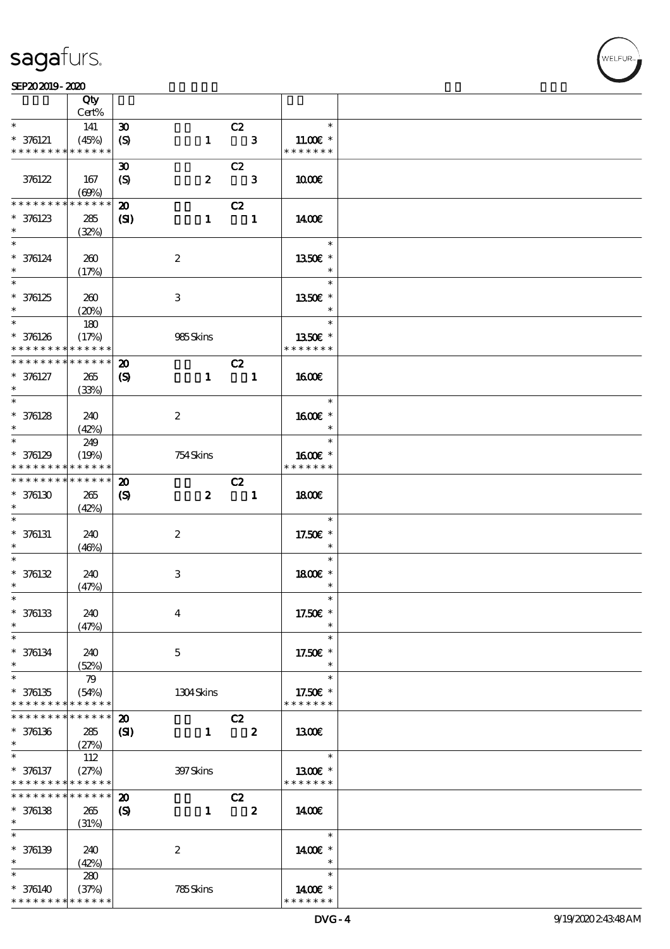$\overline{\mathsf{T}}$ 

#### $SEP202019 - 2020$

| Qty                            |                                                                                                                                                                                                                                                                      |                                                                                                                                                                                                                                                                                              |                                                                                                                                                                                             |                                                 |                                                                                                                                                                                |                                                                                                                                                                                                                      |
|--------------------------------|----------------------------------------------------------------------------------------------------------------------------------------------------------------------------------------------------------------------------------------------------------------------|----------------------------------------------------------------------------------------------------------------------------------------------------------------------------------------------------------------------------------------------------------------------------------------------|---------------------------------------------------------------------------------------------------------------------------------------------------------------------------------------------|-------------------------------------------------|--------------------------------------------------------------------------------------------------------------------------------------------------------------------------------|----------------------------------------------------------------------------------------------------------------------------------------------------------------------------------------------------------------------|
|                                |                                                                                                                                                                                                                                                                      |                                                                                                                                                                                                                                                                                              |                                                                                                                                                                                             |                                                 |                                                                                                                                                                                |                                                                                                                                                                                                                      |
|                                |                                                                                                                                                                                                                                                                      |                                                                                                                                                                                                                                                                                              |                                                                                                                                                                                             |                                                 |                                                                                                                                                                                |                                                                                                                                                                                                                      |
|                                |                                                                                                                                                                                                                                                                      |                                                                                                                                                                                                                                                                                              |                                                                                                                                                                                             |                                                 |                                                                                                                                                                                |                                                                                                                                                                                                                      |
|                                |                                                                                                                                                                                                                                                                      |                                                                                                                                                                                                                                                                                              |                                                                                                                                                                                             |                                                 |                                                                                                                                                                                |                                                                                                                                                                                                                      |
|                                |                                                                                                                                                                                                                                                                      |                                                                                                                                                                                                                                                                                              |                                                                                                                                                                                             |                                                 |                                                                                                                                                                                |                                                                                                                                                                                                                      |
|                                |                                                                                                                                                                                                                                                                      |                                                                                                                                                                                                                                                                                              |                                                                                                                                                                                             |                                                 |                                                                                                                                                                                |                                                                                                                                                                                                                      |
|                                |                                                                                                                                                                                                                                                                      |                                                                                                                                                                                                                                                                                              |                                                                                                                                                                                             |                                                 |                                                                                                                                                                                |                                                                                                                                                                                                                      |
|                                |                                                                                                                                                                                                                                                                      |                                                                                                                                                                                                                                                                                              |                                                                                                                                                                                             |                                                 |                                                                                                                                                                                |                                                                                                                                                                                                                      |
|                                |                                                                                                                                                                                                                                                                      |                                                                                                                                                                                                                                                                                              |                                                                                                                                                                                             |                                                 |                                                                                                                                                                                |                                                                                                                                                                                                                      |
|                                |                                                                                                                                                                                                                                                                      |                                                                                                                                                                                                                                                                                              |                                                                                                                                                                                             |                                                 | $\ast$                                                                                                                                                                         |                                                                                                                                                                                                                      |
|                                |                                                                                                                                                                                                                                                                      |                                                                                                                                                                                                                                                                                              |                                                                                                                                                                                             |                                                 |                                                                                                                                                                                |                                                                                                                                                                                                                      |
|                                |                                                                                                                                                                                                                                                                      |                                                                                                                                                                                                                                                                                              |                                                                                                                                                                                             |                                                 | $\ast$                                                                                                                                                                         |                                                                                                                                                                                                                      |
|                                |                                                                                                                                                                                                                                                                      |                                                                                                                                                                                                                                                                                              |                                                                                                                                                                                             |                                                 | $\ast$                                                                                                                                                                         |                                                                                                                                                                                                                      |
|                                |                                                                                                                                                                                                                                                                      |                                                                                                                                                                                                                                                                                              |                                                                                                                                                                                             |                                                 |                                                                                                                                                                                |                                                                                                                                                                                                                      |
|                                |                                                                                                                                                                                                                                                                      |                                                                                                                                                                                                                                                                                              |                                                                                                                                                                                             |                                                 | $\ast$                                                                                                                                                                         |                                                                                                                                                                                                                      |
|                                |                                                                                                                                                                                                                                                                      |                                                                                                                                                                                                                                                                                              |                                                                                                                                                                                             |                                                 | $\ast$                                                                                                                                                                         |                                                                                                                                                                                                                      |
| (17%)                          |                                                                                                                                                                                                                                                                      |                                                                                                                                                                                                                                                                                              |                                                                                                                                                                                             |                                                 | 1350E *                                                                                                                                                                        |                                                                                                                                                                                                                      |
| * * * * * * * *                |                                                                                                                                                                                                                                                                      |                                                                                                                                                                                                                                                                                              |                                                                                                                                                                                             |                                                 | * * * * * * *                                                                                                                                                                  |                                                                                                                                                                                                                      |
| * * * * * * * *                | $\boldsymbol{\mathfrak{D}}$                                                                                                                                                                                                                                          |                                                                                                                                                                                                                                                                                              |                                                                                                                                                                                             |                                                 |                                                                                                                                                                                |                                                                                                                                                                                                                      |
| 265                            | $\boldsymbol{\mathrm{(S)}}$                                                                                                                                                                                                                                          | $\mathbf{1}$                                                                                                                                                                                                                                                                                 |                                                                                                                                                                                             |                                                 | <b>1600€</b>                                                                                                                                                                   |                                                                                                                                                                                                                      |
| (33%)                          |                                                                                                                                                                                                                                                                      |                                                                                                                                                                                                                                                                                              |                                                                                                                                                                                             |                                                 |                                                                                                                                                                                |                                                                                                                                                                                                                      |
|                                |                                                                                                                                                                                                                                                                      |                                                                                                                                                                                                                                                                                              |                                                                                                                                                                                             |                                                 | $\ast$                                                                                                                                                                         |                                                                                                                                                                                                                      |
| 240                            |                                                                                                                                                                                                                                                                      |                                                                                                                                                                                                                                                                                              |                                                                                                                                                                                             |                                                 |                                                                                                                                                                                |                                                                                                                                                                                                                      |
|                                |                                                                                                                                                                                                                                                                      |                                                                                                                                                                                                                                                                                              |                                                                                                                                                                                             |                                                 | $\ast$                                                                                                                                                                         |                                                                                                                                                                                                                      |
|                                |                                                                                                                                                                                                                                                                      |                                                                                                                                                                                                                                                                                              |                                                                                                                                                                                             |                                                 |                                                                                                                                                                                |                                                                                                                                                                                                                      |
|                                |                                                                                                                                                                                                                                                                      |                                                                                                                                                                                                                                                                                              |                                                                                                                                                                                             |                                                 |                                                                                                                                                                                |                                                                                                                                                                                                                      |
|                                |                                                                                                                                                                                                                                                                      |                                                                                                                                                                                                                                                                                              |                                                                                                                                                                                             |                                                 |                                                                                                                                                                                |                                                                                                                                                                                                                      |
|                                |                                                                                                                                                                                                                                                                      |                                                                                                                                                                                                                                                                                              |                                                                                                                                                                                             |                                                 |                                                                                                                                                                                |                                                                                                                                                                                                                      |
|                                |                                                                                                                                                                                                                                                                      |                                                                                                                                                                                                                                                                                              |                                                                                                                                                                                             |                                                 |                                                                                                                                                                                |                                                                                                                                                                                                                      |
|                                |                                                                                                                                                                                                                                                                      |                                                                                                                                                                                                                                                                                              |                                                                                                                                                                                             |                                                 |                                                                                                                                                                                |                                                                                                                                                                                                                      |
|                                |                                                                                                                                                                                                                                                                      |                                                                                                                                                                                                                                                                                              |                                                                                                                                                                                             |                                                 |                                                                                                                                                                                |                                                                                                                                                                                                                      |
|                                |                                                                                                                                                                                                                                                                      |                                                                                                                                                                                                                                                                                              |                                                                                                                                                                                             |                                                 |                                                                                                                                                                                |                                                                                                                                                                                                                      |
|                                |                                                                                                                                                                                                                                                                      |                                                                                                                                                                                                                                                                                              |                                                                                                                                                                                             |                                                 |                                                                                                                                                                                |                                                                                                                                                                                                                      |
|                                |                                                                                                                                                                                                                                                                      |                                                                                                                                                                                                                                                                                              |                                                                                                                                                                                             |                                                 |                                                                                                                                                                                |                                                                                                                                                                                                                      |
|                                |                                                                                                                                                                                                                                                                      |                                                                                                                                                                                                                                                                                              |                                                                                                                                                                                             |                                                 | $\ast$                                                                                                                                                                         |                                                                                                                                                                                                                      |
|                                |                                                                                                                                                                                                                                                                      |                                                                                                                                                                                                                                                                                              |                                                                                                                                                                                             |                                                 | $\ast$                                                                                                                                                                         |                                                                                                                                                                                                                      |
|                                |                                                                                                                                                                                                                                                                      |                                                                                                                                                                                                                                                                                              |                                                                                                                                                                                             |                                                 |                                                                                                                                                                                |                                                                                                                                                                                                                      |
|                                |                                                                                                                                                                                                                                                                      |                                                                                                                                                                                                                                                                                              |                                                                                                                                                                                             |                                                 | $\ast$                                                                                                                                                                         |                                                                                                                                                                                                                      |
|                                |                                                                                                                                                                                                                                                                      |                                                                                                                                                                                                                                                                                              |                                                                                                                                                                                             |                                                 | $\ast$                                                                                                                                                                         |                                                                                                                                                                                                                      |
|                                |                                                                                                                                                                                                                                                                      |                                                                                                                                                                                                                                                                                              |                                                                                                                                                                                             |                                                 |                                                                                                                                                                                |                                                                                                                                                                                                                      |
| (52%)                          |                                                                                                                                                                                                                                                                      |                                                                                                                                                                                                                                                                                              |                                                                                                                                                                                             |                                                 | $\ast$                                                                                                                                                                         |                                                                                                                                                                                                                      |
| 79                             |                                                                                                                                                                                                                                                                      |                                                                                                                                                                                                                                                                                              |                                                                                                                                                                                             |                                                 | $\ast$                                                                                                                                                                         |                                                                                                                                                                                                                      |
| (54%)                          |                                                                                                                                                                                                                                                                      | 1304Skins                                                                                                                                                                                                                                                                                    |                                                                                                                                                                                             |                                                 | 17.50€ *                                                                                                                                                                       |                                                                                                                                                                                                                      |
| * * * * * * * *<br>* * * * * * |                                                                                                                                                                                                                                                                      |                                                                                                                                                                                                                                                                                              |                                                                                                                                                                                             |                                                 | * * * * * * *                                                                                                                                                                  |                                                                                                                                                                                                                      |
| * * * * * *<br>* * * * * * * * | $\boldsymbol{\mathbf{z}}$                                                                                                                                                                                                                                            |                                                                                                                                                                                                                                                                                              |                                                                                                                                                                                             |                                                 |                                                                                                                                                                                |                                                                                                                                                                                                                      |
|                                |                                                                                                                                                                                                                                                                      |                                                                                                                                                                                                                                                                                              |                                                                                                                                                                                             |                                                 | 1300                                                                                                                                                                           |                                                                                                                                                                                                                      |
|                                |                                                                                                                                                                                                                                                                      |                                                                                                                                                                                                                                                                                              |                                                                                                                                                                                             |                                                 |                                                                                                                                                                                |                                                                                                                                                                                                                      |
| (27%)                          |                                                                                                                                                                                                                                                                      |                                                                                                                                                                                                                                                                                              |                                                                                                                                                                                             |                                                 |                                                                                                                                                                                |                                                                                                                                                                                                                      |
| 112                            |                                                                                                                                                                                                                                                                      |                                                                                                                                                                                                                                                                                              |                                                                                                                                                                                             |                                                 | $\ast$                                                                                                                                                                         |                                                                                                                                                                                                                      |
| (27%)                          |                                                                                                                                                                                                                                                                      | 397 Skins                                                                                                                                                                                                                                                                                    |                                                                                                                                                                                             |                                                 | 1300E *                                                                                                                                                                        |                                                                                                                                                                                                                      |
| * * * * * *<br>* * * * * * * * |                                                                                                                                                                                                                                                                      |                                                                                                                                                                                                                                                                                              |                                                                                                                                                                                             |                                                 | * * * * * * *                                                                                                                                                                  |                                                                                                                                                                                                                      |
| * * * * * *<br>* * * * * * * * | $\boldsymbol{\mathfrak{D}}$                                                                                                                                                                                                                                          |                                                                                                                                                                                                                                                                                              | C2                                                                                                                                                                                          |                                                 |                                                                                                                                                                                |                                                                                                                                                                                                                      |
| 265                            | $\boldsymbol{\mathrm{(S)}}$                                                                                                                                                                                                                                          | $\mathbf{1}$                                                                                                                                                                                                                                                                                 |                                                                                                                                                                                             | $\boldsymbol{z}$                                | 1400E                                                                                                                                                                          |                                                                                                                                                                                                                      |
| (31%)                          |                                                                                                                                                                                                                                                                      |                                                                                                                                                                                                                                                                                              |                                                                                                                                                                                             |                                                 | $\ast$                                                                                                                                                                         |                                                                                                                                                                                                                      |
|                                |                                                                                                                                                                                                                                                                      |                                                                                                                                                                                                                                                                                              |                                                                                                                                                                                             |                                                 |                                                                                                                                                                                |                                                                                                                                                                                                                      |
| 240                            |                                                                                                                                                                                                                                                                      | $\boldsymbol{2}$                                                                                                                                                                                                                                                                             |                                                                                                                                                                                             |                                                 | 1400€ *<br>$\ast$                                                                                                                                                              |                                                                                                                                                                                                                      |
| (42%)                          |                                                                                                                                                                                                                                                                      |                                                                                                                                                                                                                                                                                              |                                                                                                                                                                                             |                                                 | $\ast$                                                                                                                                                                         |                                                                                                                                                                                                                      |
| 280<br>(37%)                   |                                                                                                                                                                                                                                                                      | 785Skins                                                                                                                                                                                                                                                                                     |                                                                                                                                                                                             |                                                 | 1400€ *                                                                                                                                                                        |                                                                                                                                                                                                                      |
|                                | Cert%<br>141<br>(45%)<br>* * * * * * * *<br>* * * * * *<br>167<br>(60%)<br>285<br>(32%)<br>260<br>(17%)<br>260<br>(20%)<br>180<br>(42%)<br>249<br>(19%)<br>* * * * * * * *<br>* * * * * * * *<br>265<br>(42%)<br>240<br>(46%)<br>240<br>(47%)<br>240<br>(47%)<br>240 | $\boldsymbol{\mathfrak{D}}$<br>$\boldsymbol{\mathrm{(S)}}$<br>$\boldsymbol{\mathfrak{D}}$<br>$\boldsymbol{S}$<br>* * * * * *<br>$\boldsymbol{\mathbf{z}}$<br>$\mathbf{Z}$<br>* * * * * *<br>* * * * * *<br>* * * * * *<br>$* * * * * * *$<br>$\boldsymbol{\mathfrak{D}}$<br>$\boldsymbol{S}$ | $\mathbf{1}$<br>$\boldsymbol{z}$<br>$\mathbf{1}$<br>$\boldsymbol{2}$<br>3<br>985Skins<br>$\boldsymbol{z}$<br>754Skins<br>$\boldsymbol{z}$<br>$\boldsymbol{z}$<br>3<br>$\boldsymbol{4}$<br>5 | C2<br>C2<br>$\mathbf{S}$<br>285<br>$\mathbf{1}$ | C2<br>$\overline{\phantom{a}}$ 3<br>$\overline{\phantom{a}}$ 3<br>C2<br>$\overline{\phantom{a}}$<br>$\overline{\phantom{a}}$<br>C2<br>$\blacksquare$<br>C2<br>$\boldsymbol{z}$ | $\ast$<br>$11.00E$ *<br>* * * * * * *<br>1000E<br>1400E<br>1350€ *<br>1350E *<br>1600E *<br>$\ast$<br>1600E *<br>* * * * * * *<br>1800E<br>$\ast$<br>17.50€ *<br>$\ast$<br>$\ast$<br>1800 £*<br>17.50€ *<br>17.50€ * |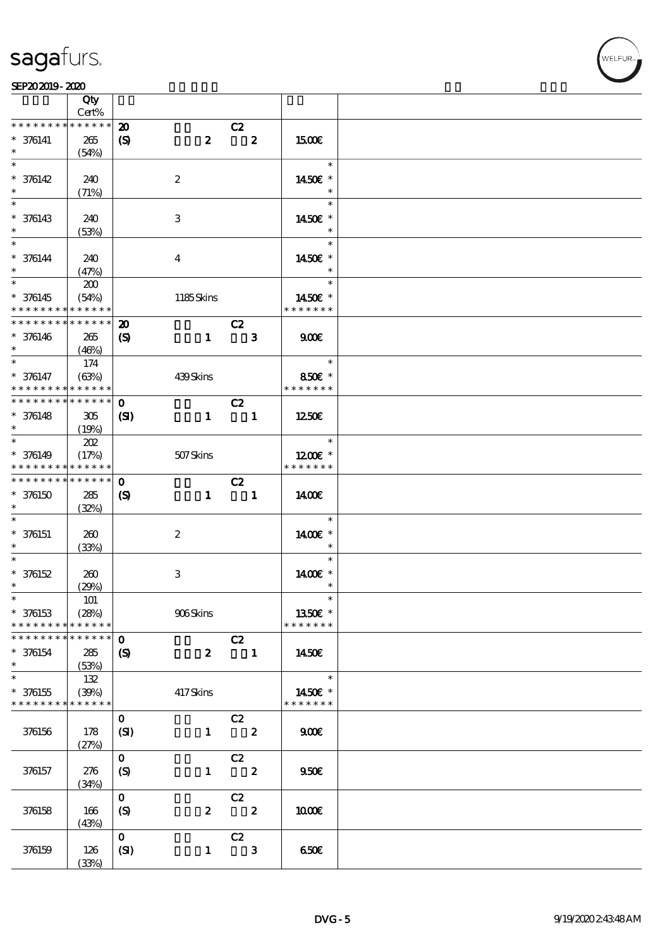#### SEP202019-2020

|                                          | Qty<br>Cert%         |                             |                           |                            |                  |                          |
|------------------------------------------|----------------------|-----------------------------|---------------------------|----------------------------|------------------|--------------------------|
| * * * * * * * *                          | $******$             | $\boldsymbol{\mathfrak{D}}$ |                           | C2                         |                  |                          |
| $* 376141$                               | 265                  | $\boldsymbol{\mathrm{(S)}}$ | $\boldsymbol{z}$          |                            | $\mathbf{2}$     | <b>1500€</b>             |
| $\ast$                                   | (54%)                |                             |                           |                            |                  |                          |
| $\overline{\ast}$                        |                      |                             |                           |                            |                  | $\ast$                   |
|                                          |                      |                             |                           |                            |                  |                          |
| $* 376142$                               | 240                  |                             | $\boldsymbol{2}$          |                            |                  | 1450€ *                  |
| $\ast$                                   | (71%)                |                             |                           |                            |                  | $\ast$                   |
|                                          |                      |                             |                           |                            |                  | $\ast$                   |
| $* 376143$                               | 240                  |                             | 3                         |                            |                  | 1450E *                  |
| $\ast$                                   | (53%)                |                             |                           |                            |                  | $\ast$                   |
| $*$                                      |                      |                             |                           |                            |                  | $\ast$                   |
| $* 376144$                               | 240                  |                             | $\overline{4}$            |                            |                  | 1450€ *                  |
| $\ast$                                   | (47%)                |                             |                           |                            |                  | $\ast$                   |
| $\overline{\ast}$                        | 200                  |                             |                           |                            |                  | $\ast$                   |
| $* 376145$                               | (54%)                |                             | 1185Skins                 |                            |                  | 1450€ *                  |
| * * * * * * * * <mark>*</mark>           | * * * * * *          |                             |                           |                            |                  | * * * * * * *            |
| * * * * * * * *                          | $* * * * * * *$      | $\boldsymbol{\mathfrak{D}}$ |                           |                            |                  |                          |
|                                          |                      |                             |                           | C2                         |                  |                          |
| $* 376146$                               | 265                  | $\boldsymbol{\mathrm{(S)}}$ | $\mathbf{1}$              |                            | $\mathbf{3}$     | 900                      |
| $\ast$                                   | (46%)                |                             |                           |                            |                  |                          |
| $\ast$                                   | 174                  |                             |                           |                            |                  | $\ast$                   |
| $* 376147$                               | (63%)                |                             | 439Skins                  |                            |                  | 850€ *                   |
| * * * * * * * *                          | * * * * * *          |                             |                           |                            |                  | * * * * * * *            |
| * * * * * * * * * * * * * * *            |                      | $\mathbf{O}$                |                           | C2                         |                  |                          |
| $* 376148$                               | 305                  | $\mathbf{C}$                | $\mathbf{1}$              | $\blacksquare$             |                  | 1250E                    |
| $\ast$                                   | (19%)                |                             |                           |                            |                  |                          |
|                                          |                      |                             |                           |                            |                  | $\ast$                   |
|                                          | 202                  |                             |                           |                            |                  |                          |
| $* 376149$                               | (17%)                |                             | 507Skins                  |                            |                  | $1200E$ *                |
| * * * * * * * * <mark>* * * * * *</mark> |                      |                             |                           |                            |                  | * * * * * * *            |
| * * * * * * * * * * * * * * *            |                      | $\mathbf 0$                 |                           | C2                         |                  |                          |
| $* 376150$                               | 285                  | $\boldsymbol{\mathrm{(S)}}$ | $\mathbf{1}$              | $\overline{\phantom{0}}$ 1 |                  | 1400                     |
| $\ast$                                   | (32%)                |                             |                           |                            |                  |                          |
| $\ast$                                   |                      |                             |                           |                            |                  | $\ast$                   |
| $* 376151$                               | 260                  |                             | $\boldsymbol{2}$          |                            |                  | 1400€ *                  |
| $\ast$                                   | (33%)                |                             |                           |                            |                  | $\ast$                   |
| $\ast$                                   |                      |                             |                           |                            |                  | $\ast$                   |
|                                          |                      |                             |                           |                            |                  |                          |
| $* 376152$                               | 260                  |                             | $\ensuremath{\mathbf{3}}$ |                            |                  | $1400E$ *                |
| $\ast$                                   | (29%)                |                             |                           |                            |                  | $\ast$                   |
| $\ast$                                   | <b>101</b>           |                             |                           |                            |                  | $\ast$                   |
| $* 376153$                               | (28%)                |                             | $906\mbox{Skirs}$         |                            |                  | 1350€ *                  |
| * * * * * * * *                          | * * * * * *          |                             |                           |                            |                  | * * * * * * *            |
| * * * * * * * *                          | ******               | $\mathbf 0$                 |                           | C2                         |                  |                          |
| $* 376154$                               | 285                  | $\mathbf{S}$                | $\boldsymbol{z}$          |                            | $\blacksquare$   | 1450€                    |
| $\ast$                                   | (53%)                |                             |                           |                            |                  |                          |
| $\overline{\ast}$                        | 132                  |                             |                           |                            |                  | $\ast$                   |
| $* 376155$                               |                      |                             |                           |                            |                  |                          |
| * * * * * * * *                          | (30%)<br>* * * * * * |                             | 417Skins                  |                            |                  | 1450€ *<br>* * * * * * * |
|                                          |                      |                             |                           |                            |                  |                          |
|                                          |                      | $\mathbf{O}$                |                           | C2                         |                  |                          |
| 376156                                   | 178                  | (SI)                        | $\mathbf{1}$              | $\overline{\phantom{a}}$   |                  | 900E                     |
|                                          | (27%)                |                             |                           |                            |                  |                          |
|                                          |                      | $\mathbf{O}$                |                           | C2                         |                  |                          |
| 376157                                   | 276                  | $\boldsymbol{\mathrm{(S)}}$ | $\mathbf{1}$              |                            | $\boldsymbol{z}$ | 950E                     |
|                                          | (34%)                |                             |                           |                            |                  |                          |
|                                          |                      | $\mathbf{O}$                |                           | C2                         |                  |                          |
| 376158                                   | 166                  |                             | $\pmb{2}$                 |                            | $\mathbf{2}$     | 1000E                    |
|                                          |                      | (S)                         |                           |                            |                  |                          |
|                                          | (43%)                |                             |                           |                            |                  |                          |
|                                          |                      | $\mathbf{O}$                |                           | C2                         |                  |                          |
| 376159                                   | 126                  | (SI)                        | $\mathbf{1}$              |                            | $\mathbf{3}$     | 650€                     |
|                                          | (33%)                |                             |                           |                            |                  |                          |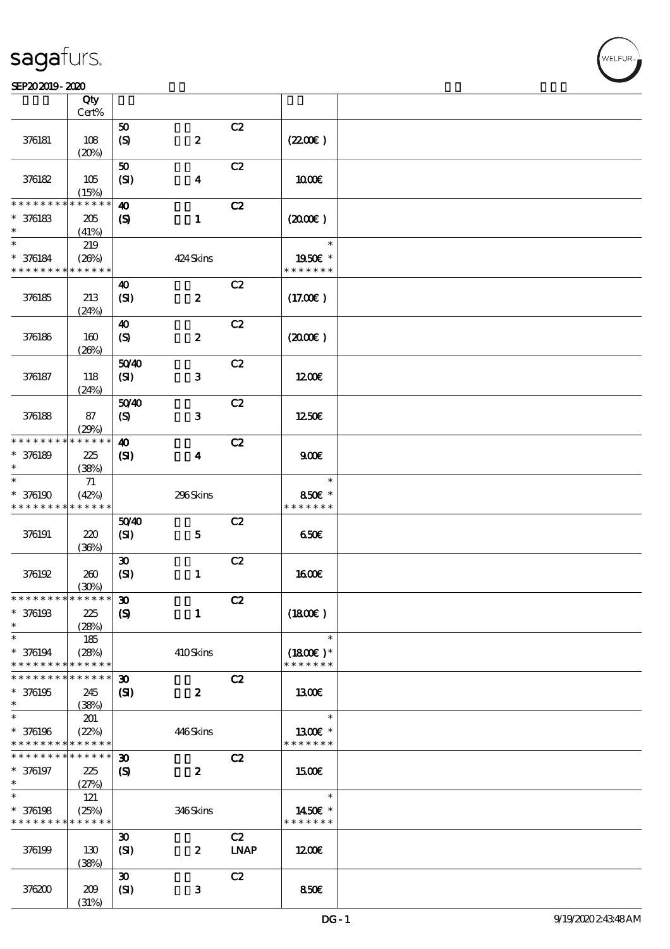#### SEP202019-2020

|                                            | Qty<br>Cert%           |                             |                  |             |               |  |
|--------------------------------------------|------------------------|-----------------------------|------------------|-------------|---------------|--|
|                                            |                        |                             |                  |             |               |  |
|                                            |                        | 50                          |                  | C2          |               |  |
| 376181                                     | 108                    | $\boldsymbol{S}$            | $\pmb{2}$        |             | (220E)        |  |
|                                            | (20%)                  |                             |                  |             |               |  |
|                                            |                        | 50                          |                  | C2          |               |  |
| 376182                                     | 105                    | (SI)                        | $\boldsymbol{4}$ |             | 1000E         |  |
|                                            |                        |                             |                  |             |               |  |
|                                            | (15%)                  |                             |                  |             |               |  |
| * * * * * * * *                            | $\ast\ast\ast\ast\ast$ | $\boldsymbol{\omega}$       |                  | C2          |               |  |
| $* 376183$                                 | 205                    | $\boldsymbol{\mathcal{S}}$  | $\mathbf{1}$     |             | (200E)        |  |
| $\ast$                                     | (41%)                  |                             |                  |             |               |  |
| $\ast$                                     | 219                    |                             |                  |             | $\ast$        |  |
|                                            |                        |                             |                  |             |               |  |
| $* 376184$                                 | (20%)                  |                             | 424 Skins        |             | 1950E *       |  |
| * * * * * * * *                            | * * * * * *            |                             |                  |             | * * * * * * * |  |
|                                            |                        | 40                          |                  | C2          |               |  |
| 376185                                     | 213                    | (SI)                        | $\boldsymbol{z}$ |             | (17.00)       |  |
|                                            | (24%)                  |                             |                  |             |               |  |
|                                            |                        |                             |                  | C2          |               |  |
|                                            |                        | 40                          |                  |             |               |  |
| 376186                                     | 160                    | $\boldsymbol{S}$            | $\pmb{2}$        |             | (200E)        |  |
|                                            | (20%)                  |                             |                  |             |               |  |
|                                            |                        | 5040                        |                  | C2          |               |  |
| 376187                                     | 118                    | $\mathbf{S}$                | $\mathbf{3}$     |             | 1200          |  |
|                                            | (24%)                  |                             |                  |             |               |  |
|                                            |                        |                             |                  |             |               |  |
|                                            |                        | 5040                        |                  | C2          |               |  |
| 376188                                     | 87                     | $\boldsymbol{S}$            | $\mathbf{3}$     |             | 1250€         |  |
|                                            | (29%)                  |                             |                  |             |               |  |
| * * * * * * * *                            | * * * * * *            | $\boldsymbol{\omega}$       |                  | C2          |               |  |
| $* 376189$                                 | 225                    | $\mathbf{C}$                | $\boldsymbol{4}$ |             | 900E          |  |
| $\ast$                                     |                        |                             |                  |             |               |  |
| $\ast$                                     | (38%)                  |                             |                  |             | $\ast$        |  |
|                                            | 71                     |                             |                  |             |               |  |
| $* 376190$                                 | (42%)                  |                             | 296Skins         |             | 850€ *        |  |
| * * * * * * * *                            | * * * * * *            |                             |                  |             | * * * * * * * |  |
|                                            |                        | 5040                        |                  | C2          |               |  |
| 376191                                     | 220                    | (SI)                        | $\mathbf{5}$     |             | 650E          |  |
|                                            | (36%)                  |                             |                  |             |               |  |
|                                            |                        |                             |                  |             |               |  |
|                                            |                        | $\boldsymbol{\mathfrak{D}}$ |                  | C2          |               |  |
| 376192                                     | 260                    | (SI)                        | $\mathbf{1}$     |             | <b>1600€</b>  |  |
|                                            | (30%)                  |                             |                  |             |               |  |
| * * * * * * * * <mark>* * * * * * *</mark> |                        | $\boldsymbol{\mathfrak{D}}$ |                  | C2          |               |  |
| $* 376193$                                 | 225                    | $\boldsymbol{\mathcal{S}}$  | $\mathbf{1}$     |             | (1800)        |  |
| $\ast$                                     |                        |                             |                  |             |               |  |
| $\ast$                                     | (28%)                  |                             |                  |             | $\ast$        |  |
|                                            | 185                    |                             |                  |             |               |  |
| $* 376194$                                 | (28%)                  |                             | 410Skins         |             | $(1800)$ *    |  |
| * * * * * * * *                            | * * * * * *            |                             |                  |             | * * * * * * * |  |
| * * * * * * * *                            | * * * * * *            | $\boldsymbol{\mathfrak{D}}$ |                  | C2          |               |  |
| $* 376195$                                 | 245                    | $\mathbf{S}$                | $\boldsymbol{z}$ |             | 1300E         |  |
| $\ast$                                     |                        |                             |                  |             |               |  |
|                                            | (38%)                  |                             |                  |             | $\ast$        |  |
| $\ast$                                     | 201                    |                             |                  |             |               |  |
| $* 376196$                                 | (22%)                  |                             | 446Skins         |             | 1300€ *       |  |
| * * * * * * * *                            | * * * * * *            |                             |                  |             | * * * * * * * |  |
| * * * * * * * *                            | * * * * * *            | $\boldsymbol{\mathfrak{D}}$ |                  | C2          |               |  |
| * 376197                                   | 225                    | $\boldsymbol{\mathcal{S}}$  | $\boldsymbol{z}$ |             | 1500E         |  |
| $\ast$                                     |                        |                             |                  |             |               |  |
|                                            | (27%)                  |                             |                  |             |               |  |
| $\ast$                                     | 121                    |                             |                  |             | $\ast$        |  |
| $* 376198$                                 | (25%)                  |                             | 346Skins         |             | 1450€ *       |  |
| * * * * * * * *                            | * * * * * *            |                             |                  |             | * * * * * * * |  |
|                                            |                        | $\boldsymbol{\mathfrak{D}}$ |                  | C2          |               |  |
| 376199                                     | 130                    | (SI)                        | $\boldsymbol{z}$ | <b>LNAP</b> | 1200E         |  |
|                                            |                        |                             |                  |             |               |  |
|                                            | (38%)                  |                             |                  |             |               |  |
|                                            |                        | $\boldsymbol{\mathfrak{D}}$ |                  | C2          |               |  |
| 376200                                     | 209                    | (SI)                        | $\mathbf{3}$     |             | 850€          |  |
|                                            | (31%)                  |                             |                  |             |               |  |

**NELFUR**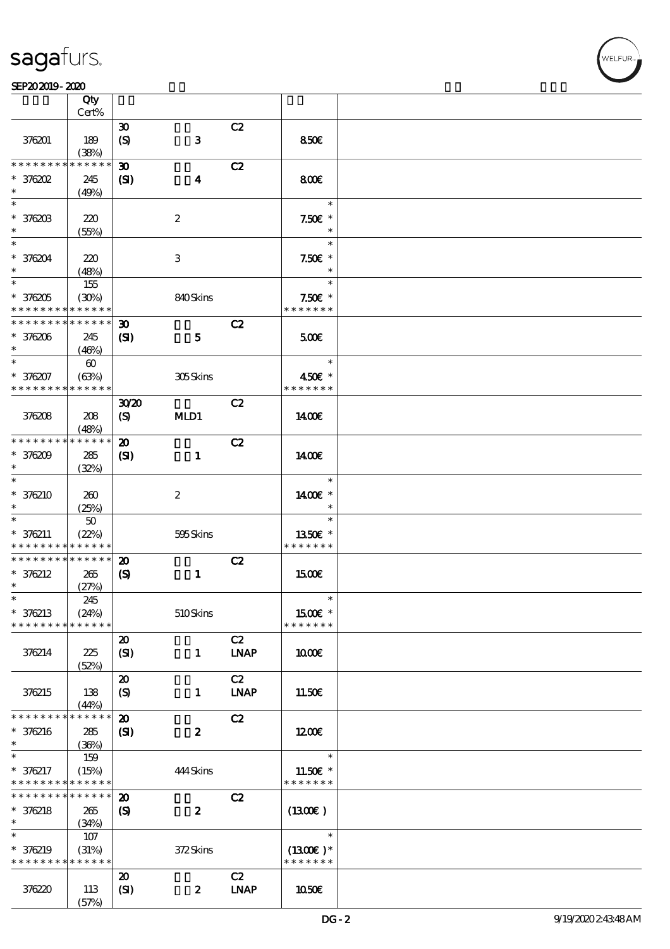#### SEP202019-2020

|                               | Qty                   |                                                            |                  |                                    |                             |  |
|-------------------------------|-----------------------|------------------------------------------------------------|------------------|------------------------------------|-----------------------------|--|
|                               | Cert%                 |                                                            |                  |                                    |                             |  |
| 376201                        | 189<br>(38%)          | $\boldsymbol{\mathfrak{D}}$<br>$\boldsymbol{\mathrm{(S)}}$ | $\mathbf{3}$     | C2                                 | 850E                        |  |
| * * * * * *                   | $* * * * * *$         | $\boldsymbol{\mathfrak{D}}$                                |                  | C2                                 |                             |  |
| $*$ 376202                    | 245                   | $\mathbf{S}$                                               | $\boldsymbol{4}$ |                                    | 800€                        |  |
| $\ast$                        | (49%)                 |                                                            |                  |                                    |                             |  |
| $\ast$                        |                       |                                                            |                  |                                    | $\ast$                      |  |
| * 376203                      | 220                   |                                                            | $\boldsymbol{2}$ |                                    | $7.50E$ *                   |  |
|                               | (55%)                 |                                                            |                  |                                    | $\ast$                      |  |
| $\ast$                        |                       |                                                            |                  |                                    | $\ast$                      |  |
| * 376204                      | 220                   |                                                            | 3                |                                    | $7.50E$ *                   |  |
| $\ast$<br>$\ast$              | (48%)                 |                                                            |                  |                                    | $\ast$                      |  |
|                               | 155                   |                                                            |                  |                                    | $\ast$                      |  |
| $* 376205$<br>* * * * * * * * | (30%)<br>* * * * * *  |                                                            | 840Skins         |                                    | $7.50E$ *<br>* * * * * * *  |  |
| * * * * * * * *               | * * * * * *           | $\boldsymbol{\mathfrak{D}}$                                |                  | C2                                 |                             |  |
| $*376206$                     | 245                   | $\mathbf{C}$                                               | $5\phantom{1}$   |                                    | 500                         |  |
| $\ast$                        | (46%)                 |                                                            |                  |                                    |                             |  |
| $\ast$                        | $\boldsymbol{\omega}$ |                                                            |                  |                                    | $\ast$                      |  |
| * 376207                      | (63%)                 |                                                            | 305Skins         |                                    | 450€ *                      |  |
| * * * * * * * *               | * * * * * *           |                                                            |                  |                                    | * * * * * * *               |  |
|                               |                       | 3020                                                       |                  | C2                                 |                             |  |
| 376208                        | 208                   | (S)                                                        | MLD1             |                                    | 1400€                       |  |
|                               | (48%)                 |                                                            |                  |                                    |                             |  |
| * * * * * * * *               | * * * * * *           | $\boldsymbol{\mathbf{z}}$                                  |                  | C2                                 |                             |  |
| $*376209$                     | 285                   | (S)                                                        | $\mathbf{1}$     |                                    | 1400E                       |  |
| $\ast$                        | (32%)                 |                                                            |                  |                                    |                             |  |
| $\ast$                        |                       |                                                            |                  |                                    | $\ast$                      |  |
| $*376210$<br>$\ast$           | 260                   |                                                            | $\boldsymbol{2}$ |                                    | 1400€ *<br>$\ast$           |  |
| $\ast$                        | (25%)                 |                                                            |                  |                                    | $\ast$                      |  |
| $* 376211$                    | 50<br>(22%)           |                                                            | 595Skins         |                                    | 1350E *                     |  |
| * * * * * * * *               | * * * * * *           |                                                            |                  |                                    | * * * * * * *               |  |
| * * * * * * * *               | * * * * * *           | $\boldsymbol{\mathfrak{D}}$                                |                  | C2                                 |                             |  |
| $* 376212$                    | 265                   | $\boldsymbol{\mathrm{(S)}}$                                | $\mathbf{1}$     |                                    | <b>1500€</b>                |  |
| $\ast$                        | (27%)                 |                                                            |                  |                                    |                             |  |
| $\ast$                        | 245                   |                                                            |                  |                                    |                             |  |
| * 376213                      | (24%)                 |                                                            | 510Skins         |                                    | $1500E$ *                   |  |
| * * * * * * * *               | * * * * * *           |                                                            |                  |                                    | * * * * * * *               |  |
|                               |                       | $\boldsymbol{\mathfrak{D}}$                                |                  | C2                                 |                             |  |
| 376214                        | 225                   | (SI)                                                       | $\mathbf{1}$     | <b>LNAP</b>                        | 1000E                       |  |
|                               | (52%)                 |                                                            |                  |                                    |                             |  |
|                               |                       | $\boldsymbol{\mathbf{z}}$                                  |                  | C2<br><b>LNAP</b>                  |                             |  |
| 376215                        | 138<br>(44%)          | $\boldsymbol{\mathrm{(S)}}$                                | $\mathbf{1}$     |                                    | 11.50E                      |  |
| * * * * * * * *               | * * * * * *           | $\boldsymbol{\mathbf{z}}$                                  |                  | C2                                 |                             |  |
| $* 376216$                    | 285                   | $\mathbf{S}$                                               | $\boldsymbol{2}$ |                                    | 1200E                       |  |
| $\ast$                        | (36%)                 |                                                            |                  |                                    |                             |  |
| $\ast$                        | 159                   |                                                            |                  |                                    | $\ast$                      |  |
| * 376217                      | (15%)                 |                                                            | 444Skins         |                                    | 11.50€ *                    |  |
| * * * * * * * *               | * * * * * *           |                                                            |                  |                                    | * * * * * * *               |  |
| * * * * * * *                 | * * * * * *           | $\boldsymbol{\mathfrak{D}}$                                |                  | C2                                 |                             |  |
| * 376218                      | 265                   | $\boldsymbol{\mathrm{(S)}}$                                | $\boldsymbol{z}$ |                                    | $(1300\epsilon)$            |  |
| $\ast$                        | (34%)                 |                                                            |                  |                                    |                             |  |
| $\ast$                        | 107                   |                                                            |                  |                                    | $\ast$                      |  |
| * 376219<br>* * * * * * * *   | (31%)<br>* * * * * *  |                                                            | 372Skins         |                                    | $(1300E)*$<br>* * * * * * * |  |
|                               |                       |                                                            |                  |                                    |                             |  |
| 376220                        | 113                   | $\boldsymbol{\mathbf{z}}$                                  | $\boldsymbol{z}$ | C2<br>$\ensuremath{\mathbf{INAP}}$ | 1050€                       |  |
|                               | (57%)                 | (SI)                                                       |                  |                                    |                             |  |
|                               |                       |                                                            |                  |                                    |                             |  |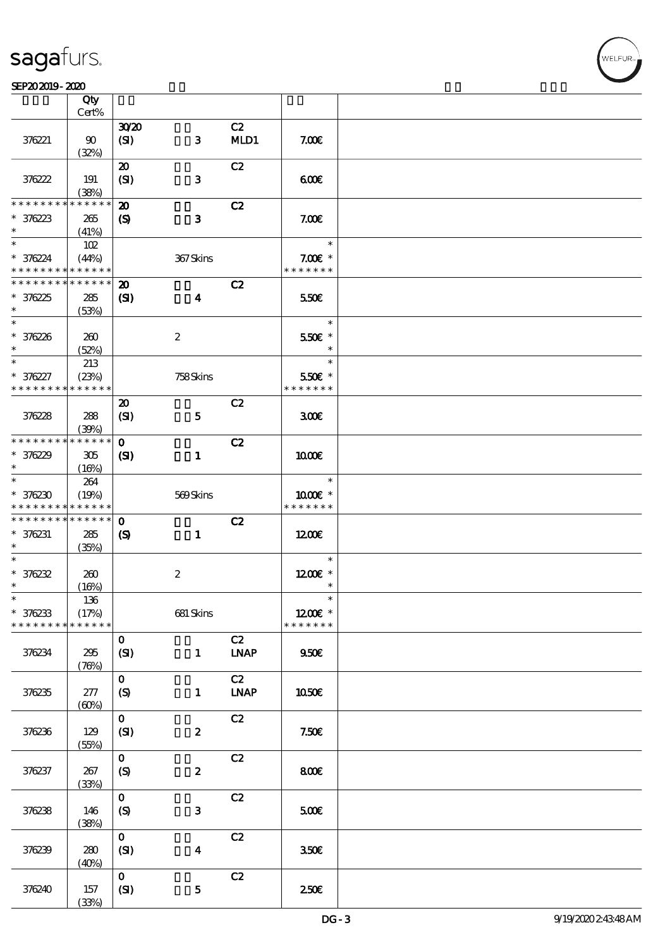$\overline{\mathsf{T}}$ 

#### SEP202019-2020 DECEMBER 2020 DECEMBER 2020 DECEMBER 2020 DECEMBER 2020 DECEMBER 2020 DECEMBER 2020 DECEMBER 20<br>DECEMBER 2020 DECEMBER 2020 DECEMBER 2020 DECEMBER 2020 DECEMBER 2020 DECEMBER 2020 DECEMBER 2020 DECEMBER 202

|                                           | Qty<br>Cert%         |                                     |                  |                   |                            |  |
|-------------------------------------------|----------------------|-------------------------------------|------------------|-------------------|----------------------------|--|
|                                           |                      |                                     |                  |                   |                            |  |
| 376221                                    | 90<br>(32%)          | 3020<br>(SI)                        | $\mathbf{3}$     | C2<br>MD1         | 7.006                      |  |
|                                           |                      |                                     |                  |                   |                            |  |
| 376222                                    | 191<br>(38%)         | $\boldsymbol{\mathfrak{D}}$<br>(SI) | $\mathbf{3}$     | C2                | 600                        |  |
| * * * * * * * *                           | * * * * * *          | $\boldsymbol{\mathbf{z}}$           |                  | C2                |                            |  |
| $* 376223$<br>$\ast$                      | 265<br>(41%)         | $\boldsymbol{\mathcal{S}}$          | $\mathbf{3}$     |                   | 7.00E                      |  |
| $\ast$                                    | 102                  |                                     |                  |                   | $\ast$                     |  |
| $* 376224$<br>* * * * * * * * * * * * * * | (44%)                |                                     | 367Skins         |                   | $7.00E$ *<br>* * * * * * * |  |
| * * * * * * * * * * * * * *               |                      | $\boldsymbol{\mathbf{z}}$           |                  | C2                |                            |  |
| $* 376225$<br>$\ast$                      | 285<br>(53%)         | $\mathbf{S}$                        | $\boldsymbol{4}$ |                   | 550E                       |  |
| $*$                                       |                      |                                     |                  |                   | $\ast$                     |  |
| $* 376226$<br>$\ast$                      | 260<br>(52%)         |                                     | $\boldsymbol{2}$ |                   | 550€ *<br>$\ast$           |  |
| $\ast$                                    | 213                  |                                     |                  |                   | $\ast$                     |  |
| * 376227<br>* * * * * * * *               | (23%)<br>* * * * * * |                                     | 758Skins         |                   | 550€ *<br>* * * * * * *    |  |
|                                           |                      | $\boldsymbol{\mathfrak{D}}$         |                  | C2                |                            |  |
| 376228                                    | 288<br>(30%)         | (SI)                                | $\mathbf{5}$     |                   | 300                        |  |
| * * * * * * * *                           | * * * * * *          | $\mathbf{o}$                        |                  | C2                |                            |  |
| $* 376229$<br>$\ast$                      | 305<br>(16%)         | $\mathbf{S}$                        | $\mathbf{1}$     |                   | 1000E                      |  |
| $\ast$                                    | 264                  |                                     |                  |                   | $\ast$                     |  |
| $* 376230$<br>* * * * * * * * * * * * * * | (19%)                |                                     | 569Skins         |                   | 1000€ *<br>* * * * * * *   |  |
| * * * * * * * *                           | * * * * * *          | $\mathbf 0$                         |                  | C2                |                            |  |
| $* 376231$<br>$\ast$                      | 285<br>(35%)         | $\boldsymbol{\mathcal{S}}$          | $\mathbf{1}$     |                   | 1200                       |  |
| $\ast$                                    |                      |                                     |                  |                   | $\ast$                     |  |
| $* 376232$                                | 260                  |                                     | $\boldsymbol{2}$ |                   | $1200E$ *                  |  |
| $\ast$                                    | (16%)                |                                     |                  |                   | $\ast$                     |  |
| $\ast$                                    | $136\,$              |                                     |                  |                   | $\ast$                     |  |
| $* 376233$<br>* * * * * * * *             | (17%)<br>* * * * * * |                                     | 681 Skins        |                   | 1200€ *<br>* * * * * * *   |  |
|                                           |                      | $\mathbf{o}$                        |                  | C2                |                            |  |
| 376234                                    | 295<br>(76%)         | (SI)                                | $\mathbf{1}$     | <b>LNAP</b>       | 950 <sub>E</sub>           |  |
| 376235                                    | 277<br>(60%)         | $\mathbf{o}$<br>$\boldsymbol{S}$    | $\mathbf{1}$     | C2<br><b>LNAP</b> | <b>1050€</b>               |  |
|                                           |                      | $\mathbf{o}$                        |                  | C2                |                            |  |
| 376236                                    | 129<br>(55%)         | (SI)                                | $\boldsymbol{z}$ |                   | 7.50E                      |  |
|                                           |                      | $\mathbf{o}$                        |                  | C2                |                            |  |
| 376237                                    | 267<br>(33%)         | $\boldsymbol{S}$                    | $\boldsymbol{2}$ |                   | 800€                       |  |
| 376238                                    | 146<br>(38%)         | $\mathbf{o}$<br>(S)                 | $\mathbf{3}$     | C2                | 500E                       |  |
| 376239                                    | 280<br>(40%)         | $\mathbf{o}$<br>(SI)                | $\boldsymbol{4}$ | C2                | 350E                       |  |
| 376240                                    | 157<br>(33%)         | $\mathbf{o}$<br>(SI)                | $\mathbf 5$      | C2                | 250€                       |  |

 $\top$ 

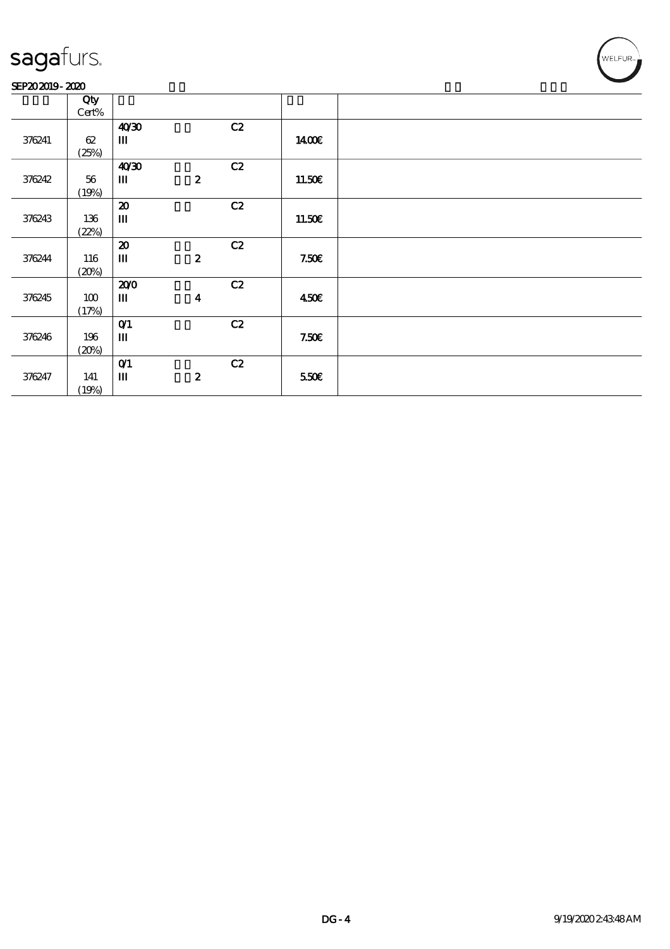#### SEP202019-2020

|        | Qty   |                               |                  |    |        |  |
|--------|-------|-------------------------------|------------------|----|--------|--|
|        | Cert% |                               |                  |    |        |  |
|        |       | 40 <sup>30</sup>              |                  | C2 |        |  |
| 376241 | 62    | Ш                             |                  |    | 1400E  |  |
|        | (25%) |                               |                  |    |        |  |
|        |       | 40'30                         |                  | C2 |        |  |
| 376242 | 56    | $\mathbf{m}$                  | $\boldsymbol{z}$ |    | 11.50E |  |
|        | (19%) |                               |                  |    |        |  |
|        |       | $\boldsymbol{\mathbf{z}}$     |                  | C2 |        |  |
| 376243 | 136   | Ш                             |                  |    | 11.50E |  |
|        | (22%) |                               |                  |    |        |  |
|        |       | $\boldsymbol{\mathbf{z}}$     |                  | C2 |        |  |
| 376244 | 116   | $\mathbf m$                   | $\boldsymbol{z}$ |    | 7.50E  |  |
|        | (20%) |                               |                  |    |        |  |
|        |       | 200                           |                  | C2 |        |  |
| 376245 | 100   | $\mathbf{m}$                  | $\boldsymbol{4}$ |    | 450E   |  |
|        | (17%) |                               |                  |    |        |  |
|        |       | $O$ <sup><math>1</math></sup> |                  | C2 |        |  |
| 376246 | 196   | $\mathbf m$                   |                  |    | 7.50E  |  |
|        | (20%) |                               |                  |    |        |  |
|        |       | O(1)                          |                  | C2 |        |  |
| 376247 | 141   | Ш                             | $\boldsymbol{2}$ |    | 550E   |  |
|        | (19%) |                               |                  |    |        |  |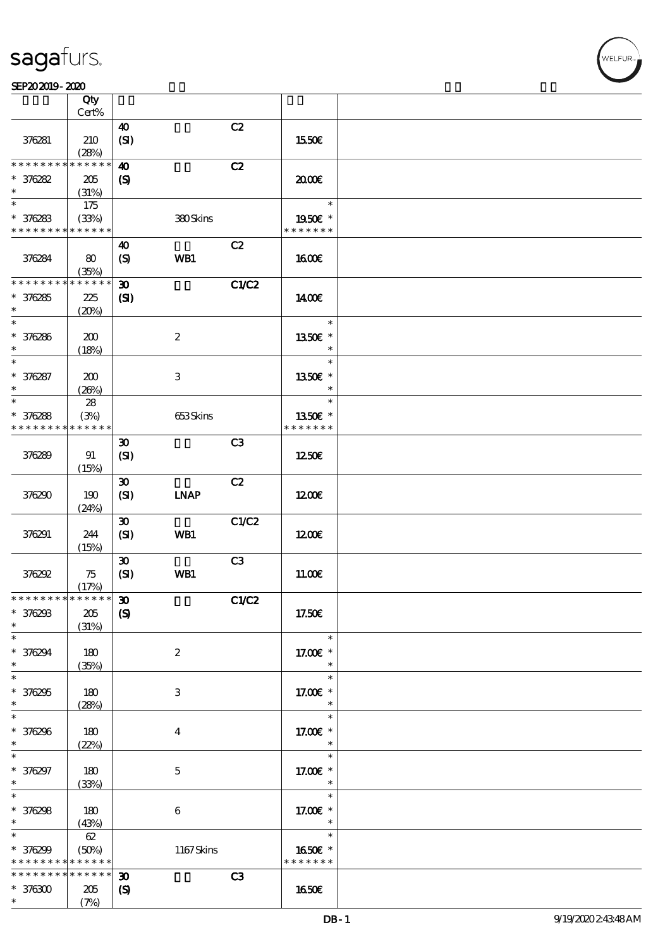#### SEP202019-2020

|                   | Qty<br>Cert%  |                               |                  |       |                       |  |
|-------------------|---------------|-------------------------------|------------------|-------|-----------------------|--|
|                   |               |                               |                  |       |                       |  |
| 376281            | 210<br>(28%)  | $\boldsymbol{\omega}$<br>(SI) |                  | C2    | 1550€                 |  |
| * * * * * * *     | * * * * * *   | $\boldsymbol{\omega}$         |                  | C2    |                       |  |
| $* 376282$        | 205           | $\boldsymbol{\mathrm{(S)}}$   |                  |       | 2000                  |  |
| $\ast$            | (31%)         |                               |                  |       |                       |  |
| $\ast$            | 175           |                               |                  |       | $\ast$                |  |
| $* 376283$        | (33%)         |                               | 380Skins         |       | 1950€ *               |  |
| * * * * * * * *   | * * * * * *   |                               |                  |       | * * * * * * *         |  |
|                   |               | $\boldsymbol{\omega}$         |                  | C2    |                       |  |
| 376284            | 80            | $\boldsymbol{S}$              | <b>WB1</b>       |       | <b>1600€</b>          |  |
|                   | (35%)         |                               |                  |       |                       |  |
| * * * * * * * *   | * * * * * *   | $\boldsymbol{\mathfrak{D}}$   |                  | C1/C2 |                       |  |
| $*376285$         | 225           | (S)                           |                  |       | 1400€                 |  |
| $\ast$            | (20%)         |                               |                  |       |                       |  |
| $\ast$            |               |                               |                  |       | $\ast$                |  |
| * 376286          | 200           |                               | $\boldsymbol{2}$ |       | 1350E *               |  |
| $\ast$            | (18%)         |                               |                  |       | $\ast$                |  |
| $\overline{\ast}$ |               |                               |                  |       | $\ast$                |  |
| * 376287          | 200           |                               | 3                |       | 1350€ *               |  |
| $\ast$            | (20%)         |                               |                  |       | $\ast$                |  |
| $\ast$            | ${\bf 28}$    |                               |                  |       | $\ast$                |  |
| $* 376288$        | (3%)          |                               | 653Skins         |       | 1350E *               |  |
| * * * * * * * *   | * * * * * *   |                               |                  |       | * * * * * * *         |  |
|                   |               | $\boldsymbol{\mathfrak{D}}$   |                  | C3    |                       |  |
| 376289            | 91            | (SI)                          |                  |       | 1250E                 |  |
|                   | (15%)         |                               |                  |       |                       |  |
|                   |               | $\boldsymbol{\mathfrak{D}}$   |                  | C2    |                       |  |
| 376290            | 190           | (SI)                          | <b>INAP</b>      |       | 1200E                 |  |
|                   | (24%)         |                               |                  |       |                       |  |
|                   |               | $\boldsymbol{\mathfrak{D}}$   |                  | C1/C2 |                       |  |
| 376291            | 244           | (SI)                          | WB1              |       | 1200E                 |  |
|                   | (15%)         |                               |                  |       |                       |  |
|                   |               | $\boldsymbol{\mathfrak{D}}$   |                  | C3    |                       |  |
| 376292            | 75            | (SI)                          | WB1              |       | 11.00E                |  |
|                   | (17%)         |                               |                  |       |                       |  |
| ************** 30 |               |                               |                  | C1/C2 |                       |  |
| * 376293          | 205           | $\boldsymbol{S}$              |                  |       | 17.50€                |  |
| $\ast$            | (31%)         |                               |                  |       |                       |  |
| $\ast$            |               |                               |                  |       | $\ast$                |  |
| * 376294          | 180           |                               | $\boldsymbol{2}$ |       | 17.00 £*              |  |
| $\ast$            | (35%)         |                               |                  |       | $\ast$                |  |
| $\ast$            |               |                               |                  |       | $\ast$                |  |
| $*376295$         | 180           |                               | 3                |       | 17.00 $\varepsilon$ * |  |
| $\ast$            | (28%)         |                               |                  |       | $\ast$                |  |
| $\ast$            |               |                               |                  |       | $\ast$                |  |
| * 376296          | 180           |                               | $\bf{4}$         |       | 17.00 £*              |  |
| $\ast$            | (22%)         |                               |                  |       | $\ast$                |  |
| $\overline{\ast}$ |               |                               |                  |       | $\ast$                |  |
| * 376297          | 180           |                               | $\mathbf 5$      |       | 17.00 £*              |  |
| $\ast$            | (33%)         |                               |                  |       | $\ast$                |  |
| $\overline{\ast}$ |               |                               |                  |       | $\ast$                |  |
| $* 376298$        | 180           |                               | $\boldsymbol{6}$ |       | 17.00 $\varepsilon$ * |  |
| $\ast$            | (43%)         |                               |                  |       | $\ast$                |  |
| $\ast$            | $62\,$        |                               |                  |       | $\ast$                |  |
| * 376299          | (50%)         |                               | $1167$ Skins     |       | 1650€ *               |  |
| * * * * * * * *   | * * * * * *   |                               |                  |       | * * * * * * *         |  |
| * * * * * * * *   | * * * * * * * | $\boldsymbol{\mathfrak{D}}$   |                  | C3    |                       |  |
| $*376300$         | $205\,$       | $\boldsymbol{\mathcal{S}}$    |                  |       | <b>1650€</b>          |  |
| $\ast$            | (7%)          |                               |                  |       |                       |  |
|                   |               |                               |                  |       |                       |  |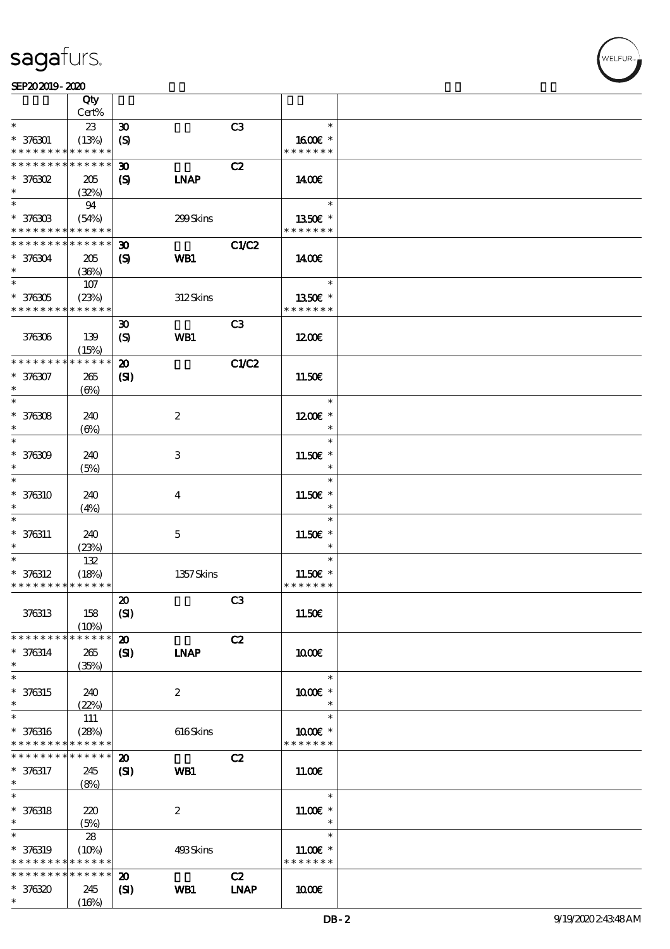|                                                          | Qty                        |                                                            |                  |                |                                        |  |
|----------------------------------------------------------|----------------------------|------------------------------------------------------------|------------------|----------------|----------------------------------------|--|
| $\ast$                                                   | Cert%<br>23                |                                                            |                  | C <sub>3</sub> | $\ast$                                 |  |
| $* 376301$                                               | (13%)                      | $\boldsymbol{\mathfrak{D}}$<br>$\boldsymbol{\mathrm{(S)}}$ |                  |                | 1600€ *                                |  |
| * * * * * * * *                                          | * * * * * *                |                                                            |                  |                | * * * * * * *                          |  |
| * * * * * * * *                                          | * * * * * *                | $\boldsymbol{\mathfrak{D}}$                                |                  | C2             |                                        |  |
| $*$ 376302                                               | 205                        | $\boldsymbol{S}$                                           | <b>LNAP</b>      |                | 1400                                   |  |
| $\ast$                                                   | (32%)                      |                                                            |                  |                |                                        |  |
| $\ast$                                                   | 94                         |                                                            |                  |                | $\ast$                                 |  |
| $* 37630B$<br>* * * * * * * * <mark>* * * * * * *</mark> | (54%)                      |                                                            | 299Skins         |                | 1350€ *<br>* * * * * * *               |  |
| * * * * * * * *                                          | $\ast\ast\ast\ast\ast\ast$ | $\boldsymbol{\mathfrak{D}}$                                |                  | C1/C2          |                                        |  |
| $* 376304$                                               | 205                        | $\boldsymbol{\mathrm{(S)}}$                                | WB1              |                | 1400                                   |  |
| $\ast$                                                   | (36%)                      |                                                            |                  |                |                                        |  |
| $\ast$                                                   | 107                        |                                                            |                  |                | $\ast$                                 |  |
| $* 376305$                                               | (23%)                      |                                                            | 312Skins         |                | 1350€ *                                |  |
| * * * * * * * * * * * * * *                              |                            |                                                            |                  |                | * * * * * * *                          |  |
|                                                          |                            | $\boldsymbol{\mathfrak{D}}$                                |                  | C <sub>3</sub> |                                        |  |
| 376306                                                   | 139<br>(15%)               | $\boldsymbol{S}$                                           | WB1              |                | 1200E                                  |  |
| * * * * * * * *                                          | * * * * * *                | $\boldsymbol{\mathfrak{D}}$                                |                  | C1/C2          |                                        |  |
| $* 376307$                                               | 265                        | $\mathbf{S}$                                               |                  |                | 11.50E                                 |  |
| $\ast$                                                   | $(\Theta)$                 |                                                            |                  |                |                                        |  |
| $\overline{\ast}$                                        |                            |                                                            |                  |                | $\ast$                                 |  |
| $* 376308$                                               | 240                        |                                                            | $\boldsymbol{2}$ |                | $1200E$ *                              |  |
| $\ast$<br>$\ast$                                         | $(\Theta)$                 |                                                            |                  |                | $\ast$<br>$\ast$                       |  |
| $* 376309$                                               | 240                        |                                                            | $\,3$            |                | 11.50€ *                               |  |
| $\ast$                                                   | (5%)                       |                                                            |                  |                | $\ast$                                 |  |
| $\ast$                                                   |                            |                                                            |                  |                | $\ast$                                 |  |
| $* 376310$                                               | 240                        |                                                            | 4                |                | 11.50 $\varepsilon$ *                  |  |
| $\ast$                                                   | (4%)                       |                                                            |                  |                | $\ast$                                 |  |
| $\ast$                                                   |                            |                                                            |                  |                | $\ast$                                 |  |
| $* 376311$<br>$\ast$                                     | 240                        |                                                            | $\mathbf{5}$     |                | 11.50 $\varepsilon$ *<br>$\ast$        |  |
| $\ast$                                                   | (23%)<br>$132$             |                                                            |                  |                | $\ast$                                 |  |
| $* 376312$                                               | (18%)                      |                                                            | 1357Skins        |                | 11.50 $\varepsilon$ *                  |  |
| * * * * * * * * * * * * * *                              |                            |                                                            |                  |                | * * * * * * *                          |  |
|                                                          |                            | 20                                                         |                  | C <sub>3</sub> |                                        |  |
| 376313                                                   | 158                        | (SI)                                                       |                  |                | 11.50€                                 |  |
|                                                          | (10%)                      |                                                            |                  |                |                                        |  |
| * * * * * * * *                                          | * * * * * *                | $\boldsymbol{\mathbf{z}}$                                  |                  | C2             | 1000E                                  |  |
| $* 376314$<br>$\ast$                                     | 265<br>(35%)               | $\mathbf{S}$                                               | <b>INAP</b>      |                |                                        |  |
| $\ast$                                                   |                            |                                                            |                  |                | $\ast$                                 |  |
| $* 376315$                                               | 240                        |                                                            | $\boldsymbol{2}$ |                | 1000€ *                                |  |
| $\ast$                                                   | (22%)                      |                                                            |                  |                | $\ast$                                 |  |
| $\ast$                                                   | 111                        |                                                            |                  |                | $\ast$                                 |  |
| $* 376316$<br>* * * * * * * *                            | (28%)<br>* * * * * *       |                                                            | 616Skins         |                | $1000E$ *<br>* * * * * * *             |  |
| * * * * * * *                                            | * * * * * *                | $\boldsymbol{\mathbf{z}}$                                  |                  | C2             |                                        |  |
| * 376317                                                 | 245                        | $\mathbf{C}$                                               | WB1              |                | 11.00E                                 |  |
| $\ast$                                                   | (8%)                       |                                                            |                  |                |                                        |  |
| $\ast$                                                   |                            |                                                            |                  |                | $\ast$                                 |  |
| $* 376318$                                               | 220                        |                                                            | $\boldsymbol{2}$ |                | $1100E$ *                              |  |
| $\ast$                                                   | (5%)                       |                                                            |                  |                | $\ast$                                 |  |
| $\ast$                                                   | 28                         |                                                            |                  |                | $\ast$                                 |  |
| * 376319<br>* * * * * * * *                              | (10%)<br>* * * * * *       |                                                            | 493Skins         |                | 11.00 $\varepsilon$ *<br>* * * * * * * |  |
| * * * * * * * *                                          | * * * * * *                | $\boldsymbol{\mathbf{z}}$                                  |                  | C2             |                                        |  |
| $*376320$                                                | 245                        | $\mathbf{S}$                                               | WB1              | <b>INAP</b>    | 1000E                                  |  |
| $\ast$                                                   | (16%)                      |                                                            |                  |                |                                        |  |

**VELFUR**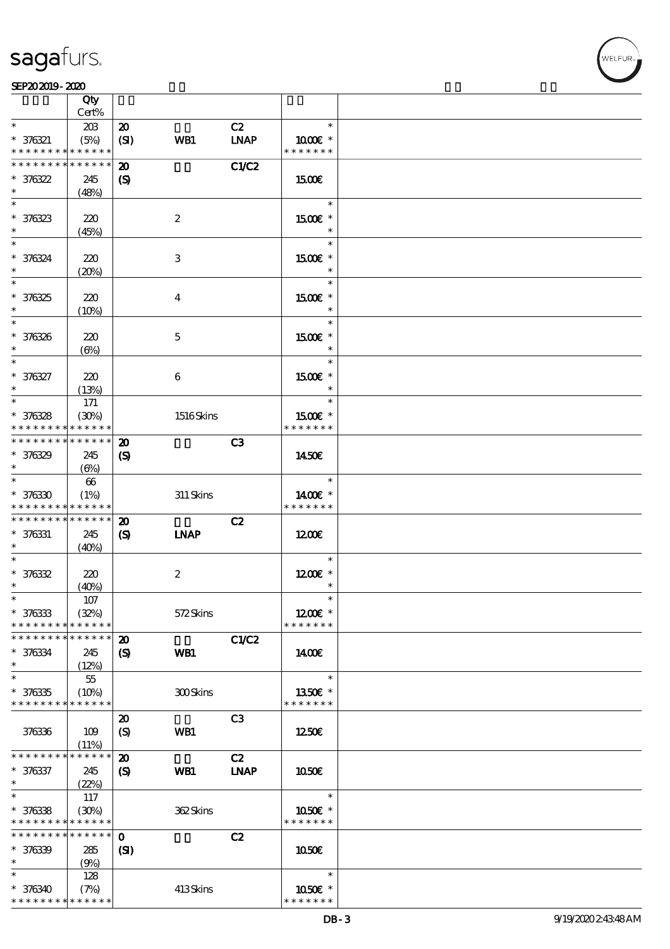

#### SEP202019-2020

|                                                                                        | Qty                        |                                             |                  |                |                         |  |
|----------------------------------------------------------------------------------------|----------------------------|---------------------------------------------|------------------|----------------|-------------------------|--|
| $\ast$                                                                                 | Cert%<br>20B               | $\boldsymbol{\mathbf{z}}$                   |                  | C2             | $\ast$                  |  |
| $* 376321$<br>* * * * * * * * <mark>* * * * * *</mark>                                 | (5%)                       | (SI)                                        | WB1              | <b>LNAP</b>    | 1000 *<br>* * * * * * * |  |
| * * * * * * * * <mark>* * * * * * *</mark>                                             |                            | $\boldsymbol{\mathfrak{D}}$                 |                  | C1/C2          |                         |  |
| $* 376322$                                                                             | 245                        | $\boldsymbol{S}$                            |                  |                | 1500€                   |  |
| $\ast$                                                                                 | (48%)                      |                                             |                  |                |                         |  |
| $\ast$                                                                                 |                            |                                             |                  |                | $\ast$                  |  |
| $* 376323$<br>$\ast$                                                                   | 220                        |                                             | $\boldsymbol{2}$ |                | 1500E *                 |  |
| $\ast$                                                                                 | (45%)                      |                                             |                  |                | $\ast$                  |  |
| $* 376324$                                                                             | 220                        |                                             | 3                |                | 1500€ *                 |  |
| $\ast$                                                                                 | (20%)                      |                                             |                  |                | $\ast$                  |  |
| $\overline{\ast}$                                                                      |                            |                                             |                  |                | $\ast$                  |  |
| $* 376325$                                                                             | 220                        |                                             | $\bf{4}$         |                | 1500€ *                 |  |
| $\ast$                                                                                 | (10%)                      |                                             |                  |                | $\ast$                  |  |
| $\ast$                                                                                 |                            |                                             |                  |                | $\ast$                  |  |
| $* 376326$<br>$\ast$                                                                   | 220<br>$(\Theta)$          |                                             | $\mathbf 5$      |                | 1500€ *<br>$\ast$       |  |
| $\ast$                                                                                 |                            |                                             |                  |                | $\ast$                  |  |
| $* 376327$                                                                             | 220                        |                                             | 6                |                | 1500€ *                 |  |
| $\ast$                                                                                 | (13%)                      |                                             |                  |                | $\ast$                  |  |
| $\ast$                                                                                 | 171                        |                                             |                  |                | $\ast$                  |  |
| $* 376328$                                                                             | (30%)                      |                                             | 1516Skins        |                | 1500€ *                 |  |
| * * * * * * * *<br>* * * * * * * *                                                     | * * * * * *<br>* * * * * * |                                             |                  |                | * * * * * * *           |  |
| $* 376329$                                                                             | 245                        | $\boldsymbol{\mathfrak{D}}$<br>$\mathbf{S}$ |                  | C3             | 1450E                   |  |
| $\ast$                                                                                 | $(\Theta)$                 |                                             |                  |                |                         |  |
| $\ast$                                                                                 | 66                         |                                             |                  |                | $\ast$                  |  |
| $* 376330$                                                                             | (1%)                       |                                             | $311$ Skins      |                | 1400€ *                 |  |
| * * * * * * * * * * * * * *                                                            |                            |                                             |                  |                | * * * * * * *           |  |
| * * * * * * * *                                                                        | $\ast\ast\ast\ast\ast\ast$ | $\boldsymbol{\mathbf{z}}$                   |                  | C2             |                         |  |
| $* 376331$<br>$\ast$                                                                   | 245<br>(40%)               | $\boldsymbol{\mathrm{(S)}}$                 | <b>INAP</b>      |                | 1200E                   |  |
| $\ast$                                                                                 |                            |                                             |                  |                | $\ast$                  |  |
| $* 376332$                                                                             | 220                        |                                             | $\boldsymbol{2}$ |                | $1200E$ *               |  |
| $\ast$                                                                                 | (40%)                      |                                             |                  |                | $\ast$                  |  |
| $\ast$                                                                                 | $107\,$                    |                                             |                  |                | $\ast$                  |  |
| $* 376333$                                                                             | (32%)<br>* * * * * *       |                                             | 572Skins         |                | $1200E$ *               |  |
| * * * * * * * *<br>* * * * * * * *                                                     | * * * * * *                | $\boldsymbol{\mathfrak{D}}$                 |                  | C1/C2          | * * * * * * *           |  |
| $* 376334$                                                                             | 245                        | $\boldsymbol{\mathcal{S}}$                  | WB1              |                | 1400E                   |  |
| $\ast$                                                                                 | (12%)                      |                                             |                  |                |                         |  |
| $\ast$                                                                                 | 55                         |                                             |                  |                | $\ast$                  |  |
| $* 376335$                                                                             | (10%)                      |                                             | 300Skins         |                | 1350€ *                 |  |
| * * * * * * * * * * * * * *                                                            |                            |                                             |                  |                | * * * * * * *           |  |
|                                                                                        |                            | $\boldsymbol{\mathfrak{D}}$                 |                  | C <sub>3</sub> |                         |  |
| 376336                                                                                 | 109<br>(11%)               | $\boldsymbol{S}$                            | WB1              |                | 1250E                   |  |
| * * * * * * * *                                                                        | * * * * * *                | $\boldsymbol{\mathbf{z}}$                   |                  | C2             |                         |  |
| $* 376337$                                                                             | 245                        | $\boldsymbol{\mathcal{S}}$                  | WB1              | <b>LNAP</b>    | 1050E                   |  |
| $\ast$                                                                                 | (22%)                      |                                             |                  |                |                         |  |
| $\ast$                                                                                 | 117                        |                                             |                  |                | $\ast$                  |  |
| $* 376338$                                                                             | (30%)                      |                                             | 362Skins         |                | 1050€ *                 |  |
| * * * * * * * * <mark>* * * * * *</mark><br>* * * * * * * * <mark>* * * * * * *</mark> |                            |                                             |                  |                | * * * * * * *           |  |
| $* 376339$                                                                             | 285                        | $\mathbf{o}$<br>(S)                         |                  | C2             | 1050€                   |  |
| $\ast$                                                                                 | (9%)                       |                                             |                  |                |                         |  |
| $\ast$                                                                                 | 128                        |                                             |                  |                | $\ast$                  |  |
| $* 376340$                                                                             | (7%)                       |                                             | 413Skins         |                | 1050E *                 |  |
| * * * * * * * * <mark>* * * * * *</mark>                                               |                            |                                             |                  |                | * * * * * * *           |  |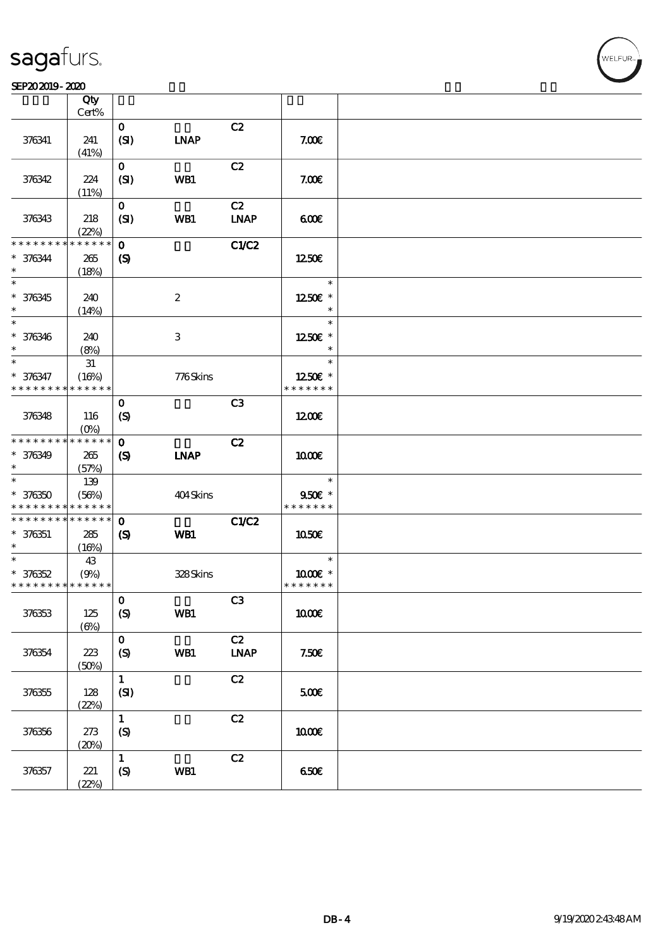#### SEP202019-2020

|                             | Qty         |                            |                  |                |               |  |
|-----------------------------|-------------|----------------------------|------------------|----------------|---------------|--|
|                             | Cert%       |                            |                  |                |               |  |
|                             |             | $\mathbf{O}$               |                  | C2             |               |  |
| 376341                      | 241         | (SI)                       | <b>LNAP</b>      |                | 7.00E         |  |
|                             | (41%)       |                            |                  |                |               |  |
|                             |             | $\mathbf{O}$               |                  | C2             |               |  |
| 376342                      | 224         | (SI)                       | WB1              |                | 7.00E         |  |
|                             | (11%)       |                            |                  |                |               |  |
|                             |             | $\mathbf{O}$               |                  | C2             |               |  |
| 376343                      | 218         | (SI)                       | WB1              | <b>LNAP</b>    | 60E           |  |
|                             | (22%)       |                            |                  |                |               |  |
| * * * * * * * *             | * * * * * * | $\mathbf{o}$               |                  | <b>C1/C2</b>   |               |  |
| $* 376344$                  | 265         | $\boldsymbol{\mathcal{S}}$ |                  |                | 1250€         |  |
| $\ast$                      | (18%)       |                            |                  |                |               |  |
| $\overline{\ast}$           |             |                            |                  |                | $\ast$        |  |
| $* 376345$                  | 240         |                            | $\boldsymbol{2}$ |                | 1250E *       |  |
| $\ast$                      | (14%)       |                            |                  |                | $\ast$        |  |
| $\ast$                      |             |                            |                  |                | $\ast$        |  |
| $* 376346$                  | 240         |                            | $\,3$            |                | 1250E *       |  |
| $\ast$                      | (8%)        |                            |                  |                | $\ast$        |  |
| $\ast$                      | $3\!1$      |                            |                  |                | $\ast$        |  |
| * 376347                    | (16%)       |                            | 776Skins         |                | 1250E *       |  |
| * * * * * * * *             | * * * * * * |                            |                  |                | * * * * * * * |  |
|                             |             |                            |                  |                |               |  |
|                             |             | $\mathbf 0$                |                  | C <sub>3</sub> |               |  |
| 376348                      | 116         | $\boldsymbol{S}$           |                  |                | 1200          |  |
|                             | $(O\%)$     |                            |                  |                |               |  |
| * * * * * * * *             | * * * * * * | $\mathbf 0$                |                  | C2             |               |  |
| $* 376349$                  | 265         | $\boldsymbol{\mathcal{S}}$ | <b>INAP</b>      |                | 1000E         |  |
| $\ast$                      | (57%)       |                            |                  |                |               |  |
| $\ast$                      | 139         |                            |                  |                | $\ast$        |  |
| $* 376350$                  | (56%)       |                            | 404Skins         |                | 950€ *        |  |
| * * * * * * * *             | * * * * * * |                            |                  |                | * * * * * * * |  |
| * * * * * * * *             | * * * * * * | $\mathbf 0$                |                  | C1/C2          |               |  |
| $* 376351$                  | 285         | $\boldsymbol{\mathcal{S}}$ | WB1              |                | 1050E         |  |
| $\ast$                      | (16%)       |                            |                  |                |               |  |
| $\ast$                      | 43          |                            |                  |                | $\ast$        |  |
| $* 376352$                  | (9%)        |                            | 328Skins         |                | 1000E *       |  |
| * * * * * * * * * * * * * * |             |                            |                  |                | * * * * * * * |  |
|                             |             | $\mathbf O$                |                  | C3             |               |  |
| 376353                      | 125         | (S)                        | WB1              |                | <b>100€</b>   |  |
|                             | $(\Theta)$  |                            |                  |                |               |  |
|                             |             | $\mathbf{o}$               |                  | C2             |               |  |
| 376354                      | 223         | (S)                        | WB1              | <b>LNAP</b>    | 7.50E         |  |
|                             | (50%)       |                            |                  |                |               |  |
|                             |             | $\mathbf{1}$               |                  | $\mathbf{C2}$  |               |  |
| 376355                      | 128         | (SI)                       |                  |                | 500E          |  |
|                             | (22%)       |                            |                  |                |               |  |
|                             |             | $\mathbf{1}$               |                  | C2             |               |  |
| 376356                      | 273         | (S)                        |                  |                | 1000E         |  |
|                             | (20%)       |                            |                  |                |               |  |
|                             |             | $\mathbf 1$                |                  | C2             |               |  |
| 376357                      | 221         | $\pmb{\text{(S)}}$         | WB1              |                | 650E          |  |
|                             | (22%)       |                            |                  |                |               |  |
|                             |             |                            |                  |                |               |  |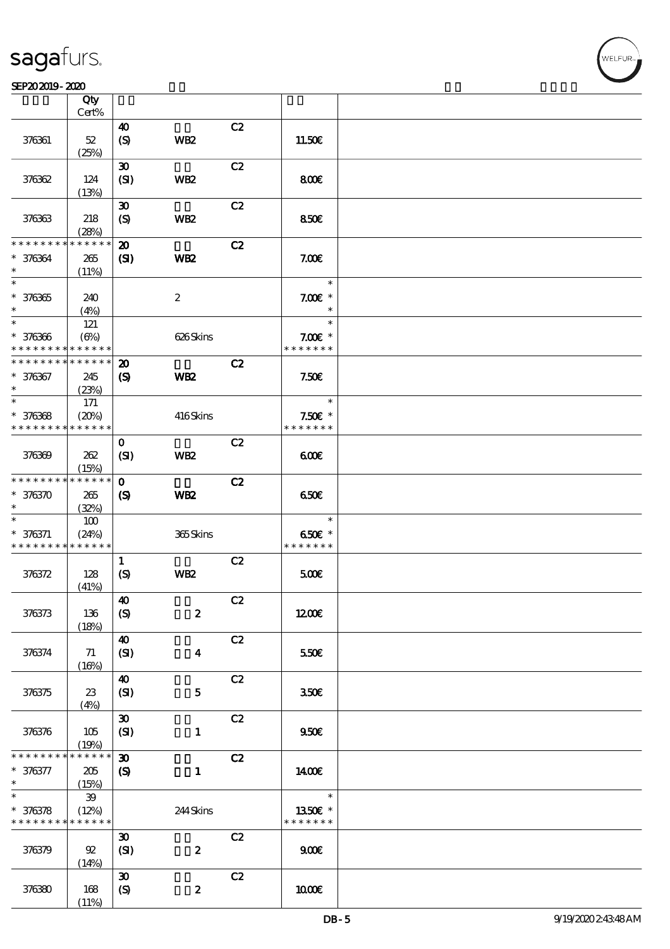#### SEP202019-2020

|                                           | Qty<br>Cert%         |                                                            |                  |    |                            |  |
|-------------------------------------------|----------------------|------------------------------------------------------------|------------------|----|----------------------------|--|
|                                           |                      |                                                            |                  |    |                            |  |
| 376361                                    | $52\,$               | 40<br>$\boldsymbol{S}$                                     | WB <sub>2</sub>  | C2 | 11.50E                     |  |
|                                           | (25%)                |                                                            |                  |    |                            |  |
| 376362                                    | 124                  | $\boldsymbol{\mathfrak{D}}$<br>(SI)                        | WB <sub>2</sub>  | C2 | 800                        |  |
|                                           | (13%)                |                                                            |                  |    |                            |  |
| 376363                                    | 218<br>(28%)         | $\boldsymbol{\mathfrak{D}}$<br>$\boldsymbol{\mathrm{(S)}}$ | WB <sub>2</sub>  | C2 | 850€                       |  |
| * * * * * * * *                           | * * * * * *          | $\boldsymbol{\mathfrak{D}}$                                |                  | C2 |                            |  |
| * 376364<br>$\ast$                        | 265<br>(11%)         | (S)                                                        | WB <sub>2</sub>  |    | 7.00E                      |  |
| $\overline{\ast}$                         |                      |                                                            |                  |    | $\ast$                     |  |
| $* 376365$<br>$\ast$                      | 240<br>(4%)          |                                                            | $\boldsymbol{z}$ |    | $7.00E$ *<br>$\ast$        |  |
| $*$                                       | 121                  |                                                            |                  |    | $\ast$                     |  |
| $* 376366$<br>* * * * * * * *             | (6%)<br>* * * * * *  |                                                            | 626Skins         |    | $7.00E$ *<br>* * * * * * * |  |
| * * * * * * * *                           | * * * * * *          | $\boldsymbol{\mathfrak{D}}$                                |                  | C2 |                            |  |
| $* 376367$<br>$\ast$                      | 245<br>(23%)         | $\boldsymbol{\mathrm{(S)}}$                                | WB <sub>2</sub>  |    | 7.50E                      |  |
| $\ast$                                    | 171                  |                                                            |                  |    | $\ast$                     |  |
|                                           |                      |                                                            |                  |    |                            |  |
| $* 376368$<br>* * * * * * * *             | (20%)<br>* * * * * * |                                                            | 416Skins         |    | $7.50E$ *<br>* * * * * * * |  |
|                                           |                      |                                                            |                  |    |                            |  |
| 376369                                    | 262<br>(15%)         | $\mathbf 0$<br>(SI)                                        | WB <sub>2</sub>  | C2 | 600                        |  |
| * * * * * * * *                           | $* * * * * * *$      | $\mathbf 0$                                                |                  | C2 |                            |  |
| $* 376370$<br>$\ast$                      | 265<br>(32%)         | $\boldsymbol{S}$                                           | WB <sub>2</sub>  |    | 650€                       |  |
| $\ast$                                    | 100                  |                                                            |                  |    | $\ast$                     |  |
| $* 376371$<br>* * * * * * * * * * * * * * | (24%)                |                                                            | 365Skins         |    | 650€ *<br>* * * * * * *    |  |
|                                           |                      | $\mathbf{1}$                                               |                  | C2 |                            |  |
| 376372                                    | 128<br>(41%)         | $\boldsymbol{S}$                                           | WB <sub>2</sub>  |    | 500                        |  |
|                                           |                      | $\boldsymbol{\omega}$                                      |                  | C2 |                            |  |
| 376373                                    | 136<br>(18%)         | (S)                                                        | $\pmb{2}$        |    | 1200E                      |  |
|                                           |                      | $\boldsymbol{\Lambda}$                                     |                  | C2 |                            |  |
| 376374                                    | 71<br>(16%)          | (SI)                                                       | $\boldsymbol{4}$ |    | 550€                       |  |
|                                           |                      | $\boldsymbol{\omega}$                                      |                  | C2 |                            |  |
| 376375                                    | 23<br>(4%)           | (SI)                                                       | ${\bf 5}$        |    | 350E                       |  |
|                                           |                      | $\pmb{\mathfrak{D}}$                                       |                  | C2 |                            |  |
| 376376                                    | 105<br>(19%)         | (SI)                                                       | $\mathbf{1}$     |    | 950E                       |  |
| * * * * * * *                             | $* * * * * *$        | $\boldsymbol{\mathfrak{D}}$                                |                  | C2 |                            |  |
| $* 376377$<br>$\ast$                      | 205<br>(15%)         | $\boldsymbol{\mathcal{S}}$                                 | 1                |    | 1400E                      |  |
| $\overline{\ast}$                         | 39                   |                                                            |                  |    | $\ast$                     |  |
| $* 376378$<br>* * * * * * * *             | (12%)<br>* * * * * * |                                                            | 244Skins         |    | 1350€ *<br>* * * * * * *   |  |
|                                           |                      | $\pmb{\mathfrak{D}}$                                       |                  | C2 |                            |  |
| 376379                                    | 92<br>(14%)          | (SI)                                                       | $\boldsymbol{2}$ |    | 900E                       |  |
|                                           |                      | $\boldsymbol{\mathfrak{D}}$                                |                  | C2 |                            |  |
| 376380                                    | 168<br>(11%)         | $\boldsymbol{S}$                                           | $\pmb{2}$        |    | 1000E                      |  |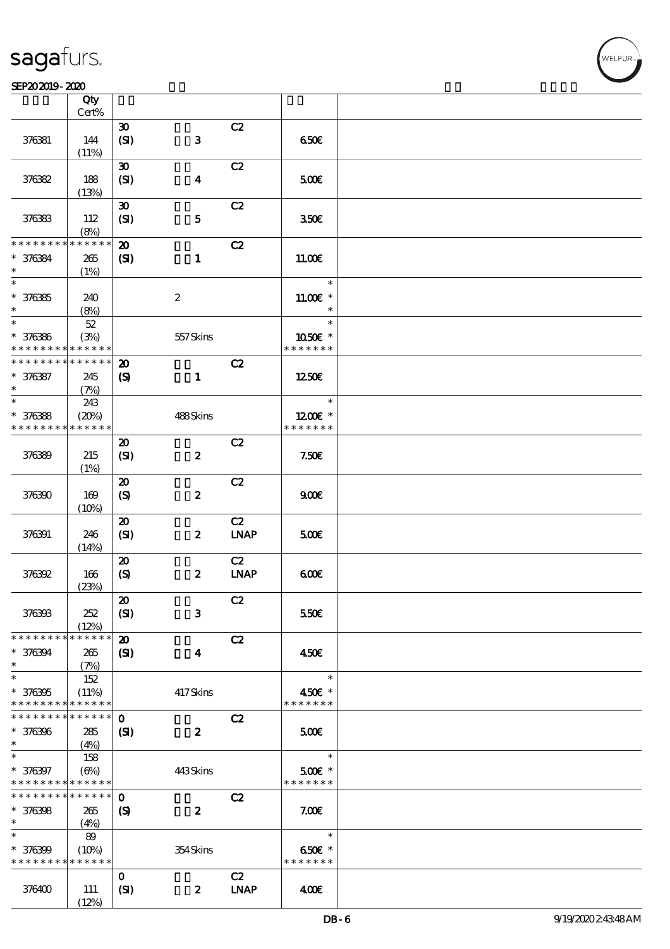#### SEP202019-2020 DECEMBER 2020 DECEMBER 2020 DECEMBER 2020 DECEMBER 2020 DECEMBER 2020 DECEMBER 2020 DECEMBER 20<br>DECEMBER 2020 DECEMBER 2020 DECEMBER 2020 DECEMBER 2020 DECEMBER 2020 DECEMBER 2020 DECEMBER 2020 DECEMBER 202

|                                            | Qty<br>Cert%  |                             |                         |             |                   |  |
|--------------------------------------------|---------------|-----------------------------|-------------------------|-------------|-------------------|--|
|                                            |               |                             |                         |             |                   |  |
|                                            |               | $\boldsymbol{\mathfrak{D}}$ |                         | C2          |                   |  |
| 376381                                     | 144           | (SI)                        | $\bf{3}$                |             | 650E              |  |
|                                            | (11%)         |                             |                         |             |                   |  |
|                                            |               | $\boldsymbol{\mathfrak{D}}$ |                         | C2          |                   |  |
| 376382                                     | 188           | (SI)                        | $\boldsymbol{4}$        |             | 500               |  |
|                                            | (13%)         |                             |                         |             |                   |  |
|                                            |               | $\boldsymbol{\mathfrak{D}}$ |                         | C2          |                   |  |
|                                            |               |                             |                         |             |                   |  |
| 376383                                     | 112           | (SI)                        | $\mathbf{5}$            |             | 350 <sup>2</sup>  |  |
|                                            | (8%)          |                             |                         |             |                   |  |
| * * * * * * * *                            | * * * * * *   | $\boldsymbol{\mathbf{z}}$   |                         | C2          |                   |  |
| * 376384                                   | $265\,$       | $\mathbf{S}$                | $\mathbf{1}$            |             | 11.00E            |  |
| $\ast$                                     | (1%)          |                             |                         |             |                   |  |
| $\ast$                                     |               |                             |                         |             | $\ast$            |  |
|                                            |               |                             |                         |             | $11.00E$ *        |  |
| $* 376385$                                 | 240           |                             | $\boldsymbol{2}$        |             |                   |  |
| $\ast$                                     | (8%)          |                             |                         |             | $\ast$            |  |
| $\ast$                                     | $5\!2$        |                             |                         |             | $\ast$            |  |
| $* 376386$                                 | (3%)          |                             | 557Skins                |             | 1050E *           |  |
| * * * * * * * *                            | * * * * * *   |                             |                         |             | * * * * * * *     |  |
| * * * * * * * *                            | * * * * * *   | $\boldsymbol{\mathfrak{D}}$ |                         | C2          |                   |  |
| $* 376387$                                 | 245           | $\boldsymbol{\mathrm{(S)}}$ | $\mathbf{1}$            |             | 1250€             |  |
| $\ast$                                     |               |                             |                         |             |                   |  |
| $\ast$                                     | (7%)          |                             |                         |             | $\ast$            |  |
|                                            | 243           |                             |                         |             |                   |  |
| $* 376388$                                 | (20%)         |                             | 488Skins                |             | 1200E *           |  |
| * * * * * * * *                            | * * * * * *   |                             |                         |             | * * * * * * *     |  |
|                                            |               | $\boldsymbol{\mathfrak{D}}$ |                         | C2          |                   |  |
| 376389                                     | 215           | (SI)                        | $\boldsymbol{z}$        |             | 7.50 <sub>E</sub> |  |
|                                            | (1%)          |                             |                         |             |                   |  |
|                                            |               |                             |                         |             |                   |  |
|                                            |               | $\boldsymbol{\mathfrak{D}}$ |                         | C2          |                   |  |
| 376390                                     | 169           | $\boldsymbol{\mathrm{(S)}}$ | $\pmb{2}$               |             | 900E              |  |
|                                            | (10%)         |                             |                         |             |                   |  |
|                                            |               | $\boldsymbol{\mathsf{20}}$  |                         | C2          |                   |  |
| 376391                                     | 246           | (SI)                        | $\boldsymbol{z}$        | <b>LNAP</b> | 500€              |  |
|                                            | (14%)         |                             |                         |             |                   |  |
|                                            |               | $\boldsymbol{\mathfrak{D}}$ |                         | C2          |                   |  |
|                                            |               |                             |                         |             |                   |  |
| 376392                                     | 166           | $\boldsymbol{S}$            | $\boldsymbol{z}$        | $INAP$      | 600               |  |
|                                            | (23%)         |                             |                         |             |                   |  |
|                                            |               | $\boldsymbol{\mathsf{20}}$  |                         | C2          |                   |  |
| 376393                                     | 252           | (SI)                        | ${\bf 3}$               |             | 550€              |  |
|                                            | (12%)         |                             |                         |             |                   |  |
| * * * * * * * *                            | * * * * * *   | $\boldsymbol{\mathbf{z}}$   |                         | C2          |                   |  |
| * 376394                                   | 265           | $\mathbf{C}$                | $\overline{\mathbf{4}}$ |             | 450€              |  |
| $\ast$                                     |               |                             |                         |             |                   |  |
| $\ast$                                     | (7%)          |                             |                         |             | $\ast$            |  |
|                                            | 152           |                             |                         |             |                   |  |
| $* 376395$                                 | (11%)         |                             | 417Skins                |             | 450€ *            |  |
| * * * * * * * *                            | * * * * * *   |                             |                         |             | * * * * * * *     |  |
| * * * * * * * *                            | ******        | $\mathbf 0$                 |                         | C2          |                   |  |
| $* 376396$                                 | 285           | (S)                         | $\boldsymbol{z}$        |             | 500€              |  |
| $\ast$                                     | (4%)          |                             |                         |             |                   |  |
| $\ast$                                     | 158           |                             |                         |             | $\ast$            |  |
|                                            |               |                             |                         |             |                   |  |
| * 376397                                   | $(\Theta)$    |                             | 443Skins                |             | $500$ £ *         |  |
| * * * * * * * * <mark>* * * * * * *</mark> |               |                             |                         |             | * * * * * * *     |  |
| * * * * * * * *                            | * * * * * * * | $\mathbf 0$                 |                         | C2          |                   |  |
| $* 376398$                                 | 265           | $\boldsymbol{S}$            | $\boldsymbol{z}$        |             | 7.00E             |  |
| $\ast$                                     | (4%)          |                             |                         |             |                   |  |
| $\ast$                                     | 89            |                             |                         |             | $\ast$            |  |
| $* 376399$                                 | (10%)         |                             | 354Skins                |             | 650€ *            |  |
| * * * * * * * *                            | * * * * * *   |                             |                         |             | * * * * * * *     |  |
|                                            |               |                             |                         |             |                   |  |
|                                            |               | $\mathbf{o}$                |                         | C2          |                   |  |
| 376400                                     | 111           | (SI)                        | $\boldsymbol{z}$        | <b>LNAP</b> | 400               |  |
|                                            | (12%)         |                             |                         |             |                   |  |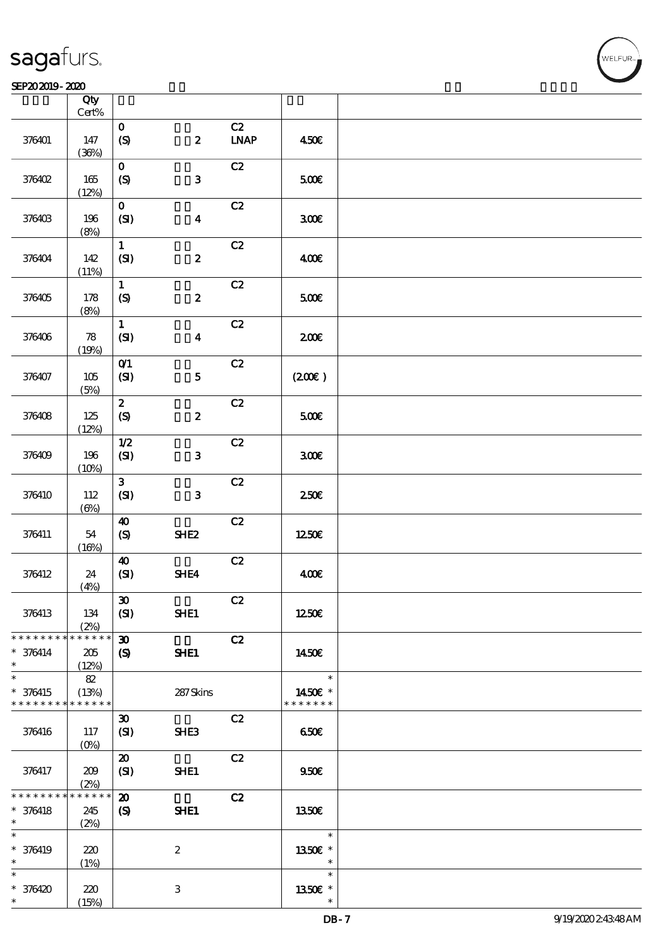#### SEP202019-2020

|                               | Qty<br>$\mbox{Cert}\%$              |                             |                  |              |                          |  |
|-------------------------------|-------------------------------------|-----------------------------|------------------|--------------|--------------------------|--|
|                               |                                     |                             |                  |              |                          |  |
| 376401                        | 147<br>(36%)                        | $\mathbf O$<br>(S)          | $\boldsymbol{z}$ | C2<br>$INAP$ | 450E                     |  |
|                               |                                     |                             |                  |              |                          |  |
| 376402                        | $165$                               | $\mathbf{o}$<br>(S)         | $\mathbf{3}$     | C2           | 500E                     |  |
|                               | (12%)                               |                             |                  |              |                          |  |
| 376403                        | 196<br>(8%)                         | $\mathbf{o}$<br>(SI)        | $\boldsymbol{4}$ | C2           | 300E                     |  |
|                               |                                     |                             |                  |              |                          |  |
| 376404                        | 142<br>(11%)                        | $\mathbf{1}$<br>(SI)        | $\pmb{2}$        | C2           | 400E                     |  |
|                               |                                     |                             |                  | C2           |                          |  |
| 376405                        | 178<br>(8%)                         | $\mathbf{1}$<br>(S)         | $\boldsymbol{z}$ |              | 500E                     |  |
|                               |                                     | $\mathbf{1}$                |                  | C2           |                          |  |
| 376406                        | $\boldsymbol{\mathcal{R}}$<br>(19%) | (SI)                        | $\boldsymbol{4}$ |              | 200E                     |  |
|                               |                                     | O(1)                        |                  | C2           |                          |  |
| 376407                        | 105<br>(5%)                         | (SI)                        | $\overline{5}$   |              | (200)                    |  |
|                               |                                     | $\boldsymbol{z}$            |                  | C2           |                          |  |
| 376408                        | $125$<br>(12%)                      | $\pmb{\text{(S)}}$          | $\boldsymbol{z}$ |              | 500E                     |  |
|                               |                                     | $1/2$                       |                  | C2           |                          |  |
| 376409                        | 196<br>(10%)                        | (SI)                        | 3                |              | 300E                     |  |
|                               |                                     | $\mathbf{3}$                |                  | C2           |                          |  |
| 376410                        | 112<br>$(\Theta)$                   | (SI)                        | $\mathbf{3}$     |              | $250$ £                  |  |
|                               |                                     | $\boldsymbol{\omega}$       |                  | C2           |                          |  |
| 376411                        | 54<br>(16%)                         | (S)                         | SHE <sub>2</sub> |              | 1250€                    |  |
|                               |                                     | $\boldsymbol{\omega}$       |                  | C2           |                          |  |
| 376412                        | 24<br>(4%)                          | (SI)                        | SHE4             |              | 400€                     |  |
|                               |                                     | $\pmb{\mathfrak{D}}$        |                  | C2           |                          |  |
| 376413                        | 134<br>(2%)                         | (SI)                        | SHE1             |              | 1250€                    |  |
| * * * * * * * *               | * * * * * *                         | $\boldsymbol{\mathfrak{D}}$ |                  | C2           |                          |  |
| $* 376414$<br>$\ast$          | $205\,$<br>(12%)                    | $\boldsymbol{\mathrm{(S)}}$ | SHE1             |              | 1450€                    |  |
| $\ast$                        | $8\!2$                              |                             |                  |              | $\ast$                   |  |
| $* 376415$<br>* * * * * * * * | (13%)<br>* * * * * *                |                             | 287Skins         |              | 1450€ *<br>* * * * * * * |  |
|                               |                                     | $\boldsymbol{\mathfrak{D}}$ |                  | C2           |                          |  |
| 376416                        | 117<br>$(O\%)$                      | (SI)                        | SHE3             |              | 650E                     |  |
|                               |                                     | $\boldsymbol{\mathfrak{D}}$ |                  | C2           |                          |  |
| 376417                        | 209<br>(2%)                         | (SI)                        | SHE1             |              | 950E                     |  |
| * * * * * * * *               | * * * * * *                         | $\boldsymbol{\mathfrak{D}}$ |                  | C2           |                          |  |
| $* 376418$                    | 245                                 | $\boldsymbol{\mathrm{(S)}}$ | SHE1             |              | 1350E                    |  |
| $\ast$                        | (2%)                                |                             |                  |              |                          |  |
| $\ast$                        |                                     |                             |                  |              | $\ast$                   |  |
|                               |                                     |                             |                  |              |                          |  |
| * 376419                      | 220                                 |                             | $\boldsymbol{2}$ |              | 1350E *                  |  |
| $\ast$                        | (1%)                                |                             |                  |              | $\ast$                   |  |
| $\ast$                        |                                     |                             |                  |              | $\ast$                   |  |
| $*376420$                     | 220                                 |                             | $\,3$            |              | 1350E *                  |  |
| $\ast$                        | (15%)                               |                             |                  |              | $\ast$                   |  |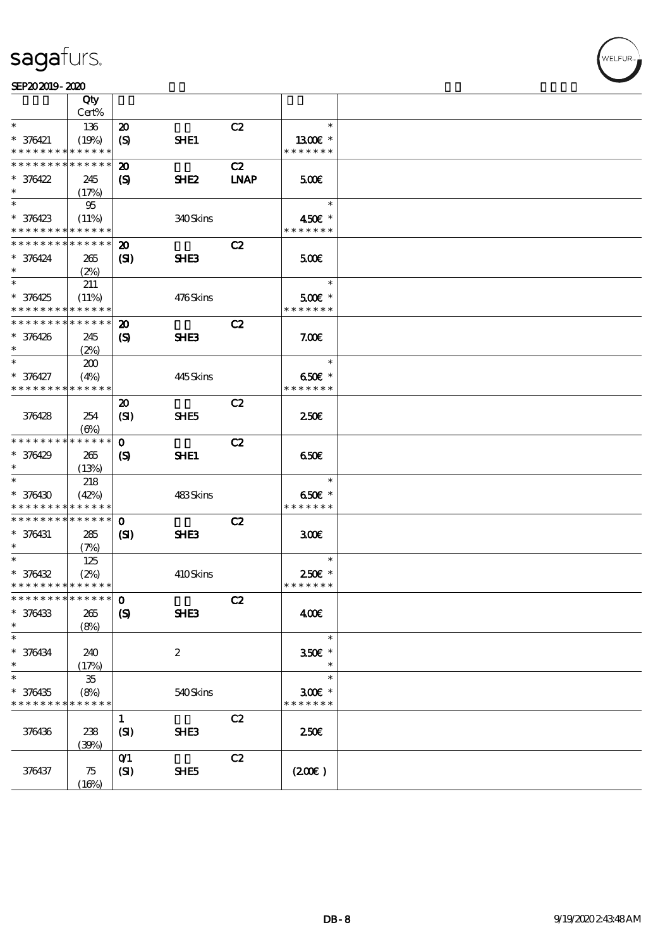#### SEP202019-2020

|                                          | Qty         |                                    |                  |             |                       |  |
|------------------------------------------|-------------|------------------------------------|------------------|-------------|-----------------------|--|
|                                          | Cert%       |                                    |                  |             |                       |  |
| $\ast$                                   | 136         | $\boldsymbol{\mathbf{z}}$          |                  | C2          | $\ast$                |  |
| $* 376421$                               | (19%)       | (S)                                | SHE1             |             | 1300E *               |  |
| * * * * * * * *                          | * * * * * * |                                    |                  |             | * * * * * * *         |  |
| * * * * * * * *                          | * * * * * * | $\boldsymbol{\mathfrak{D}}$        |                  | C2          |                       |  |
| $* 376422$                               | 245         | (S)                                | SHE <sub>2</sub> | <b>LNAP</b> | 500                   |  |
| $\ast$                                   | (17%)       |                                    |                  |             |                       |  |
| $*$                                      | 95          |                                    |                  |             | $\ast$                |  |
| $* 376423$                               | (11%)       |                                    | 340Skins         |             | 450€ *                |  |
| * * * * * * * *                          | * * * * * * |                                    |                  |             | * * * * * * *         |  |
| * * * * * * * *                          |             |                                    |                  |             |                       |  |
|                                          | * * * * * * | $\boldsymbol{\mathfrak{D}}$        |                  | C2          |                       |  |
| $* 376424$                               | 265         | (S)                                | SHE <sub>3</sub> |             | 500                   |  |
| $\ast$                                   | (2%)        |                                    |                  |             |                       |  |
| $\ast$                                   | 211         |                                    |                  |             | $\ast$                |  |
| $* 376425$                               | (11%)       |                                    | 476Skins         |             | $500E$ *              |  |
| * * * * * * * * <mark>* * * * * *</mark> |             |                                    |                  |             | * * * * * * *         |  |
| * * * * * * * *                          | * * * * * * | $\boldsymbol{\mathbf{z}}$          |                  | C2          |                       |  |
| $* 376426$                               | 245         | $\boldsymbol{\mathcal{S}}$         | SHE <sub>3</sub> |             | 7.005                 |  |
| $\ast$                                   |             |                                    |                  |             |                       |  |
| $\ast$                                   | (2%)        |                                    |                  |             | $\ast$                |  |
|                                          | 200         |                                    |                  |             |                       |  |
| * 376427                                 | (4%)        |                                    | 445Skins         |             | 650€ *                |  |
| * * * * * * * * * * * * * *              |             |                                    |                  |             | * * * * * * *         |  |
|                                          |             | $\boldsymbol{\mathfrak{D}}$        |                  | C2          |                       |  |
| 376428                                   | 254         | (SI)                               | SHE <sub>5</sub> |             | 250E                  |  |
|                                          | $(\Theta)$  |                                    |                  |             |                       |  |
| * * * * * * * *                          | * * * * * * | $\mathbf 0$                        |                  | C2          |                       |  |
| $* 376429$                               | 265         | $\boldsymbol{\mathcal{S}}$         | SHE1             |             | 650                   |  |
| $\ast$                                   |             |                                    |                  |             |                       |  |
| $\ast$                                   | (13%)       |                                    |                  |             | $\ast$                |  |
|                                          | 218         |                                    |                  |             |                       |  |
| $* 376430$                               | (42%)       |                                    | 483Skins         |             | 650€ *                |  |
| * * * * * * * *                          | * * * * * * |                                    |                  |             | * * * * * * *         |  |
| * * * * * * * * * * * * * *              |             | $\mathbf{O}$                       |                  | C2          |                       |  |
| $* 376431$                               | 285         | $\mathbf{C}$                       | SHE3             |             | 300                   |  |
| $\ast$                                   | (7%)        |                                    |                  |             |                       |  |
| $\ast$                                   | 125         |                                    |                  |             | $\ast$                |  |
| $* 376432$                               | (2%)        |                                    | 410Skins         |             | 250€ *                |  |
| * * * * * * * * <mark>* * * * * *</mark> |             |                                    |                  |             | * * * * * * *         |  |
|                                          |             |                                    |                  |             |                       |  |
|                                          |             |                                    |                  | C2          |                       |  |
| $* 376433$                               | 265         | $\boldsymbol{S}$                   | SHE3             |             | 400€                  |  |
| $\ast$                                   | (8%)        |                                    |                  |             |                       |  |
| $\ast$                                   |             |                                    |                  |             | $\ast$                |  |
| $* 376434$                               | 240         |                                    | $\boldsymbol{2}$ |             | $350E$ *              |  |
| $\ast$                                   | (17%)       |                                    |                  |             | $\ast$                |  |
| $*$                                      | $35\,$      |                                    |                  |             | $\ast$                |  |
| $* 376435$                               | (8%)        |                                    | 540Skins         |             | $300$ $\varepsilon$ * |  |
| * * * * * * * *                          | * * * * * * |                                    |                  |             | * * * * * * *         |  |
|                                          |             | $\mathbf{1}$                       |                  | C2          |                       |  |
|                                          |             |                                    |                  |             |                       |  |
| 376436                                   | 238         | (SI)                               | SHE3             |             | 250€                  |  |
|                                          | (30%)       |                                    |                  |             |                       |  |
|                                          |             | $O$ <sup><math>\prime</math></sup> |                  | C2          |                       |  |
| 376437                                   | 75          | (SI)                               | SHE <sub>5</sub> |             | (200)                 |  |
|                                          | (16%)       |                                    |                  |             |                       |  |

,<br>WELFUR: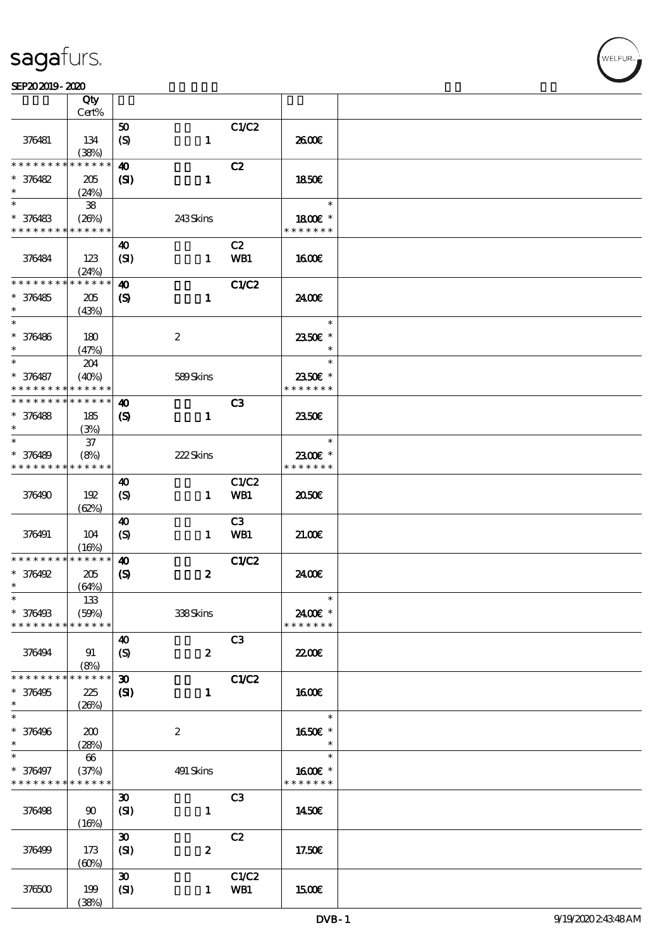#### $SEP202019 - 2020$

|                             | Qty                   |                               |                  |                |                          |  |
|-----------------------------|-----------------------|-------------------------------|------------------|----------------|--------------------------|--|
|                             | Cert%                 | 50                            |                  | C1/C2          |                          |  |
| 376481                      | 134                   | $\boldsymbol{S}$              | $\mathbf{1}$     |                | 2600E                    |  |
|                             | (38%)                 |                               |                  |                |                          |  |
| * * * * * * *               | * * * * *             | $\boldsymbol{\omega}$         |                  | C2             |                          |  |
| $* 376482$                  | 205                   | (S)                           | $\mathbf{1}$     |                | <b>1850€</b>             |  |
| $\ast$                      | (24%)                 |                               |                  |                |                          |  |
| $\ast$                      | ${\bf 38}$            |                               |                  |                | $\ast$                   |  |
| * 376483<br>* * * * * * * * | (20%)                 |                               | 243Skins         |                | 1800E *<br>* * * * * * * |  |
|                             | * * * * * *           |                               |                  |                |                          |  |
| 376484                      | 123                   | $\boldsymbol{\omega}$<br>(SI) | $\mathbf{1}$     | C2<br>WB1      | 1600                     |  |
|                             | (24%)                 |                               |                  |                |                          |  |
| * * * * * * * *             | * * * * * *           | $\boldsymbol{\omega}$         |                  | C1/C2          |                          |  |
| $* 376485$                  | 205                   | $\boldsymbol{S}$              | $\mathbf{1}$     |                | 24.00E                   |  |
| $\ast$                      | (43%)                 |                               |                  |                |                          |  |
| $\ast$                      |                       |                               |                  |                | $\ast$                   |  |
| * 376486<br>$\ast$          | 180                   |                               | $\boldsymbol{2}$ |                | 2350€ *<br>$\ast$        |  |
| $*$                         | (47%)                 |                               |                  |                | $\ast$                   |  |
| * 376487                    | 204<br>(40%)          |                               | 589Skins         |                | 2350€ *                  |  |
| * * * * * * * *             | * * * * * *           |                               |                  |                | * * * * * * *            |  |
| * * * * * * * *             | * * * * * *           | 40                            |                  | C <sub>3</sub> |                          |  |
| * 376488                    | 185                   | $\boldsymbol{\mathcal{S}}$    | $\mathbf{1}$     |                | 2350E                    |  |
| $\ast$                      | (3%)                  |                               |                  |                |                          |  |
| $\ast$                      | $37\,$                |                               |                  |                | $\ast$                   |  |
| * 376489                    | (8%)                  |                               | 222Skins         |                | 2300€ *                  |  |
| * * * * * * * *             | * * * * * *           |                               |                  |                | * * * * * * *            |  |
| 376490                      | 192                   | $\boldsymbol{\omega}$<br>(S)  | $\mathbf{1}$     | C1/C2<br>WB1   | 2050                     |  |
|                             | (62%)                 |                               |                  |                |                          |  |
|                             |                       | $\boldsymbol{\omega}$         |                  | C <sub>3</sub> |                          |  |
| 376491                      | 104                   | $\boldsymbol{S}$              | $\mathbf{1}$     | WB1            | 21.00E                   |  |
|                             | (16%)                 |                               |                  |                |                          |  |
| * * * * * * * *             | * * * * * *           | $\boldsymbol{\omega}$         |                  | <b>C1/C2</b>   |                          |  |
| $*$ 376492<br>$\ast$        | 205                   | $\boldsymbol{\mathcal{S}}$    | $\boldsymbol{z}$ |                | 2400€                    |  |
| $\ast$                      | (64%)<br>133          |                               |                  |                | ∗                        |  |
| * 376498                    | (50%)                 |                               | 338Skins         |                | 2400€ *                  |  |
| * * * * * * * *             | * * * * * *           |                               |                  |                | * * * * * * *            |  |
|                             |                       | 40                            |                  | C <sub>3</sub> |                          |  |
| 376494                      | 91                    | $\boldsymbol{\mathrm{(S)}}$   | $\boldsymbol{z}$ |                | <b>2200E</b>             |  |
|                             | (8%)                  |                               |                  |                |                          |  |
| * * * * * * * *             | * * * * * *           | $\boldsymbol{\mathfrak{D}}$   |                  | <b>C1/C2</b>   |                          |  |
| * 376495<br>$\ast$          | 225<br>(20%)          | $\mathbf{S}$                  | $\mathbf{1}$     |                | <b>1600€</b>             |  |
| $\overline{\ast}$           |                       |                               |                  |                | $\ast$                   |  |
| * 376496                    | 200                   |                               | $\boldsymbol{z}$ |                | 1650€ *                  |  |
| $\ast$                      | (28%)                 |                               |                  |                | $\ast$                   |  |
| $\ast$                      | 66                    |                               |                  |                | $\ast$                   |  |
| * 376497                    | (37%)                 |                               | 491 Skins        |                | 1600E *                  |  |
| * * * * * * * *             | * * * * * *           |                               |                  |                | * * * * * * *            |  |
|                             |                       | $\boldsymbol{\mathfrak{D}}$   |                  | C3             |                          |  |
| 376498                      | $90^{\circ}$<br>(16%) | (SI)                          | $\mathbf{1}$     |                | 1450E                    |  |
|                             |                       | $\pmb{\mathfrak{D}}$          |                  | C2             |                          |  |
| 376499                      | 173                   | (SI)                          | $\boldsymbol{z}$ |                | 17.50€                   |  |
|                             | (60%)                 |                               |                  |                |                          |  |
|                             |                       | $\boldsymbol{\mathfrak{D}}$   |                  | C1/C2          |                          |  |
| 376500                      | 199                   | (SI)                          | $\mathbf{1}$     | WB1            | <b>1500€</b>             |  |
|                             | (38%)                 |                               |                  |                |                          |  |

**NELFUR**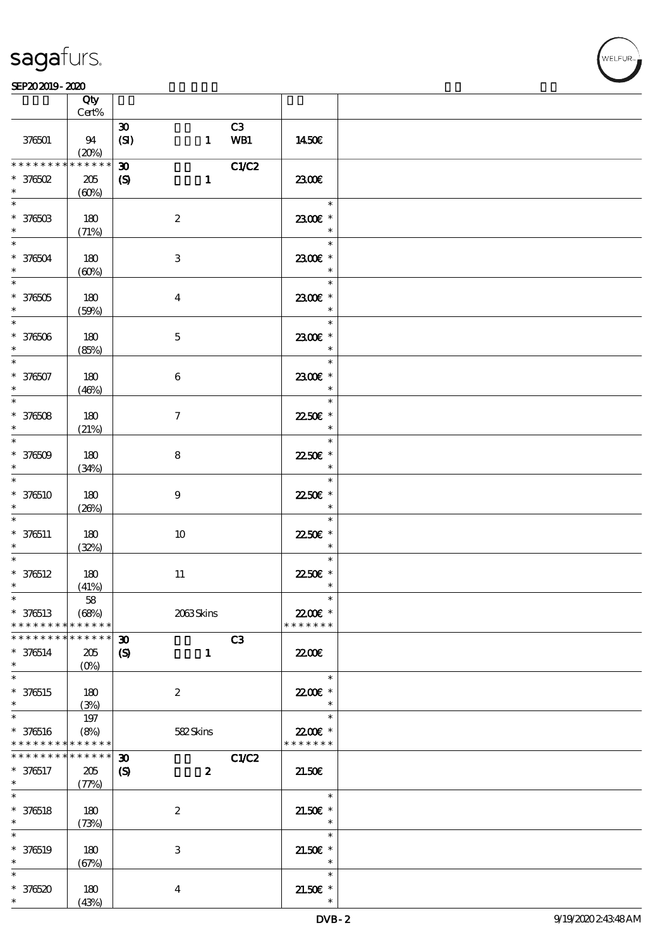

|                                                                    | Qty<br>Cert%                       |                                                            |                                                   |  |
|--------------------------------------------------------------------|------------------------------------|------------------------------------------------------------|---------------------------------------------------|--|
|                                                                    |                                    | C3                                                         |                                                   |  |
| 376501                                                             | 94<br>(20%)                        | $\boldsymbol{\mathfrak{D}}$<br>(SI)<br>WB1<br>$\mathbf{1}$ | 1450E                                             |  |
| * * * * * * * *                                                    | * * * * * *                        | C1/C2<br>$\boldsymbol{\mathfrak{D}}$                       |                                                   |  |
| $*$ 376502<br>$\ast$                                               | 205<br>(60%)                       | $\boldsymbol{S}$<br>$\mathbf{1}$                           | 2300                                              |  |
| $\overline{\ast}$<br>$* 37650B$<br>$\ast$                          | 180<br>(71%)                       | $\boldsymbol{2}$                                           | $\overline{\phantom{a}}$<br>2300€ *<br>$\ast$     |  |
| $\overline{\ast}$<br>$* 376504$<br>$\ast$                          | 180<br>(60%)                       | $\,3$                                                      | $\ast$<br>2300€ *<br>$\ast$                       |  |
| $\overline{\phantom{0}}$<br>$^\ast$ 376505<br>$\ast$               | 180<br>(50%)                       | $\boldsymbol{4}$                                           | $\overline{\ast}$<br>2300€ *<br>$\ast$            |  |
| $\overline{\phantom{0}}$<br>$* 376506$<br>$\ast$                   | 180<br>(85%)                       | $\mathbf 5$                                                | $\ast$<br>2300€ *<br>$\ast$                       |  |
| $\ast$<br>$* 376507$<br>$\ast$                                     | 180<br>(46%)                       | 6                                                          | $\ast$<br>2300€ *<br>$\ast$                       |  |
| $\overline{\phantom{0}}$<br>$* 376508$<br>$\ast$                   | 180<br>(21%)                       | $\tau$                                                     | $\ast$<br>22.50€ *<br>$\ast$                      |  |
| $\overline{\ast}$<br>$* 376509$<br>$\ast$                          | 180<br>(34%)                       | $\bf 8$                                                    | $\ast$<br>2250€ *<br>$\ast$                       |  |
| $\ast$<br>$* 376510$<br>$\ast$                                     | 180<br>(20%)                       | $\boldsymbol{9}$                                           | $\ast$<br>22.50€ *<br>$\ast$                      |  |
| $\ast$<br>$* 376511$<br>$\ast$                                     | 180<br>(32%)                       | $10\,$                                                     | $\ast$<br>22.50€ *<br>$\rightarrow$ $\rightarrow$ |  |
| $\ast$<br>$* 376512$<br>$\ast$                                     | 180<br>(41%)                       | $11\,$                                                     | $\ast$<br>22.50€ *<br>$\ast$                      |  |
| $*$<br>$* 376513$<br>* * * * * * * *                               | ${\bf 58}$<br>(68%)<br>* * * * * * | 2063Skins                                                  | $\ast$<br>22.00€ *<br>* * * * * * *               |  |
| * * * * * * * *                                                    | * * * * * *                        | C3<br>$\boldsymbol{\mathfrak{D}}$                          |                                                   |  |
| $* 376514$<br>$\ast$                                               | 205<br>$(O\%)$                     | $\boldsymbol{\mathcal{S}}$<br>$\mathbf{1}$                 | 2200                                              |  |
| $\ast$<br>$* 376515$<br>$\ast$                                     | 180<br>(3%)                        | $\boldsymbol{2}$                                           | $\ast$<br>22.00 *<br>$\ast$                       |  |
| $\ast$<br>$* 376516$<br>* * * * * * * * <mark>* * * * * *</mark> * | 197<br>(8%)                        | 582Skins                                                   | $\ast$<br>22.00€ *<br>* * * * * * *               |  |
| * * * * * * * *                                                    | * * * * * *                        | C1/C2<br>$\boldsymbol{\mathfrak{D}}$                       |                                                   |  |
| $* 376517$<br>$*$                                                  | $205\,$<br>(77%)                   | $\boldsymbol{\mathcal{S}}$<br>$\boldsymbol{z}$             | 21.50E                                            |  |
| $\overline{\ast}$<br>$* 376518$<br>$\ast$                          | 180<br>(73%)                       | $\boldsymbol{2}$                                           | $\ast$<br>$21.50E$ *<br>$\ast$                    |  |
| $\ast$<br>$* 376519$<br>$\ast$                                     | 180<br>(67%)                       | $\,3$                                                      | $\ast$<br>$21.50E$ *<br>$\ast$                    |  |
| $\ast$<br>$* 376520$<br>$\ast$                                     | 180<br>(43%)                       | $\boldsymbol{4}$                                           | $\ast$<br>$21.50E$ *<br>$\ast$                    |  |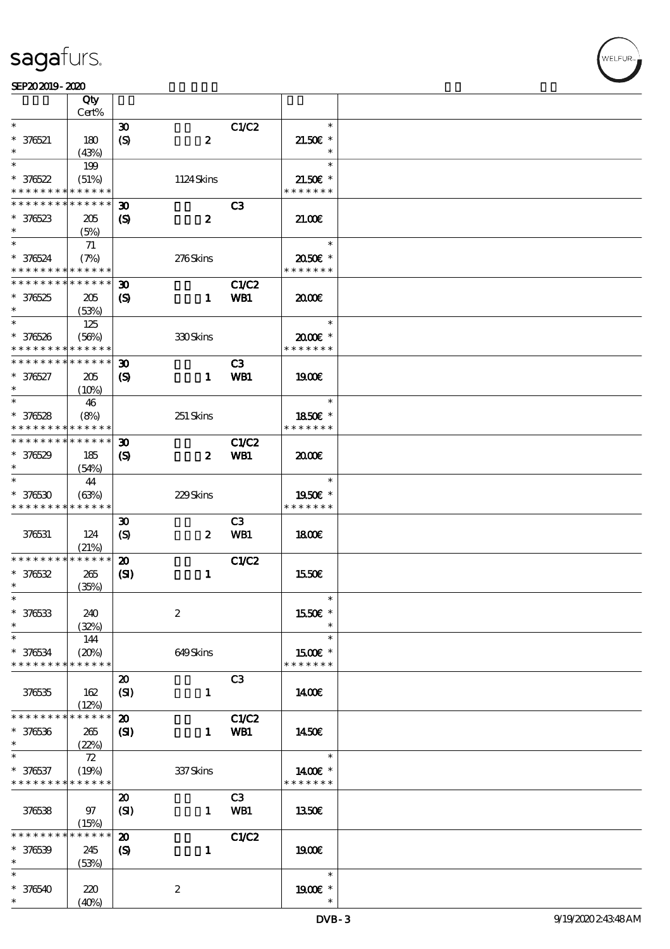$\overline{\mathsf{T}}$ 

#### $SEP202019 - 2020$

|                                                                  | Qty<br>Cert%                |                                                            |                  |                     |                                    |  |
|------------------------------------------------------------------|-----------------------------|------------------------------------------------------------|------------------|---------------------|------------------------------------|--|
| $\ast$                                                           |                             | $\boldsymbol{\mathfrak{D}}$                                |                  | C1/C2               | $\ast$                             |  |
| $* 376521$                                                       | 180<br>(43%)                | $\boldsymbol{\mathrm{(S)}}$                                | $\boldsymbol{z}$ |                     | $21.50E$ *<br>$\ast$               |  |
| $\ast$                                                           |                             |                                                            |                  |                     | $\ast$                             |  |
| $*376522$<br>* * * * * * * *                                     | 199<br>(51%)<br>* * * * * * |                                                            | 1124Skins        |                     | $21.50E$ *<br>* * * * * * *        |  |
|                                                                  |                             |                                                            |                  |                     |                                    |  |
| * * * * * * * *<br>$* 376523$<br>$\ast$                          | * * * * * *<br>205          | $\boldsymbol{\mathfrak{D}}$<br>$\boldsymbol{\mathrm{(S)}}$ | $\boldsymbol{z}$ | C <sub>3</sub>      | 21.00                              |  |
|                                                                  | (5%)                        |                                                            |                  |                     |                                    |  |
| $\ast$<br>* 376524<br>* * * * * * * * <mark>* * * * * * *</mark> | 71<br>(7%)                  |                                                            | 276Skins         |                     | $\ast$<br>2050E *<br>* * * * * * * |  |
| * * * * * * * * <mark>* * * * * *</mark>                         |                             |                                                            |                  |                     |                                    |  |
| $*376525$<br>$\ast$                                              | 205<br>(53%)                | $\boldsymbol{\mathfrak{D}}$<br>$\boldsymbol{\mathcal{S}}$  | $\mathbf{1}$     | <b>C1/C2</b><br>WB1 | 2000                               |  |
| $\ast$                                                           |                             |                                                            |                  |                     | $\ast$                             |  |
| * 376526<br>* * * * * * * *                                      | 125<br>(56%)<br>* * * * * * |                                                            | <b>330Skins</b>  |                     | $2000$ $*$<br>* * * * * * *        |  |
| * * * * * * * *                                                  | * * * * * *                 | $\boldsymbol{\mathfrak{D}}$                                |                  | C3                  |                                    |  |
| $* 376527$<br>$\ast$                                             | 205<br>(10%)                | $\boldsymbol{\mathrm{(S)}}$                                | $\mathbf{1}$     | WB1                 | 1900E                              |  |
| $\ast$                                                           | 46                          |                                                            |                  |                     | $\ast$                             |  |
| $* 376528$<br>* * * * * * * *                                    | (8%)<br>$******$            |                                                            | 251 Skins        |                     | 1850E *<br>* * * * * * *           |  |
| * * * * * * * *                                                  | * * * * * *                 | $\boldsymbol{\mathfrak{D}}$                                |                  | C1/C2               |                                    |  |
| $* 376529$<br>$\ast$                                             | 185<br>(54%)                | $\boldsymbol{\mathrm{(S)}}$                                | $\boldsymbol{z}$ | WB1                 | 2000                               |  |
| $\ast$<br>$*376530$                                              | 44<br>(63%)                 |                                                            | 229Skins         |                     | $\ast$<br>1950€ *                  |  |
| * * * * * * * *                                                  | * * * * * *                 |                                                            |                  |                     | * * * * * * *                      |  |
| 376531                                                           | 124<br>(21%)                | $\boldsymbol{\mathfrak{D}}$<br>$\boldsymbol{\mathrm{(S)}}$ | $\boldsymbol{z}$ | C3<br><b>WB1</b>    | 1800                               |  |
| * * * * * * * *                                                  | * * * * * *                 | $\boldsymbol{\mathfrak{D}}$                                |                  | C1/C2               |                                    |  |
| $* 376532$<br>$\ast$                                             | 265<br>(35%)                | $\mathbf{S}$                                               | $\mathbf{1}$     |                     | 1550€                              |  |
| $\ast$                                                           |                             |                                                            |                  |                     | $\ast$                             |  |
| $* 376533$<br>$\ast$                                             | 240<br>(32%)                |                                                            | $\boldsymbol{2}$ |                     | 1550€ *                            |  |
| $\ast$                                                           | 144                         |                                                            |                  |                     | $\ast$                             |  |
| $* 376534$<br>* * * * * * * *                                    | (20%)<br>* * * * * *        |                                                            | 649Skins         |                     | 1500E *<br>* * * * * * *           |  |
| 376535                                                           | 162<br>(12%)                | $\boldsymbol{\mathbf{z}}$<br>(SI)                          | $\mathbf{1}$     | C3                  | 1400E                              |  |
| * * * * * * * *                                                  | * * * * * *                 | $\boldsymbol{\mathbf{z}}$                                  |                  | C1/C2               |                                    |  |
| $* 376536$<br>$\ast$                                             | 265<br>(22%)                | $\mathbf{C}$                                               | $\mathbf{1}$     | WB1                 | 1450€                              |  |
| $\ast$                                                           | $72\,$                      |                                                            |                  |                     | $\ast$                             |  |
| * 376537<br>* * * * * * * *                                      | (19%)<br>* * * * * *        |                                                            | 337 Skins        |                     | 1400€ *<br>* * * * * * *           |  |
| 376538                                                           | 97<br>(15%)                 | $\boldsymbol{\mathsf{20}}$<br>(SI)                         | $\mathbf{1}$     | C3<br>WB1           | 1350E                              |  |
| * * * * * * *                                                    | $***$ * * *                 | $\boldsymbol{\mathfrak{D}}$                                |                  | C1/C2               |                                    |  |
| $* 376539$<br>$\ast$                                             | 245<br>(53%)                | $\boldsymbol{\mathrm{(S)}}$                                | $\mathbf{1}$     |                     | 1900E                              |  |
| $\ast$                                                           |                             |                                                            |                  |                     | $\ast$                             |  |
| $* 376540$                                                       | 220<br>(40%)                |                                                            | $\boldsymbol{z}$ |                     | 1900E *                            |  |
|                                                                  |                             |                                                            |                  |                     |                                    |  |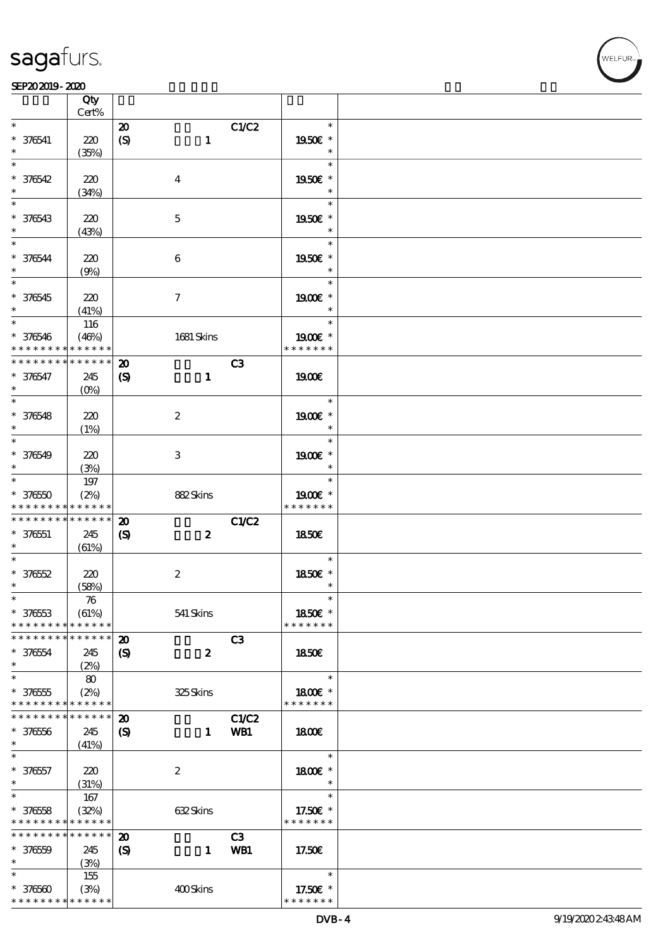#### SEP202019-2020

 $\overline{\mathbf{Q}}$ 

|                                          | Qty<br>Cert%       |                             |                  |       |               |  |
|------------------------------------------|--------------------|-----------------------------|------------------|-------|---------------|--|
| $\ast$                                   |                    |                             |                  |       | $\ast$        |  |
|                                          |                    | $\boldsymbol{\mathbf{z}}$   |                  | C1/C2 |               |  |
| $* 376541$                               | 220                | $\boldsymbol{S}$            | $\mathbf{1}$     |       | 1950E *       |  |
| $\ast$                                   | (35%)              |                             |                  |       | $\ast$        |  |
| $\ast$                                   |                    |                             |                  |       | $\ast$        |  |
| $* 376542$                               | 220                |                             | $\bf{4}$         |       | 1950E *       |  |
| $\ast$                                   | (34%)              |                             |                  |       | $\ast$        |  |
|                                          |                    |                             |                  |       | $\ast$        |  |
| $* 376543$                               | 220                |                             | $\mathbf 5$      |       | 1950E *       |  |
| $\ast$                                   | (43%)              |                             |                  |       | $\ast$        |  |
| $\overline{\mathbf{r}}$                  |                    |                             |                  |       | $\ast$        |  |
|                                          |                    |                             |                  |       |               |  |
| * 376544                                 | 220                |                             | $\boldsymbol{6}$ |       | 1950E *       |  |
| $\ast$                                   | (9%)               |                             |                  |       | $\ast$        |  |
|                                          |                    |                             |                  |       | $\ast$        |  |
| $* 376545$                               | 220                |                             | $\tau$           |       | 1900E *       |  |
| $\ast$                                   | (41%)              |                             |                  |       | $\ast$        |  |
| $*$                                      | 116                |                             |                  |       | $\ast$        |  |
| $* 376546$                               | (46%)              |                             | 1681 Skins       |       | 1900E *       |  |
| * * * * * * * *                          | * * * * * *        |                             |                  |       | * * * * * * * |  |
| * * * * * * * *                          | $* * * * * * *$    | $\boldsymbol{\mathbf{z}}$   |                  | C3    |               |  |
| * 376547                                 | 245                | $\boldsymbol{\mathrm{(S)}}$ | $\mathbf{1}$     |       | 1900E         |  |
| $\ast$                                   | $(O\%)$            |                             |                  |       |               |  |
| $\overline{\ast}$                        |                    |                             |                  |       | $\ast$        |  |
|                                          |                    |                             |                  |       |               |  |
| $* 376548$                               | 220                |                             | $\boldsymbol{2}$ |       | 1900E *       |  |
| $\ast$                                   | (1%)               |                             |                  |       | $\ast$        |  |
|                                          |                    |                             |                  |       | $\ast$        |  |
| $* 376549$                               | 220                |                             | 3                |       | $1900E$ *     |  |
| $\ast$                                   | (3%)               |                             |                  |       | $\ast$        |  |
| $\overline{\phantom{0}}$                 | 197                |                             |                  |       | $\ast$        |  |
| $* 37650$                                | (2%)               |                             | 882Skins         |       | 1900E *       |  |
| * * * * * * * *                          | * * * * * *        |                             |                  |       | * * * * * * * |  |
| * * * * * * * * <mark>*</mark>           | $* * * * * * *$    | $\boldsymbol{\mathbf{z}}$   |                  | C1/C2 |               |  |
| $* 376551$                               | 245                | $\boldsymbol{\mathcal{S}}$  | $\boldsymbol{z}$ |       | <b>1850€</b>  |  |
| $\ast$                                   | (61%)              |                             |                  |       |               |  |
| $\ast$                                   |                    |                             |                  |       | $\ast$        |  |
|                                          |                    |                             |                  |       |               |  |
| $* 37652$                                | 220                |                             | $\boldsymbol{2}$ |       | 1850E *       |  |
| $\ast$                                   | (58%)              |                             |                  |       | $\ast$        |  |
| $\ast$                                   | $\boldsymbol{\pi}$ |                             |                  |       | $\ast$        |  |
| $* 37653$                                | (61%)              |                             | 541 Skins        |       | 1850€ *       |  |
| * * * * * * * *                          | * * * * * *        |                             |                  |       | * * * * * * * |  |
| * * * * * * * *                          | * * * * * *        | $\boldsymbol{\mathbf{z}}$   |                  | C3    |               |  |
| $* 376554$                               | 245                | $\boldsymbol{\mathcal{S}}$  | $\boldsymbol{z}$ |       | 1850E         |  |
| $\ast$                                   | (2%)               |                             |                  |       |               |  |
| $\ast$                                   | 80                 |                             |                  |       | $\ast$        |  |
| $* 376555$                               | (2%)               |                             | 325Skins         |       | 1800E *       |  |
| * * * * * * * *                          | * * * * * *        |                             |                  |       | * * * * * * * |  |
| * * * * * * * *                          | * * * * * *        | $\boldsymbol{\mathbf{z}}$   |                  | C1/C2 |               |  |
|                                          |                    |                             |                  |       |               |  |
| $* 37656$                                | 245                | $\boldsymbol{\mathcal{S}}$  | $\mathbf{1}$     | WB1   | 1800          |  |
| $\ast$                                   | (41%)              |                             |                  |       |               |  |
| $\ast$                                   |                    |                             |                  |       | $\ast$        |  |
| $* 376557$                               | 220                |                             | $\boldsymbol{2}$ |       | 1800 £*       |  |
| $\ast$                                   | (31%)              |                             |                  |       | $\ast$        |  |
| $\ast$                                   | 167                |                             |                  |       | $\ast$        |  |
| $* 37658$                                | (32%)              |                             | 632Skins         |       | 17.50€ *      |  |
| * * * * * * * *                          | * * * * * *        |                             |                  |       | * * * * * * * |  |
| * * * * * * * *                          | * * * * * *        | $\boldsymbol{\mathbf{z}}$   |                  | C3    |               |  |
| $* 37650$                                | 245                | $\boldsymbol{S}$            | $\mathbf{1}$     | WB1   | 17.50E        |  |
| $\ast$                                   | (3%)               |                             |                  |       |               |  |
| $\ast$                                   | 155                |                             |                  |       | $\ast$        |  |
|                                          |                    |                             |                  |       |               |  |
| $* 376560$                               | (3%)               |                             | 400Skins         |       | 17.50€ *      |  |
| * * * * * * * * <mark>* * * * * *</mark> |                    |                             |                  |       | * * * * * * * |  |

.<br>FUR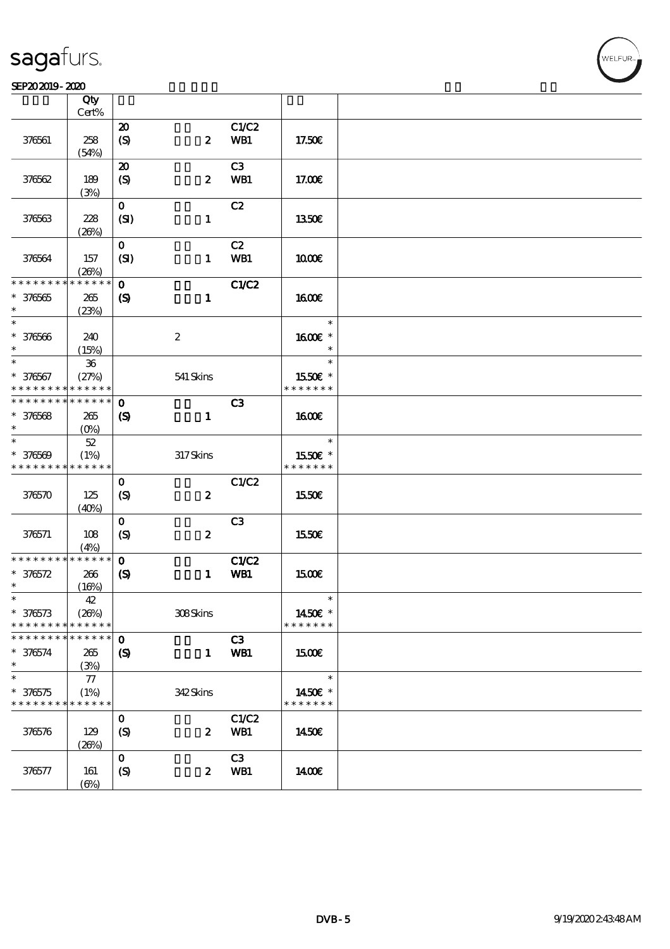#### SEP202019-2020

|                                           | Qty               |                             |                  |                |                          |  |
|-------------------------------------------|-------------------|-----------------------------|------------------|----------------|--------------------------|--|
|                                           | Cert%             |                             |                  |                |                          |  |
|                                           |                   | $\boldsymbol{\mathfrak{D}}$ |                  | C1/C2          |                          |  |
| 376561                                    | 258               | $\boldsymbol{S}$            | $\boldsymbol{z}$ | WB1            | 17.50E                   |  |
|                                           | (54%)             |                             |                  |                |                          |  |
|                                           |                   | $\boldsymbol{\mathsf{20}}$  |                  | C3             |                          |  |
| 376562                                    | 189               | (S)                         | $\boldsymbol{z}$ | WB1            | 17.00E                   |  |
|                                           | (3%)              |                             |                  |                |                          |  |
|                                           |                   | $\mathbf{o}$                |                  | C2             |                          |  |
| 376563                                    | 228               | (SI)                        | $\mathbf{1}$     |                | 1350E                    |  |
|                                           | (20%)             |                             |                  |                |                          |  |
|                                           |                   | $\mathbf{o}$                |                  | C2             |                          |  |
| 376564                                    | 157               | (SI)                        | $\mathbf{1}$     | WB1            | 1000E                    |  |
|                                           | (20%)             |                             |                  |                |                          |  |
| * * * * * * * *                           | * * * * * *       | $\mathbf 0$                 |                  | <b>C1/C2</b>   |                          |  |
| $* 376565$                                | 265               | $\boldsymbol{S}$            | $\mathbf{1}$     |                | 1600E                    |  |
| $\ast$                                    | (23%)             |                             |                  |                |                          |  |
| $\ast$                                    |                   |                             |                  |                | $\ast$                   |  |
| $* 376566$                                | 240               |                             | $\boldsymbol{2}$ |                | 1600€ *                  |  |
| $\ast$                                    | (15%)             |                             |                  |                | $\ast$                   |  |
| $\ast$                                    | ${\bf 36}$        |                             |                  |                | $\ast$                   |  |
| $* 376567$                                | (27%)             |                             | 541 Skins        |                | 1550€ *                  |  |
| * * * * * * * *                           | * * * * * *       |                             |                  |                | * * * * * * *            |  |
| * * * * * * * *                           | * * * * * *       | $\mathbf 0$                 |                  | C <sub>3</sub> |                          |  |
|                                           |                   |                             |                  |                | <b>160€</b>              |  |
| $* 376568$<br>$\ast$                      | 265               | $\boldsymbol{S}$            | $\mathbf{1}$     |                |                          |  |
| $\ast$                                    | (O <sub>0</sub> ) |                             |                  |                | $\ast$                   |  |
|                                           | $52\,$            |                             |                  |                |                          |  |
| $* 376569$<br>* * * * * * * * * * * * * * | (1%)              |                             | $317$ Skins      |                | 1550€ *<br>* * * * * * * |  |
|                                           |                   |                             |                  |                |                          |  |
|                                           |                   | $\mathbf 0$                 |                  | C1/C2          |                          |  |
| 376570                                    | 125               | $\boldsymbol{S}$            | $\pmb{2}$        |                | 1550€                    |  |
|                                           | (40%)             |                             |                  |                |                          |  |
|                                           |                   | $\mathbf{o}$                |                  | C3             |                          |  |
| 376571                                    | 108               | $\boldsymbol{S}$            | $\boldsymbol{2}$ |                | 1550€                    |  |
|                                           | (4%)              |                             |                  |                |                          |  |
| * * * * * * * *                           | * * * * * *       | $\mathbf{o}$                |                  | <b>C1/C2</b>   |                          |  |
| $* 376572$                                | 266               | $\boldsymbol{\mathrm{(S)}}$ | $\mathbf{1}$     | WB1            | 1500                     |  |
| $\ast$                                    | (16%)             |                             |                  |                |                          |  |
| $\ast$                                    | $42\,$            |                             |                  |                | $\ast$                   |  |
| $* 376573$                                | (20%)             |                             | 308Skins         |                | 1450€ *                  |  |
| * * * * * * * *                           | * * * * * *       |                             |                  |                | * * * * * * *            |  |
| * * * * * * *                             | * * * * * *       | $\mathbf 0$                 |                  | C3             |                          |  |
| $* 376574$                                | 265               | $\boldsymbol{\mathcal{S}}$  | $\mathbf{1}$     | WB1            | <b>1500€</b>             |  |
| $\ast$                                    | (3%)              |                             |                  |                |                          |  |
| $\ast$                                    | 77                |                             |                  |                | $\ast$                   |  |
| $* 376575$                                | (1%)              |                             | 342Skins         |                | 1450€ *                  |  |
| * * * * * * * *                           | * * * * * *       |                             |                  |                | * * * * * * *            |  |
|                                           |                   | $\mathbf 0$                 |                  | C1/C2          |                          |  |
| 376576                                    | 129               | $\boldsymbol{S}$            | $\boldsymbol{z}$ | WB1            | 1450€                    |  |
|                                           | (20%)             |                             |                  |                |                          |  |
|                                           |                   | $\mathbf{o}$                |                  | C3             |                          |  |
| 376577                                    | 161               | $\boldsymbol{S}$            | $\boldsymbol{z}$ | WB1            | 1400E                    |  |
|                                           | $(\Theta)$        |                             |                  |                |                          |  |
|                                           |                   |                             |                  |                |                          |  |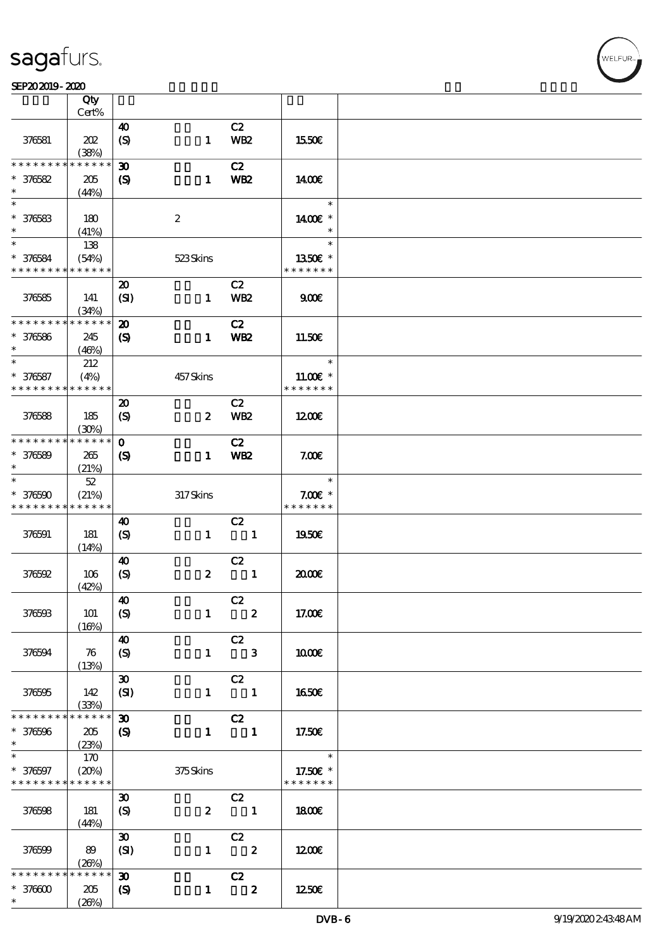#### SEP202019-2020

|                                          | Qty                  |                                           |                  |                            |                           |  |
|------------------------------------------|----------------------|-------------------------------------------|------------------|----------------------------|---------------------------|--|
|                                          | Cert%                |                                           |                  |                            |                           |  |
| 376581                                   | 202<br>(38%)         | $\boldsymbol{\omega}$<br>$\boldsymbol{S}$ | $\mathbf{1}$     | C2<br><b>WB2</b>           | 1550E                     |  |
| * * * * * * * *                          | * * * * * *          | 30                                        |                  | C2                         |                           |  |
| $* 376582$                               | 205                  | $\boldsymbol{S}$                          | $\mathbf{1}$     | <b>WB2</b>                 | 1400                      |  |
| $\ast$                                   | (44%)                |                                           |                  |                            |                           |  |
| $\ast$                                   |                      |                                           |                  |                            | $\ast$                    |  |
| $* 376583$                               | 180                  |                                           | $\boldsymbol{2}$ |                            | 1400€ *                   |  |
| $\ast$                                   | (41%)                |                                           |                  |                            | $\ast$                    |  |
| $\ast$                                   | 138                  |                                           |                  |                            | $\ast$                    |  |
| $* 376584$                               | (54%)                |                                           | 523Skins         |                            | 1350E *                   |  |
| * * * * * * * * <mark>* * * * * *</mark> |                      |                                           |                  |                            | * * * * * * *             |  |
|                                          |                      | $\boldsymbol{\mathfrak{D}}$               |                  | C2                         |                           |  |
| 376585                                   | 141                  | (SI)                                      | $\mathbf{1}$     | WB <sub>2</sub>            | 900                       |  |
| * * * * * * * *                          | (34%)<br>* * * * * * |                                           |                  |                            |                           |  |
|                                          |                      | $\boldsymbol{\mathfrak{D}}$               |                  | C2                         |                           |  |
| $* 376586$<br>$\ast$                     | 245                  | $\boldsymbol{\mathcal{S}}$                | $\mathbf{1}$     | WB <sub>2</sub>            | 11.50E                    |  |
| $*$                                      | (46%)<br>212         |                                           |                  |                            | $\ast$                    |  |
| $* 376587$                               | (4%)                 |                                           | 457Skins         |                            | $1100E$ *                 |  |
| * * * * * * * * * * * * * *              |                      |                                           |                  |                            | * * * * * * *             |  |
|                                          |                      | $\boldsymbol{\mathfrak{D}}$               |                  | C2                         |                           |  |
| 376588                                   | 185                  | $\boldsymbol{S}$                          | $\boldsymbol{z}$ | <b>WB2</b>                 | 1200E                     |  |
|                                          | (30%)                |                                           |                  |                            |                           |  |
| * * * * * * * *                          | * * * * * *          | $\mathbf{o}$                              |                  | C2                         |                           |  |
| $* 376589$                               | 265                  | $\boldsymbol{\mathsf{(S)}}$               | $\mathbf{1}$     | WB <sub>2</sub>            | 7.00E                     |  |
| $\ast$                                   | (21%)                |                                           |                  |                            |                           |  |
| $\ast$                                   | $52\,$               |                                           |                  |                            | $\ast$                    |  |
| $* 376500$                               | (21%)                |                                           | 317Skins         |                            | $7.00E$ *                 |  |
| * * * * * * * *                          | * * * * * *          |                                           |                  |                            | * * * * * * *             |  |
|                                          |                      | 40                                        |                  | C2                         |                           |  |
| 376591                                   | 181                  | $\boldsymbol{S}$                          | $\mathbf{1}$     | $\overline{\phantom{a}}$ 1 | 1950€                     |  |
|                                          | (14%)                |                                           |                  |                            |                           |  |
|                                          |                      | $\boldsymbol{\omega}$                     |                  | C2                         |                           |  |
| 376592                                   | 106                  | $\boldsymbol{S}$                          | $\boldsymbol{z}$ | $\blacksquare$             | 2000€                     |  |
|                                          | (42%)                | $\boldsymbol{\omega}$                     |                  | C2                         |                           |  |
| 376593                                   | 101                  | $\boldsymbol{S}$                          |                  | $1 \t2$                    | 17.00E                    |  |
|                                          | (16%)                |                                           |                  |                            |                           |  |
|                                          |                      | $\boldsymbol{\omega}$                     |                  | C2                         |                           |  |
| 376594                                   | 76                   | $\boldsymbol{S}$                          |                  | $1 \qquad 3$               | 1000E                     |  |
|                                          | (13%)                |                                           |                  |                            |                           |  |
|                                          |                      | $\boldsymbol{\mathfrak{D}}$               |                  | C2                         |                           |  |
| 376595                                   | 142                  | (SI)                                      | $\mathbf{1}$     | $\overline{\phantom{a}}$   | 1650€                     |  |
|                                          | (33%)                |                                           |                  |                            |                           |  |
| * * * * * * * *                          | * * * * * *          | $\boldsymbol{\mathfrak{D}}$               |                  | C2                         |                           |  |
| $* 376596$                               | 205                  | $\boldsymbol{\mathcal{S}}$                | $\mathbf{1}$     | $\blacksquare$             | 17.50€                    |  |
| $\ast$                                   | (23%)                |                                           |                  |                            |                           |  |
| $\ast$                                   | 170                  |                                           |                  |                            | $\ast$                    |  |
| $* 376597$<br>* * * * * * * *            | (20%)<br>* * * * * * |                                           | 375Skins         |                            | 17.50€ *<br>* * * * * * * |  |
|                                          |                      | $\boldsymbol{\mathfrak{D}}$               |                  | C2                         |                           |  |
| 376598                                   | 181                  |                                           |                  | $2 \qquad \qquad 1$        | <b>1800€</b>              |  |
|                                          | (44%)                | $\boldsymbol{S}$                          |                  |                            |                           |  |
|                                          |                      | $\pmb{\mathfrak{D}}$                      |                  | C2                         |                           |  |
| 376599                                   | 89                   | (SI)                                      |                  | $1 \t 2$                   | 1200E                     |  |
|                                          | (20%)                |                                           |                  |                            |                           |  |
| * * * * * * *                            | * * * * * *          | $\boldsymbol{\mathfrak{D}}$               |                  | C2                         |                           |  |
| $*37000$                                 | 205                  | $\boldsymbol{\mathcal{S}}$                | $\mathbf{1}$     | $\overline{\phantom{a}}$ 2 | 1250E                     |  |
| $\ast$                                   | (20%)                |                                           |                  |                            |                           |  |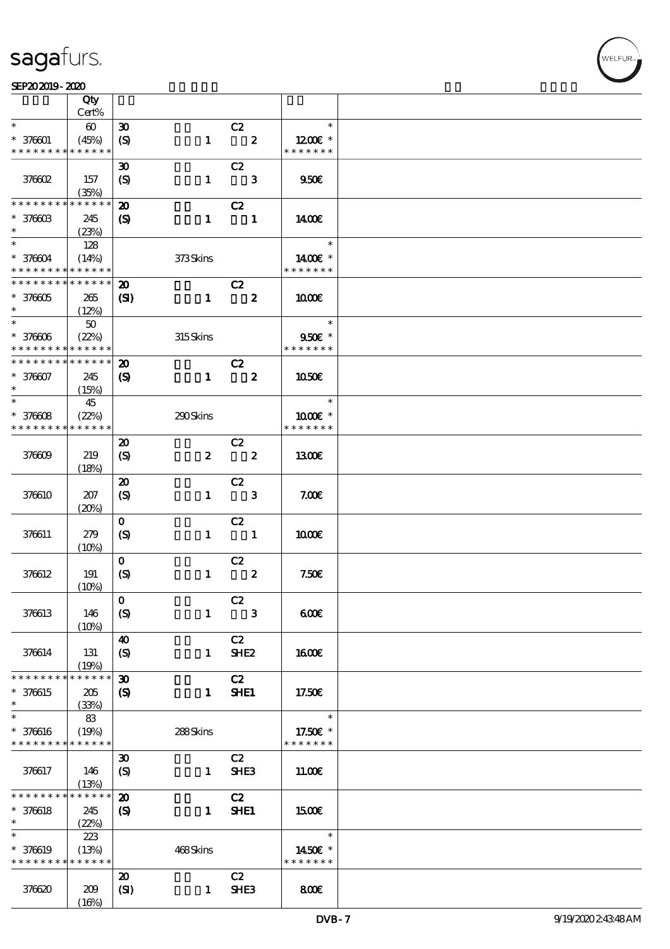$\top$ 

#### SEP202019-2020 DECEMBER 2020 DECEMBER 2020 DECEMBER 2020 DECEMBER 2020 DECEMBER 2020 DECEMBER 2020 DECEMBER 20<br>DECEMBER 2020 DECEMBER 2020 DECEMBER 2020 DECEMBER 2020 DECEMBER 2020 DECEMBER 2020 DECEMBER 2020 DECEMBER 202

|                                            | Qty<br>Cert%          |                             |                  |                            |                         |                            |  |
|--------------------------------------------|-----------------------|-----------------------------|------------------|----------------------------|-------------------------|----------------------------|--|
| $\ast$                                     |                       |                             |                  |                            |                         | $\ast$                     |  |
|                                            | $\boldsymbol{\omega}$ | $\boldsymbol{\mathfrak{D}}$ |                  | C2                         |                         |                            |  |
| $* 376001$<br>* * * * * * * *              | (45%)<br>* * * * * *  | $\boldsymbol{\mathrm{(S)}}$ | $\mathbf{1}$     |                            | $\overline{\mathbf{2}}$ | $1200E$ *<br>* * * * * * * |  |
|                                            |                       |                             |                  |                            |                         |                            |  |
|                                            |                       | $\boldsymbol{\mathfrak{D}}$ |                  | C2                         |                         |                            |  |
| <b>378602</b>                              | 157                   | $\boldsymbol{S}$            | $\mathbf{1}$     |                            | $\mathbf{3}$            | 950E                       |  |
|                                            | (35%)                 |                             |                  |                            |                         |                            |  |
| * * * * * * * *                            | * * * * * *           | $\boldsymbol{\mathbf{z}}$   |                  | C2                         |                         |                            |  |
| $* 37660B$                                 | 245                   | $\boldsymbol{\mathcal{S}}$  | $\mathbf{1}$     | $\overline{\phantom{a}}$   |                         | 1400E                      |  |
| $\ast$                                     | (23%)                 |                             |                  |                            |                         |                            |  |
|                                            | 128                   |                             |                  |                            |                         | $\ast$                     |  |
| $* 376604$                                 | (14%)                 |                             | 373Skins         |                            |                         | 1400€ *                    |  |
| * * * * * * * * <mark>* * * * * * *</mark> |                       |                             |                  |                            |                         | * * * * * * *              |  |
| * * * * * * * *                            | * * * * * *           | $\boldsymbol{\mathfrak{D}}$ |                  | C2                         |                         |                            |  |
| $* 376605$                                 | 265                   | $\mathbf{C}$                | $\mathbf{1}$     | $\overline{\mathbf{2}}$    |                         | 1000                       |  |
| $\ast$                                     | (12%)                 |                             |                  |                            |                         |                            |  |
| $*$                                        | $50\,$                |                             |                  |                            |                         | $\ast$                     |  |
| $* 376006$                                 | (22%)                 |                             | 315Skins         |                            |                         | 950€ *                     |  |
| * * * * * * * *                            | * * * * * *           |                             |                  |                            |                         | * * * * * * *              |  |
| * * * * * * * *                            | * * * * * *           | $\boldsymbol{\mathfrak{D}}$ |                  | C2                         |                         |                            |  |
| $* 376607$                                 | 245                   | $\boldsymbol{\mathrm{(S)}}$ | $\mathbf{1}$     |                            | $\overline{\mathbf{2}}$ | 1050E                      |  |
| $\ast$                                     |                       |                             |                  |                            |                         |                            |  |
| $\ast$                                     | (15%)<br>45           |                             |                  |                            |                         | $\ast$                     |  |
|                                            |                       |                             |                  |                            |                         | 1000 £*                    |  |
| $* 37660B$<br>* * * * * * * *              | (22%)<br>* * * * * *  |                             | 290Skins         |                            |                         | * * * * * * *              |  |
|                                            |                       |                             |                  |                            |                         |                            |  |
|                                            |                       | $\boldsymbol{\mathbf{z}}$   |                  | C2                         |                         |                            |  |
| 376609                                     | 219                   | $\boldsymbol{S}$            | $\boldsymbol{z}$ | $\overline{\mathbf{2}}$    |                         | 1300E                      |  |
|                                            | (18%)                 |                             |                  |                            |                         |                            |  |
|                                            |                       | $\boldsymbol{\mathsf{20}}$  |                  | C2                         |                         |                            |  |
| 376610                                     | 207                   | $\boldsymbol{S}$            | $\mathbf{1}$     |                            | $\mathbf{3}$            | 7.00E                      |  |
|                                            | (20%)                 |                             |                  |                            |                         |                            |  |
|                                            |                       | $\mathbf{o}$                |                  | C2                         |                         |                            |  |
| 376611                                     | 279                   | $\boldsymbol{\mathcal{S}}$  | $\mathbf{1}$     | $\overline{\phantom{a}}$   |                         | 1000E                      |  |
|                                            | (10%)                 |                             |                  |                            |                         |                            |  |
|                                            |                       | $\mathbf{O}$                |                  | C2                         |                         |                            |  |
| 376612                                     | 191                   | $\boldsymbol{S}$            | $\mathbf{1}$     |                            | $\boldsymbol{z}$        | 7.50E                      |  |
|                                            | (10%)                 |                             |                  |                            |                         |                            |  |
|                                            |                       | $\mathbf{O}$                |                  | C2                         |                         |                            |  |
| 376613                                     | 146                   | (S)                         | $\mathbf{1}$     | $\overline{\phantom{a}}$ 3 |                         | 600                        |  |
|                                            | (10%)                 |                             |                  |                            |                         |                            |  |
|                                            |                       | $\boldsymbol{\omega}$       |                  | C2                         |                         |                            |  |
| 376614                                     | 131                   | $\boldsymbol{S}$            | $\mathbf{1}$     | SHE <sub>2</sub>           |                         | 1600€                      |  |
|                                            | (19%)                 |                             |                  |                            |                         |                            |  |
| * * * * * * * *                            | * * * * * *           | $\boldsymbol{\mathfrak{D}}$ |                  | C2                         |                         |                            |  |
| * 376615                                   | 205                   | $\boldsymbol{\mathrm{(S)}}$ | $\mathbf{1}$     | <b>SHE1</b>                |                         | 17.50E                     |  |
| $\ast$                                     | (33%)                 |                             |                  |                            |                         |                            |  |
| $\ast$                                     | 83                    |                             |                  |                            |                         | $\ast$                     |  |
| * 376616                                   |                       |                             | 288Skins         |                            |                         | 17.50€ *                   |  |
| * * * * * * * *                            | (19%)<br>* * * * * *  |                             |                  |                            |                         | * * * * * * *              |  |
|                                            |                       |                             |                  |                            |                         |                            |  |
|                                            |                       | $\boldsymbol{\mathfrak{D}}$ |                  | C2                         |                         |                            |  |
| 376617                                     | 146                   | $\boldsymbol{\mathcal{S}}$  | $\mathbf{1}$     | SHE3                       |                         | 11.00E                     |  |
| * * * * * * * *                            | (13%)<br>* * * * * *  |                             |                  |                            |                         |                            |  |
|                                            |                       | $\boldsymbol{\mathfrak{D}}$ |                  | C2                         |                         |                            |  |
| * 376618                                   | 245                   | $\boldsymbol{S}$            | $\mathbf{1}$     | <b>SHE1</b>                |                         | 1500                       |  |
| $\ast$                                     | (22%)                 |                             |                  |                            |                         |                            |  |
| $\ast$                                     | 223                   |                             |                  |                            |                         | $\ast$                     |  |
| * 376619                                   | (13%)                 |                             | 468Skins         |                            |                         | 1450€ *                    |  |
| * * * * * * * *                            | * * * * * *           |                             |                  |                            |                         | * * * * * * *              |  |
|                                            |                       | $\boldsymbol{\mathfrak{D}}$ |                  | C2                         |                         |                            |  |
| 376620                                     | 209                   | (SI)                        | $\mathbf{1}$     | SHE3                       |                         | 800€                       |  |
|                                            | (16%)                 |                             |                  |                            |                         |                            |  |

 $\overline{\mathbf{r}}$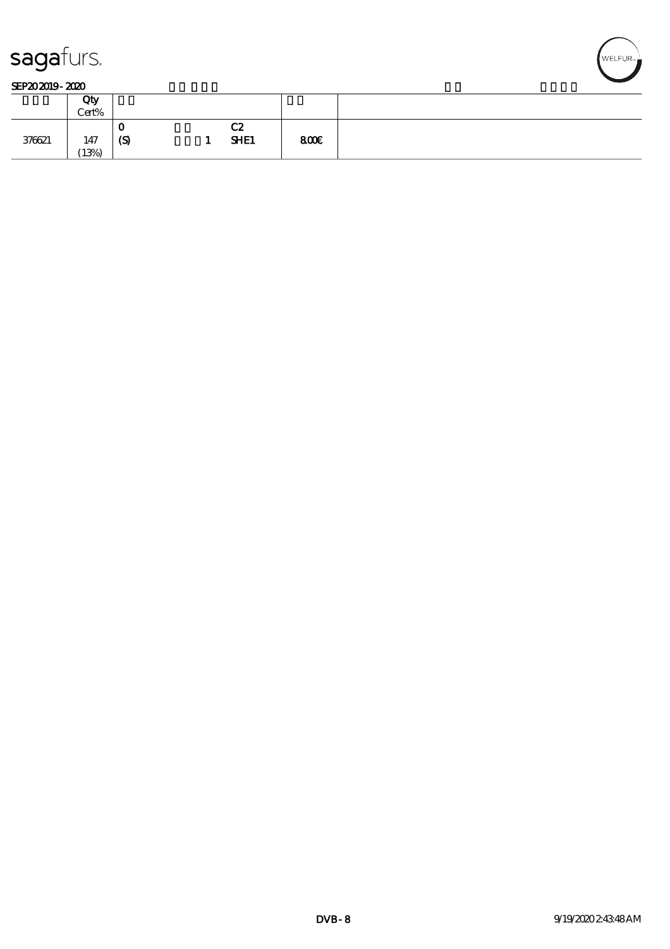

#### SEP202019-2020

|        | Qty<br>Cert% |          |                         |      |  |
|--------|--------------|----------|-------------------------|------|--|
| 376621 | 147<br>(13%) | v<br>(S) | rΩ<br>ua<br><b>SHE1</b> | 800E |  |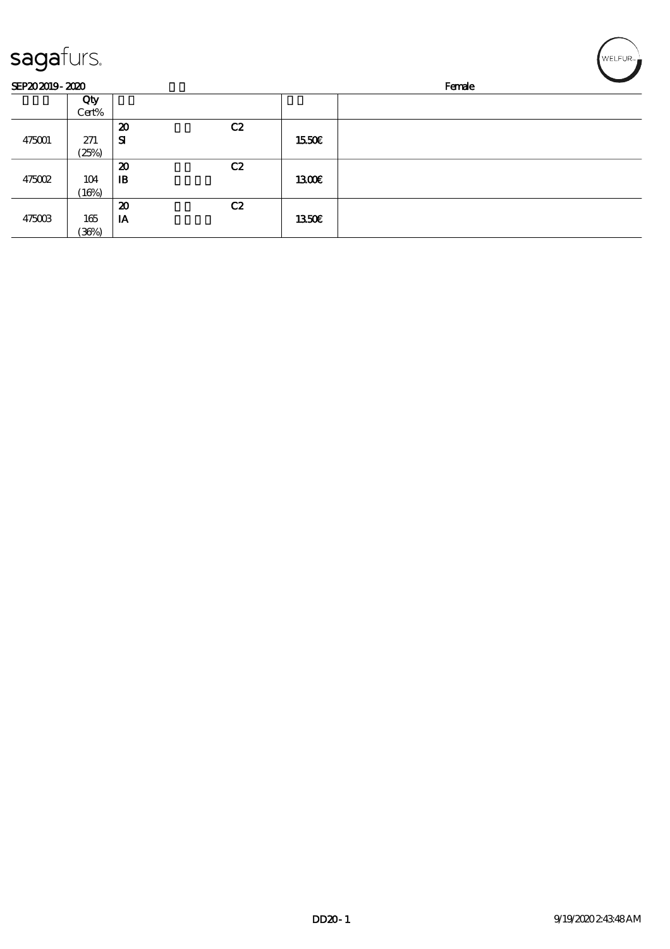| sagafurs.      |       |                             |    |              | WELFUR <sub>™</sub> |
|----------------|-------|-----------------------------|----|--------------|---------------------|
| SEP202019-2020 |       |                             |    |              | Female              |
|                | Qty   |                             |    |              |                     |
|                | Cert% |                             |    |              |                     |
|                |       | $\boldsymbol{\mathfrak{D}}$ | C2 |              |                     |
| 475001         | 271   | ${\bf s}$                   |    | 1550€        |                     |
|                | (25%) |                             |    |              |                     |
|                |       | $\boldsymbol{\mathsf{20}}$  | C2 |              |                     |
| 475002         | 104   | $\mathbf{B}$                |    | 1300E        |                     |
|                | (16%) |                             |    |              |                     |
|                |       | $\boldsymbol{\mathbf{z}}$   | C2 |              |                     |
| 475003         | 165   | IA                          |    | <b>1350€</b> |                     |
|                | (36%) |                             |    |              |                     |

╭  $\overline{\phantom{0}}$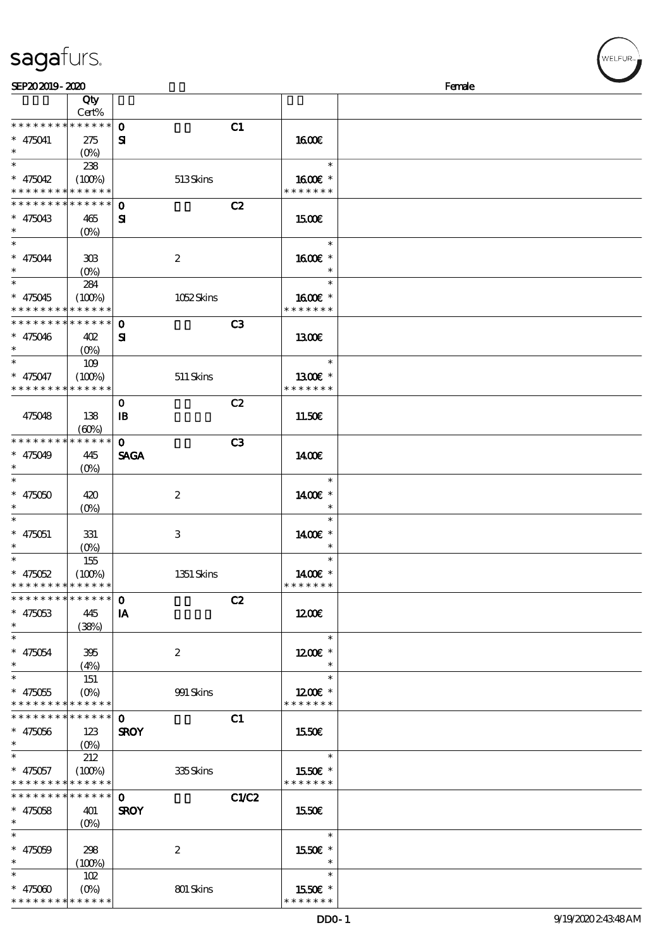| sagafurs. |
|-----------|
|           |

| SEP202019-2020              |                       |                  |       |               | Female |
|-----------------------------|-----------------------|------------------|-------|---------------|--------|
|                             | Qty                   |                  |       |               |        |
|                             | Cert%                 |                  |       |               |        |
| * * * * * * * *             | $******$              | $\mathbf 0$      | C1    |               |        |
| $* 475041$                  | 275                   | ${\bf s}$        |       | 1600E         |        |
| $\ast$                      | $(O\%)$               |                  |       |               |        |
| $\overline{\ast}$           | 238                   |                  |       | $\ast$        |        |
| $* 475042$                  | (100%)                | 513Skins         |       | 1600€ *       |        |
| * * * * * * * *             | * * * * * *           |                  |       | * * * * * * * |        |
| * * * * * * * *             | * * * * * *           | $\mathbf 0$      | C2    |               |        |
| $* 475043$                  | 465                   | ${\bf z}$        |       | 1500E         |        |
| $\ast$                      | $(O\%)$               |                  |       |               |        |
| $\ast$                      |                       |                  |       | $\ast$        |        |
| $* 475044$                  | 308                   | $\boldsymbol{2}$ |       | 1600€ *       |        |
|                             | $(O\!/\!o)$           |                  |       |               |        |
| $\overline{\phantom{1}}$    | 284                   |                  |       | $\ast$        |        |
| $* 475045$                  |                       |                  |       | 1600€ *       |        |
| * * * * * * * *             | (100%)<br>* * * * * * | 1052Skins        |       | * * * * * * * |        |
| * * * * * * * *             | * * * * * *           |                  |       |               |        |
|                             |                       | $\mathbf 0$      | C3    |               |        |
| $* 475046$<br>$\ast$        | 402                   | ${\bf s}$        |       | 1300E         |        |
|                             | $(O\%)$               |                  |       |               |        |
| $\ast$                      | 109                   |                  |       | $\ast$        |        |
| $* 475047$                  | (100%)                | $511$ Skins      |       | 1300€ *       |        |
| * * * * * * * *             | * * * * * *           |                  |       | * * * * * * * |        |
|                             |                       | $\mathbf 0$      | C2    |               |        |
| 475048                      | 138                   | $\mathbf{B}$     |       | 11.50€        |        |
|                             | (60%)                 |                  |       |               |        |
| * * * * * * * *             | * * * * * *           | $\mathbf 0$      | C3    |               |        |
| $* 475049$                  | 445                   | <b>SAGA</b>      |       | 1400E         |        |
| $\ast$                      | $(O\%)$               |                  |       |               |        |
| $\ast$                      |                       |                  |       | $\ast$        |        |
| $* 475050$                  | 420                   | $\boldsymbol{z}$ |       | 1400€ *       |        |
| $\ast$                      | $(0\%)$               |                  |       |               |        |
|                             |                       |                  |       | $\ast$        |        |
| $* 475051$                  | 331                   | 3                |       | 1400€ *       |        |
| $\ast$                      | $(0\%)$               |                  |       |               |        |
| $\ast$                      | 155                   |                  |       | $\ast$        |        |
| $* 475052$                  | (100%)                | 1351 Skins       |       | 1400€ *       |        |
| * * * * * * * * * * * * * * |                       |                  |       | * * * * * * * |        |
| * * * * * * * * * * * * * * |                       | $\mathbf 0$      | C2    |               |        |
| $* 475053$                  | 445                   | IA               |       | 1200E         |        |
| $\ast$                      |                       |                  |       |               |        |
| $\ast$                      | (38%)                 |                  |       | $\ast$        |        |
|                             |                       |                  |       |               |        |
| $* 475054$<br>$\ast$        | 395                   | $\boldsymbol{2}$ |       | $1200E$ *     |        |
| $\ast$                      | (4%)                  |                  |       | $\ast$        |        |
|                             | 151                   |                  |       |               |        |
| $* 475055$                  | $(O\%)$               | 991 Skins        |       | $1200E$ *     |        |
| * * * * * * * * * * * * * * |                       |                  |       | * * * * * * * |        |
| * * * * * * * *             | ******                | $\mathbf{O}$     | C1    |               |        |
| $* 475056$                  | 123                   | <b>SROY</b>      |       | 1550€         |        |
| $\ast$                      | (O <sub>0</sub> )     |                  |       |               |        |
| $\ast$                      | 212                   |                  |       | $\ast$        |        |
| $* 475057$                  | (100%)                | 335Skins         |       | 1550E *       |        |
| * * * * * * * * * * * * * * |                       |                  |       | * * * * * * * |        |
| * * * * * * * * * * * * * * |                       | $\mathbf{o}$     | C1/C2 |               |        |
| $* 475058$                  | 401                   | <b>SROY</b>      |       | 1550€         |        |
| $\ast$                      | $(O\% )$              |                  |       |               |        |
| $\ast$                      |                       |                  |       | $\ast$        |        |
| $* 475059$                  | 298                   | $\boldsymbol{z}$ |       | 1550€ *       |        |
| $\ast$                      | (100%)                |                  |       | $\ast$        |        |
| $\ast$                      | 102                   |                  |       | $\ast$        |        |
| $* 475000$                  |                       | 801 Skins        |       | 1550E *       |        |
| * * * * * * * *             | * * * * * *           |                  |       | * * * * * * * |        |

ELFUR<sub>i</sub>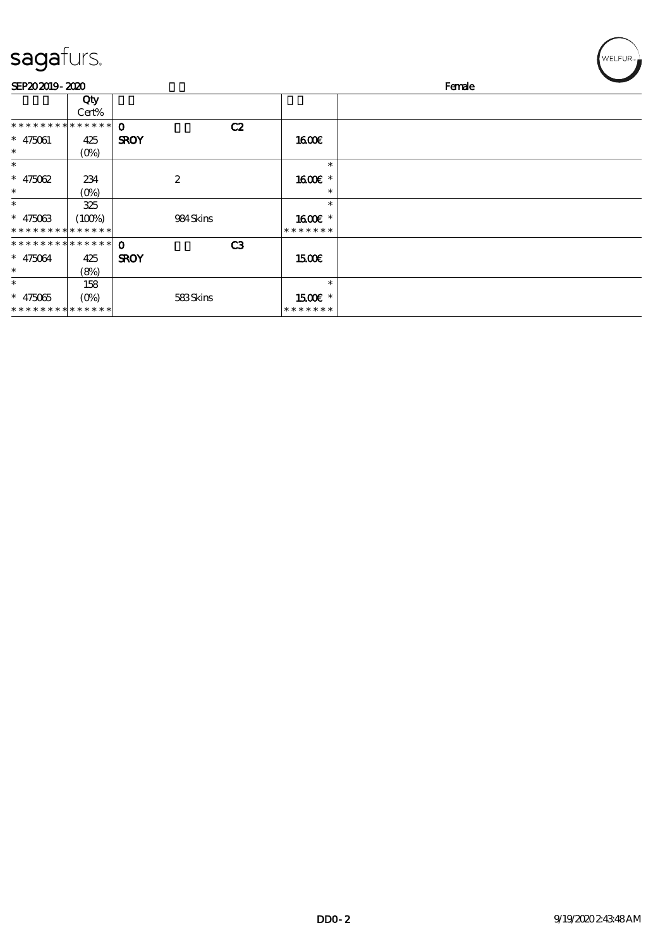| sagafurs.                     |              |             |                  |    |                   | WELFUR <sub>™</sub> |
|-------------------------------|--------------|-------------|------------------|----|-------------------|---------------------|
| SEP202019-2020                |              |             |                  |    |                   | Female              |
|                               | Qty<br>Cert% |             |                  |    |                   |                     |
| * * * * * * * * * * * * * * * |              | $\Omega$    |                  | C2 |                   |                     |
| $* 475061$                    | 425          | <b>SROY</b> |                  |    | <b>1600€</b>      |                     |
| $\ast$                        | $(O\%)$      |             |                  |    |                   |                     |
| $\ast$                        |              |             |                  |    | $\ast$            |                     |
| $* 475062$                    | 234          |             | $\boldsymbol{2}$ |    | 1600€ *           |                     |
| $\ast$                        | $(O\%)$      |             |                  |    | $\ast$            |                     |
| $\ast$                        | 325          |             |                  |    | $\ast$            |                     |
| $* 475063$                    | (100%)       |             | 984Skins         |    | 1600€ *           |                     |
| * * * * * * * * * * * * * *   |              |             |                  |    | * * * * * * *     |                     |
| * * * * * * * * * * * * * * * |              | $\Omega$    |                  | C3 |                   |                     |
| $* 475064$                    | 425          | <b>SROY</b> |                  |    | 15 <sub>00€</sub> |                     |
| $\ast$                        | (8%)         |             |                  |    |                   |                     |
| $\ast$                        | 158          |             |                  |    | $\ast$            |                     |
| $* 475065$                    | $(O\%)$      |             | 583Skins         |    | $1500E$ *         |                     |
| * * * * * * * * * * * * * *   |              |             |                  |    | * * * * * * *     |                     |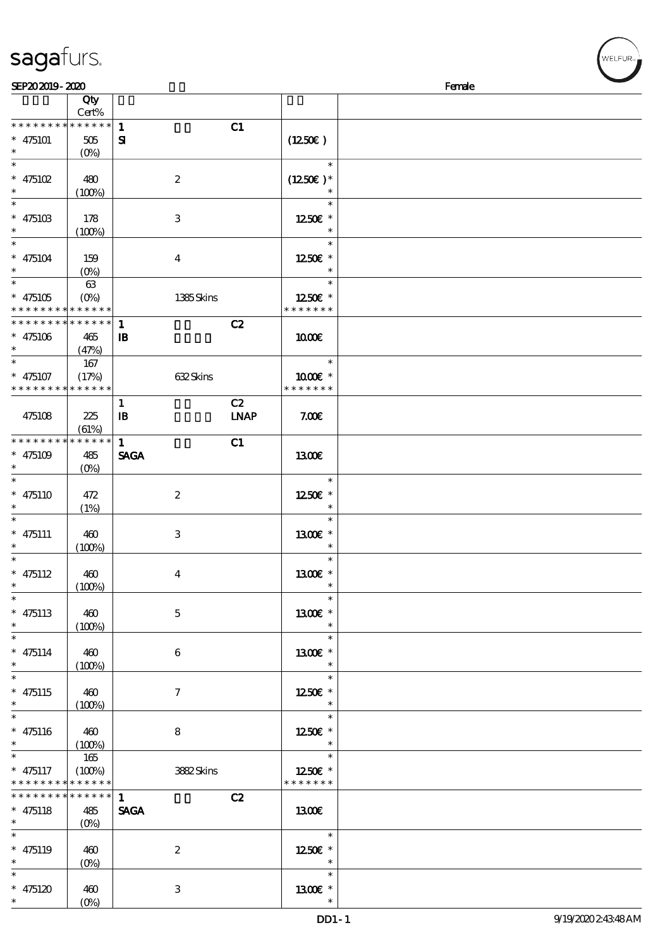| SEP202019-2020              |                                 |                           |             |                        | Female |
|-----------------------------|---------------------------------|---------------------------|-------------|------------------------|--------|
|                             | Qty                             |                           |             |                        |        |
|                             | Cert%                           |                           |             |                        |        |
| * * * * * * * *             | $******$                        | $\mathbf{1}$              | C1          |                        |        |
| $* 475101$                  | 505                             | $\mathbf{S}$              |             | (1250E)                |        |
| $\ast$                      | $(O\%)$                         |                           |             |                        |        |
| $\ast$                      |                                 |                           |             | $\ast$                 |        |
| $* 475102$                  | 480                             | $\boldsymbol{2}$          |             | $(1250E)^*$            |        |
| $\ast$                      | (100%)                          |                           |             |                        |        |
| $\ast$                      |                                 |                           |             | $\ast$                 |        |
| $* 47510B$                  | 178                             | $\ensuremath{\mathbf{3}}$ |             | 1250E *                |        |
| $\ast$                      |                                 |                           |             |                        |        |
| $\ast$                      | (100%)                          |                           |             | $\ast$                 |        |
|                             |                                 |                           |             |                        |        |
| $* 475104$                  | 159                             | $\boldsymbol{4}$          |             | 1250E *                |        |
| $\overline{\ast}$           | $(O\%)$                         |                           |             |                        |        |
|                             | 63                              |                           |             | $\ast$                 |        |
| $* 475105$                  | $(O\%)$                         | 1385Skins                 |             | 1250E *                |        |
| * * * * * * * *             | $******$                        |                           |             | * * * * * * *          |        |
| * * * * * * * *             | * * * * * *                     | $\mathbf{1}$              | C2          |                        |        |
| $* 475106$                  | 465                             | $\mathbf{B}$              |             | 1000E                  |        |
| $\ast$                      | (47%)                           |                           |             |                        |        |
| $\ast$                      | 167                             |                           |             | $\ast$                 |        |
| $* 475107$                  | (17%)                           | 632Skins                  |             | 1000€ *                |        |
| * * * * * * * *             | * * * * * *                     |                           |             | * * * * * * *          |        |
|                             |                                 | $\mathbf{1}$              | C2          |                        |        |
| 475108                      | 225                             | $\mathbf{B}$              | <b>LNAP</b> | 7.00E                  |        |
|                             | (61%)                           |                           |             |                        |        |
| * * * * * * * *             | * * * * * *                     | $\mathbf{1}$              | C1          |                        |        |
| $* 475109$                  | 485                             | <b>SAGA</b>               |             | 1300E                  |        |
| $\ast$                      |                                 |                           |             |                        |        |
| $\ast$                      | $(O\%)$                         |                           |             | $\ast$                 |        |
|                             |                                 |                           |             |                        |        |
| $* 475110$                  | 472                             | $\boldsymbol{z}$          |             | 1250€ *                |        |
| $\ast$                      | (1%)                            |                           |             | $\ast$                 |        |
|                             |                                 |                           |             | $\ast$                 |        |
| $* 475111$                  | 460                             | $\ensuremath{\mathbf{3}}$ |             | 1300E *                |        |
|                             | (100%)                          |                           |             | $\ast$                 |        |
| $\ast$                      |                                 |                           |             | $\ast$                 |        |
| $* 475112$                  | 460                             | $\bf{4}$                  |             | 1300E *                |        |
| $*$                         | (100%)                          |                           |             | $\ast$                 |        |
| $\ast$                      |                                 |                           |             | $\ast$                 |        |
| $* 475113$                  | 460                             | $\mathbf{5}$              |             | 1300€ *                |        |
| $\ast$                      | (100%)                          |                           |             | $\ast$                 |        |
| $\ast$                      |                                 |                           |             | $\ast$                 |        |
| $* 475114$                  | 460                             | 6                         |             | 1300E *                |        |
| $\ast$                      | (100%)                          |                           |             | $\ast$                 |        |
| $\ast$                      |                                 |                           |             | $\ast$                 |        |
| $* 475115$                  | 460                             | $\tau$                    |             | 1250E *                |        |
| $\ast$                      | (100%)                          |                           |             |                        |        |
| $\ast$                      |                                 |                           |             | $\ast$                 |        |
|                             |                                 |                           |             | 1250E *                |        |
| $* 475116$<br>$\ast$        | 460                             | 8                         |             |                        |        |
| $\ast$                      | (100%)                          |                           |             | $\ast$                 |        |
|                             | 165                             |                           |             |                        |        |
| $* 475117$                  | (100%)                          | 3882Skins                 |             | 1250E *                |        |
| * * * * * * * * * * * * * * |                                 |                           |             | * * * * * * *          |        |
| * * * * * * * *             | $* * * * * * *$                 | $\mathbf{1}$              | C2          |                        |        |
| $* 475118$                  | 485                             | <b>SAGA</b>               |             | 1300                   |        |
| $\ast$                      | $(O\!\!\!\!\!\!\backslash\rho)$ |                           |             |                        |        |
| $\ast$                      |                                 |                           |             | $\ast$                 |        |
| $* 475119$                  | 460                             | $\boldsymbol{2}$          |             | 1250E *                |        |
| $\ast$                      | $(O\%)$                         |                           |             | $\ast$                 |        |
| $\ast$                      |                                 |                           |             | $\ast$                 |        |
| $* 475120$                  | 460                             | 3                         |             | $1300$ $\varepsilon$ * |        |
| $\ast$                      | $(O\%)$                         |                           |             | $\ast$                 |        |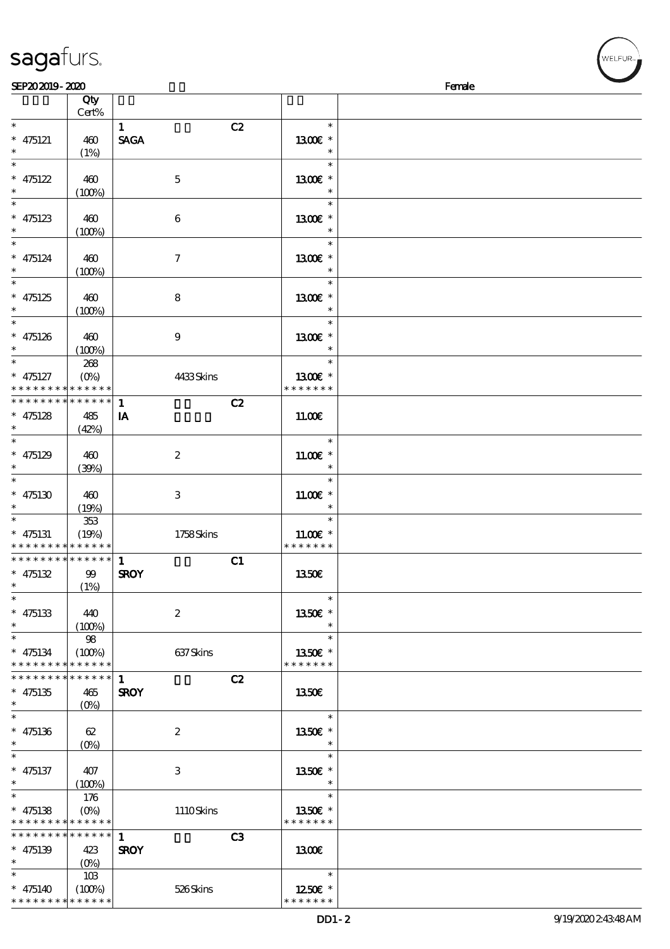| SEP202019-2020           |                                          |                           |                          | Female |
|--------------------------|------------------------------------------|---------------------------|--------------------------|--------|
|                          | Qty                                      |                           |                          |        |
|                          | Cert%                                    |                           |                          |        |
| $\ast$                   |                                          | $\mathbf{1}$              | C2<br>$\ast$             |        |
| $* 475121$               | 460                                      | <b>SAGA</b>               | 1300€ *                  |        |
| $\ast$                   | (1%)                                     |                           |                          |        |
| $\ast$                   |                                          |                           | $\ast$                   |        |
| $* 475122$               | 460                                      | $\mathbf{5}$              | $1300E$ *                |        |
| $\ast$                   | (100%)                                   |                           | $\ast$                   |        |
| $\ast$                   |                                          |                           | $\ast$                   |        |
| $* 475123$               | 460                                      | $\bf 6$                   | 1300E *                  |        |
| $\ast$                   | (100%)                                   |                           | $\ast$                   |        |
| $\ast$                   |                                          |                           | $\ast$                   |        |
| $* 475124$               | 460                                      | $\boldsymbol{7}$          | 1300€ *                  |        |
| $\ast$                   | (100%)                                   |                           | $\ast$                   |        |
| $\ast$                   |                                          |                           | $\ast$                   |        |
| $* 475125$               | 460                                      | 8                         | 1300E *                  |        |
| $\ast$                   | (100%)                                   |                           | $\ast$                   |        |
| $\ast$                   |                                          |                           | $\ast$                   |        |
| $* 475126$               | 460                                      | $\boldsymbol{9}$          | 1300E *                  |        |
| $\ast$                   | (100%)                                   |                           |                          |        |
| $\overline{\ast}$        | 268                                      |                           | $\ast$                   |        |
| $* 475127$               | $(O\% )$                                 | 4433Skins                 | 1300E *                  |        |
|                          | * * * * * * * * <mark>* * * * * *</mark> |                           | * * * * * * *            |        |
| * * * * * * * *          | ******                                   | $\mathbf{1}$              | C2                       |        |
| $* 475128$               | 485                                      | IA                        | 11.00E                   |        |
| $\ast$                   | (42%)                                    |                           |                          |        |
| $\ast$                   |                                          |                           | $\ast$                   |        |
| $* 475129$               | 460                                      | $\boldsymbol{2}$          | $11.00E$ *               |        |
| $\ast$                   | (30%)                                    |                           | $\ast$                   |        |
| $\ast$                   |                                          |                           | $\ast$                   |        |
| $* 475130$               | 460                                      | $\ensuremath{\mathbf{3}}$ | $11.00E$ *               |        |
| $\ast$                   | (19%)                                    |                           | $\ast$                   |        |
| $\ast$                   | 353                                      |                           | $\ast$                   |        |
| $* 475131$               | (19%)                                    | 1758Skins                 | $11.00E$ *               |        |
|                          | * * * * * * * * * * * * * *              |                           | * * * * * * *            |        |
|                          | ******** <mark>******</mark>             | $\mathbf{1}$              | C1                       |        |
| $* 475132$               | 99                                       | <b>SROY</b>               | 1350€                    |        |
| $\ast$                   | (1%)                                     |                           |                          |        |
| $\overline{\phantom{a}}$ |                                          |                           | $\ast$                   |        |
| $* 475133$               | 440                                      | $\boldsymbol{2}$          | 1350€ *                  |        |
| $\ast$                   | (100%)                                   |                           |                          |        |
| $\ast$                   | $98\,$                                   |                           | $\ast$                   |        |
| $* 475134$               | (100%)                                   | 637Skins                  | 1350E *                  |        |
|                          | * * * * * * * * * * * * * *              |                           | * * * * * * *            |        |
|                          | * * * * * * * * * * * * * * *            | $\mathbf{1}$              | C2                       |        |
| $* 475135$               | 465                                      | <b>SROY</b>               | <b>1350€</b>             |        |
| $\ast$                   | $(O\%)$                                  |                           |                          |        |
| $\ast$                   |                                          |                           | $\ast$                   |        |
|                          |                                          |                           | 1350€ *                  |        |
| $* 475136$<br>$\ast$     | 62                                       | $\boldsymbol{2}$          | $\ast$                   |        |
| $\ast$                   | $(O\!/\!\!\delta)$                       |                           | $\ast$                   |        |
| $* 475137$               |                                          |                           | 1350E *                  |        |
| $\ast$                   | 407                                      | 3                         | $\ast$                   |        |
| $\ast$                   | (100%)                                   |                           | $\ast$                   |        |
|                          | 176                                      |                           |                          |        |
| $* 475138$               | $(O\% )$<br>* * * * * * * * * * * * * *  | 1110Skins                 | 1350€ *<br>* * * * * * * |        |
|                          | * * * * * * * * * * * * * * *            |                           |                          |        |
|                          |                                          | $\mathbf{1}$              | C3                       |        |
| $* 475139$               | 423                                      | <b>SROY</b>               | 1300E                    |        |
| $\ast$<br>$\ast$         |                                          |                           |                          |        |
|                          | 103                                      |                           | $\ast$                   |        |
| $* 475140$               | (100%)                                   | 526Skins                  | 1250E *                  |        |
|                          | * * * * * * * * * * * * * *              |                           | * * * * * * *            |        |

WELFUR<sub>T</sub>

# sagafurs.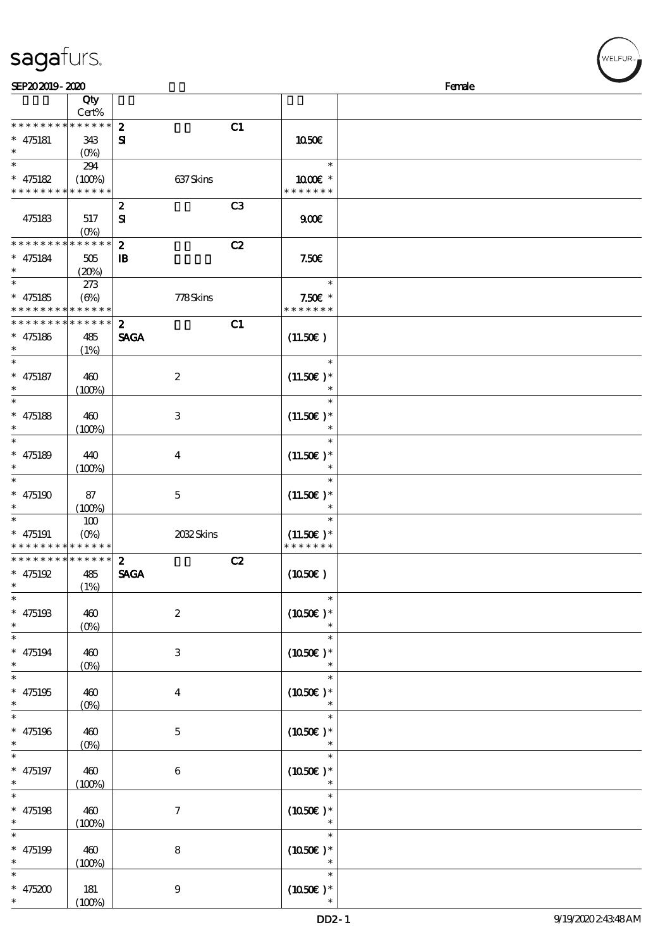| SEP202019-2020                           |             |                         |               | Female |
|------------------------------------------|-------------|-------------------------|---------------|--------|
|                                          | Qty         |                         |               |        |
|                                          | Cert%       |                         |               |        |
| * * * * * * * *                          | * * * * * * | $\boldsymbol{z}$        | C1            |        |
| $* 475181$                               | 343         | $\mathbf{S}$            | 1050€         |        |
| $\ast$                                   | $(0\%)$     |                         |               |        |
| $\overline{\ast}$                        | 294         |                         | $\ast$        |        |
| $* 475182$                               | (100%)      | 637Skins                | 1000€ *       |        |
| * * * * * * * * * * * * * *              |             |                         | * * * * * * * |        |
|                                          |             | $\boldsymbol{z}$        | C3            |        |
| 475183                                   | 517         | ${\bf s}$               | 900E          |        |
|                                          | $(0\%)$     |                         |               |        |
| * * * * * * * *                          | * * * * * * | $\boldsymbol{z}$        | C2            |        |
|                                          |             |                         | 7.50E         |        |
| $* 475184$<br>$\ast$                     | 505         | $\mathbf{B}$            |               |        |
| $\overline{\ast}$                        | (20%)       |                         | $\ast$        |        |
|                                          | 273         |                         |               |        |
| $* 475185$                               | $(\Theta)$  | 778Skins                | $7.50E$ *     |        |
| * * * * * * * * <mark>* * * * * *</mark> |             |                         | * * * * * * * |        |
| * * * * * * * *                          | * * * * * * | $\mathbf{z}$            | C1            |        |
| $* 475186$                               | 485         | <b>SAGA</b>             | (11.50)       |        |
| $\ast$                                   | (1%)        |                         |               |        |
| $\ast$                                   |             |                         | $\ast$        |        |
| $* 475187$                               | 460         | $\boldsymbol{z}$        | $(11.50)$ *   |        |
| $\ast$                                   | (100%)      |                         | $\ast$        |        |
| $\ast$                                   |             |                         | $\ast$        |        |
| $* 475188$                               | 460         | 3                       | $(11.50)$ *   |        |
| $\ast$                                   | (100%)      |                         |               |        |
| $\ast$                                   |             |                         | $\ast$        |        |
| $* 475189$                               | 440         | $\overline{\mathbf{4}}$ | $(11.50)$ *   |        |
| $\ast$                                   |             |                         |               |        |
| $\ast$                                   | (100%)      |                         |               |        |
|                                          |             |                         |               |        |
| $* 475190$<br>$\ast$                     | 87          | $\mathbf 5$             | $(11.50)$ *   |        |
|                                          | (100%)      |                         |               |        |
| $\ast$                                   | 100         |                         | $\ast$        |        |
| $* 475191$                               | $(0\%)$     | 2032Skins               | $(11.50)$ *   |        |
| * * * * * * * * * * * * * *              |             |                         | * * * * * * * |        |
| * * * * * * * * * * * * * * *            |             | $\boldsymbol{2}$        | C2            |        |
| $* 475192$                               | 485         | <b>SAGA</b>             | (1050)        |        |
| $*$                                      | (1%)        |                         |               |        |
| $\ast$                                   |             |                         | $\ast$        |        |
| $* 475193$                               | 460         | $\boldsymbol{2}$        | $(1050)$ *    |        |
| $\ast$                                   | $(0\%)$     |                         |               |        |
| $\ast$                                   |             |                         | $\ast$        |        |
| $* 475194$                               | 460         | 3                       | $(1050)$ *    |        |
| $\ast$                                   | $(0\%)$     |                         |               |        |
| $\ast$                                   |             |                         | $\ast$        |        |
| $* 475195$                               | 460         | $\boldsymbol{4}$        | $(1050)$ *    |        |
| $\ast$                                   | $(0\%)$     |                         |               |        |
| $\ast$                                   |             |                         |               |        |
| $* 475196$                               |             |                         |               |        |
| $\ast$                                   | 460         | $\mathbf{5}$            | $(1050)$ *    |        |
|                                          | $(0\%)$     |                         | $\ast$        |        |
|                                          |             |                         |               |        |
| $* 475197$                               | 460         | 6                       | $(1050)$ *    |        |
| $\ast$                                   | (100%)      |                         |               |        |
|                                          |             |                         | $\ast$        |        |
| $* 475198$                               | 460         | $\tau$                  | $(1050)$ *    |        |
| $\ast$                                   | (100%)      |                         | $\ast$        |        |
| $\ast$                                   |             |                         | $\ast$        |        |
| $* 475199$                               | 460         | ${\bf 8}$               | $(1050)$ *    |        |
| $\ast$                                   | (100%)      |                         |               |        |
|                                          |             |                         | $\ast$        |        |
| $* 475200$                               | 181         | $9^{\circ}$             | $(1050)$ *    |        |
| $\ast$                                   | (100%)      |                         |               |        |

VELFUR-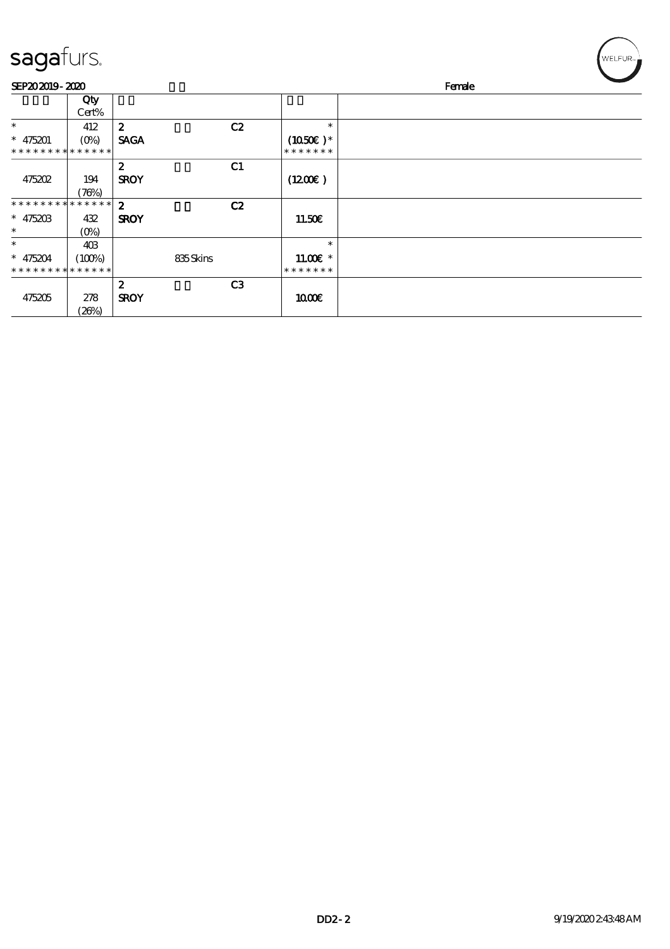| sagafurs. |  |
|-----------|--|
|           |  |

| sagafurs.                                 |              |                                 |          |                |                             |        | WELFUR <sub>™</sub> |
|-------------------------------------------|--------------|---------------------------------|----------|----------------|-----------------------------|--------|---------------------|
| SEP202019-2020                            |              |                                 |          |                |                             | Female |                     |
|                                           | Qty<br>Cert% |                                 |          |                |                             |        |                     |
| $\ast$                                    | 412          | $\boldsymbol{z}$                |          | C2             | $\ast$                      |        |                     |
| $* 475201$<br>* * * * * * * * * * * * * * |              | <b>SAGA</b>                     |          |                | $(1050)$ *<br>* * * * * * * |        |                     |
|                                           |              | $\boldsymbol{z}$                |          | C1             |                             |        |                     |
| 475202                                    | 194<br>(76%) | <b>SROY</b>                     |          |                | (1200E)                     |        |                     |
| * * * * * * * * * * * * * *               |              | $\boldsymbol{z}$                |          | C2             |                             |        |                     |
| $* 47520B$                                | 432          | <b>SROY</b>                     |          |                | 11.50E                      |        |                     |
| $\ast$                                    | $(0\%)$      |                                 |          |                |                             |        |                     |
| $\ast$                                    | 403          |                                 |          |                | $\ast$                      |        |                     |
| $* 475204$                                | (100%)       |                                 | 835Skins |                | $11.00E$ *                  |        |                     |
| * * * * * * * * * * * * * *               |              |                                 |          |                | * * * * * * *               |        |                     |
| 475205                                    | 278<br>(20%) | $\boldsymbol{z}$<br><b>SROY</b> |          | C <sub>3</sub> | 1000E                       |        |                     |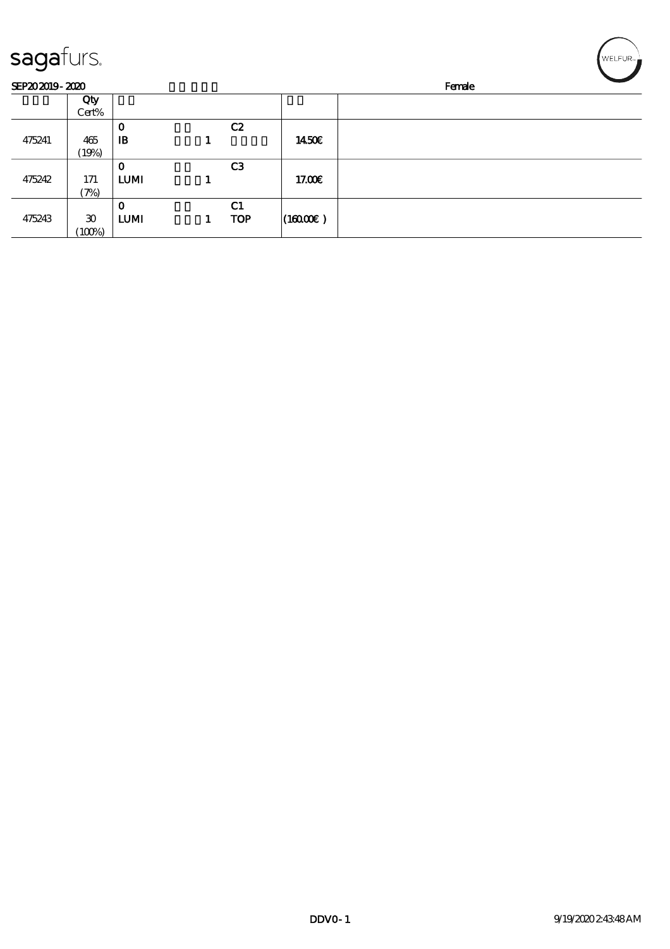| sagafurs.      |                             |              |                |                      | WELFUR <sub>™</sub> |
|----------------|-----------------------------|--------------|----------------|----------------------|---------------------|
| SEP202019-2020 |                             |              |                |                      | Female              |
|                | Qty                         |              |                |                      |                     |
|                | Cert%                       |              |                |                      |                     |
|                |                             | $\mathbf 0$  | C2             |                      |                     |
| 475241         | 465                         | $\mathbf{B}$ |                | 1450€                |                     |
|                | (19%)                       |              |                |                      |                     |
|                |                             | $\mathbf 0$  | C <sub>3</sub> |                      |                     |
| 475242         | 171                         | <b>LUMI</b>  |                | 17.00€               |                     |
|                | (7%)                        |              |                |                      |                     |
|                |                             | $\mathbf 0$  | C <sub>1</sub> |                      |                     |
| 475243         | $\boldsymbol{\mathfrak{D}}$ | <b>LUMI</b>  | <b>TOP</b>     | $(16000\varepsilon)$ |                     |
|                | (100%)                      |              |                |                      |                     |

╭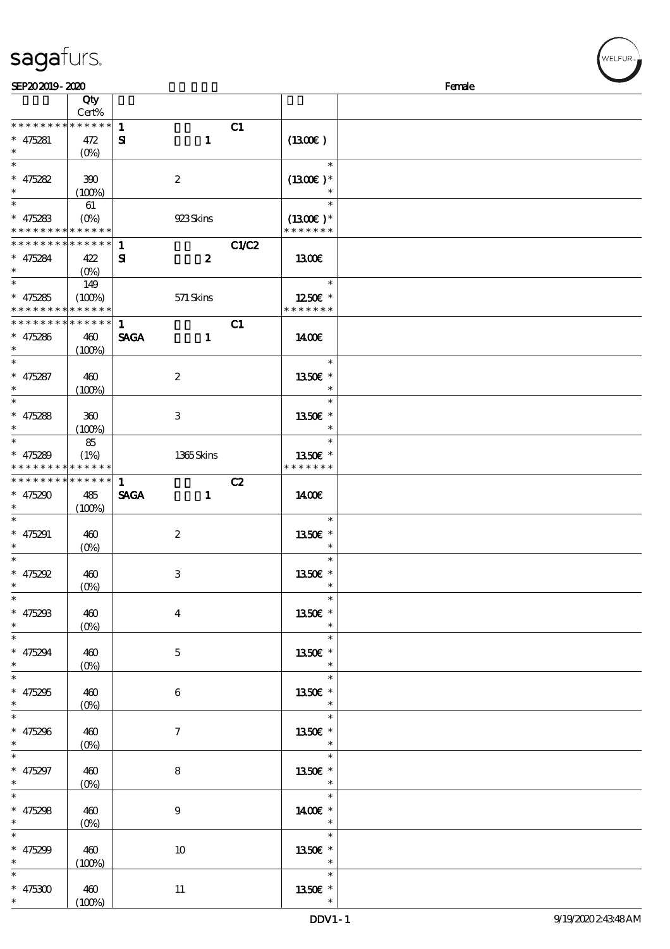| SEP202019-2020           |                                 |                               |                          | Female |
|--------------------------|---------------------------------|-------------------------------|--------------------------|--------|
|                          | Qty                             |                               |                          |        |
|                          | Cert%                           |                               |                          |        |
| * * * * * * * *          | * * * * * *                     | $\mathbf{1}$                  | C1                       |        |
| $* 475281$               | 472                             | $\mathbf{S}$<br>$\mathbf{1}$  | (1300E)                  |        |
| $\ast$                   |                                 |                               |                          |        |
|                          | $(O\%)$                         |                               |                          |        |
| $\ast$                   |                                 |                               | $\ast$                   |        |
| $* 475282$               | 390                             | $\boldsymbol{2}$              | $(1300E)*$               |        |
| $\ast$                   | (100%)                          |                               |                          |        |
| $\ast$                   | 61                              |                               | $\ast$                   |        |
| $* 475283$               | $(O\%)$                         | 923Skins                      | $(1300E)*$               |        |
| * * * * * * * *          | * * * * * *                     |                               | * * * * * * *            |        |
|                          |                                 |                               |                          |        |
| * * * * * * * *          | * * * * * *                     | $\mathbf{1}$                  | <b>C1/C2</b>             |        |
| $* 475284$               | 422                             | $\boldsymbol{z}$<br>${\bf s}$ | 1300E                    |        |
| $\ast$                   | $(O_0)$                         |                               |                          |        |
| $\overline{\ast}$        | 149                             |                               | $\ast$                   |        |
| $* 475285$               | (100%)                          | 571 Skins                     | 1250E *                  |        |
| * * * * * * * *          | * * * * * *                     |                               | * * * * * * *            |        |
| * * * * * * * *          | * * * * * *                     | $\mathbf{1}$                  | C1                       |        |
|                          |                                 |                               |                          |        |
| $* 475286$               | 460                             | <b>SAGA</b><br>$\mathbf{1}$   | 1400E                    |        |
| $\ast$                   | (100%)                          |                               |                          |        |
| $\ast$                   |                                 |                               | $\ast$                   |        |
| $* 475287$               | 460                             | $\boldsymbol{2}$              | 1350€ *                  |        |
| $\ast$                   | (100%)                          |                               | $\ast$                   |        |
| $\overline{\ast}$        |                                 |                               | $\ast$                   |        |
| $* 475288$               | 360                             | 3                             | 1350E *                  |        |
| $\ast$                   |                                 |                               | $\ast$                   |        |
| $\ast$                   | (100%)                          |                               |                          |        |
|                          | 85                              |                               | $\ast$                   |        |
| $* 475289$               | (1%)                            | 1365Skins                     | 1350E *                  |        |
| * * * * * * * *          | * * * * * *                     |                               | * * * * * * *            |        |
| * * * * * * * *          | $* * * * * * *$                 | $\mathbf{1}$                  | C2                       |        |
| $* 475290$               | 485                             | <b>SAGA</b><br>$\mathbf{1}$   | 1400€                    |        |
| $\ast$                   | (100%)                          |                               |                          |        |
| $\ast$                   |                                 |                               | $\ast$                   |        |
| $* 475291$               |                                 |                               | 1350E *                  |        |
|                          | 460                             | $\boldsymbol{2}$              | $\ast$                   |        |
| $\ast$                   | $(O\%)$                         |                               |                          |        |
| $\ast$                   |                                 |                               | $\ast$                   |        |
| $* 475292$               | 460                             | $\ensuremath{\mathbf{3}}$     | 1350E *                  |        |
| $*$                      | (0%)                            |                               | $\ast$                   |        |
| $\ast$                   |                                 |                               | $\ast$                   |        |
| $* 475293$               | 460                             | $\boldsymbol{4}$              | 1350€ *                  |        |
| $\ast$                   | $(0\%)$                         |                               | $\ast$                   |        |
| $\overline{\phantom{0}}$ |                                 |                               | $\ast$                   |        |
|                          |                                 |                               |                          |        |
| $* 475294$               | 460                             | $\mathbf{5}$                  | 1350E *                  |        |
| $\ast$                   | $(0\%)$                         |                               | $\ast$                   |        |
| $\overline{\ast}$        |                                 |                               | $\ast$                   |        |
| $* 475295$               | 460                             | $\boldsymbol{6}$              | 1350E *                  |        |
| $\ast$                   | $(O\!\!\!\!\!\!\backslash\rho)$ |                               | $\ast$                   |        |
| $\ast$                   |                                 |                               | $\ast$                   |        |
| $* 475296$               | 460                             | $\tau$                        | 1350E *                  |        |
| $\ast$                   |                                 |                               | $\ast$                   |        |
|                          | $(0\%)$                         |                               | $\ast$                   |        |
|                          |                                 |                               |                          |        |
| $* 475297$               | 460                             | $\bf 8$                       | 1350E *                  |        |
| $\ast$                   | $(0\%)$                         |                               | $\ast$                   |        |
| $\ast$                   |                                 |                               | $\ast$                   |        |
| $* 475298$               | 460                             | $\boldsymbol{9}$              | 1400€ *                  |        |
| $\ast$                   | $(0\%)$                         |                               | $\overline{\phantom{a}}$ |        |
| $\ast$                   |                                 |                               | $\ast$                   |        |
|                          |                                 |                               |                          |        |
| $* 475299$               | 460                             | 10                            | 1350E *<br>$\ast$        |        |
| $\ast$                   | (100%)                          |                               |                          |        |
| $\ast$                   |                                 |                               | $\ast$                   |        |
| $* 475300$               | 460                             | $11\,$                        | 1350E *                  |        |
| $*$                      | (100%)                          |                               |                          |        |

ELFUR<sub>i</sub>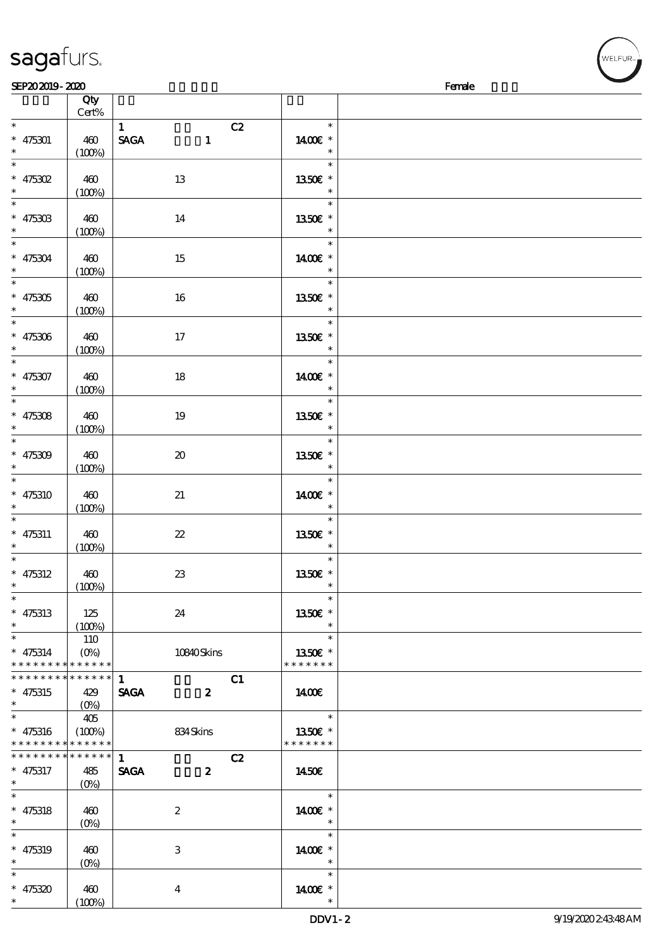| SEP202019-2020                                                           |                              |                                                           |                                       | Female |
|--------------------------------------------------------------------------|------------------------------|-----------------------------------------------------------|---------------------------------------|--------|
|                                                                          | Qty<br>Cert%                 |                                                           |                                       |        |
| $\ast$<br>$* 475301$<br>$\ast$                                           | 460<br>(100%)                | C2<br>1<br>$\operatorname{\mathsf{SAGA}}$<br>$\mathbf{1}$ | $\ast$<br>1400€ *<br>$\ast$           |        |
| $\ast$<br>$* 475302$<br>$\ast$                                           | 460<br>(100%)                | 13                                                        | $\ast$<br>1350 £*<br>$\ast$           |        |
| $\overline{\phantom{0}}$<br>$* 47530B$<br>$\ast$                         | 460<br>(100%)                | 14                                                        | $\ast$<br>1350E *<br>$\ast$           |        |
| $\overline{\ast}$<br>$* 475304$<br>$\ast$                                | 460<br>(100%)                | 15                                                        | $\ast$<br>1400€ *<br>$\ast$           |        |
| $\ast$<br>$* 475305$<br>$\ast$<br>$\overline{\phantom{0}}$               | 460<br>(100%)                | 16                                                        | $\ast$<br>1350E *<br>$\ast$           |        |
| $* 475306$<br>$\ast$<br>$\overline{\phantom{a}^*}$                       | 460<br>(100%)                | 17                                                        | $\ast$<br>1350E *<br>$\ast$           |        |
| $* 475307$<br>$\ast$<br>$\overline{\phantom{0}}$                         | 460<br>(100%)                | $18\,$                                                    | $\ast$<br>1400€ *<br>$\ast$<br>$\ast$ |        |
| $* 475308$<br>$\ast$<br>$\overline{\ast}$                                | 460<br>(100%)                | 19                                                        | 1350E *<br>$\ast$<br>$\ast$           |        |
| $* 475309$<br>$\ast$<br>$\overline{\ast}$                                | 460<br>(100%)                | $\pmb{\mathcal{X}}$                                       | 1350E *<br>$\ast$<br>$\ast$           |        |
| $* 475310$<br>$\ast$<br>$\ast$                                           | 460<br>(100%)                | 21                                                        | 1400€ *<br>$\ast$<br>$\ast$           |        |
| $* 475311$<br>$\ast$<br>$\overline{\phantom{0}}$                         | 460<br>(100%)                | $\boldsymbol{\mathcal{Z}}$                                | 1350E *<br>$\ast$<br>$\ast$           |        |
| $* 475312$<br>$\ast$<br>$\overline{\phantom{0}}$                         | 460<br>(100%)                | $23\,$                                                    | 1350E *<br>$\ast$                     |        |
| $* 475313$<br>$\ast$<br>$\overline{\phantom{0}}$                         | 125<br>(100%)                | 24                                                        | 1350€ *<br>$\ast$<br>$\ast$           |        |
| $* 475314$<br>* * * * * * * * * * * * * *<br>* * * * * * * * * * * * * * | 110<br>$(O\%)$               | 10840Skins                                                | 1350E *<br>* * * * * * *              |        |
| $* 475315$<br>$\ast$<br>$\overline{\ast}$                                | 429<br>$(O\%)$               | $\mathbf{1}$<br>C1<br><b>SAGA</b><br>$\boldsymbol{z}$     | 1400E<br>$\ast$                       |        |
| $* 475316$<br>* * * * * * * *                                            | 405<br>(100%)<br>* * * * * * | 834 Skins                                                 | 1350E *<br>* * * * * * *              |        |
| * * * * * * *                                                            | * * * * * *                  | C2<br>$\mathbf{1}$                                        |                                       |        |
| $* 475317$<br>$\ast$<br>$\ast$                                           | 485<br>$(O\!/\!\!\delta)$    | <b>SAGA</b><br>$\boldsymbol{z}$                           | 1450€<br>$\ast$                       |        |
| $* 475318$<br>$\ast$<br>$\overline{\ast}$                                | 460<br>$(O\%)$               | $\boldsymbol{2}$                                          | 1400€ *<br>$\ast$<br>$\ast$           |        |
| $* 475319$<br>$\ast$<br>$\ast$                                           | 460<br>$(O\%)$               | 3                                                         | 1400€ *<br>$\ast$                     |        |
| $* 475320$<br>$\ast$                                                     | 460<br>(100%)                | $\boldsymbol{4}$                                          | $\ast$<br>1400€ *<br>$\ast$           |        |

√<br>WELFUR<sub>™</sub>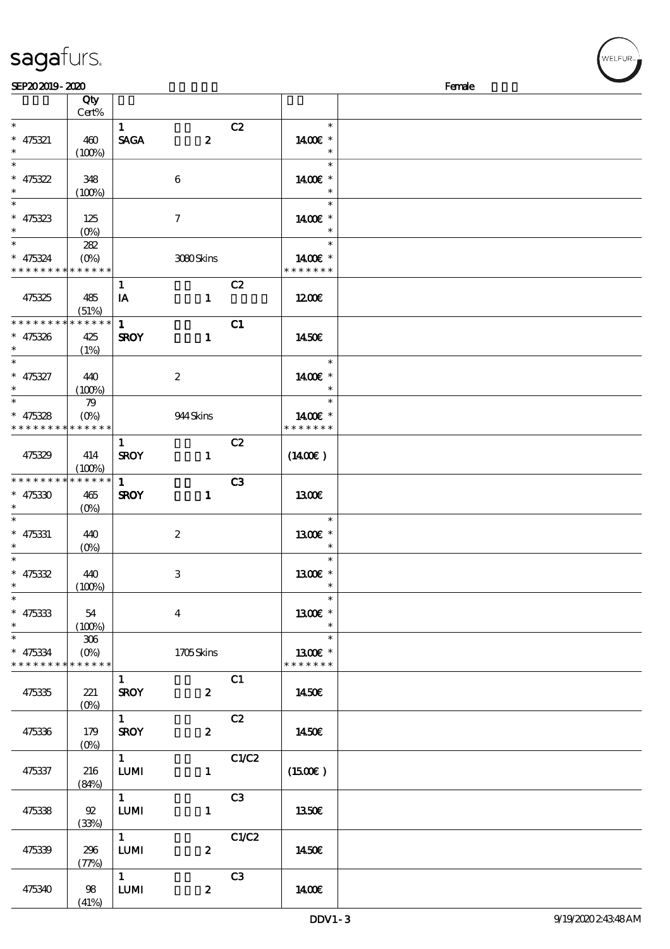| SEP202019-2020              |                                 |                        |                  |                |                     | Female |
|-----------------------------|---------------------------------|------------------------|------------------|----------------|---------------------|--------|
|                             | Qty                             |                        |                  |                |                     |        |
|                             | Cert%                           |                        |                  |                |                     |        |
| $\ast$                      |                                 | $\mathbf{1}$           |                  | C2             | $\ast$              |        |
| $* 475321$                  | 460                             | <b>SAGA</b>            | $\boldsymbol{z}$ |                | 1400€ *             |        |
| $\ast$                      | (100%)                          |                        |                  |                | $\ast$              |        |
| $\ast$                      |                                 |                        |                  |                | $\ast$              |        |
|                             | 348                             |                        |                  |                | 1400€ *             |        |
| * 475322                    |                                 |                        | $\bf 6$          |                | $\ast$              |        |
| $\overline{\phantom{0}}$    | (100%)                          |                        |                  |                |                     |        |
|                             |                                 |                        |                  |                | $\ast$              |        |
| $* 475323$                  | 125                             |                        | $\tau$           |                | 1400 £*             |        |
| $\ast$                      | $(O\%)$                         |                        |                  |                | $\ast$              |        |
| $\overline{\ast}$           | 282                             |                        |                  |                | $\ast$              |        |
| $* 475324$                  | $(O\% )$                        |                        | 3080Skins        |                | 1400€ *             |        |
| * * * * * * * * * * * * * * |                                 |                        |                  |                | * * * * * * *       |        |
|                             |                                 | $\mathbf{1}$           |                  | C2             |                     |        |
| 475325                      | 485                             | IA                     | $\mathbf{1}$     |                | 1200                |        |
|                             | (51%)                           |                        |                  |                |                     |        |
| * * * * * * * *             | * * * * * *                     | $\mathbf{1}$           |                  | C1             |                     |        |
| $* 475326$                  | 425                             | <b>SROY</b>            | $\mathbf{1}$     |                | 1450E               |        |
| $\ast$                      | (1%)                            |                        |                  |                |                     |        |
| $\ast$                      |                                 |                        |                  |                | $\ast$              |        |
|                             |                                 |                        |                  |                |                     |        |
| $* 475327$                  | 440                             |                        | $\boldsymbol{2}$ |                | 1400€ *             |        |
| $\ast$                      | (100%)                          |                        |                  |                | $\ast$              |        |
| $\ast$                      | 79                              |                        |                  |                | $\ast$              |        |
| $* 475328$                  | $(O\!\!\!\!\!\!\backslash\rho)$ |                        | 944 Skins        |                | 1400€ *             |        |
| * * * * * * * *             | * * * * * *                     |                        |                  |                | * * * * * * *       |        |
|                             |                                 | $\mathbf{1}$           |                  | C2             |                     |        |
| 475329                      | 414                             | <b>SROY</b>            | $\mathbf{1}$     |                | $(1400\varepsilon)$ |        |
|                             | (100%)                          |                        |                  |                |                     |        |
| * * * * * * * *             | $* * * * * * *$                 | $\mathbf{1}$           |                  | C <sub>3</sub> |                     |        |
| $* 475330$                  | 465                             | <b>SROY</b>            | $\mathbf{1}$     |                | <b>1300€</b>        |        |
| $\ast$                      | $(O\%)$                         |                        |                  |                |                     |        |
| $\ast$                      |                                 |                        |                  |                | $\ast$              |        |
| $* 475331$                  | 440                             |                        | $\boldsymbol{2}$ |                | 1300E *             |        |
| $\ast$                      |                                 |                        |                  |                | $\ast$              |        |
| $\ast$                      | $(O\%)$                         |                        |                  |                | $\ast$              |        |
|                             |                                 |                        |                  |                |                     |        |
| $* 475332$                  | 440                             |                        | $\,3$            |                | 1300E *             |        |
| $*$ $*$                     | (100%)                          |                        |                  |                | $\ast$              |        |
| $\ast$                      |                                 |                        |                  |                | $\ast$              |        |
| $* 475333$                  | 54                              |                        | $\overline{4}$   |                | 1300€ *             |        |
| $\ast$                      | (100%)                          |                        |                  |                |                     |        |
| $\ast$                      | 306                             |                        |                  |                | $\ast$              |        |
| $* 475334$                  |                                 |                        | 1705Skins        |                | 1300E *             |        |
| * * * * * * * *             | $******$                        |                        |                  |                | * * * * * * *       |        |
|                             |                                 | $\mathbf{1}$           |                  | C1             |                     |        |
| 475335                      | 221                             | <b>SROY</b>            | $\mathbf{2}$     |                | 1450E               |        |
|                             |                                 |                        |                  |                |                     |        |
|                             |                                 | $1 -$                  |                  | C2             |                     |        |
|                             |                                 |                        |                  |                |                     |        |
| 475336                      | 179                             | <b>SROY</b>            | $\mathbf{2}$     |                | 1450€               |        |
|                             |                                 |                        |                  |                |                     |        |
|                             |                                 | $1 \quad \blacksquare$ |                  | C1/C2          |                     |        |
| 475337                      | 216                             | <b>LUMI</b>            | $\mathbf{1}$     |                | $(1500\varepsilon)$ |        |
|                             | (84%)                           |                        |                  |                |                     |        |
|                             |                                 | $\overline{1}$         |                  | C3             |                     |        |
| 475338                      | ${\mathfrak{A}}$                | <b>LUMI</b>            | $\mathbf{1}$     |                | 1350E               |        |
|                             | (33%)                           |                        |                  |                |                     |        |
|                             |                                 | $\overline{1}$         |                  | C1/C2          |                     |        |
| 475339                      | 296                             | <b>LUMI</b>            | $\boldsymbol{2}$ |                | 1450€               |        |
|                             | (77%)                           |                        |                  |                |                     |        |
|                             |                                 | $1 \quad \blacksquare$ |                  | C3             |                     |        |
| 475340                      | 98                              | <b>LUMI</b>            | $\boldsymbol{z}$ |                | 1400E               |        |
|                             |                                 |                        |                  |                |                     |        |
|                             | (41%)                           |                        |                  |                |                     |        |

WELFUR-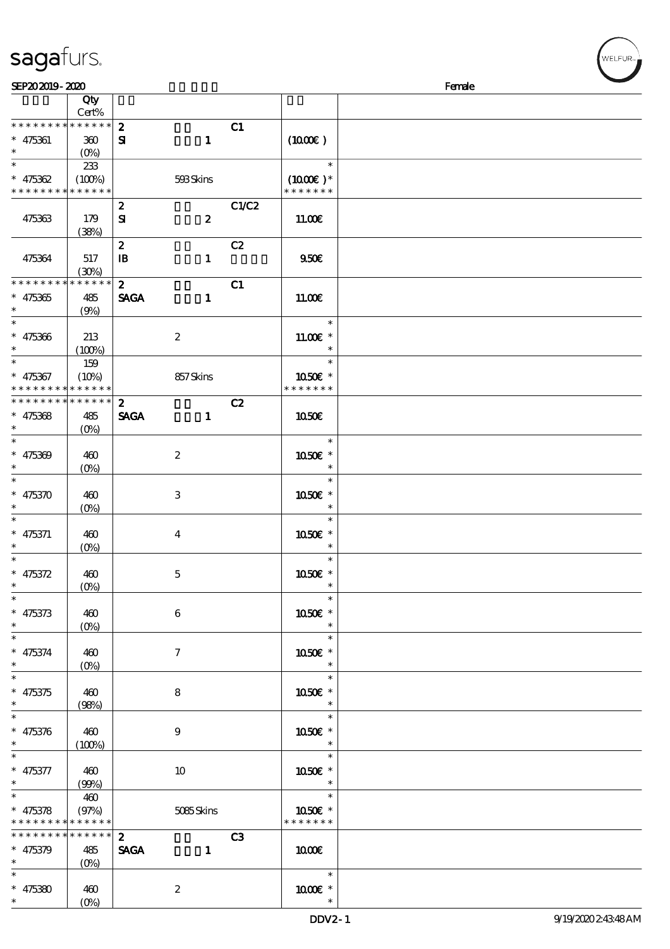| SEP202019-2020                             |                 |                  |                  |       |                                    | Female |
|--------------------------------------------|-----------------|------------------|------------------|-------|------------------------------------|--------|
|                                            | Qty             |                  |                  |       |                                    |        |
|                                            | Cert%           |                  |                  |       |                                    |        |
| * * * * * * * * * * * * * *                |                 | $\boldsymbol{z}$ |                  | C1    |                                    |        |
| $* 475361$                                 | 300             | ${\bf s}$        | $\mathbf{1}$     |       | (1000)                             |        |
| $\ast$                                     |                 |                  |                  |       |                                    |        |
| $\ast$                                     | 233             |                  |                  |       | $\ast$                             |        |
| $* 475362$                                 | (100%)          |                  | 593Skins         |       | $(1000E)^*$                        |        |
| * * * * * * * * * * * * * *                |                 |                  |                  |       | * * * * * * *                      |        |
|                                            |                 | $\boldsymbol{z}$ |                  | C1/C2 |                                    |        |
| 475363                                     | 179             | ${\bf s}$        | $\boldsymbol{z}$ |       | 11.00E                             |        |
|                                            | (38%)           |                  |                  |       |                                    |        |
|                                            |                 | $\boldsymbol{z}$ |                  | C2    |                                    |        |
| 475364                                     | 517             | $\mathbf{B}$     | $\mathbf{1}$     |       | 950E                               |        |
|                                            | (30%)           |                  |                  |       |                                    |        |
| * * * * * * * * * * * * * *                |                 | $\mathbf{z}$     |                  | C1    |                                    |        |
| $* 475365$                                 | 485             | <b>SAGA</b>      | $\mathbf{1}$     |       | 11.00E                             |        |
| $\ast$                                     | (9%)            |                  |                  |       |                                    |        |
| $\overline{\ast}$                          |                 |                  |                  |       | $\ast$                             |        |
| $* 475366$                                 | 213             |                  | $\boldsymbol{2}$ |       | $11.00E*$                          |        |
| $\ast$                                     | (100%)          |                  |                  |       | $\ast$                             |        |
| $\ast$                                     | 159             |                  |                  |       | $\ast$                             |        |
| $* 475367$                                 | (10%)           |                  | 857Skins         |       | 1050€ *                            |        |
| * * * * * * * *                            | * * * * * *     |                  |                  |       | * * * * * * *                      |        |
| * * * * * * * * * * * * * *                |                 | $\mathbf{z}$     |                  | C2    |                                    |        |
| $* 475368$                                 | 485             | <b>SAGA</b>      | $\mathbf{1}$     |       | 1050E                              |        |
| $\ast$                                     | $(O\% )$        |                  |                  |       |                                    |        |
| $\ast$                                     |                 |                  |                  |       | $\ast$                             |        |
| $* 475369$                                 | 460             |                  | $\boldsymbol{2}$ |       | 1050E *                            |        |
| $\ast$                                     | $(0\%)$         |                  |                  |       | $\ast$                             |        |
| $\ast$                                     |                 |                  |                  |       | $\ast$                             |        |
| $* 475370$<br>$\ast$                       | 460             |                  | $\,3$            |       | 1050€ *                            |        |
| $\ast$                                     | $(0\%)$         |                  |                  |       | $\ast$<br>$\ast$                   |        |
|                                            |                 |                  |                  |       |                                    |        |
| $* 475371$<br>$\ast$                       | 460             |                  | $\boldsymbol{4}$ |       | 1050E *<br>$\ast$                  |        |
| $\ast$                                     | $(O\%)$         |                  |                  |       | $\ast$                             |        |
| $* 475372$                                 | 460             |                  |                  |       | 1050€ *                            |        |
| $*$                                        | (0%)            |                  | $\mathbf 5$      |       | $\ast$                             |        |
| $\ast$                                     |                 |                  |                  |       | $\ast$                             |        |
| $* 475373$                                 | 460             |                  | 6                |       | 1050€ *                            |        |
| $\ast$                                     | $(0\%)$         |                  |                  |       | $\ast$                             |        |
| $\ast$                                     |                 |                  |                  |       | $\ast$                             |        |
| $* 475374$                                 | 460             |                  | $\tau$           |       | 1050E *                            |        |
| $\ast$                                     | $(O\%)$         |                  |                  |       | $\ast$                             |        |
| $\ast$                                     |                 |                  |                  |       | $\ast$                             |        |
| $* 475375$                                 | 460             |                  | 8                |       | 1050E *                            |        |
| $\ast$                                     | (98%)           |                  |                  |       | $\ast$                             |        |
| $\ast$                                     |                 |                  |                  |       | $\ast$                             |        |
| $* 475376$                                 | 460             |                  | 9                |       | 1050E *                            |        |
| $\ast$                                     | (100%)          |                  |                  |       | $\ast$                             |        |
| $\ast$                                     |                 |                  |                  |       | $\ast$                             |        |
| $* 475377$                                 | 460             |                  | 10               |       | 1050E *                            |        |
| $*$ $*$                                    | (90%)           |                  |                  |       | $\ast$                             |        |
| $\overline{\phantom{0}}$                   | 460             |                  |                  |       | $\overline{\phantom{a}}$<br>$\ast$ |        |
| $* 475378$                                 | (97%)           |                  | 5085Skins        |       | 1050€ *                            |        |
| * * * * * * * * <mark>* * * * * *</mark> * |                 |                  |                  |       | * * * * * * *                      |        |
| * * * * * * * *                            | $* * * * * * *$ | $2^{\circ}$      |                  | C3    |                                    |        |
| $* 475379$                                 | 485             | <b>SAGA</b>      | $\mathbf{1}$     |       | 1000                               |        |
| $\ast$                                     | $(0\%)$         |                  |                  |       |                                    |        |
| $\ast$                                     |                 |                  |                  |       | $\ast$                             |        |
| $* 475380$                                 | 460             |                  | $\boldsymbol{2}$ |       | 1000 *                             |        |
| $\ast$                                     | $(O\%)$         |                  |                  |       | $\ast$                             |        |

WELFUR-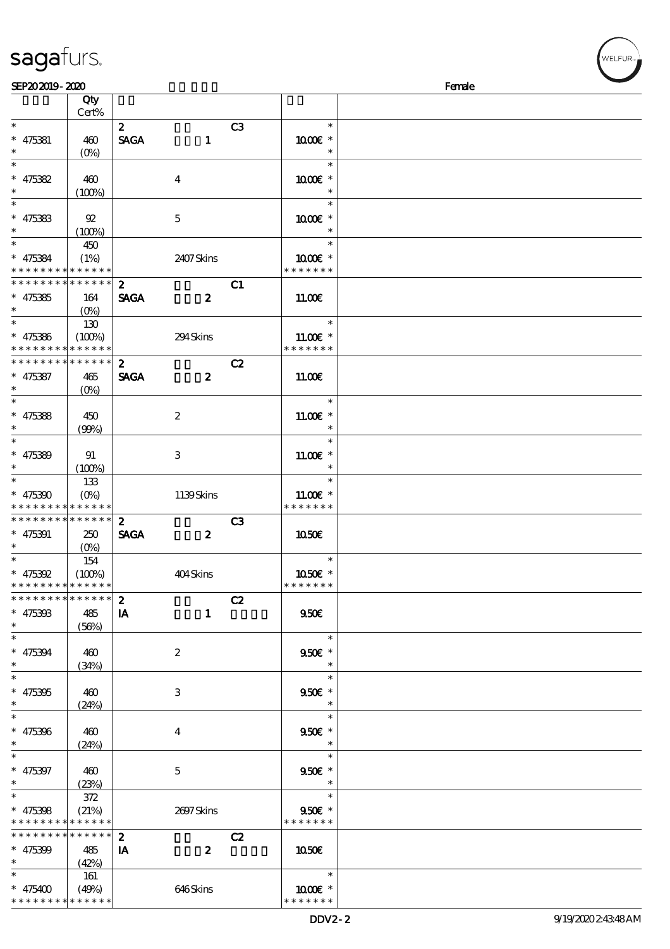| SEP202019-2020                                                                                     |                               |                                                 |                | Female                                       |  |
|----------------------------------------------------------------------------------------------------|-------------------------------|-------------------------------------------------|----------------|----------------------------------------------|--|
|                                                                                                    | Qty<br>Cert%                  |                                                 |                |                                              |  |
| $\ast$<br>$* 475381$<br>$\ast$                                                                     | 460<br>$(O\%)$                | $\mathbf{z}$<br><b>SAGA</b><br>$\mathbf{1}$     | C3             | $\ast$<br>1000E *<br>$\ast$                  |  |
| $\ast$<br>$* 475382$<br>$\ast$                                                                     | 460                           | $\boldsymbol{4}$                                |                | $\ast$<br>$1000E$ *<br>$\ast$                |  |
| $\ast$<br>$* 475383$                                                                               | (100%)<br>92                  | $\mathbf 5$                                     |                | $\ast$<br>1000 *                             |  |
| $\ast$<br>$\ast$<br>$* 475384$                                                                     | (100%)<br>450<br>(1%)         | 2407Skins                                       |                | $\ast$<br>$\ast$<br>1000 *                   |  |
| * * * * * * * * <mark>* * * * * *</mark> *<br>* * * * * * * * * * * * * *<br>$* 475385$            | 164                           | $\mathbf{z}$<br><b>SAGA</b><br>$\boldsymbol{2}$ | C1             | * * * * * * *<br>11.00E                      |  |
| $\ast$<br>$\overline{\ast}$                                                                        | $(O\% )$<br>130               |                                                 |                | $\ast$                                       |  |
| $* 475386$<br>* * * * * * * * <mark>* * * * * *</mark><br>* * * * * * * * <mark>* * * * * *</mark> | (100%)                        | 294Skins<br>$\mathbf{2}$                        | C2             | $11.00E$ *<br>* * * * * * *                  |  |
| $* 475387$<br>$\ast$<br>$\overline{\ast}$                                                          | 465<br>$(O\%)$                | <b>SAGA</b><br>$\boldsymbol{z}$                 |                | 11.00E<br>$\ast$                             |  |
| $* 475388$<br>$\ast$                                                                               | 450<br>(90%)                  | $\boldsymbol{2}$                                |                | $11.00E$ *<br>$\ast$                         |  |
| $*$<br>$* 475389$<br>$\ast$                                                                        | 91<br>(100%)                  | 3                                               |                | $\ast$<br>$11.00E$ *<br>$\ast$               |  |
| $\ast$<br>$* 475390$<br>* * * * * * * *                                                            | 133<br>$(O\%)$<br>* * * * * * | 1139Skins                                       |                | $\ast$<br>$11.00E$ *<br>* * * * * * *        |  |
| * * * * * * * * * * * * * *<br>$* 475391$<br>$\ast$                                                | 250<br>$(O\% )$               | $\mathbf{z}$<br><b>SAGA</b><br>$\boldsymbol{z}$ | C <sub>3</sub> | 1050E                                        |  |
| $* 475392$<br>* * * * * * * * <mark>* * * * * *</mark>                                             | 154<br>(100%)                 | 404Skins                                        |                | $\ast$<br>1050E *<br>* * * * * * *           |  |
| * * * * * * * * * * * * * * *<br>$* 475393$<br>$\ast$                                              | 485<br>(56%)                  | $\boldsymbol{z}$<br>$\mathbf{1}$<br><b>IA</b>   | C2             | 950E                                         |  |
| $\overline{\phantom{0}}$<br>$* 475394$<br>$\ast$                                                   | 460<br>(34%)                  | $\boldsymbol{z}$                                |                | $\ast$<br>$950f$ *<br>$\ast$                 |  |
| $\overline{\ast}$<br>$* 475395$<br>$\ast$                                                          | 460<br>(24%)                  | 3                                               |                | $\ast$<br>$950E$ *<br>$\ast$                 |  |
| $\ast$<br>$* 475396$<br>$\ast$                                                                     | 460<br>(24%)                  | 4                                               |                | $\ast$<br>950€ *<br>$\overline{\phantom{a}}$ |  |
| $\ast$<br>$* 475397$<br>$\ast$                                                                     | 460<br>(23%)                  | 5                                               |                | $\ast$<br>950€ *<br>$\ast$                   |  |
| $\ast$<br>$* 475398$<br>* * * * * * * * * * * * * *                                                | 372<br>(21%)                  | 2697Skins                                       |                | $\ast$<br>950€ *<br>* * * * * * *            |  |
| * * * * * * * *<br>$* 475399$<br>$\ast$                                                            | * * * * * *<br>485<br>(42%)   | $\boldsymbol{z}$<br>IA<br>$\boldsymbol{z}$      | C2             | 1050                                         |  |
| $\ast$<br>$* 475400$                                                                               | 161<br>(49%)                  | 646Skins                                        |                | $\ast$<br>1000 *                             |  |

\* \* \* \* \* \* \*

**NELFUR** 

# sagafurs.

\* \* \* \* \* \* \* \* <mark>\* \* \* \* \* \* \*</mark>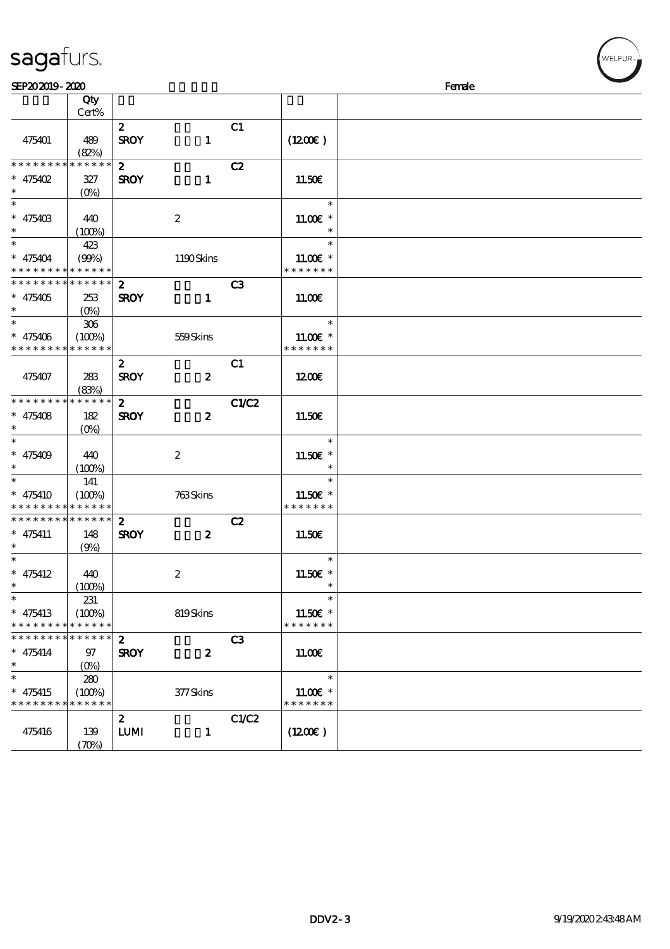|                                            | Qty                        |                  |                  |                |                       |  |
|--------------------------------------------|----------------------------|------------------|------------------|----------------|-----------------------|--|
|                                            | Cert%                      |                  |                  |                |                       |  |
|                                            |                            | $\mathbf{z}$     |                  | C1             |                       |  |
| 475401                                     | 489                        | <b>SROY</b>      | $\mathbf{1}$     |                | (1200E)               |  |
|                                            | (82%)                      |                  |                  |                |                       |  |
| * * * * * * * *                            | * * * * * *                | $\mathbf{2}$     |                  | C2             |                       |  |
| * $475402$                                 | 327                        | <b>SROY</b>      | $\mathbf{1}$     |                | 11.50E                |  |
| $\ast$                                     | $(O\% )$                   |                  |                  |                |                       |  |
|                                            |                            |                  |                  |                | $\ast$                |  |
| $* 47540B$                                 | 440                        |                  | $\boldsymbol{z}$ |                | 11.00 $\varepsilon$ * |  |
| $\ast$                                     |                            |                  |                  |                |                       |  |
| $\overline{\mathbf{r}}$                    | (100%)                     |                  |                  |                | $\ast$                |  |
|                                            | 423                        |                  |                  |                |                       |  |
| * 475404                                   | (90%)                      |                  | 1190Skins        |                | $1100E$ *             |  |
| * * * * * * * *                            | * * * * * *                |                  |                  |                | * * * * * * *         |  |
| * * * * * * * * * * * * * *                |                            | $\boldsymbol{z}$ |                  | C <sub>3</sub> |                       |  |
| $* 475405$                                 | 253                        | <b>SROY</b>      | $\mathbf{1}$     |                | 11.00E                |  |
| $\ast$                                     | $(0\%)$                    |                  |                  |                |                       |  |
|                                            | $306\,$                    |                  |                  |                | $\ast$                |  |
| $* 475406$                                 | (100%)                     |                  | 559Skins         |                | $11.00E$ *            |  |
| * * * * * * * *                            | * * * * * *                |                  |                  |                | * * * * * * *         |  |
|                                            |                            |                  |                  |                |                       |  |
|                                            |                            | $\boldsymbol{z}$ |                  | C1             |                       |  |
| 475407                                     | 283                        | <b>SROY</b>      | $\boldsymbol{z}$ |                | 1200                  |  |
|                                            | (83%)                      |                  |                  |                |                       |  |
| * * * * * * * *                            | * * * * * *                | $\mathbf{z}$     |                  | C1/C2          |                       |  |
| * $475408$                                 | 182                        | <b>SROY</b>      | $\boldsymbol{z}$ |                | 11.50€                |  |
| $\ast$                                     | $(O\% )$                   |                  |                  |                |                       |  |
|                                            |                            |                  |                  |                | $\ast$                |  |
| $* 475409$                                 | 440                        |                  | $\boldsymbol{2}$ |                | 11.50€ *              |  |
| $\ast$                                     | (100%)                     |                  |                  |                | $\ast$                |  |
| $\overline{\ast}$                          |                            |                  |                  |                | $\ast$                |  |
|                                            | 141                        |                  |                  |                |                       |  |
| $* 475410$                                 | (100%)                     |                  | 763Skins         |                | 11.50€ *              |  |
| * * * * * * * * <mark>* * * * * * *</mark> |                            |                  |                  |                | * * * * * * *         |  |
| * * * * * * * *                            | $* * * * * * *$            | $\mathbf{z}$     |                  | C2             |                       |  |
| $* 475411$                                 | 148                        | <b>SROY</b>      | $\boldsymbol{z}$ |                | 11.50€                |  |
| $\ast$                                     | (9%)                       |                  |                  |                |                       |  |
| $\ast$                                     |                            |                  |                  |                | $\ast$                |  |
| $* 475412$                                 | 440                        |                  | $\boldsymbol{z}$ |                | 11.50 $\varepsilon$ * |  |
| $^{\ast}$                                  | (100%)                     |                  |                  |                | $\ast$                |  |
| $\ast$                                     | 231                        |                  |                  |                | $\ast$                |  |
| $* 475413$                                 | (100%)                     |                  | 819Skins         |                | 11.50€ *              |  |
| * * * * * * * *                            | * * * * * *                |                  |                  |                | * * * * * * *         |  |
|                                            |                            |                  |                  |                |                       |  |
| * * * * * * *                              | * * * * * *                | $\boldsymbol{z}$ |                  | C3             |                       |  |
| $* 475414$                                 | 97                         | <b>SROY</b>      | $\boldsymbol{z}$ |                | 11.00E                |  |
| $\ast$                                     | $(0\%)$                    |                  |                  |                |                       |  |
| $\ast$                                     | 280                        |                  |                  |                | $\ast$                |  |
| $* 475415$                                 | (100%)                     |                  | 377Skins         |                | $11.00E$ *            |  |
| * * * * * * * *                            | * * * * * *                |                  |                  |                | * * * * * * *         |  |
|                                            |                            | $\boldsymbol{z}$ |                  | C1/C2          |                       |  |
| 475416                                     | 139                        | <b>LUMI</b>      | $\mathbf{1}$     |                | (1200E)               |  |
|                                            |                            |                  |                  |                |                       |  |
|                                            | $(\mathcal{X}\mathcal{Y})$ |                  |                  |                |                       |  |

# sagafurs.

WELFUR-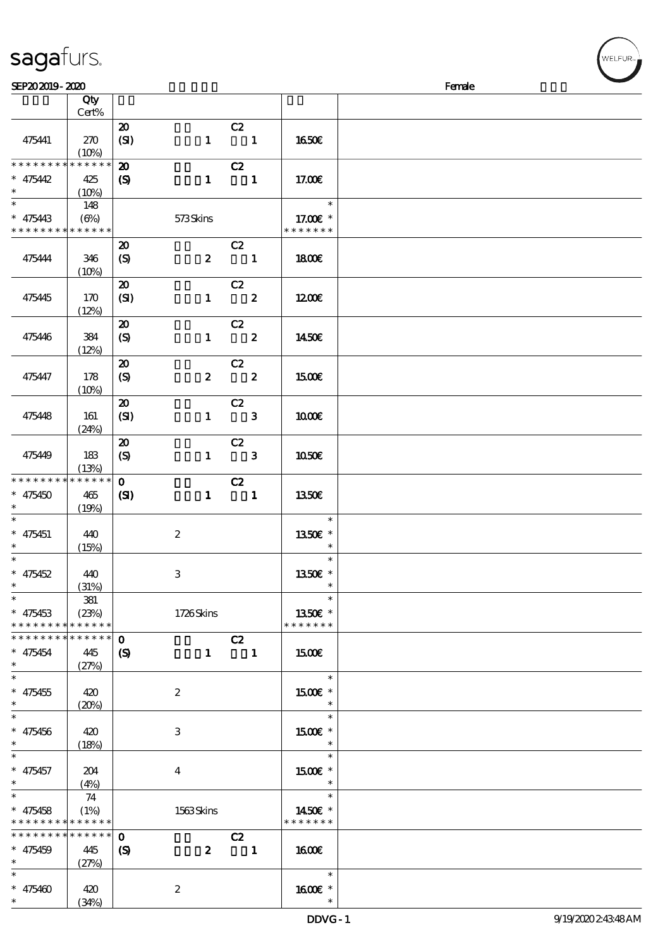| sagaturs.      |        |
|----------------|--------|
| SEP202019-2020 | Female |
| Qty<br>Cert%   |        |

|                                          | Qty                        |                             |                  |                            |               |  |
|------------------------------------------|----------------------------|-----------------------------|------------------|----------------------------|---------------|--|
|                                          | Cert%                      |                             |                  |                            |               |  |
|                                          |                            | $\boldsymbol{\mathsf{20}}$  |                  | C2                         |               |  |
| 475441                                   | 270<br>(10%)               | (SI)                        | $\mathbf{1}$     | $\sim$ 1                   | 1650€         |  |
| * * * * * * * *                          | $******$                   | $\boldsymbol{\mathfrak{D}}$ |                  | C2                         |               |  |
| $* 475442$                               | 425                        | $\boldsymbol{S}$            | $\mathbf{1}$     | $\blacksquare$             | 17.00E        |  |
| $\ast$                                   | (10%)                      |                             |                  |                            |               |  |
| $\ast$                                   | 148                        |                             |                  |                            | $\ast$        |  |
| $* 475443$                               | $(\Theta)$                 |                             | 573Skins         |                            | 17.00 £*      |  |
| * * * * * * * *                          | * * * * * *                |                             |                  |                            | * * * * * * * |  |
|                                          |                            | $\boldsymbol{\mathsf{20}}$  |                  | C2                         |               |  |
| 475444                                   | 346                        | $\boldsymbol{S}$            | $\mathbf{z}$     | $\sim$ 1                   | <b>1800€</b>  |  |
|                                          | (10%)                      |                             |                  |                            |               |  |
|                                          |                            | $\boldsymbol{\mathsf{20}}$  |                  | C2                         |               |  |
| 475445                                   | 170                        | (SI)                        | $\mathbf{1}$     | $\overline{\mathbf{2}}$    | 1200          |  |
|                                          | (12%)                      |                             |                  |                            |               |  |
|                                          |                            | $\boldsymbol{\mathfrak{D}}$ |                  | C2                         |               |  |
| 475446                                   | 384                        | $\boldsymbol{S}$            | $\mathbf{1}$     | $\overline{\mathbf{z}}$    | 1450E         |  |
|                                          | (12%)                      |                             |                  |                            |               |  |
|                                          |                            | $\boldsymbol{\mathfrak{D}}$ |                  | C2                         |               |  |
| 475447                                   | 178                        | $\boldsymbol{S}$            | $\boldsymbol{z}$ | $\overline{\mathbf{2}}$    | 1500€         |  |
|                                          | (10%)                      |                             |                  |                            |               |  |
|                                          |                            | $\boldsymbol{\mathfrak{D}}$ |                  | C2                         |               |  |
| 475448                                   | 161                        | (SI)                        | $\mathbf{1}$     | $\overline{\phantom{a}}$ 3 | 1000E         |  |
|                                          | (24%)                      |                             |                  |                            |               |  |
|                                          |                            | $\boldsymbol{\mathbf{z}}$   |                  | C2                         |               |  |
| 475449                                   | 183                        | (S)                         | $\mathbf{1}$     | $\overline{\phantom{a}}$ 3 | 1050E         |  |
|                                          | (13%)                      |                             |                  |                            |               |  |
| * * * * * * * *                          | * * * * * *                | $\mathbf{O}$                |                  | C2                         |               |  |
| $* 475450$                               | 465                        | (S)                         | $\mathbf{1}$     | $\overline{\phantom{a}}$ 1 | <b>1350€</b>  |  |
| $\ast$                                   | (19%)                      |                             |                  |                            |               |  |
| $\overline{\phantom{0}}$                 |                            |                             |                  |                            | $\ast$        |  |
| $* 475451$                               | 440                        |                             | $\boldsymbol{2}$ |                            | 1350€ *       |  |
| $\ast$                                   | (15%)                      |                             |                  |                            | $\ast$        |  |
| $\ast$                                   |                            |                             |                  |                            | $\ast$        |  |
| $* 475452$                               | 440                        |                             | 3                |                            | 1350E *       |  |
| $\ast$                                   | (31%)                      |                             |                  |                            | $\ast$        |  |
| $\star$                                  | 381                        |                             |                  |                            | $\ast$        |  |
| $* 475453$                               | (23%)                      |                             | 1726Skins        |                            | 1350€ *       |  |
| * * * * * * * *<br>* * * * * * * *       | * * * * * *<br>******      |                             |                  |                            | * * * * * * * |  |
|                                          |                            | $\mathbf{o}$                |                  | C2                         |               |  |
| $* 475454$<br>$\ast$                     | 445                        | $\boldsymbol{\mathcal{S}}$  |                  | $1 \quad 1$                | 1500€         |  |
| $\ast$                                   | (27%)                      |                             |                  |                            | $\ast$        |  |
| $* 475455$                               | 420                        |                             | $\boldsymbol{2}$ |                            | 1500E *       |  |
| $\ast$                                   |                            |                             |                  |                            | $\ast$        |  |
|                                          | (20%)                      |                             |                  |                            | $\ast$        |  |
| $* 475456$                               | 420                        |                             | 3                |                            | 1500€ *       |  |
| $\ast$                                   | (18%)                      |                             |                  |                            | $\ast$        |  |
| $\ast$                                   |                            |                             |                  |                            | $\ast$        |  |
| $* 475457$                               | 204                        |                             | $\overline{4}$   |                            | 1500 £*       |  |
| $\ast$                                   | (4%)                       |                             |                  |                            | $\ast$        |  |
| $\ast$                                   | 74                         |                             |                  |                            | $\ast$        |  |
| $* 475458$                               | (1%)                       |                             | 1563Skins        |                            | 1450€ *       |  |
| * * * * * * * * <mark>* * * * * *</mark> |                            |                             |                  |                            | * * * * * * * |  |
| * * * * * * * *                          | $\ast\ast\ast\ast\ast\ast$ | $\mathbf{o}$                |                  | C2                         |               |  |
| $* 475459$                               | 445                        | $\boldsymbol{\mathcal{S}}$  | $\boldsymbol{z}$ | $\blacksquare$             | <b>160€</b>   |  |
| $\ast$                                   | (27%)                      |                             |                  |                            |               |  |
| $\ast$                                   |                            |                             |                  |                            | $\ast$        |  |
| $* 475400$                               | 420                        |                             | $\boldsymbol{2}$ |                            | 1600 *        |  |
| $\ast$                                   | (34%)                      |                             |                  |                            | $\ast$        |  |

:<br>ELFUR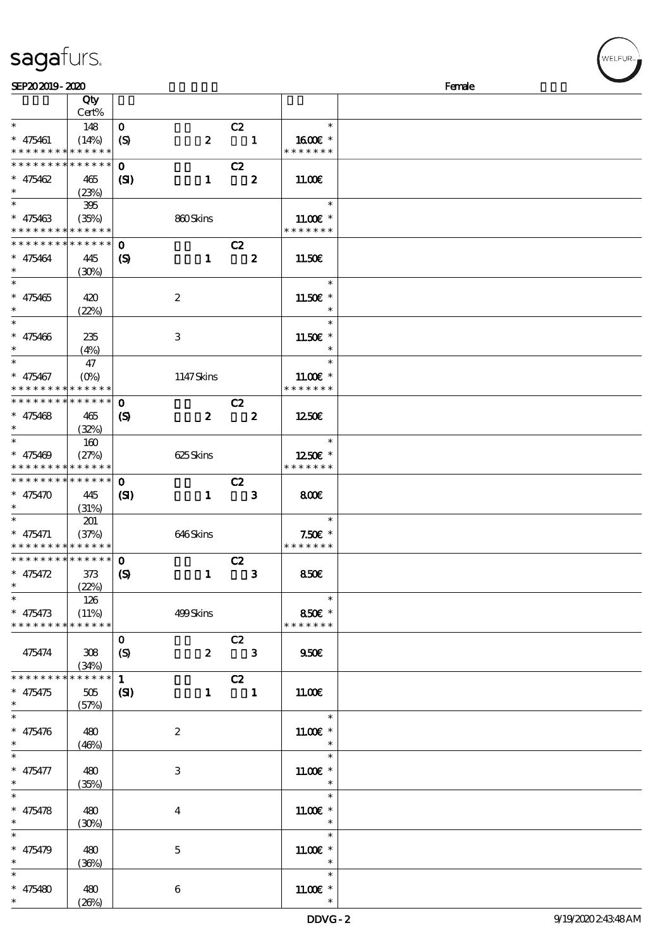|                                          | Cert%       |                            |                         |                            |               |  |
|------------------------------------------|-------------|----------------------------|-------------------------|----------------------------|---------------|--|
| $\ast$                                   | 148         | $\mathbf{o}$               |                         | C2                         | $\ast$        |  |
| $* 475461$                               | (14%)       | $\boldsymbol{S}$           | $\boldsymbol{z}$        | $\blacksquare$             | 1600€ *       |  |
| * * * * * * * * <mark>* * * * * *</mark> |             |                            |                         |                            | * * * * * * * |  |
| * * * * * * * * * * * * * *              |             | $\mathbf 0$                |                         | C2                         |               |  |
|                                          |             |                            |                         |                            |               |  |
| $* 475462$                               | 465         | (S)                        | $\mathbf{1}$            | $\overline{\mathbf{2}}$    | 11.00E        |  |
| $\ast$                                   | (23%)       |                            |                         |                            |               |  |
| $\overline{\ }$                          | 395         |                            |                         |                            | $\ast$        |  |
| $* 475463$                               | (35%)       |                            | 860Skins                |                            | $11.00E$ *    |  |
| * * * * * * * * * * * * * *              |             |                            |                         |                            | * * * * * * * |  |
| * * * * * * * *                          | * * * * * * | $\mathbf 0$                |                         | C2                         |               |  |
| $* 475464$                               | 445         | (S)                        | $\mathbf{1}$            | $\overline{\mathbf{2}}$    | 11.50€        |  |
| $\ast$                                   | (30%)       |                            |                         |                            |               |  |
| $\ast$                                   |             |                            |                         |                            | $\ast$        |  |
|                                          |             |                            |                         |                            |               |  |
| $* 475465$                               | 420         |                            | $\boldsymbol{z}$        |                            | 11.50€ *      |  |
| $\ast$                                   | (22%)       |                            |                         |                            | $\ast$        |  |
| $\overline{\phantom{0}}$                 |             |                            |                         |                            | $\ast$        |  |
| $* 475466$                               | 235         |                            | 3                       |                            | 11.50€ *      |  |
| $\ast$                                   | (4%)        |                            |                         |                            | $\ast$        |  |
| $\ast$                                   | 47          |                            |                         |                            | $\ast$        |  |
| $* 475467$                               | $(O\%)$     |                            | 1147Skins               |                            | $1100E$ *     |  |
| * * * * * * * * <mark>* * * * * *</mark> |             |                            |                         |                            | * * * * * * * |  |
| * * * * * * * * * * * * * *              |             |                            |                         |                            |               |  |
|                                          |             | $\mathbf 0$                |                         | C2                         |               |  |
| $* 475468$                               | 465         | $\boldsymbol{\mathcal{S}}$ | $\boldsymbol{z}$        | $\overline{\mathbf{z}}$    | 1250E         |  |
| $\ast$                                   | (32%)       |                            |                         |                            |               |  |
| $\overline{\ast}$                        | 160         |                            |                         |                            | $\ast$        |  |
| $* 475469$                               | (27%)       |                            | 625Skins                |                            | 1250E *       |  |
| * * * * * * * * * * * * * *              |             |                            |                         |                            | * * * * * * * |  |
| * * * * * * * * * * * * * * *            |             | $\mathbf 0$                |                         | C2                         |               |  |
| $* 475470$                               | 445         | (S)                        | $\mathbf{1}$            | $\overline{\phantom{a}}$ 3 | 800           |  |
| $\ast$                                   |             |                            |                         |                            |               |  |
| $\ast$                                   | (31%)       |                            |                         |                            |               |  |
|                                          | 201         |                            |                         |                            | $\ast$        |  |
| $* 475471$                               | (37%)       |                            | 646Skins                |                            | $7.50E$ *     |  |
| * * * * * * * * * * * * * *              |             |                            |                         |                            | * * * * * * * |  |
| * * * * * * * * * * * * * * *            |             | $\mathbf 0$                |                         | C2                         |               |  |
| $* 475472$                               | 373         | $\boldsymbol{\mathcal{S}}$ | $\mathbf{1}$            | $\mathbf{3}$               | 850E          |  |
| $*$                                      | (22%)       |                            |                         |                            |               |  |
| $\overline{\phantom{0}}$                 | 126         |                            |                         |                            | $\ast$        |  |
| $* 475473$                               | (11%)       |                            | 499Skins                |                            | 850€ *        |  |
| * * * * * * * * * * * * * *              |             |                            |                         |                            | * * * * * * * |  |
|                                          |             |                            |                         |                            |               |  |
|                                          |             | $\mathbf{O}$               |                         | C2                         |               |  |
| 475474                                   | 308         | (S)                        | $\boldsymbol{z}$        | $\overline{\mathbf{3}}$    | 950E          |  |
|                                          | (34%)       |                            |                         |                            |               |  |
| * * * * * * * *                          | * * * * * * | $\mathbf{1}$               |                         | C2                         |               |  |
| $* 475475$                               | 505         | (S)                        | $\mathbf{1}$            | $\blacksquare$             | 11.00E        |  |
| $\ast$                                   | (57%)       |                            |                         |                            |               |  |
|                                          |             |                            |                         |                            | $\ast$        |  |
| $* 475476$                               |             |                            |                         |                            | $11.00E$ *    |  |
| $\ast$                                   | 480         |                            | $\boldsymbol{z}$        |                            | $\ast$        |  |
|                                          | (46%)       |                            |                         |                            |               |  |
| $\ast$                                   |             |                            |                         |                            | $\ast$        |  |
| $* 475477$                               | 480         |                            | 3                       |                            | $11.00E$ *    |  |
| $\ast$                                   | (35%)       |                            |                         |                            |               |  |
| $\overline{\ast}$                        |             |                            |                         |                            | $\ast$        |  |
| $* 475478$                               | 480         |                            | $\overline{\mathbf{4}}$ |                            | $11.00E$ *    |  |
| $\ast$                                   | (30%)       |                            |                         |                            |               |  |
| $\ast$                                   |             |                            |                         |                            | $\ast$        |  |
|                                          |             |                            |                         |                            |               |  |
| $* 475479$                               | 480         |                            | $\mathbf{5}$            |                            | $11.00E$ *    |  |
| $\ast$                                   | (36%)       |                            |                         |                            | $\ast$        |  |
| $\ast$                                   |             |                            |                         |                            | $\ast$        |  |
| * 475480 $*$                             | 480         |                            | $\boldsymbol{6}$        |                            | $11.00E$ *    |  |
|                                          | (20%)       |                            |                         |                            | $\ast$        |  |

说明 价格

# sagafurs.

顺序号 Qty

**NELFUR**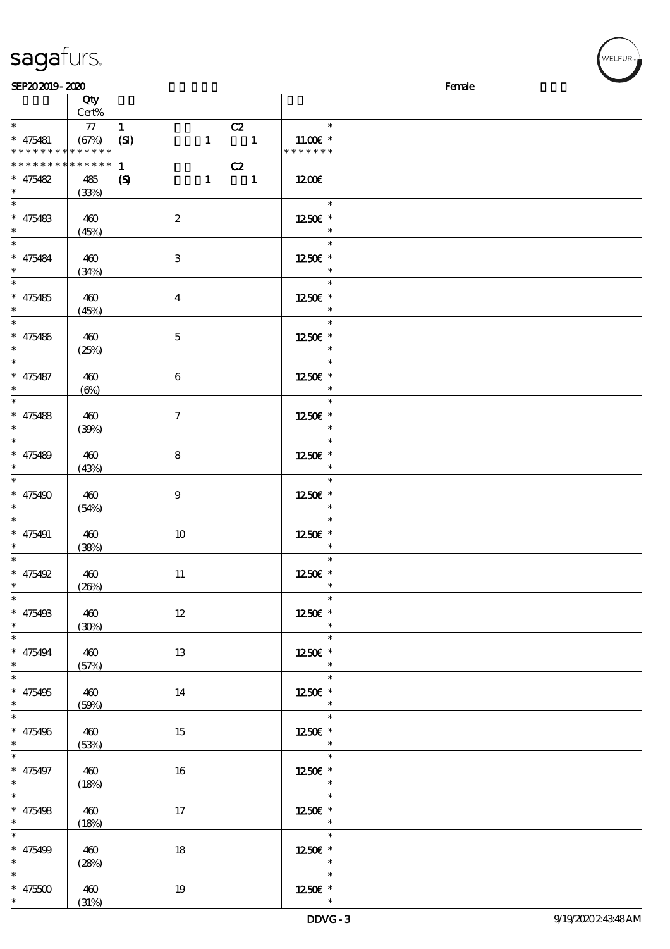| SEP202019-2020                     |                     |                             |                   |                                    | Female |
|------------------------------------|---------------------|-----------------------------|-------------------|------------------------------------|--------|
|                                    | Qty                 |                             |                   |                                    |        |
| $\ast$                             | Cert%<br>${\bf 77}$ | $\mathbf{1}$                |                   | $*$                                |        |
| $* 475481$                         | (67%)               | (SI)                        | C2<br>$1 \quad 1$ | 11.00 $\varepsilon$ *              |        |
| * * * * * * * * * * * * * *        |                     |                             |                   | * * * * * * *                      |        |
| * * * * * * *                      | * * * * * *         | $\mathbf{1}$                | C2                |                                    |        |
| $* 475482$                         | 485                 | $\boldsymbol{\mathsf{(S)}}$ | $1 \quad 1$       | 1200                               |        |
| $*$                                | (33%)               |                             |                   |                                    |        |
| $\ast$                             |                     |                             |                   | $\ast$                             |        |
| $* 475483$<br>$\ast$               | 460                 | $\boldsymbol{2}$            |                   | 1250E *<br>$\ast$                  |        |
| $\ast$                             | (45%)               |                             |                   | $\ast$                             |        |
| $* 475484$                         | 460                 | $\,3$                       |                   | 1250E *                            |        |
| $\ast$                             | (34%)               |                             |                   | $\ast$                             |        |
| $\ast$                             |                     |                             |                   | $\ast$                             |        |
| $* 475485$                         | 460                 | $\boldsymbol{4}$            |                   | 1250E *                            |        |
| $\ast$                             | (45%)               |                             |                   | $\ast$                             |        |
| $\ast$                             |                     |                             |                   | $\ast$                             |        |
| $* 475486$<br>$\ast$               | 460                 | $\mathbf 5$                 |                   | 1250E *                            |        |
| $\ast$                             | (25%)               |                             |                   | $\ast$                             |        |
| $* 475487$                         | 460                 | $\bf 6$                     |                   | 1250E *                            |        |
| $\ast$                             | $(\Theta)$          |                             |                   |                                    |        |
| $\ast$                             |                     |                             |                   | $\ast$                             |        |
| $* 475488$                         | 460                 | $\tau$                      |                   | 1250E *                            |        |
| $\ast$                             | (30%)               |                             |                   | $\ast$                             |        |
| $\ast$                             |                     |                             |                   | $\ast$                             |        |
| $* 475489$<br>$\ast$               | 460<br>(43%)        | 8                           |                   | 1250E *<br>$\ast$                  |        |
| $\ast$                             |                     |                             |                   | $\ast$                             |        |
| $* 475490$                         | 460                 | $\boldsymbol{9}$            |                   | 1250E *                            |        |
| $\ast$                             | (54%)               |                             |                   | $\ast$                             |        |
| $\ast$                             |                     |                             |                   | $\ast$                             |        |
| $* 475491$                         | 460                 | 10                          |                   | 1250E *                            |        |
| $\ast$<br>$\ast$                   | (38%)               |                             |                   | $\ast$<br>$\ast$                   |        |
| $* 475492$                         | 460                 | $11\,$                      |                   | 1250E *                            |        |
| $\ast$                             | (20%)               |                             |                   |                                    |        |
| $\overline{\ast}$                  |                     |                             |                   | $\ast$                             |        |
| $* 475493$                         | 460                 | $12\,$                      |                   | 1250E *                            |        |
| $\ast$<br>$\overline{\phantom{0}}$ | (30%)               |                             |                   | $\ast$                             |        |
|                                    |                     |                             |                   | $\ast$                             |        |
| $* 475494$<br>$\ast$               | 460                 | 13                          |                   | 1250 $\varepsilon$ *<br>$\ast$     |        |
| $\overline{\phantom{0}}$           | (57%)               |                             |                   | $\overline{\ast}$                  |        |
| $* 475495$                         | 460                 | $14\,$                      |                   | 1250E *                            |        |
| $\ast$                             | (50%)               |                             |                   | $\ast$                             |        |
| $_{*}^{-}$                         |                     |                             |                   | $\overline{\ast}$                  |        |
| $* 475496$                         | 460                 | 15                          |                   | 1250E *                            |        |
| $\ast$<br>$\frac{1}{*}$            | (53%)               |                             |                   | $\overline{\phantom{a}}$           |        |
|                                    |                     |                             |                   | $\overline{\ast}$                  |        |
| $* 475497$<br>$\ast$               | 460<br>(18%)        | 16                          |                   | 1250E *<br>$\ast$                  |        |
| $\overline{\phantom{0}}$           |                     |                             |                   | $\ast$                             |        |
| $* 475498$                         | 460                 | 17                          |                   | 1250E *                            |        |
| $\ast$                             | (18%)               |                             |                   | $\ast$                             |        |
| $\overline{\ast}$                  |                     |                             |                   | $\overline{\ast}$                  |        |
| $* 475499$                         | 460                 | 18                          |                   | 1250E *                            |        |
| $\ast$                             | (28%)               |                             |                   | $\ast$<br>$\overline{\phantom{0}}$ |        |
|                                    |                     |                             |                   |                                    |        |
| $* 475500$                         | 460                 | 19                          |                   | 1250E *                            |        |

\*

(31%)

WELFUR<sub>"</sub>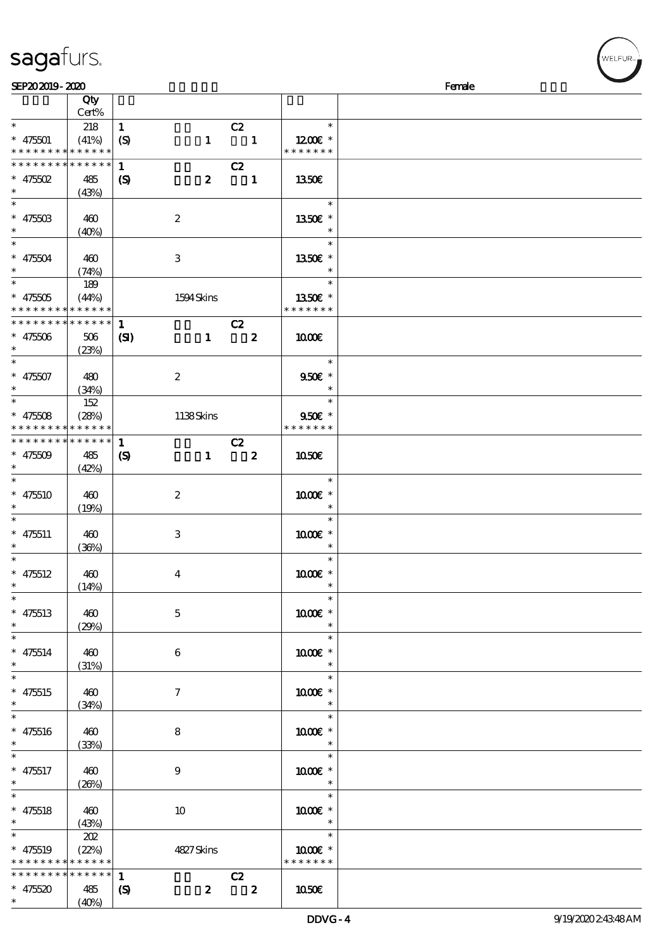|                                            | Cert% |                            |                  |                          |                      |  |
|--------------------------------------------|-------|----------------------------|------------------|--------------------------|----------------------|--|
| $\ast$                                     | 218   | $\mathbf{1}$               |                  | C2                       | $\ast$               |  |
| $* 475501$                                 | (41%) | $\boldsymbol{S}$           | $\mathbf{1}$     | $\blacksquare$           | 1200 $\varepsilon$ * |  |
| * * * * * * * * <mark>* * * * * *</mark>   |       |                            |                  |                          | * * * * * * *        |  |
| * * * * * * * * * * * * * *                |       | $\mathbf{1}$               |                  | C2                       |                      |  |
| $* 475502$                                 |       |                            |                  |                          |                      |  |
| $\ast$                                     | 485   | $\boldsymbol{\mathcal{S}}$ | $\boldsymbol{z}$ | $\overline{\phantom{a}}$ | <b>1350€</b>         |  |
|                                            | (43%) |                            |                  |                          |                      |  |
| $\ast$                                     |       |                            |                  |                          | $\ast$               |  |
| $* 4750B$                                  | 460   |                            | $\boldsymbol{2}$ |                          | 1350€ *              |  |
| $\ast$                                     | (40%) |                            |                  |                          |                      |  |
| $\overline{\ast}$                          |       |                            |                  |                          | $\ast$               |  |
| $* 475504$                                 | 460   |                            | 3                |                          | 1350E *              |  |
| $\ast$                                     | (74%) |                            |                  |                          |                      |  |
| $\overline{\phantom{a}^*}$                 | 189   |                            |                  |                          | e T<br>$\ast$        |  |
| $* 47500$                                  | (44%) |                            | 1594 Skins       |                          | 1350€ *              |  |
| * * * * * * * * <mark>* * * * * * *</mark> |       |                            |                  |                          | * * * * * * *        |  |
|                                            |       |                            |                  |                          |                      |  |
| * * * * * * * * * * * * * *                |       | $\mathbf{1}$               |                  | C2                       |                      |  |
| $* 47500$                                  | 506   | $\mathbf{C}$               | $\mathbf{1}$     | $\overline{\mathbf{2}}$  | 1000E                |  |
| $\ast$                                     | (23%) |                            |                  |                          |                      |  |
| $\ast$                                     |       |                            |                  |                          | $\ast$               |  |
| $* 47507$                                  | 480   |                            | $\boldsymbol{2}$ |                          | 9506 *               |  |
| $\ast$                                     | (34%) |                            |                  |                          | $\ast$               |  |
| $\ast$                                     | 152   |                            |                  |                          | $\ast$               |  |
| $* 47508$                                  | (28%) |                            |                  |                          | $950E$ *             |  |
| * * * * * * * * <mark>* * * * * *</mark> * |       |                            | 1138Skins        |                          | * * * * * * *        |  |
|                                            |       |                            |                  |                          |                      |  |
| * * * * * * * * * * * * * *                |       | $\mathbf{1}$               |                  | C2                       |                      |  |
| $* 47509$                                  | 485   | $\boldsymbol{\mathcal{S}}$ | $\mathbf{1}$     | $\overline{\mathbf{z}}$  | 1050E                |  |
| $\ast$                                     | (42%) |                            |                  |                          |                      |  |
| $\ast$                                     |       |                            |                  |                          | $\ast$               |  |
| $* 475510$                                 | 460   |                            | $\boldsymbol{2}$ |                          | 1000€ *              |  |
| $\ast$                                     | (19%) |                            |                  |                          | $\ast$               |  |
| $\ast$                                     |       |                            |                  |                          | $\ast$               |  |
| $* 475511$                                 | 460   |                            | 3                |                          | 1000 *               |  |
| $\ast$                                     | (36%) |                            |                  |                          | $\ast$               |  |
| $\ast$                                     |       |                            |                  |                          | $\ast$               |  |
|                                            |       |                            |                  |                          |                      |  |
| $* 475512$                                 | 460   |                            | $\bf{4}$         |                          | 1000 *               |  |
| $\ast$                                     | (14%) |                            |                  |                          | $\ast$               |  |
| $\ast$                                     |       |                            |                  |                          | $\ast$               |  |
| $* 475513$                                 | 460   |                            | $\mathbf{5}$     |                          | $1000E$ $^{\ast}$    |  |
| $\ast$                                     | (29%) |                            |                  |                          | $\ast$               |  |
| $\ast$                                     |       |                            |                  |                          | $\ast$               |  |
| $* 475514$                                 | 460   |                            | $6\phantom{.}6$  |                          | 1000 *               |  |
| $\ast$                                     | (31%) |                            |                  |                          | $\ast$               |  |
| $\ast$                                     |       |                            |                  |                          | $\ast$               |  |
|                                            |       |                            |                  |                          |                      |  |
| $* 475515$<br>$\ast$                       | 460   |                            | $\tau$           |                          | 1000 *               |  |
| $\overline{\ast}$                          | (34%) |                            |                  |                          |                      |  |
|                                            |       |                            |                  |                          | $\ast$               |  |
| $* 475516$                                 | 460   |                            | 8                |                          | 1000 *               |  |
| $\ast$                                     | (33%) |                            |                  |                          | $\ast$               |  |
| $\ast$                                     |       |                            |                  |                          | $\ast$               |  |
| $* 475517$                                 | 460   |                            | 9                |                          | 1000 *               |  |
| $\ast$                                     | (20%) |                            |                  |                          | $\ast$               |  |
| $\ast$                                     |       |                            |                  |                          | $\ast$               |  |
| $* 475518$                                 | 460   |                            | 10               |                          | 1000 *               |  |
| $\ast$                                     |       |                            |                  |                          | $\ast$               |  |
| $\overline{\ast}$                          | (43%) |                            |                  |                          | $\ast$               |  |
|                                            | 202   |                            |                  |                          |                      |  |
| $* 475519$                                 | (22%) |                            | 4827Skins        |                          | 1000E *              |  |
| * * * * * * * * * * * * * *                |       |                            |                  |                          | * * * * * * *        |  |
| * * * * * * * * <mark>* * * * * *</mark>   |       | $\mathbf{1}$               |                  | C2                       |                      |  |
| $* 475520$                                 | 485   | $\boldsymbol{\mathcal{S}}$ | $\boldsymbol{z}$ | $\overline{\mathbf{2}}$  | 1050E                |  |

说明 价格

#### sagafurs.

顺序号 Qty

\*

 $(40%)$ 

**NELFUR**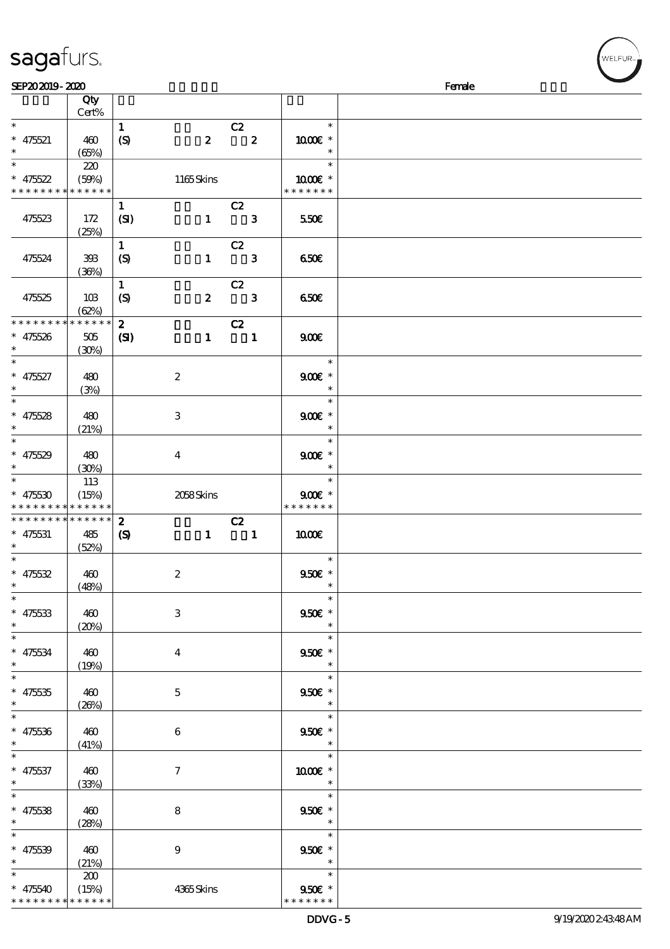| <b>saga</b> furs. |
|-------------------|
|-------------------|

| SEP202019-2020              |             |                            |                  |                                                          |                             | Female |
|-----------------------------|-------------|----------------------------|------------------|----------------------------------------------------------|-----------------------------|--------|
|                             | Qty         |                            |                  |                                                          |                             |        |
|                             | Cert%       |                            |                  |                                                          |                             |        |
| $\ast$                      |             | $\mathbf{1}$               |                  |                                                          | $\ast$                      |        |
|                             |             |                            |                  | $\overline{c}z$                                          |                             |        |
| $* 475521$                  | 460         | $\boldsymbol{S}$           | $\boldsymbol{z}$ | $\overline{\mathbf{z}}$                                  | $1000E$ *                   |        |
| $\ast$                      | (65%)       |                            |                  |                                                          | $\ast$                      |        |
| $\overline{\ast}$           | 220         |                            |                  |                                                          | $\ast$                      |        |
| $* 475522$                  | (50%)       |                            | 1165Skins        |                                                          | $1000E$ *                   |        |
| * * * * * * * * * * * * * * |             |                            |                  |                                                          | * * * * * * *               |        |
|                             |             |                            |                  |                                                          |                             |        |
|                             |             | $\mathbf{1}$               |                  | C2                                                       |                             |        |
| 475523                      | 172         | (SI)                       |                  | $1 \qquad 3$                                             | 550€                        |        |
|                             | (25%)       |                            |                  |                                                          |                             |        |
|                             |             | $\mathbf{1}$               |                  | C2                                                       |                             |        |
| 475524                      | 398         | $\boldsymbol{S}$           | $\mathbf{1}$     | $\overline{\phantom{a}}$ 3                               | 650E                        |        |
|                             |             |                            |                  |                                                          |                             |        |
|                             | (36%)       |                            |                  |                                                          |                             |        |
|                             |             | $\mathbf{1}$               |                  | C2                                                       |                             |        |
| 475525                      | 10B         | $\boldsymbol{S}$           | $\boldsymbol{2}$ | $\overline{\phantom{a}}$ 3                               | 650E                        |        |
|                             | (62%)       |                            |                  |                                                          |                             |        |
| * * * * * * * *             | * * * * * * | $\mathbf{2}$               |                  | C2                                                       |                             |        |
| $* 47526$                   | 505         |                            |                  | $1 \quad 1$                                              | 900                         |        |
| $\ast$                      |             | $\mathbf{C}$               |                  |                                                          |                             |        |
|                             | (30%)       |                            |                  |                                                          |                             |        |
| $\ast$                      |             |                            |                  |                                                          | $\ast$                      |        |
| $* 475527$                  | 480         |                            | $\boldsymbol{2}$ |                                                          | $900$ $\epsilon$ *          |        |
| $\ast$                      | (3%)        |                            |                  |                                                          | $\ast$                      |        |
| $\overline{\ast}$           |             |                            |                  |                                                          | $\ast$                      |        |
|                             |             |                            |                  |                                                          |                             |        |
| $* 475528$                  | 480         |                            | 3                |                                                          | $900E$ *                    |        |
| $\ast$                      | (21%)       |                            |                  |                                                          | $\ast$                      |        |
| $\overline{\ast}$           |             |                            |                  |                                                          | $\ast$                      |        |
| $* 47529$                   | 480         |                            | $\bf{4}$         |                                                          | $900E$ *                    |        |
| $\ast$                      | (30%)       |                            |                  |                                                          | $\ast$                      |        |
| $\ast$                      | 113         |                            |                  |                                                          | $\ast$                      |        |
|                             |             |                            |                  |                                                          |                             |        |
| $* 47530$                   | (15%)       |                            | 2058Skins        |                                                          | $900$ $\epsilon$ *          |        |
| * * * * * * * *             | * * * * * * |                            |                  |                                                          | * * * * * * *               |        |
| * * * * * * * *             | $******$    | $\boldsymbol{z}$           |                  | C2                                                       |                             |        |
| $* 475531$                  | 485         | $\boldsymbol{\mathcal{S}}$ |                  | $\begin{array}{cccc} 1 & \hspace{1.5cm} & 1 \end{array}$ | 1000E                       |        |
| $\ast$                      | (52%)       |                            |                  |                                                          |                             |        |
| $\ast$                      |             |                            |                  |                                                          | $\ast$                      |        |
| $* 475532$                  | 460         |                            | $\boldsymbol{2}$ |                                                          | $950f$ *                    |        |
| $*$                         |             |                            |                  |                                                          | $\ast$                      |        |
|                             | (48%)       |                            |                  |                                                          |                             |        |
| $\ast$                      |             |                            |                  |                                                          | $\ast$                      |        |
| $* 47533$                   | 460         |                            | 3                |                                                          | 950€ *                      |        |
| $\ast$                      | (20%)       |                            |                  |                                                          | $\ast$                      |        |
| $\overline{\ast}$           |             |                            |                  |                                                          | $\ast$                      |        |
| $* 475534$                  | 460         |                            | 4                |                                                          | $950E *$                    |        |
| $\ast$                      |             |                            |                  |                                                          | $\ast$                      |        |
| $\ast$                      | (19%)       |                            |                  |                                                          |                             |        |
|                             |             |                            |                  |                                                          | $\ast$                      |        |
| $* 47535$                   | 460         |                            | $\mathbf{5}$     |                                                          | $950E$ *                    |        |
| $\ast$                      | (20%)       |                            |                  |                                                          | $\ast$                      |        |
| $\ast$                      |             |                            |                  |                                                          | $\ast$                      |        |
| $* 475336$                  | 460         |                            | $\boldsymbol{6}$ |                                                          | $950E$ $^{\ast}$            |        |
| $\ast$                      |             |                            |                  |                                                          | $\ast$                      |        |
|                             | (41%)       |                            |                  |                                                          | $\ast$                      |        |
|                             |             |                            |                  |                                                          |                             |        |
| $* 475537$                  | 460         |                            | 7                |                                                          | 1000 *                      |        |
| $\ast$                      | (33%)       |                            |                  |                                                          |                             |        |
| $\ast$                      |             |                            |                  |                                                          | $\ast$                      |        |
| $* 47538$                   | 460         |                            | 8                |                                                          | 950€ *                      |        |
| $\ast$                      |             |                            |                  |                                                          | $\rightarrow$ $\rightarrow$ |        |
|                             | (28%)       |                            |                  |                                                          |                             |        |
| $\ast$                      |             |                            |                  |                                                          | $\ast$                      |        |
| $* 47539$                   | 460         |                            | $\boldsymbol{9}$ |                                                          | $950f$ *                    |        |
| $\ast$                      | (21%)       |                            |                  |                                                          | $\ast$                      |        |
| $\ast$                      | 200         |                            |                  |                                                          | $\ast$                      |        |
| $* 475540$                  | (15%)       |                            | 4365Skins        |                                                          | $950$ £ $*$                 |        |
| * * * * * * * *             | * * * * * * |                            |                  |                                                          | * * * * * * *               |        |
|                             |             |                            |                  |                                                          |                             |        |

WELFUR<sub>"</sub>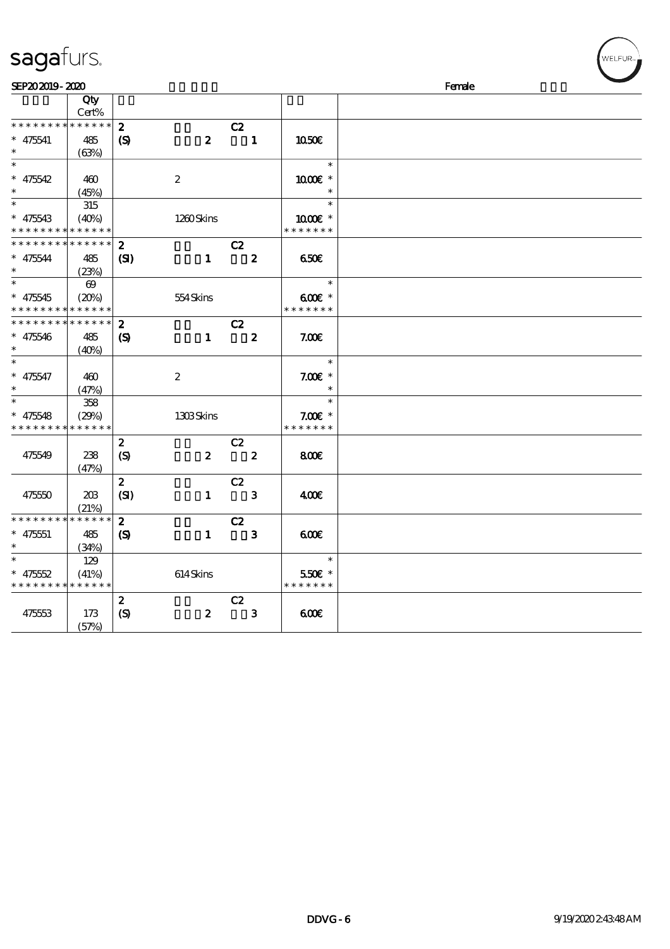| sagafurs.        |                       |                             |                  |                            |                  |               | WELFUR <sub>™</sub> |
|------------------|-----------------------|-----------------------------|------------------|----------------------------|------------------|---------------|---------------------|
| SEP202019-2020   |                       |                             |                  |                            |                  |               | Female              |
|                  | Qty                   |                             |                  |                            |                  |               |                     |
|                  | Cert%                 |                             |                  |                            |                  |               |                     |
| * * * * * * * *  | * * * * * *           | $\boldsymbol{z}$            |                  | C2                         |                  |               |                     |
| $* 475541$       | 485                   | $\boldsymbol{\mathcal{S}}$  | $\boldsymbol{z}$ |                            | $\mathbf{1}$     | 1050E         |                     |
|                  | (63%)                 |                             |                  |                            |                  |               |                     |
| $\ast$           |                       |                             |                  |                            |                  | $\ast$        |                     |
| $* 475542$       | 460                   |                             | $\boldsymbol{2}$ |                            |                  | 1000€ *       |                     |
|                  | (45%)                 |                             |                  |                            |                  | $\ast$        |                     |
|                  | 315                   |                             |                  |                            |                  | $\ast$        |                     |
| $* 475543$       | (40%)                 |                             | 1260Skins        |                            |                  | 1000 *        |                     |
| * * * * *        | * * * * * *           |                             |                  |                            |                  | * * * * * * * |                     |
| * * * * *        | * * * * * *           | $\boldsymbol{z}$            |                  | C2                         |                  |               |                     |
| $* 475544$       | 485                   | (S)                         | $\mathbf{1}$     |                            | $\boldsymbol{z}$ | 650E          |                     |
|                  | (23%)                 |                             |                  |                            |                  |               |                     |
|                  | $\boldsymbol{\omega}$ |                             |                  |                            |                  | $\ast$        |                     |
| $* 475545$       | (20%)                 |                             | 554Skins         |                            |                  | 600€ *        |                     |
| * * * *          | * * * * * *           |                             |                  |                            |                  | * * * * * * * |                     |
| * * * *          | * * * * * *           | $\boldsymbol{z}$            |                  | C2                         |                  |               |                     |
| $* 475546$       | 485                   | $\boldsymbol{\mathrm{(S)}}$ | $\mathbf{1}$     |                            | $\boldsymbol{2}$ | 7.00E         |                     |
|                  | (40%)                 |                             |                  |                            |                  |               |                     |
|                  |                       |                             |                  |                            |                  | $\ast$        |                     |
| $* 475547$       | 460                   |                             | $\boldsymbol{2}$ |                            |                  | $7.00E$ *     |                     |
| $\ast$           | (47%)                 |                             |                  |                            |                  | $\ast$        |                     |
| $\ast$           | 358                   |                             |                  |                            |                  | $\ast$        |                     |
| $* 475548$       | (29%)                 |                             | 1308Skins        |                            |                  | $7.00E$ *     |                     |
| * * * * * * *    | * * * * * *           |                             |                  |                            |                  | * * * * * * * |                     |
|                  |                       | $\boldsymbol{z}$            |                  | C2                         |                  |               |                     |
| 475549           | 238                   | $\boldsymbol{S}$            | $\boldsymbol{z}$ |                            | $\boldsymbol{z}$ | 800           |                     |
|                  | (47%)                 |                             |                  |                            |                  |               |                     |
|                  |                       | $\boldsymbol{z}$            |                  | C2                         |                  |               |                     |
| 475550           | 20B                   | (SI)                        | $\mathbf{1}$     | $\overline{\phantom{a}}$ 3 |                  | 400E          |                     |
|                  | (21%)                 |                             |                  |                            |                  |               |                     |
| * * * * * * * *  | * * * * * *           | $\boldsymbol{z}$            |                  | C2                         |                  |               |                     |
| $\ast$<br>475551 | 485                   | $\boldsymbol{\mathcal{S}}$  | $\mathbf{1}$     |                            | $\mathbf{3}$     | 600           |                     |
| $\ast$           | (34%)                 |                             |                  |                            |                  |               |                     |
| $\ast$           | 129                   |                             |                  |                            |                  | $\ast$        |                     |
| $* 475552$       | (41%)                 |                             | 614Skins         |                            |                  | 550€ *        |                     |
| * * * * *        | * * * * * *           |                             |                  |                            |                  | * * * * * * * |                     |
|                  |                       | $\boldsymbol{z}$            |                  | C2                         |                  |               |                     |
| 475553           | 173                   | (S)                         | $\boldsymbol{z}$ |                            | $\mathbf{3}$     | 600           |                     |
|                  | $(T^*D)$              |                             |                  |                            |                  |               |                     |

(57%)

 $(w$ ELFUR<sub><sup>n</sub></sub></sub></sup>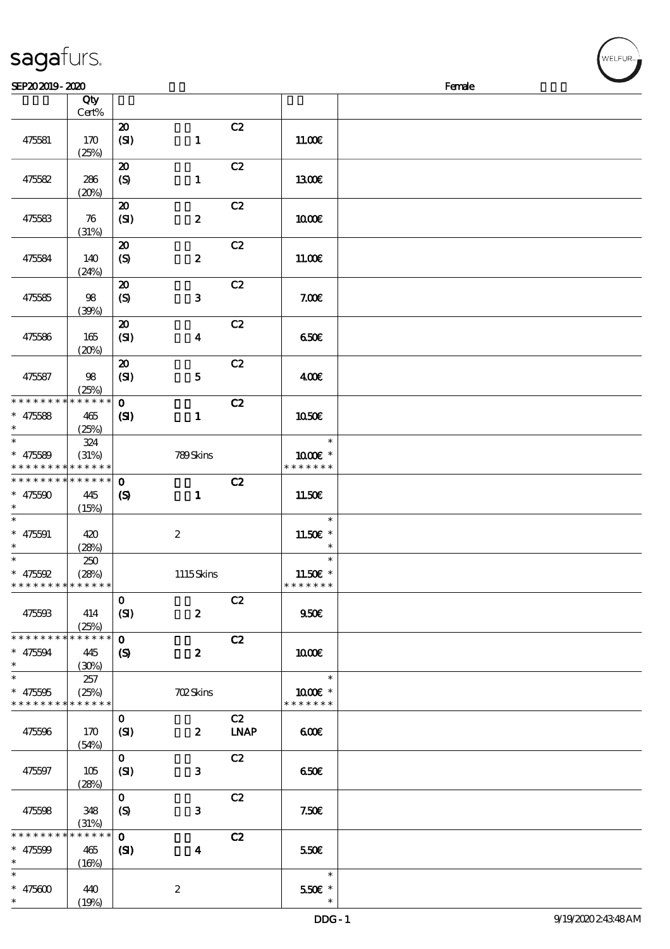|                 | Cert%             |                                     |                         |             |               |  |
|-----------------|-------------------|-------------------------------------|-------------------------|-------------|---------------|--|
|                 |                   | $\boldsymbol{\mathfrak{D}}$         |                         | C2          |               |  |
| 475581          | 170               | (SI)                                | $\mathbf{1}$            |             | 11.00E        |  |
|                 | (25%)             |                                     |                         |             |               |  |
|                 |                   | $\boldsymbol{\boldsymbol{\lambda}}$ |                         | C2          |               |  |
|                 |                   |                                     |                         |             |               |  |
| 475582          | 286               | $\boldsymbol{S}$                    | $\mathbf{1}$            |             | 1300E         |  |
|                 | (20%)             |                                     |                         |             |               |  |
|                 |                   | $\boldsymbol{\mathsf{20}}$          |                         | C2          |               |  |
| 475583          | 76                | (SI)                                | $\boldsymbol{z}$        |             | 1000E         |  |
|                 | (31%)             |                                     |                         |             |               |  |
|                 |                   | $\boldsymbol{\mathsf{20}}$          |                         | C2          |               |  |
| 475584          | 140               | $\boldsymbol{S}$                    | $\boldsymbol{z}$        |             | 11.00E        |  |
|                 | (24%)             |                                     |                         |             |               |  |
|                 |                   | $\boldsymbol{\mathfrak{D}}$         |                         | C2          |               |  |
|                 |                   |                                     |                         |             |               |  |
| 475585          | 98                | $\boldsymbol{S}$                    | ${\bf 3}$               |             | 7.00E         |  |
|                 | (39%)             |                                     |                         |             |               |  |
|                 |                   | $\boldsymbol{\mathsf{20}}$          |                         | C2          |               |  |
| 475586          | 165               | (SI)                                | $\boldsymbol{4}$        |             | 650€          |  |
|                 | (20%)             |                                     |                         |             |               |  |
|                 |                   | $\boldsymbol{\mathsf{20}}$          |                         | C2          |               |  |
| 475587          | 98                | (SI)                                | ${\bf 5}$               |             | 400E          |  |
|                 | (25%)             |                                     |                         |             |               |  |
| * * * * * * * * | * * * * * *       | $\mathbf{o}$                        |                         | C2          |               |  |
| $* 475588$      | 465               |                                     |                         |             | 1050€         |  |
| $\ast$          |                   | $\mathbf{C}$                        | $\mathbf{1}$            |             |               |  |
| $\ast$          | (25%)             |                                     |                         |             |               |  |
|                 | 324               |                                     |                         |             | $\ast$        |  |
| $* 475589$      | (31%)             |                                     | 789Skins                |             | 1000 *        |  |
| * * * * * * * * | * * * * * *       |                                     |                         |             | * * * * * * * |  |
| * * * * * * * * | * * * * * *       | $\mathbf 0$                         |                         | C2          |               |  |
| * $475500$      | 445               | $\boldsymbol{S}$                    | $\mathbf{1}$            |             | 11.50E        |  |
| $\ast$          | (15%)             |                                     |                         |             |               |  |
| $\ast$          |                   |                                     |                         |             | $\ast$        |  |
| $* 475591$      | 420               |                                     | $\boldsymbol{2}$        |             | 11.50€ *      |  |
| $\ast$          | (28%)             |                                     |                         |             | $\ast$        |  |
| $\ast$          | 250               |                                     |                         |             | $\ast$        |  |
|                 |                   |                                     |                         |             |               |  |
| $* 475592$      | (28%)             |                                     | 1115Skins               |             | 11.50€ *      |  |
| * * * * * * * * | * * * * * *       |                                     |                         |             | * * * * * * * |  |
|                 |                   | $\mathbf 0$                         |                         | C2          |               |  |
| 475593          | 414               | (SI)                                | $\boldsymbol{z}$        |             | $950E$        |  |
|                 | (25%)             |                                     |                         |             |               |  |
| * * * * * * * * | * * * * * *       | $\mathbf{o}$                        |                         | C2          |               |  |
| $* 475594$      | 445               | $\boldsymbol{\mathcal{S}}$          | $\boldsymbol{z}$        |             | 1000E         |  |
| $\ast$          | (30%)             |                                     |                         |             |               |  |
| $\ast$          | 257               |                                     |                         |             | $\ast$        |  |
| $* 475005$      | (25%)             |                                     | <b>702Skins</b>         |             | 1000€ *       |  |
| * * * * * * * * | * * * * * *       |                                     |                         |             | * * * * * * * |  |
|                 |                   |                                     |                         |             |               |  |
|                 |                   | $\mathbf{O}$                        |                         | C2          |               |  |
| 475596          | 170               | (SI)                                | $\boldsymbol{z}$        | <b>LNAP</b> | 60E           |  |
|                 | (54%)             |                                     |                         |             |               |  |
|                 |                   | $\mathbf{O}$                        |                         | C2          |               |  |
| 475597          | 105               | (SI)                                | $\mathbf{3}$            |             | 650E          |  |
|                 | (28%)             |                                     |                         |             |               |  |
|                 |                   | $\mathbf{O}$                        |                         | C2          |               |  |
| 475598          | 348               | $\boldsymbol{S}$                    | 3                       |             | 7.50E         |  |
|                 |                   |                                     |                         |             |               |  |
| $******$        | (31%)<br>$******$ |                                     |                         |             |               |  |
|                 |                   | $\mathbf 0$                         |                         | C2          |               |  |
| * $475509$      | 465               | (S)                                 | $\overline{\mathbf{4}}$ |             | 550€          |  |

 $\overline{\phantom{a}}$ 

 $SEP202019 - 2020$  Female

说明 价格

\*\*\* 5.50€

 $\ast$ 

# sagafurs.

顺序号 Qty

 $\overline{S}$ 

2

 $(16%)$ 

 $(19%)$ 

\*\*

 $\overline{\phantom{0}}$ 

 $\ast$ 

\*\*\*

 $* 475600 | 440$ 

| WELFUR |
|--------|
|        |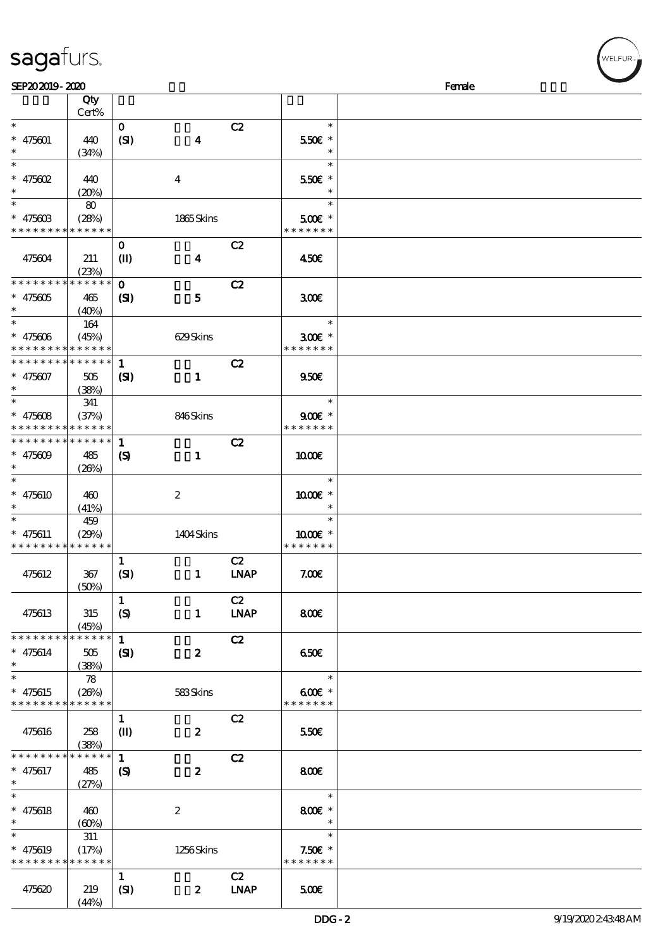| SEP202019-2020        |                      |                            |                  |             |                    | Female |
|-----------------------|----------------------|----------------------------|------------------|-------------|--------------------|--------|
|                       | Qty                  |                            |                  |             |                    |        |
|                       | Cert%                |                            |                  |             |                    |        |
| $\ast$                |                      | $\mathbf{O}$               |                  | C2          | $\ast$             |        |
| $* 475601$            | 440                  | (SI)                       | $\boldsymbol{4}$ |             | 550€ *             |        |
|                       | (34%)                |                            |                  |             | $\ast$             |        |
| $\ast$                |                      |                            |                  |             | $\ast$             |        |
| * $475602$            | 440                  |                            | $\boldsymbol{4}$ |             | 550€ *             |        |
| $\ast$                | (20%)                |                            |                  |             | $\ast$             |        |
| $\overline{\ast}$     | 80                   |                            |                  |             | $\ast$             |        |
| $* 47560B$            | (28%)                |                            | 1865Skins        |             | $500E$ *           |        |
| * * * * * * * *       | * * * * * *          |                            |                  |             | * * * * * * *      |        |
|                       |                      |                            |                  | C2          |                    |        |
|                       |                      | $\mathbf 0$                |                  |             |                    |        |
| 475604                | 211                  | $\mathbf{I}$               | $\boldsymbol{4}$ |             | 450E               |        |
| * * * * * * * *       | (23%)<br>* * * * * * |                            |                  |             |                    |        |
|                       |                      | $\mathbf{O}$               |                  | C2          |                    |        |
| $* 475605$            | 465                  | (S)                        | $\mathbf{5}$     |             | 300                |        |
| $\ast$<br>$\ast$      | (40%)                |                            |                  |             |                    |        |
|                       | 164                  |                            |                  |             | $\ast$             |        |
| $* 475606$            | (45%)                |                            | 629Skins         |             | $300E$ *           |        |
| * * * * * * * *       | * * * * * *          |                            |                  |             | * * * * * * *      |        |
| __<br>* * * * * * * * | * * * * * *          | $\mathbf{1}$               |                  | C2          |                    |        |
| $* 475607$            | 505                  | (S)                        | $\mathbf{1}$     |             | 950E               |        |
| $\ast$                | (38%)                |                            |                  |             |                    |        |
| $\ast$                | 341                  |                            |                  |             | $\ast$             |        |
| * $475608$            | (37%)                |                            | 846Skins         |             | $900E$ *           |        |
| * * * * * * * *       | * * * * * *          |                            |                  |             | * * * * * * *      |        |
| * * * * * * * *       | * * * * * *          | $\mathbf{1}$               |                  | C2          |                    |        |
| * $475609$            | 485                  | $\boldsymbol{\mathcal{S}}$ | $\mathbf{1}$     |             | 1000E              |        |
| $\ast$                | (20%)                |                            |                  |             |                    |        |
| $\ast$                |                      |                            |                  |             | $\ast$             |        |
| $* 475610$            | 460                  |                            | $\boldsymbol{2}$ |             | 1000€ *            |        |
| $\ast$                | (41%)                |                            |                  |             |                    |        |
| $\ast$                | 459                  |                            |                  |             | $\ast$             |        |
| $* 475611$            | (29%)                |                            | 1404Skins        |             | 1000 *             |        |
| * * * * * * * *       | * * * * * *          |                            |                  |             | * * * * * * *      |        |
|                       |                      | $\mathbf{1}$               |                  | C2          |                    |        |
| 475612                | 367                  | (SI)                       | $\mathbf{1}$     | <b>LNAP</b> | 7.005              |        |
|                       | (50%)                |                            |                  |             |                    |        |
|                       |                      | $\mathbf{1}$               |                  | C2          |                    |        |
| 475613                | 315                  |                            |                  |             |                    |        |
|                       |                      | (S)                        | $\mathbf{1}$     | <b>LNAP</b> | 800E               |        |
| * * * * * * * *       | (45%)<br>* * * * * * | $\mathbf{1}$               |                  |             |                    |        |
|                       |                      |                            |                  | C2          |                    |        |
| $* 475614$            | 505                  | $\mathbf{C}$               | $\boldsymbol{z}$ |             | 650                |        |
| $\ast$<br>$\ast$      | (38%)                |                            |                  |             |                    |        |
|                       | 78                   |                            |                  |             | $\ast$             |        |
| $* 475615$            | (26%)                |                            | 583Skins         |             | $600$ $\epsilon$ * |        |
| * * * * * * * *       | * * * * * *          |                            |                  |             | * * * * * * *      |        |
|                       |                      | $\mathbf{1}$               |                  | C2          |                    |        |
| 475616                | 258                  | $\mathbf{I}$               | $\boldsymbol{z}$ |             | 550€               |        |
|                       | (38%)                |                            |                  |             |                    |        |
| * * * * * * * *       | * * * * * *          | $\mathbf{1}$               |                  | C2          |                    |        |
| $* 475617$            | 485                  | $\boldsymbol{\mathcal{S}}$ | $\boldsymbol{z}$ |             | 800                |        |
| $\ast$                | (27%)                |                            |                  |             |                    |        |
| $\ast$                |                      |                            |                  |             | $\ast$             |        |
| $* 475618$            | 460                  |                            | $\boldsymbol{2}$ |             | 800€ *             |        |
| $\ast$                | (60%)                |                            |                  |             | $\ast$             |        |
| $\ast$                | 311                  |                            |                  |             | $\ast$             |        |
| $* 475619$            | (17%)                |                            | 1256Skins        |             | $7.50E$ *          |        |
| * * * * * * * *       | * * * * * *          |                            |                  |             | * * * * * * *      |        |
|                       |                      | $\mathbf{1}$               |                  | C2          |                    |        |
| 475620                | 219                  | (SI)                       | $\boldsymbol{z}$ | <b>LNAP</b> | 500                |        |
|                       | (44%)                |                            |                  |             |                    |        |

WELFUR-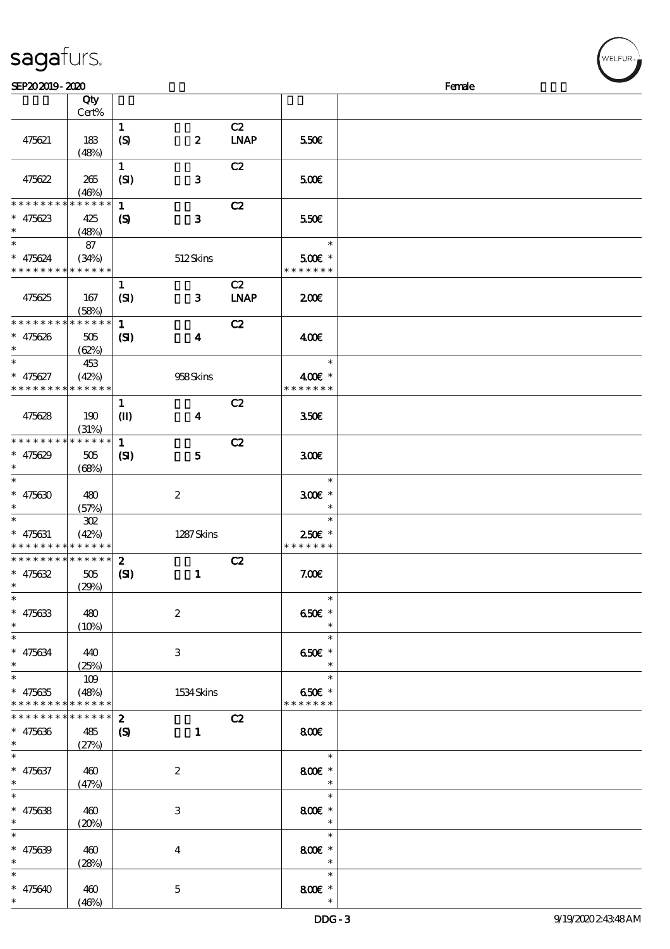|                                          | Cert%       |                            |                         |             |                          |  |
|------------------------------------------|-------------|----------------------------|-------------------------|-------------|--------------------------|--|
|                                          |             | $\mathbf{1}$               |                         | C2          |                          |  |
|                                          |             |                            |                         |             |                          |  |
| 475621                                   | 183         | (S)                        | $\pmb{2}$               | <b>LNAP</b> | 550€                     |  |
|                                          | (48%)       |                            |                         |             |                          |  |
|                                          |             | $\mathbf{1}$               |                         | C2          |                          |  |
| 475622                                   | 265         | (SI)                       | $\mathbf{3}$            |             | 500                      |  |
|                                          |             |                            |                         |             |                          |  |
|                                          | (46%)       |                            |                         |             |                          |  |
| * * * * * * * *                          | * * * * * * | $\mathbf{1}$               |                         | C2          |                          |  |
| $* 475623$                               | 425         | $\boldsymbol{\mathcal{S}}$ | $\mathbf{3}$            |             | 550€                     |  |
| $\ast$                                   | (48%)       |                            |                         |             |                          |  |
|                                          | 87          |                            |                         |             | $\ast$                   |  |
|                                          |             |                            |                         |             |                          |  |
| $* 475624$                               | (34%)       |                            | 512Skins                |             | $500$ £ *                |  |
| * * * * * * * * * * * * * *              |             |                            |                         |             | * * * * * * *            |  |
|                                          |             | $\mathbf{1}$               |                         | C2          |                          |  |
| 475625                                   | 167         | (SI)                       | 3                       | <b>LNAP</b> | 200E                     |  |
|                                          |             |                            |                         |             |                          |  |
|                                          | (58%)       |                            |                         |             |                          |  |
| * * * * * * * * * * * * * *              |             | $\mathbf{1}$               |                         | C2          |                          |  |
| $* 475626$                               | 505         | $\mathbf{C}$               | $\boldsymbol{4}$        |             | 400                      |  |
| $\ast$                                   | (62%)       |                            |                         |             |                          |  |
| $\ast$                                   | 453         |                            |                         |             | $\ast$                   |  |
|                                          |             |                            |                         |             |                          |  |
| $* 475627$                               | (42%)       |                            | 958Skins                |             | 400€ *                   |  |
| * * * * * * * * * * * * * *              |             |                            |                         |             | * * * * * * *            |  |
|                                          |             | $\mathbf{1}$               |                         | C2          |                          |  |
| 475628                                   | 190         | $\mathbf{I}$               | $\overline{\mathbf{4}}$ |             | 350E                     |  |
|                                          |             |                            |                         |             |                          |  |
|                                          | (31%)       |                            |                         |             |                          |  |
| * * * * * * * *                          | * * * * * * | $\mathbf{1}$               |                         | C2          |                          |  |
| $* 475629$                               | 505         | $\mathbf{S}$               | 5                       |             | 300                      |  |
| $\ast$                                   | (68%)       |                            |                         |             |                          |  |
| $\overline{\ast}$                        |             |                            |                         |             | $\ast$                   |  |
|                                          |             |                            |                         |             |                          |  |
| $* 475630$                               | 480         |                            | $\boldsymbol{2}$        |             | $300E$ *                 |  |
| $\ast$                                   | (57%)       |                            |                         |             | $\ast$                   |  |
| $\ast$                                   | $302\,$     |                            |                         |             | $\ast$                   |  |
| $* 475631$                               | (42%)       |                            | 1287Skins               |             | 250€ *                   |  |
| * * * * * * * * <mark>* * * * * *</mark> |             |                            |                         |             | * * * * * * *            |  |
|                                          |             |                            |                         |             |                          |  |
| * * * * * * * * <mark>* * * * * *</mark> |             | $\boldsymbol{z}$           |                         | C2          |                          |  |
| $* 475632$                               | 505         | (S)                        | $\mathbf{1}$            |             | 7.00E                    |  |
| $\ast$                                   | (29%)       |                            |                         |             |                          |  |
| $\ast$                                   |             |                            |                         |             | $\ast$                   |  |
|                                          |             |                            |                         |             |                          |  |
| $* 475633$                               | 480         |                            | $\boldsymbol{2}$        |             | 650 $\varepsilon$ *      |  |
| $\ast$                                   | (10%)       |                            |                         |             | $*$                      |  |
| $*$                                      |             |                            |                         |             | $\ast$                   |  |
| $* 475634$                               | 440         |                            | 3                       |             | 650€ *                   |  |
| $*$ and $*$                              | (25%)       |                            |                         |             | $\ast$                   |  |
| $\ast$                                   |             |                            |                         |             | $\ast$                   |  |
|                                          | 109         |                            |                         |             |                          |  |
| $* 475635$                               | (48%)       |                            | 1534 Skins              |             | 650€ *                   |  |
| * * * * * * * *                          | * * * * * * |                            |                         |             | * * * * * * *            |  |
| * * * * * * * *                          | ******      | $\boldsymbol{z}$           |                         | C2          |                          |  |
| $* 475636$                               | 485         | $\boldsymbol{\mathcal{S}}$ | $\mathbf{1}$            |             | 800€                     |  |
|                                          |             |                            |                         |             |                          |  |
| $\ddot{\phantom{0}}$                     | (27%)       |                            |                         |             |                          |  |
|                                          |             |                            |                         |             | $\ast$                   |  |
| $* 475637$                               | 460         |                            | $\boldsymbol{2}$        |             | 800 €*                   |  |
| $*$                                      | (47%)       |                            |                         |             | $\overline{\phantom{a}}$ |  |
| $\ast$                                   |             |                            |                         |             | $\ast$                   |  |
|                                          |             |                            |                         |             |                          |  |
| $* 475638$                               | 460         |                            | $\,3$                   |             | 800€ *                   |  |
| $\ast$                                   | (20%)       |                            |                         |             | $\ast$                   |  |
| $\ast$                                   |             |                            |                         |             | $\ast$                   |  |
| $* 475639$                               | 460         |                            |                         |             | 800€ *                   |  |
|                                          |             |                            | $\boldsymbol{4}$        |             |                          |  |
| $\ast$                                   | (28%)       |                            |                         |             | $\ast$                   |  |
| $\ast$                                   |             |                            |                         |             | $\ast$                   |  |
| * $475640$                               | 460         |                            | $\mathbf 5$             |             | 800€ *                   |  |
| $\ast$                                   | (46%)       |                            |                         |             | $\ast$                   |  |
|                                          |             |                            |                         |             |                          |  |

说明 价格

# sagafurs.

顺序号 Qty

**ELFUR**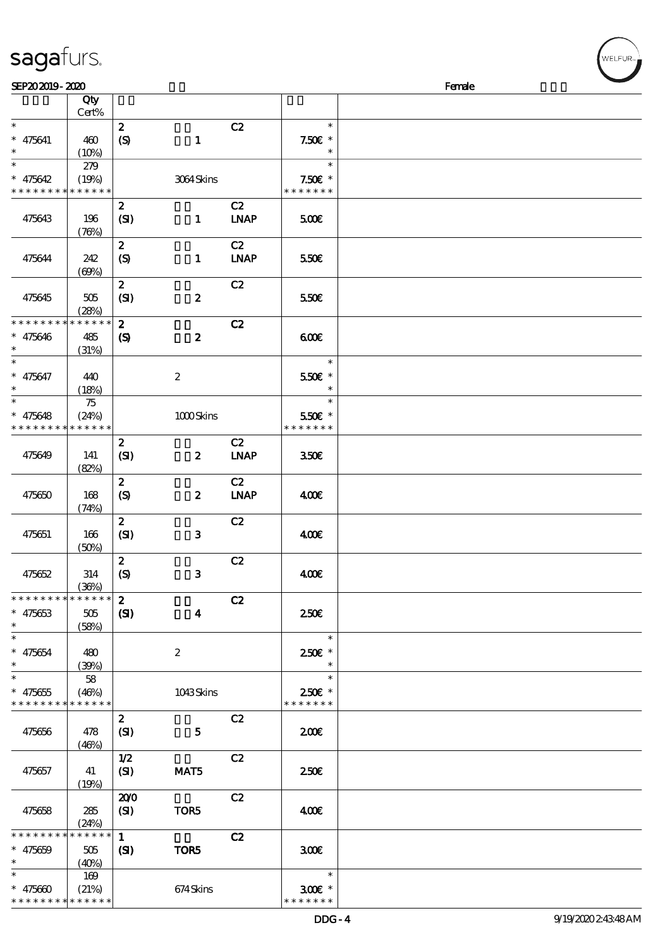\* \* \* \* \* \* \* \* \* \* \* \*

| SEP202019-2020              |             |                             |                  |             |                  | Female |
|-----------------------------|-------------|-----------------------------|------------------|-------------|------------------|--------|
|                             | Qty         |                             |                  |             |                  |        |
|                             | Cert%       |                             |                  |             |                  |        |
| $\ast$                      |             | $\boldsymbol{z}$            |                  | C2          | $\ast$           |        |
| $* 475641$                  | 460         | (S)                         | $\mathbf{1}$     |             | $7.50E$ *        |        |
| $\ast$                      | (10%)       |                             |                  |             | $\ast$           |        |
| $\overline{\ast}$           | 279         |                             |                  |             | $\ast$           |        |
| $* 475642$                  | (19%)       |                             | 3064Skins        |             | $7.50E$ *        |        |
| * * * * * * * * * * * * * * |             |                             |                  |             | * * * * * * *    |        |
|                             |             | $\boldsymbol{z}$            |                  | C2          |                  |        |
| 475643                      | 196         | (SI)                        | $\mathbf{1}$     | <b>LNAP</b> | 500              |        |
|                             | (76%)       |                             |                  |             |                  |        |
|                             |             | $\boldsymbol{z}$            |                  | C2          |                  |        |
| 475644                      | 242         | $\mathcal{S}$               | $\mathbf{1}$     | <b>LNAP</b> | 550€             |        |
|                             | (60%)       |                             |                  |             |                  |        |
|                             |             | $\boldsymbol{z}$            |                  | C2          |                  |        |
| 475645                      | 505         | (SI)                        | $\boldsymbol{z}$ |             | 550€             |        |
|                             | (28%)       |                             |                  |             |                  |        |
| * * * * * * * * * * * * * * |             | $\boldsymbol{z}$            |                  | C2          |                  |        |
| $* 475646$                  |             |                             | $\boldsymbol{z}$ |             | 600              |        |
| $\ast$                      | 485         | $\boldsymbol{\mathsf{(S)}}$ |                  |             |                  |        |
| $\ast$                      | (31%)       |                             |                  |             | $\ast$           |        |
|                             |             |                             |                  |             |                  |        |
| $* 475647$                  | 440         |                             | $\boldsymbol{2}$ |             | 550€ *<br>$\ast$ |        |
| $\ast$<br>$\ast$            | (18%)       |                             |                  |             |                  |        |
|                             | 75          |                             |                  |             | $\ast$           |        |
| $* 475648$                  | (24%)       |                             | 1000Skins        |             | 550€ *           |        |
| * * * * * * * *             | * * * * * * |                             |                  |             | * * * * * * *    |        |
|                             |             | $\boldsymbol{z}$            |                  | C2          |                  |        |
| 475649                      | 141         | (SI)                        | $\boldsymbol{z}$ | <b>LNAP</b> | 350 <sup>2</sup> |        |
|                             | (82%)       |                             |                  |             |                  |        |
|                             |             | $\boldsymbol{z}$            |                  | C2          |                  |        |
| 475650                      | 168         | (S)                         | $\boldsymbol{z}$ | <b>LNAP</b> | 400€             |        |
|                             | (74%)       |                             |                  |             |                  |        |
|                             |             | $\boldsymbol{z}$            |                  | C2          |                  |        |
| 475651                      | 166         | (SI)                        | $\mathbf{3}$     |             | 400€             |        |
|                             | (50%)       |                             |                  |             |                  |        |
|                             |             | $\boldsymbol{z}$            |                  | C2          |                  |        |
| 475652                      | 314         | $\boldsymbol{S}$            | $\mathbf{3}$     |             | 400              |        |
|                             | (36%)       |                             |                  |             |                  |        |
| * * * * * * * * * * * * * * |             | $\mathbf{2}$                |                  | C2          |                  |        |
| $* 475653$                  | 505         | (S)                         | $\boldsymbol{4}$ |             | 250€             |        |
| $\ast$                      | (58%)       |                             |                  |             |                  |        |
| $\ast$                      |             |                             |                  |             | $\ast$           |        |
| $* 475654$                  | 480         |                             | $\boldsymbol{2}$ |             | 250€ *           |        |
| $\ast$                      | (39%)       |                             |                  |             | $\ast$           |        |
| $\overline{\ast}$           | 58          |                             |                  |             | $\ast$           |        |
| $* 475655$                  | (46%)       |                             | 1043Skins        |             | 250€ *           |        |
| * * * * * * * * * * * * * * |             |                             |                  |             | * * * * * * *    |        |
|                             |             | $\boldsymbol{z}$            |                  | C2          |                  |        |
| 475656                      | 478         | (SI)                        | 5 <sub>5</sub>   |             | 200E             |        |
|                             | (46%)       |                             |                  |             |                  |        |
|                             |             | 1/2                         |                  | C2          |                  |        |
| 475657                      | -41         | (SI)                        | MAT5             |             | 250 <sup>2</sup> |        |
|                             | (19%)       |                             |                  |             |                  |        |
|                             |             | 200                         |                  | C2          |                  |        |
| 475658                      | 285         | (SI)                        | TOR5             |             | 400              |        |
|                             | (24%)       |                             |                  |             |                  |        |
| * * * * * * * *             | * * * * * * | 1                           |                  | C2          |                  |        |
|                             |             |                             |                  |             |                  |        |
| $* 475659$<br>$\ast$        | 505         | (S)                         | TOR5             |             | 300              |        |
| $\ast$                      | (40%)       |                             |                  |             | $\ast$           |        |
|                             | 169         |                             |                  |             |                  |        |
| $* 475600$                  | (21%)       |                             | 674Skins         |             | $300$ £ *        |        |

\* \* \* \* \* \*

WELFUR<sub>"</sub>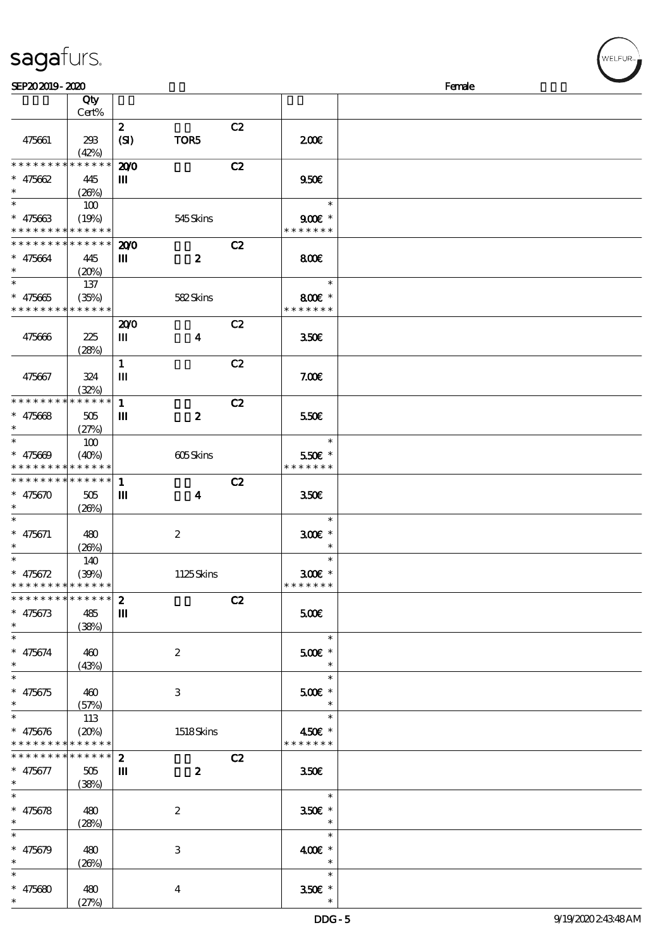|                                            |                            | $\boldsymbol{z}$ |                           | C2 |                         |  |
|--------------------------------------------|----------------------------|------------------|---------------------------|----|-------------------------|--|
| 475661                                     | 293                        | (SI)             | TOR5                      |    | 200                     |  |
|                                            | (42%)                      |                  |                           |    |                         |  |
| * * * * * * * *                            | * * * * * *                | 200              |                           | C2 |                         |  |
| $* 475662$                                 | 445                        | Ш                |                           |    | 950E                    |  |
| $\ast$                                     | (20%)                      |                  |                           |    |                         |  |
| $\ast$                                     | 100                        |                  |                           |    | $\ast$                  |  |
| $* 475663$                                 | (19%)                      |                  | 545Skins                  |    | $900E$ *                |  |
| * * * * * * * *                            | * * * * * *                |                  |                           |    | * * * * * * *           |  |
| * * * * * * * *                            | * * * * * *                | 200              |                           | C2 |                         |  |
| $* 475664$                                 | 445                        | Ш                | $\boldsymbol{z}$          |    | 800€                    |  |
| $\ast$                                     | (20%)                      |                  |                           |    |                         |  |
| $\ast$                                     |                            |                  |                           |    | $\ast$                  |  |
|                                            | 137                        |                  |                           |    |                         |  |
| $* 475665$<br>* * * * * * * *              | (35%)                      |                  | 582Skins                  |    | 800€ *<br>* * * * * * * |  |
|                                            | * * * * * *                |                  |                           |    |                         |  |
|                                            |                            | 200              |                           | C2 |                         |  |
| 475666                                     | 225                        | Ш                | $\boldsymbol{4}$          |    | 350 <sup>2</sup>        |  |
|                                            | (28%)                      |                  |                           |    |                         |  |
|                                            |                            | $\mathbf{1}$     |                           | C2 |                         |  |
| 475667                                     | 324                        | Ш                |                           |    | 7.00E                   |  |
|                                            | (32%)                      |                  |                           |    |                         |  |
| * * * * * * * *                            | * * * * * *                | $\mathbf 1$      |                           | C2 |                         |  |
| * $475668$                                 | 505                        | Ш                | $\boldsymbol{z}$          |    | 550€                    |  |
| $\ast$                                     | (27%)                      |                  |                           |    |                         |  |
| $\ast$                                     | 100                        |                  |                           |    | $\ast$                  |  |
| * $475609$                                 | (40%)                      |                  | 605Skins                  |    | 550€ *                  |  |
| * * * * * * * * <mark>* * * * * * *</mark> |                            |                  |                           |    | * * * * * * *           |  |
| * * * * * * * *                            | $\ast\ast\ast\ast\ast\ast$ | $\mathbf{1}$     |                           | C2 |                         |  |
| * $475670$                                 | 505                        | Ш                | 4                         |    | 350 <sup>2</sup>        |  |
| $\ast$                                     | (20%)                      |                  |                           |    |                         |  |
| $\ast$                                     |                            |                  |                           |    | $\ast$                  |  |
| $* 475671$                                 | 480                        |                  | $\boldsymbol{2}$          |    | $300E$ *                |  |
| $\ast$                                     | (20%)                      |                  |                           |    | $\ast$                  |  |
| $\ast$                                     | 140                        |                  |                           |    | $\ast$                  |  |
| * $475672$                                 | (30%)                      |                  | 1125Skins                 |    | 300€ *                  |  |
| * * * * * * * * <mark>* * * * * * *</mark> |                            |                  |                           |    | * * * * * * *           |  |
| * * * * * * * *                            | $***$ * * * *              | $\boldsymbol{z}$ |                           | C2 |                         |  |
| $* 475673$                                 |                            | $\mathbf{m}$     |                           |    |                         |  |
| $^{\ast}$                                  | 485                        |                  |                           |    | 500                     |  |
| $\ast$                                     | (38%)                      |                  |                           |    |                         |  |
|                                            |                            |                  |                           |    | $\ast$                  |  |
| $* 475674$                                 | 460                        |                  | $\boldsymbol{2}$          |    | $500$ £ *               |  |
| $\ast$                                     | (43%)                      |                  |                           |    | $\ast$                  |  |
| $\ast$                                     |                            |                  |                           |    | $\ast$                  |  |
| $* 475675$                                 | 460                        |                  | 3                         |    | $500E$ *                |  |
| $\ast$                                     | (57%)                      |                  |                           |    | $\ast$                  |  |
| $\ast$                                     | 113                        |                  |                           |    | $\ast$                  |  |
| $* 475676$                                 | (20%)                      |                  | 1518Skins                 |    | 450€ *                  |  |
| * * * * * * * *                            | * * * * * *                |                  |                           |    | * * * * * * *           |  |
| * * * * * * * *                            | ******                     | $\boldsymbol{z}$ |                           | C2 |                         |  |
| * 475677                                   | 505                        | Ш                | $\boldsymbol{z}$          |    | 350 <sup>2</sup>        |  |
| $*$ and $*$                                | (38%)                      |                  |                           |    |                         |  |
| $\ast$                                     |                            |                  |                           |    | $\ast$                  |  |
| $* 475678$                                 | 480                        |                  | $\boldsymbol{2}$          |    | $350E$ *                |  |
| $\ast$                                     | (28%)                      |                  |                           |    | $\ast$                  |  |
| $\ast$                                     |                            |                  |                           |    | $\ast$                  |  |
| * $475679$                                 | 480                        |                  | $\ensuremath{\mathbf{3}}$ |    | 400€ *                  |  |
|                                            | (20%)                      |                  |                           |    | $\ast$                  |  |
| $\ast$                                     |                            |                  |                           |    | $\ast$                  |  |
|                                            |                            |                  |                           |    |                         |  |
| $* 475680$                                 | 480                        |                  | $\overline{\mathbf{4}}$   |    | $350$ £ *               |  |
|                                            | (27%)                      |                  |                           |    |                         |  |

说明 价格

#### sagafurs.

顺序号 Qty

Cert%

WELFUR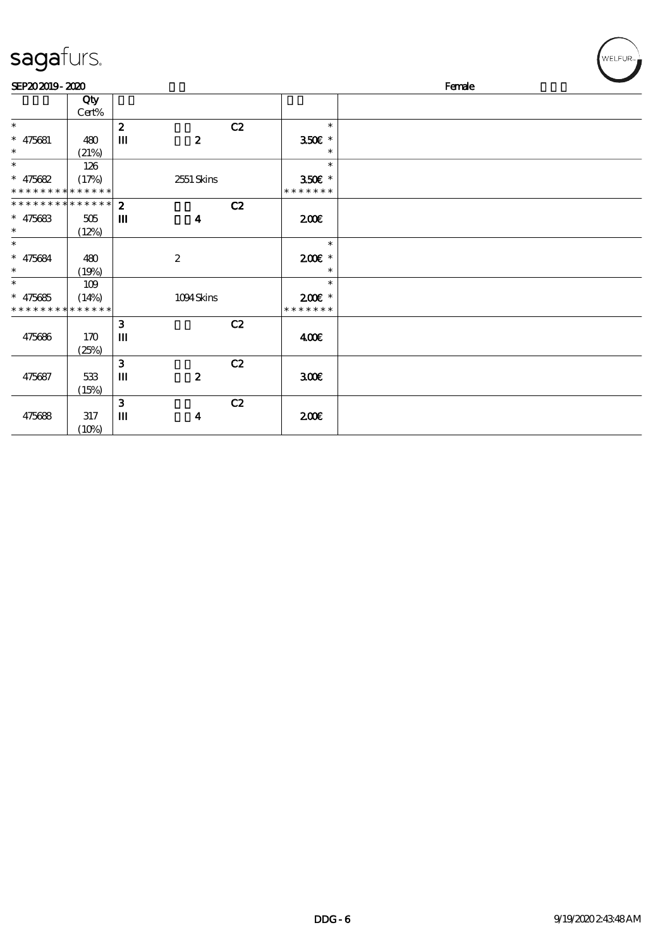| sagafurs.                                              |                      |                  |                  |    |                           | WELFUR <sub>™</sub> |
|--------------------------------------------------------|----------------------|------------------|------------------|----|---------------------------|---------------------|
| SEP202019-2020                                         |                      |                  |                  |    |                           | Female              |
|                                                        | Qty<br>$Cert\%$      |                  |                  |    |                           |                     |
| $\ast$                                                 |                      | $\boldsymbol{z}$ |                  | C2 | $\ast$                    |                     |
| $* 475681$<br>$\ast$                                   | 480<br>(21%)         | Ш                | $\boldsymbol{z}$ |    | $350$ £ *<br>$\ast$       |                     |
| $\ast$                                                 | 126                  |                  |                  |    | $\ast$                    |                     |
| * $475682$<br>* * * * * * * * <mark>* * * * * *</mark> | (17%)                |                  | 2551 Skins       |    | 350€ *<br>* * * * * * *   |                     |
| * * * * * * * * * * * * * * *                          |                      | $\mathbf{z}$     |                  | C2 |                           |                     |
| $* 475683$<br>$\ast$                                   | 505                  | Ш                | $\boldsymbol{4}$ |    | 200E                      |                     |
| $\ast$                                                 | (12%)                |                  |                  |    | $\ast$                    |                     |
| $* 475684$<br>$\ast$                                   | 480                  |                  | $\boldsymbol{2}$ |    | $200E$ *<br>$\ast$        |                     |
| $\overline{\ast}$                                      | (19%)<br>109         |                  |                  |    | $\ast$                    |                     |
| $* 475685$<br>* * * * * * * *                          | (14%)<br>* * * * * * |                  | 1094Skins        |    | $200E$ *<br>* * * * * * * |                     |
|                                                        |                      | $\mathbf{3}$     |                  | C2 |                           |                     |
| 475686                                                 | 170<br>(25%)         | Ш                |                  |    | 400                       |                     |
|                                                        |                      | $\mathbf{3}$     |                  | C2 |                           |                     |
| 475687                                                 | 533<br>(15%)         | Ш                | $\boldsymbol{2}$ |    | 300 <sup>2</sup>          |                     |
|                                                        |                      | $\mathbf{3}$     |                  | C2 |                           |                     |
| 475688                                                 | $317\,$<br>(10%)     | $\mathbf m$      | $\boldsymbol{4}$ |    | 200E                      |                     |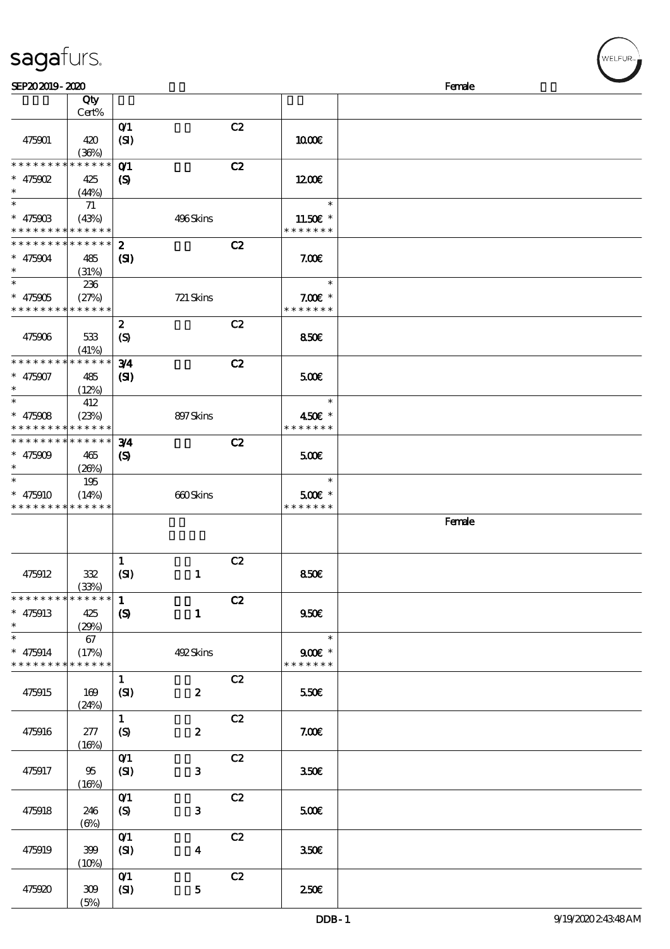| SEP202019-2020  |             |                             |                         |    |                  | Female |
|-----------------|-------------|-----------------------------|-------------------------|----|------------------|--------|
|                 | Qty         |                             |                         |    |                  |        |
|                 | Cert%       |                             |                         |    |                  |        |
|                 |             | $O$ $1$                     |                         | C2 |                  |        |
| 475901          | 420         | (SI)                        |                         |    | 1000E            |        |
|                 | (36%)       |                             |                         |    |                  |        |
| * * * * * * * * | * * * * * * | O <sub>1</sub>              |                         | C2 |                  |        |
| * $475902$      | 425         | $\boldsymbol{\mathrm{(S)}}$ |                         |    | 1200             |        |
| $\ast$          | (44%)       |                             |                         |    |                  |        |
| $\ast$          | 71          |                             |                         |    | $\ast$           |        |
| $* 47590B$      | (43%)       |                             | 496Skins                |    | 11.50£ *         |        |
| * * * * * * * * | * * * * * * |                             |                         |    | * * * * * * *    |        |
| * * * * * * * * | * * * * * * | $\boldsymbol{z}$            |                         | C2 |                  |        |
| $* 475004$      | 485         | (S)                         |                         |    | 7.00E            |        |
| $\ast$          | (31%)       |                             |                         |    |                  |        |
| $\ast$          | 236         |                             |                         |    | $\ast$           |        |
| $* 475905$      | (27%)       |                             | 721 Skins               |    | $7.00E$ *        |        |
| * * * * * * * * | * * * * * * |                             |                         |    | * * * * * * *    |        |
|                 |             | $\boldsymbol{z}$            |                         | C2 |                  |        |
| 475906          | 533         | (S)                         |                         |    | 850E             |        |
|                 | (41%)       |                             |                         |    |                  |        |
| * * * * * * * * | * * * * * * | 3/4                         |                         | C2 |                  |        |
| $* 475907$      | 485         | (S)                         |                         |    | 500              |        |
| $\ast$          | (12%)       |                             |                         |    |                  |        |
| $\ast$          | 412         |                             |                         |    | $\ast$           |        |
| $* 475008$      | (23%)       |                             | 897Skins                |    | 450€ *           |        |
| * * * * * * * * | * * * * * * |                             |                         |    | * * * * * * *    |        |
| * * * * * * * * | * * * * * * | 3/4                         |                         | C2 |                  |        |
| $* 475009$      | 465         | $\boldsymbol{\mathrm{(S)}}$ |                         |    | 500              |        |
| $\ast$          | (20%)       |                             |                         |    |                  |        |
| $\ast$          | 195         |                             |                         |    | $\ast$           |        |
| $* 475910$      | (14%)       |                             | 660Skins                |    | 500€ *           |        |
| * * * * * * * * | * * * * * * |                             |                         |    | * * * * * * *    |        |
|                 |             |                             |                         |    |                  | Female |
|                 |             |                             |                         |    |                  |        |
|                 |             |                             |                         |    |                  |        |
|                 |             | $\mathbf{1}$                |                         | C2 |                  |        |
| 475912          | 332         | (SI)                        | $\mathbf{1}$            |    | 850E             |        |
|                 | (33%)       |                             |                         |    |                  |        |
| * * * * * * * * | * * * * * * | $\mathbf{1}$                |                         | C2 |                  |        |
| $* 475913$      | 425         | $\boldsymbol{\mathcal{S}}$  | $\mathbf{1}$            |    | 950E             |        |
| $\ast$          | (29%)       |                             |                         |    |                  |        |
| $\ast$          | 67          |                             |                         |    | $\ast$           |        |
| $* 475914$      | (17%)       |                             | 492Skins                |    | $900$ *          |        |
| * * * * * * * * | * * * * * * |                             |                         |    | * * * * * * *    |        |
|                 |             | $\mathbf{1}$                |                         | C2 |                  |        |
| 475915          | 169         | (SI)                        | $\boldsymbol{z}$        |    | 550€             |        |
|                 | (24%)       |                             |                         |    |                  |        |
|                 |             | $\mathbf{1}$                |                         | C2 |                  |        |
| 475916          | 277         | $\boldsymbol{S}$            | $\boldsymbol{z}$        |    | 7.00E            |        |
|                 | (16%)       |                             |                         |    |                  |        |
|                 |             | $O$ $1$                     |                         | C2 |                  |        |
| 475917          | 95          | (SI)                        | $\mathbf{3}$            |    | 350 <sup>2</sup> |        |
|                 |             |                             |                         |    |                  |        |
|                 | (16%)       | O(1)                        |                         | C2 |                  |        |
|                 |             |                             |                         |    |                  |        |
| 475918          | 246         | (S)                         | $\mathbf{3}$            |    | 500              |        |
|                 | (6%)        |                             |                         |    |                  |        |
|                 |             | O(1)                        |                         | C2 |                  |        |
| 475919          | 399         | (SI)                        | $\overline{\mathbf{4}}$ |    | 350 <sup>2</sup> |        |
|                 | (10%)       |                             |                         |    |                  |        |
|                 |             | $O$ $1$                     |                         | C2 |                  |        |
| 475920          | 309         | (SI)                        | 5                       |    | 250€             |        |

 $(5%)$ 

sagafurs.

WELFUR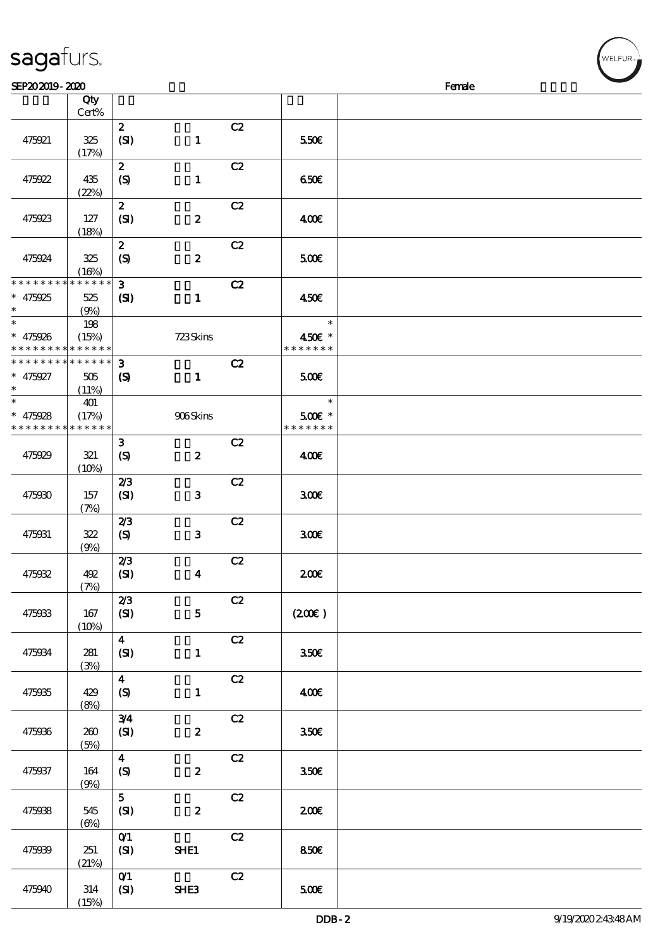|  | sagafurs. |
|--|-----------|
|  |           |

| SEP202019-2020                                             |              |                                      |                  |    |                  | Female |  |
|------------------------------------------------------------|--------------|--------------------------------------|------------------|----|------------------|--------|--|
|                                                            | Qty          |                                      |                  |    |                  |        |  |
|                                                            | Cert%        |                                      |                  |    |                  |        |  |
|                                                            |              | $\mathbf{z}$                         |                  | C2 |                  |        |  |
| 475921                                                     | 325<br>(17%) | (SI)                                 | $\mathbf{1}$     |    | 550€             |        |  |
|                                                            |              | $\boldsymbol{z}$                     |                  | C2 |                  |        |  |
| 475922                                                     | 435          | (S)                                  | $\mathbf{1}$     |    | 650€             |        |  |
|                                                            | (22%)        |                                      |                  |    |                  |        |  |
|                                                            |              | $\boldsymbol{z}$                     |                  | C2 |                  |        |  |
| 475923                                                     | 127          | (SI)                                 | $\pmb{2}$        |    | 400€             |        |  |
|                                                            | (18%)        |                                      |                  |    |                  |        |  |
|                                                            |              | $\boldsymbol{z}$                     |                  | C2 |                  |        |  |
| 475924                                                     | 325<br>(16%) | $\boldsymbol{S}$                     | $\boldsymbol{z}$ |    | 500              |        |  |
| * * * * * * * * * * * * * *                                |              | $\mathbf{3}$                         |                  | C2 |                  |        |  |
| $* 475925$                                                 | 525          | (S)                                  | $\mathbf{1}$     |    | 450E             |        |  |
| $\ast$                                                     | (9%)         |                                      |                  |    |                  |        |  |
| $\ast$                                                     | 198          |                                      |                  |    | $\ast$           |        |  |
| $* 475926$                                                 | (15%)        |                                      | 723Skins         |    | 450€ *           |        |  |
| * * * * * * * * * * * * * *<br>* * * * * * * * * * * * * * |              |                                      |                  |    | * * * * * * *    |        |  |
| $* 475927$                                                 |              | 3                                    |                  | C2 |                  |        |  |
| $\ast$                                                     | 505<br>(11%) | $\boldsymbol{\mathrm{(S)}}$          | $\mathbf{1}$     |    | 500              |        |  |
| $\overline{\ast}$                                          | 401          |                                      |                  |    | $\ast$           |        |  |
| $* 475928$                                                 | (17%)        |                                      | 906Skins         |    | 500€ *           |        |  |
| * * * * * * * *                                            | * * * * * *  |                                      |                  |    | * * * * * * *    |        |  |
|                                                            |              | $\mathbf{3}$                         |                  | C2 |                  |        |  |
| 475929                                                     | 321          | $\boldsymbol{S}$                     | $\boldsymbol{z}$ |    | 400              |        |  |
|                                                            | (10%)        |                                      |                  |    |                  |        |  |
|                                                            | 157          | 2/3                                  | $\mathbf{3}$     | C2 | 300E             |        |  |
| 475930                                                     | (7%)         | (SI)                                 |                  |    |                  |        |  |
|                                                            |              | 2/3                                  |                  | C2 |                  |        |  |
| 475931                                                     | 322          | $\boldsymbol{S}$                     | $\mathbf{3}$     |    | 300              |        |  |
|                                                            | (9%)         |                                      |                  |    |                  |        |  |
|                                                            |              | 2/3                                  |                  | C2 |                  |        |  |
| 475932                                                     | 402          | (SI)                                 | $\boldsymbol{4}$ |    | 200              |        |  |
|                                                            | (7%)         | 2/3                                  |                  | C2 |                  |        |  |
| 475933                                                     | 167          | (SI)                                 | $\mathbf{5}$     |    | (200E)           |        |  |
|                                                            | (10%)        |                                      |                  |    |                  |        |  |
|                                                            |              | $\overline{\mathbf{4}}$              |                  | C2 |                  |        |  |
| 475934                                                     | 281          | (SI)                                 | $\mathbf{1}$     |    | 350E             |        |  |
|                                                            | (3%)         |                                      |                  |    |                  |        |  |
| 475935                                                     | 429          | $\boldsymbol{4}$<br>$\boldsymbol{S}$ | $\mathbf{1}$     | C2 | 400€             |        |  |
|                                                            | (8%)         |                                      |                  |    |                  |        |  |
|                                                            |              | 3/4                                  |                  | C2 |                  |        |  |
| 475936                                                     | 260          | (SI)                                 | $\boldsymbol{z}$ |    | 350E             |        |  |
|                                                            | (5%)         |                                      |                  |    |                  |        |  |
|                                                            |              | $\overline{\mathbf{4}}$              |                  | C2 |                  |        |  |
| 475937                                                     | 164          | $\boldsymbol{\mathrm{(S)}}$          | $\boldsymbol{z}$ |    | 350 <sup>2</sup> |        |  |
|                                                            | (9%)         | 5 <sup>1</sup>                       |                  | C2 |                  |        |  |
| 475938                                                     | 545          | (SI)                                 | $\pmb{2}$        |    | 200              |        |  |
|                                                            | $(\Theta)$   |                                      |                  |    |                  |        |  |
|                                                            |              | O(1)                                 |                  | C2 |                  |        |  |
| 475939                                                     | 251          | (SI)                                 | SHE1             |    | 850€             |        |  |
|                                                            | (21%)        |                                      |                  |    |                  |        |  |
|                                                            |              | $O$ <sup><math>\prime</math></sup>   |                  | C2 |                  |        |  |
| 475940                                                     | 314<br>(15%) | (SI)                                 | SHE3             |    | 500€             |        |  |
|                                                            |              |                                      |                  |    |                  |        |  |

**ELFUR**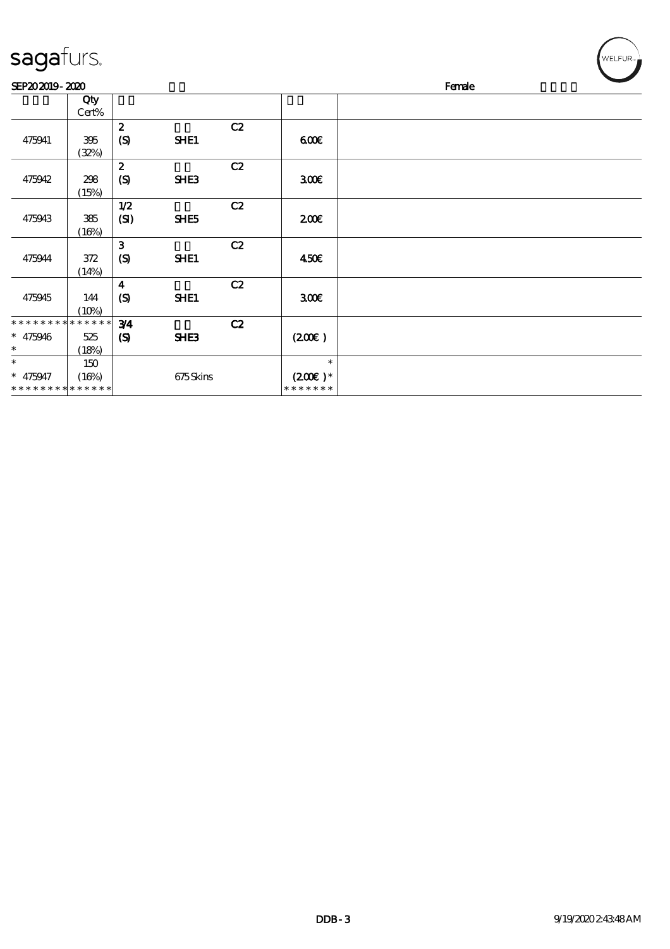| sagafurs.                                           |                             |                                    |          |    |                                                 |        | $(\forall ELFUR_{\approx})$ |
|-----------------------------------------------------|-----------------------------|------------------------------------|----------|----|-------------------------------------------------|--------|-----------------------------|
| SEP202019-2020                                      |                             |                                    |          |    |                                                 | Female |                             |
|                                                     | Qty<br>Cert%                |                                    |          |    |                                                 |        |                             |
| 475941                                              | 395<br>(32%)                | $\boldsymbol{z}$<br>(S)            | SHE1     | C2 | 600                                             |        |                             |
| 475942                                              | 298<br>(15%)                | $\boldsymbol{2}$<br>(S)            | SHE3     | C2 | 300 <sup>2</sup>                                |        |                             |
| 475943                                              | 385<br>(16%)                | 1/2<br>(SI)                        | SHE5     | C2 | 200E                                            |        |                             |
| 475944                                              | 372<br>(14%)                | $\mathbf{3}$<br>(S)                | SHE1     | C2 | 450E                                            |        |                             |
| 475945                                              | 144<br>(10%)                | $\boldsymbol{4}$<br>(S)            | SHE1     | C2 | 300 <sup>2</sup>                                |        |                             |
| * * * * * * * *<br>$* 475946$<br>$\ast$             | * * * * * *<br>525<br>(18%) | 3/4<br>$\boldsymbol{\mathrm{(S)}}$ | SHE3     | C2 | (200)                                           |        |                             |
| $\ast$<br>$* 475947$<br>* * * * * * * * * * * * * * | 150<br>(16%)                |                                    | 675Skins |    | $\ast$<br>$(200\varepsilon)^*$<br>* * * * * * * |        |                             |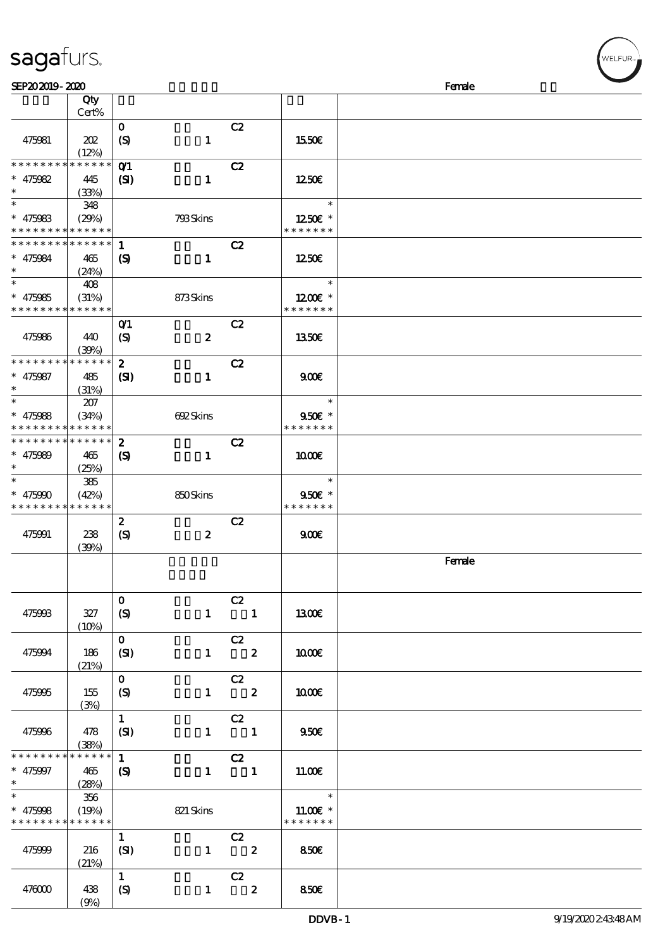|                                          | Cert%                                      |                             |                  |                         |                        |        |
|------------------------------------------|--------------------------------------------|-----------------------------|------------------|-------------------------|------------------------|--------|
|                                          |                                            | $\mathbf{O}$                |                  | C2                      |                        |        |
| 475981                                   | 202                                        | $\boldsymbol{S}$            | $\mathbf{1}$     |                         | 1550€                  |        |
|                                          | (12%)                                      |                             |                  |                         |                        |        |
| * * * * * * * *                          | * * * * * *                                |                             |                  |                         |                        |        |
|                                          |                                            | O(1)                        |                  | C2                      |                        |        |
| * $475982$                               | 445                                        | $\mathbf{S}$                | $\mathbf{1}$     |                         | 1250                   |        |
| $\ast$                                   | (33%)                                      |                             |                  |                         |                        |        |
| $\ast$                                   | 348                                        |                             |                  |                         | $\ast$                 |        |
| $* 475983$                               | (29%)                                      |                             | 793Skins         |                         | $1250$ $\varepsilon$ * |        |
| * * * * * * * * * * * * * *              |                                            |                             |                  |                         | * * * * * * *          |        |
| ************** 1                         |                                            |                             |                  |                         |                        |        |
|                                          |                                            |                             |                  | C2                      |                        |        |
| $* 475084$                               | 465                                        | (S)                         | $\mathbf{1}$     |                         | 1250E                  |        |
| $\ast$                                   | (24%)                                      |                             |                  |                         |                        |        |
| $\ast$                                   | 408                                        |                             |                  |                         | $\ast$                 |        |
| $* 475985$                               | (31%)                                      |                             | 873Skins         |                         | $1200E$ *              |        |
| * * * * * * * * * * * * * * *            |                                            |                             |                  |                         | * * * * * * *          |        |
|                                          |                                            | O(1)                        |                  | C2                      |                        |        |
| 475986                                   |                                            |                             |                  |                         |                        |        |
|                                          | 440                                        | $\boldsymbol{\mathrm{(S)}}$ | $\boldsymbol{z}$ |                         | 1350E                  |        |
|                                          | (30%)                                      |                             |                  |                         |                        |        |
| * * * * * * * * <mark>* * * * * *</mark> |                                            | $\boldsymbol{2}$            |                  | C2                      |                        |        |
| $* 475987$                               | 485                                        | (S)                         | $\mathbf{1}$     |                         | 900                    |        |
| $\ast$                                   | (31%)                                      |                             |                  |                         |                        |        |
| $\ast$                                   | 207                                        |                             |                  |                         | $\ast$                 |        |
| $* 475088$                               | (34%)                                      |                             | 692Skins         |                         | 9506 *                 |        |
| * * * * * * * * <mark>* * * * * *</mark> |                                            |                             |                  |                         | * * * * * * *          |        |
| * * * * * * * * * * * * * * *            |                                            |                             |                  |                         |                        |        |
|                                          |                                            | $\boldsymbol{z}$            |                  | C2                      |                        |        |
| $* 475080$                               | 465                                        | $\boldsymbol{\mathsf{(S)}}$ | $\mathbf{1}$     |                         | 1000E                  |        |
| $\ast$                                   | (25%)                                      |                             |                  |                         |                        |        |
| $\ast$                                   | 385                                        |                             |                  |                         | $\ast$                 |        |
| $* 475900$                               | (42%)                                      |                             | 850Skins         |                         | $950E$ *               |        |
| * * * * * * * * * * * * * *              |                                            |                             |                  |                         | * * * * * * *          |        |
|                                          |                                            | $\boldsymbol{z}$            |                  | C2                      |                        |        |
| 475991                                   | 238                                        | $\boldsymbol{\mathrm{(S)}}$ | $\boldsymbol{z}$ |                         | 900                    |        |
|                                          |                                            |                             |                  |                         |                        |        |
|                                          | (39%)                                      |                             |                  |                         |                        |        |
|                                          |                                            |                             |                  |                         |                        | Female |
|                                          |                                            |                             |                  |                         |                        |        |
|                                          |                                            |                             |                  |                         |                        |        |
|                                          |                                            | $\mathbf 0$                 |                  | C2                      |                        |        |
| 475993                                   | 327                                        | $\boldsymbol{S}$            |                  | $1 \quad 1$             | <b>1300€</b>           |        |
|                                          | (10%)                                      |                             |                  |                         |                        |        |
|                                          |                                            | $\mathbf{o}$                |                  | C2                      |                        |        |
| 475994                                   | 186                                        | (SI)                        | $\mathbf{1}$     | $\overline{\mathbf{z}}$ | 1000E                  |        |
|                                          |                                            |                             |                  |                         |                        |        |
|                                          | (21%)                                      |                             |                  |                         |                        |        |
|                                          |                                            | $\mathbf{O}$                |                  | C2                      |                        |        |
| 475995                                   | 155                                        | (S)                         |                  | $1 \t2$                 | 1000E                  |        |
|                                          | (3%)                                       |                             |                  |                         |                        |        |
|                                          |                                            | $\mathbf{1}$                |                  | C2                      |                        |        |
| 475996                                   | 478                                        | (SI)                        |                  | $1 \quad 1$             | 950E                   |        |
|                                          | (38%)                                      |                             |                  |                         |                        |        |
| * * * * * * * *                          | * * * * * *                                | $\mathbf{1}$                |                  | C2                      |                        |        |
|                                          |                                            |                             |                  |                         |                        |        |
| * 475997                                 | 465                                        | $\boldsymbol{\mathcal{S}}$  |                  | $1 \quad 1$             | 11.00E                 |        |
| $*$                                      | (28%)                                      |                             |                  |                         |                        |        |
| $\ast$                                   | 356                                        |                             |                  |                         | $\ast$                 |        |
| $* 475998$                               | (19%)                                      |                             | 821 Skins        |                         | $11.00E$ *             |        |
|                                          | * * * * * * * * <mark>* * * * * * *</mark> |                             |                  |                         | * * * * * * *          |        |

说明 价格

顺序号 Qty

475999 216

 $47600$  438

(21%)

 $(9%)$ 

 $\frac{1}{\text{(S1)}}$   $\frac{C2}{1}$ 

1 **C2** 

(S)  $1 \t 2 \t 850 \t \t 50$ 

 $\begin{array}{|c|c|c|c|c|c|}\n\hline\n1 & 2 & 8506 \\
\hline\n\end{array}$ 

**NELFUR**